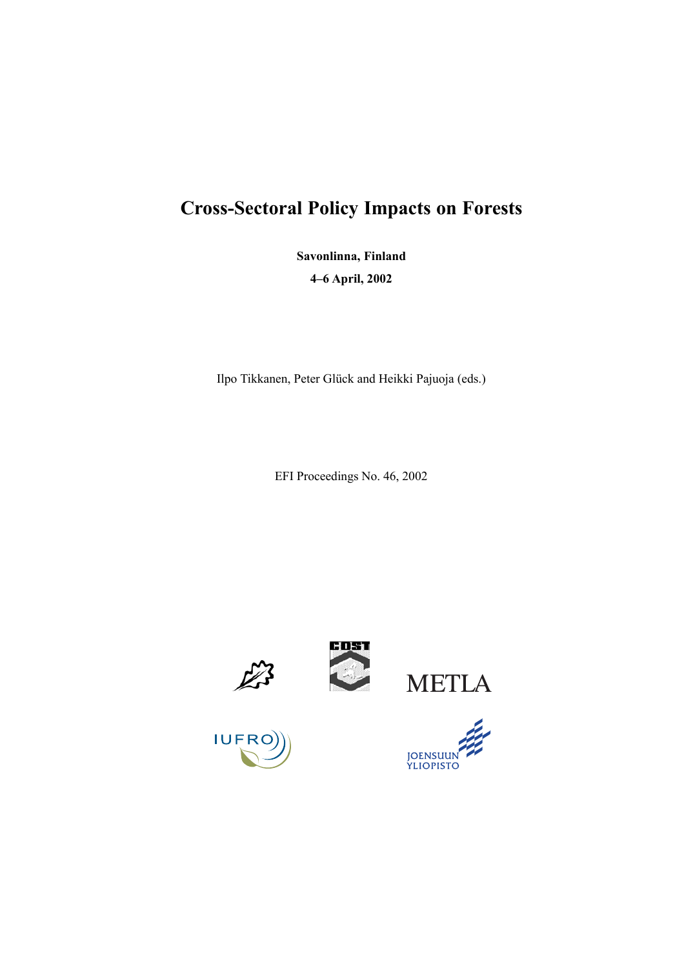# **Cross-Sectoral Policy Impacts on Forests**

**Savonlinna, Finland**

**4–6 April, 2002**

Ilpo Tikkanen, Peter Glück and Heikki Pajuoja (eds.)

EFI Proceedings No. 46, 2002









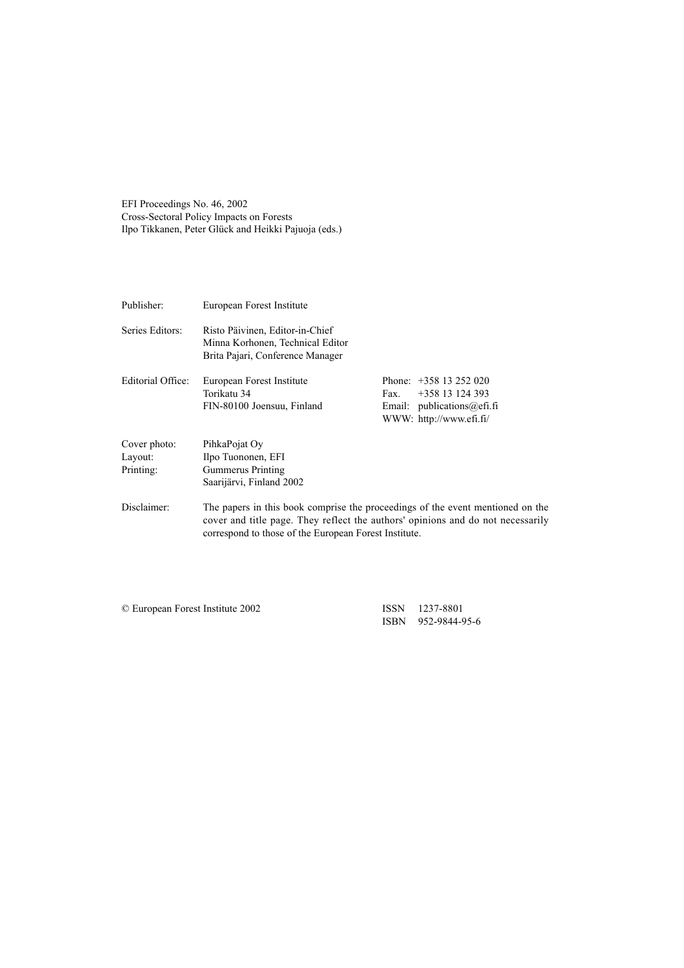EFI Proceedings No. 46, 2002 Cross-Sectoral Policy Impacts on Forests Ilpo Tikkanen, Peter Glück and Heikki Pajuoja (eds.)

| Publisher:                           | European Forest Institute                                                                               |                                                                                                                                                                   |
|--------------------------------------|---------------------------------------------------------------------------------------------------------|-------------------------------------------------------------------------------------------------------------------------------------------------------------------|
| Series Editors:                      | Risto Päivinen, Editor-in-Chief<br>Minna Korhonen, Technical Editor<br>Brita Pajari, Conference Manager |                                                                                                                                                                   |
| Editorial Office:                    | European Forest Institute<br>Torikatu 34<br>FIN-80100 Joensuu, Finland                                  | Phone: $+358$ 13 252 020<br>$+358$ 13 124 393<br>Fax.<br>Email: publications $@efi$ . fi<br>WWW: http://www.efi.fi/                                               |
| Cover photo:<br>Layout:<br>Printing: | PihkaPojat Oy<br>Ilpo Tuononen, EFI<br><b>Gummerus Printing</b><br>Saarijärvi, Finland 2002             |                                                                                                                                                                   |
| Disclaimer:                          | correspond to those of the European Forest Institute.                                                   | The papers in this book comprise the proceedings of the event mentioned on the<br>cover and title page. They reflect the authors' opinions and do not necessarily |

© European Forest Institute 2002 ISSN 1237-8801

ISBN 952-9844-95-6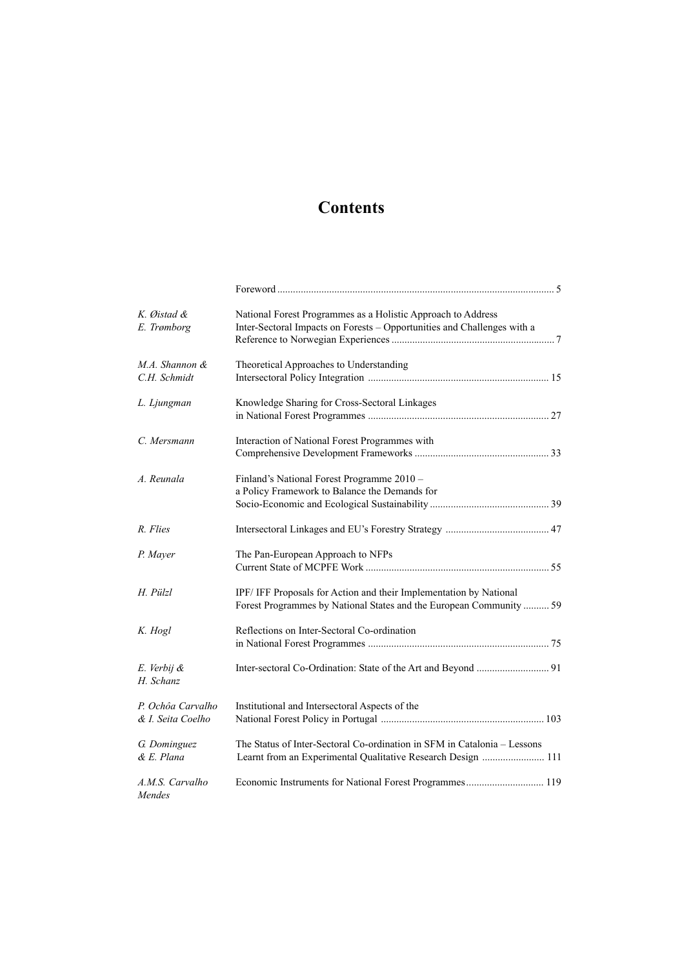## **Contents**

| K. Øistad &<br>E. Trømborg             | National Forest Programmes as a Holistic Approach to Address<br>Inter-Sectoral Impacts on Forests - Opportunities and Challenges with a  |  |
|----------------------------------------|------------------------------------------------------------------------------------------------------------------------------------------|--|
| M.A. Shannon &<br>C.H. Schmidt         | Theoretical Approaches to Understanding                                                                                                  |  |
| L. Ljungman                            | Knowledge Sharing for Cross-Sectoral Linkages                                                                                            |  |
| C. Mersmann                            | Interaction of National Forest Programmes with                                                                                           |  |
| A. Reunala                             | Finland's National Forest Programme 2010 -<br>a Policy Framework to Balance the Demands for                                              |  |
| R. Flies                               |                                                                                                                                          |  |
| P. Mayer                               | The Pan-European Approach to NFPs                                                                                                        |  |
| H. Pülzl                               | IPF/IFF Proposals for Action and their Implementation by National<br>Forest Programmes by National States and the European Community  59 |  |
| K. Hogl                                | Reflections on Inter-Sectoral Co-ordination                                                                                              |  |
| E. Verbij &<br>H. Schanz               |                                                                                                                                          |  |
| P. Ochôa Carvalho<br>& I. Seita Coelho | Institutional and Intersectoral Aspects of the                                                                                           |  |
| G. Dominguez<br>& E. Plana             | The Status of Inter-Sectoral Co-ordination in SFM in Catalonia - Lessons<br>Learnt from an Experimental Qualitative Research Design  111 |  |
| A.M.S. Carvalho<br>Mendes              |                                                                                                                                          |  |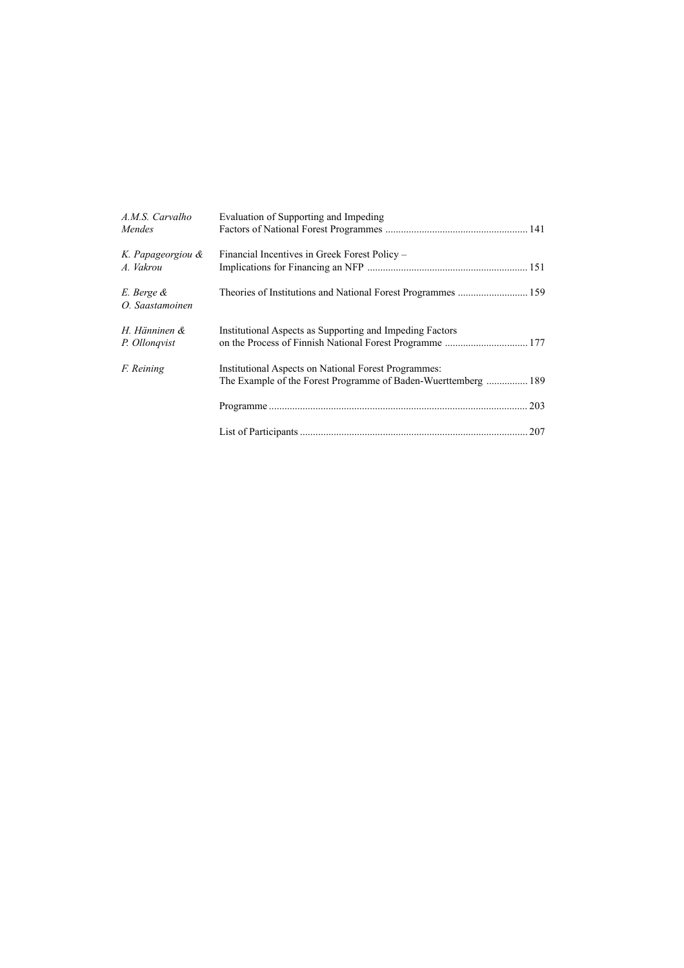| A.M.S. Carvalho<br>Mendes      | Evaluation of Supporting and Impeding                                                                                  |     |
|--------------------------------|------------------------------------------------------------------------------------------------------------------------|-----|
| K. Papageorgiou &<br>A. Vakrou | Financial Incentives in Greek Forest Policy –                                                                          |     |
| E. Berge &<br>O. Saastamoinen  | Theories of Institutions and National Forest Programmes  159                                                           |     |
| H. Hänninen &<br>P. Ollonqvist | Institutional Aspects as Supporting and Impeding Factors                                                               |     |
| F. Reining                     | Institutional Aspects on National Forest Programmes:<br>The Example of the Forest Programme of Baden-Wuerttemberg  189 |     |
|                                |                                                                                                                        | 203 |
|                                |                                                                                                                        |     |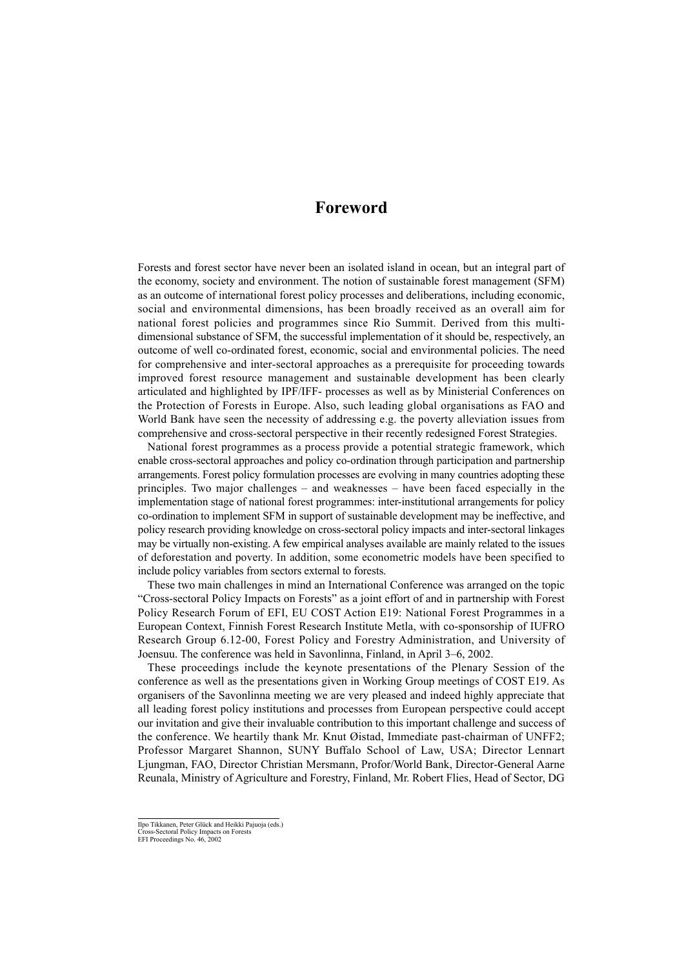## **Foreword**

Forests and forest sector have never been an isolated island in ocean, but an integral part of the economy, society and environment. The notion of sustainable forest management (SFM) as an outcome of international forest policy processes and deliberations, including economic, social and environmental dimensions, has been broadly received as an overall aim for national forest policies and programmes since Rio Summit. Derived from this multidimensional substance of SFM, the successful implementation of it should be, respectively, an outcome of well co-ordinated forest, economic, social and environmental policies. The need for comprehensive and inter-sectoral approaches as a prerequisite for proceeding towards improved forest resource management and sustainable development has been clearly articulated and highlighted by IPF/IFF- processes as well as by Ministerial Conferences on the Protection of Forests in Europe. Also, such leading global organisations as FAO and World Bank have seen the necessity of addressing e.g. the poverty alleviation issues from comprehensive and cross-sectoral perspective in their recently redesigned Forest Strategies.

National forest programmes as a process provide a potential strategic framework, which enable cross-sectoral approaches and policy co-ordination through participation and partnership arrangements. Forest policy formulation processes are evolving in many countries adopting these principles. Two major challenges – and weaknesses – have been faced especially in the implementation stage of national forest programmes: inter-institutional arrangements for policy co-ordination to implement SFM in support of sustainable development may be ineffective, and policy research providing knowledge on cross-sectoral policy impacts and inter-sectoral linkages may be virtually non-existing. A few empirical analyses available are mainly related to the issues of deforestation and poverty. In addition, some econometric models have been specified to include policy variables from sectors external to forests.

These two main challenges in mind an International Conference was arranged on the topic "Cross-sectoral Policy Impacts on Forests" as a joint effort of and in partnership with Forest Policy Research Forum of EFI, EU COST Action E19: National Forest Programmes in a European Context, Finnish Forest Research Institute Metla, with co-sponsorship of IUFRO Research Group 6.12-00, Forest Policy and Forestry Administration, and University of Joensuu. The conference was held in Savonlinna, Finland, in April 3–6, 2002.

These proceedings include the keynote presentations of the Plenary Session of the conference as well as the presentations given in Working Group meetings of COST E19. As organisers of the Savonlinna meeting we are very pleased and indeed highly appreciate that all leading forest policy institutions and processes from European perspective could accept our invitation and give their invaluable contribution to this important challenge and success of the conference. We heartily thank Mr. Knut Øistad, Immediate past-chairman of UNFF2; Professor Margaret Shannon, SUNY Buffalo School of Law, USA; Director Lennart Ljungman, FAO, Director Christian Mersmann, Profor/World Bank, Director-General Aarne Reunala, Ministry of Agriculture and Forestry, Finland, Mr. Robert Flies, Head of Sector, DG

Ilpo Tikkanen, Peter Glück and Heikki Pajuoja (eds.)

Cross-Sectoral Policy Impacts on Forests EFI Proceedings No. 46, 2002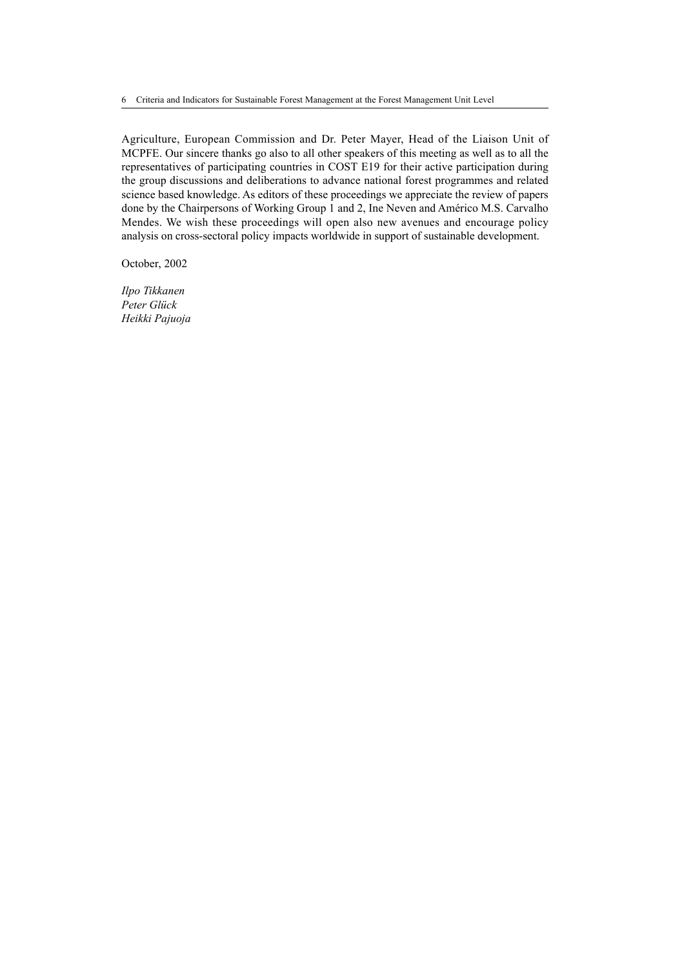Agriculture, European Commission and Dr. Peter Mayer, Head of the Liaison Unit of MCPFE. Our sincere thanks go also to all other speakers of this meeting as well as to all the representatives of participating countries in COST E19 for their active participation during the group discussions and deliberations to advance national forest programmes and related science based knowledge. As editors of these proceedings we appreciate the review of papers done by the Chairpersons of Working Group 1 and 2, Ine Neven and Américo M.S. Carvalho Mendes. We wish these proceedings will open also new avenues and encourage policy analysis on cross-sectoral policy impacts worldwide in support of sustainable development.

October, 2002

*Ilpo Tikkanen Peter Glück Heikki Pajuoja*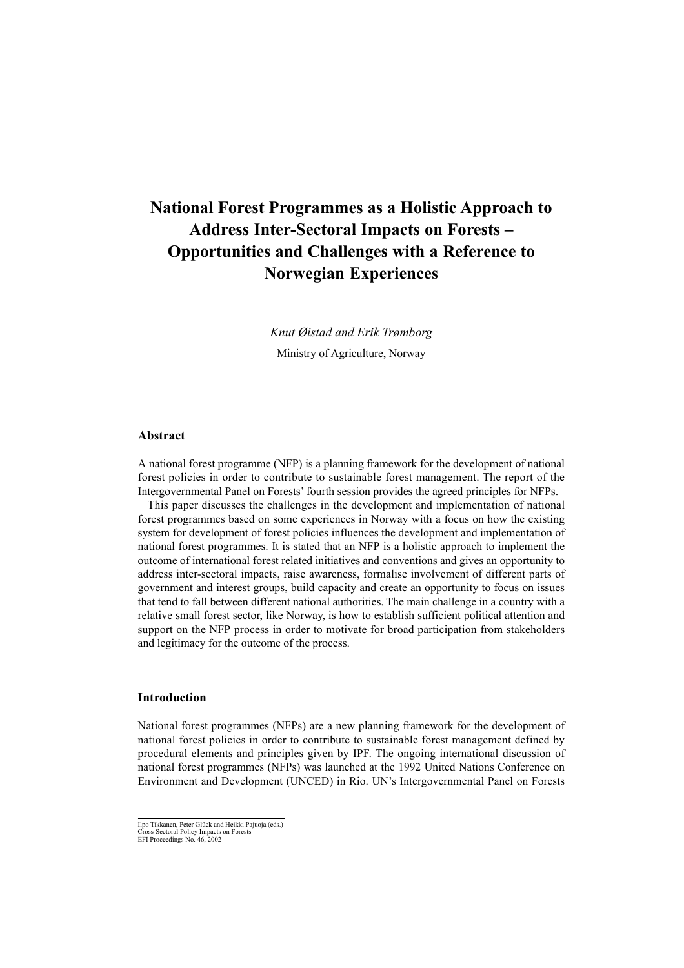## **National Forest Programmes as a Holistic Approach to Address Inter-Sectoral Impacts on Forests – Opportunities and Challenges with a Reference to Norwegian Experiences**

*Knut Øistad and Erik Trømborg* Ministry of Agriculture, Norway

## **Abstract**

A national forest programme (NFP) is a planning framework for the development of national forest policies in order to contribute to sustainable forest management. The report of the Intergovernmental Panel on Forests' fourth session provides the agreed principles for NFPs.

This paper discusses the challenges in the development and implementation of national forest programmes based on some experiences in Norway with a focus on how the existing system for development of forest policies influences the development and implementation of national forest programmes. It is stated that an NFP is a holistic approach to implement the outcome of international forest related initiatives and conventions and gives an opportunity to address inter-sectoral impacts, raise awareness, formalise involvement of different parts of government and interest groups, build capacity and create an opportunity to focus on issues that tend to fall between different national authorities. The main challenge in a country with a relative small forest sector, like Norway, is how to establish sufficient political attention and support on the NFP process in order to motivate for broad participation from stakeholders and legitimacy for the outcome of the process.

## **Introduction**

National forest programmes (NFPs) are a new planning framework for the development of national forest policies in order to contribute to sustainable forest management defined by procedural elements and principles given by IPF. The ongoing international discussion of national forest programmes (NFPs) was launched at the 1992 United Nations Conference on Environment and Development (UNCED) in Rio. UN's Intergovernmental Panel on Forests

Ilpo Tikkanen, Peter Glück and Heikki Pajuoja (eds.) Cross-Sectoral Policy Impacts on Forests EFI Proceedings No. 46, 2002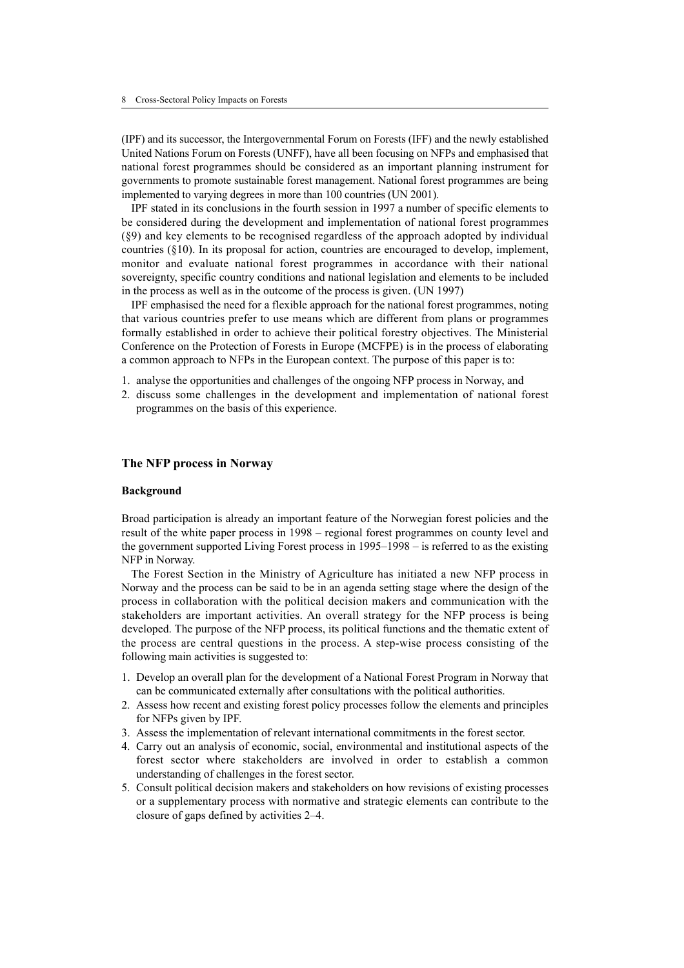(IPF) and its successor, the Intergovernmental Forum on Forests (IFF) and the newly established United Nations Forum on Forests (UNFF), have all been focusing on NFPs and emphasised that national forest programmes should be considered as an important planning instrument for governments to promote sustainable forest management. National forest programmes are being implemented to varying degrees in more than 100 countries (UN 2001).

IPF stated in its conclusions in the fourth session in 1997 a number of specific elements to be considered during the development and implementation of national forest programmes (§9) and key elements to be recognised regardless of the approach adopted by individual countries (§10). In its proposal for action, countries are encouraged to develop, implement, monitor and evaluate national forest programmes in accordance with their national sovereignty, specific country conditions and national legislation and elements to be included in the process as well as in the outcome of the process is given. (UN 1997)

IPF emphasised the need for a flexible approach for the national forest programmes, noting that various countries prefer to use means which are different from plans or programmes formally established in order to achieve their political forestry objectives. The Ministerial Conference on the Protection of Forests in Europe (MCFPE) is in the process of elaborating a common approach to NFPs in the European context. The purpose of this paper is to:

- 1. analyse the opportunities and challenges of the ongoing NFP process in Norway, and
- 2. discuss some challenges in the development and implementation of national forest programmes on the basis of this experience.

#### **The NFP process in Norway**

#### **Background**

Broad participation is already an important feature of the Norwegian forest policies and the result of the white paper process in 1998 – regional forest programmes on county level and the government supported Living Forest process in 1995–1998 – is referred to as the existing NFP in Norway.

The Forest Section in the Ministry of Agriculture has initiated a new NFP process in Norway and the process can be said to be in an agenda setting stage where the design of the process in collaboration with the political decision makers and communication with the stakeholders are important activities. An overall strategy for the NFP process is being developed. The purpose of the NFP process, its political functions and the thematic extent of the process are central questions in the process. A step-wise process consisting of the following main activities is suggested to:

- 1. Develop an overall plan for the development of a National Forest Program in Norway that can be communicated externally after consultations with the political authorities.
- 2. Assess how recent and existing forest policy processes follow the elements and principles for NFPs given by IPF.
- 3. Assess the implementation of relevant international commitments in the forest sector.
- 4. Carry out an analysis of economic, social, environmental and institutional aspects of the forest sector where stakeholders are involved in order to establish a common understanding of challenges in the forest sector.
- 5. Consult political decision makers and stakeholders on how revisions of existing processes or a supplementary process with normative and strategic elements can contribute to the closure of gaps defined by activities 2–4.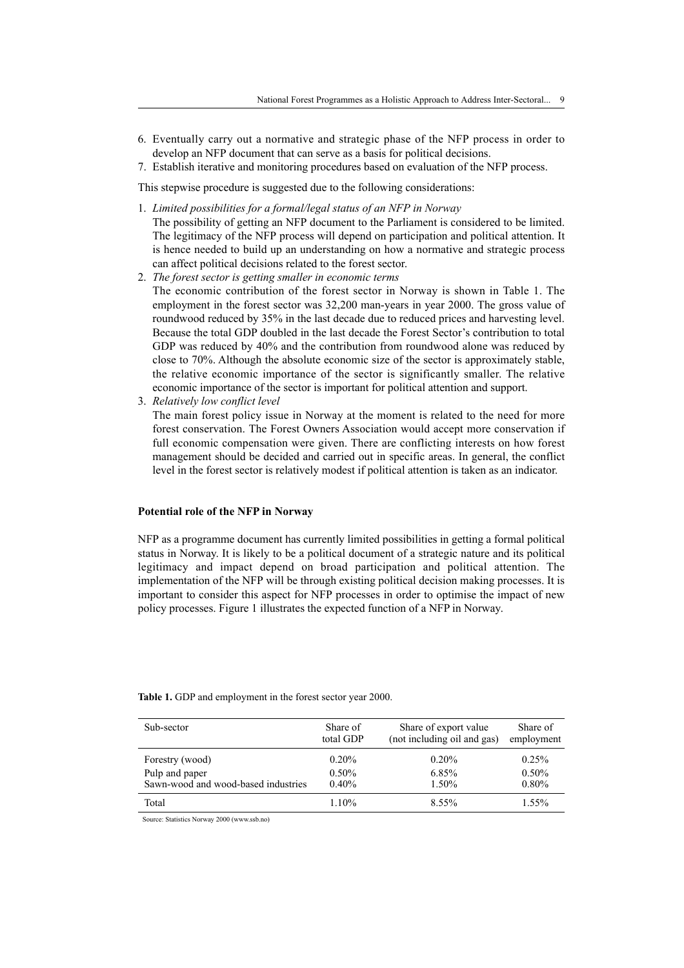- 6. Eventually carry out a normative and strategic phase of the NFP process in order to develop an NFP document that can serve as a basis for political decisions.
- 7. Establish iterative and monitoring procedures based on evaluation of the NFP process.

This stepwise procedure is suggested due to the following considerations:

1. *Limited possibilities for a formal/legal status of an NFP in Norway*

The possibility of getting an NFP document to the Parliament is considered to be limited. The legitimacy of the NFP process will depend on participation and political attention. It is hence needed to build up an understanding on how a normative and strategic process can affect political decisions related to the forest sector.

2. *The forest sector is getting smaller in economic terms*

The economic contribution of the forest sector in Norway is shown in Table 1. The employment in the forest sector was 32,200 man-years in year 2000. The gross value of roundwood reduced by 35% in the last decade due to reduced prices and harvesting level. Because the total GDP doubled in the last decade the Forest Sector's contribution to total GDP was reduced by 40% and the contribution from roundwood alone was reduced by close to 70%. Although the absolute economic size of the sector is approximately stable, the relative economic importance of the sector is significantly smaller. The relative economic importance of the sector is important for political attention and support.

3. *Relatively low conflict level*

The main forest policy issue in Norway at the moment is related to the need for more forest conservation. The Forest Owners Association would accept more conservation if full economic compensation were given. There are conflicting interests on how forest management should be decided and carried out in specific areas. In general, the conflict level in the forest sector is relatively modest if political attention is taken as an indicator.

#### **Potential role of the NFP in Norway**

NFP as a programme document has currently limited possibilities in getting a formal political status in Norway. It is likely to be a political document of a strategic nature and its political legitimacy and impact depend on broad participation and political attention. The implementation of the NFP will be through existing political decision making processes. It is important to consider this aspect for NFP processes in order to optimise the impact of new policy processes. Figure 1 illustrates the expected function of a NFP in Norway.

| Sub-sector                          | Share of<br>total GDP | Share of export value<br>(not including oil and gas) | Share of<br>employment |
|-------------------------------------|-----------------------|------------------------------------------------------|------------------------|
| Forestry (wood)                     | 0.20%                 | 0.20%                                                | 0.25%                  |
| Pulp and paper                      | $0.50\%$              | 6.85%                                                | $0.50\%$               |
| Sawn-wood and wood-based industries | $0.40\%$              | 1.50%                                                | $0.80\%$               |
| Total                               | 1.10%                 | 8.55%                                                | 1.55%                  |

**Table 1.** GDP and employment in the forest sector year 2000.

Source: Statistics Norway 2000 (www.ssb.no)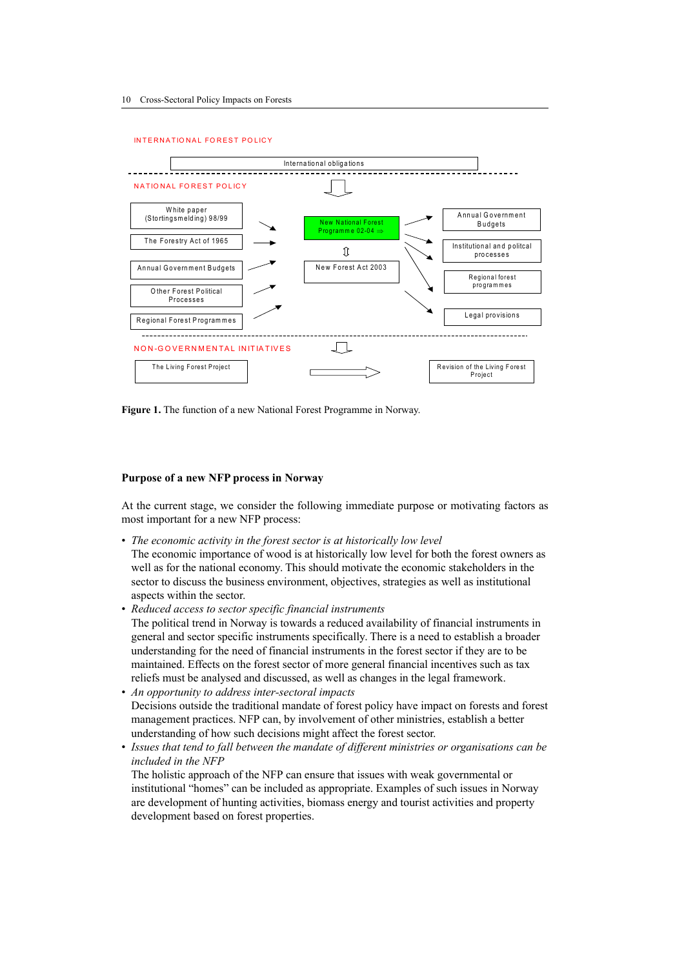



**Figure 1.** The function of a new National Forest Programme in Norway.

#### **Purpose of a new NFP process in Norway**

At the current stage, we consider the following immediate purpose or motivating factors as most important for a new NFP process:

- *The economic activity in the forest sector is at historically low level* The economic importance of wood is at historically low level for both the forest owners as well as for the national economy. This should motivate the economic stakeholders in the sector to discuss the business environment, objectives, strategies as well as institutional aspects within the sector.
- *Reduced access to sector specific financial instruments* The political trend in Norway is towards a reduced availability of financial instruments in general and sector specific instruments specifically. There is a need to establish a broader understanding for the need of financial instruments in the forest sector if they are to be maintained. Effects on the forest sector of more general financial incentives such as tax reliefs must be analysed and discussed, as well as changes in the legal framework.
- *An opportunity to address inter-sectoral impacts* Decisions outside the traditional mandate of forest policy have impact on forests and forest management practices. NFP can, by involvement of other ministries, establish a better understanding of how such decisions might affect the forest sector.
- *Issues that tend to fall between the mandate of different ministries or organisations can be included in the NFP*

The holistic approach of the NFP can ensure that issues with weak governmental or institutional "homes" can be included as appropriate. Examples of such issues in Norway are development of hunting activities, biomass energy and tourist activities and property development based on forest properties.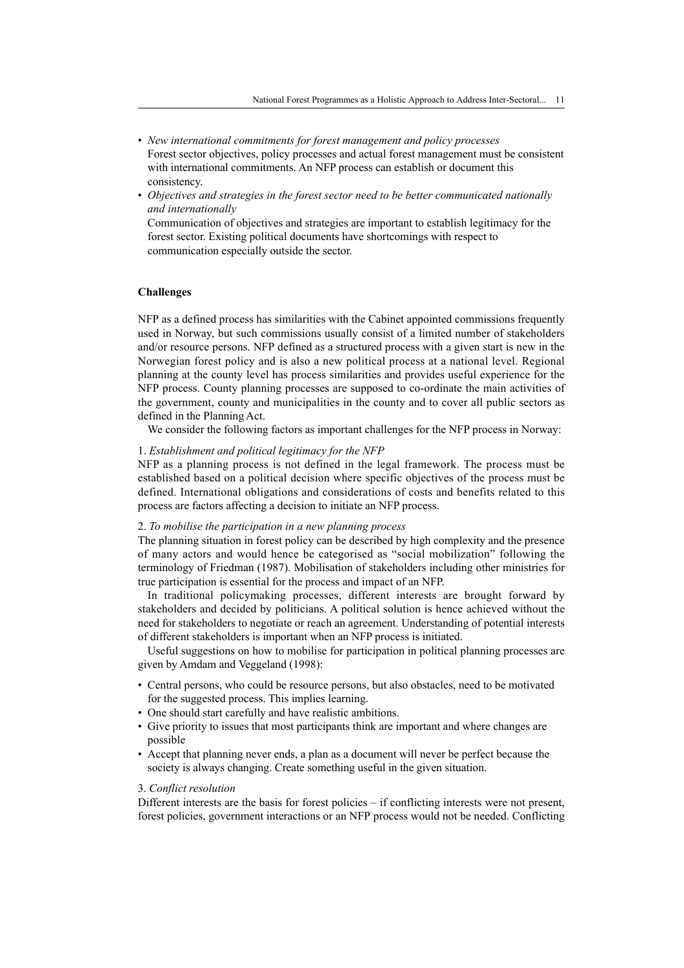- *New international commitments for forest management and policy processes* Forest sector objectives, policy processes and actual forest management must be consistent with international commitments. An NFP process can establish or document this consistency.
- *Objectives and strategies in the forest sector need to be better communicated nationally and internationally*

Communication of objectives and strategies are important to establish legitimacy for the forest sector. Existing political documents have shortcomings with respect to communication especially outside the sector.

### **Challenges**

NFP as a defined process has similarities with the Cabinet appointed commissions frequently used in Norway, but such commissions usually consist of a limited number of stakeholders and/or resource persons. NFP defined as a structured process with a given start is new in the Norwegian forest policy and is also a new political process at a national level. Regional planning at the county level has process similarities and provides useful experience for the NFP process. County planning processes are supposed to co-ordinate the main activities of the government, county and municipalities in the county and to cover all public sectors as defined in the Planning Act.

We consider the following factors as important challenges for the NFP process in Norway:

#### 1. *Establishment and political legitimacy for the NFP*

NFP as a planning process is not defined in the legal framework. The process must be established based on a political decision where specific objectives of the process must be defined. International obligations and considerations of costs and benefits related to this process are factors affecting a decision to initiate an NFP process.

#### 2. *To mobilise the participation in a new planning process*

The planning situation in forest policy can be described by high complexity and the presence of many actors and would hence be categorised as "social mobilization" following the terminology of Friedman (1987). Mobilisation of stakeholders including other ministries for true participation is essential for the process and impact of an NFP.

In traditional policymaking processes, different interests are brought forward by stakeholders and decided by politicians. A political solution is hence achieved without the need for stakeholders to negotiate or reach an agreement. Understanding of potential interests of different stakeholders is important when an NFP process is initiated.

Useful suggestions on how to mobilise for participation in political planning processes are given by Amdam and Veggeland (1998):

- Central persons, who could be resource persons, but also obstacles, need to be motivated for the suggested process. This implies learning.
- One should start carefully and have realistic ambitions.
- Give priority to issues that most participants think are important and where changes are possible
- Accept that planning never ends, a plan as a document will never be perfect because the society is always changing. Create something useful in the given situation.

#### 3. *Conflict resolution*

Different interests are the basis for forest policies – if conflicting interests were not present, forest policies, government interactions or an NFP process would not be needed. Conflicting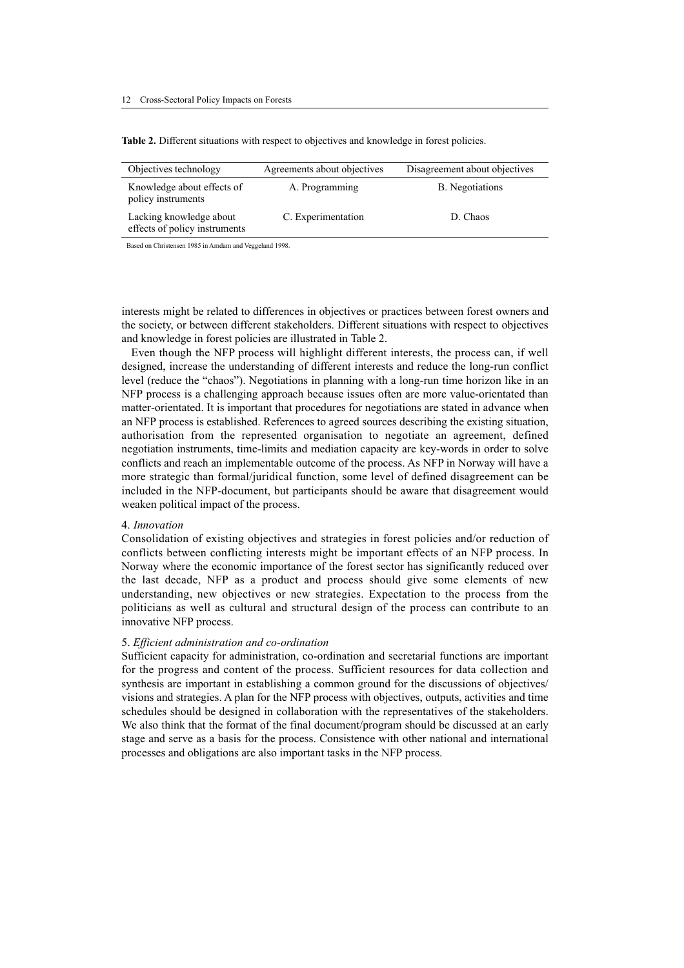| Objectives technology                                    | Agreements about objectives | Disagreement about objectives |
|----------------------------------------------------------|-----------------------------|-------------------------------|
| Knowledge about effects of<br>policy instruments         | A. Programming              | B. Negotiations               |
| Lacking knowledge about<br>effects of policy instruments | C. Experimentation          | D. Chaos                      |

**Table 2.** Different situations with respect to objectives and knowledge in forest policies.

Based on Christensen 1985 in Amdam and Veggeland 1998.

interests might be related to differences in objectives or practices between forest owners and the society, or between different stakeholders. Different situations with respect to objectives and knowledge in forest policies are illustrated in Table 2.

Even though the NFP process will highlight different interests, the process can, if well designed, increase the understanding of different interests and reduce the long-run conflict level (reduce the "chaos"). Negotiations in planning with a long-run time horizon like in an NFP process is a challenging approach because issues often are more value-orientated than matter-orientated. It is important that procedures for negotiations are stated in advance when an NFP process is established. References to agreed sources describing the existing situation, authorisation from the represented organisation to negotiate an agreement, defined negotiation instruments, time-limits and mediation capacity are key-words in order to solve conflicts and reach an implementable outcome of the process. As NFP in Norway will have a more strategic than formal/juridical function, some level of defined disagreement can be included in the NFP-document, but participants should be aware that disagreement would weaken political impact of the process.

#### 4. *Innovation*

Consolidation of existing objectives and strategies in forest policies and/or reduction of conflicts between conflicting interests might be important effects of an NFP process. In Norway where the economic importance of the forest sector has significantly reduced over the last decade, NFP as a product and process should give some elements of new understanding, new objectives or new strategies. Expectation to the process from the politicians as well as cultural and structural design of the process can contribute to an innovative NFP process.

### 5. *Efficient administration and co-ordination*

Sufficient capacity for administration, co-ordination and secretarial functions are important for the progress and content of the process. Sufficient resources for data collection and synthesis are important in establishing a common ground for the discussions of objectives/ visions and strategies. A plan for the NFP process with objectives, outputs, activities and time schedules should be designed in collaboration with the representatives of the stakeholders. We also think that the format of the final document/program should be discussed at an early stage and serve as a basis for the process. Consistence with other national and international processes and obligations are also important tasks in the NFP process.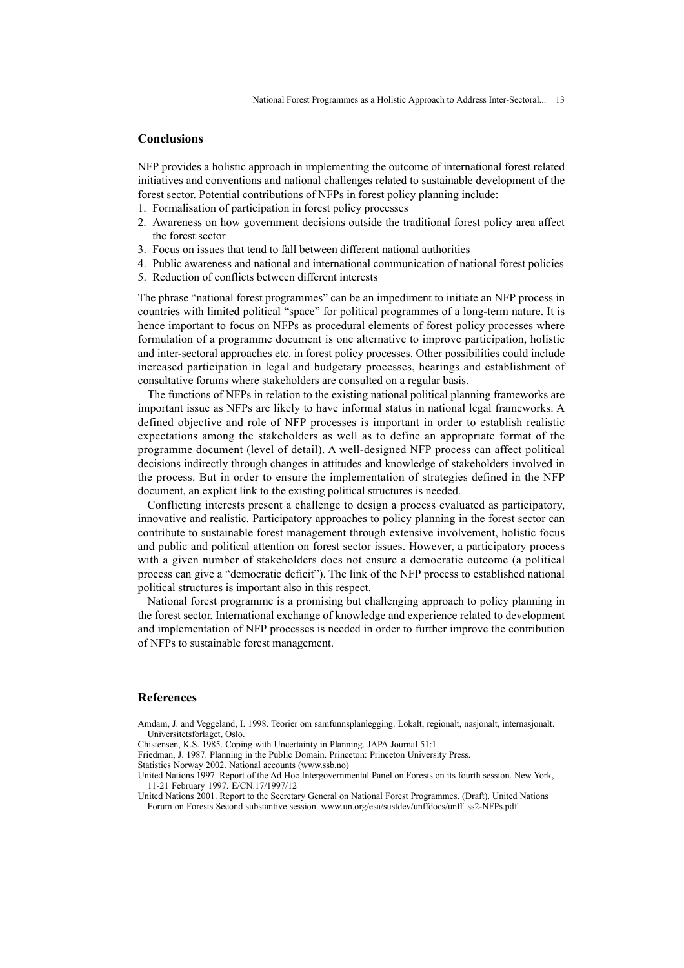## **Conclusions**

NFP provides a holistic approach in implementing the outcome of international forest related initiatives and conventions and national challenges related to sustainable development of the forest sector. Potential contributions of NFPs in forest policy planning include:

- 1. Formalisation of participation in forest policy processes
- 2. Awareness on how government decisions outside the traditional forest policy area affect the forest sector
- 3. Focus on issues that tend to fall between different national authorities
- 4. Public awareness and national and international communication of national forest policies
- 5. Reduction of conflicts between different interests

The phrase "national forest programmes" can be an impediment to initiate an NFP process in countries with limited political "space" for political programmes of a long-term nature. It is hence important to focus on NFPs as procedural elements of forest policy processes where formulation of a programme document is one alternative to improve participation, holistic and inter-sectoral approaches etc. in forest policy processes. Other possibilities could include increased participation in legal and budgetary processes, hearings and establishment of consultative forums where stakeholders are consulted on a regular basis.

The functions of NFPs in relation to the existing national political planning frameworks are important issue as NFPs are likely to have informal status in national legal frameworks. A defined objective and role of NFP processes is important in order to establish realistic expectations among the stakeholders as well as to define an appropriate format of the programme document (level of detail). A well-designed NFP process can affect political decisions indirectly through changes in attitudes and knowledge of stakeholders involved in the process. But in order to ensure the implementation of strategies defined in the NFP document, an explicit link to the existing political structures is needed.

Conflicting interests present a challenge to design a process evaluated as participatory, innovative and realistic. Participatory approaches to policy planning in the forest sector can contribute to sustainable forest management through extensive involvement, holistic focus and public and political attention on forest sector issues. However, a participatory process with a given number of stakeholders does not ensure a democratic outcome (a political process can give a "democratic deficit"). The link of the NFP process to established national political structures is important also in this respect.

National forest programme is a promising but challenging approach to policy planning in the forest sector. International exchange of knowledge and experience related to development and implementation of NFP processes is needed in order to further improve the contribution of NFPs to sustainable forest management.

### **References**

- Amdam, J. and Veggeland, I. 1998. Teorier om samfunnsplanlegging. Lokalt, regionalt, nasjonalt, internasjonalt. Universitetsforlaget, Oslo.
- Chistensen, K.S. 1985. Coping with Uncertainty in Planning. JAPA Journal 51:1.

Friedman, J. 1987. Planning in the Public Domain. Princeton: Princeton University Press.

Statistics Norway 2002. National accounts (www.ssb.no)

United Nations 2001. Report to the Secretary General on National Forest Programmes. (Draft). United Nations Forum on Forests Second substantive session. www.un.org/esa/sustdev/unffdocs/unff\_ss2-NFPs.pdf

United Nations 1997. Report of the Ad Hoc Intergovernmental Panel on Forests on its fourth session. New York, 11-21 February 1997. E/CN.17/1997/12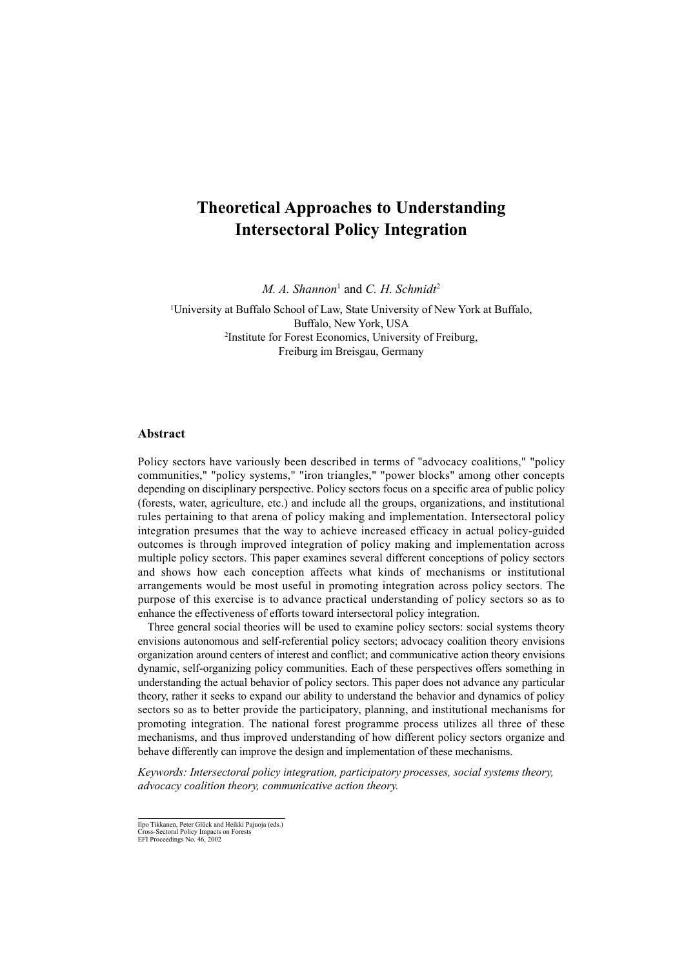## **Theoretical Approaches to Understanding Intersectoral Policy Integration**

*M. A. Shannon*<sup>1</sup> and *C. H. Schmidt<sup>2</sup>* 

1 University at Buffalo School of Law, State University of New York at Buffalo, Buffalo, New York, USA 2 Institute for Forest Economics, University of Freiburg, Freiburg im Breisgau, Germany

## **Abstract**

Policy sectors have variously been described in terms of "advocacy coalitions," "policy communities," "policy systems," "iron triangles," "power blocks" among other concepts depending on disciplinary perspective. Policy sectors focus on a specific area of public policy (forests, water, agriculture, etc.) and include all the groups, organizations, and institutional rules pertaining to that arena of policy making and implementation. Intersectoral policy integration presumes that the way to achieve increased efficacy in actual policy-guided outcomes is through improved integration of policy making and implementation across multiple policy sectors. This paper examines several different conceptions of policy sectors and shows how each conception affects what kinds of mechanisms or institutional arrangements would be most useful in promoting integration across policy sectors. The purpose of this exercise is to advance practical understanding of policy sectors so as to enhance the effectiveness of efforts toward intersectoral policy integration.

Three general social theories will be used to examine policy sectors: social systems theory envisions autonomous and self-referential policy sectors; advocacy coalition theory envisions organization around centers of interest and conflict; and communicative action theory envisions dynamic, self-organizing policy communities. Each of these perspectives offers something in understanding the actual behavior of policy sectors. This paper does not advance any particular theory, rather it seeks to expand our ability to understand the behavior and dynamics of policy sectors so as to better provide the participatory, planning, and institutional mechanisms for promoting integration. The national forest programme process utilizes all three of these mechanisms, and thus improved understanding of how different policy sectors organize and behave differently can improve the design and implementation of these mechanisms.

*Keywords: Intersectoral policy integration, participatory processes, social systems theory, advocacy coalition theory, communicative action theory.*

Ilpo Tikkanen, Peter Glück and Heikki Pajuoja (eds.)

Cross-Sectoral Policy Impacts on Forests EFI Proceedings No. 46, 2002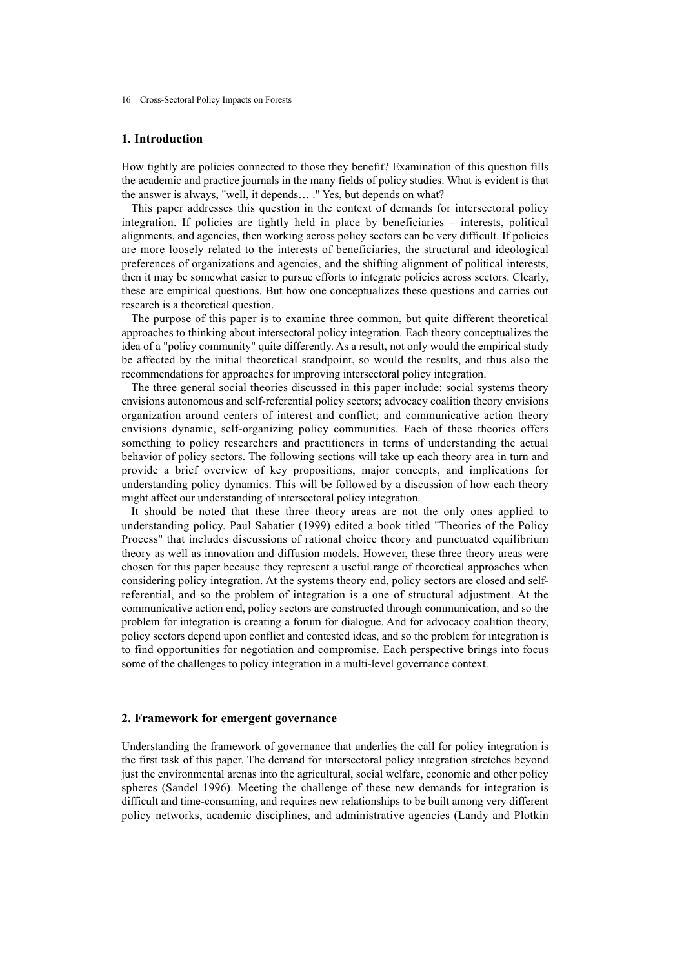## **1. Introduction**

How tightly are policies connected to those they benefit? Examination of this question fills the academic and practice journals in the many fields of policy studies. What is evident is that the answer is always, "well, it depends… ." Yes, but depends on what?

This paper addresses this question in the context of demands for intersectoral policy integration. If policies are tightly held in place by beneficiaries – interests, political alignments, and agencies, then working across policy sectors can be very difficult. If policies are more loosely related to the interests of beneficiaries, the structural and ideological preferences of organizations and agencies, and the shifting alignment of political interests, then it may be somewhat easier to pursue efforts to integrate policies across sectors. Clearly, these are empirical questions. But how one conceptualizes these questions and carries out research is a theoretical question.

The purpose of this paper is to examine three common, but quite different theoretical approaches to thinking about intersectoral policy integration. Each theory conceptualizes the idea of a "policy community" quite differently. As a result, not only would the empirical study be affected by the initial theoretical standpoint, so would the results, and thus also the recommendations for approaches for improving intersectoral policy integration.

The three general social theories discussed in this paper include: social systems theory envisions autonomous and self-referential policy sectors; advocacy coalition theory envisions organization around centers of interest and conflict; and communicative action theory envisions dynamic, self-organizing policy communities. Each of these theories offers something to policy researchers and practitioners in terms of understanding the actual behavior of policy sectors. The following sections will take up each theory area in turn and provide a brief overview of key propositions, major concepts, and implications for understanding policy dynamics. This will be followed by a discussion of how each theory might affect our understanding of intersectoral policy integration.

It should be noted that these three theory areas are not the only ones applied to understanding policy. Paul Sabatier (1999) edited a book titled "Theories of the Policy Process" that includes discussions of rational choice theory and punctuated equilibrium theory as well as innovation and diffusion models. However, these three theory areas were chosen for this paper because they represent a useful range of theoretical approaches when considering policy integration. At the systems theory end, policy sectors are closed and selfreferential, and so the problem of integration is a one of structural adjustment. At the communicative action end, policy sectors are constructed through communication, and so the problem for integration is creating a forum for dialogue. And for advocacy coalition theory, policy sectors depend upon conflict and contested ideas, and so the problem for integration is to find opportunities for negotiation and compromise. Each perspective brings into focus some of the challenges to policy integration in a multi-level governance context.

#### **2. Framework for emergent governance**

Understanding the framework of governance that underlies the call for policy integration is the first task of this paper. The demand for intersectoral policy integration stretches beyond just the environmental arenas into the agricultural, social welfare, economic and other policy spheres (Sandel 1996). Meeting the challenge of these new demands for integration is difficult and time-consuming, and requires new relationships to be built among very different policy networks, academic disciplines, and administrative agencies (Landy and Plotkin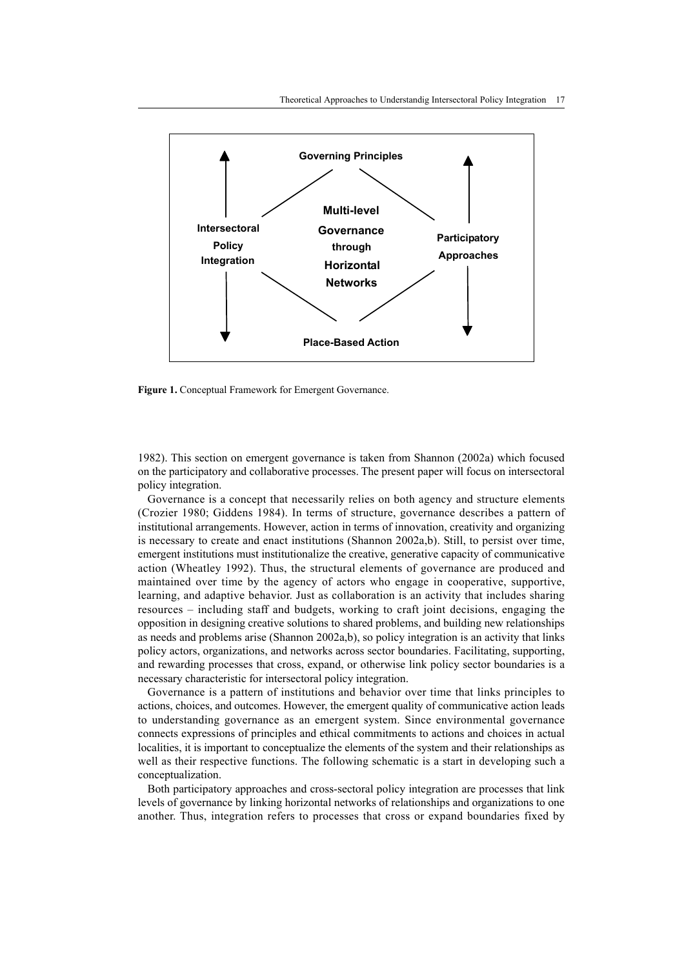

**Figure 1.** Conceptual Framework for Emergent Governance.

1982). This section on emergent governance is taken from Shannon (2002a) which focused on the participatory and collaborative processes. The present paper will focus on intersectoral policy integration.

Governance is a concept that necessarily relies on both agency and structure elements (Crozier 1980; Giddens 1984). In terms of structure, governance describes a pattern of institutional arrangements. However, action in terms of innovation, creativity and organizing is necessary to create and enact institutions (Shannon 2002a,b). Still, to persist over time, emergent institutions must institutionalize the creative, generative capacity of communicative action (Wheatley 1992). Thus, the structural elements of governance are produced and maintained over time by the agency of actors who engage in cooperative, supportive, learning, and adaptive behavior. Just as collaboration is an activity that includes sharing resources – including staff and budgets, working to craft joint decisions, engaging the opposition in designing creative solutions to shared problems, and building new relationships as needs and problems arise (Shannon 2002a,b), so policy integration is an activity that links policy actors, organizations, and networks across sector boundaries. Facilitating, supporting, and rewarding processes that cross, expand, or otherwise link policy sector boundaries is a necessary characteristic for intersectoral policy integration.

Governance is a pattern of institutions and behavior over time that links principles to actions, choices, and outcomes. However, the emergent quality of communicative action leads to understanding governance as an emergent system. Since environmental governance connects expressions of principles and ethical commitments to actions and choices in actual localities, it is important to conceptualize the elements of the system and their relationships as well as their respective functions. The following schematic is a start in developing such a conceptualization.

Both participatory approaches and cross-sectoral policy integration are processes that link levels of governance by linking horizontal networks of relationships and organizations to one another. Thus, integration refers to processes that cross or expand boundaries fixed by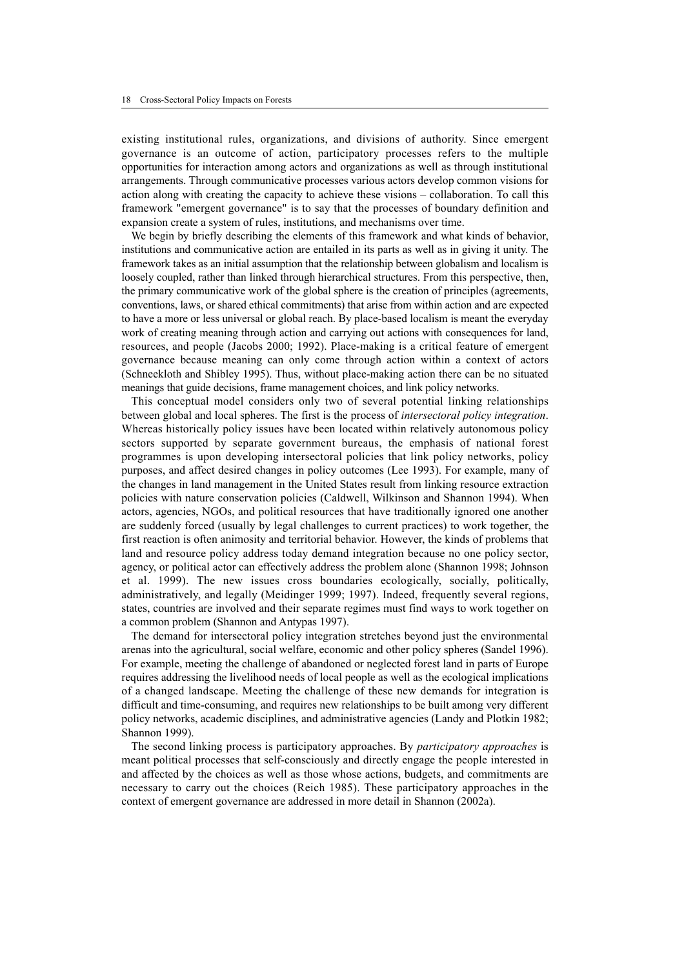existing institutional rules, organizations, and divisions of authority. Since emergent governance is an outcome of action, participatory processes refers to the multiple opportunities for interaction among actors and organizations as well as through institutional arrangements. Through communicative processes various actors develop common visions for action along with creating the capacity to achieve these visions – collaboration. To call this framework "emergent governance" is to say that the processes of boundary definition and expansion create a system of rules, institutions, and mechanisms over time.

We begin by briefly describing the elements of this framework and what kinds of behavior, institutions and communicative action are entailed in its parts as well as in giving it unity. The framework takes as an initial assumption that the relationship between globalism and localism is loosely coupled, rather than linked through hierarchical structures. From this perspective, then, the primary communicative work of the global sphere is the creation of principles (agreements, conventions, laws, or shared ethical commitments) that arise from within action and are expected to have a more or less universal or global reach. By place-based localism is meant the everyday work of creating meaning through action and carrying out actions with consequences for land, resources, and people (Jacobs 2000; 1992). Place-making is a critical feature of emergent governance because meaning can only come through action within a context of actors (Schneekloth and Shibley 1995). Thus, without place-making action there can be no situated meanings that guide decisions, frame management choices, and link policy networks.

This conceptual model considers only two of several potential linking relationships between global and local spheres. The first is the process of *intersectoral policy integration*. Whereas historically policy issues have been located within relatively autonomous policy sectors supported by separate government bureaus, the emphasis of national forest programmes is upon developing intersectoral policies that link policy networks, policy purposes, and affect desired changes in policy outcomes (Lee 1993). For example, many of the changes in land management in the United States result from linking resource extraction policies with nature conservation policies (Caldwell, Wilkinson and Shannon 1994). When actors, agencies, NGOs, and political resources that have traditionally ignored one another are suddenly forced (usually by legal challenges to current practices) to work together, the first reaction is often animosity and territorial behavior. However, the kinds of problems that land and resource policy address today demand integration because no one policy sector, agency, or political actor can effectively address the problem alone (Shannon 1998; Johnson et al. 1999). The new issues cross boundaries ecologically, socially, politically, administratively, and legally (Meidinger 1999; 1997). Indeed, frequently several regions, states, countries are involved and their separate regimes must find ways to work together on a common problem (Shannon and Antypas 1997).

The demand for intersectoral policy integration stretches beyond just the environmental arenas into the agricultural, social welfare, economic and other policy spheres (Sandel 1996). For example, meeting the challenge of abandoned or neglected forest land in parts of Europe requires addressing the livelihood needs of local people as well as the ecological implications of a changed landscape. Meeting the challenge of these new demands for integration is difficult and time-consuming, and requires new relationships to be built among very different policy networks, academic disciplines, and administrative agencies (Landy and Plotkin 1982; Shannon 1999).

The second linking process is participatory approaches. By *participatory approaches* is meant political processes that self-consciously and directly engage the people interested in and affected by the choices as well as those whose actions, budgets, and commitments are necessary to carry out the choices (Reich 1985). These participatory approaches in the context of emergent governance are addressed in more detail in Shannon (2002a).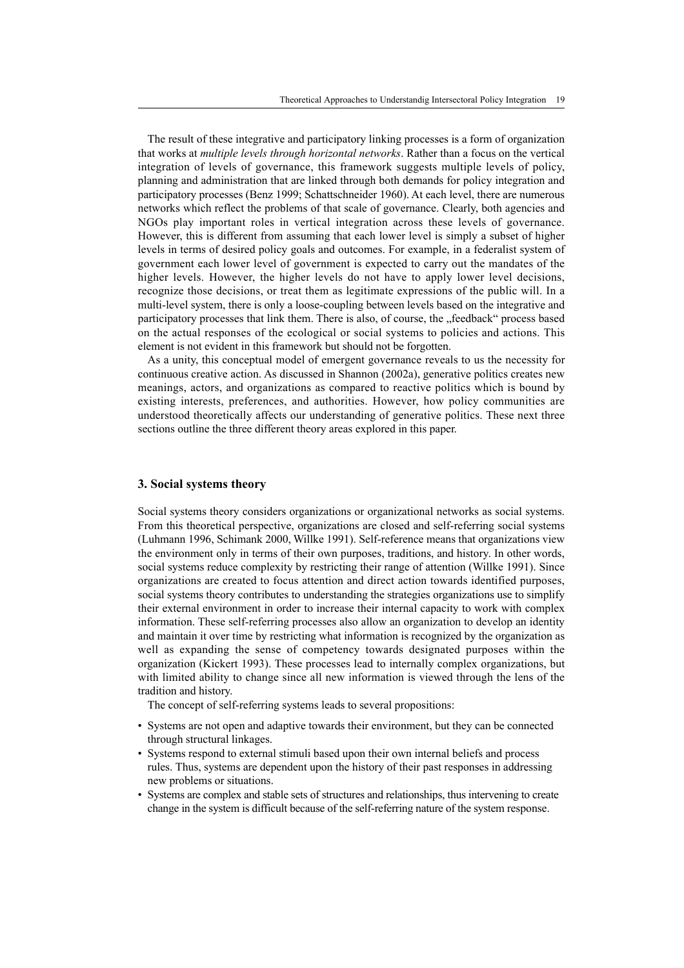The result of these integrative and participatory linking processes is a form of organization that works at *multiple levels through horizontal networks*. Rather than a focus on the vertical integration of levels of governance, this framework suggests multiple levels of policy, planning and administration that are linked through both demands for policy integration and participatory processes (Benz 1999; Schattschneider 1960). At each level, there are numerous networks which reflect the problems of that scale of governance. Clearly, both agencies and NGOs play important roles in vertical integration across these levels of governance. However, this is different from assuming that each lower level is simply a subset of higher levels in terms of desired policy goals and outcomes. For example, in a federalist system of government each lower level of government is expected to carry out the mandates of the higher levels. However, the higher levels do not have to apply lower level decisions, recognize those decisions, or treat them as legitimate expressions of the public will. In a multi-level system, there is only a loose-coupling between levels based on the integrative and participatory processes that link them. There is also, of course, the "feedback" process based on the actual responses of the ecological or social systems to policies and actions. This element is not evident in this framework but should not be forgotten.

As a unity, this conceptual model of emergent governance reveals to us the necessity for continuous creative action. As discussed in Shannon (2002a), generative politics creates new meanings, actors, and organizations as compared to reactive politics which is bound by existing interests, preferences, and authorities. However, how policy communities are understood theoretically affects our understanding of generative politics. These next three sections outline the three different theory areas explored in this paper.

## **3. Social systems theory**

Social systems theory considers organizations or organizational networks as social systems. From this theoretical perspective, organizations are closed and self-referring social systems (Luhmann 1996, Schimank 2000, Willke 1991). Self-reference means that organizations view the environment only in terms of their own purposes, traditions, and history. In other words, social systems reduce complexity by restricting their range of attention (Willke 1991). Since organizations are created to focus attention and direct action towards identified purposes, social systems theory contributes to understanding the strategies organizations use to simplify their external environment in order to increase their internal capacity to work with complex information. These self-referring processes also allow an organization to develop an identity and maintain it over time by restricting what information is recognized by the organization as well as expanding the sense of competency towards designated purposes within the organization (Kickert 1993). These processes lead to internally complex organizations, but with limited ability to change since all new information is viewed through the lens of the tradition and history.

The concept of self-referring systems leads to several propositions:

- Systems are not open and adaptive towards their environment, but they can be connected through structural linkages.
- Systems respond to external stimuli based upon their own internal beliefs and process rules. Thus, systems are dependent upon the history of their past responses in addressing new problems or situations.
- Systems are complex and stable sets of structures and relationships, thus intervening to create change in the system is difficult because of the self-referring nature of the system response.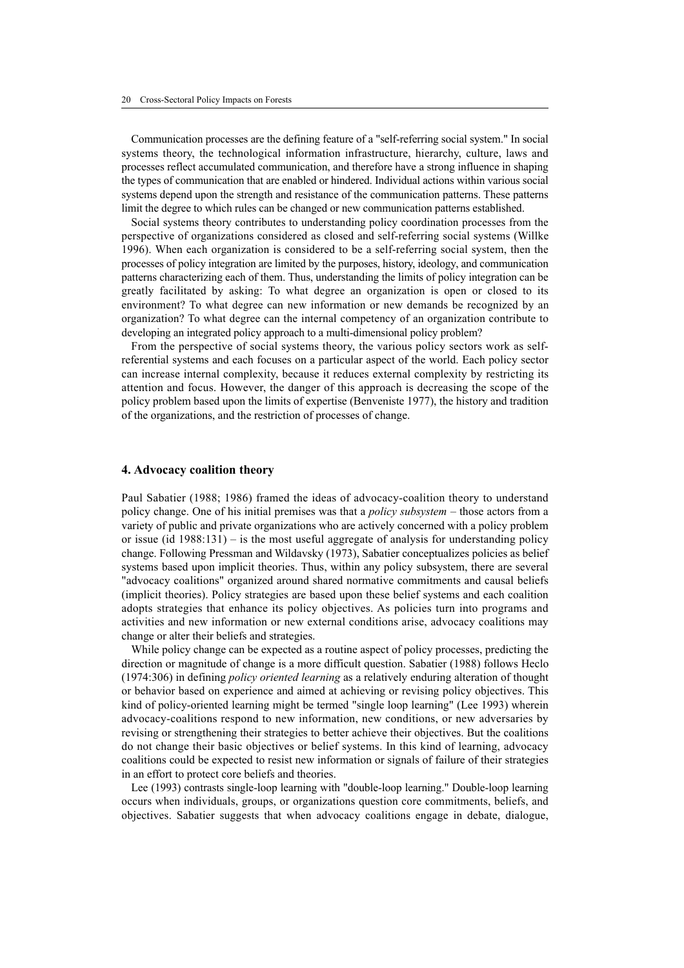Communication processes are the defining feature of a "self-referring social system." In social systems theory, the technological information infrastructure, hierarchy, culture, laws and processes reflect accumulated communication, and therefore have a strong influence in shaping the types of communication that are enabled or hindered. Individual actions within various social systems depend upon the strength and resistance of the communication patterns. These patterns limit the degree to which rules can be changed or new communication patterns established.

Social systems theory contributes to understanding policy coordination processes from the perspective of organizations considered as closed and self-referring social systems (Willke 1996). When each organization is considered to be a self-referring social system, then the processes of policy integration are limited by the purposes, history, ideology, and communication patterns characterizing each of them. Thus, understanding the limits of policy integration can be greatly facilitated by asking: To what degree an organization is open or closed to its environment? To what degree can new information or new demands be recognized by an organization? To what degree can the internal competency of an organization contribute to developing an integrated policy approach to a multi-dimensional policy problem?

From the perspective of social systems theory, the various policy sectors work as selfreferential systems and each focuses on a particular aspect of the world. Each policy sector can increase internal complexity, because it reduces external complexity by restricting its attention and focus. However, the danger of this approach is decreasing the scope of the policy problem based upon the limits of expertise (Benveniste 1977), the history and tradition of the organizations, and the restriction of processes of change.

### **4. Advocacy coalition theory**

Paul Sabatier (1988; 1986) framed the ideas of advocacy-coalition theory to understand policy change. One of his initial premises was that a *policy subsystem* – those actors from a variety of public and private organizations who are actively concerned with a policy problem or issue (id  $1988:131$ ) – is the most useful aggregate of analysis for understanding policy change. Following Pressman and Wildavsky (1973), Sabatier conceptualizes policies as belief systems based upon implicit theories. Thus, within any policy subsystem, there are several "advocacy coalitions" organized around shared normative commitments and causal beliefs (implicit theories). Policy strategies are based upon these belief systems and each coalition adopts strategies that enhance its policy objectives. As policies turn into programs and activities and new information or new external conditions arise, advocacy coalitions may change or alter their beliefs and strategies.

While policy change can be expected as a routine aspect of policy processes, predicting the direction or magnitude of change is a more difficult question. Sabatier (1988) follows Heclo (1974:306) in defining *policy oriented learning* as a relatively enduring alteration of thought or behavior based on experience and aimed at achieving or revising policy objectives. This kind of policy-oriented learning might be termed "single loop learning" (Lee 1993) wherein advocacy-coalitions respond to new information, new conditions, or new adversaries by revising or strengthening their strategies to better achieve their objectives. But the coalitions do not change their basic objectives or belief systems. In this kind of learning, advocacy coalitions could be expected to resist new information or signals of failure of their strategies in an effort to protect core beliefs and theories.

Lee (1993) contrasts single-loop learning with "double-loop learning." Double-loop learning occurs when individuals, groups, or organizations question core commitments, beliefs, and objectives. Sabatier suggests that when advocacy coalitions engage in debate, dialogue,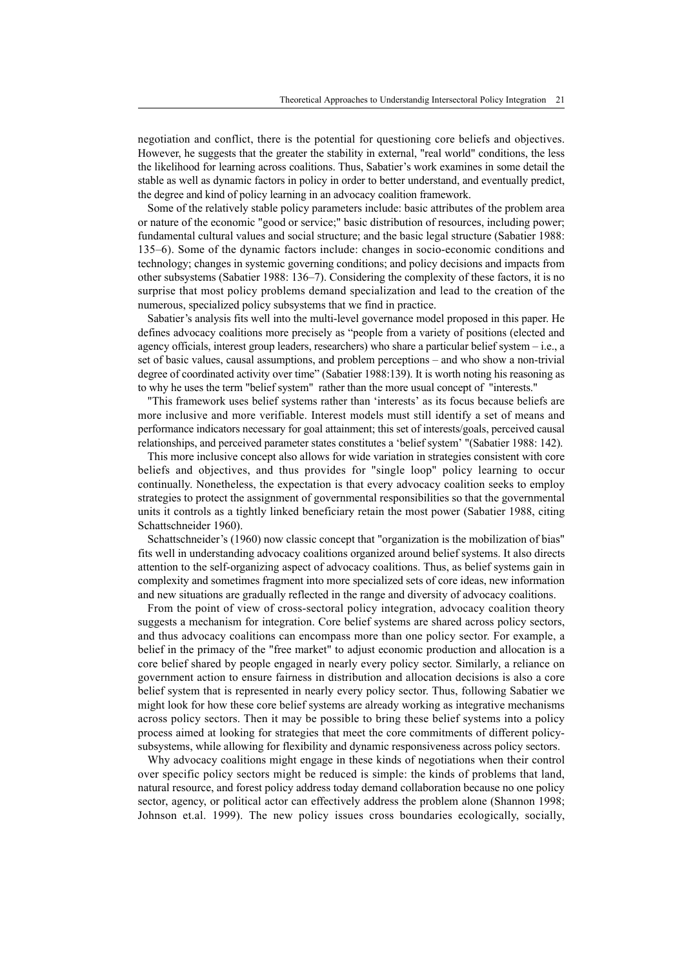negotiation and conflict, there is the potential for questioning core beliefs and objectives. However, he suggests that the greater the stability in external, "real world" conditions, the less the likelihood for learning across coalitions. Thus, Sabatier's work examines in some detail the stable as well as dynamic factors in policy in order to better understand, and eventually predict, the degree and kind of policy learning in an advocacy coalition framework.

Some of the relatively stable policy parameters include: basic attributes of the problem area or nature of the economic "good or service;" basic distribution of resources, including power; fundamental cultural values and social structure; and the basic legal structure (Sabatier 1988: 135–6). Some of the dynamic factors include: changes in socio-economic conditions and technology; changes in systemic governing conditions; and policy decisions and impacts from other subsystems (Sabatier 1988: 136–7). Considering the complexity of these factors, it is no surprise that most policy problems demand specialization and lead to the creation of the numerous, specialized policy subsystems that we find in practice.

Sabatier's analysis fits well into the multi-level governance model proposed in this paper. He defines advocacy coalitions more precisely as "people from a variety of positions (elected and agency officials, interest group leaders, researchers) who share a particular belief system – i.e., a set of basic values, causal assumptions, and problem perceptions – and who show a non-trivial degree of coordinated activity over time" (Sabatier 1988:139). It is worth noting his reasoning as to why he uses the term "belief system" rather than the more usual concept of "interests."

"This framework uses belief systems rather than 'interests' as its focus because beliefs are more inclusive and more verifiable. Interest models must still identify a set of means and performance indicators necessary for goal attainment; this set of interests/goals, perceived causal relationships, and perceived parameter states constitutes a 'belief system' "(Sabatier 1988: 142).

This more inclusive concept also allows for wide variation in strategies consistent with core beliefs and objectives, and thus provides for "single loop" policy learning to occur continually. Nonetheless, the expectation is that every advocacy coalition seeks to employ strategies to protect the assignment of governmental responsibilities so that the governmental units it controls as a tightly linked beneficiary retain the most power (Sabatier 1988, citing Schattschneider 1960).

Schattschneider's (1960) now classic concept that "organization is the mobilization of bias" fits well in understanding advocacy coalitions organized around belief systems. It also directs attention to the self-organizing aspect of advocacy coalitions. Thus, as belief systems gain in complexity and sometimes fragment into more specialized sets of core ideas, new information and new situations are gradually reflected in the range and diversity of advocacy coalitions.

From the point of view of cross-sectoral policy integration, advocacy coalition theory suggests a mechanism for integration. Core belief systems are shared across policy sectors, and thus advocacy coalitions can encompass more than one policy sector. For example, a belief in the primacy of the "free market" to adjust economic production and allocation is a core belief shared by people engaged in nearly every policy sector. Similarly, a reliance on government action to ensure fairness in distribution and allocation decisions is also a core belief system that is represented in nearly every policy sector. Thus, following Sabatier we might look for how these core belief systems are already working as integrative mechanisms across policy sectors. Then it may be possible to bring these belief systems into a policy process aimed at looking for strategies that meet the core commitments of different policysubsystems, while allowing for flexibility and dynamic responsiveness across policy sectors.

Why advocacy coalitions might engage in these kinds of negotiations when their control over specific policy sectors might be reduced is simple: the kinds of problems that land, natural resource, and forest policy address today demand collaboration because no one policy sector, agency, or political actor can effectively address the problem alone (Shannon 1998; Johnson et.al. 1999). The new policy issues cross boundaries ecologically, socially,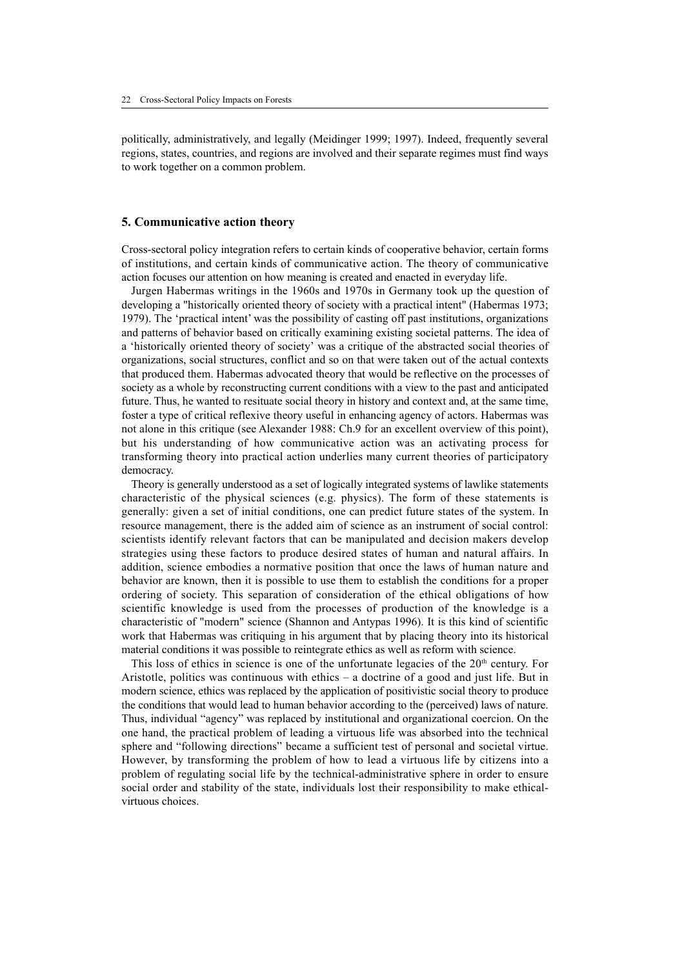politically, administratively, and legally (Meidinger 1999; 1997). Indeed, frequently several regions, states, countries, and regions are involved and their separate regimes must find ways to work together on a common problem.

#### **5. Communicative action theory**

Cross-sectoral policy integration refers to certain kinds of cooperative behavior, certain forms of institutions, and certain kinds of communicative action. The theory of communicative action focuses our attention on how meaning is created and enacted in everyday life.

Jurgen Habermas writings in the 1960s and 1970s in Germany took up the question of developing a "historically oriented theory of society with a practical intent" (Habermas 1973; 1979). The 'practical intent' was the possibility of casting off past institutions, organizations and patterns of behavior based on critically examining existing societal patterns. The idea of a 'historically oriented theory of society' was a critique of the abstracted social theories of organizations, social structures, conflict and so on that were taken out of the actual contexts that produced them. Habermas advocated theory that would be reflective on the processes of society as a whole by reconstructing current conditions with a view to the past and anticipated future. Thus, he wanted to resituate social theory in history and context and, at the same time, foster a type of critical reflexive theory useful in enhancing agency of actors. Habermas was not alone in this critique (see Alexander 1988: Ch.9 for an excellent overview of this point), but his understanding of how communicative action was an activating process for transforming theory into practical action underlies many current theories of participatory democracy.

Theory is generally understood as a set of logically integrated systems of lawlike statements characteristic of the physical sciences (e.g. physics). The form of these statements is generally: given a set of initial conditions, one can predict future states of the system. In resource management, there is the added aim of science as an instrument of social control: scientists identify relevant factors that can be manipulated and decision makers develop strategies using these factors to produce desired states of human and natural affairs. In addition, science embodies a normative position that once the laws of human nature and behavior are known, then it is possible to use them to establish the conditions for a proper ordering of society. This separation of consideration of the ethical obligations of how scientific knowledge is used from the processes of production of the knowledge is a characteristic of "modern" science (Shannon and Antypas 1996). It is this kind of scientific work that Habermas was critiquing in his argument that by placing theory into its historical material conditions it was possible to reintegrate ethics as well as reform with science.

This loss of ethics in science is one of the unfortunate legacies of the  $20<sup>th</sup>$  century. For Aristotle, politics was continuous with ethics – a doctrine of a good and just life. But in modern science, ethics was replaced by the application of positivistic social theory to produce the conditions that would lead to human behavior according to the (perceived) laws of nature. Thus, individual "agency" was replaced by institutional and organizational coercion. On the one hand, the practical problem of leading a virtuous life was absorbed into the technical sphere and "following directions" became a sufficient test of personal and societal virtue. However, by transforming the problem of how to lead a virtuous life by citizens into a problem of regulating social life by the technical-administrative sphere in order to ensure social order and stability of the state, individuals lost their responsibility to make ethicalvirtuous choices.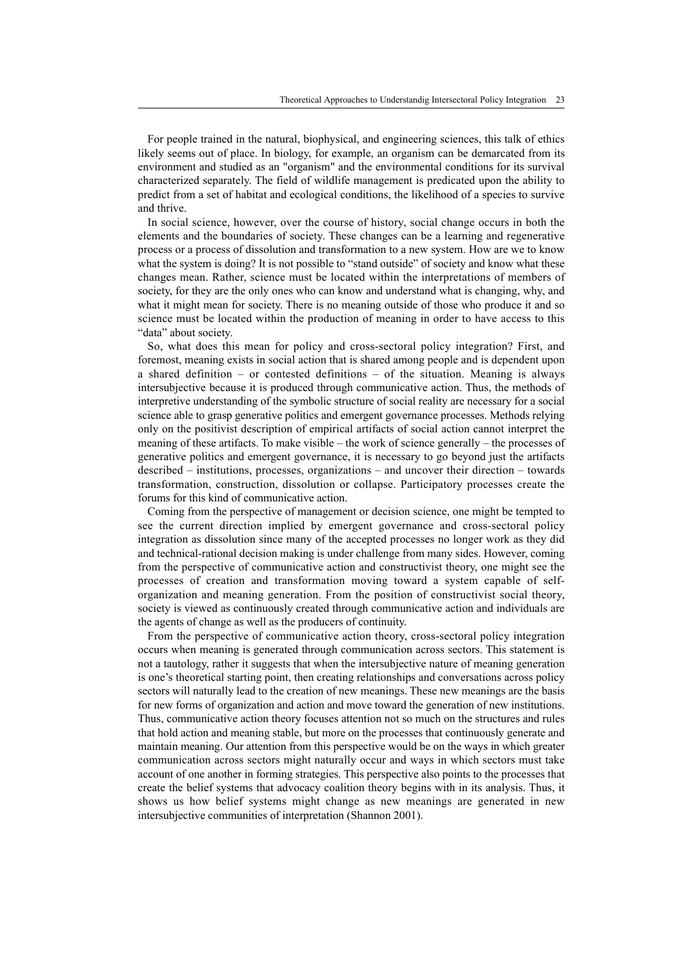For people trained in the natural, biophysical, and engineering sciences, this talk of ethics likely seems out of place. In biology, for example, an organism can be demarcated from its environment and studied as an "organism" and the environmental conditions for its survival characterized separately. The field of wildlife management is predicated upon the ability to predict from a set of habitat and ecological conditions, the likelihood of a species to survive and thrive.

In social science, however, over the course of history, social change occurs in both the elements and the boundaries of society. These changes can be a learning and regenerative process or a process of dissolution and transformation to a new system. How are we to know what the system is doing? It is not possible to "stand outside" of society and know what these changes mean. Rather, science must be located within the interpretations of members of society, for they are the only ones who can know and understand what is changing, why, and what it might mean for society. There is no meaning outside of those who produce it and so science must be located within the production of meaning in order to have access to this "data" about society.

So, what does this mean for policy and cross-sectoral policy integration? First, and foremost, meaning exists in social action that is shared among people and is dependent upon a shared definition – or contested definitions – of the situation. Meaning is always intersubjective because it is produced through communicative action. Thus, the methods of interpretive understanding of the symbolic structure of social reality are necessary for a social science able to grasp generative politics and emergent governance processes. Methods relying only on the positivist description of empirical artifacts of social action cannot interpret the meaning of these artifacts. To make visible – the work of science generally – the processes of generative politics and emergent governance, it is necessary to go beyond just the artifacts described – institutions, processes, organizations – and uncover their direction – towards transformation, construction, dissolution or collapse. Participatory processes create the forums for this kind of communicative action.

Coming from the perspective of management or decision science, one might be tempted to see the current direction implied by emergent governance and cross-sectoral policy integration as dissolution since many of the accepted processes no longer work as they did and technical-rational decision making is under challenge from many sides. However, coming from the perspective of communicative action and constructivist theory, one might see the processes of creation and transformation moving toward a system capable of selforganization and meaning generation. From the position of constructivist social theory, society is viewed as continuously created through communicative action and individuals are the agents of change as well as the producers of continuity.

From the perspective of communicative action theory, cross-sectoral policy integration occurs when meaning is generated through communication across sectors. This statement is not a tautology, rather it suggests that when the intersubjective nature of meaning generation is one's theoretical starting point, then creating relationships and conversations across policy sectors will naturally lead to the creation of new meanings. These new meanings are the basis for new forms of organization and action and move toward the generation of new institutions. Thus, communicative action theory focuses attention not so much on the structures and rules that hold action and meaning stable, but more on the processes that continuously generate and maintain meaning. Our attention from this perspective would be on the ways in which greater communication across sectors might naturally occur and ways in which sectors must take account of one another in forming strategies. This perspective also points to the processes that create the belief systems that advocacy coalition theory begins with in its analysis. Thus, it shows us how belief systems might change as new meanings are generated in new intersubjective communities of interpretation (Shannon 2001).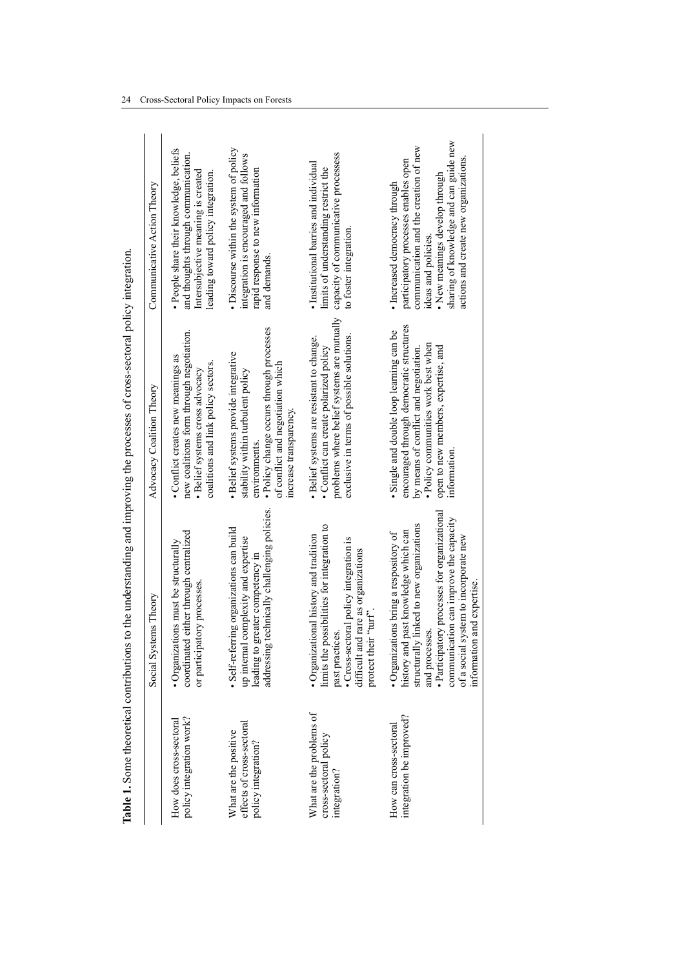| Table 1. Some theoretical contributions                                   |                                                                                                                                                                                                                                                                                                                | to the understanding and improving the processes of cross-sectoral policy integration                                                                                                                                     |                                                                                                                                                                                                                                                           |
|---------------------------------------------------------------------------|----------------------------------------------------------------------------------------------------------------------------------------------------------------------------------------------------------------------------------------------------------------------------------------------------------------|---------------------------------------------------------------------------------------------------------------------------------------------------------------------------------------------------------------------------|-----------------------------------------------------------------------------------------------------------------------------------------------------------------------------------------------------------------------------------------------------------|
|                                                                           | Social Systems Theory                                                                                                                                                                                                                                                                                          | Advocacy Coalition Theory                                                                                                                                                                                                 | Communicative Action Theory                                                                                                                                                                                                                               |
| policy integration work?<br>How does cross-sectoral                       | coordinated either through centralized<br>• Organizations must be structurally<br>or participatory processes.                                                                                                                                                                                                  | new coalitions form through negotiation.<br>• Conflict creates new meanings as<br>coalitions and link policy sectors.<br>• Belief systems cross advocacy                                                                  | · People share their knowledge, beliefs<br>and thoughts through communication.<br>Intersubjective meaning is created<br>leading toward policy integration                                                                                                 |
| effects of cross-sectoral<br>What are the positive<br>policy integration? | technically challenging policies.<br>· Self-referring organizations can build<br>complexity and expertise<br>leading to greater competency in<br>addressing<br>up internal                                                                                                                                     | • Policy change occurs through processes<br>· Belief systems provide integrative<br>of conflict and negotiation which<br>stability within turbulent policy<br>increase transparency.<br>environments.                     | • Discourse within the system of policy<br>integration is encouraged and follows<br>rapid response to new information<br>and demands.                                                                                                                     |
| What are the problems of<br>cross-sectoral policy<br>integration?         | limits the possibilities for integration to<br>• Organizational history and tradition<br>• Cross-sectoral policy integration is<br>difficult and rare as organizations<br>protect their "turf"<br>past practices                                                                                               | problems where belief systems are mutually<br>exclusive in terms of possible solutions<br>· Belief systems are resistant to change.<br>• Conflict can create polarized policy                                             | capacity of communicative processess<br>• Institutional barries and individual<br>limits of understanding restrict the<br>to foster integration                                                                                                           |
| integration be improved?<br>How can cross-sectoral                        | · Participatory processes for organizational<br>communication can improve the capacity<br>structurally linked to new organizations<br>history and past knowledge which can<br>• Organizations bring a respository of<br>of a social system to incorporate new<br>and expertise<br>and processes<br>information | encouraged through democratic structures<br>• Single and double loop learning can be<br>• Policy communities work best when<br>open to new members, expertise, and<br>by means of conflict and negotiation<br>information | sharing of knowledge and can guide new<br>communication and the creation of new<br>actions and create new organizations.<br>participatory processes enables open<br>• New meanings develop through<br>• Increased democracy through<br>ideas and policies |
|                                                                           |                                                                                                                                                                                                                                                                                                                |                                                                                                                                                                                                                           |                                                                                                                                                                                                                                                           |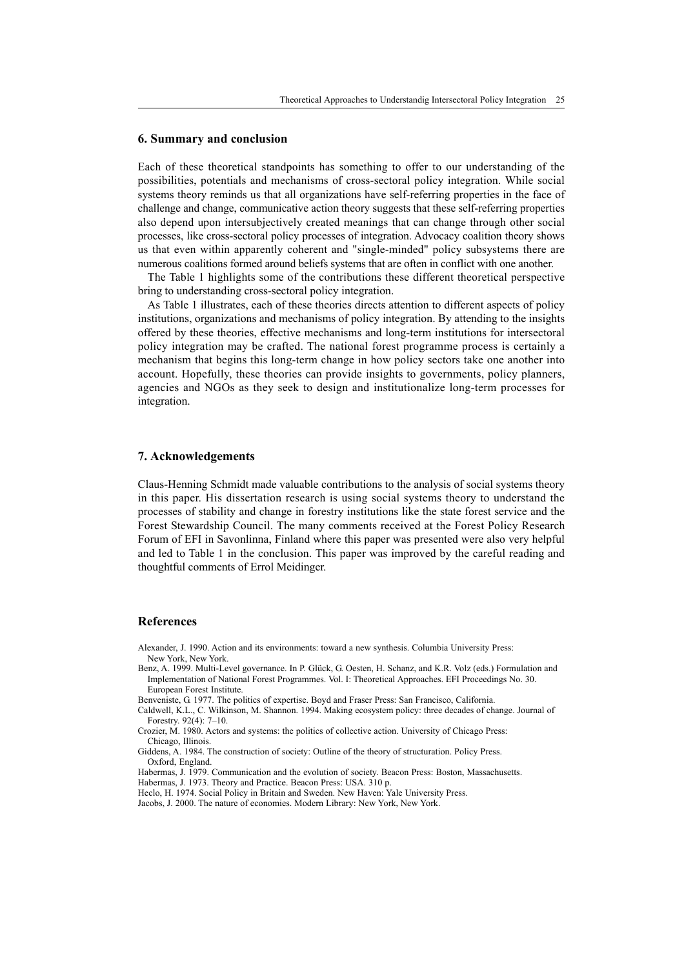## **6. Summary and conclusion**

Each of these theoretical standpoints has something to offer to our understanding of the possibilities, potentials and mechanisms of cross-sectoral policy integration. While social systems theory reminds us that all organizations have self-referring properties in the face of challenge and change, communicative action theory suggests that these self-referring properties also depend upon intersubjectively created meanings that can change through other social processes, like cross-sectoral policy processes of integration. Advocacy coalition theory shows us that even within apparently coherent and "single-minded" policy subsystems there are numerous coalitions formed around beliefs systems that are often in conflict with one another.

The Table 1 highlights some of the contributions these different theoretical perspective bring to understanding cross-sectoral policy integration.

As Table 1 illustrates, each of these theories directs attention to different aspects of policy institutions, organizations and mechanisms of policy integration. By attending to the insights offered by these theories, effective mechanisms and long-term institutions for intersectoral policy integration may be crafted. The national forest programme process is certainly a mechanism that begins this long-term change in how policy sectors take one another into account. Hopefully, these theories can provide insights to governments, policy planners, agencies and NGOs as they seek to design and institutionalize long-term processes for integration.

#### **7. Acknowledgements**

Claus-Henning Schmidt made valuable contributions to the analysis of social systems theory in this paper. His dissertation research is using social systems theory to understand the processes of stability and change in forestry institutions like the state forest service and the Forest Stewardship Council. The many comments received at the Forest Policy Research Forum of EFI in Savonlinna, Finland where this paper was presented were also very helpful and led to Table 1 in the conclusion. This paper was improved by the careful reading and thoughtful comments of Errol Meidinger.

#### **References**

Alexander, J. 1990. Action and its environments: toward a new synthesis. Columbia University Press: New York, New York.

Benz, A. 1999. Multi-Level governance. In P. Glück, G. Oesten, H. Schanz, and K.R. Volz (eds.) Formulation and Implementation of National Forest Programmes. Vol. I: Theoretical Approaches. EFI Proceedings No. 30. European Forest Institute.

Benveniste, G. 1977. The politics of expertise. Boyd and Fraser Press: San Francisco, California.

Caldwell, K.L., C. Wilkinson, M. Shannon. 1994. Making ecosystem policy: three decades of change. Journal of Forestry. 92(4): 7–10.

Crozier, M. 1980. Actors and systems: the politics of collective action. University of Chicago Press: Chicago, Illinois.

Giddens, A. 1984. The construction of society: Outline of the theory of structuration. Policy Press. Oxford, England.

Habermas, J. 1979. Communication and the evolution of society. Beacon Press: Boston, Massachusetts.

Habermas, J. 1973. Theory and Practice. Beacon Press: USA. 310 p.

Heclo, H. 1974. Social Policy in Britain and Sweden. New Haven: Yale University Press.

Jacobs, J. 2000. The nature of economies. Modern Library: New York, New York.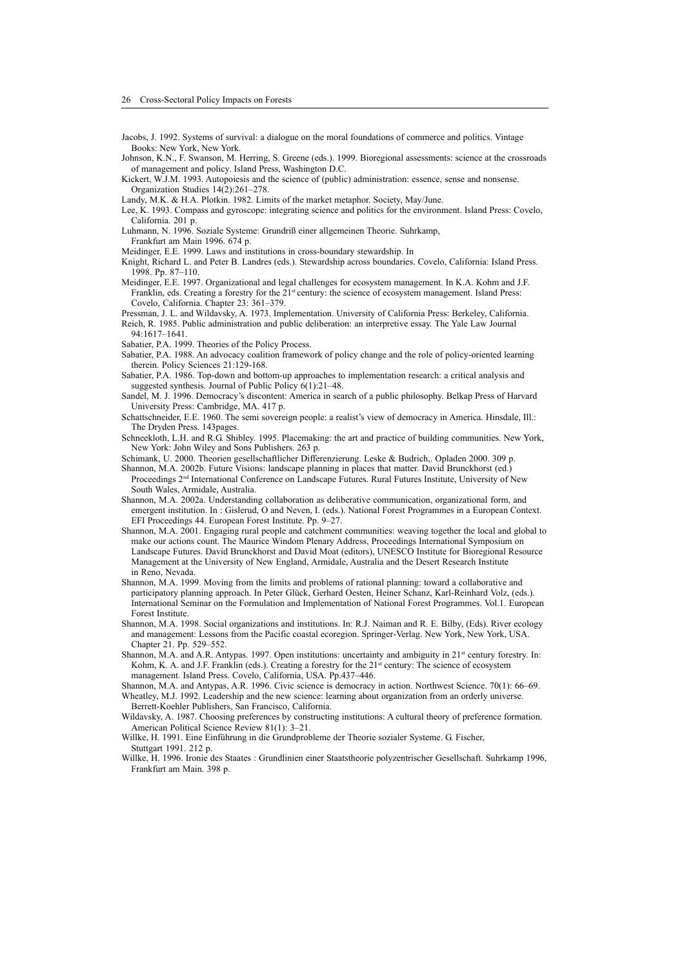Jacobs, J. 1992. Systems of survival: a dialogue on the moral foundations of commerce and politics. Vintage Books: New York, New York.

Johnson, K.N., F. Swanson, M. Herring, S. Greene (eds.). 1999. Bioregional assessments: science at the crossroads of management and policy. Island Press, Washington D.C.

Kickert, W.J.M. 1993. Autopoiesis and the science of (public) administration: essence, sense and nonsense. Organization Studies 14(2):261–278.

- Landy, M.K. & H.A. Plotkin. 1982. Limits of the market metaphor. Society, May/June.
- Lee, K. 1993. Compass and gyroscope: integrating science and politics for the environment. Island Press: Covelo, California. 201 p.
- Luhmann, N. 1996. Soziale Systeme: Grundriß einer allgemeinen Theorie. Suhrkamp,
- Frankfurt am Main 1996. 674 p.
- Meidinger, E.E. 1999. Laws and institutions in cross-boundary stewardship. In
- Knight, Richard L. and Peter B. Landres (eds.). Stewardship across boundaries. Covelo, California: Island Press. 1998. Pp. 87–110.
- Meidinger, E.E. 1997. Organizational and legal challenges for ecosystem management. In K.A. Kohm and J.F. Franklin, eds. Creating a forestry for the 21<sup>st</sup> century: the science of ecosystem management. Island Press: Covelo, California. Chapter 23: 361–379.
- Pressman, J. L. and Wildavsky, A. 1973. Implementation. University of California Press: Berkeley, California. Reich, R. 1985. Public administration and public deliberation: an interpretive essay. The Yale Law Journal 94:1617–1641.
- Sabatier, P.A. 1999. Theories of the Policy Process.
- Sabatier, P.A. 1988. An advocacy coalition framework of policy change and the role of policy-oriented learning therein. Policy Sciences 21:129-168.
- Sabatier, P.A. 1986. Top-down and bottom-up approaches to implementation research: a critical analysis and suggested synthesis. Journal of Public Policy 6(1):21–48.
- Sandel, M. J. 1996. Democracy's discontent: America in search of a public philosophy. Belkap Press of Harvard University Press: Cambridge, MA. 417 p.
- Schattschneider, E.E. 1960. The semi sovereign people: a realist's view of democracy in America. Hinsdale, Ill.: The Dryden Press. 143pages.
- Schneekloth, L.H. and R.G. Shibley. 1995. Placemaking: the art and practice of building communities. New York, New York: John Wiley and Sons Publishers. 263 p.
- Schimank, U. 2000. Theorien gesellschaftlicher Differenzierung. Leske & Budrich,. Opladen 2000. 309 p. Shannon, M.A. 2002b. Future Visions: landscape planning in places that matter. David Brunckhorst (ed.)
- Proceedings 2nd International Conference on Landscape Futures. Rural Futures Institute, University of New South Wales, Armidale, Australia.
- Shannon, M.A. 2002a. Understanding collaboration as deliberative communication, organizational form, and emergent institution. In : Gislerud, O and Neven, I. (eds.). National Forest Programmes in a European Context. EFI Proceedings 44. European Forest Institute. Pp. 9–27.
- Shannon, M.A. 2001. Engaging rural people and catchment communities: weaving together the local and global to make our actions count. The Maurice Windom Plenary Address, Proceedings International Symposium on Landscape Futures. David Brunckhorst and David Moat (editors), UNESCO Institute for Bioregional Resource Management at the University of New England, Armidale, Australia and the Desert Research Institute in Reno, Nevada.
- Shannon, M.A. 1999. Moving from the limits and problems of rational planning: toward a collaborative and participatory planning approach. In Peter Glück, Gerhard Oesten, Heiner Schanz, Karl-Reinhard Volz, (eds.). International Seminar on the Formulation and Implementation of National Forest Programmes. Vol.1. European Forest Institute.
- Shannon, M.A. 1998. Social organizations and institutions. In: R.J. Naiman and R. E. Bilby, (Eds). River ecology and management: Lessons from the Pacific coastal ecoregion. Springer-Verlag. New York, New York, USA. Chapter 21. Pp. 529–552.
- Shannon, M.A. and A.R. Antypas. 1997. Open institutions: uncertainty and ambiguity in 21<sup>st</sup> century forestry. In: Kohm, K. A. and J.F. Franklin (eds.). Creating a forestry for the 21<sup>st</sup> century: The science of ecosystem management. Island Press. Covelo, California, USA. Pp. 437–446.
- Shannon, M.A. and Antypas, A.R. 1996. Civic science is democracy in action. Northwest Science. 70(1): 66–69. Wheatley, M.J. 1992. Leadership and the new science: learning about organization from an orderly universe. Berrett-Koehler Publishers, San Francisco, California.
- Wildavsky, A. 1987. Choosing preferences by constructing institutions: A cultural theory of preference formation. American Political Science Review 81(1): 3–21.
- Willke, H. 1991. Eine Einführung in die Grundprobleme der Theorie sozialer Systeme. G. Fischer, Stuttgart 1991. 212 p.
- Willke, H. 1996. Ironie des Staates : Grundlinien einer Staatstheorie polyzentrischer Gesellschaft. Suhrkamp 1996, Frankfurt am Main. 398 p.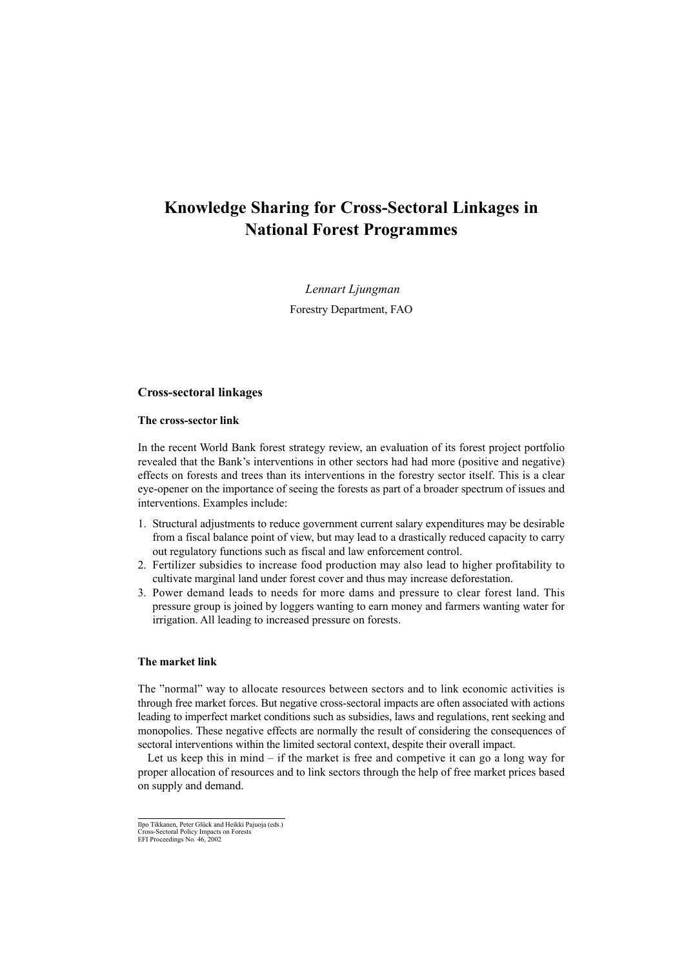## **Knowledge Sharing for Cross-Sectoral Linkages in National Forest Programmes**

 *Lennart Ljungman*

Forestry Department, FAO

## **Cross-sectoral linkages**

## **The cross-sector link**

In the recent World Bank forest strategy review, an evaluation of its forest project portfolio revealed that the Bank's interventions in other sectors had had more (positive and negative) effects on forests and trees than its interventions in the forestry sector itself. This is a clear eye-opener on the importance of seeing the forests as part of a broader spectrum of issues and interventions. Examples include:

- 1. Structural adjustments to reduce government current salary expenditures may be desirable from a fiscal balance point of view, but may lead to a drastically reduced capacity to carry out regulatory functions such as fiscal and law enforcement control.
- 2. Fertilizer subsidies to increase food production may also lead to higher profitability to cultivate marginal land under forest cover and thus may increase deforestation.
- 3. Power demand leads to needs for more dams and pressure to clear forest land. This pressure group is joined by loggers wanting to earn money and farmers wanting water for irrigation. All leading to increased pressure on forests.

## **The market link**

The "normal" way to allocate resources between sectors and to link economic activities is through free market forces. But negative cross-sectoral impacts are often associated with actions leading to imperfect market conditions such as subsidies, laws and regulations, rent seeking and monopolies. These negative effects are normally the result of considering the consequences of sectoral interventions within the limited sectoral context, despite their overall impact.

Let us keep this in mind – if the market is free and competive it can go a long way for proper allocation of resources and to link sectors through the help of free market prices based on supply and demand.

Ilpo Tikkanen, Peter Glück and Heikki Pajuoja (eds.)

Cross-Sectoral Policy Impacts on Forests EFI Proceedings No. 46, 2002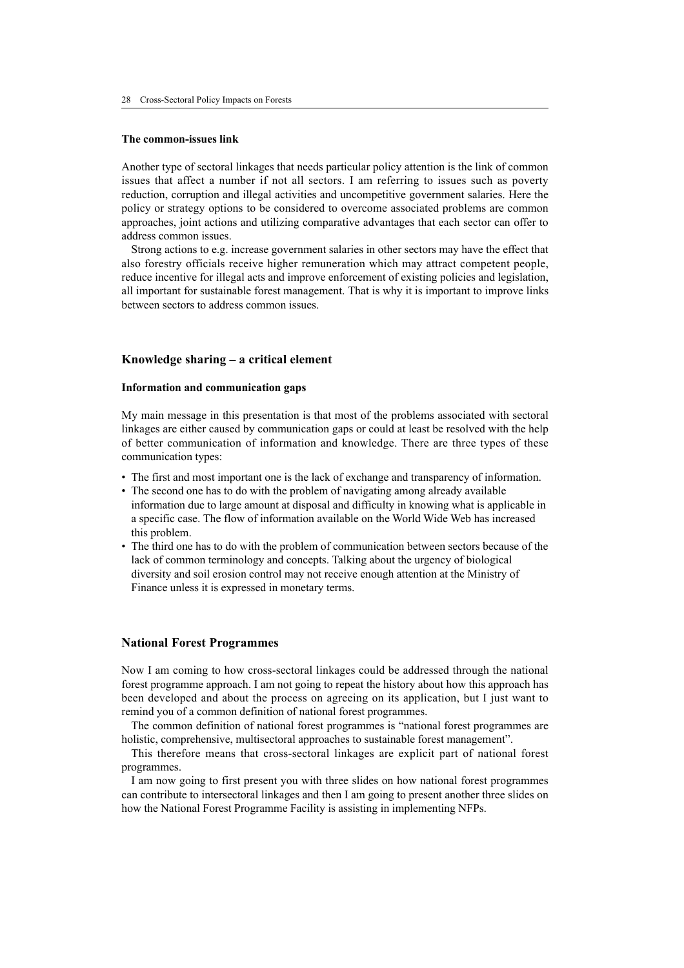#### **The common-issues link**

Another type of sectoral linkages that needs particular policy attention is the link of common issues that affect a number if not all sectors. I am referring to issues such as poverty reduction, corruption and illegal activities and uncompetitive government salaries. Here the policy or strategy options to be considered to overcome associated problems are common approaches, joint actions and utilizing comparative advantages that each sector can offer to address common issues.

Strong actions to e.g. increase government salaries in other sectors may have the effect that also forestry officials receive higher remuneration which may attract competent people, reduce incentive for illegal acts and improve enforcement of existing policies and legislation, all important for sustainable forest management. That is why it is important to improve links between sectors to address common issues.

## **Knowledge sharing – a critical element**

### **Information and communication gaps**

My main message in this presentation is that most of the problems associated with sectoral linkages are either caused by communication gaps or could at least be resolved with the help of better communication of information and knowledge. There are three types of these communication types:

- The first and most important one is the lack of exchange and transparency of information.
- The second one has to do with the problem of navigating among already available information due to large amount at disposal and difficulty in knowing what is applicable in a specific case. The flow of information available on the World Wide Web has increased this problem.
- The third one has to do with the problem of communication between sectors because of the lack of common terminology and concepts. Talking about the urgency of biological diversity and soil erosion control may not receive enough attention at the Ministry of Finance unless it is expressed in monetary terms.

#### **National Forest Programmes**

Now I am coming to how cross-sectoral linkages could be addressed through the national forest programme approach. I am not going to repeat the history about how this approach has been developed and about the process on agreeing on its application, but I just want to remind you of a common definition of national forest programmes.

The common definition of national forest programmes is "national forest programmes are holistic, comprehensive, multisectoral approaches to sustainable forest management".

This therefore means that cross-sectoral linkages are explicit part of national forest programmes.

I am now going to first present you with three slides on how national forest programmes can contribute to intersectoral linkages and then I am going to present another three slides on how the National Forest Programme Facility is assisting in implementing NFPs.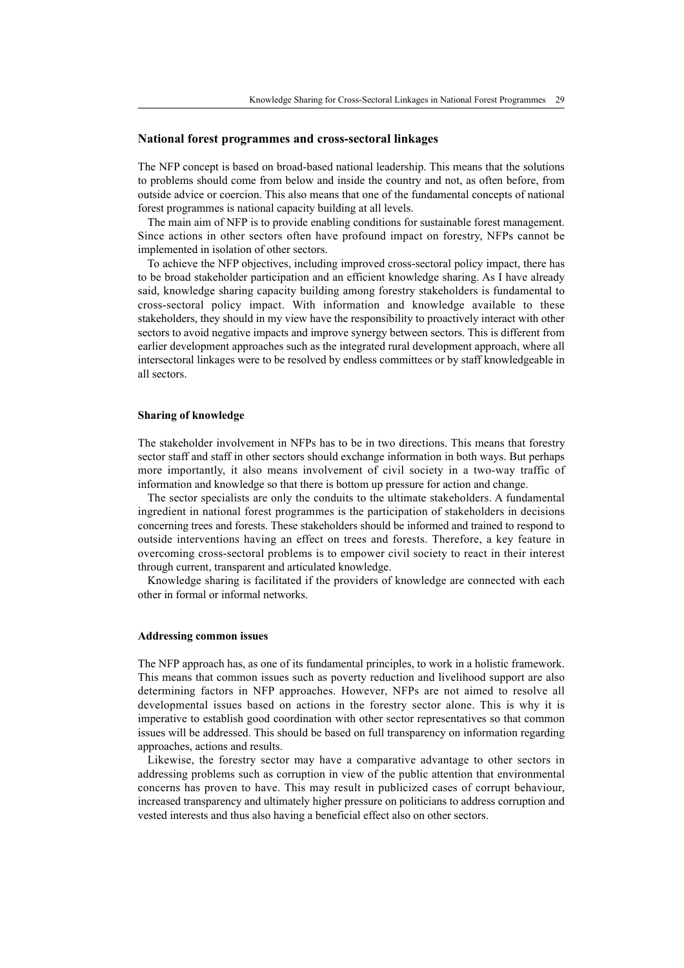#### **National forest programmes and cross-sectoral linkages**

The NFP concept is based on broad-based national leadership. This means that the solutions to problems should come from below and inside the country and not, as often before, from outside advice or coercion. This also means that one of the fundamental concepts of national forest programmes is national capacity building at all levels.

The main aim of NFP is to provide enabling conditions for sustainable forest management. Since actions in other sectors often have profound impact on forestry, NFPs cannot be implemented in isolation of other sectors.

To achieve the NFP objectives, including improved cross-sectoral policy impact, there has to be broad stakeholder participation and an efficient knowledge sharing. As I have already said, knowledge sharing capacity building among forestry stakeholders is fundamental to cross-sectoral policy impact. With information and knowledge available to these stakeholders, they should in my view have the responsibility to proactively interact with other sectors to avoid negative impacts and improve synergy between sectors. This is different from earlier development approaches such as the integrated rural development approach, where all intersectoral linkages were to be resolved by endless committees or by staff knowledgeable in all sectors.

#### **Sharing of knowledge**

The stakeholder involvement in NFPs has to be in two directions. This means that forestry sector staff and staff in other sectors should exchange information in both ways. But perhaps more importantly, it also means involvement of civil society in a two-way traffic of information and knowledge so that there is bottom up pressure for action and change.

The sector specialists are only the conduits to the ultimate stakeholders. A fundamental ingredient in national forest programmes is the participation of stakeholders in decisions concerning trees and forests. These stakeholders should be informed and trained to respond to outside interventions having an effect on trees and forests. Therefore, a key feature in overcoming cross-sectoral problems is to empower civil society to react in their interest through current, transparent and articulated knowledge.

Knowledge sharing is facilitated if the providers of knowledge are connected with each other in formal or informal networks.

#### **Addressing common issues**

The NFP approach has, as one of its fundamental principles, to work in a holistic framework. This means that common issues such as poverty reduction and livelihood support are also determining factors in NFP approaches. However, NFPs are not aimed to resolve all developmental issues based on actions in the forestry sector alone. This is why it is imperative to establish good coordination with other sector representatives so that common issues will be addressed. This should be based on full transparency on information regarding approaches, actions and results.

Likewise, the forestry sector may have a comparative advantage to other sectors in addressing problems such as corruption in view of the public attention that environmental concerns has proven to have. This may result in publicized cases of corrupt behaviour, increased transparency and ultimately higher pressure on politicians to address corruption and vested interests and thus also having a beneficial effect also on other sectors.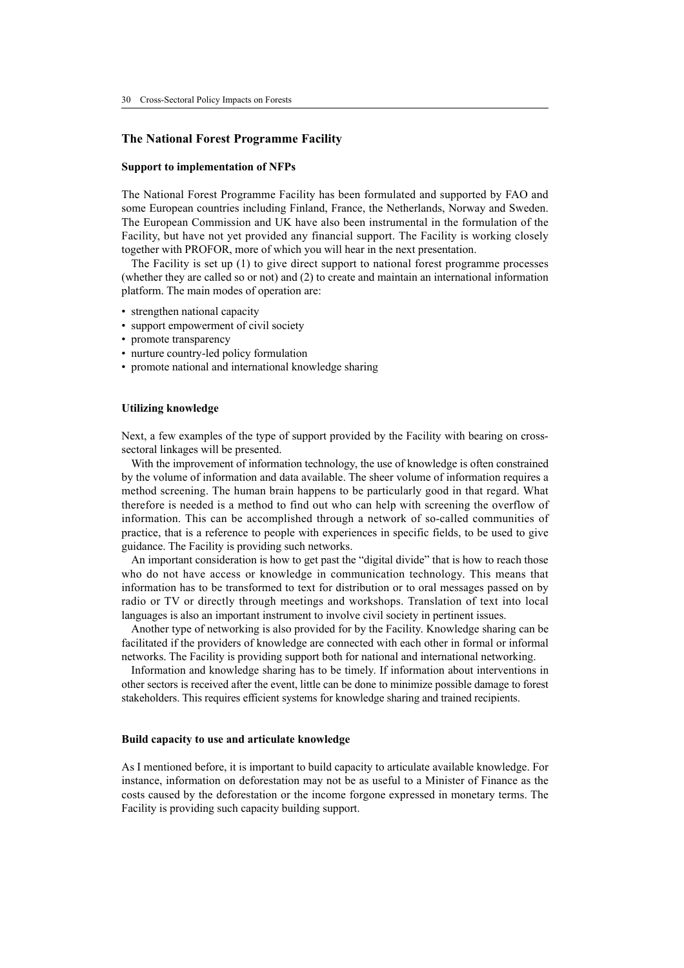## **The National Forest Programme Facility**

#### **Support to implementation of NFPs**

The National Forest Programme Facility has been formulated and supported by FAO and some European countries including Finland, France, the Netherlands, Norway and Sweden. The European Commission and UK have also been instrumental in the formulation of the Facility, but have not yet provided any financial support. The Facility is working closely together with PROFOR, more of which you will hear in the next presentation.

The Facility is set up (1) to give direct support to national forest programme processes (whether they are called so or not) and (2) to create and maintain an international information platform. The main modes of operation are:

- strengthen national capacity
- support empowerment of civil society
- promote transparency
- nurture country-led policy formulation
- promote national and international knowledge sharing

#### **Utilizing knowledge**

Next, a few examples of the type of support provided by the Facility with bearing on crosssectoral linkages will be presented.

With the improvement of information technology, the use of knowledge is often constrained by the volume of information and data available. The sheer volume of information requires a method screening. The human brain happens to be particularly good in that regard. What therefore is needed is a method to find out who can help with screening the overflow of information. This can be accomplished through a network of so-called communities of practice, that is a reference to people with experiences in specific fields, to be used to give guidance. The Facility is providing such networks.

An important consideration is how to get past the "digital divide" that is how to reach those who do not have access or knowledge in communication technology. This means that information has to be transformed to text for distribution or to oral messages passed on by radio or TV or directly through meetings and workshops. Translation of text into local languages is also an important instrument to involve civil society in pertinent issues.

Another type of networking is also provided for by the Facility. Knowledge sharing can be facilitated if the providers of knowledge are connected with each other in formal or informal networks. The Facility is providing support both for national and international networking.

Information and knowledge sharing has to be timely. If information about interventions in other sectors is received after the event, little can be done to minimize possible damage to forest stakeholders. This requires efficient systems for knowledge sharing and trained recipients.

#### **Build capacity to use and articulate knowledge**

As I mentioned before, it is important to build capacity to articulate available knowledge. For instance, information on deforestation may not be as useful to a Minister of Finance as the costs caused by the deforestation or the income forgone expressed in monetary terms. The Facility is providing such capacity building support.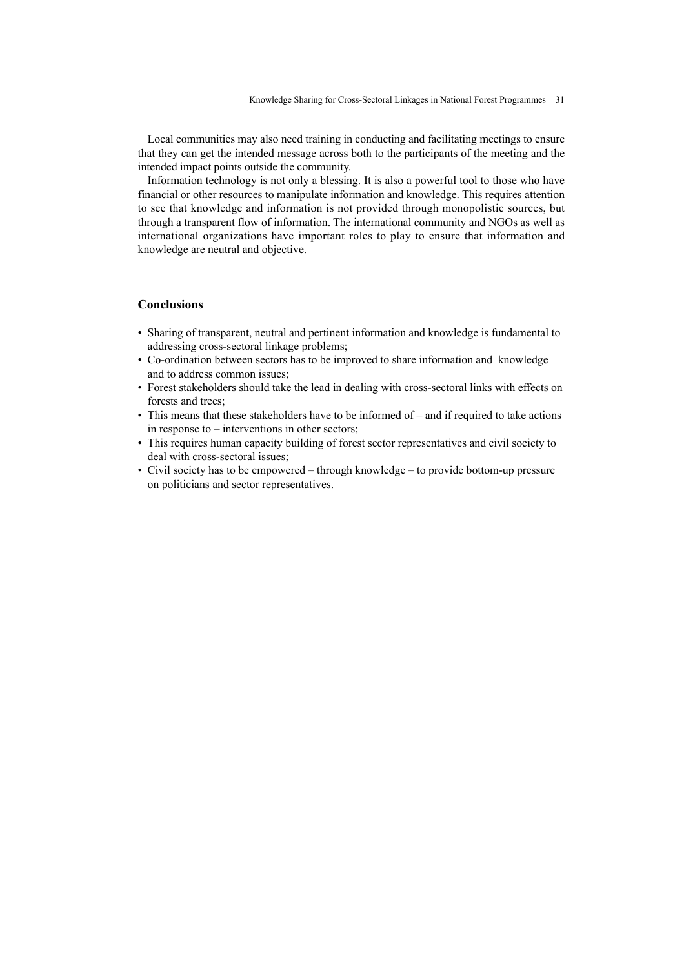Local communities may also need training in conducting and facilitating meetings to ensure that they can get the intended message across both to the participants of the meeting and the intended impact points outside the community.

Information technology is not only a blessing. It is also a powerful tool to those who have financial or other resources to manipulate information and knowledge. This requires attention to see that knowledge and information is not provided through monopolistic sources, but through a transparent flow of information. The international community and NGOs as well as international organizations have important roles to play to ensure that information and knowledge are neutral and objective.

## **Conclusions**

- Sharing of transparent, neutral and pertinent information and knowledge is fundamental to addressing cross-sectoral linkage problems;
- Co-ordination between sectors has to be improved to share information and knowledge and to address common issues;
- Forest stakeholders should take the lead in dealing with cross-sectoral links with effects on forests and trees;
- This means that these stakeholders have to be informed of and if required to take actions in response to – interventions in other sectors;
- This requires human capacity building of forest sector representatives and civil society to deal with cross-sectoral issues;
- Civil society has to be empowered through knowledge to provide bottom-up pressure on politicians and sector representatives.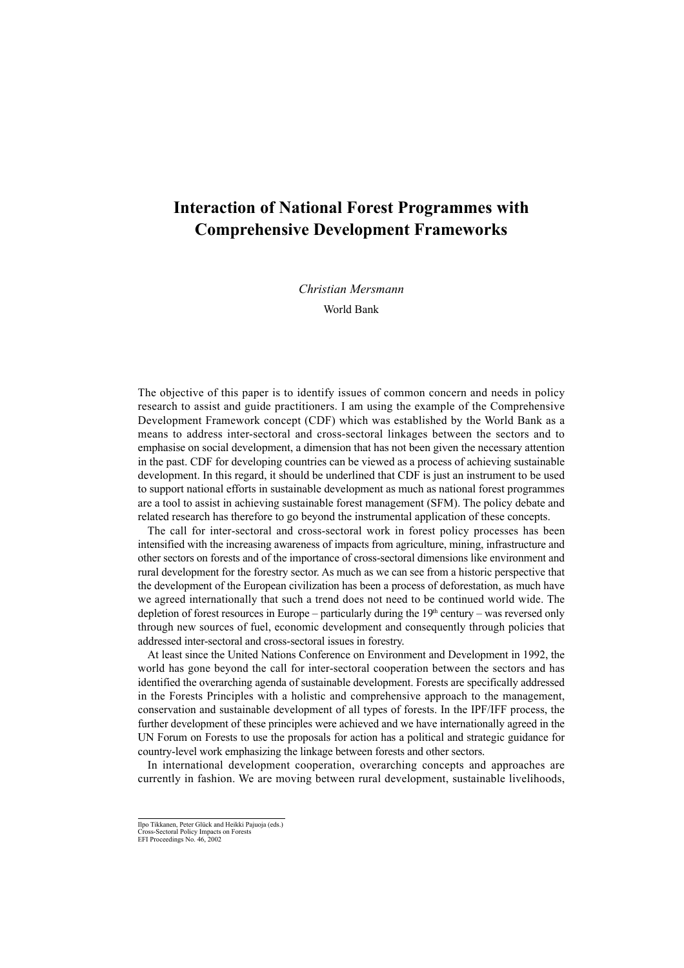## **Interaction of National Forest Programmes with Comprehensive Development Frameworks**

*Christian Mersmann*

World Bank

The objective of this paper is to identify issues of common concern and needs in policy research to assist and guide practitioners. I am using the example of the Comprehensive Development Framework concept (CDF) which was established by the World Bank as a means to address inter-sectoral and cross-sectoral linkages between the sectors and to emphasise on social development, a dimension that has not been given the necessary attention in the past. CDF for developing countries can be viewed as a process of achieving sustainable development. In this regard, it should be underlined that CDF is just an instrument to be used to support national efforts in sustainable development as much as national forest programmes are a tool to assist in achieving sustainable forest management (SFM). The policy debate and related research has therefore to go beyond the instrumental application of these concepts.

The call for inter-sectoral and cross-sectoral work in forest policy processes has been intensified with the increasing awareness of impacts from agriculture, mining, infrastructure and other sectors on forests and of the importance of cross-sectoral dimensions like environment and rural development for the forestry sector. As much as we can see from a historic perspective that the development of the European civilization has been a process of deforestation, as much have we agreed internationally that such a trend does not need to be continued world wide. The depletion of forest resources in Europe – particularly during the  $19<sup>th</sup>$  century – was reversed only through new sources of fuel, economic development and consequently through policies that addressed inter-sectoral and cross-sectoral issues in forestry.

At least since the United Nations Conference on Environment and Development in 1992, the world has gone beyond the call for inter-sectoral cooperation between the sectors and has identified the overarching agenda of sustainable development. Forests are specifically addressed in the Forests Principles with a holistic and comprehensive approach to the management, conservation and sustainable development of all types of forests. In the IPF/IFF process, the further development of these principles were achieved and we have internationally agreed in the UN Forum on Forests to use the proposals for action has a political and strategic guidance for country-level work emphasizing the linkage between forests and other sectors.

In international development cooperation, overarching concepts and approaches are currently in fashion. We are moving between rural development, sustainable livelihoods,

Ilpo Tikkanen, Peter Glück and Heikki Pajuoja (eds.)

Cross-Sectoral Policy Impacts on Forests EFI Proceedings No. 46, 2002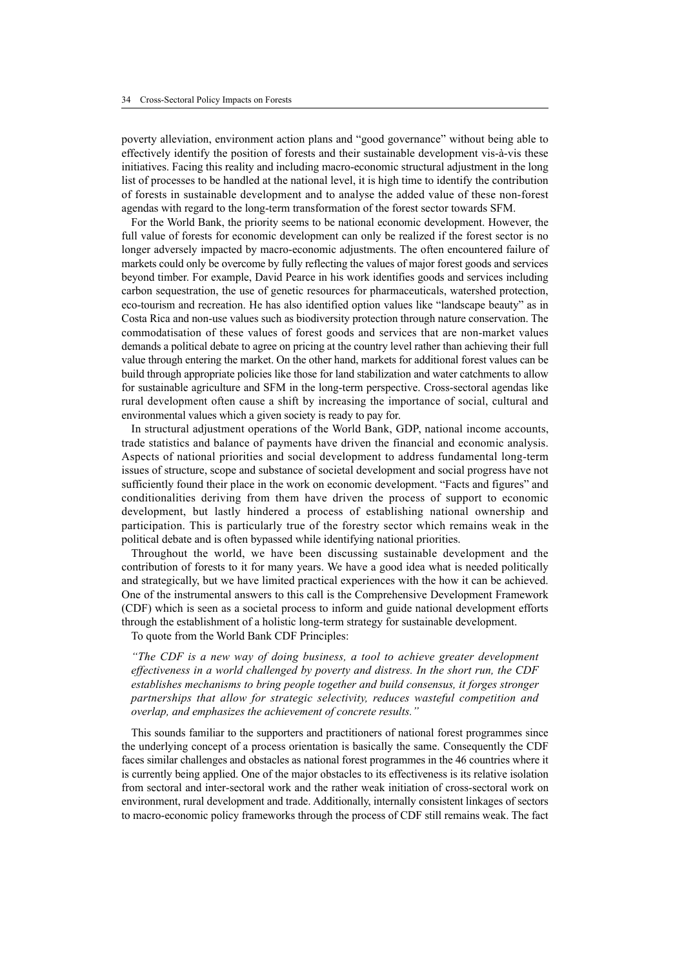poverty alleviation, environment action plans and "good governance" without being able to effectively identify the position of forests and their sustainable development vis-à-vis these initiatives. Facing this reality and including macro-economic structural adjustment in the long list of processes to be handled at the national level, it is high time to identify the contribution of forests in sustainable development and to analyse the added value of these non-forest agendas with regard to the long-term transformation of the forest sector towards SFM.

For the World Bank, the priority seems to be national economic development. However, the full value of forests for economic development can only be realized if the forest sector is no longer adversely impacted by macro-economic adjustments. The often encountered failure of markets could only be overcome by fully reflecting the values of major forest goods and services beyond timber. For example, David Pearce in his work identifies goods and services including carbon sequestration, the use of genetic resources for pharmaceuticals, watershed protection, eco-tourism and recreation. He has also identified option values like "landscape beauty" as in Costa Rica and non-use values such as biodiversity protection through nature conservation. The commodatisation of these values of forest goods and services that are non-market values demands a political debate to agree on pricing at the country level rather than achieving their full value through entering the market. On the other hand, markets for additional forest values can be build through appropriate policies like those for land stabilization and water catchments to allow for sustainable agriculture and SFM in the long-term perspective. Cross-sectoral agendas like rural development often cause a shift by increasing the importance of social, cultural and environmental values which a given society is ready to pay for.

In structural adjustment operations of the World Bank, GDP, national income accounts, trade statistics and balance of payments have driven the financial and economic analysis. Aspects of national priorities and social development to address fundamental long-term issues of structure, scope and substance of societal development and social progress have not sufficiently found their place in the work on economic development. "Facts and figures" and conditionalities deriving from them have driven the process of support to economic development, but lastly hindered a process of establishing national ownership and participation. This is particularly true of the forestry sector which remains weak in the political debate and is often bypassed while identifying national priorities.

Throughout the world, we have been discussing sustainable development and the contribution of forests to it for many years. We have a good idea what is needed politically and strategically, but we have limited practical experiences with the how it can be achieved. One of the instrumental answers to this call is the Comprehensive Development Framework (CDF) which is seen as a societal process to inform and guide national development efforts through the establishment of a holistic long-term strategy for sustainable development.

To quote from the World Bank CDF Principles:

*"The CDF is a new way of doing business, a tool to achieve greater development effectiveness in a world challenged by poverty and distress. In the short run, the CDF establishes mechanisms to bring people together and build consensus, it forges stronger partnerships that allow for strategic selectivity, reduces wasteful competition and overlap, and emphasizes the achievement of concrete results."*

This sounds familiar to the supporters and practitioners of national forest programmes since the underlying concept of a process orientation is basically the same. Consequently the CDF faces similar challenges and obstacles as national forest programmes in the 46 countries where it is currently being applied. One of the major obstacles to its effectiveness is its relative isolation from sectoral and inter-sectoral work and the rather weak initiation of cross-sectoral work on environment, rural development and trade. Additionally, internally consistent linkages of sectors to macro-economic policy frameworks through the process of CDF still remains weak. The fact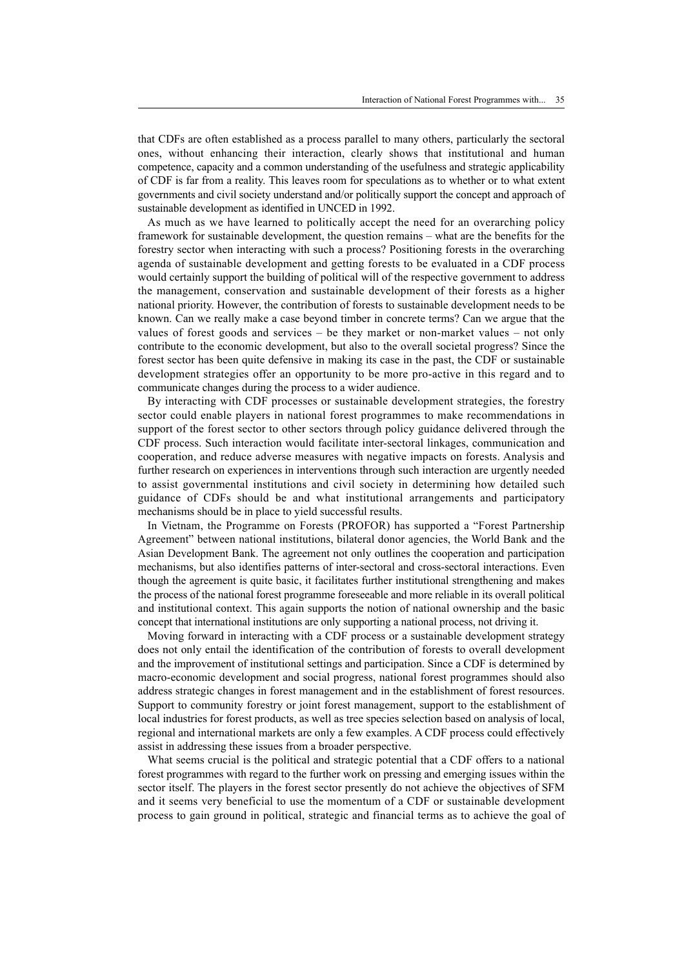that CDFs are often established as a process parallel to many others, particularly the sectoral ones, without enhancing their interaction, clearly shows that institutional and human competence, capacity and a common understanding of the usefulness and strategic applicability of CDF is far from a reality. This leaves room for speculations as to whether or to what extent governments and civil society understand and/or politically support the concept and approach of sustainable development as identified in UNCED in 1992.

As much as we have learned to politically accept the need for an overarching policy framework for sustainable development, the question remains – what are the benefits for the forestry sector when interacting with such a process? Positioning forests in the overarching agenda of sustainable development and getting forests to be evaluated in a CDF process would certainly support the building of political will of the respective government to address the management, conservation and sustainable development of their forests as a higher national priority. However, the contribution of forests to sustainable development needs to be known. Can we really make a case beyond timber in concrete terms? Can we argue that the values of forest goods and services – be they market or non-market values – not only contribute to the economic development, but also to the overall societal progress? Since the forest sector has been quite defensive in making its case in the past, the CDF or sustainable development strategies offer an opportunity to be more pro-active in this regard and to communicate changes during the process to a wider audience.

By interacting with CDF processes or sustainable development strategies, the forestry sector could enable players in national forest programmes to make recommendations in support of the forest sector to other sectors through policy guidance delivered through the CDF process. Such interaction would facilitate inter-sectoral linkages, communication and cooperation, and reduce adverse measures with negative impacts on forests. Analysis and further research on experiences in interventions through such interaction are urgently needed to assist governmental institutions and civil society in determining how detailed such guidance of CDFs should be and what institutional arrangements and participatory mechanisms should be in place to yield successful results.

In Vietnam, the Programme on Forests (PROFOR) has supported a "Forest Partnership Agreement" between national institutions, bilateral donor agencies, the World Bank and the Asian Development Bank. The agreement not only outlines the cooperation and participation mechanisms, but also identifies patterns of inter-sectoral and cross-sectoral interactions. Even though the agreement is quite basic, it facilitates further institutional strengthening and makes the process of the national forest programme foreseeable and more reliable in its overall political and institutional context. This again supports the notion of national ownership and the basic concept that international institutions are only supporting a national process, not driving it.

Moving forward in interacting with a CDF process or a sustainable development strategy does not only entail the identification of the contribution of forests to overall development and the improvement of institutional settings and participation. Since a CDF is determined by macro-economic development and social progress, national forest programmes should also address strategic changes in forest management and in the establishment of forest resources. Support to community forestry or joint forest management, support to the establishment of local industries for forest products, as well as tree species selection based on analysis of local, regional and international markets are only a few examples. A CDF process could effectively assist in addressing these issues from a broader perspective.

What seems crucial is the political and strategic potential that a CDF offers to a national forest programmes with regard to the further work on pressing and emerging issues within the sector itself. The players in the forest sector presently do not achieve the objectives of SFM and it seems very beneficial to use the momentum of a CDF or sustainable development process to gain ground in political, strategic and financial terms as to achieve the goal of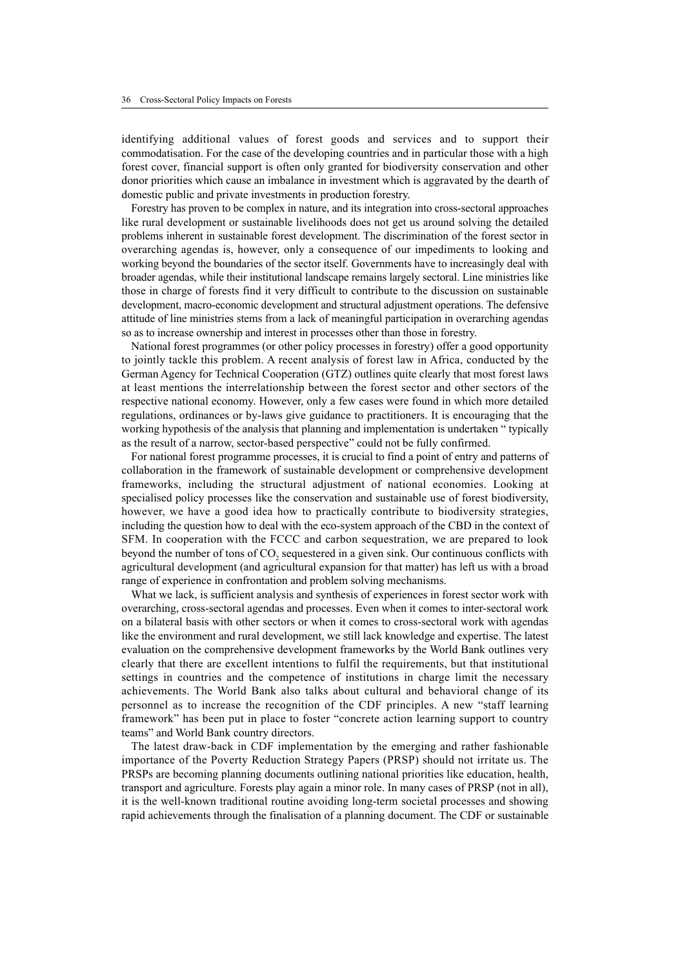identifying additional values of forest goods and services and to support their commodatisation. For the case of the developing countries and in particular those with a high forest cover, financial support is often only granted for biodiversity conservation and other donor priorities which cause an imbalance in investment which is aggravated by the dearth of domestic public and private investments in production forestry.

Forestry has proven to be complex in nature, and its integration into cross-sectoral approaches like rural development or sustainable livelihoods does not get us around solving the detailed problems inherent in sustainable forest development. The discrimination of the forest sector in overarching agendas is, however, only a consequence of our impediments to looking and working beyond the boundaries of the sector itself. Governments have to increasingly deal with broader agendas, while their institutional landscape remains largely sectoral. Line ministries like those in charge of forests find it very difficult to contribute to the discussion on sustainable development, macro-economic development and structural adjustment operations. The defensive attitude of line ministries stems from a lack of meaningful participation in overarching agendas so as to increase ownership and interest in processes other than those in forestry.

National forest programmes (or other policy processes in forestry) offer a good opportunity to jointly tackle this problem. A recent analysis of forest law in Africa, conducted by the German Agency for Technical Cooperation (GTZ) outlines quite clearly that most forest laws at least mentions the interrelationship between the forest sector and other sectors of the respective national economy. However, only a few cases were found in which more detailed regulations, ordinances or by-laws give guidance to practitioners. It is encouraging that the working hypothesis of the analysis that planning and implementation is undertaken " typically as the result of a narrow, sector-based perspective" could not be fully confirmed.

For national forest programme processes, it is crucial to find a point of entry and patterns of collaboration in the framework of sustainable development or comprehensive development frameworks, including the structural adjustment of national economies. Looking at specialised policy processes like the conservation and sustainable use of forest biodiversity, however, we have a good idea how to practically contribute to biodiversity strategies, including the question how to deal with the eco-system approach of the CBD in the context of SFM. In cooperation with the FCCC and carbon sequestration, we are prepared to look beyond the number of tons of  $CO_2$  sequestered in a given sink. Our continuous conflicts with agricultural development (and agricultural expansion for that matter) has left us with a broad range of experience in confrontation and problem solving mechanisms.

What we lack, is sufficient analysis and synthesis of experiences in forest sector work with overarching, cross-sectoral agendas and processes. Even when it comes to inter-sectoral work on a bilateral basis with other sectors or when it comes to cross-sectoral work with agendas like the environment and rural development, we still lack knowledge and expertise. The latest evaluation on the comprehensive development frameworks by the World Bank outlines very clearly that there are excellent intentions to fulfil the requirements, but that institutional settings in countries and the competence of institutions in charge limit the necessary achievements. The World Bank also talks about cultural and behavioral change of its personnel as to increase the recognition of the CDF principles. A new "staff learning framework" has been put in place to foster "concrete action learning support to country teams" and World Bank country directors.

The latest draw-back in CDF implementation by the emerging and rather fashionable importance of the Poverty Reduction Strategy Papers (PRSP) should not irritate us. The PRSPs are becoming planning documents outlining national priorities like education, health, transport and agriculture. Forests play again a minor role. In many cases of PRSP (not in all), it is the well-known traditional routine avoiding long-term societal processes and showing rapid achievements through the finalisation of a planning document. The CDF or sustainable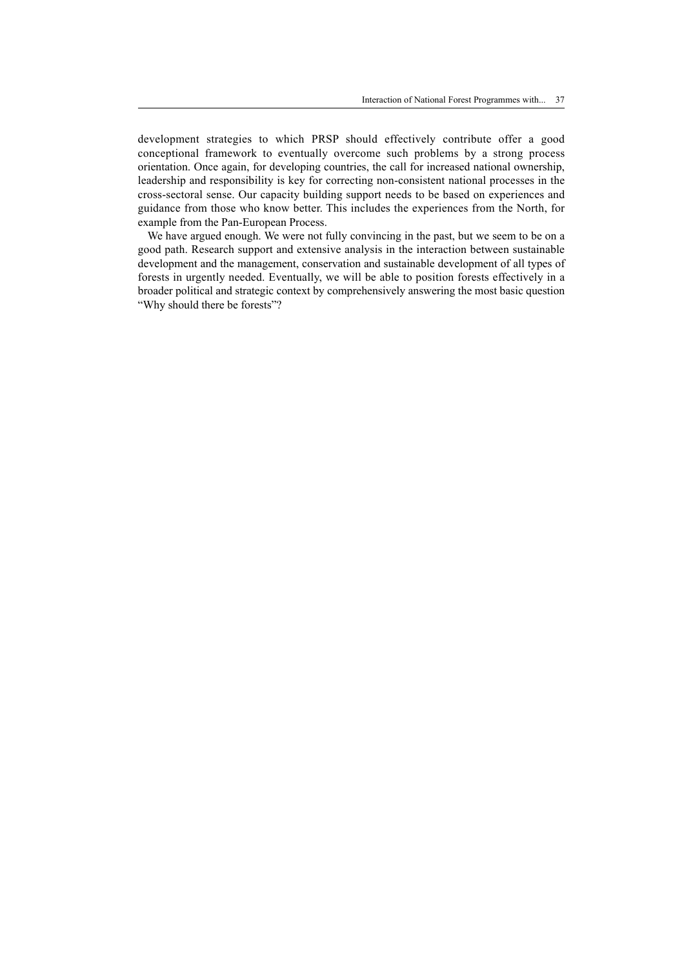development strategies to which PRSP should effectively contribute offer a good conceptional framework to eventually overcome such problems by a strong process orientation. Once again, for developing countries, the call for increased national ownership, leadership and responsibility is key for correcting non-consistent national processes in the cross-sectoral sense. Our capacity building support needs to be based on experiences and guidance from those who know better. This includes the experiences from the North, for example from the Pan-European Process.

We have argued enough. We were not fully convincing in the past, but we seem to be on a good path. Research support and extensive analysis in the interaction between sustainable development and the management, conservation and sustainable development of all types of forests in urgently needed. Eventually, we will be able to position forests effectively in a broader political and strategic context by comprehensively answering the most basic question "Why should there be forests"?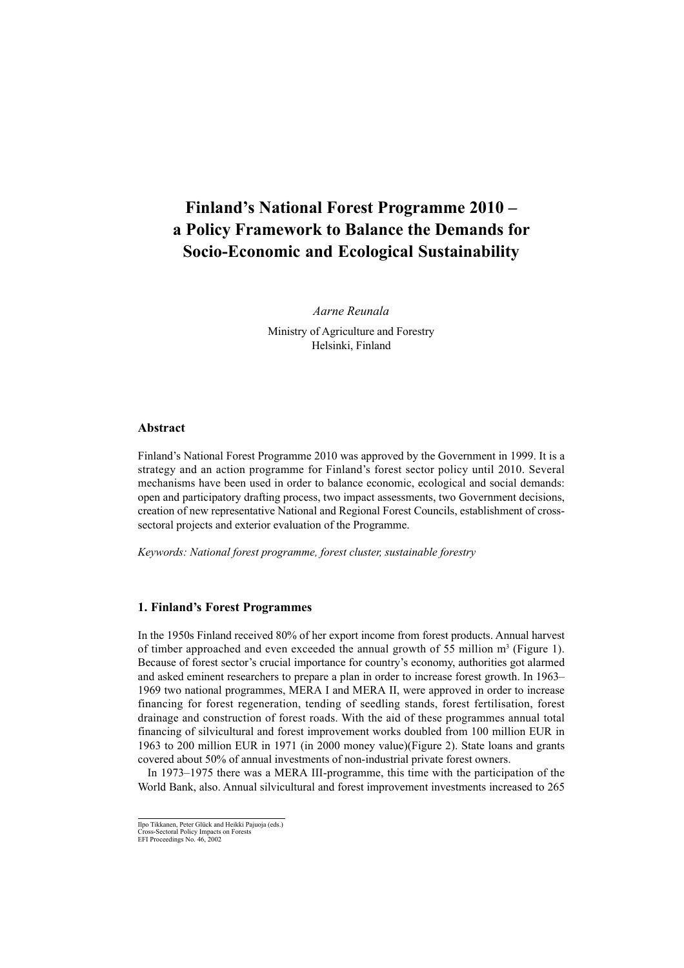# **Finland's National Forest Programme 2010 – a Policy Framework to Balance the Demands for Socio-Economic and Ecological Sustainability**

*Aarne Reunala*

Ministry of Agriculture and Forestry Helsinki, Finland

## **Abstract**

Finland's National Forest Programme 2010 was approved by the Government in 1999. It is a strategy and an action programme for Finland's forest sector policy until 2010. Several mechanisms have been used in order to balance economic, ecological and social demands: open and participatory drafting process, two impact assessments, two Government decisions, creation of new representative National and Regional Forest Councils, establishment of crosssectoral projects and exterior evaluation of the Programme.

*Keywords: National forest programme, forest cluster, sustainable forestry*

## **1. Finland's Forest Programmes**

In the 1950s Finland received 80% of her export income from forest products. Annual harvest of timber approached and even exceeded the annual growth of 55 million  $m<sup>3</sup>$  (Figure 1). Because of forest sector's crucial importance for country's economy, authorities got alarmed and asked eminent researchers to prepare a plan in order to increase forest growth. In 1963– 1969 two national programmes, MERA I and MERA II, were approved in order to increase financing for forest regeneration, tending of seedling stands, forest fertilisation, forest drainage and construction of forest roads. With the aid of these programmes annual total financing of silvicultural and forest improvement works doubled from 100 million EUR in 1963 to 200 million EUR in 1971 (in 2000 money value)(Figure 2). State loans and grants covered about 50% of annual investments of non-industrial private forest owners.

In 1973–1975 there was a MERA III-programme, this time with the participation of the World Bank, also. Annual silvicultural and forest improvement investments increased to 265

Ilpo Tikkanen, Peter Glück and Heikki Pajuoja (eds.)

Cross-Sectoral Policy Impacts on Forests EFI Proceedings No. 46, 2002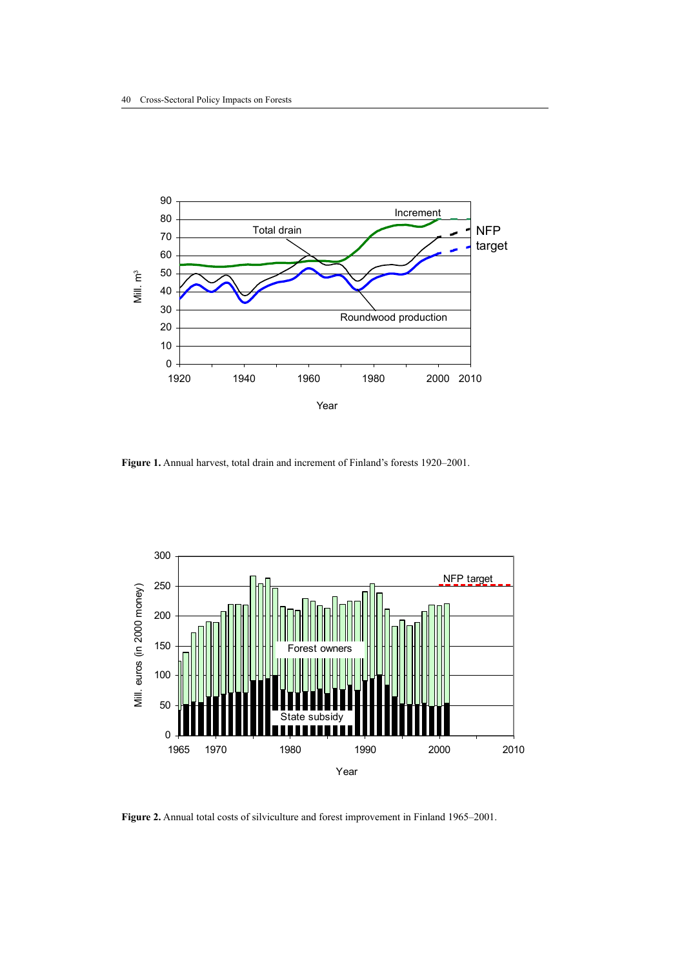



**Figure 2.** Annual total costs of silviculture and forest improvement in Finland 1965–2001.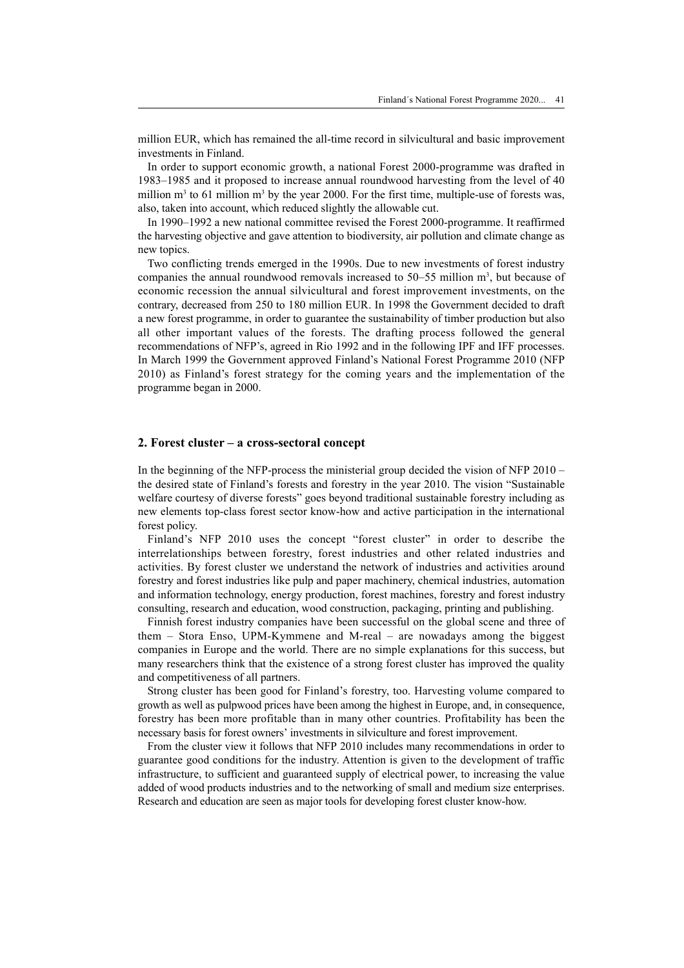million EUR, which has remained the all-time record in silvicultural and basic improvement investments in Finland.

In order to support economic growth, a national Forest 2000-programme was drafted in 1983–1985 and it proposed to increase annual roundwood harvesting from the level of 40 million  $m<sup>3</sup>$  to 61 million  $m<sup>3</sup>$  by the year 2000. For the first time, multiple-use of forests was, also, taken into account, which reduced slightly the allowable cut.

In 1990–1992 a new national committee revised the Forest 2000-programme. It reaffirmed the harvesting objective and gave attention to biodiversity, air pollution and climate change as new topics.

Two conflicting trends emerged in the 1990s. Due to new investments of forest industry companies the annual roundwood removals increased to  $50-55$  million  $m<sup>3</sup>$ , but because of economic recession the annual silvicultural and forest improvement investments, on the contrary, decreased from 250 to 180 million EUR. In 1998 the Government decided to draft a new forest programme, in order to guarantee the sustainability of timber production but also all other important values of the forests. The drafting process followed the general recommendations of NFP's, agreed in Rio 1992 and in the following IPF and IFF processes. In March 1999 the Government approved Finland's National Forest Programme 2010 (NFP 2010) as Finland's forest strategy for the coming years and the implementation of the programme began in 2000.

#### **2. Forest cluster – a cross-sectoral concept**

In the beginning of the NFP-process the ministerial group decided the vision of NFP 2010 – the desired state of Finland's forests and forestry in the year 2010. The vision "Sustainable welfare courtesy of diverse forests" goes beyond traditional sustainable forestry including as new elements top-class forest sector know-how and active participation in the international forest policy.

Finland's NFP 2010 uses the concept "forest cluster" in order to describe the interrelationships between forestry, forest industries and other related industries and activities. By forest cluster we understand the network of industries and activities around forestry and forest industries like pulp and paper machinery, chemical industries, automation and information technology, energy production, forest machines, forestry and forest industry consulting, research and education, wood construction, packaging, printing and publishing.

Finnish forest industry companies have been successful on the global scene and three of them – Stora Enso, UPM-Kymmene and M-real – are nowadays among the biggest companies in Europe and the world. There are no simple explanations for this success, but many researchers think that the existence of a strong forest cluster has improved the quality and competitiveness of all partners.

Strong cluster has been good for Finland's forestry, too. Harvesting volume compared to growth as well as pulpwood prices have been among the highest in Europe, and, in consequence, forestry has been more profitable than in many other countries. Profitability has been the necessary basis for forest owners' investments in silviculture and forest improvement.

From the cluster view it follows that NFP 2010 includes many recommendations in order to guarantee good conditions for the industry. Attention is given to the development of traffic infrastructure, to sufficient and guaranteed supply of electrical power, to increasing the value added of wood products industries and to the networking of small and medium size enterprises. Research and education are seen as major tools for developing forest cluster know-how.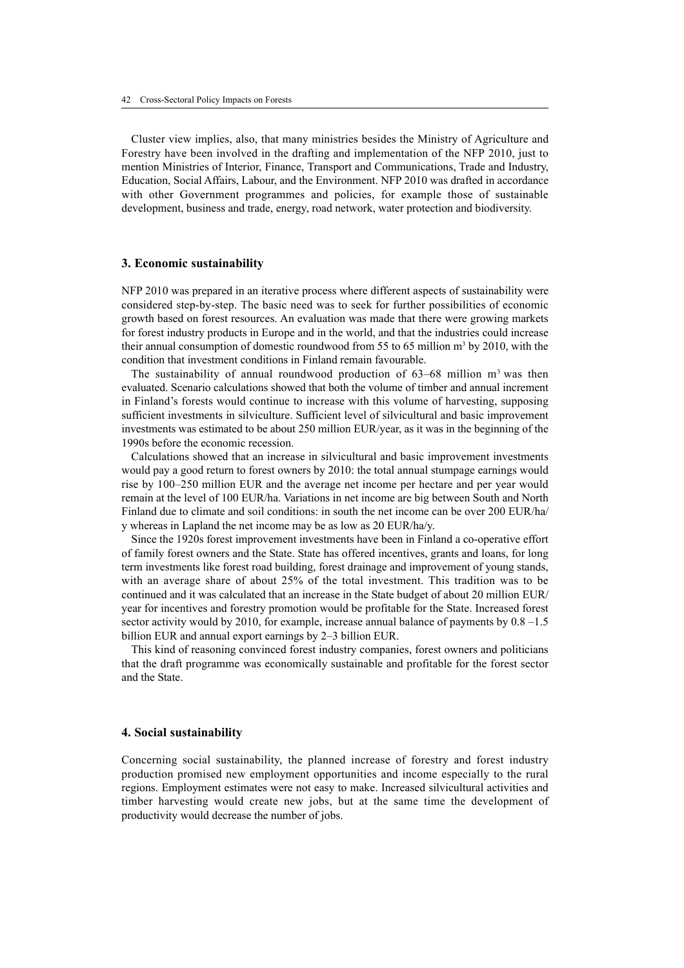Cluster view implies, also, that many ministries besides the Ministry of Agriculture and Forestry have been involved in the drafting and implementation of the NFP 2010, just to mention Ministries of Interior, Finance, Transport and Communications, Trade and Industry, Education, Social Affairs, Labour, and the Environment. NFP 2010 was drafted in accordance with other Government programmes and policies, for example those of sustainable development, business and trade, energy, road network, water protection and biodiversity.

#### **3. Economic sustainability**

NFP 2010 was prepared in an iterative process where different aspects of sustainability were considered step-by-step. The basic need was to seek for further possibilities of economic growth based on forest resources. An evaluation was made that there were growing markets for forest industry products in Europe and in the world, and that the industries could increase their annual consumption of domestic roundwood from 55 to 65 million  $m<sup>3</sup>$  by 2010, with the condition that investment conditions in Finland remain favourable.

The sustainability of annual roundwood production of  $63-68$  million m<sup>3</sup> was then evaluated. Scenario calculations showed that both the volume of timber and annual increment in Finland's forests would continue to increase with this volume of harvesting, supposing sufficient investments in silviculture. Sufficient level of silvicultural and basic improvement investments was estimated to be about 250 million EUR/year, as it was in the beginning of the 1990s before the economic recession.

Calculations showed that an increase in silvicultural and basic improvement investments would pay a good return to forest owners by 2010: the total annual stumpage earnings would rise by 100–250 million EUR and the average net income per hectare and per year would remain at the level of 100 EUR/ha. Variations in net income are big between South and North Finland due to climate and soil conditions: in south the net income can be over 200 EUR/ha/ y whereas in Lapland the net income may be as low as 20 EUR/ha/y.

Since the 1920s forest improvement investments have been in Finland a co-operative effort of family forest owners and the State. State has offered incentives, grants and loans, for long term investments like forest road building, forest drainage and improvement of young stands, with an average share of about 25% of the total investment. This tradition was to be continued and it was calculated that an increase in the State budget of about 20 million EUR/ year for incentives and forestry promotion would be profitable for the State. Increased forest sector activity would by 2010, for example, increase annual balance of payments by  $0.8 - 1.5$ billion EUR and annual export earnings by 2–3 billion EUR.

This kind of reasoning convinced forest industry companies, forest owners and politicians that the draft programme was economically sustainable and profitable for the forest sector and the State.

#### **4. Social sustainability**

Concerning social sustainability, the planned increase of forestry and forest industry production promised new employment opportunities and income especially to the rural regions. Employment estimates were not easy to make. Increased silvicultural activities and timber harvesting would create new jobs, but at the same time the development of productivity would decrease the number of jobs.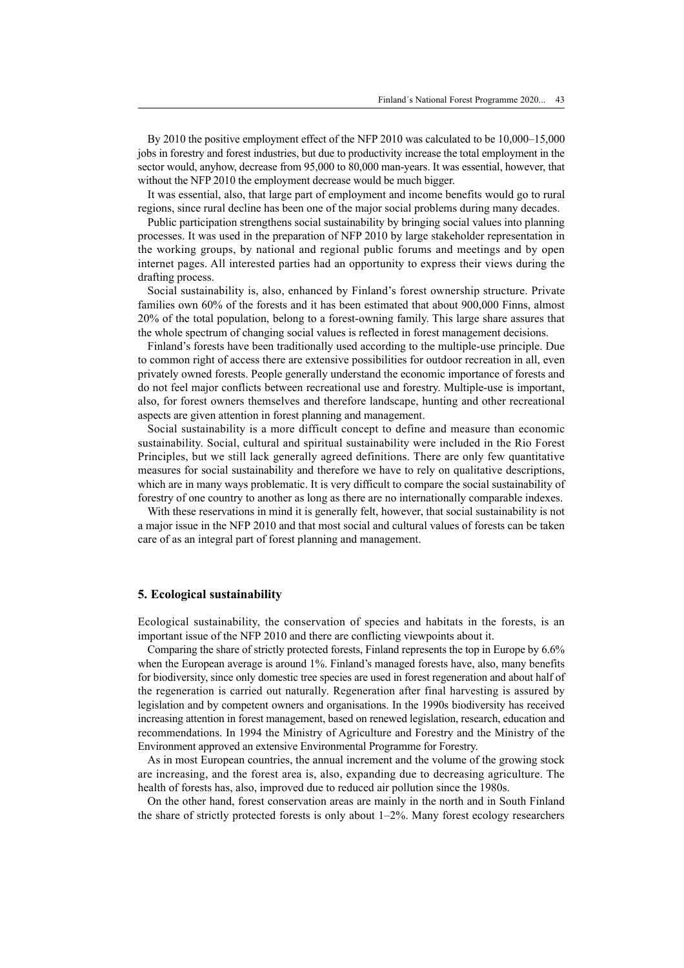By 2010 the positive employment effect of the NFP 2010 was calculated to be 10,000–15,000 jobs in forestry and forest industries, but due to productivity increase the total employment in the sector would, anyhow, decrease from 95,000 to 80,000 man-years. It was essential, however, that without the NFP 2010 the employment decrease would be much bigger.

It was essential, also, that large part of employment and income benefits would go to rural regions, since rural decline has been one of the major social problems during many decades.

Public participation strengthens social sustainability by bringing social values into planning processes. It was used in the preparation of NFP 2010 by large stakeholder representation in the working groups, by national and regional public forums and meetings and by open internet pages. All interested parties had an opportunity to express their views during the drafting process.

Social sustainability is, also, enhanced by Finland's forest ownership structure. Private families own 60% of the forests and it has been estimated that about 900,000 Finns, almost 20% of the total population, belong to a forest-owning family. This large share assures that the whole spectrum of changing social values is reflected in forest management decisions.

Finland's forests have been traditionally used according to the multiple-use principle. Due to common right of access there are extensive possibilities for outdoor recreation in all, even privately owned forests. People generally understand the economic importance of forests and do not feel major conflicts between recreational use and forestry. Multiple-use is important, also, for forest owners themselves and therefore landscape, hunting and other recreational aspects are given attention in forest planning and management.

Social sustainability is a more difficult concept to define and measure than economic sustainability. Social, cultural and spiritual sustainability were included in the Rio Forest Principles, but we still lack generally agreed definitions. There are only few quantitative measures for social sustainability and therefore we have to rely on qualitative descriptions, which are in many ways problematic. It is very difficult to compare the social sustainability of forestry of one country to another as long as there are no internationally comparable indexes.

With these reservations in mind it is generally felt, however, that social sustainability is not a major issue in the NFP 2010 and that most social and cultural values of forests can be taken care of as an integral part of forest planning and management.

#### **5. Ecological sustainability**

Ecological sustainability, the conservation of species and habitats in the forests, is an important issue of the NFP 2010 and there are conflicting viewpoints about it.

Comparing the share of strictly protected forests, Finland represents the top in Europe by 6.6% when the European average is around 1%. Finland's managed forests have, also, many benefits for biodiversity, since only domestic tree species are used in forest regeneration and about half of the regeneration is carried out naturally. Regeneration after final harvesting is assured by legislation and by competent owners and organisations. In the 1990s biodiversity has received increasing attention in forest management, based on renewed legislation, research, education and recommendations. In 1994 the Ministry of Agriculture and Forestry and the Ministry of the Environment approved an extensive Environmental Programme for Forestry.

As in most European countries, the annual increment and the volume of the growing stock are increasing, and the forest area is, also, expanding due to decreasing agriculture. The health of forests has, also, improved due to reduced air pollution since the 1980s.

On the other hand, forest conservation areas are mainly in the north and in South Finland the share of strictly protected forests is only about 1–2%. Many forest ecology researchers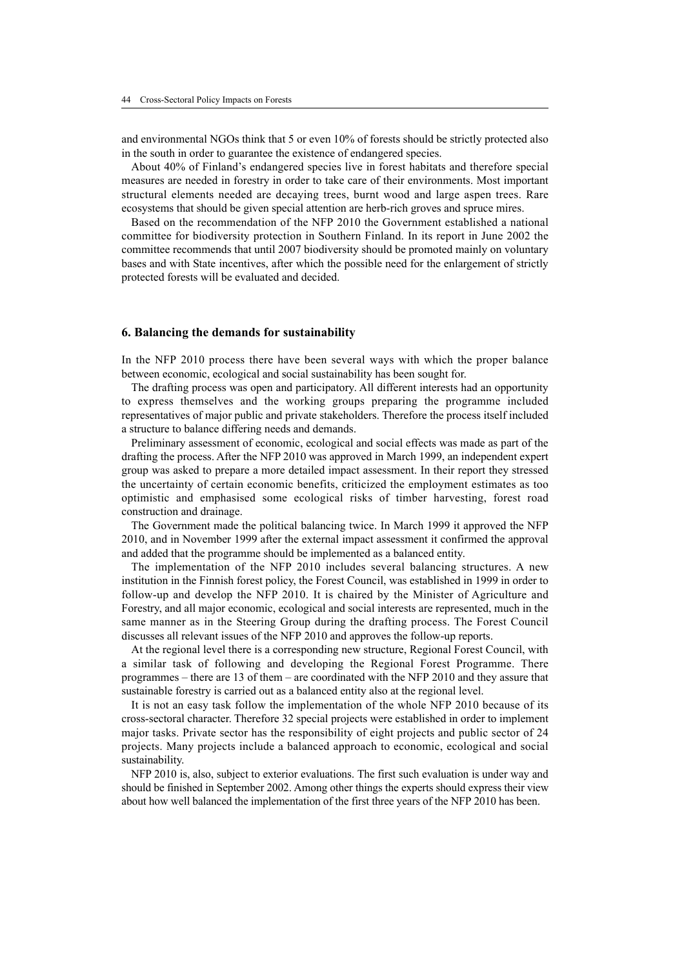and environmental NGOs think that 5 or even 10% of forests should be strictly protected also in the south in order to guarantee the existence of endangered species.

About 40% of Finland's endangered species live in forest habitats and therefore special measures are needed in forestry in order to take care of their environments. Most important structural elements needed are decaying trees, burnt wood and large aspen trees. Rare ecosystems that should be given special attention are herb-rich groves and spruce mires.

Based on the recommendation of the NFP 2010 the Government established a national committee for biodiversity protection in Southern Finland. In its report in June 2002 the committee recommends that until 2007 biodiversity should be promoted mainly on voluntary bases and with State incentives, after which the possible need for the enlargement of strictly protected forests will be evaluated and decided.

## **6. Balancing the demands for sustainability**

In the NFP 2010 process there have been several ways with which the proper balance between economic, ecological and social sustainability has been sought for.

The drafting process was open and participatory. All different interests had an opportunity to express themselves and the working groups preparing the programme included representatives of major public and private stakeholders. Therefore the process itself included a structure to balance differing needs and demands.

Preliminary assessment of economic, ecological and social effects was made as part of the drafting the process. After the NFP 2010 was approved in March 1999, an independent expert group was asked to prepare a more detailed impact assessment. In their report they stressed the uncertainty of certain economic benefits, criticized the employment estimates as too optimistic and emphasised some ecological risks of timber harvesting, forest road construction and drainage.

The Government made the political balancing twice. In March 1999 it approved the NFP 2010, and in November 1999 after the external impact assessment it confirmed the approval and added that the programme should be implemented as a balanced entity.

The implementation of the NFP 2010 includes several balancing structures. A new institution in the Finnish forest policy, the Forest Council, was established in 1999 in order to follow-up and develop the NFP 2010. It is chaired by the Minister of Agriculture and Forestry, and all major economic, ecological and social interests are represented, much in the same manner as in the Steering Group during the drafting process. The Forest Council discusses all relevant issues of the NFP 2010 and approves the follow-up reports.

At the regional level there is a corresponding new structure, Regional Forest Council, with a similar task of following and developing the Regional Forest Programme. There programmes – there are 13 of them – are coordinated with the NFP 2010 and they assure that sustainable forestry is carried out as a balanced entity also at the regional level.

It is not an easy task follow the implementation of the whole NFP 2010 because of its cross-sectoral character. Therefore 32 special projects were established in order to implement major tasks. Private sector has the responsibility of eight projects and public sector of 24 projects. Many projects include a balanced approach to economic, ecological and social sustainability.

NFP 2010 is, also, subject to exterior evaluations. The first such evaluation is under way and should be finished in September 2002. Among other things the experts should express their view about how well balanced the implementation of the first three years of the NFP 2010 has been.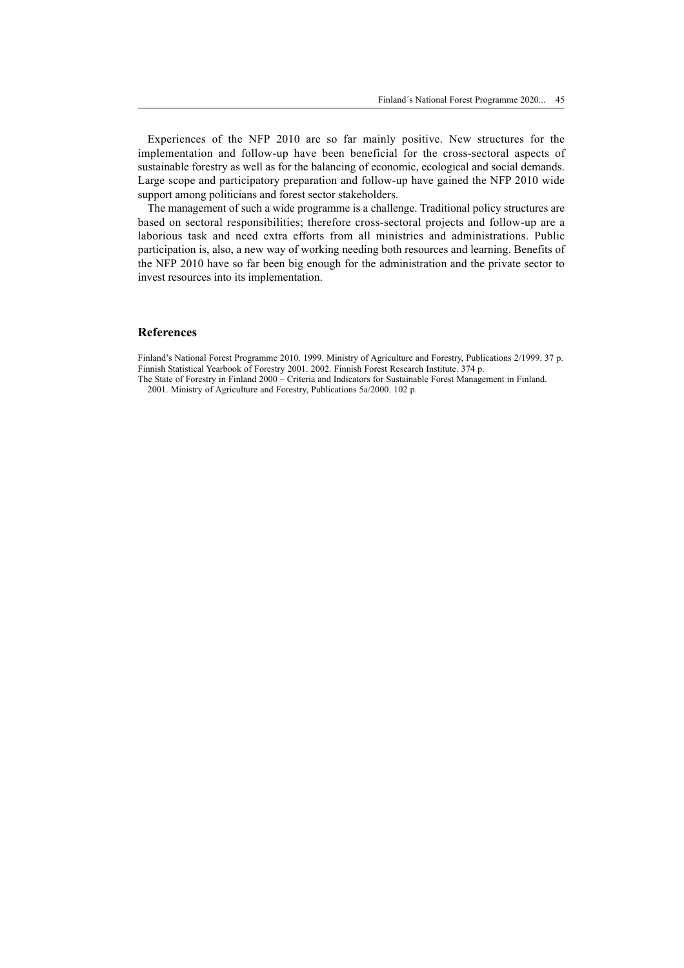Experiences of the NFP 2010 are so far mainly positive. New structures for the implementation and follow-up have been beneficial for the cross-sectoral aspects of sustainable forestry as well as for the balancing of economic, ecological and social demands. Large scope and participatory preparation and follow-up have gained the NFP 2010 wide support among politicians and forest sector stakeholders.

The management of such a wide programme is a challenge. Traditional policy structures are based on sectoral responsibilities; therefore cross-sectoral projects and follow-up are a laborious task and need extra efforts from all ministries and administrations. Public participation is, also, a new way of working needing both resources and learning. Benefits of the NFP 2010 have so far been big enough for the administration and the private sector to invest resources into its implementation.

#### **References**

Finland's National Forest Programme 2010. 1999. Ministry of Agriculture and Forestry, Publications 2/1999. 37 p. Finnish Statistical Yearbook of Forestry 2001. 2002. Finnish Forest Research Institute. 374 p.

The State of Forestry in Finland 2000 – Criteria and Indicators for Sustainable Forest Management in Finland. 2001. Ministry of Agriculture and Forestry, Publications 5a/2000. 102 p.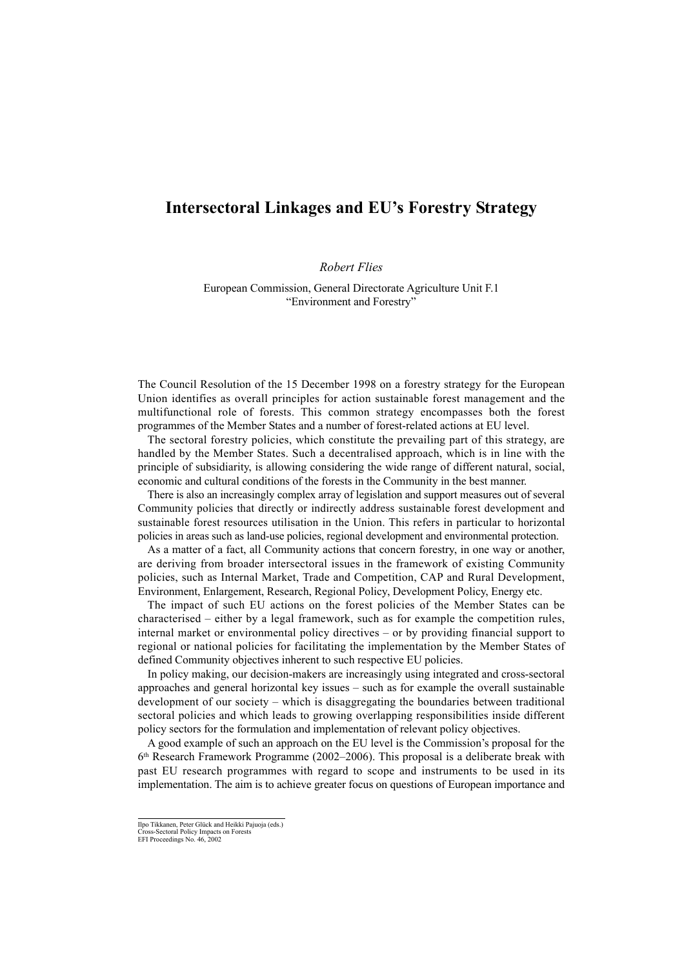## **Intersectoral Linkages and EU's Forestry Strategy**

## *Robert Flies*

European Commission, General Directorate Agriculture Unit F.1 "Environment and Forestry"

The Council Resolution of the 15 December 1998 on a forestry strategy for the European Union identifies as overall principles for action sustainable forest management and the multifunctional role of forests. This common strategy encompasses both the forest programmes of the Member States and a number of forest-related actions at EU level.

The sectoral forestry policies, which constitute the prevailing part of this strategy, are handled by the Member States. Such a decentralised approach, which is in line with the principle of subsidiarity, is allowing considering the wide range of different natural, social, economic and cultural conditions of the forests in the Community in the best manner.

There is also an increasingly complex array of legislation and support measures out of several Community policies that directly or indirectly address sustainable forest development and sustainable forest resources utilisation in the Union. This refers in particular to horizontal policies in areas such as land-use policies, regional development and environmental protection.

As a matter of a fact, all Community actions that concern forestry, in one way or another, are deriving from broader intersectoral issues in the framework of existing Community policies, such as Internal Market, Trade and Competition, CAP and Rural Development, Environment, Enlargement, Research, Regional Policy, Development Policy, Energy etc.

The impact of such EU actions on the forest policies of the Member States can be characterised – either by a legal framework, such as for example the competition rules, internal market or environmental policy directives – or by providing financial support to regional or national policies for facilitating the implementation by the Member States of defined Community objectives inherent to such respective EU policies.

In policy making, our decision-makers are increasingly using integrated and cross-sectoral approaches and general horizontal key issues – such as for example the overall sustainable development of our society – which is disaggregating the boundaries between traditional sectoral policies and which leads to growing overlapping responsibilities inside different policy sectors for the formulation and implementation of relevant policy objectives.

A good example of such an approach on the EU level is the Commission's proposal for the  $6<sup>th</sup>$  Research Framework Programme (2002–2006). This proposal is a deliberate break with past EU research programmes with regard to scope and instruments to be used in its implementation. The aim is to achieve greater focus on questions of European importance and

Ilpo Tikkanen, Peter Glück and Heikki Pajuoja (eds.)

Cross-Sectoral Policy Impacts on Forests EFI Proceedings No. 46, 2002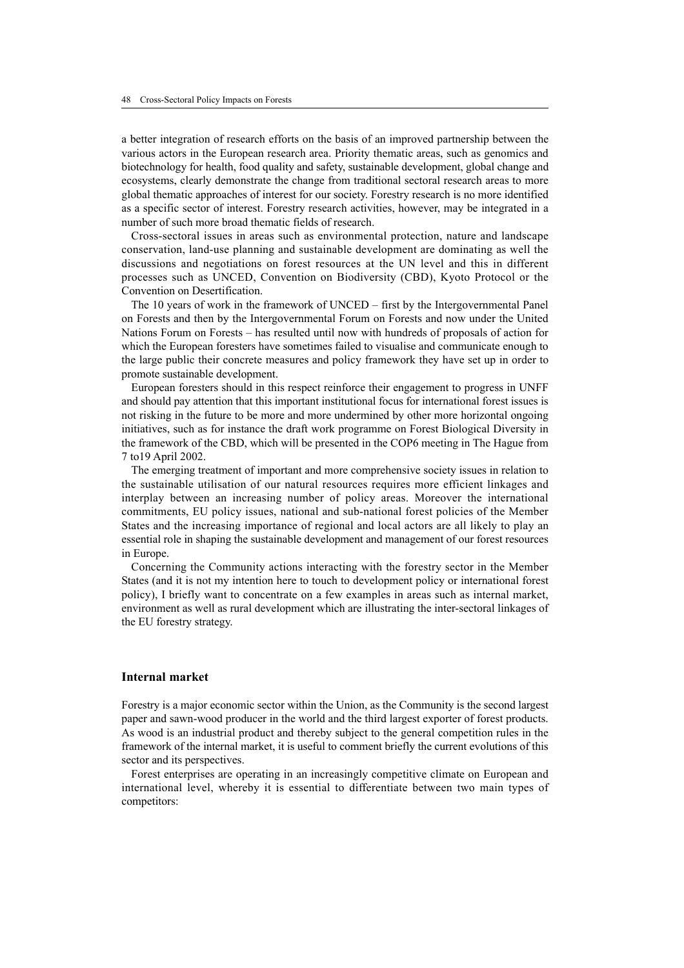a better integration of research efforts on the basis of an improved partnership between the various actors in the European research area. Priority thematic areas, such as genomics and biotechnology for health, food quality and safety, sustainable development, global change and ecosystems, clearly demonstrate the change from traditional sectoral research areas to more global thematic approaches of interest for our society. Forestry research is no more identified as a specific sector of interest. Forestry research activities, however, may be integrated in a number of such more broad thematic fields of research.

Cross-sectoral issues in areas such as environmental protection, nature and landscape conservation, land-use planning and sustainable development are dominating as well the discussions and negotiations on forest resources at the UN level and this in different processes such as UNCED, Convention on Biodiversity (CBD), Kyoto Protocol or the Convention on Desertification.

The 10 years of work in the framework of UNCED – first by the Intergovernmental Panel on Forests and then by the Intergovernmental Forum on Forests and now under the United Nations Forum on Forests – has resulted until now with hundreds of proposals of action for which the European foresters have sometimes failed to visualise and communicate enough to the large public their concrete measures and policy framework they have set up in order to promote sustainable development.

European foresters should in this respect reinforce their engagement to progress in UNFF and should pay attention that this important institutional focus for international forest issues is not risking in the future to be more and more undermined by other more horizontal ongoing initiatives, such as for instance the draft work programme on Forest Biological Diversity in the framework of the CBD, which will be presented in the COP6 meeting in The Hague from 7 to19 April 2002.

The emerging treatment of important and more comprehensive society issues in relation to the sustainable utilisation of our natural resources requires more efficient linkages and interplay between an increasing number of policy areas. Moreover the international commitments, EU policy issues, national and sub-national forest policies of the Member States and the increasing importance of regional and local actors are all likely to play an essential role in shaping the sustainable development and management of our forest resources in Europe.

Concerning the Community actions interacting with the forestry sector in the Member States (and it is not my intention here to touch to development policy or international forest policy), I briefly want to concentrate on a few examples in areas such as internal market, environment as well as rural development which are illustrating the inter-sectoral linkages of the EU forestry strategy.

## **Internal market**

Forestry is a major economic sector within the Union, as the Community is the second largest paper and sawn-wood producer in the world and the third largest exporter of forest products. As wood is an industrial product and thereby subject to the general competition rules in the framework of the internal market, it is useful to comment briefly the current evolutions of this sector and its perspectives.

Forest enterprises are operating in an increasingly competitive climate on European and international level, whereby it is essential to differentiate between two main types of competitors: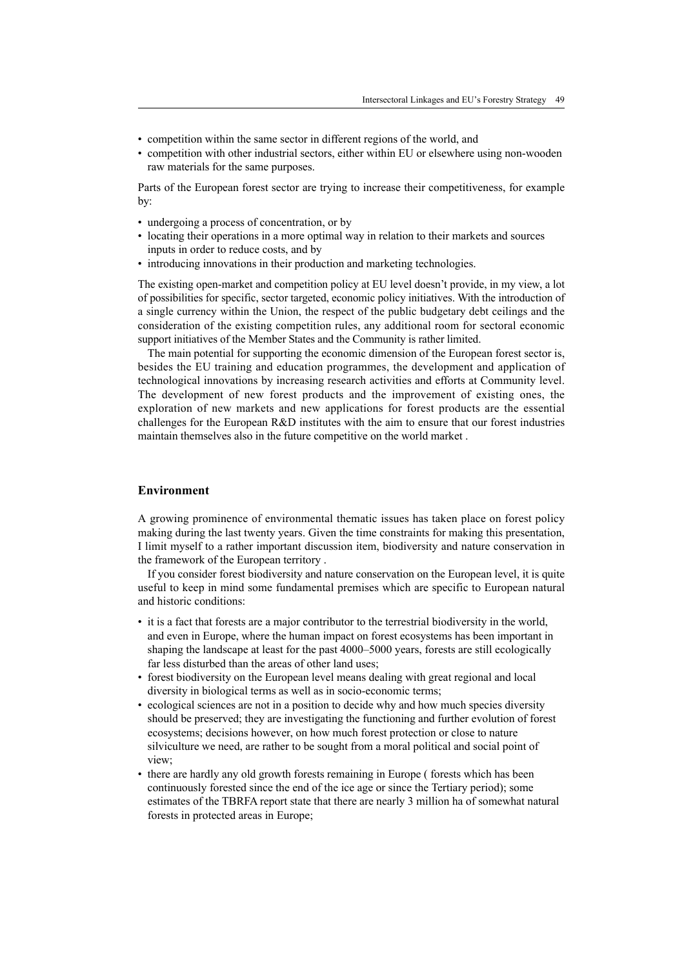- competition within the same sector in different regions of the world, and
- competition with other industrial sectors, either within EU or elsewhere using non-wooden raw materials for the same purposes.

Parts of the European forest sector are trying to increase their competitiveness, for example by:

- undergoing a process of concentration, or by
- locating their operations in a more optimal way in relation to their markets and sources inputs in order to reduce costs, and by
- introducing innovations in their production and marketing technologies.

The existing open-market and competition policy at EU level doesn't provide, in my view, a lot of possibilities for specific, sector targeted, economic policy initiatives. With the introduction of a single currency within the Union, the respect of the public budgetary debt ceilings and the consideration of the existing competition rules, any additional room for sectoral economic support initiatives of the Member States and the Community is rather limited.

The main potential for supporting the economic dimension of the European forest sector is, besides the EU training and education programmes, the development and application of technological innovations by increasing research activities and efforts at Community level. The development of new forest products and the improvement of existing ones, the exploration of new markets and new applications for forest products are the essential challenges for the European R&D institutes with the aim to ensure that our forest industries maintain themselves also in the future competitive on the world market .

## **Environment**

A growing prominence of environmental thematic issues has taken place on forest policy making during the last twenty years. Given the time constraints for making this presentation, I limit myself to a rather important discussion item, biodiversity and nature conservation in the framework of the European territory .

If you consider forest biodiversity and nature conservation on the European level, it is quite useful to keep in mind some fundamental premises which are specific to European natural and historic conditions:

- it is a fact that forests are a major contributor to the terrestrial biodiversity in the world, and even in Europe, where the human impact on forest ecosystems has been important in shaping the landscape at least for the past 4000–5000 years, forests are still ecologically far less disturbed than the areas of other land uses;
- forest biodiversity on the European level means dealing with great regional and local diversity in biological terms as well as in socio-economic terms;
- ecological sciences are not in a position to decide why and how much species diversity should be preserved; they are investigating the functioning and further evolution of forest ecosystems; decisions however, on how much forest protection or close to nature silviculture we need, are rather to be sought from a moral political and social point of view;
- there are hardly any old growth forests remaining in Europe ( forests which has been continuously forested since the end of the ice age or since the Tertiary period); some estimates of the TBRFA report state that there are nearly 3 million ha of somewhat natural forests in protected areas in Europe;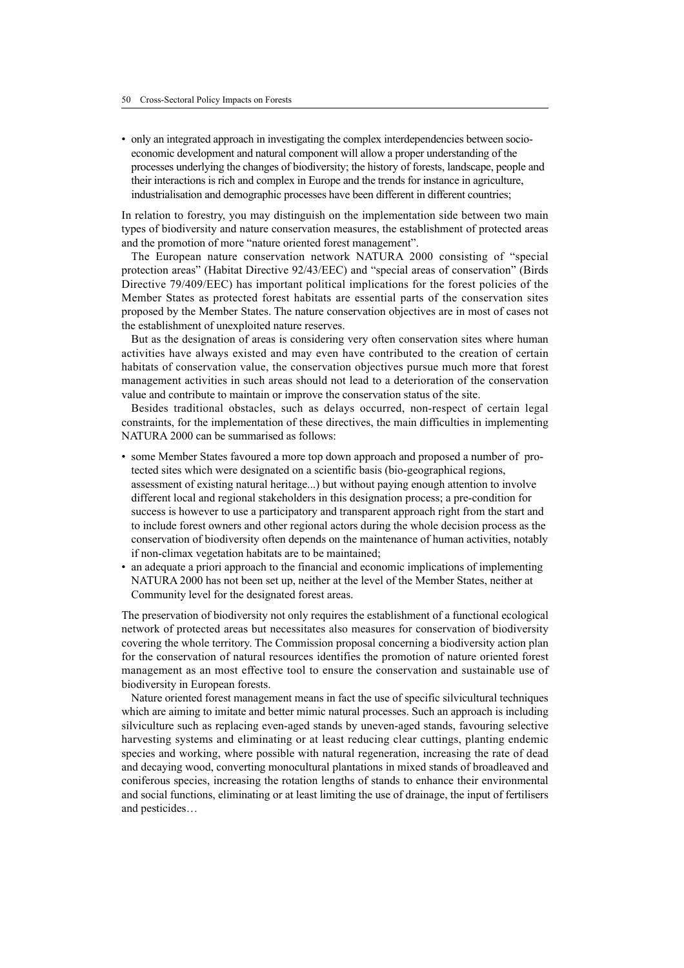• only an integrated approach in investigating the complex interdependencies between socioeconomic development and natural component will allow a proper understanding of the processes underlying the changes of biodiversity; the history of forests, landscape, people and their interactions is rich and complex in Europe and the trends for instance in agriculture, industrialisation and demographic processes have been different in different countries;

In relation to forestry, you may distinguish on the implementation side between two main types of biodiversity and nature conservation measures, the establishment of protected areas and the promotion of more "nature oriented forest management".

The European nature conservation network NATURA 2000 consisting of "special protection areas" (Habitat Directive 92/43/EEC) and "special areas of conservation" (Birds Directive 79/409/EEC) has important political implications for the forest policies of the Member States as protected forest habitats are essential parts of the conservation sites proposed by the Member States. The nature conservation objectives are in most of cases not the establishment of unexploited nature reserves.

But as the designation of areas is considering very often conservation sites where human activities have always existed and may even have contributed to the creation of certain habitats of conservation value, the conservation objectives pursue much more that forest management activities in such areas should not lead to a deterioration of the conservation value and contribute to maintain or improve the conservation status of the site.

Besides traditional obstacles, such as delays occurred, non-respect of certain legal constraints, for the implementation of these directives, the main difficulties in implementing NATURA 2000 can be summarised as follows:

- some Member States favoured a more top down approach and proposed a number of protected sites which were designated on a scientific basis (bio-geographical regions, assessment of existing natural heritage...) but without paying enough attention to involve different local and regional stakeholders in this designation process; a pre-condition for success is however to use a participatory and transparent approach right from the start and to include forest owners and other regional actors during the whole decision process as the conservation of biodiversity often depends on the maintenance of human activities, notably if non-climax vegetation habitats are to be maintained;
- an adequate a priori approach to the financial and economic implications of implementing NATURA 2000 has not been set up, neither at the level of the Member States, neither at Community level for the designated forest areas.

The preservation of biodiversity not only requires the establishment of a functional ecological network of protected areas but necessitates also measures for conservation of biodiversity covering the whole territory. The Commission proposal concerning a biodiversity action plan for the conservation of natural resources identifies the promotion of nature oriented forest management as an most effective tool to ensure the conservation and sustainable use of biodiversity in European forests.

Nature oriented forest management means in fact the use of specific silvicultural techniques which are aiming to imitate and better mimic natural processes. Such an approach is including silviculture such as replacing even-aged stands by uneven-aged stands, favouring selective harvesting systems and eliminating or at least reducing clear cuttings, planting endemic species and working, where possible with natural regeneration, increasing the rate of dead and decaying wood, converting monocultural plantations in mixed stands of broadleaved and coniferous species, increasing the rotation lengths of stands to enhance their environmental and social functions, eliminating or at least limiting the use of drainage, the input of fertilisers and pesticides…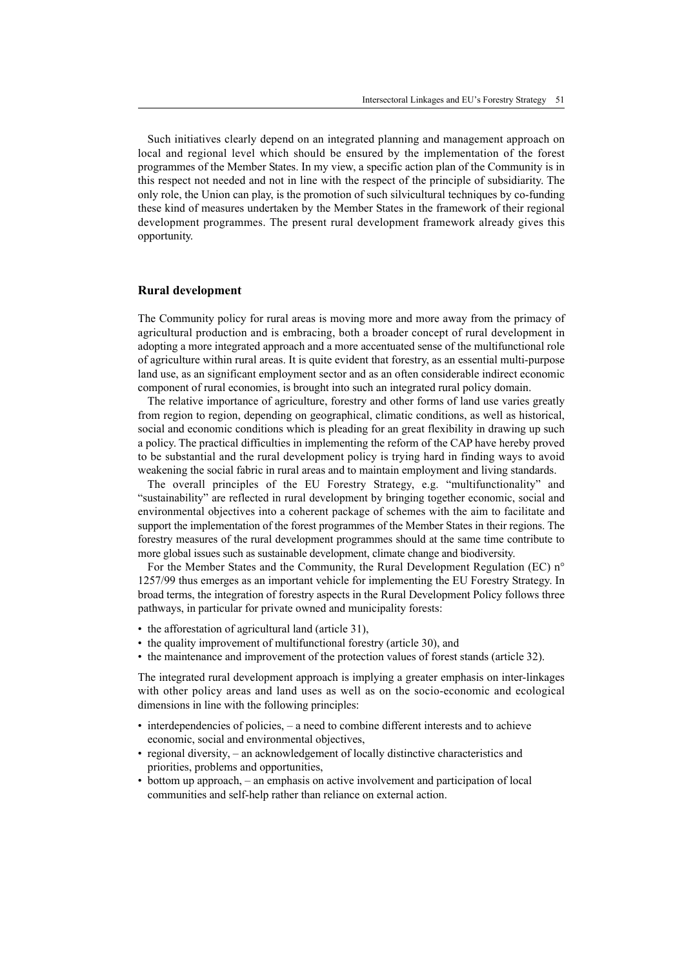Such initiatives clearly depend on an integrated planning and management approach on local and regional level which should be ensured by the implementation of the forest programmes of the Member States. In my view, a specific action plan of the Community is in this respect not needed and not in line with the respect of the principle of subsidiarity. The only role, the Union can play, is the promotion of such silvicultural techniques by co-funding these kind of measures undertaken by the Member States in the framework of their regional development programmes. The present rural development framework already gives this opportunity.

## **Rural development**

The Community policy for rural areas is moving more and more away from the primacy of agricultural production and is embracing, both a broader concept of rural development in adopting a more integrated approach and a more accentuated sense of the multifunctional role of agriculture within rural areas. It is quite evident that forestry, as an essential multi-purpose land use, as an significant employment sector and as an often considerable indirect economic component of rural economies, is brought into such an integrated rural policy domain.

The relative importance of agriculture, forestry and other forms of land use varies greatly from region to region, depending on geographical, climatic conditions, as well as historical, social and economic conditions which is pleading for an great flexibility in drawing up such a policy. The practical difficulties in implementing the reform of the CAP have hereby proved to be substantial and the rural development policy is trying hard in finding ways to avoid weakening the social fabric in rural areas and to maintain employment and living standards.

The overall principles of the EU Forestry Strategy, e.g. "multifunctionality" and "sustainability" are reflected in rural development by bringing together economic, social and environmental objectives into a coherent package of schemes with the aim to facilitate and support the implementation of the forest programmes of the Member States in their regions. The forestry measures of the rural development programmes should at the same time contribute to more global issues such as sustainable development, climate change and biodiversity.

For the Member States and the Community, the Rural Development Regulation (EC) n° 1257/99 thus emerges as an important vehicle for implementing the EU Forestry Strategy. In broad terms, the integration of forestry aspects in the Rural Development Policy follows three pathways, in particular for private owned and municipality forests:

- the afforestation of agricultural land (article 31),
- the quality improvement of multifunctional forestry (article 30), and
- the maintenance and improvement of the protection values of forest stands (article 32).

The integrated rural development approach is implying a greater emphasis on inter-linkages with other policy areas and land uses as well as on the socio-economic and ecological dimensions in line with the following principles:

- interdependencies of policies, a need to combine different interests and to achieve economic, social and environmental objectives,
- regional diversity, an acknowledgement of locally distinctive characteristics and priorities, problems and opportunities,
- bottom up approach, an emphasis on active involvement and participation of local communities and self-help rather than reliance on external action.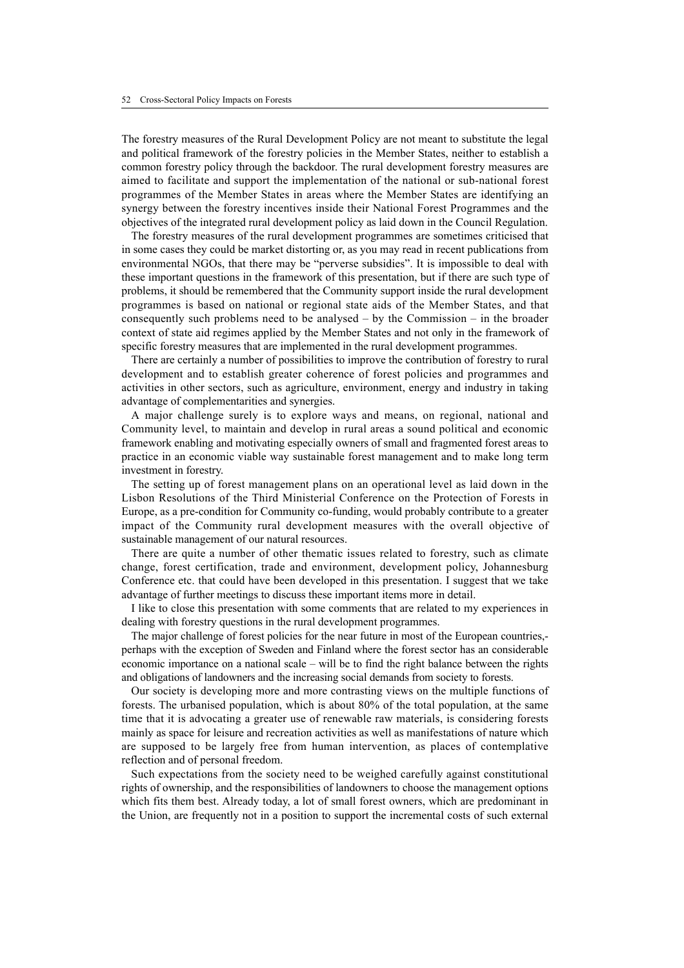The forestry measures of the Rural Development Policy are not meant to substitute the legal and political framework of the forestry policies in the Member States, neither to establish a common forestry policy through the backdoor. The rural development forestry measures are aimed to facilitate and support the implementation of the national or sub-national forest programmes of the Member States in areas where the Member States are identifying an synergy between the forestry incentives inside their National Forest Programmes and the objectives of the integrated rural development policy as laid down in the Council Regulation.

The forestry measures of the rural development programmes are sometimes criticised that in some cases they could be market distorting or, as you may read in recent publications from environmental NGOs, that there may be "perverse subsidies". It is impossible to deal with these important questions in the framework of this presentation, but if there are such type of problems, it should be remembered that the Community support inside the rural development programmes is based on national or regional state aids of the Member States, and that consequently such problems need to be analysed – by the Commission – in the broader context of state aid regimes applied by the Member States and not only in the framework of specific forestry measures that are implemented in the rural development programmes.

There are certainly a number of possibilities to improve the contribution of forestry to rural development and to establish greater coherence of forest policies and programmes and activities in other sectors, such as agriculture, environment, energy and industry in taking advantage of complementarities and synergies.

A major challenge surely is to explore ways and means, on regional, national and Community level, to maintain and develop in rural areas a sound political and economic framework enabling and motivating especially owners of small and fragmented forest areas to practice in an economic viable way sustainable forest management and to make long term investment in forestry.

The setting up of forest management plans on an operational level as laid down in the Lisbon Resolutions of the Third Ministerial Conference on the Protection of Forests in Europe, as a pre-condition for Community co-funding, would probably contribute to a greater impact of the Community rural development measures with the overall objective of sustainable management of our natural resources.

There are quite a number of other thematic issues related to forestry, such as climate change, forest certification, trade and environment, development policy, Johannesburg Conference etc. that could have been developed in this presentation. I suggest that we take advantage of further meetings to discuss these important items more in detail.

I like to close this presentation with some comments that are related to my experiences in dealing with forestry questions in the rural development programmes.

The major challenge of forest policies for the near future in most of the European countries, perhaps with the exception of Sweden and Finland where the forest sector has an considerable economic importance on a national scale – will be to find the right balance between the rights and obligations of landowners and the increasing social demands from society to forests.

Our society is developing more and more contrasting views on the multiple functions of forests. The urbanised population, which is about 80% of the total population, at the same time that it is advocating a greater use of renewable raw materials, is considering forests mainly as space for leisure and recreation activities as well as manifestations of nature which are supposed to be largely free from human intervention, as places of contemplative reflection and of personal freedom.

Such expectations from the society need to be weighed carefully against constitutional rights of ownership, and the responsibilities of landowners to choose the management options which fits them best. Already today, a lot of small forest owners, which are predominant in the Union, are frequently not in a position to support the incremental costs of such external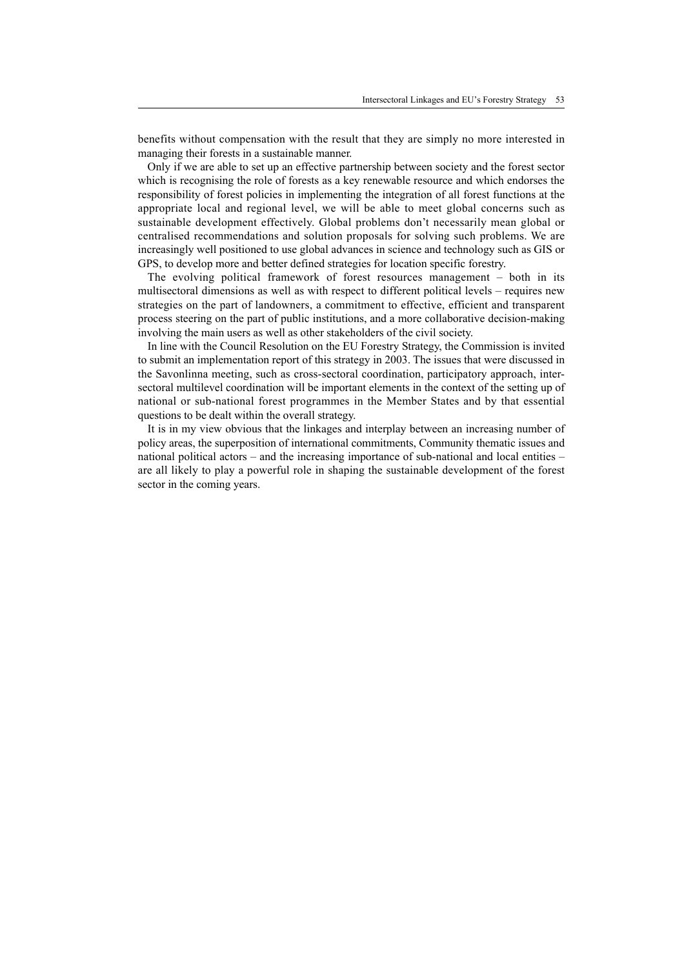benefits without compensation with the result that they are simply no more interested in managing their forests in a sustainable manner.

Only if we are able to set up an effective partnership between society and the forest sector which is recognising the role of forests as a key renewable resource and which endorses the responsibility of forest policies in implementing the integration of all forest functions at the appropriate local and regional level, we will be able to meet global concerns such as sustainable development effectively. Global problems don't necessarily mean global or centralised recommendations and solution proposals for solving such problems. We are increasingly well positioned to use global advances in science and technology such as GIS or GPS, to develop more and better defined strategies for location specific forestry.

The evolving political framework of forest resources management – both in its multisectoral dimensions as well as with respect to different political levels – requires new strategies on the part of landowners, a commitment to effective, efficient and transparent process steering on the part of public institutions, and a more collaborative decision-making involving the main users as well as other stakeholders of the civil society.

In line with the Council Resolution on the EU Forestry Strategy, the Commission is invited to submit an implementation report of this strategy in 2003. The issues that were discussed in the Savonlinna meeting, such as cross-sectoral coordination, participatory approach, intersectoral multilevel coordination will be important elements in the context of the setting up of national or sub-national forest programmes in the Member States and by that essential questions to be dealt within the overall strategy.

It is in my view obvious that the linkages and interplay between an increasing number of policy areas, the superposition of international commitments, Community thematic issues and national political actors – and the increasing importance of sub-national and local entities – are all likely to play a powerful role in shaping the sustainable development of the forest sector in the coming years.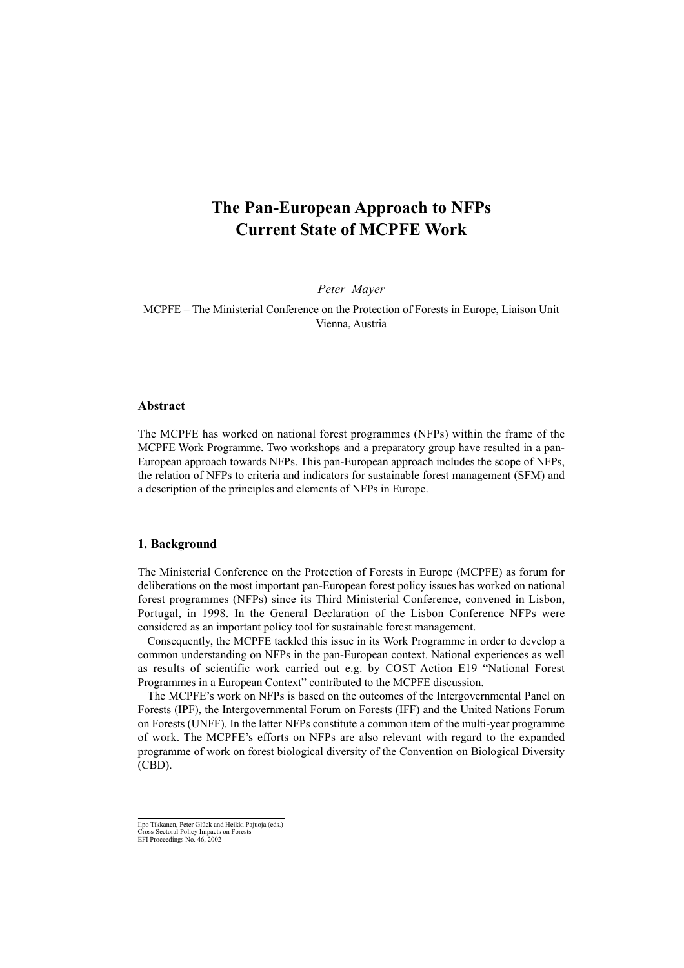## **The Pan-European Approach to NFPs Current State of MCPFE Work**

*Peter Mayer*

MCPFE – The Ministerial Conference on the Protection of Forests in Europe, Liaison Unit Vienna, Austria

#### **Abstract**

The MCPFE has worked on national forest programmes (NFPs) within the frame of the MCPFE Work Programme. Two workshops and a preparatory group have resulted in a pan-European approach towards NFPs. This pan-European approach includes the scope of NFPs, the relation of NFPs to criteria and indicators for sustainable forest management (SFM) and a description of the principles and elements of NFPs in Europe.

#### **1. Background**

The Ministerial Conference on the Protection of Forests in Europe (MCPFE) as forum for deliberations on the most important pan-European forest policy issues has worked on national forest programmes (NFPs) since its Third Ministerial Conference, convened in Lisbon, Portugal, in 1998. In the General Declaration of the Lisbon Conference NFPs were considered as an important policy tool for sustainable forest management.

Consequently, the MCPFE tackled this issue in its Work Programme in order to develop a common understanding on NFPs in the pan-European context. National experiences as well as results of scientific work carried out e.g. by COST Action E19 "National Forest Programmes in a European Context" contributed to the MCPFE discussion.

The MCPFE's work on NFPs is based on the outcomes of the Intergovernmental Panel on Forests (IPF), the Intergovernmental Forum on Forests (IFF) and the United Nations Forum on Forests (UNFF). In the latter NFPs constitute a common item of the multi-year programme of work. The MCPFE's efforts on NFPs are also relevant with regard to the expanded programme of work on forest biological diversity of the Convention on Biological Diversity (CBD).

Ilpo Tikkanen, Peter Glück and Heikki Pajuoja (eds.) Cross-Sectoral Policy Impacts on Forests EFI Proceedings No. 46, 2002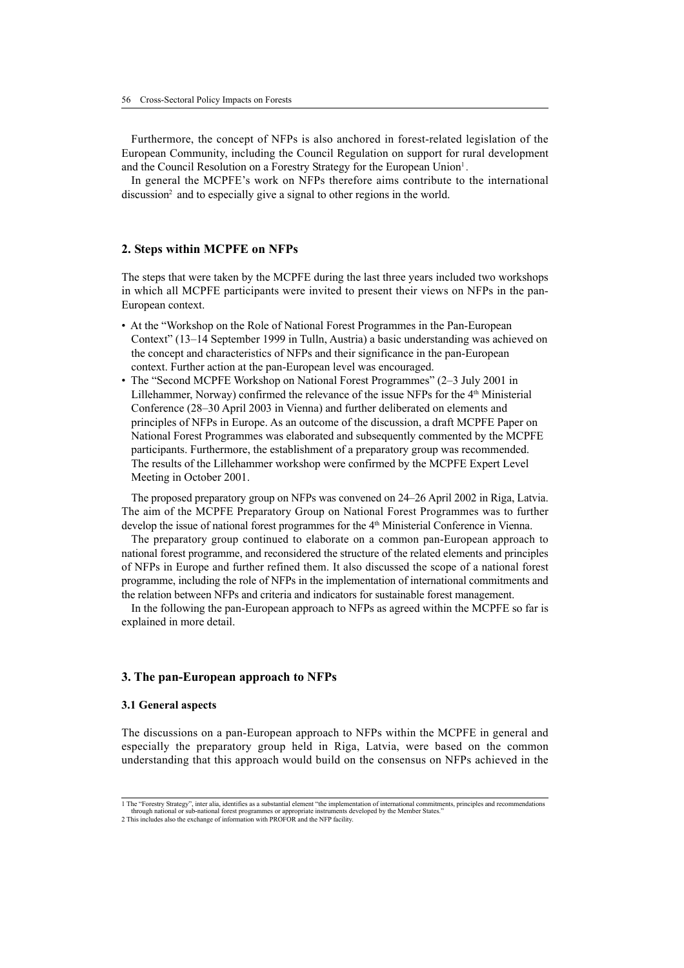Furthermore, the concept of NFPs is also anchored in forest-related legislation of the European Community, including the Council Regulation on support for rural development and the Council Resolution on a Forestry Strategy for the European Union<sup>1</sup>.

In general the MCPFE's work on NFPs therefore aims contribute to the international discussion<sup>2</sup> and to especially give a signal to other regions in the world.

## **2. Steps within MCPFE on NFPs**

The steps that were taken by the MCPFE during the last three years included two workshops in which all MCPFE participants were invited to present their views on NFPs in the pan-European context.

- At the "Workshop on the Role of National Forest Programmes in the Pan-European Context" (13–14 September 1999 in Tulln, Austria) a basic understanding was achieved on the concept and characteristics of NFPs and their significance in the pan-European context. Further action at the pan-European level was encouraged.
- The "Second MCPFE Workshop on National Forest Programmes" (2–3 July 2001 in Lillehammer, Norway) confirmed the relevance of the issue NFPs for the  $4<sup>th</sup>$  Ministerial Conference (28–30 April 2003 in Vienna) and further deliberated on elements and principles of NFPs in Europe. As an outcome of the discussion, a draft MCPFE Paper on National Forest Programmes was elaborated and subsequently commented by the MCPFE participants. Furthermore, the establishment of a preparatory group was recommended. The results of the Lillehammer workshop were confirmed by the MCPFE Expert Level Meeting in October 2001.

The proposed preparatory group on NFPs was convened on 24–26 April 2002 in Riga, Latvia. The aim of the MCPFE Preparatory Group on National Forest Programmes was to further develop the issue of national forest programmes for the 4<sup>th</sup> Ministerial Conference in Vienna.

The preparatory group continued to elaborate on a common pan-European approach to national forest programme, and reconsidered the structure of the related elements and principles of NFPs in Europe and further refined them. It also discussed the scope of a national forest programme, including the role of NFPs in the implementation of international commitments and the relation between NFPs and criteria and indicators for sustainable forest management.

In the following the pan-European approach to NFPs as agreed within the MCPFE so far is explained in more detail.

#### **3. The pan-European approach to NFPs**

#### **3.1 General aspects**

The discussions on a pan-European approach to NFPs within the MCPFE in general and especially the preparatory group held in Riga, Latvia, were based on the common understanding that this approach would build on the consensus on NFPs achieved in the

<sup>1</sup> The "Forestry Strategy", inter alia, identifies as a substantial element "the implementation of international commitments, principles and recommendations through national or sub-national forest programmes or appropriate instruments developed by the Member States.

<sup>2</sup> This includes also the exchange of information with PROFOR and the NFP facility.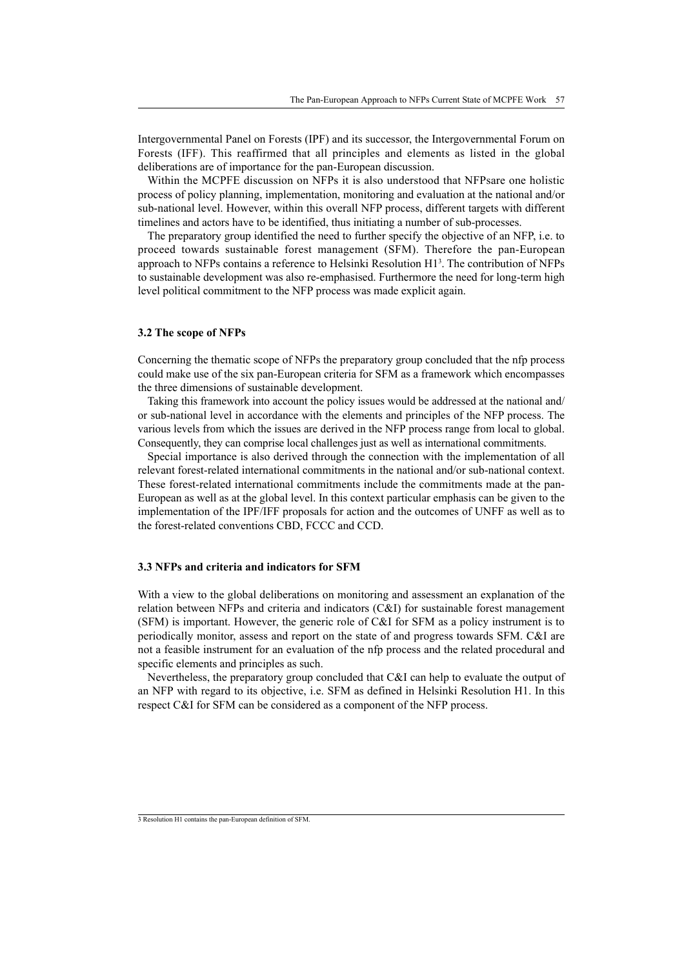Intergovernmental Panel on Forests (IPF) and its successor, the Intergovernmental Forum on Forests (IFF). This reaffirmed that all principles and elements as listed in the global deliberations are of importance for the pan-European discussion.

Within the MCPFE discussion on NFPs it is also understood that NFPsare one holistic process of policy planning, implementation, monitoring and evaluation at the national and/or sub-national level. However, within this overall NFP process, different targets with different timelines and actors have to be identified, thus initiating a number of sub-processes.

The preparatory group identified the need to further specify the objective of an NFP, i.e. to proceed towards sustainable forest management (SFM). Therefore the pan-European approach to NFPs contains a reference to Helsinki Resolution H13 . The contribution of NFPs to sustainable development was also re-emphasised. Furthermore the need for long-term high level political commitment to the NFP process was made explicit again.

## **3.2 The scope of NFPs**

Concerning the thematic scope of NFPs the preparatory group concluded that the nfp process could make use of the six pan-European criteria for SFM as a framework which encompasses the three dimensions of sustainable development.

Taking this framework into account the policy issues would be addressed at the national and/ or sub-national level in accordance with the elements and principles of the NFP process. The various levels from which the issues are derived in the NFP process range from local to global. Consequently, they can comprise local challenges just as well as international commitments.

Special importance is also derived through the connection with the implementation of all relevant forest-related international commitments in the national and/or sub-national context. These forest-related international commitments include the commitments made at the pan-European as well as at the global level. In this context particular emphasis can be given to the implementation of the IPF/IFF proposals for action and the outcomes of UNFF as well as to the forest-related conventions CBD, FCCC and CCD.

#### **3.3 NFPs and criteria and indicators for SFM**

With a view to the global deliberations on monitoring and assessment an explanation of the relation between NFPs and criteria and indicators (C&I) for sustainable forest management (SFM) is important. However, the generic role of C&I for SFM as a policy instrument is to periodically monitor, assess and report on the state of and progress towards SFM. C&I are not a feasible instrument for an evaluation of the nfp process and the related procedural and specific elements and principles as such.

Nevertheless, the preparatory group concluded that C&I can help to evaluate the output of an NFP with regard to its objective, i.e. SFM as defined in Helsinki Resolution H1. In this respect C&I for SFM can be considered as a component of the NFP process.

<sup>3</sup> Resolution H1 contains the pan-European definition of SFM.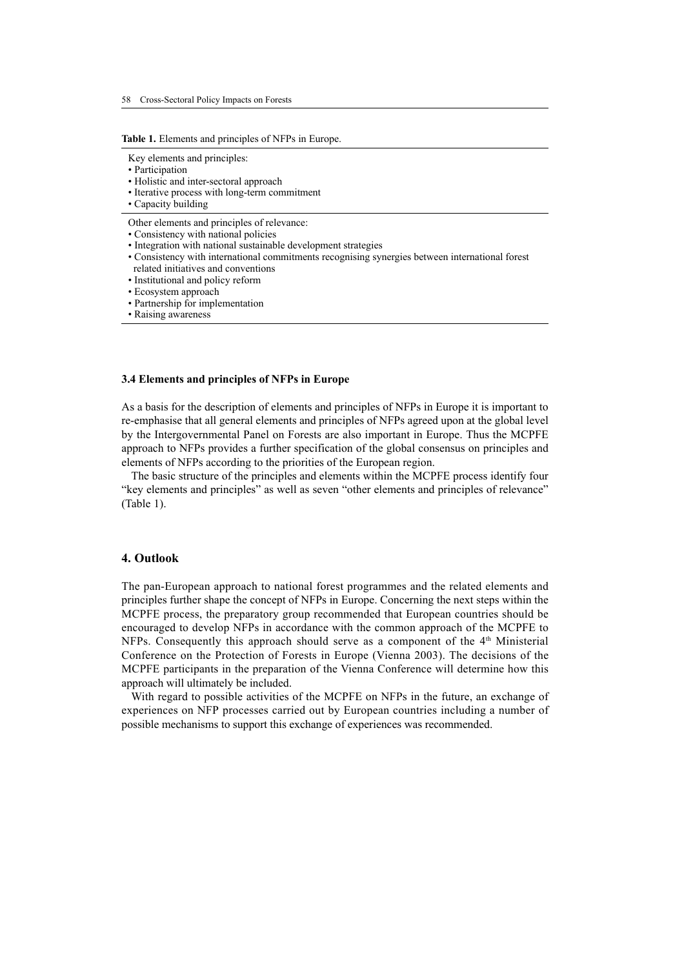#### **Table 1.** Elements and principles of NFPs in Europe.

- Key elements and principles:
- Participation
- Holistic and inter-sectoral approach
- Iterative process with long-term commitment
- Capacity building

Other elements and principles of relevance:

- Consistency with national policies
- Integration with national sustainable development strategies
- Consistency with international commitments recognising synergies between international forest
- related initiatives and conventions
- Institutional and policy reform
- Ecosystem approach
- Partnership for implementation
- Raising awareness

#### **3.4 Elements and principles of NFPs in Europe**

As a basis for the description of elements and principles of NFPs in Europe it is important to re-emphasise that all general elements and principles of NFPs agreed upon at the global level by the Intergovernmental Panel on Forests are also important in Europe. Thus the MCPFE approach to NFPs provides a further specification of the global consensus on principles and elements of NFPs according to the priorities of the European region.

The basic structure of the principles and elements within the MCPFE process identify four "key elements and principles" as well as seven "other elements and principles of relevance" (Table 1).

#### **4. Outlook**

The pan-European approach to national forest programmes and the related elements and principles further shape the concept of NFPs in Europe. Concerning the next steps within the MCPFE process, the preparatory group recommended that European countries should be encouraged to develop NFPs in accordance with the common approach of the MCPFE to NFPs. Consequently this approach should serve as a component of the  $4<sup>th</sup>$  Ministerial Conference on the Protection of Forests in Europe (Vienna 2003). The decisions of the MCPFE participants in the preparation of the Vienna Conference will determine how this approach will ultimately be included.

With regard to possible activities of the MCPFE on NFPs in the future, an exchange of experiences on NFP processes carried out by European countries including a number of possible mechanisms to support this exchange of experiences was recommended.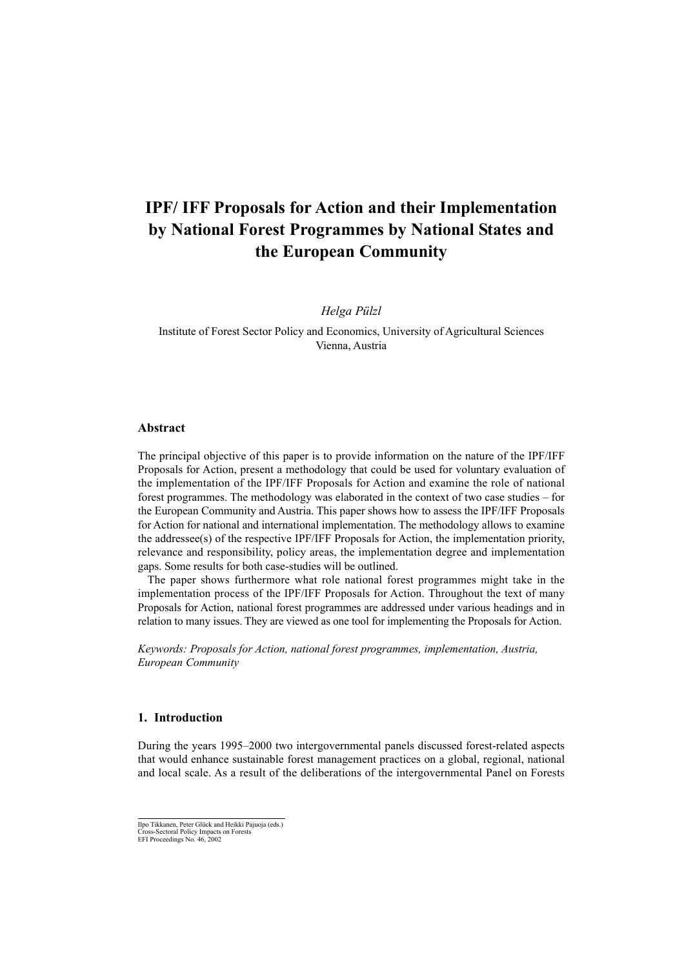# **IPF/ IFF Proposals for Action and their Implementation by National Forest Programmes by National States and the European Community**

*Helga Pülzl*

Institute of Forest Sector Policy and Economics, University of Agricultural Sciences Vienna, Austria

#### **Abstract**

The principal objective of this paper is to provide information on the nature of the IPF/IFF Proposals for Action, present a methodology that could be used for voluntary evaluation of the implementation of the IPF/IFF Proposals for Action and examine the role of national forest programmes. The methodology was elaborated in the context of two case studies – for the European Community and Austria. This paper shows how to assess the IPF/IFF Proposals for Action for national and international implementation. The methodology allows to examine the addressee(s) of the respective IPF/IFF Proposals for Action, the implementation priority, relevance and responsibility, policy areas, the implementation degree and implementation gaps. Some results for both case-studies will be outlined.

The paper shows furthermore what role national forest programmes might take in the implementation process of the IPF/IFF Proposals for Action. Throughout the text of many Proposals for Action, national forest programmes are addressed under various headings and in relation to many issues. They are viewed as one tool for implementing the Proposals for Action.

*Keywords: Proposals for Action, national forest programmes, implementation, Austria, European Community*

## **1. Introduction**

During the years 1995–2000 two intergovernmental panels discussed forest-related aspects that would enhance sustainable forest management practices on a global, regional, national and local scale. As a result of the deliberations of the intergovernmental Panel on Forests

Ilpo Tikkanen, Peter Glück and Heikki Pajuoja (eds.) Cross-Sectoral Policy Impacts on Forests EFI Proceedings No. 46, 2002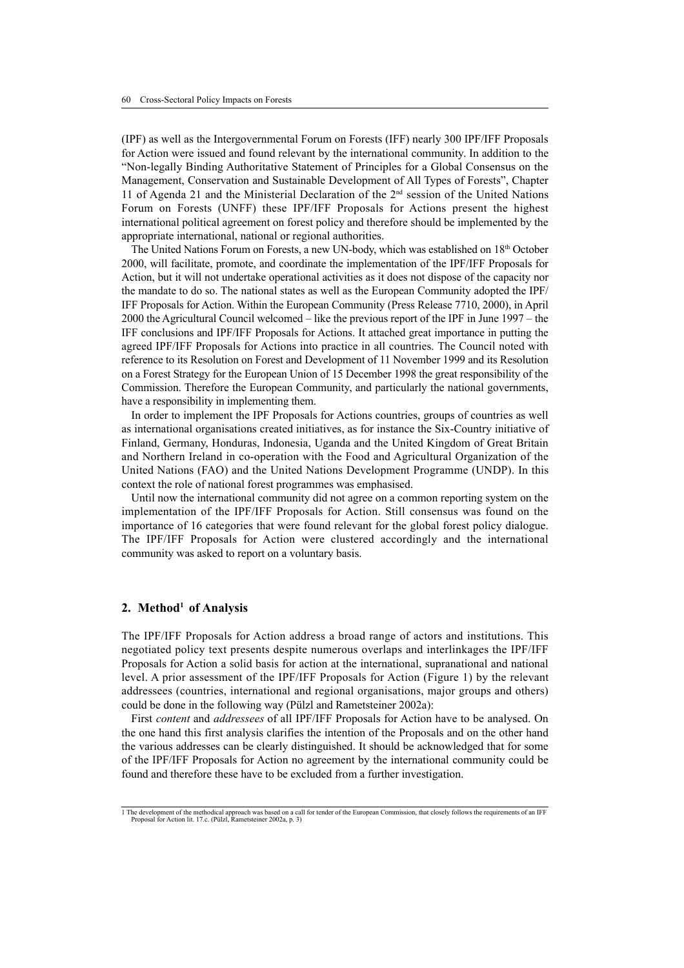(IPF) as well as the Intergovernmental Forum on Forests (IFF) nearly 300 IPF/IFF Proposals for Action were issued and found relevant by the international community. In addition to the "Non-legally Binding Authoritative Statement of Principles for a Global Consensus on the Management, Conservation and Sustainable Development of All Types of Forests", Chapter 11 of Agenda 21 and the Ministerial Declaration of the 2nd session of the United Nations Forum on Forests (UNFF) these IPF/IFF Proposals for Actions present the highest international political agreement on forest policy and therefore should be implemented by the appropriate international, national or regional authorities.

The United Nations Forum on Forests, a new UN-body, which was established on 18th October 2000, will facilitate, promote, and coordinate the implementation of the IPF/IFF Proposals for Action, but it will not undertake operational activities as it does not dispose of the capacity nor the mandate to do so. The national states as well as the European Community adopted the IPF/ IFF Proposals for Action. Within the European Community (Press Release 7710, 2000), in April 2000 the Agricultural Council welcomed – like the previous report of the IPF in June 1997 – the IFF conclusions and IPF/IFF Proposals for Actions. It attached great importance in putting the agreed IPF/IFF Proposals for Actions into practice in all countries. The Council noted with reference to its Resolution on Forest and Development of 11 November 1999 and its Resolution on a Forest Strategy for the European Union of 15 December 1998 the great responsibility of the Commission. Therefore the European Community, and particularly the national governments, have a responsibility in implementing them.

In order to implement the IPF Proposals for Actions countries, groups of countries as well as international organisations created initiatives, as for instance the Six-Country initiative of Finland, Germany, Honduras, Indonesia, Uganda and the United Kingdom of Great Britain and Northern Ireland in co-operation with the Food and Agricultural Organization of the United Nations (FAO) and the United Nations Development Programme (UNDP). In this context the role of national forest programmes was emphasised.

Until now the international community did not agree on a common reporting system on the implementation of the IPF/IFF Proposals for Action. Still consensus was found on the importance of 16 categories that were found relevant for the global forest policy dialogue. The IPF/IFF Proposals for Action were clustered accordingly and the international community was asked to report on a voluntary basis.

## **2. Method1 of Analysis**

The IPF/IFF Proposals for Action address a broad range of actors and institutions. This negotiated policy text presents despite numerous overlaps and interlinkages the IPF/IFF Proposals for Action a solid basis for action at the international, supranational and national level. A prior assessment of the IPF/IFF Proposals for Action (Figure 1) by the relevant addressees (countries, international and regional organisations, major groups and others) could be done in the following way (Pülzl and Rametsteiner 2002a):

First *content* and *addressees* of all IPF/IFF Proposals for Action have to be analysed. On the one hand this first analysis clarifies the intention of the Proposals and on the other hand the various addresses can be clearly distinguished. It should be acknowledged that for some of the IPF/IFF Proposals for Action no agreement by the international community could be found and therefore these have to be excluded from a further investigation.

<sup>1</sup> The development of the methodical approach was based on a call for tender of the European Commission, that closely follows the requirements of an IFF Proposal for Action lit. 17.c. (Pülzl, Rametsteiner 2002a, p. 3)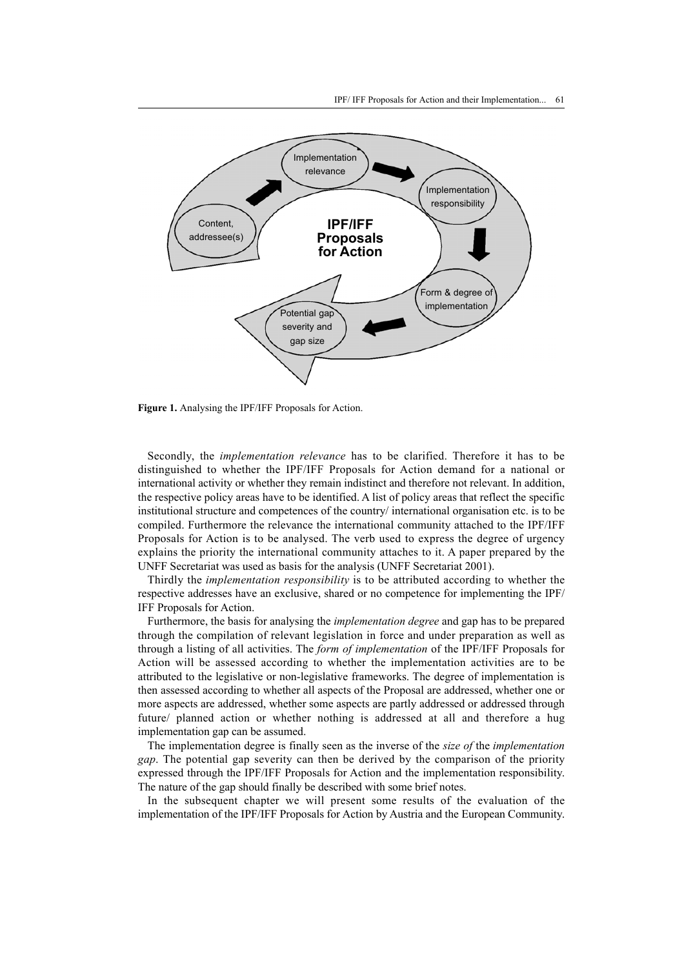

**Figure 1.** Analysing the IPF/IFF Proposals for Action.

Secondly, the *implementation relevance* has to be clarified. Therefore it has to be distinguished to whether the IPF/IFF Proposals for Action demand for a national or international activity or whether they remain indistinct and therefore not relevant. In addition, the respective policy areas have to be identified. A list of policy areas that reflect the specific institutional structure and competences of the country/ international organisation etc. is to be compiled. Furthermore the relevance the international community attached to the IPF/IFF Proposals for Action is to be analysed. The verb used to express the degree of urgency explains the priority the international community attaches to it. A paper prepared by the UNFF Secretariat was used as basis for the analysis (UNFF Secretariat 2001).

Thirdly the *implementation responsibility* is to be attributed according to whether the respective addresses have an exclusive, shared or no competence for implementing the IPF/ IFF Proposals for Action.

Furthermore, the basis for analysing the *implementation degree* and gap has to be prepared through the compilation of relevant legislation in force and under preparation as well as through a listing of all activities. The *form of implementation* of the IPF/IFF Proposals for Action will be assessed according to whether the implementation activities are to be attributed to the legislative or non-legislative frameworks. The degree of implementation is then assessed according to whether all aspects of the Proposal are addressed, whether one or more aspects are addressed, whether some aspects are partly addressed or addressed through future/ planned action or whether nothing is addressed at all and therefore a hug implementation gap can be assumed.

The implementation degree is finally seen as the inverse of the *size of* the *implementation gap*. The potential gap severity can then be derived by the comparison of the priority expressed through the IPF/IFF Proposals for Action and the implementation responsibility. The nature of the gap should finally be described with some brief notes.

In the subsequent chapter we will present some results of the evaluation of the implementation of the IPF/IFF Proposals for Action by Austria and the European Community.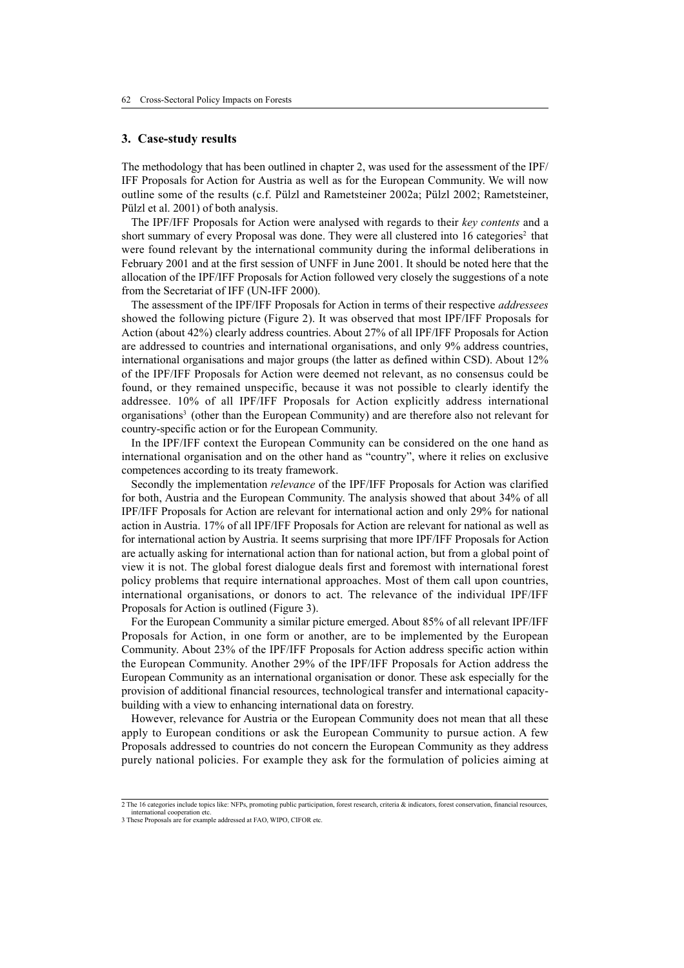#### **3. Case-study results**

The methodology that has been outlined in chapter 2, was used for the assessment of the IPF/ IFF Proposals for Action for Austria as well as for the European Community. We will now outline some of the results (c.f. Pülzl and Rametsteiner 2002a; Pülzl 2002; Rametsteiner, Pülzl et al. 2001) of both analysis.

The IPF/IFF Proposals for Action were analysed with regards to their *key contents* and a short summary of every Proposal was done. They were all clustered into 16 categories<sup>2</sup> that were found relevant by the international community during the informal deliberations in February 2001 and at the first session of UNFF in June 2001. It should be noted here that the allocation of the IPF/IFF Proposals for Action followed very closely the suggestions of a note from the Secretariat of IFF (UN-IFF 2000).

The assessment of the IPF/IFF Proposals for Action in terms of their respective *addressees* showed the following picture (Figure 2). It was observed that most IPF/IFF Proposals for Action (about 42%) clearly address countries. About 27% of all IPF/IFF Proposals for Action are addressed to countries and international organisations, and only 9% address countries, international organisations and major groups (the latter as defined within CSD). About 12% of the IPF/IFF Proposals for Action were deemed not relevant, as no consensus could be found, or they remained unspecific, because it was not possible to clearly identify the addressee. 10% of all IPF/IFF Proposals for Action explicitly address international organisations3 (other than the European Community) and are therefore also not relevant for country-specific action or for the European Community.

In the IPF/IFF context the European Community can be considered on the one hand as international organisation and on the other hand as "country", where it relies on exclusive competences according to its treaty framework.

Secondly the implementation *relevance* of the IPF/IFF Proposals for Action was clarified for both, Austria and the European Community. The analysis showed that about 34% of all IPF/IFF Proposals for Action are relevant for international action and only 29% for national action in Austria. 17% of all IPF/IFF Proposals for Action are relevant for national as well as for international action by Austria. It seems surprising that more IPF/IFF Proposals for Action are actually asking for international action than for national action, but from a global point of view it is not. The global forest dialogue deals first and foremost with international forest policy problems that require international approaches. Most of them call upon countries, international organisations, or donors to act. The relevance of the individual IPF/IFF Proposals for Action is outlined (Figure 3).

For the European Community a similar picture emerged. About 85% of all relevant IPF/IFF Proposals for Action, in one form or another, are to be implemented by the European Community. About 23% of the IPF/IFF Proposals for Action address specific action within the European Community. Another 29% of the IPF/IFF Proposals for Action address the European Community as an international organisation or donor. These ask especially for the provision of additional financial resources, technological transfer and international capacitybuilding with a view to enhancing international data on forestry.

However, relevance for Austria or the European Community does not mean that all these apply to European conditions or ask the European Community to pursue action. A few Proposals addressed to countries do not concern the European Community as they address purely national policies. For example they ask for the formulation of policies aiming at

<sup>2</sup> The 16 categories include topics like: NFPs, promoting public participation, forest research, criteria & indicators, forest conservation, financial resources, nternational cooperation et

<sup>3</sup> These Proposals are for example addressed at FAO, WIPO, CIFOR etc.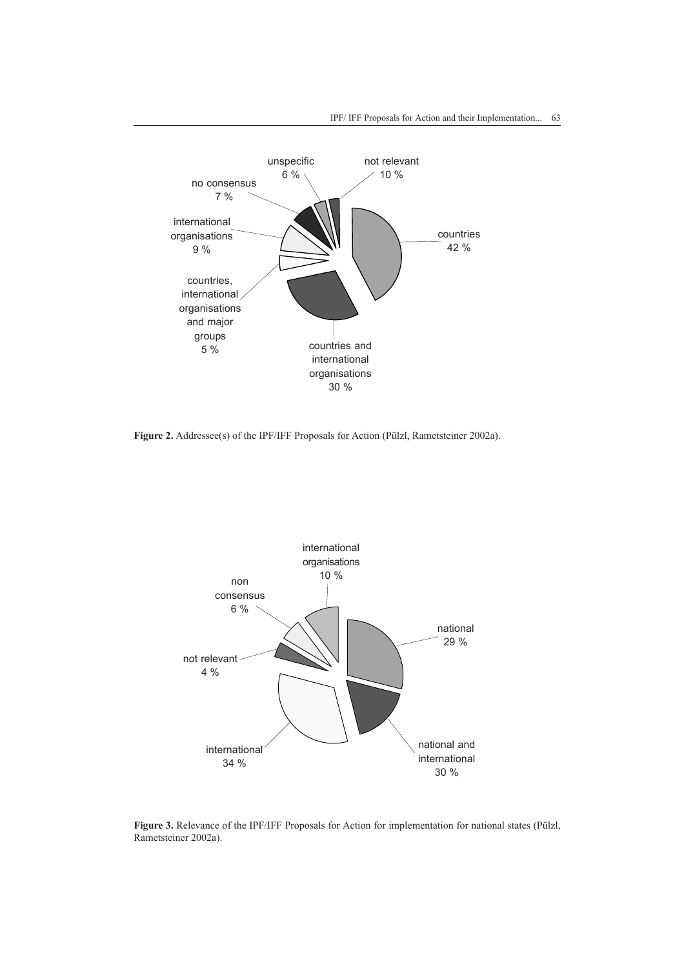

**Figure 2.** Addressee(s) of the IPF/IFF Proposals for Action (Pülzl, Rametsteiner 2002a).



**Figure 3.** Relevance of the IPF/IFF Proposals for Action for implementation for national states (Pülzl, Rametsteiner 2002a).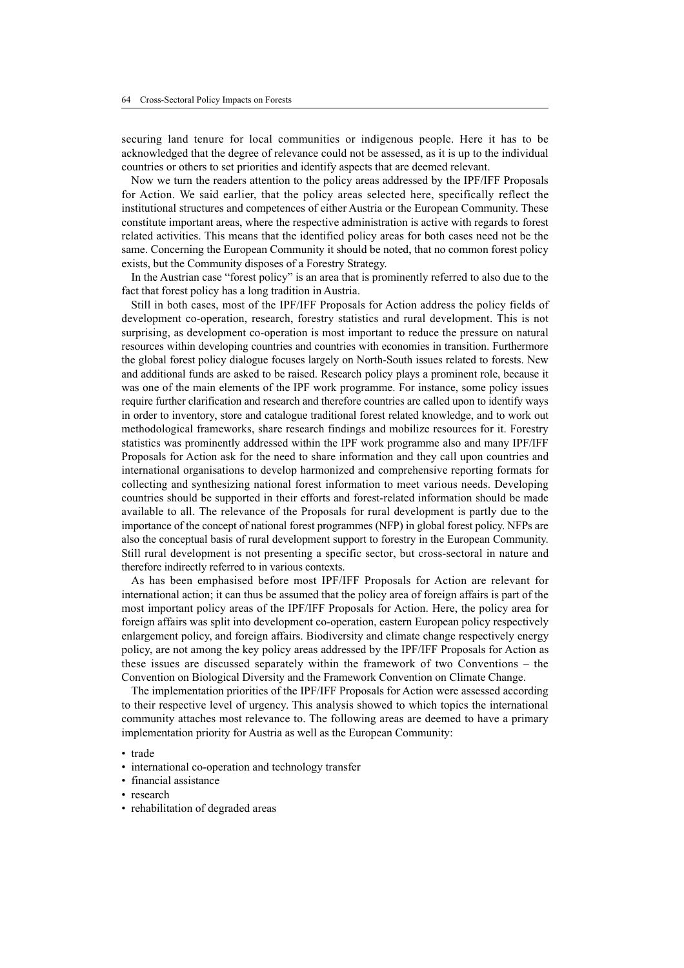securing land tenure for local communities or indigenous people. Here it has to be acknowledged that the degree of relevance could not be assessed, as it is up to the individual countries or others to set priorities and identify aspects that are deemed relevant.

Now we turn the readers attention to the policy areas addressed by the IPF/IFF Proposals for Action. We said earlier, that the policy areas selected here, specifically reflect the institutional structures and competences of either Austria or the European Community. These constitute important areas, where the respective administration is active with regards to forest related activities. This means that the identified policy areas for both cases need not be the same. Concerning the European Community it should be noted, that no common forest policy exists, but the Community disposes of a Forestry Strategy.

In the Austrian case "forest policy" is an area that is prominently referred to also due to the fact that forest policy has a long tradition in Austria.

Still in both cases, most of the IPF/IFF Proposals for Action address the policy fields of development co-operation, research, forestry statistics and rural development. This is not surprising, as development co-operation is most important to reduce the pressure on natural resources within developing countries and countries with economies in transition. Furthermore the global forest policy dialogue focuses largely on North-South issues related to forests. New and additional funds are asked to be raised. Research policy plays a prominent role, because it was one of the main elements of the IPF work programme. For instance, some policy issues require further clarification and research and therefore countries are called upon to identify ways in order to inventory, store and catalogue traditional forest related knowledge, and to work out methodological frameworks, share research findings and mobilize resources for it. Forestry statistics was prominently addressed within the IPF work programme also and many IPF/IFF Proposals for Action ask for the need to share information and they call upon countries and international organisations to develop harmonized and comprehensive reporting formats for collecting and synthesizing national forest information to meet various needs. Developing countries should be supported in their efforts and forest-related information should be made available to all. The relevance of the Proposals for rural development is partly due to the importance of the concept of national forest programmes (NFP) in global forest policy. NFPs are also the conceptual basis of rural development support to forestry in the European Community. Still rural development is not presenting a specific sector, but cross-sectoral in nature and therefore indirectly referred to in various contexts.

As has been emphasised before most IPF/IFF Proposals for Action are relevant for international action; it can thus be assumed that the policy area of foreign affairs is part of the most important policy areas of the IPF/IFF Proposals for Action. Here, the policy area for foreign affairs was split into development co-operation, eastern European policy respectively enlargement policy, and foreign affairs. Biodiversity and climate change respectively energy policy, are not among the key policy areas addressed by the IPF/IFF Proposals for Action as these issues are discussed separately within the framework of two Conventions – the Convention on Biological Diversity and the Framework Convention on Climate Change.

The implementation priorities of the IPF/IFF Proposals for Action were assessed according to their respective level of urgency. This analysis showed to which topics the international community attaches most relevance to. The following areas are deemed to have a primary implementation priority for Austria as well as the European Community:

- international co-operation and technology transfer
- financial assistance
- research
- rehabilitation of degraded areas

<sup>•</sup> trade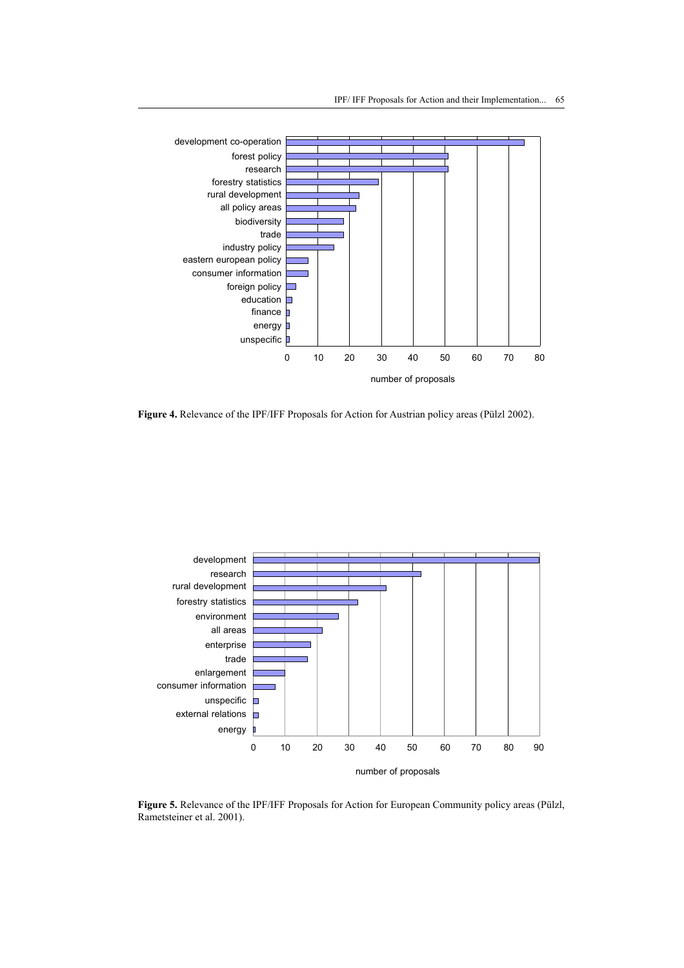

**Figure 4.** Relevance of the IPF/IFF Proposals for Action for Austrian policy areas (Pülzl 2002).



**Figure 5.** Relevance of the IPF/IFF Proposals for Action for European Community policy areas (Pülzl, Rametsteiner et al. 2001).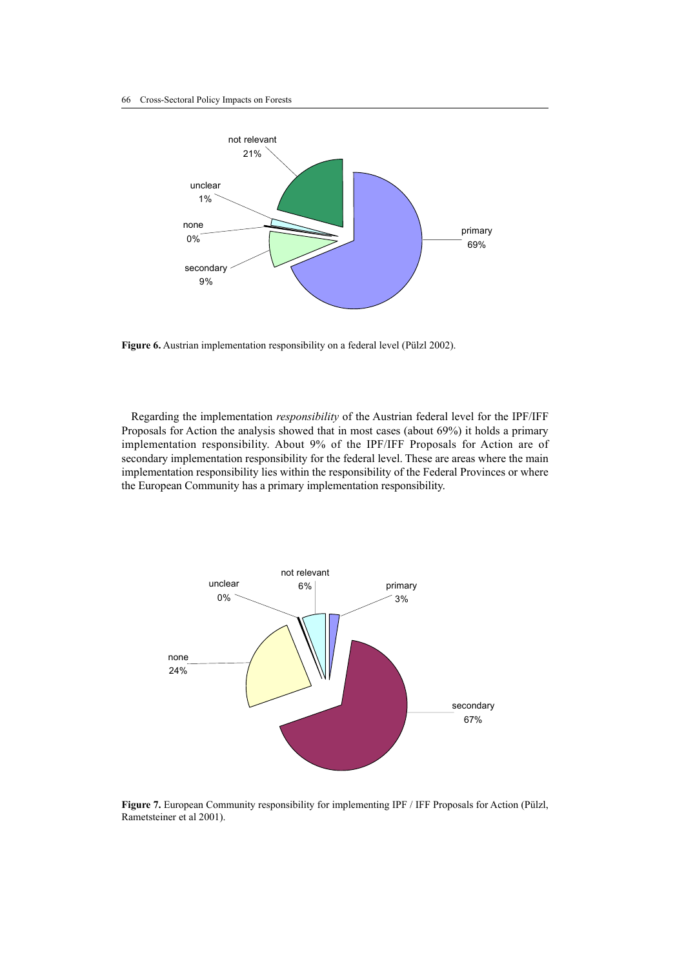

Figure 6. Austrian implementation responsibility on a federal level (Pülzl 2002).

Regarding the implementation *responsibility* of the Austrian federal level for the IPF/IFF Proposals for Action the analysis showed that in most cases (about 69%) it holds a primary implementation responsibility. About 9% of the IPF/IFF Proposals for Action are of secondary implementation responsibility for the federal level. These are areas where the main implementation responsibility lies within the responsibility of the Federal Provinces or where the European Community has a primary implementation responsibility.



**Figure 7.** European Community responsibility for implementing IPF / IFF Proposals for Action (Pülzl, Rametsteiner et al 2001).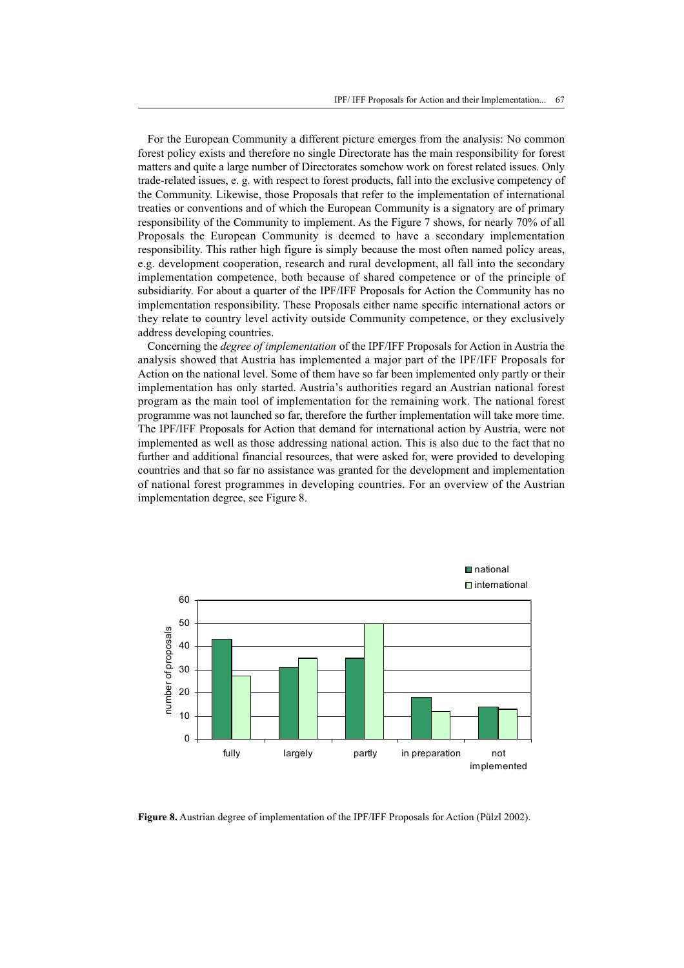For the European Community a different picture emerges from the analysis: No common forest policy exists and therefore no single Directorate has the main responsibility for forest matters and quite a large number of Directorates somehow work on forest related issues. Only trade-related issues, e. g. with respect to forest products, fall into the exclusive competency of the Community. Likewise, those Proposals that refer to the implementation of international treaties or conventions and of which the European Community is a signatory are of primary responsibility of the Community to implement. As the Figure 7 shows, for nearly 70% of all Proposals the European Community is deemed to have a secondary implementation responsibility. This rather high figure is simply because the most often named policy areas, e.g. development cooperation, research and rural development, all fall into the secondary implementation competence, both because of shared competence or of the principle of subsidiarity. For about a quarter of the IPF/IFF Proposals for Action the Community has no implementation responsibility. These Proposals either name specific international actors or they relate to country level activity outside Community competence, or they exclusively address developing countries.

Concerning the *degree of implementation* of the IPF/IFF Proposals for Action in Austria the analysis showed that Austria has implemented a major part of the IPF/IFF Proposals for Action on the national level. Some of them have so far been implemented only partly or their implementation has only started. Austria's authorities regard an Austrian national forest program as the main tool of implementation for the remaining work. The national forest programme was not launched so far, therefore the further implementation will take more time. The IPF/IFF Proposals for Action that demand for international action by Austria, were not implemented as well as those addressing national action. This is also due to the fact that no further and additional financial resources, that were asked for, were provided to developing countries and that so far no assistance was granted for the development and implementation of national forest programmes in developing countries. For an overview of the Austrian implementation degree, see Figure 8.



**Figure 8.** Austrian degree of implementation of the IPF/IFF Proposals for Action (Pülzl 2002).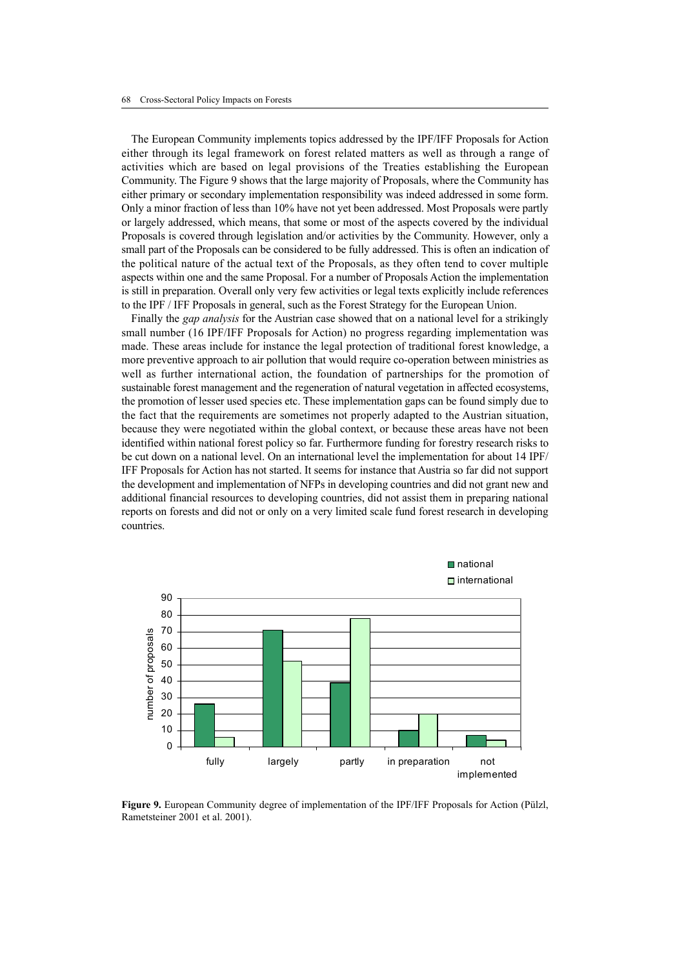The European Community implements topics addressed by the IPF/IFF Proposals for Action either through its legal framework on forest related matters as well as through a range of activities which are based on legal provisions of the Treaties establishing the European Community. The Figure 9 shows that the large majority of Proposals, where the Community has either primary or secondary implementation responsibility was indeed addressed in some form. Only a minor fraction of less than 10% have not yet been addressed. Most Proposals were partly or largely addressed, which means, that some or most of the aspects covered by the individual Proposals is covered through legislation and/or activities by the Community. However, only a small part of the Proposals can be considered to be fully addressed. This is often an indication of the political nature of the actual text of the Proposals, as they often tend to cover multiple aspects within one and the same Proposal. For a number of Proposals Action the implementation is still in preparation. Overall only very few activities or legal texts explicitly include references to the IPF / IFF Proposals in general, such as the Forest Strategy for the European Union.

Finally the *gap analysis* for the Austrian case showed that on a national level for a strikingly small number (16 IPF/IFF Proposals for Action) no progress regarding implementation was made. These areas include for instance the legal protection of traditional forest knowledge, a more preventive approach to air pollution that would require co-operation between ministries as well as further international action, the foundation of partnerships for the promotion of sustainable forest management and the regeneration of natural vegetation in affected ecosystems, the promotion of lesser used species etc. These implementation gaps can be found simply due to the fact that the requirements are sometimes not properly adapted to the Austrian situation, because they were negotiated within the global context, or because these areas have not been identified within national forest policy so far. Furthermore funding for forestry research risks to be cut down on a national level. On an international level the implementation for about 14 IPF/ IFF Proposals for Action has not started. It seems for instance that Austria so far did not support the development and implementation of NFPs in developing countries and did not grant new and additional financial resources to developing countries, did not assist them in preparing national reports on forests and did not or only on a very limited scale fund forest research in developing countries.



**Figure 9.** European Community degree of implementation of the IPF/IFF Proposals for Action (Pülzl, Rametsteiner 2001 et al. 2001).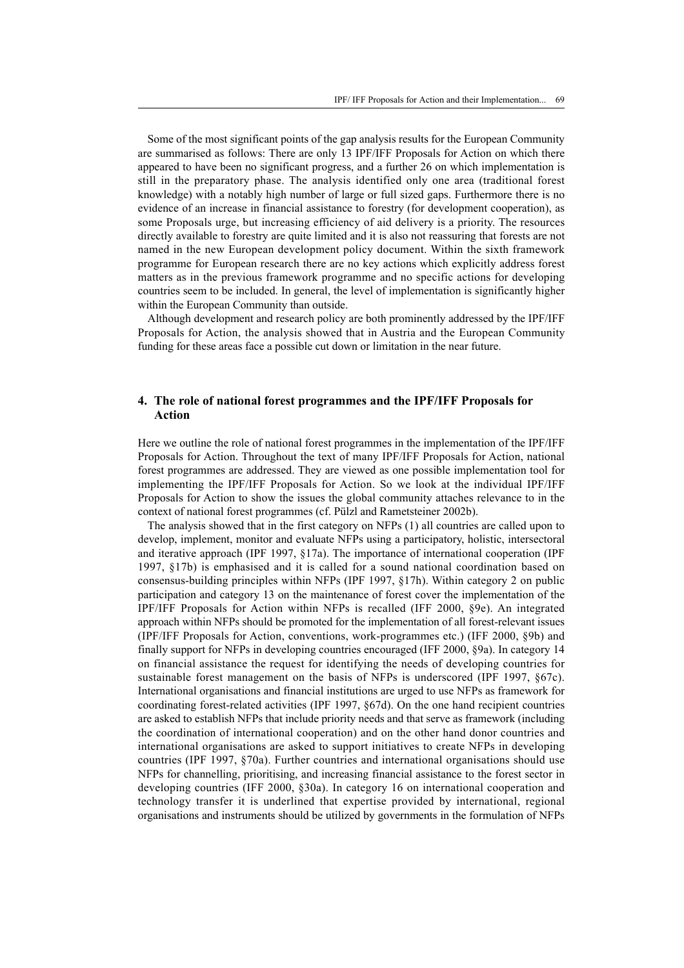Some of the most significant points of the gap analysis results for the European Community are summarised as follows: There are only 13 IPF/IFF Proposals for Action on which there appeared to have been no significant progress, and a further 26 on which implementation is still in the preparatory phase. The analysis identified only one area (traditional forest knowledge) with a notably high number of large or full sized gaps. Furthermore there is no evidence of an increase in financial assistance to forestry (for development cooperation), as some Proposals urge, but increasing efficiency of aid delivery is a priority. The resources directly available to forestry are quite limited and it is also not reassuring that forests are not named in the new European development policy document. Within the sixth framework programme for European research there are no key actions which explicitly address forest matters as in the previous framework programme and no specific actions for developing countries seem to be included. In general, the level of implementation is significantly higher within the European Community than outside.

Although development and research policy are both prominently addressed by the IPF/IFF Proposals for Action, the analysis showed that in Austria and the European Community funding for these areas face a possible cut down or limitation in the near future.

## **4. The role of national forest programmes and the IPF/IFF Proposals for Action**

Here we outline the role of national forest programmes in the implementation of the IPF/IFF Proposals for Action. Throughout the text of many IPF/IFF Proposals for Action, national forest programmes are addressed. They are viewed as one possible implementation tool for implementing the IPF/IFF Proposals for Action. So we look at the individual IPF/IFF Proposals for Action to show the issues the global community attaches relevance to in the context of national forest programmes (cf. Pülzl and Rametsteiner 2002b).

The analysis showed that in the first category on NFPs (1) all countries are called upon to develop, implement, monitor and evaluate NFPs using a participatory, holistic, intersectoral and iterative approach (IPF 1997, §17a). The importance of international cooperation (IPF 1997, §17b) is emphasised and it is called for a sound national coordination based on consensus-building principles within NFPs (IPF 1997, §17h). Within category 2 on public participation and category 13 on the maintenance of forest cover the implementation of the IPF/IFF Proposals for Action within NFPs is recalled (IFF 2000, §9e). An integrated approach within NFPs should be promoted for the implementation of all forest-relevant issues (IPF/IFF Proposals for Action, conventions, work-programmes etc.) (IFF 2000, §9b) and finally support for NFPs in developing countries encouraged (IFF 2000, §9a). In category 14 on financial assistance the request for identifying the needs of developing countries for sustainable forest management on the basis of NFPs is underscored (IPF 1997, §67c). International organisations and financial institutions are urged to use NFPs as framework for coordinating forest-related activities (IPF 1997, §67d). On the one hand recipient countries are asked to establish NFPs that include priority needs and that serve as framework (including the coordination of international cooperation) and on the other hand donor countries and international organisations are asked to support initiatives to create NFPs in developing countries (IPF 1997, §70a). Further countries and international organisations should use NFPs for channelling, prioritising, and increasing financial assistance to the forest sector in developing countries (IFF 2000, §30a). In category 16 on international cooperation and technology transfer it is underlined that expertise provided by international, regional organisations and instruments should be utilized by governments in the formulation of NFPs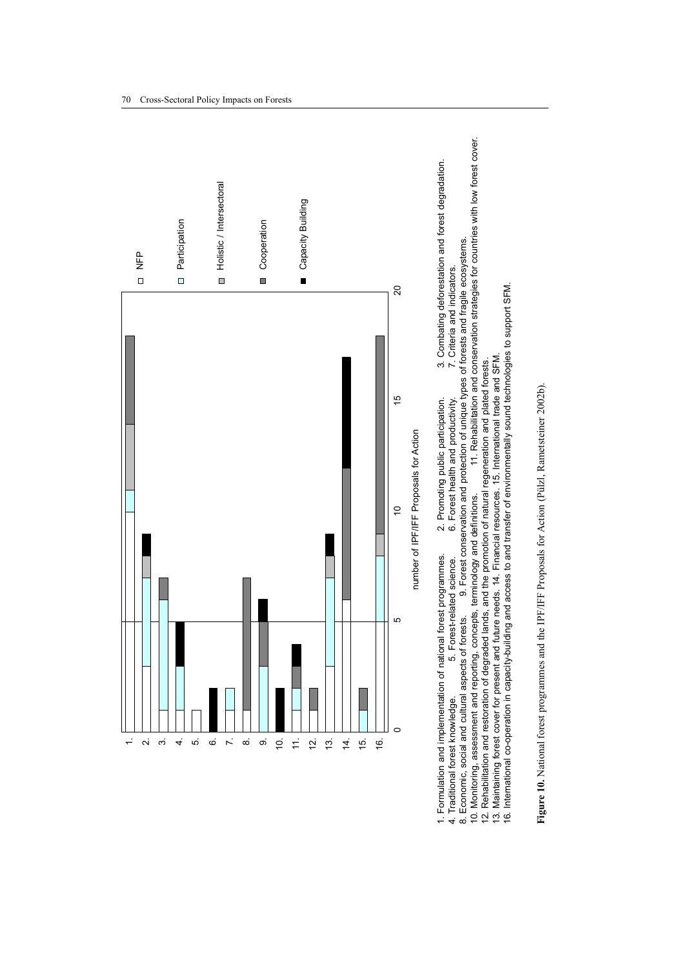

**Figure 10.** National forest programmes and the IPF/IFF Proposals for Action (Pülzl, Rametsteiner 2002b). Figure 10. National forest programmes and the IPF/IFF Proposals for Action (Pülzl, Rametsteiner 2002b).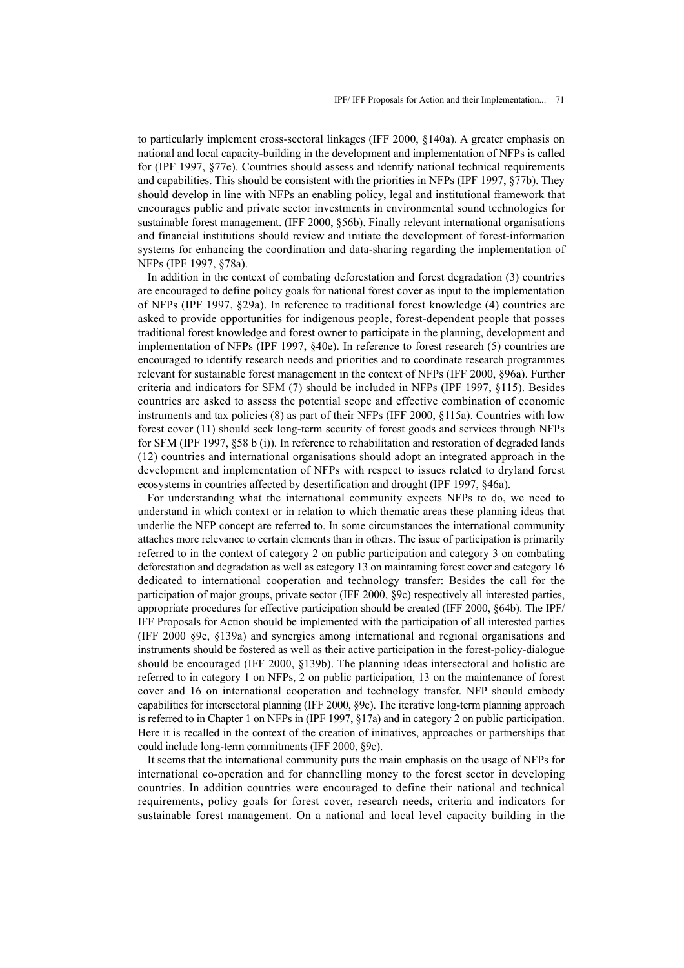to particularly implement cross-sectoral linkages (IFF 2000, §140a). A greater emphasis on national and local capacity-building in the development and implementation of NFPs is called for (IPF 1997, §77e). Countries should assess and identify national technical requirements and capabilities. This should be consistent with the priorities in NFPs (IPF 1997, §77b). They should develop in line with NFPs an enabling policy, legal and institutional framework that encourages public and private sector investments in environmental sound technologies for sustainable forest management. (IFF 2000, §56b). Finally relevant international organisations and financial institutions should review and initiate the development of forest-information systems for enhancing the coordination and data-sharing regarding the implementation of NFPs (IPF 1997, §78a).

In addition in the context of combating deforestation and forest degradation (3) countries are encouraged to define policy goals for national forest cover as input to the implementation of NFPs (IPF 1997, §29a). In reference to traditional forest knowledge (4) countries are asked to provide opportunities for indigenous people, forest-dependent people that posses traditional forest knowledge and forest owner to participate in the planning, development and implementation of NFPs (IPF 1997, §40e). In reference to forest research (5) countries are encouraged to identify research needs and priorities and to coordinate research programmes relevant for sustainable forest management in the context of NFPs (IFF 2000, §96a). Further criteria and indicators for SFM (7) should be included in NFPs (IPF 1997, §115). Besides countries are asked to assess the potential scope and effective combination of economic instruments and tax policies (8) as part of their NFPs (IFF 2000, §115a). Countries with low forest cover (11) should seek long-term security of forest goods and services through NFPs for SFM (IPF 1997, §58 b (i)). In reference to rehabilitation and restoration of degraded lands (12) countries and international organisations should adopt an integrated approach in the development and implementation of NFPs with respect to issues related to dryland forest ecosystems in countries affected by desertification and drought (IPF 1997, §46a).

For understanding what the international community expects NFPs to do, we need to understand in which context or in relation to which thematic areas these planning ideas that underlie the NFP concept are referred to. In some circumstances the international community attaches more relevance to certain elements than in others. The issue of participation is primarily referred to in the context of category 2 on public participation and category 3 on combating deforestation and degradation as well as category 13 on maintaining forest cover and category 16 dedicated to international cooperation and technology transfer: Besides the call for the participation of major groups, private sector (IFF 2000, §9c) respectively all interested parties, appropriate procedures for effective participation should be created (IFF 2000, §64b). The IPF/ IFF Proposals for Action should be implemented with the participation of all interested parties (IFF 2000 §9e, §139a) and synergies among international and regional organisations and instruments should be fostered as well as their active participation in the forest-policy-dialogue should be encouraged (IFF 2000, §139b). The planning ideas intersectoral and holistic are referred to in category 1 on NFPs, 2 on public participation, 13 on the maintenance of forest cover and 16 on international cooperation and technology transfer. NFP should embody capabilities for intersectoral planning (IFF 2000, §9e). The iterative long-term planning approach is referred to in Chapter 1 on NFPs in (IPF 1997, §17a) and in category 2 on public participation. Here it is recalled in the context of the creation of initiatives, approaches or partnerships that could include long-term commitments (IFF 2000, §9c).

It seems that the international community puts the main emphasis on the usage of NFPs for international co-operation and for channelling money to the forest sector in developing countries. In addition countries were encouraged to define their national and technical requirements, policy goals for forest cover, research needs, criteria and indicators for sustainable forest management. On a national and local level capacity building in the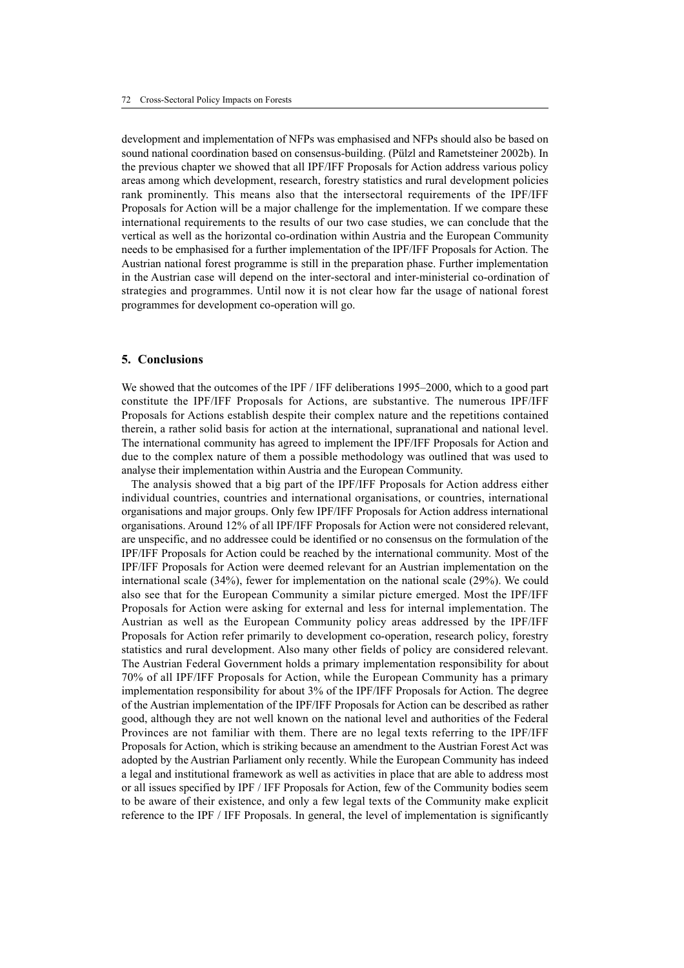development and implementation of NFPs was emphasised and NFPs should also be based on sound national coordination based on consensus-building. (Pülzl and Rametsteiner 2002b). In the previous chapter we showed that all IPF/IFF Proposals for Action address various policy areas among which development, research, forestry statistics and rural development policies rank prominently. This means also that the intersectoral requirements of the IPF/IFF Proposals for Action will be a major challenge for the implementation. If we compare these international requirements to the results of our two case studies, we can conclude that the vertical as well as the horizontal co-ordination within Austria and the European Community needs to be emphasised for a further implementation of the IPF/IFF Proposals for Action. The Austrian national forest programme is still in the preparation phase. Further implementation in the Austrian case will depend on the inter-sectoral and inter-ministerial co-ordination of strategies and programmes. Until now it is not clear how far the usage of national forest programmes for development co-operation will go.

## **5. Conclusions**

We showed that the outcomes of the IPF / IFF deliberations 1995–2000, which to a good part constitute the IPF/IFF Proposals for Actions, are substantive. The numerous IPF/IFF Proposals for Actions establish despite their complex nature and the repetitions contained therein, a rather solid basis for action at the international, supranational and national level. The international community has agreed to implement the IPF/IFF Proposals for Action and due to the complex nature of them a possible methodology was outlined that was used to analyse their implementation within Austria and the European Community.

The analysis showed that a big part of the IPF/IFF Proposals for Action address either individual countries, countries and international organisations, or countries, international organisations and major groups. Only few IPF/IFF Proposals for Action address international organisations. Around 12% of all IPF/IFF Proposals for Action were not considered relevant, are unspecific, and no addressee could be identified or no consensus on the formulation of the IPF/IFF Proposals for Action could be reached by the international community. Most of the IPF/IFF Proposals for Action were deemed relevant for an Austrian implementation on the international scale (34%), fewer for implementation on the national scale (29%). We could also see that for the European Community a similar picture emerged. Most the IPF/IFF Proposals for Action were asking for external and less for internal implementation. The Austrian as well as the European Community policy areas addressed by the IPF/IFF Proposals for Action refer primarily to development co-operation, research policy, forestry statistics and rural development. Also many other fields of policy are considered relevant. The Austrian Federal Government holds a primary implementation responsibility for about 70% of all IPF/IFF Proposals for Action, while the European Community has a primary implementation responsibility for about 3% of the IPF/IFF Proposals for Action. The degree of the Austrian implementation of the IPF/IFF Proposals for Action can be described as rather good, although they are not well known on the national level and authorities of the Federal Provinces are not familiar with them. There are no legal texts referring to the IPF/IFF Proposals for Action, which is striking because an amendment to the Austrian Forest Act was adopted by the Austrian Parliament only recently. While the European Community has indeed a legal and institutional framework as well as activities in place that are able to address most or all issues specified by IPF / IFF Proposals for Action, few of the Community bodies seem to be aware of their existence, and only a few legal texts of the Community make explicit reference to the IPF / IFF Proposals. In general, the level of implementation is significantly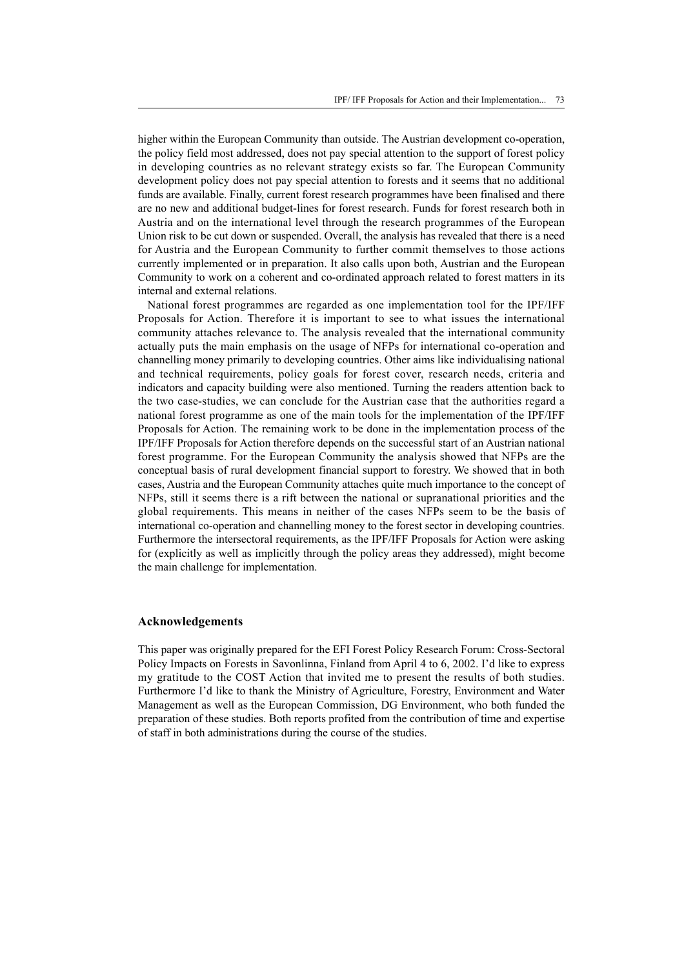higher within the European Community than outside. The Austrian development co-operation, the policy field most addressed, does not pay special attention to the support of forest policy in developing countries as no relevant strategy exists so far. The European Community development policy does not pay special attention to forests and it seems that no additional funds are available. Finally, current forest research programmes have been finalised and there are no new and additional budget-lines for forest research. Funds for forest research both in Austria and on the international level through the research programmes of the European Union risk to be cut down or suspended. Overall, the analysis has revealed that there is a need for Austria and the European Community to further commit themselves to those actions currently implemented or in preparation. It also calls upon both, Austrian and the European Community to work on a coherent and co-ordinated approach related to forest matters in its internal and external relations.

National forest programmes are regarded as one implementation tool for the IPF/IFF Proposals for Action. Therefore it is important to see to what issues the international community attaches relevance to. The analysis revealed that the international community actually puts the main emphasis on the usage of NFPs for international co-operation and channelling money primarily to developing countries. Other aims like individualising national and technical requirements, policy goals for forest cover, research needs, criteria and indicators and capacity building were also mentioned. Turning the readers attention back to the two case-studies, we can conclude for the Austrian case that the authorities regard a national forest programme as one of the main tools for the implementation of the IPF/IFF Proposals for Action. The remaining work to be done in the implementation process of the IPF/IFF Proposals for Action therefore depends on the successful start of an Austrian national forest programme. For the European Community the analysis showed that NFPs are the conceptual basis of rural development financial support to forestry. We showed that in both cases, Austria and the European Community attaches quite much importance to the concept of NFPs, still it seems there is a rift between the national or supranational priorities and the global requirements. This means in neither of the cases NFPs seem to be the basis of international co-operation and channelling money to the forest sector in developing countries. Furthermore the intersectoral requirements, as the IPF/IFF Proposals for Action were asking for (explicitly as well as implicitly through the policy areas they addressed), might become the main challenge for implementation.

## **Acknowledgements**

This paper was originally prepared for the EFI Forest Policy Research Forum: Cross-Sectoral Policy Impacts on Forests in Savonlinna, Finland from April 4 to 6, 2002. I'd like to express my gratitude to the COST Action that invited me to present the results of both studies. Furthermore I'd like to thank the Ministry of Agriculture, Forestry, Environment and Water Management as well as the European Commission, DG Environment, who both funded the preparation of these studies. Both reports profited from the contribution of time and expertise of staff in both administrations during the course of the studies.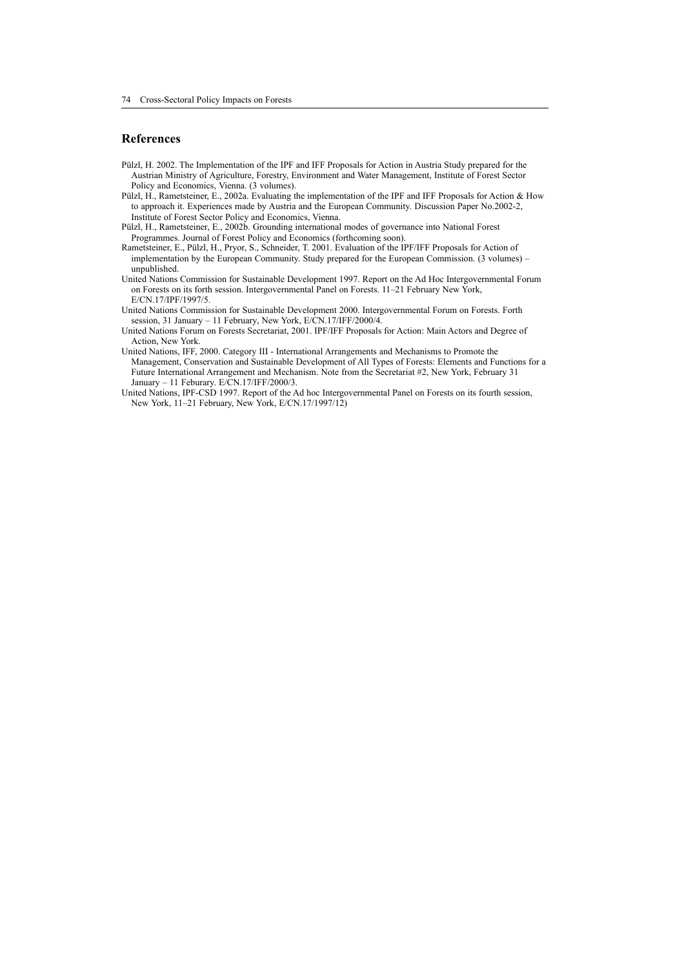## **References**

- Pülzl, H. 2002. The Implementation of the IPF and IFF Proposals for Action in Austria Study prepared for the Austrian Ministry of Agriculture, Forestry, Environment and Water Management, Institute of Forest Sector Policy and Economics, Vienna. (3 volumes).
- Pülzl, H., Rametsteiner, E., 2002a. Evaluating the implementation of the IPF and IFF Proposals for Action & How to approach it. Experiences made by Austria and the European Community. Discussion Paper No.2002-2, Institute of Forest Sector Policy and Economics, Vienna.
- Pülzl, H., Rametsteiner, E., 2002b. Grounding international modes of governance into National Forest Programmes. Journal of Forest Policy and Economics (forthcoming soon).
- Rametsteiner, E., Pülzl, H., Pryor, S., Schneider, T. 2001. Evaluation of the IPF/IFF Proposals for Action of implementation by the European Community. Study prepared for the European Commission. (3 volumes) – unpublished.
- United Nations Commission for Sustainable Development 1997. Report on the Ad Hoc Intergovernmental Forum on Forests on its forth session. Intergovernmental Panel on Forests. 11–21 February New York, E/CN.17/IPF/1997/5.
- United Nations Commission for Sustainable Development 2000. Intergovernmental Forum on Forests. Forth session, 31 January – 11 February, New York, E/CN.17/IFF/2000/4.
- United Nations Forum on Forests Secretariat, 2001. IPF/IFF Proposals for Action: Main Actors and Degree of Action, New York.
- United Nations, IFF, 2000. Category III International Arrangements and Mechanisms to Promote the Management, Conservation and Sustainable Development of All Types of Forests: Elements and Functions for a Future International Arrangement and Mechanism. Note from the Secretariat #2, New York, February 31 January – 11 Feburary. E/CN.17/IFF/2000/3.
- United Nations, IPF-CSD 1997. Report of the Ad hoc Intergovernmental Panel on Forests on its fourth session, New York, 11–21 February, New York, E/CN.17/1997/12)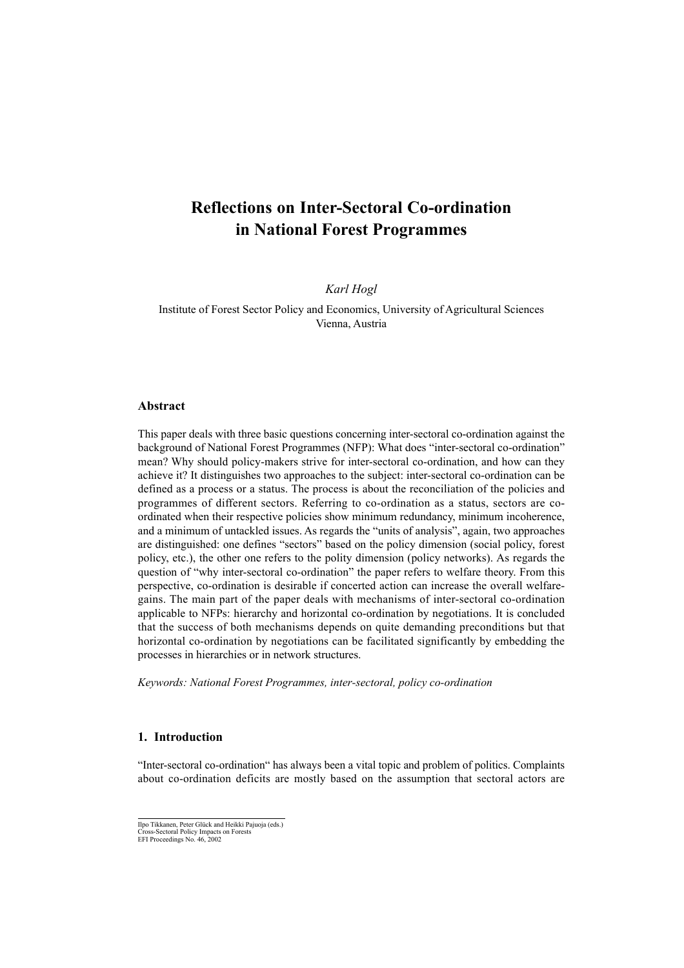# **Reflections on Inter-Sectoral Co-ordination in National Forest Programmes**

*Karl Hogl*

Institute of Forest Sector Policy and Economics, University of Agricultural Sciences Vienna, Austria

#### **Abstract**

This paper deals with three basic questions concerning inter-sectoral co-ordination against the background of National Forest Programmes (NFP): What does "inter-sectoral co-ordination" mean? Why should policy-makers strive for inter-sectoral co-ordination, and how can they achieve it? It distinguishes two approaches to the subject: inter-sectoral co-ordination can be defined as a process or a status. The process is about the reconciliation of the policies and programmes of different sectors. Referring to co-ordination as a status, sectors are coordinated when their respective policies show minimum redundancy, minimum incoherence, and a minimum of untackled issues. As regards the "units of analysis", again, two approaches are distinguished: one defines "sectors" based on the policy dimension (social policy, forest policy, etc.), the other one refers to the polity dimension (policy networks). As regards the question of "why inter-sectoral co-ordination" the paper refers to welfare theory. From this perspective, co-ordination is desirable if concerted action can increase the overall welfaregains. The main part of the paper deals with mechanisms of inter-sectoral co-ordination applicable to NFPs: hierarchy and horizontal co-ordination by negotiations. It is concluded that the success of both mechanisms depends on quite demanding preconditions but that horizontal co-ordination by negotiations can be facilitated significantly by embedding the processes in hierarchies or in network structures.

*Keywords: National Forest Programmes, inter-sectoral, policy co-ordination*

## **1. Introduction**

"Inter-sectoral co-ordination" has always been a vital topic and problem of politics. Complaints about co-ordination deficits are mostly based on the assumption that sectoral actors are

Ilpo Tikkanen, Peter Glück and Heikki Pajuoja (eds.) Cross-Sectoral Policy Impacts on Forests EFI Proceedings No. 46, 2002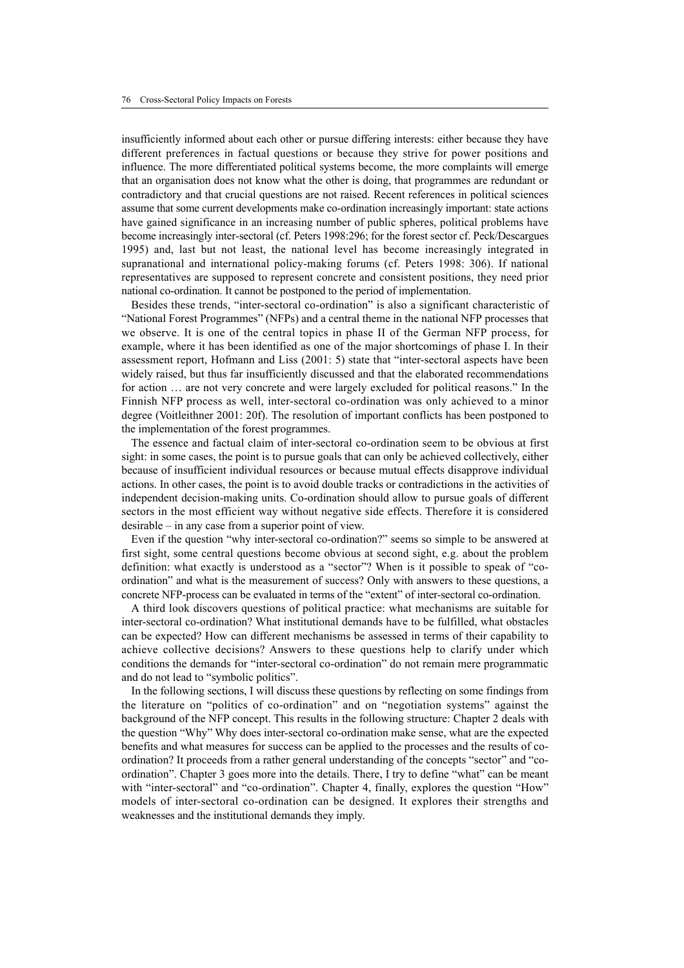insufficiently informed about each other or pursue differing interests: either because they have different preferences in factual questions or because they strive for power positions and influence. The more differentiated political systems become, the more complaints will emerge that an organisation does not know what the other is doing, that programmes are redundant or contradictory and that crucial questions are not raised. Recent references in political sciences assume that some current developments make co-ordination increasingly important: state actions have gained significance in an increasing number of public spheres, political problems have become increasingly inter-sectoral (cf. Peters 1998:296; for the forest sector cf. Peck/Descargues 1995) and, last but not least, the national level has become increasingly integrated in supranational and international policy-making forums (cf. Peters 1998: 306). If national representatives are supposed to represent concrete and consistent positions, they need prior national co-ordination. It cannot be postponed to the period of implementation.

Besides these trends, "inter-sectoral co-ordination" is also a significant characteristic of "National Forest Programmes" (NFPs) and a central theme in the national NFP processes that we observe. It is one of the central topics in phase II of the German NFP process, for example, where it has been identified as one of the major shortcomings of phase I. In their assessment report, Hofmann and Liss (2001: 5) state that "inter-sectoral aspects have been widely raised, but thus far insufficiently discussed and that the elaborated recommendations for action … are not very concrete and were largely excluded for political reasons." In the Finnish NFP process as well, inter-sectoral co-ordination was only achieved to a minor degree (Voitleithner 2001: 20f). The resolution of important conflicts has been postponed to the implementation of the forest programmes.

The essence and factual claim of inter-sectoral co-ordination seem to be obvious at first sight: in some cases, the point is to pursue goals that can only be achieved collectively, either because of insufficient individual resources or because mutual effects disapprove individual actions. In other cases, the point is to avoid double tracks or contradictions in the activities of independent decision-making units. Co-ordination should allow to pursue goals of different sectors in the most efficient way without negative side effects. Therefore it is considered desirable – in any case from a superior point of view.

Even if the question "why inter-sectoral co-ordination?" seems so simple to be answered at first sight, some central questions become obvious at second sight, e.g. about the problem definition: what exactly is understood as a "sector"? When is it possible to speak of "coordination" and what is the measurement of success? Only with answers to these questions, a concrete NFP-process can be evaluated in terms of the "extent" of inter-sectoral co-ordination.

A third look discovers questions of political practice: what mechanisms are suitable for inter-sectoral co-ordination? What institutional demands have to be fulfilled, what obstacles can be expected? How can different mechanisms be assessed in terms of their capability to achieve collective decisions? Answers to these questions help to clarify under which conditions the demands for "inter-sectoral co-ordination" do not remain mere programmatic and do not lead to "symbolic politics".

In the following sections, I will discuss these questions by reflecting on some findings from the literature on "politics of co-ordination" and on "negotiation systems" against the background of the NFP concept. This results in the following structure: Chapter 2 deals with the question "Why" Why does inter-sectoral co-ordination make sense, what are the expected benefits and what measures for success can be applied to the processes and the results of coordination? It proceeds from a rather general understanding of the concepts "sector" and "coordination". Chapter 3 goes more into the details. There, I try to define "what" can be meant with "inter-sectoral" and "co-ordination". Chapter 4, finally, explores the question "How" models of inter-sectoral co-ordination can be designed. It explores their strengths and weaknesses and the institutional demands they imply.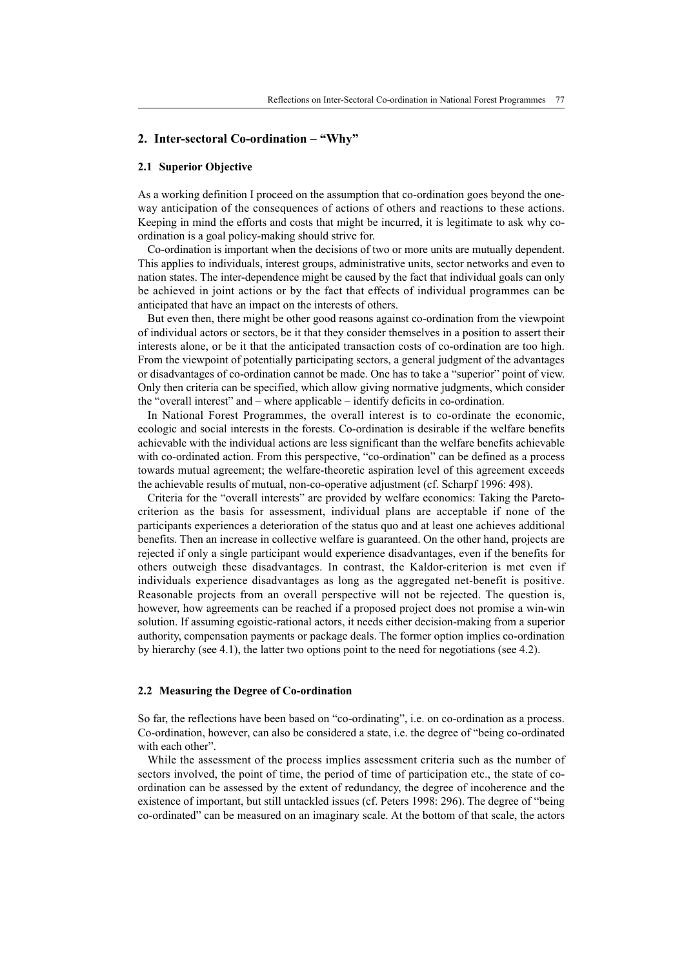## **2. Inter-sectoral Co-ordination – "Why"**

#### **2.1 Superior Objective**

As a working definition I proceed on the assumption that co-ordination goes beyond the oneway anticipation of the consequences of actions of others and reactions to these actions. Keeping in mind the efforts and costs that might be incurred, it is legitimate to ask why coordination is a goal policy-making should strive for.

Co-ordination is important when the decisions of two or more units are mutually dependent. This applies to individuals, interest groups, administrative units, sector networks and even to nation states. The inter-dependence might be caused by the fact that individual goals can only be achieved in joint actions or by the fact that effects of individual programmes can be anticipated that have an impact on the interests of others.

But even then, there might be other good reasons against co-ordination from the viewpoint of individual actors or sectors, be it that they consider themselves in a position to assert their interests alone, or be it that the anticipated transaction costs of co-ordination are too high. From the viewpoint of potentially participating sectors, a general judgment of the advantages or disadvantages of co-ordination cannot be made. One has to take a "superior" point of view. Only then criteria can be specified, which allow giving normative judgments, which consider the "overall interest" and – where applicable – identify deficits in co-ordination.

In National Forest Programmes, the overall interest is to co-ordinate the economic, ecologic and social interests in the forests. Co-ordination is desirable if the welfare benefits achievable with the individual actions are less significant than the welfare benefits achievable with co-ordinated action. From this perspective, "co-ordination" can be defined as a process towards mutual agreement; the welfare-theoretic aspiration level of this agreement exceeds the achievable results of mutual, non-co-operative adjustment (cf. Scharpf 1996: 498).

Criteria for the "overall interests" are provided by welfare economics: Taking the Paretocriterion as the basis for assessment, individual plans are acceptable if none of the participants experiences a deterioration of the status quo and at least one achieves additional benefits. Then an increase in collective welfare is guaranteed. On the other hand, projects are rejected if only a single participant would experience disadvantages, even if the benefits for others outweigh these disadvantages. In contrast, the Kaldor-criterion is met even if individuals experience disadvantages as long as the aggregated net-benefit is positive. Reasonable projects from an overall perspective will not be rejected. The question is, however, how agreements can be reached if a proposed project does not promise a win-win solution. If assuming egoistic-rational actors, it needs either decision-making from a superior authority, compensation payments or package deals. The former option implies co-ordination by hierarchy (see 4.1), the latter two options point to the need for negotiations (see 4.2).

#### **2.2 Measuring the Degree of Co-ordination**

So far, the reflections have been based on "co-ordinating", i.e. on co-ordination as a process. Co-ordination, however, can also be considered a state, i.e. the degree of "being co-ordinated with each other".

While the assessment of the process implies assessment criteria such as the number of sectors involved, the point of time, the period of time of participation etc., the state of coordination can be assessed by the extent of redundancy, the degree of incoherence and the existence of important, but still untackled issues (cf. Peters 1998: 296). The degree of "being co-ordinated" can be measured on an imaginary scale. At the bottom of that scale, the actors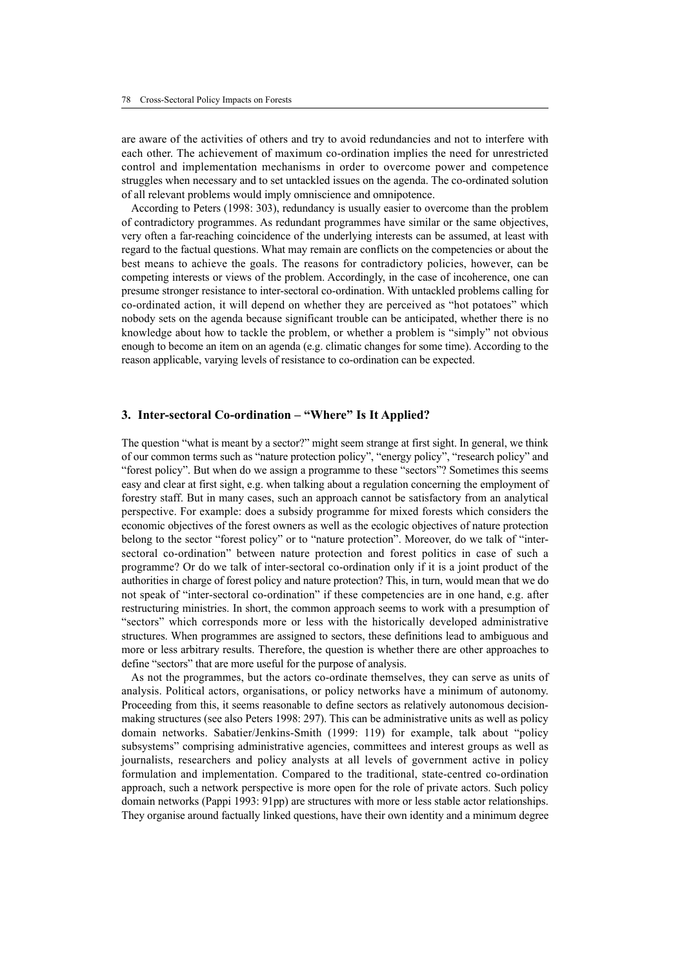are aware of the activities of others and try to avoid redundancies and not to interfere with each other. The achievement of maximum co-ordination implies the need for unrestricted control and implementation mechanisms in order to overcome power and competence struggles when necessary and to set untackled issues on the agenda. The co-ordinated solution of all relevant problems would imply omniscience and omnipotence.

According to Peters (1998: 303), redundancy is usually easier to overcome than the problem of contradictory programmes. As redundant programmes have similar or the same objectives, very often a far-reaching coincidence of the underlying interests can be assumed, at least with regard to the factual questions. What may remain are conflicts on the competencies or about the best means to achieve the goals. The reasons for contradictory policies, however, can be competing interests or views of the problem. Accordingly, in the case of incoherence, one can presume stronger resistance to inter-sectoral co-ordination. With untackled problems calling for co-ordinated action, it will depend on whether they are perceived as "hot potatoes" which nobody sets on the agenda because significant trouble can be anticipated, whether there is no knowledge about how to tackle the problem, or whether a problem is "simply" not obvious enough to become an item on an agenda (e.g. climatic changes for some time). According to the reason applicable, varying levels of resistance to co-ordination can be expected.

## **3. Inter-sectoral Co-ordination – "Where" Is It Applied?**

The question "what is meant by a sector?" might seem strange at first sight. In general, we think of our common terms such as "nature protection policy", "energy policy", "research policy" and "forest policy". But when do we assign a programme to these "sectors"? Sometimes this seems easy and clear at first sight, e.g. when talking about a regulation concerning the employment of forestry staff. But in many cases, such an approach cannot be satisfactory from an analytical perspective. For example: does a subsidy programme for mixed forests which considers the economic objectives of the forest owners as well as the ecologic objectives of nature protection belong to the sector "forest policy" or to "nature protection". Moreover, do we talk of "intersectoral co-ordination" between nature protection and forest politics in case of such a programme? Or do we talk of inter-sectoral co-ordination only if it is a joint product of the authorities in charge of forest policy and nature protection? This, in turn, would mean that we do not speak of "inter-sectoral co-ordination" if these competencies are in one hand, e.g. after restructuring ministries. In short, the common approach seems to work with a presumption of "sectors" which corresponds more or less with the historically developed administrative structures. When programmes are assigned to sectors, these definitions lead to ambiguous and more or less arbitrary results. Therefore, the question is whether there are other approaches to define "sectors" that are more useful for the purpose of analysis.

As not the programmes, but the actors co-ordinate themselves, they can serve as units of analysis. Political actors, organisations, or policy networks have a minimum of autonomy. Proceeding from this, it seems reasonable to define sectors as relatively autonomous decisionmaking structures (see also Peters 1998: 297). This can be administrative units as well as policy domain networks. Sabatier/Jenkins-Smith (1999: 119) for example, talk about "policy subsystems" comprising administrative agencies, committees and interest groups as well as journalists, researchers and policy analysts at all levels of government active in policy formulation and implementation. Compared to the traditional, state-centred co-ordination approach, such a network perspective is more open for the role of private actors. Such policy domain networks (Pappi 1993: 91pp) are structures with more or less stable actor relationships. They organise around factually linked questions, have their own identity and a minimum degree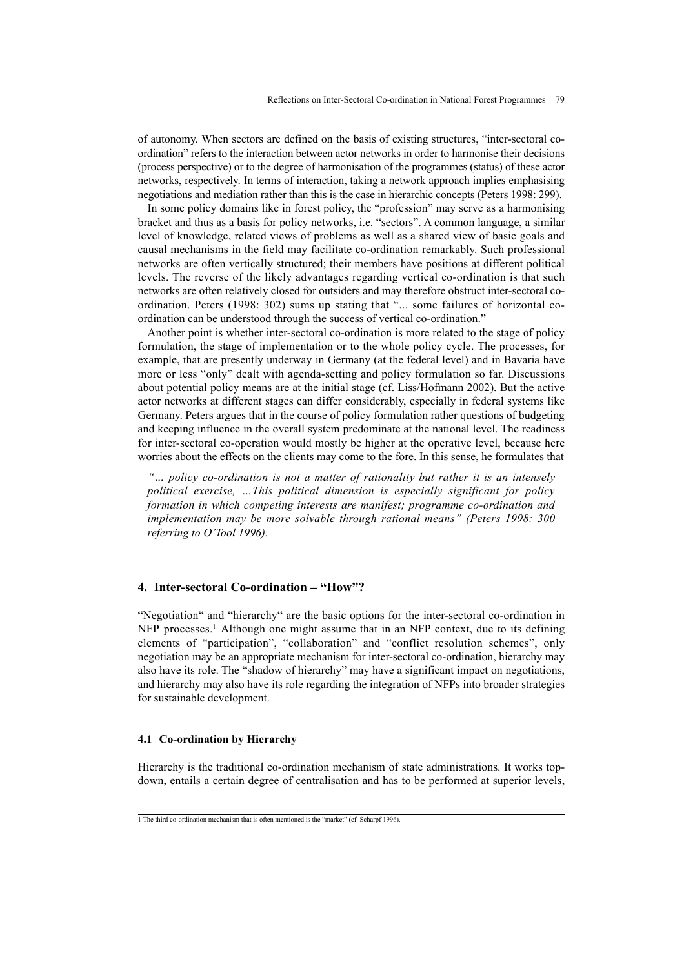of autonomy. When sectors are defined on the basis of existing structures, "inter-sectoral coordination" refers to the interaction between actor networks in order to harmonise their decisions (process perspective) or to the degree of harmonisation of the programmes (status) of these actor networks, respectively. In terms of interaction, taking a network approach implies emphasising negotiations and mediation rather than this is the case in hierarchic concepts (Peters 1998: 299).

In some policy domains like in forest policy, the "profession" may serve as a harmonising bracket and thus as a basis for policy networks, i.e. "sectors". A common language, a similar level of knowledge, related views of problems as well as a shared view of basic goals and causal mechanisms in the field may facilitate co-ordination remarkably. Such professional networks are often vertically structured; their members have positions at different political levels. The reverse of the likely advantages regarding vertical co-ordination is that such networks are often relatively closed for outsiders and may therefore obstruct inter-sectoral coordination. Peters (1998: 302) sums up stating that "... some failures of horizontal coordination can be understood through the success of vertical co-ordination."

Another point is whether inter-sectoral co-ordination is more related to the stage of policy formulation, the stage of implementation or to the whole policy cycle. The processes, for example, that are presently underway in Germany (at the federal level) and in Bavaria have more or less "only" dealt with agenda-setting and policy formulation so far. Discussions about potential policy means are at the initial stage (cf. Liss/Hofmann 2002). But the active actor networks at different stages can differ considerably, especially in federal systems like Germany. Peters argues that in the course of policy formulation rather questions of budgeting and keeping influence in the overall system predominate at the national level. The readiness for inter-sectoral co-operation would mostly be higher at the operative level, because here worries about the effects on the clients may come to the fore. In this sense, he formulates that

*"… policy co-ordination is not a matter of rationality but rather it is an intensely political exercise, …This political dimension is especially significant for policy formation in which competing interests are manifest; programme co-ordination and implementation may be more solvable through rational means" (Peters 1998: 300 referring to O'Tool 1996).*

## **4. Inter-sectoral Co-ordination – "How"?**

"Negotiation" and "hierarchy" are the basic options for the inter-sectoral co-ordination in NFP processes.1 Although one might assume that in an NFP context, due to its defining elements of "participation", "collaboration" and "conflict resolution schemes", only negotiation may be an appropriate mechanism for inter-sectoral co-ordination, hierarchy may also have its role. The "shadow of hierarchy" may have a significant impact on negotiations, and hierarchy may also have its role regarding the integration of NFPs into broader strategies for sustainable development.

#### **4.1 Co-ordination by Hierarchy**

Hierarchy is the traditional co-ordination mechanism of state administrations. It works topdown, entails a certain degree of centralisation and has to be performed at superior levels,

<sup>1</sup> The third co-ordination mechanism that is often mentioned is the "market" (cf. Scharpf 1996).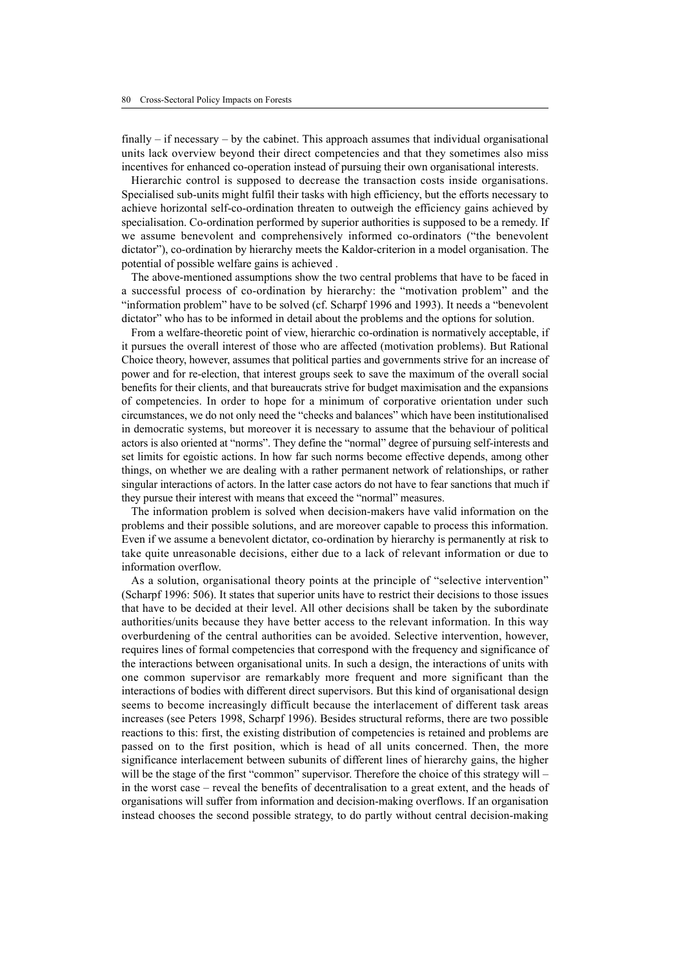finally – if necessary – by the cabinet. This approach assumes that individual organisational units lack overview beyond their direct competencies and that they sometimes also miss incentives for enhanced co-operation instead of pursuing their own organisational interests.

Hierarchic control is supposed to decrease the transaction costs inside organisations. Specialised sub-units might fulfil their tasks with high efficiency, but the efforts necessary to achieve horizontal self-co-ordination threaten to outweigh the efficiency gains achieved by specialisation. Co-ordination performed by superior authorities is supposed to be a remedy. If we assume benevolent and comprehensively informed co-ordinators ("the benevolent dictator"), co-ordination by hierarchy meets the Kaldor-criterion in a model organisation. The potential of possible welfare gains is achieved .

The above-mentioned assumptions show the two central problems that have to be faced in a successful process of co-ordination by hierarchy: the "motivation problem" and the "information problem" have to be solved (cf. Scharpf 1996 and 1993). It needs a "benevolent dictator" who has to be informed in detail about the problems and the options for solution.

From a welfare-theoretic point of view, hierarchic co-ordination is normatively acceptable, if it pursues the overall interest of those who are affected (motivation problems). But Rational Choice theory, however, assumes that political parties and governments strive for an increase of power and for re-election, that interest groups seek to save the maximum of the overall social benefits for their clients, and that bureaucrats strive for budget maximisation and the expansions of competencies. In order to hope for a minimum of corporative orientation under such circumstances, we do not only need the "checks and balances" which have been institutionalised in democratic systems, but moreover it is necessary to assume that the behaviour of political actors is also oriented at "norms". They define the "normal" degree of pursuing self-interests and set limits for egoistic actions. In how far such norms become effective depends, among other things, on whether we are dealing with a rather permanent network of relationships, or rather singular interactions of actors. In the latter case actors do not have to fear sanctions that much if they pursue their interest with means that exceed the "normal" measures.

The information problem is solved when decision-makers have valid information on the problems and their possible solutions, and are moreover capable to process this information. Even if we assume a benevolent dictator, co-ordination by hierarchy is permanently at risk to take quite unreasonable decisions, either due to a lack of relevant information or due to information overflow.

As a solution, organisational theory points at the principle of "selective intervention" (Scharpf 1996: 506). It states that superior units have to restrict their decisions to those issues that have to be decided at their level. All other decisions shall be taken by the subordinate authorities/units because they have better access to the relevant information. In this way overburdening of the central authorities can be avoided. Selective intervention, however, requires lines of formal competencies that correspond with the frequency and significance of the interactions between organisational units. In such a design, the interactions of units with one common supervisor are remarkably more frequent and more significant than the interactions of bodies with different direct supervisors. But this kind of organisational design seems to become increasingly difficult because the interlacement of different task areas increases (see Peters 1998, Scharpf 1996). Besides structural reforms, there are two possible reactions to this: first, the existing distribution of competencies is retained and problems are passed on to the first position, which is head of all units concerned. Then, the more significance interlacement between subunits of different lines of hierarchy gains, the higher will be the stage of the first "common" supervisor. Therefore the choice of this strategy will – in the worst case – reveal the benefits of decentralisation to a great extent, and the heads of organisations will suffer from information and decision-making overflows. If an organisation instead chooses the second possible strategy, to do partly without central decision-making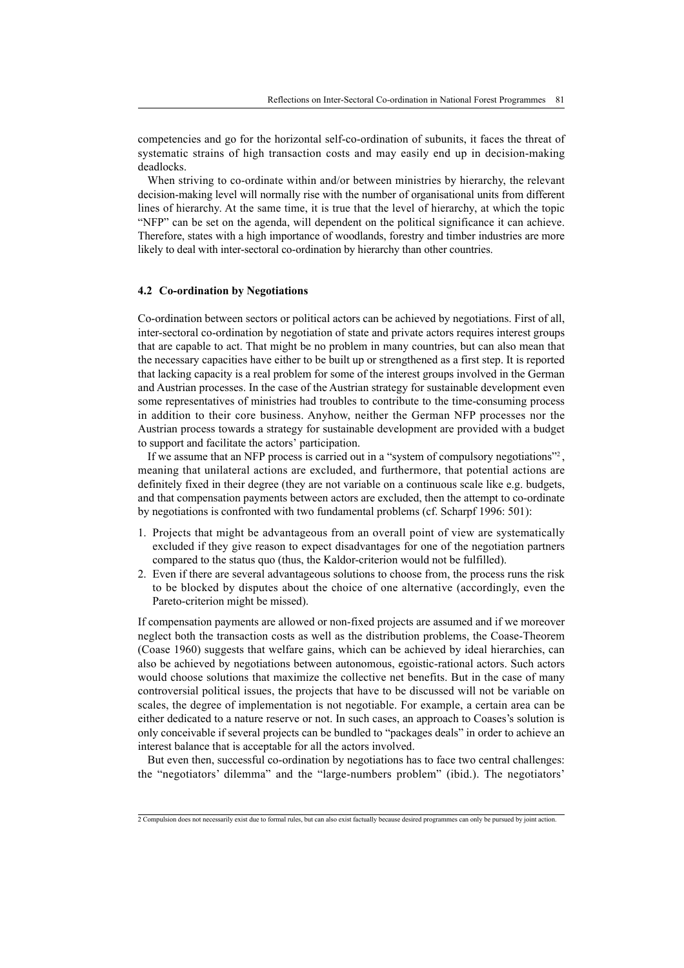competencies and go for the horizontal self-co-ordination of subunits, it faces the threat of systematic strains of high transaction costs and may easily end up in decision-making deadlocks.

When striving to co-ordinate within and/or between ministries by hierarchy, the relevant decision-making level will normally rise with the number of organisational units from different lines of hierarchy. At the same time, it is true that the level of hierarchy, at which the topic "NFP" can be set on the agenda, will dependent on the political significance it can achieve. Therefore, states with a high importance of woodlands, forestry and timber industries are more likely to deal with inter-sectoral co-ordination by hierarchy than other countries.

#### **4.2 Co-ordination by Negotiations**

Co-ordination between sectors or political actors can be achieved by negotiations. First of all, inter-sectoral co-ordination by negotiation of state and private actors requires interest groups that are capable to act. That might be no problem in many countries, but can also mean that the necessary capacities have either to be built up or strengthened as a first step. It is reported that lacking capacity is a real problem for some of the interest groups involved in the German and Austrian processes. In the case of the Austrian strategy for sustainable development even some representatives of ministries had troubles to contribute to the time-consuming process in addition to their core business. Anyhow, neither the German NFP processes nor the Austrian process towards a strategy for sustainable development are provided with a budget to support and facilitate the actors' participation.

If we assume that an NFP process is carried out in a "system of compulsory negotiations"<sup>2</sup>, meaning that unilateral actions are excluded, and furthermore, that potential actions are definitely fixed in their degree (they are not variable on a continuous scale like e.g. budgets, and that compensation payments between actors are excluded, then the attempt to co-ordinate by negotiations is confronted with two fundamental problems (cf. Scharpf 1996: 501):

- 1. Projects that might be advantageous from an overall point of view are systematically excluded if they give reason to expect disadvantages for one of the negotiation partners compared to the status quo (thus, the Kaldor-criterion would not be fulfilled).
- 2. Even if there are several advantageous solutions to choose from, the process runs the risk to be blocked by disputes about the choice of one alternative (accordingly, even the Pareto-criterion might be missed).

If compensation payments are allowed or non-fixed projects are assumed and if we moreover neglect both the transaction costs as well as the distribution problems, the Coase-Theorem (Coase 1960) suggests that welfare gains, which can be achieved by ideal hierarchies, can also be achieved by negotiations between autonomous, egoistic-rational actors. Such actors would choose solutions that maximize the collective net benefits. But in the case of many controversial political issues, the projects that have to be discussed will not be variable on scales, the degree of implementation is not negotiable. For example, a certain area can be either dedicated to a nature reserve or not. In such cases, an approach to Coases's solution is only conceivable if several projects can be bundled to "packages deals" in order to achieve an interest balance that is acceptable for all the actors involved.

But even then, successful co-ordination by negotiations has to face two central challenges: the "negotiators' dilemma" and the "large-numbers problem" (ibid.). The negotiators'

<sup>2</sup> Compulsion does not necessarily exist due to formal rules, but can also exist factually because desired programmes can only be pursued by joint action.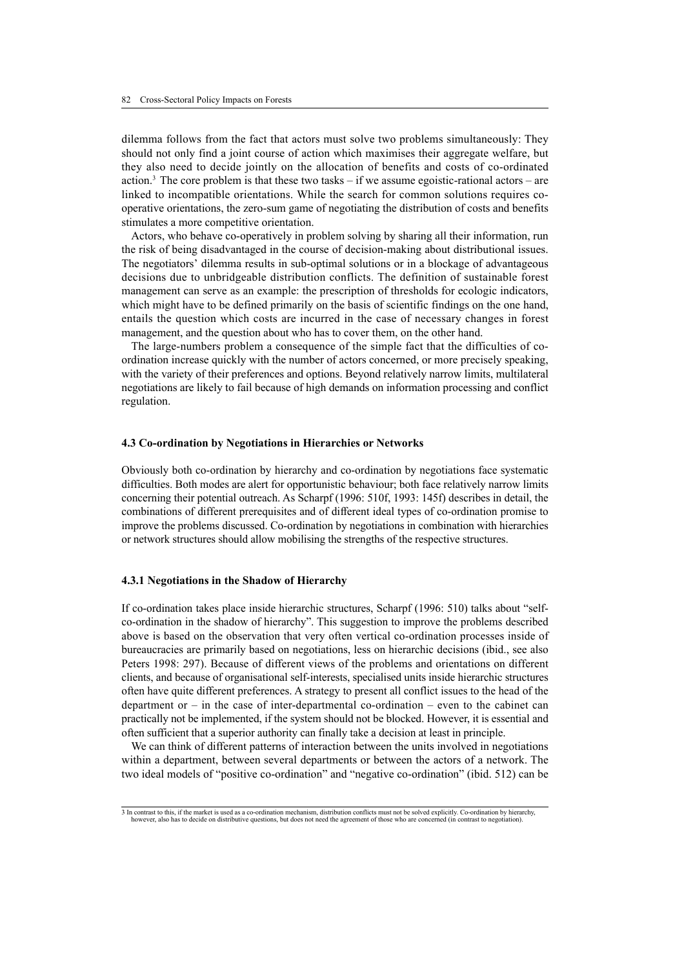dilemma follows from the fact that actors must solve two problems simultaneously: They should not only find a joint course of action which maximises their aggregate welfare, but they also need to decide jointly on the allocation of benefits and costs of co-ordinated action.<sup>3</sup> The core problem is that these two tasks – if we assume egoistic-rational actors – are linked to incompatible orientations. While the search for common solutions requires cooperative orientations, the zero-sum game of negotiating the distribution of costs and benefits stimulates a more competitive orientation.

Actors, who behave co-operatively in problem solving by sharing all their information, run the risk of being disadvantaged in the course of decision-making about distributional issues. The negotiators' dilemma results in sub-optimal solutions or in a blockage of advantageous decisions due to unbridgeable distribution conflicts. The definition of sustainable forest management can serve as an example: the prescription of thresholds for ecologic indicators, which might have to be defined primarily on the basis of scientific findings on the one hand, entails the question which costs are incurred in the case of necessary changes in forest management, and the question about who has to cover them, on the other hand.

The large-numbers problem a consequence of the simple fact that the difficulties of coordination increase quickly with the number of actors concerned, or more precisely speaking, with the variety of their preferences and options. Beyond relatively narrow limits, multilateral negotiations are likely to fail because of high demands on information processing and conflict regulation.

#### **4.3 Co-ordination by Negotiations in Hierarchies or Networks**

Obviously both co-ordination by hierarchy and co-ordination by negotiations face systematic difficulties. Both modes are alert for opportunistic behaviour; both face relatively narrow limits concerning their potential outreach. As Scharpf (1996: 510f, 1993: 145f) describes in detail, the combinations of different prerequisites and of different ideal types of co-ordination promise to improve the problems discussed. Co-ordination by negotiations in combination with hierarchies or network structures should allow mobilising the strengths of the respective structures.

#### **4.3.1 Negotiations in the Shadow of Hierarchy**

If co-ordination takes place inside hierarchic structures, Scharpf (1996: 510) talks about "selfco-ordination in the shadow of hierarchy". This suggestion to improve the problems described above is based on the observation that very often vertical co-ordination processes inside of bureaucracies are primarily based on negotiations, less on hierarchic decisions (ibid., see also Peters 1998: 297). Because of different views of the problems and orientations on different clients, and because of organisational self-interests, specialised units inside hierarchic structures often have quite different preferences. A strategy to present all conflict issues to the head of the department or – in the case of inter-departmental co-ordination – even to the cabinet can practically not be implemented, if the system should not be blocked. However, it is essential and often sufficient that a superior authority can finally take a decision at least in principle.

We can think of different patterns of interaction between the units involved in negotiations within a department, between several departments or between the actors of a network. The two ideal models of "positive co-ordination" and "negative co-ordination" (ibid. 512) can be

<sup>3</sup> In contrast to this, if the market is used as a co-ordination mechanism, distribution conflicts must not be solved explicitly. Co-ordination by hierarchy, however, also has to decide on distributive questions, but does not need the agreement of those who are concerned (in contrast to negotiation).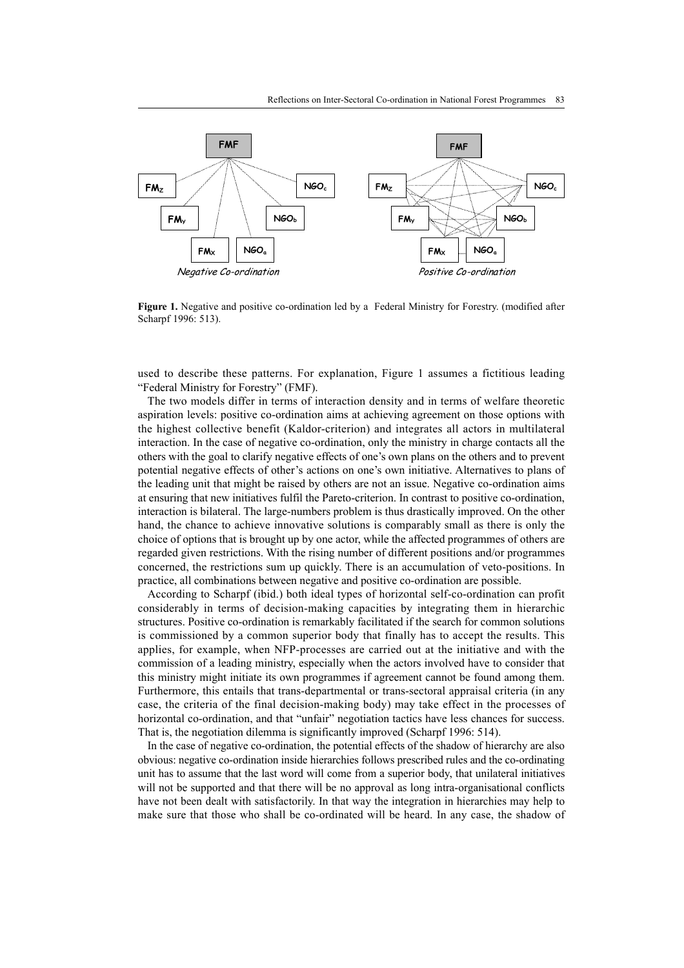

**Figure 1.** Negative and positive co-ordination led by a Federal Ministry for Forestry. (modified after Scharpf 1996: 513).

used to describe these patterns. For explanation, Figure 1 assumes a fictitious leading "Federal Ministry for Forestry" (FMF).

The two models differ in terms of interaction density and in terms of welfare theoretic aspiration levels: positive co-ordination aims at achieving agreement on those options with the highest collective benefit (Kaldor-criterion) and integrates all actors in multilateral interaction. In the case of negative co-ordination, only the ministry in charge contacts all the others with the goal to clarify negative effects of one's own plans on the others and to prevent potential negative effects of other's actions on one's own initiative. Alternatives to plans of the leading unit that might be raised by others are not an issue. Negative co-ordination aims at ensuring that new initiatives fulfil the Pareto-criterion. In contrast to positive co-ordination, interaction is bilateral. The large-numbers problem is thus drastically improved. On the other hand, the chance to achieve innovative solutions is comparably small as there is only the choice of options that is brought up by one actor, while the affected programmes of others are regarded given restrictions. With the rising number of different positions and/or programmes concerned, the restrictions sum up quickly. There is an accumulation of veto-positions. In practice, all combinations between negative and positive co-ordination are possible.

According to Scharpf (ibid.) both ideal types of horizontal self-co-ordination can profit considerably in terms of decision-making capacities by integrating them in hierarchic structures. Positive co-ordination is remarkably facilitated if the search for common solutions is commissioned by a common superior body that finally has to accept the results. This applies, for example, when NFP-processes are carried out at the initiative and with the commission of a leading ministry, especially when the actors involved have to consider that this ministry might initiate its own programmes if agreement cannot be found among them. Furthermore, this entails that trans-departmental or trans-sectoral appraisal criteria (in any case, the criteria of the final decision-making body) may take effect in the processes of horizontal co-ordination, and that "unfair" negotiation tactics have less chances for success. That is, the negotiation dilemma is significantly improved (Scharpf 1996: 514).

In the case of negative co-ordination, the potential effects of the shadow of hierarchy are also obvious: negative co-ordination inside hierarchies follows prescribed rules and the co-ordinating unit has to assume that the last word will come from a superior body, that unilateral initiatives will not be supported and that there will be no approval as long intra-organisational conflicts have not been dealt with satisfactorily. In that way the integration in hierarchies may help to make sure that those who shall be co-ordinated will be heard. In any case, the shadow of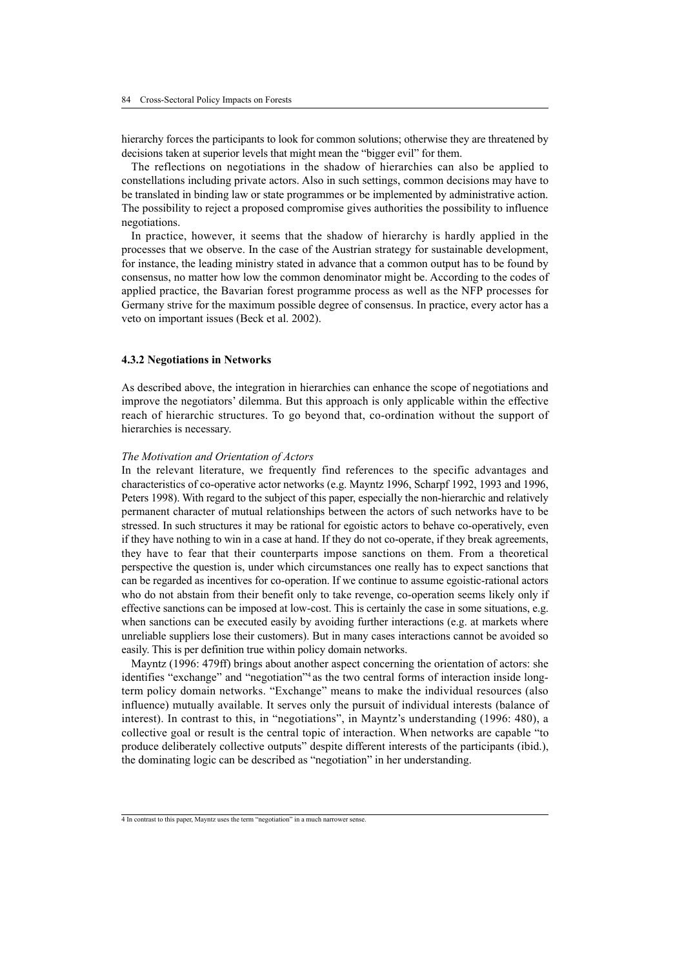hierarchy forces the participants to look for common solutions; otherwise they are threatened by decisions taken at superior levels that might mean the "bigger evil" for them.

The reflections on negotiations in the shadow of hierarchies can also be applied to constellations including private actors. Also in such settings, common decisions may have to be translated in binding law or state programmes or be implemented by administrative action. The possibility to reject a proposed compromise gives authorities the possibility to influence negotiations.

In practice, however, it seems that the shadow of hierarchy is hardly applied in the processes that we observe. In the case of the Austrian strategy for sustainable development, for instance, the leading ministry stated in advance that a common output has to be found by consensus, no matter how low the common denominator might be. According to the codes of applied practice, the Bavarian forest programme process as well as the NFP processes for Germany strive for the maximum possible degree of consensus. In practice, every actor has a veto on important issues (Beck et al. 2002).

#### **4.3.2 Negotiations in Networks**

As described above, the integration in hierarchies can enhance the scope of negotiations and improve the negotiators' dilemma. But this approach is only applicable within the effective reach of hierarchic structures. To go beyond that, co-ordination without the support of hierarchies is necessary.

#### *The Motivation and Orientation of Actors*

In the relevant literature, we frequently find references to the specific advantages and characteristics of co-operative actor networks (e.g. Mayntz 1996, Scharpf 1992, 1993 and 1996, Peters 1998). With regard to the subject of this paper, especially the non-hierarchic and relatively permanent character of mutual relationships between the actors of such networks have to be stressed. In such structures it may be rational for egoistic actors to behave co-operatively, even if they have nothing to win in a case at hand. If they do not co-operate, if they break agreements, they have to fear that their counterparts impose sanctions on them. From a theoretical perspective the question is, under which circumstances one really has to expect sanctions that can be regarded as incentives for co-operation. If we continue to assume egoistic-rational actors who do not abstain from their benefit only to take revenge, co-operation seems likely only if effective sanctions can be imposed at low-cost. This is certainly the case in some situations, e.g. when sanctions can be executed easily by avoiding further interactions (e.g. at markets where unreliable suppliers lose their customers). But in many cases interactions cannot be avoided so easily. This is per definition true within policy domain networks.

Mayntz (1996: 479ff) brings about another aspect concerning the orientation of actors: she identifies "exchange" and "negotiation"4 as the two central forms of interaction inside longterm policy domain networks. "Exchange" means to make the individual resources (also influence) mutually available. It serves only the pursuit of individual interests (balance of interest). In contrast to this, in "negotiations", in Mayntz's understanding (1996: 480), a collective goal or result is the central topic of interaction. When networks are capable "to produce deliberately collective outputs" despite different interests of the participants (ibid.), the dominating logic can be described as "negotiation" in her understanding.

<sup>4</sup> In contrast to this paper, Mayntz uses the term "negotiation" in a much narrower sense.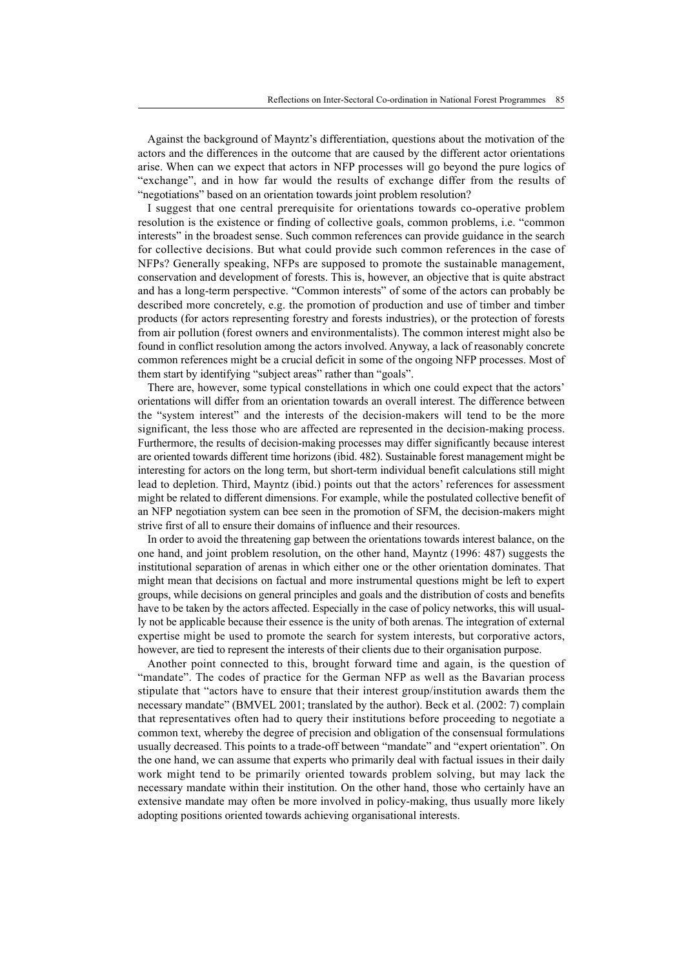Against the background of Mayntz's differentiation, questions about the motivation of the actors and the differences in the outcome that are caused by the different actor orientations arise. When can we expect that actors in NFP processes will go beyond the pure logics of "exchange", and in how far would the results of exchange differ from the results of "negotiations" based on an orientation towards joint problem resolution?

I suggest that one central prerequisite for orientations towards co-operative problem resolution is the existence or finding of collective goals, common problems, i.e. "common interests" in the broadest sense. Such common references can provide guidance in the search for collective decisions. But what could provide such common references in the case of NFPs? Generally speaking, NFPs are supposed to promote the sustainable management, conservation and development of forests. This is, however, an objective that is quite abstract and has a long-term perspective. "Common interests" of some of the actors can probably be described more concretely, e.g. the promotion of production and use of timber and timber products (for actors representing forestry and forests industries), or the protection of forests from air pollution (forest owners and environmentalists). The common interest might also be found in conflict resolution among the actors involved. Anyway, a lack of reasonably concrete common references might be a crucial deficit in some of the ongoing NFP processes. Most of them start by identifying "subject areas" rather than "goals".

There are, however, some typical constellations in which one could expect that the actors' orientations will differ from an orientation towards an overall interest. The difference between the "system interest" and the interests of the decision-makers will tend to be the more significant, the less those who are affected are represented in the decision-making process. Furthermore, the results of decision-making processes may differ significantly because interest are oriented towards different time horizons (ibid. 482). Sustainable forest management might be interesting for actors on the long term, but short-term individual benefit calculations still might lead to depletion. Third, Mayntz (ibid.) points out that the actors' references for assessment might be related to different dimensions. For example, while the postulated collective benefit of an NFP negotiation system can bee seen in the promotion of SFM, the decision-makers might strive first of all to ensure their domains of influence and their resources.

In order to avoid the threatening gap between the orientations towards interest balance, on the one hand, and joint problem resolution, on the other hand, Mayntz (1996: 487) suggests the institutional separation of arenas in which either one or the other orientation dominates. That might mean that decisions on factual and more instrumental questions might be left to expert groups, while decisions on general principles and goals and the distribution of costs and benefits have to be taken by the actors affected. Especially in the case of policy networks, this will usually not be applicable because their essence is the unity of both arenas. The integration of external expertise might be used to promote the search for system interests, but corporative actors, however, are tied to represent the interests of their clients due to their organisation purpose.

Another point connected to this, brought forward time and again, is the question of "mandate". The codes of practice for the German NFP as well as the Bavarian process stipulate that "actors have to ensure that their interest group/institution awards them the necessary mandate" (BMVEL 2001; translated by the author). Beck et al. (2002: 7) complain that representatives often had to query their institutions before proceeding to negotiate a common text, whereby the degree of precision and obligation of the consensual formulations usually decreased. This points to a trade-off between "mandate" and "expert orientation". On the one hand, we can assume that experts who primarily deal with factual issues in their daily work might tend to be primarily oriented towards problem solving, but may lack the necessary mandate within their institution. On the other hand, those who certainly have an extensive mandate may often be more involved in policy-making, thus usually more likely adopting positions oriented towards achieving organisational interests.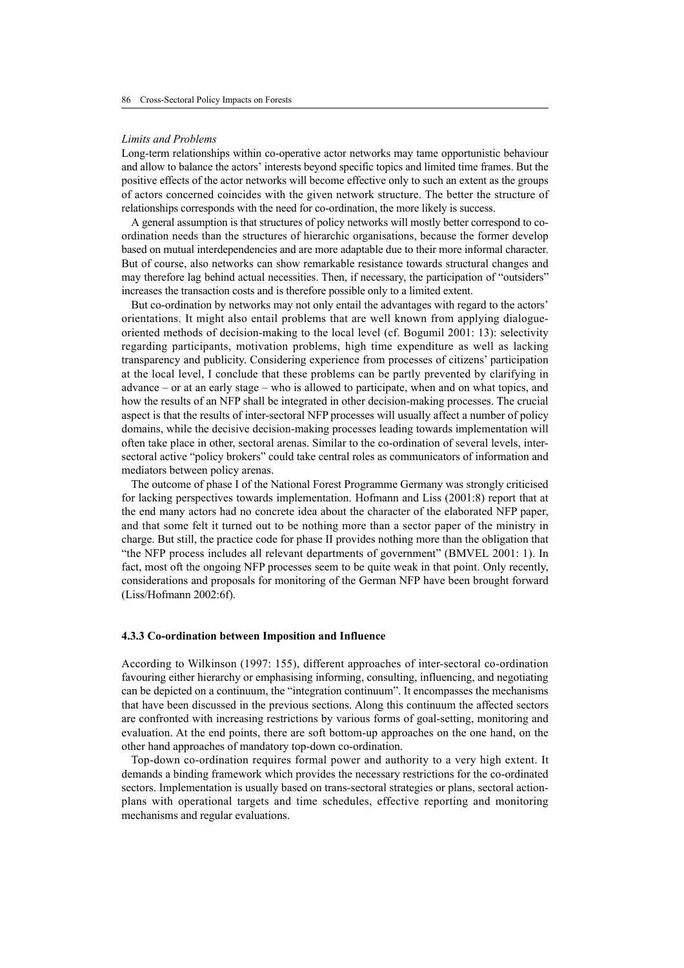#### *Limits and Problems*

Long-term relationships within co-operative actor networks may tame opportunistic behaviour and allow to balance the actors' interests beyond specific topics and limited time frames. But the positive effects of the actor networks will become effective only to such an extent as the groups of actors concerned coincides with the given network structure. The better the structure of relationships corresponds with the need for co-ordination, the more likely is success.

A general assumption is that structures of policy networks will mostly better correspond to coordination needs than the structures of hierarchic organisations, because the former develop based on mutual interdependencies and are more adaptable due to their more informal character. But of course, also networks can show remarkable resistance towards structural changes and may therefore lag behind actual necessities. Then, if necessary, the participation of "outsiders" increases the transaction costs and is therefore possible only to a limited extent.

But co-ordination by networks may not only entail the advantages with regard to the actors' orientations. It might also entail problems that are well known from applying dialogueoriented methods of decision-making to the local level (cf. Bogumil 2001: 13): selectivity regarding participants, motivation problems, high time expenditure as well as lacking transparency and publicity. Considering experience from processes of citizens' participation at the local level, I conclude that these problems can be partly prevented by clarifying in advance – or at an early stage – who is allowed to participate, when and on what topics, and how the results of an NFP shall be integrated in other decision-making processes. The crucial aspect is that the results of inter-sectoral NFP processes will usually affect a number of policy domains, while the decisive decision-making processes leading towards implementation will often take place in other, sectoral arenas. Similar to the co-ordination of several levels, intersectoral active "policy brokers" could take central roles as communicators of information and mediators between policy arenas.

The outcome of phase I of the National Forest Programme Germany was strongly criticised for lacking perspectives towards implementation. Hofmann and Liss (2001:8) report that at the end many actors had no concrete idea about the character of the elaborated NFP paper, and that some felt it turned out to be nothing more than a sector paper of the ministry in charge. But still, the practice code for phase II provides nothing more than the obligation that "the NFP process includes all relevant departments of government" (BMVEL 2001: 1). In fact, most oft the ongoing NFP processes seem to be quite weak in that point. Only recently, considerations and proposals for monitoring of the German NFP have been brought forward (Liss/Hofmann 2002:6f).

#### **4.3.3 Co-ordination between Imposition and Influence**

According to Wilkinson (1997: 155), different approaches of inter-sectoral co-ordination favouring either hierarchy or emphasising informing, consulting, influencing, and negotiating can be depicted on a continuum, the "integration continuum". It encompasses the mechanisms that have been discussed in the previous sections. Along this continuum the affected sectors are confronted with increasing restrictions by various forms of goal-setting, monitoring and evaluation. At the end points, there are soft bottom-up approaches on the one hand, on the other hand approaches of mandatory top-down co-ordination.

Top-down co-ordination requires formal power and authority to a very high extent. It demands a binding framework which provides the necessary restrictions for the co-ordinated sectors. Implementation is usually based on trans-sectoral strategies or plans, sectoral actionplans with operational targets and time schedules, effective reporting and monitoring mechanisms and regular evaluations.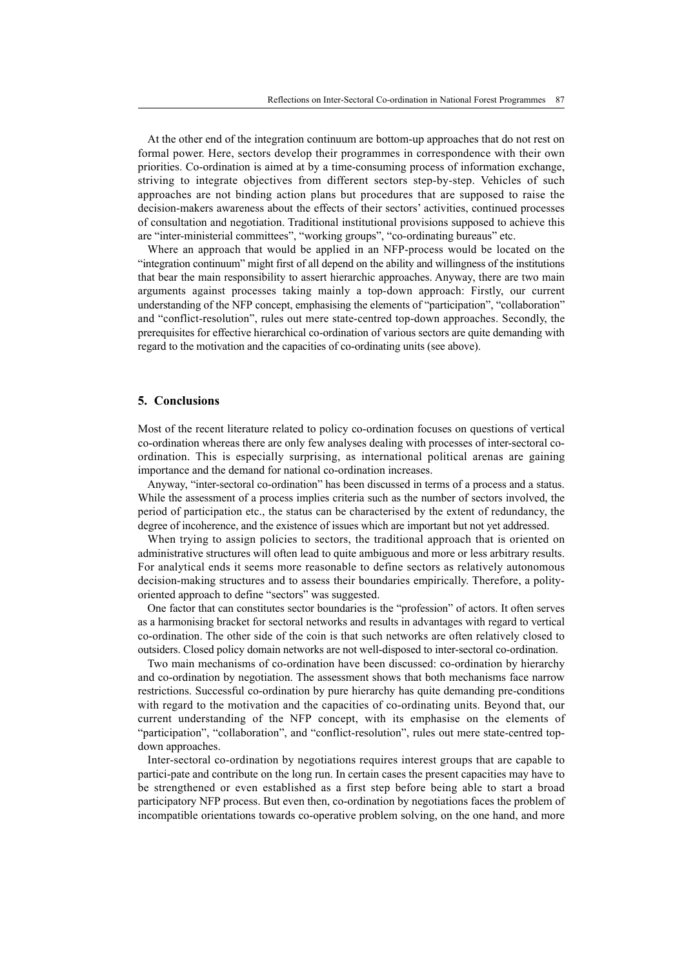At the other end of the integration continuum are bottom-up approaches that do not rest on formal power. Here, sectors develop their programmes in correspondence with their own priorities. Co-ordination is aimed at by a time-consuming process of information exchange, striving to integrate objectives from different sectors step-by-step. Vehicles of such approaches are not binding action plans but procedures that are supposed to raise the decision-makers awareness about the effects of their sectors' activities, continued processes of consultation and negotiation. Traditional institutional provisions supposed to achieve this are "inter-ministerial committees", "working groups", "co-ordinating bureaus" etc.

Where an approach that would be applied in an NFP-process would be located on the "integration continuum" might first of all depend on the ability and willingness of the institutions that bear the main responsibility to assert hierarchic approaches. Anyway, there are two main arguments against processes taking mainly a top-down approach: Firstly, our current understanding of the NFP concept, emphasising the elements of "participation", "collaboration" and "conflict-resolution", rules out mere state-centred top-down approaches. Secondly, the prerequisites for effective hierarchical co-ordination of various sectors are quite demanding with regard to the motivation and the capacities of co-ordinating units (see above).

## **5. Conclusions**

Most of the recent literature related to policy co-ordination focuses on questions of vertical co-ordination whereas there are only few analyses dealing with processes of inter-sectoral coordination. This is especially surprising, as international political arenas are gaining importance and the demand for national co-ordination increases.

Anyway, "inter-sectoral co-ordination" has been discussed in terms of a process and a status. While the assessment of a process implies criteria such as the number of sectors involved, the period of participation etc., the status can be characterised by the extent of redundancy, the degree of incoherence, and the existence of issues which are important but not yet addressed.

When trying to assign policies to sectors, the traditional approach that is oriented on administrative structures will often lead to quite ambiguous and more or less arbitrary results. For analytical ends it seems more reasonable to define sectors as relatively autonomous decision-making structures and to assess their boundaries empirically. Therefore, a polityoriented approach to define "sectors" was suggested.

One factor that can constitutes sector boundaries is the "profession" of actors. It often serves as a harmonising bracket for sectoral networks and results in advantages with regard to vertical co-ordination. The other side of the coin is that such networks are often relatively closed to outsiders. Closed policy domain networks are not well-disposed to inter-sectoral co-ordination.

Two main mechanisms of co-ordination have been discussed: co-ordination by hierarchy and co-ordination by negotiation. The assessment shows that both mechanisms face narrow restrictions. Successful co-ordination by pure hierarchy has quite demanding pre-conditions with regard to the motivation and the capacities of co-ordinating units. Beyond that, our current understanding of the NFP concept, with its emphasise on the elements of "participation", "collaboration", and "conflict-resolution", rules out mere state-centred topdown approaches.

Inter-sectoral co-ordination by negotiations requires interest groups that are capable to partici-pate and contribute on the long run. In certain cases the present capacities may have to be strengthened or even established as a first step before being able to start a broad participatory NFP process. But even then, co-ordination by negotiations faces the problem of incompatible orientations towards co-operative problem solving, on the one hand, and more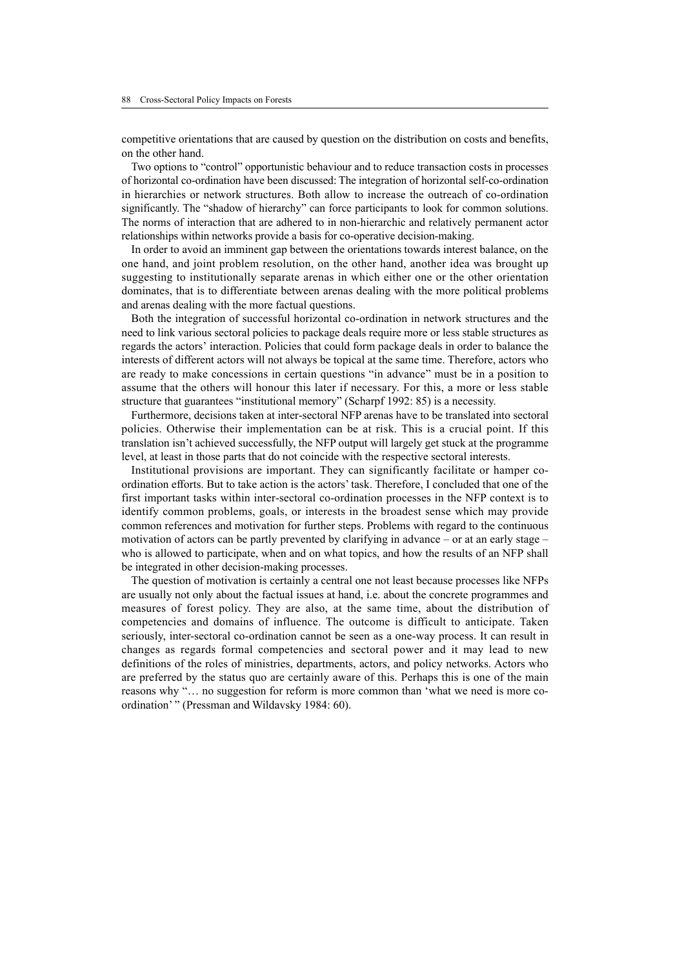competitive orientations that are caused by question on the distribution on costs and benefits, on the other hand.

Two options to "control" opportunistic behaviour and to reduce transaction costs in processes of horizontal co-ordination have been discussed: The integration of horizontal self-co-ordination in hierarchies or network structures. Both allow to increase the outreach of co-ordination significantly. The "shadow of hierarchy" can force participants to look for common solutions. The norms of interaction that are adhered to in non-hierarchic and relatively permanent actor relationships within networks provide a basis for co-operative decision-making.

In order to avoid an imminent gap between the orientations towards interest balance, on the one hand, and joint problem resolution, on the other hand, another idea was brought up suggesting to institutionally separate arenas in which either one or the other orientation dominates, that is to differentiate between arenas dealing with the more political problems and arenas dealing with the more factual questions.

Both the integration of successful horizontal co-ordination in network structures and the need to link various sectoral policies to package deals require more or less stable structures as regards the actors' interaction. Policies that could form package deals in order to balance the interests of different actors will not always be topical at the same time. Therefore, actors who are ready to make concessions in certain questions "in advance" must be in a position to assume that the others will honour this later if necessary. For this, a more or less stable structure that guarantees "institutional memory" (Scharpf 1992: 85) is a necessity.

Furthermore, decisions taken at inter-sectoral NFP arenas have to be translated into sectoral policies. Otherwise their implementation can be at risk. This is a crucial point. If this translation isn't achieved successfully, the NFP output will largely get stuck at the programme level, at least in those parts that do not coincide with the respective sectoral interests.

Institutional provisions are important. They can significantly facilitate or hamper coordination efforts. But to take action is the actors' task. Therefore, I concluded that one of the first important tasks within inter-sectoral co-ordination processes in the NFP context is to identify common problems, goals, or interests in the broadest sense which may provide common references and motivation for further steps. Problems with regard to the continuous motivation of actors can be partly prevented by clarifying in advance – or at an early stage – who is allowed to participate, when and on what topics, and how the results of an NFP shall be integrated in other decision-making processes.

The question of motivation is certainly a central one not least because processes like NFPs are usually not only about the factual issues at hand, i.e. about the concrete programmes and measures of forest policy. They are also, at the same time, about the distribution of competencies and domains of influence. The outcome is difficult to anticipate. Taken seriously, inter-sectoral co-ordination cannot be seen as a one-way process. It can result in changes as regards formal competencies and sectoral power and it may lead to new definitions of the roles of ministries, departments, actors, and policy networks. Actors who are preferred by the status quo are certainly aware of this. Perhaps this is one of the main reasons why "… no suggestion for reform is more common than 'what we need is more coordination' " (Pressman and Wildavsky 1984: 60).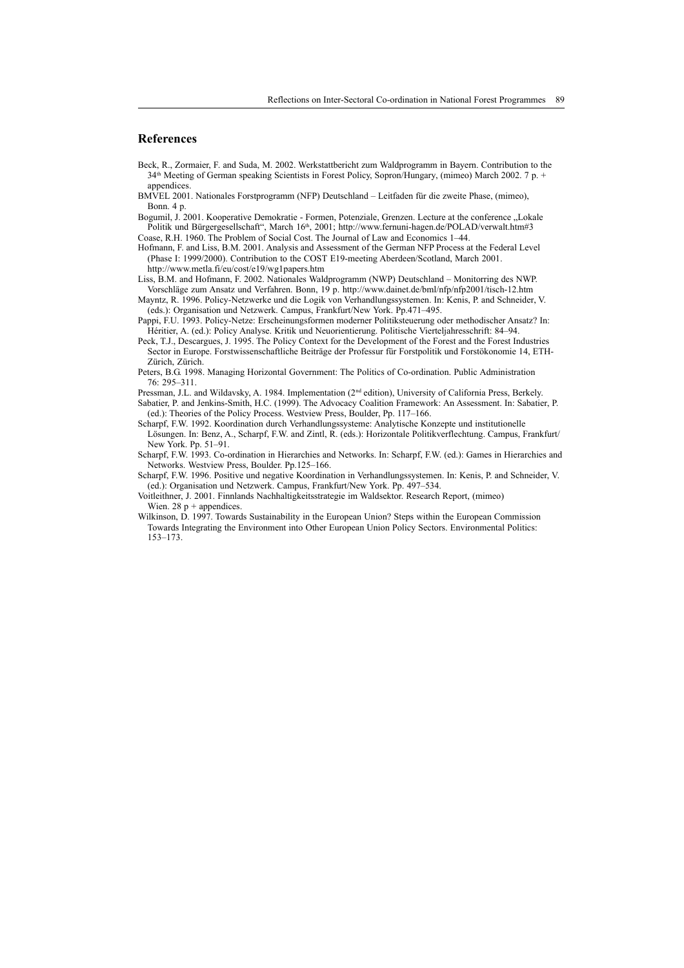## **References**

- Beck, R., Zormaier, F. and Suda, M. 2002. Werkstattbericht zum Waldprogramm in Bayern. Contribution to the 34th Meeting of German speaking Scientists in Forest Policy, Sopron/Hungary, (mimeo) March 2002. 7 p. + appendices.
- BMVEL 2001. Nationales Forstprogramm (NFP) Deutschland Leitfaden für die zweite Phase, (mimeo), Bonn. 4 p.
- Bogumil, J. 2001. Kooperative Demokratie Formen, Potenziale, Grenzen. Lecture at the conference ..Lokale Politik und Bürgergesellschaft", March 16<sup>th</sup>, 2001; http://www.fernuni-hagen.de/POLAD/verwalt.htm#3 Coase, R.H. 1960. The Problem of Social Cost. The Journal of Law and Economics 1–44.

Hofmann, F. and Liss, B.M. 2001. Analysis and Assessment of the German NFP Process at the Federal Level

(Phase I: 1999/2000). Contribution to the COST E19-meeting Aberdeen/Scotland, March 2001. http://www.metla.fi/eu/cost/e19/wg1papers.htm

Liss, B.M. and Hofmann, F. 2002. Nationales Waldprogramm (NWP) Deutschland – Monitorring des NWP. Vorschläge zum Ansatz und Verfahren. Bonn, 19 p. http://www.dainet.de/bml/nfp/nfp2001/tisch-12.htm

Mayntz, R. 1996. Policy-Netzwerke und die Logik von Verhandlungssystemen. In: Kenis, P. and Schneider, V. (eds.): Organisation und Netzwerk. Campus, Frankfurt/New York. Pp.471–495.

- Pappi, F.U. 1993. Policy-Netze: Erscheinungsformen moderner Politiksteuerung oder methodischer Ansatz? In: Héritier, A. (ed.): Policy Analyse. Kritik und Neuorientierung. Politische Vierteljahresschrift: 84–94.
- Peck, T.J., Descargues, J. 1995. The Policy Context for the Development of the Forest and the Forest Industries Sector in Europe. Forstwissenschaftliche Beiträge der Professur für Forstpolitik und Forstökonomie 14, ETH-Zürich, Zürich.

Peters, B.G. 1998. Managing Horizontal Government: The Politics of Co-ordination. Public Administration 76: 295–311.

Pressman, J.L. and Wildavsky, A. 1984. Implementation (2nd edition), University of California Press, Berkely.

Sabatier, P. and Jenkins-Smith, H.C. (1999). The Advocacy Coalition Framework: An Assessment. In: Sabatier, P. (ed.): Theories of the Policy Process. Westview Press, Boulder, Pp. 117–166.

Scharpf, F.W. 1992. Koordination durch Verhandlungssysteme: Analytische Konzepte und institutionelle Lösungen. In: Benz, A., Scharpf, F.W. and Zintl, R. (eds.): Horizontale Politikverflechtung. Campus, Frankfurt/ New York. Pp. 51–91.

Scharpf, F.W. 1993. Co-ordination in Hierarchies and Networks. In: Scharpf, F.W. (ed.): Games in Hierarchies and Networks. Westview Press, Boulder. Pp.125–166.

Scharpf, F.W. 1996. Positive und negative Koordination in Verhandlungssystemen. In: Kenis, P. and Schneider, V. (ed.): Organisation und Netzwerk. Campus, Frankfurt/New York. Pp. 497–534.

- Voitleithner, J. 2001. Finnlands Nachhaltigkeitsstrategie im Waldsektor. Research Report, (mimeo) Wien. 28  $p +$  appendices.
- Wilkinson, D. 1997. Towards Sustainability in the European Union? Steps within the European Commission Towards Integrating the Environment into Other European Union Policy Sectors. Environmental Politics: 153–173.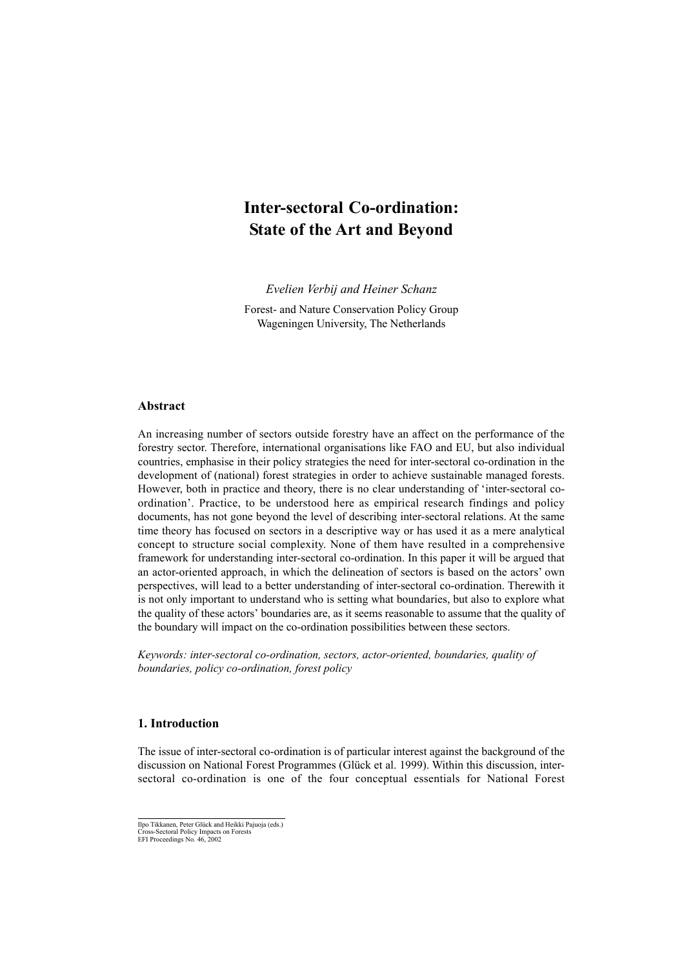# **Inter-sectoral Co-ordination: State of the Art and Beyond**

*Evelien Verbij and Heiner Schanz*

Forest- and Nature Conservation Policy Group Wageningen University, The Netherlands

#### **Abstract**

An increasing number of sectors outside forestry have an affect on the performance of the forestry sector. Therefore, international organisations like FAO and EU, but also individual countries, emphasise in their policy strategies the need for inter-sectoral co-ordination in the development of (national) forest strategies in order to achieve sustainable managed forests. However, both in practice and theory, there is no clear understanding of 'inter-sectoral coordination'. Practice, to be understood here as empirical research findings and policy documents, has not gone beyond the level of describing inter-sectoral relations. At the same time theory has focused on sectors in a descriptive way or has used it as a mere analytical concept to structure social complexity. None of them have resulted in a comprehensive framework for understanding inter-sectoral co-ordination. In this paper it will be argued that an actor-oriented approach, in which the delineation of sectors is based on the actors' own perspectives, will lead to a better understanding of inter-sectoral co-ordination. Therewith it is not only important to understand who is setting what boundaries, but also to explore what the quality of these actors' boundaries are, as it seems reasonable to assume that the quality of the boundary will impact on the co-ordination possibilities between these sectors.

*Keywords: inter-sectoral co-ordination, sectors, actor-oriented, boundaries, quality of boundaries, policy co-ordination, forest policy*

## **1. Introduction**

The issue of inter-sectoral co-ordination is of particular interest against the background of the discussion on National Forest Programmes (Glück et al. 1999). Within this discussion, intersectoral co-ordination is one of the four conceptual essentials for National Forest

Ilpo Tikkanen, Peter Glück and Heikki Pajuoja (eds.) Cross-Sectoral Policy Impacts on Forests EFI Proceedings No. 46, 2002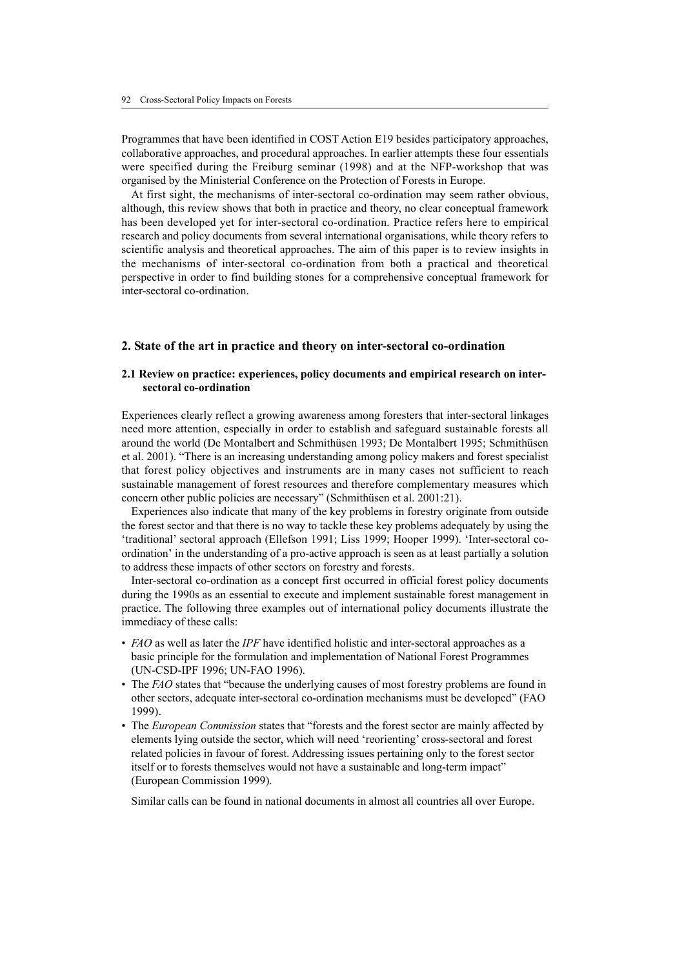Programmes that have been identified in COST Action E19 besides participatory approaches, collaborative approaches, and procedural approaches. In earlier attempts these four essentials were specified during the Freiburg seminar (1998) and at the NFP-workshop that was organised by the Ministerial Conference on the Protection of Forests in Europe.

At first sight, the mechanisms of inter-sectoral co-ordination may seem rather obvious, although, this review shows that both in practice and theory, no clear conceptual framework has been developed yet for inter-sectoral co-ordination. Practice refers here to empirical research and policy documents from several international organisations, while theory refers to scientific analysis and theoretical approaches. The aim of this paper is to review insights in the mechanisms of inter-sectoral co-ordination from both a practical and theoretical perspective in order to find building stones for a comprehensive conceptual framework for inter-sectoral co-ordination.

## **2. State of the art in practice and theory on inter-sectoral co-ordination**

## **2.1 Review on practice: experiences, policy documents and empirical research on intersectoral co-ordination**

Experiences clearly reflect a growing awareness among foresters that inter-sectoral linkages need more attention, especially in order to establish and safeguard sustainable forests all around the world (De Montalbert and Schmithüsen 1993; De Montalbert 1995; Schmithüsen et al. 2001). "There is an increasing understanding among policy makers and forest specialist that forest policy objectives and instruments are in many cases not sufficient to reach sustainable management of forest resources and therefore complementary measures which concern other public policies are necessary" (Schmithüsen et al. 2001:21).

Experiences also indicate that many of the key problems in forestry originate from outside the forest sector and that there is no way to tackle these key problems adequately by using the 'traditional' sectoral approach (Ellefson 1991; Liss 1999; Hooper 1999). 'Inter-sectoral coordination' in the understanding of a pro-active approach is seen as at least partially a solution to address these impacts of other sectors on forestry and forests.

Inter-sectoral co-ordination as a concept first occurred in official forest policy documents during the 1990s as an essential to execute and implement sustainable forest management in practice. The following three examples out of international policy documents illustrate the immediacy of these calls:

- *FAO* as well as later the *IPF* have identified holistic and inter-sectoral approaches as a basic principle for the formulation and implementation of National Forest Programmes (UN-CSD-IPF 1996; UN-FAO 1996).
- The *FAO* states that "because the underlying causes of most forestry problems are found in other sectors, adequate inter-sectoral co-ordination mechanisms must be developed" (FAO 1999).
- The *European Commission* states that "forests and the forest sector are mainly affected by elements lying outside the sector, which will need 'reorienting' cross-sectoral and forest related policies in favour of forest. Addressing issues pertaining only to the forest sector itself or to forests themselves would not have a sustainable and long-term impact" (European Commission 1999).

Similar calls can be found in national documents in almost all countries all over Europe.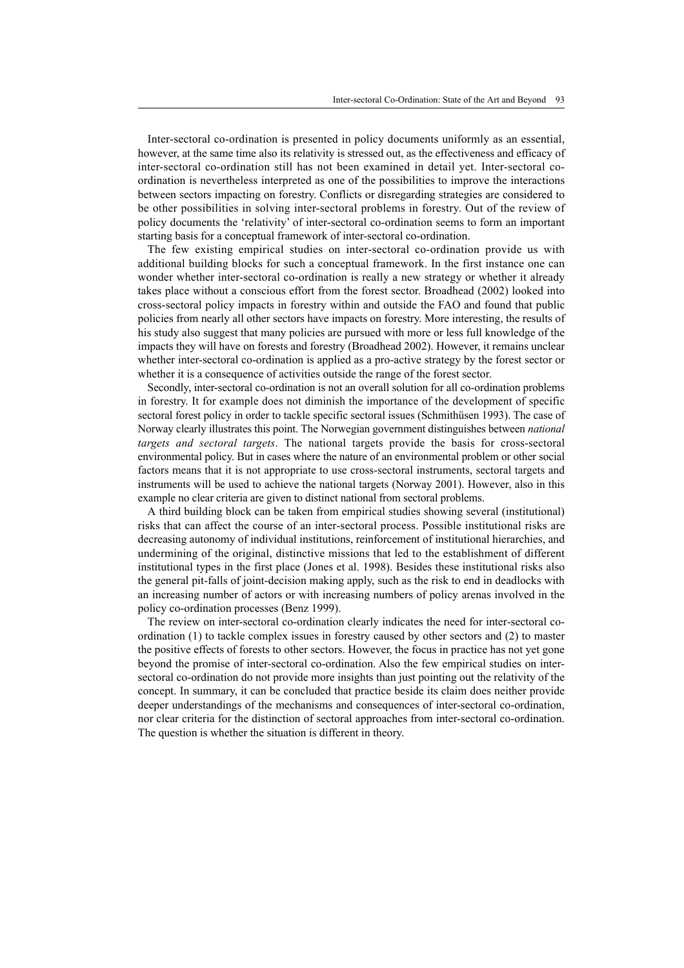Inter-sectoral co-ordination is presented in policy documents uniformly as an essential, however, at the same time also its relativity is stressed out, as the effectiveness and efficacy of inter-sectoral co-ordination still has not been examined in detail yet. Inter-sectoral coordination is nevertheless interpreted as one of the possibilities to improve the interactions between sectors impacting on forestry. Conflicts or disregarding strategies are considered to be other possibilities in solving inter-sectoral problems in forestry. Out of the review of policy documents the 'relativity' of inter-sectoral co-ordination seems to form an important starting basis for a conceptual framework of inter-sectoral co-ordination.

The few existing empirical studies on inter-sectoral co-ordination provide us with additional building blocks for such a conceptual framework. In the first instance one can wonder whether inter-sectoral co-ordination is really a new strategy or whether it already takes place without a conscious effort from the forest sector. Broadhead (2002) looked into cross-sectoral policy impacts in forestry within and outside the FAO and found that public policies from nearly all other sectors have impacts on forestry. More interesting, the results of his study also suggest that many policies are pursued with more or less full knowledge of the impacts they will have on forests and forestry (Broadhead 2002). However, it remains unclear whether inter-sectoral co-ordination is applied as a pro-active strategy by the forest sector or whether it is a consequence of activities outside the range of the forest sector.

Secondly, inter-sectoral co-ordination is not an overall solution for all co-ordination problems in forestry. It for example does not diminish the importance of the development of specific sectoral forest policy in order to tackle specific sectoral issues (Schmithüsen 1993). The case of Norway clearly illustrates this point. The Norwegian government distinguishes between *national targets and sectoral targets*. The national targets provide the basis for cross-sectoral environmental policy. But in cases where the nature of an environmental problem or other social factors means that it is not appropriate to use cross-sectoral instruments, sectoral targets and instruments will be used to achieve the national targets (Norway 2001). However, also in this example no clear criteria are given to distinct national from sectoral problems.

A third building block can be taken from empirical studies showing several (institutional) risks that can affect the course of an inter-sectoral process. Possible institutional risks are decreasing autonomy of individual institutions, reinforcement of institutional hierarchies, and undermining of the original, distinctive missions that led to the establishment of different institutional types in the first place (Jones et al. 1998). Besides these institutional risks also the general pit-falls of joint-decision making apply, such as the risk to end in deadlocks with an increasing number of actors or with increasing numbers of policy arenas involved in the policy co-ordination processes (Benz 1999).

The review on inter-sectoral co-ordination clearly indicates the need for inter-sectoral coordination (1) to tackle complex issues in forestry caused by other sectors and (2) to master the positive effects of forests to other sectors. However, the focus in practice has not yet gone beyond the promise of inter-sectoral co-ordination. Also the few empirical studies on intersectoral co-ordination do not provide more insights than just pointing out the relativity of the concept. In summary, it can be concluded that practice beside its claim does neither provide deeper understandings of the mechanisms and consequences of inter-sectoral co-ordination, nor clear criteria for the distinction of sectoral approaches from inter-sectoral co-ordination. The question is whether the situation is different in theory.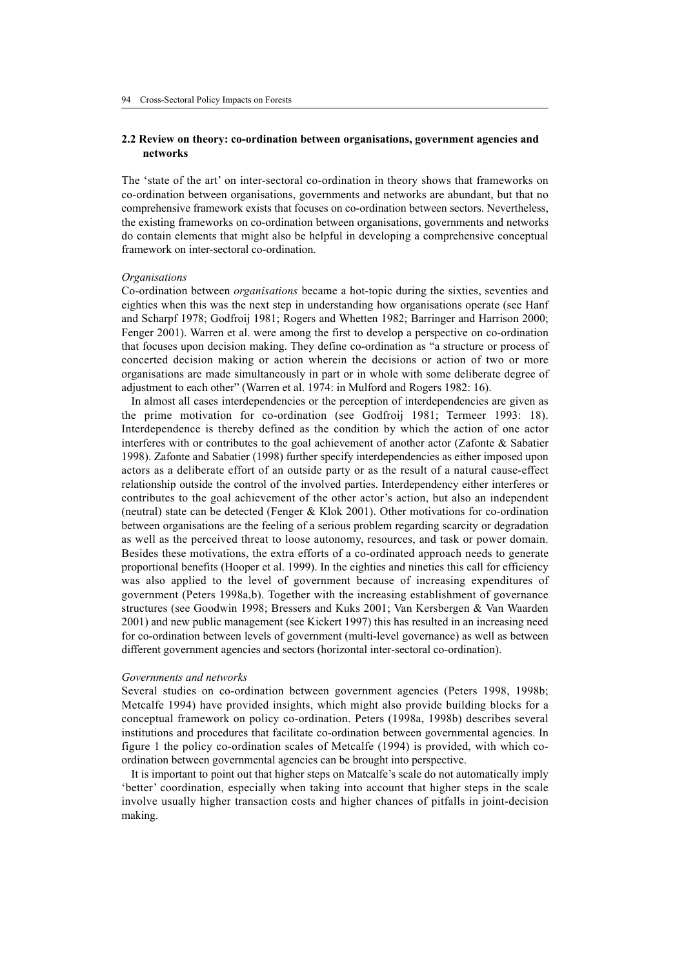## **2.2 Review on theory: co-ordination between organisations, government agencies and networks**

The 'state of the art' on inter-sectoral co-ordination in theory shows that frameworks on co-ordination between organisations, governments and networks are abundant, but that no comprehensive framework exists that focuses on co-ordination between sectors. Nevertheless, the existing frameworks on co-ordination between organisations, governments and networks do contain elements that might also be helpful in developing a comprehensive conceptual framework on inter-sectoral co-ordination.

#### *Organisations*

Co-ordination between *organisations* became a hot-topic during the sixties, seventies and eighties when this was the next step in understanding how organisations operate (see Hanf and Scharpf 1978; Godfroij 1981; Rogers and Whetten 1982; Barringer and Harrison 2000; Fenger 2001). Warren et al. were among the first to develop a perspective on co-ordination that focuses upon decision making. They define co-ordination as "a structure or process of concerted decision making or action wherein the decisions or action of two or more organisations are made simultaneously in part or in whole with some deliberate degree of adjustment to each other" (Warren et al. 1974: in Mulford and Rogers 1982: 16).

In almost all cases interdependencies or the perception of interdependencies are given as the prime motivation for co-ordination (see Godfroij 1981; Termeer 1993: 18). Interdependence is thereby defined as the condition by which the action of one actor interferes with or contributes to the goal achievement of another actor (Zafonte & Sabatier 1998). Zafonte and Sabatier (1998) further specify interdependencies as either imposed upon actors as a deliberate effort of an outside party or as the result of a natural cause-effect relationship outside the control of the involved parties. Interdependency either interferes or contributes to the goal achievement of the other actor's action, but also an independent (neutral) state can be detected (Fenger & Klok 2001). Other motivations for co-ordination between organisations are the feeling of a serious problem regarding scarcity or degradation as well as the perceived threat to loose autonomy, resources, and task or power domain. Besides these motivations, the extra efforts of a co-ordinated approach needs to generate proportional benefits (Hooper et al. 1999). In the eighties and nineties this call for efficiency was also applied to the level of government because of increasing expenditures of government (Peters 1998a,b). Together with the increasing establishment of governance structures (see Goodwin 1998; Bressers and Kuks 2001; Van Kersbergen & Van Waarden 2001) and new public management (see Kickert 1997) this has resulted in an increasing need for co-ordination between levels of government (multi-level governance) as well as between different government agencies and sectors (horizontal inter-sectoral co-ordination).

#### *Governments and networks*

Several studies on co-ordination between government agencies (Peters 1998, 1998b; Metcalfe 1994) have provided insights, which might also provide building blocks for a conceptual framework on policy co-ordination. Peters (1998a, 1998b) describes several institutions and procedures that facilitate co-ordination between governmental agencies. In figure 1 the policy co-ordination scales of Metcalfe (1994) is provided, with which coordination between governmental agencies can be brought into perspective.

It is important to point out that higher steps on Matcalfe's scale do not automatically imply 'better' coordination, especially when taking into account that higher steps in the scale involve usually higher transaction costs and higher chances of pitfalls in joint-decision making.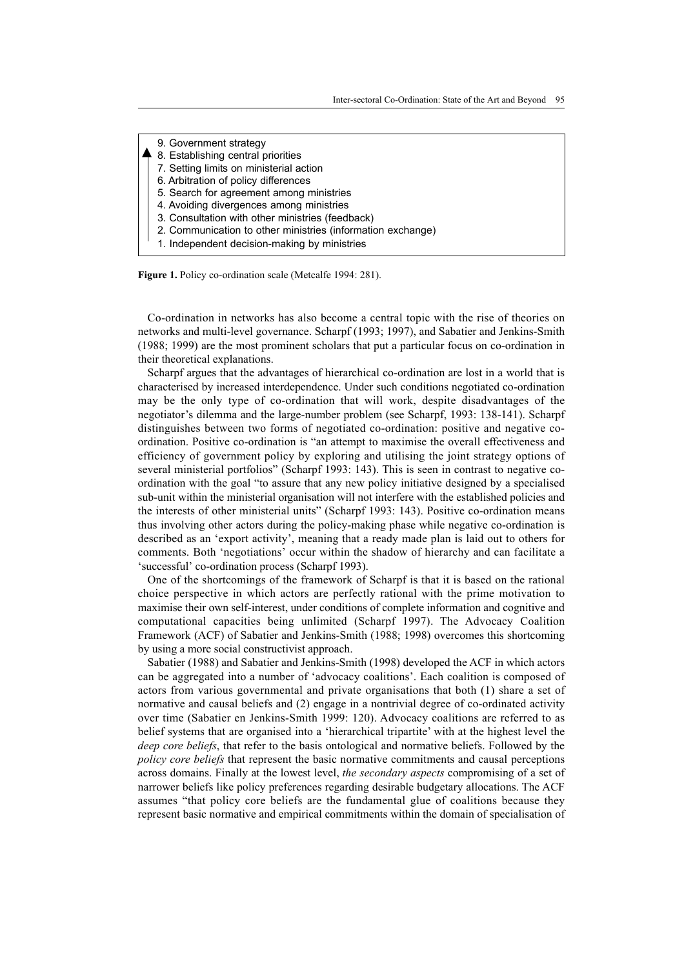- 9. Government strategy 8. Establishing central priorities 7. Setting limits on ministerial action 6. Arbitration of policy differences 5. Search for agreement among ministries 4. Avoiding divergences among ministries 3. Consultation with other ministries (feedback) 2. Communication to other ministries (information exchange) ▲
	- 1. Independent decision-making by ministries



Co-ordination in networks has also become a central topic with the rise of theories on networks and multi-level governance. Scharpf (1993; 1997), and Sabatier and Jenkins-Smith (1988; 1999) are the most prominent scholars that put a particular focus on co-ordination in their theoretical explanations.

Scharpf argues that the advantages of hierarchical co-ordination are lost in a world that is characterised by increased interdependence. Under such conditions negotiated co-ordination may be the only type of co-ordination that will work, despite disadvantages of the negotiator's dilemma and the large-number problem (see Scharpf, 1993: 138-141). Scharpf distinguishes between two forms of negotiated co-ordination: positive and negative coordination. Positive co-ordination is "an attempt to maximise the overall effectiveness and efficiency of government policy by exploring and utilising the joint strategy options of several ministerial portfolios" (Scharpf 1993: 143). This is seen in contrast to negative coordination with the goal "to assure that any new policy initiative designed by a specialised sub-unit within the ministerial organisation will not interfere with the established policies and the interests of other ministerial units" (Scharpf 1993: 143). Positive co-ordination means thus involving other actors during the policy-making phase while negative co-ordination is described as an 'export activity', meaning that a ready made plan is laid out to others for comments. Both 'negotiations' occur within the shadow of hierarchy and can facilitate a 'successful' co-ordination process (Scharpf 1993).

One of the shortcomings of the framework of Scharpf is that it is based on the rational choice perspective in which actors are perfectly rational with the prime motivation to maximise their own self-interest, under conditions of complete information and cognitive and computational capacities being unlimited (Scharpf 1997). The Advocacy Coalition Framework (ACF) of Sabatier and Jenkins-Smith (1988; 1998) overcomes this shortcoming by using a more social constructivist approach.

Sabatier (1988) and Sabatier and Jenkins-Smith (1998) developed the ACF in which actors can be aggregated into a number of 'advocacy coalitions'. Each coalition is composed of actors from various governmental and private organisations that both (1) share a set of normative and causal beliefs and (2) engage in a nontrivial degree of co-ordinated activity over time (Sabatier en Jenkins-Smith 1999: 120). Advocacy coalitions are referred to as belief systems that are organised into a 'hierarchical tripartite' with at the highest level the *deep core beliefs*, that refer to the basis ontological and normative beliefs. Followed by the *policy core beliefs* that represent the basic normative commitments and causal perceptions across domains. Finally at the lowest level, *the secondary aspects* compromising of a set of narrower beliefs like policy preferences regarding desirable budgetary allocations. The ACF assumes "that policy core beliefs are the fundamental glue of coalitions because they represent basic normative and empirical commitments within the domain of specialisation of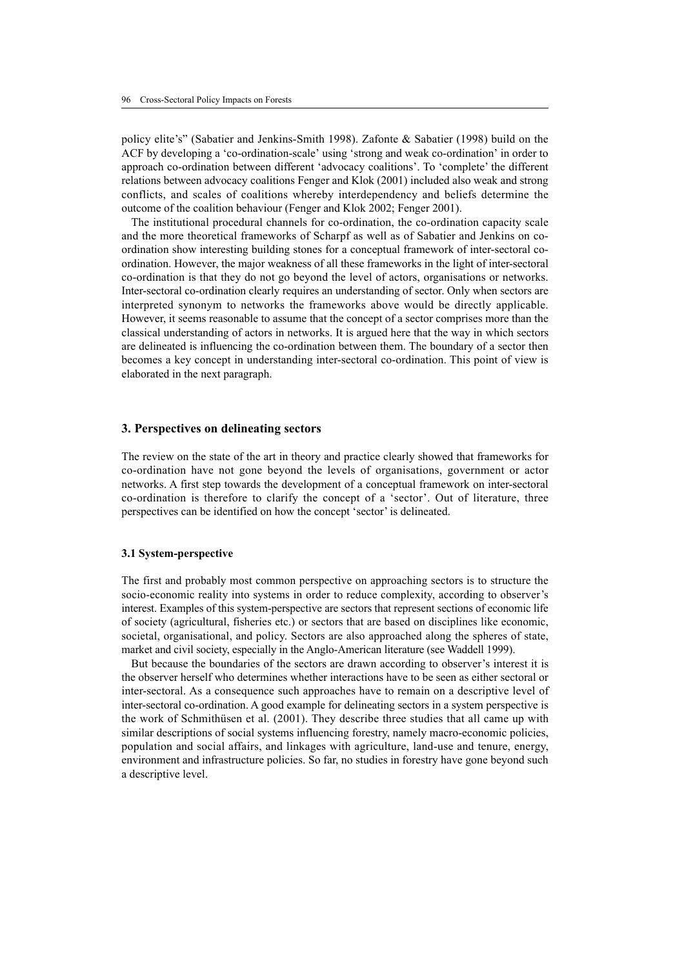policy elite's" (Sabatier and Jenkins-Smith 1998). Zafonte & Sabatier (1998) build on the ACF by developing a 'co-ordination-scale' using 'strong and weak co-ordination' in order to approach co-ordination between different 'advocacy coalitions'. To 'complete' the different relations between advocacy coalitions Fenger and Klok (2001) included also weak and strong conflicts, and scales of coalitions whereby interdependency and beliefs determine the outcome of the coalition behaviour (Fenger and Klok 2002; Fenger 2001).

The institutional procedural channels for co-ordination, the co-ordination capacity scale and the more theoretical frameworks of Scharpf as well as of Sabatier and Jenkins on coordination show interesting building stones for a conceptual framework of inter-sectoral coordination. However, the major weakness of all these frameworks in the light of inter-sectoral co-ordination is that they do not go beyond the level of actors, organisations or networks. Inter-sectoral co-ordination clearly requires an understanding of sector. Only when sectors are interpreted synonym to networks the frameworks above would be directly applicable. However, it seems reasonable to assume that the concept of a sector comprises more than the classical understanding of actors in networks. It is argued here that the way in which sectors are delineated is influencing the co-ordination between them. The boundary of a sector then becomes a key concept in understanding inter-sectoral co-ordination. This point of view is elaborated in the next paragraph.

#### **3. Perspectives on delineating sectors**

The review on the state of the art in theory and practice clearly showed that frameworks for co-ordination have not gone beyond the levels of organisations, government or actor networks. A first step towards the development of a conceptual framework on inter-sectoral co-ordination is therefore to clarify the concept of a 'sector'. Out of literature, three perspectives can be identified on how the concept 'sector' is delineated.

#### **3.1 System-perspective**

The first and probably most common perspective on approaching sectors is to structure the socio-economic reality into systems in order to reduce complexity, according to observer's interest. Examples of this system-perspective are sectors that represent sections of economic life of society (agricultural, fisheries etc.) or sectors that are based on disciplines like economic, societal, organisational, and policy. Sectors are also approached along the spheres of state, market and civil society, especially in the Anglo-American literature (see Waddell 1999).

But because the boundaries of the sectors are drawn according to observer's interest it is the observer herself who determines whether interactions have to be seen as either sectoral or inter-sectoral. As a consequence such approaches have to remain on a descriptive level of inter-sectoral co-ordination. A good example for delineating sectors in a system perspective is the work of Schmithüsen et al. (2001). They describe three studies that all came up with similar descriptions of social systems influencing forestry, namely macro-economic policies, population and social affairs, and linkages with agriculture, land-use and tenure, energy, environment and infrastructure policies. So far, no studies in forestry have gone beyond such a descriptive level.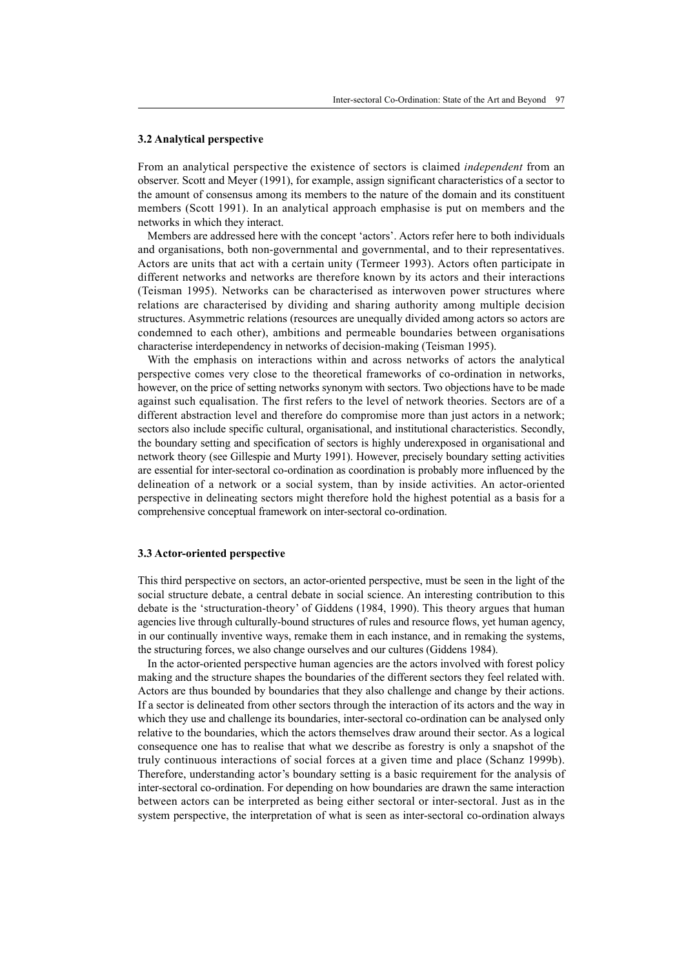## **3.2 Analytical perspective**

From an analytical perspective the existence of sectors is claimed *independent* from an observer. Scott and Meyer (1991), for example, assign significant characteristics of a sector to the amount of consensus among its members to the nature of the domain and its constituent members (Scott 1991). In an analytical approach emphasise is put on members and the networks in which they interact.

Members are addressed here with the concept 'actors'. Actors refer here to both individuals and organisations, both non-governmental and governmental, and to their representatives. Actors are units that act with a certain unity (Termeer 1993). Actors often participate in different networks and networks are therefore known by its actors and their interactions (Teisman 1995). Networks can be characterised as interwoven power structures where relations are characterised by dividing and sharing authority among multiple decision structures. Asymmetric relations (resources are unequally divided among actors so actors are condemned to each other), ambitions and permeable boundaries between organisations characterise interdependency in networks of decision-making (Teisman 1995).

With the emphasis on interactions within and across networks of actors the analytical perspective comes very close to the theoretical frameworks of co-ordination in networks, however, on the price of setting networks synonym with sectors. Two objections have to be made against such equalisation. The first refers to the level of network theories. Sectors are of a different abstraction level and therefore do compromise more than just actors in a network; sectors also include specific cultural, organisational, and institutional characteristics. Secondly, the boundary setting and specification of sectors is highly underexposed in organisational and network theory (see Gillespie and Murty 1991). However, precisely boundary setting activities are essential for inter-sectoral co-ordination as coordination is probably more influenced by the delineation of a network or a social system, than by inside activities. An actor-oriented perspective in delineating sectors might therefore hold the highest potential as a basis for a comprehensive conceptual framework on inter-sectoral co-ordination.

#### **3.3 Actor-oriented perspective**

This third perspective on sectors, an actor-oriented perspective, must be seen in the light of the social structure debate, a central debate in social science. An interesting contribution to this debate is the 'structuration-theory' of Giddens (1984, 1990). This theory argues that human agencies live through culturally-bound structures of rules and resource flows, yet human agency, in our continually inventive ways, remake them in each instance, and in remaking the systems, the structuring forces, we also change ourselves and our cultures (Giddens 1984).

In the actor-oriented perspective human agencies are the actors involved with forest policy making and the structure shapes the boundaries of the different sectors they feel related with. Actors are thus bounded by boundaries that they also challenge and change by their actions. If a sector is delineated from other sectors through the interaction of its actors and the way in which they use and challenge its boundaries, inter-sectoral co-ordination can be analysed only relative to the boundaries, which the actors themselves draw around their sector. As a logical consequence one has to realise that what we describe as forestry is only a snapshot of the truly continuous interactions of social forces at a given time and place (Schanz 1999b). Therefore, understanding actor's boundary setting is a basic requirement for the analysis of inter-sectoral co-ordination. For depending on how boundaries are drawn the same interaction between actors can be interpreted as being either sectoral or inter-sectoral. Just as in the system perspective, the interpretation of what is seen as inter-sectoral co-ordination always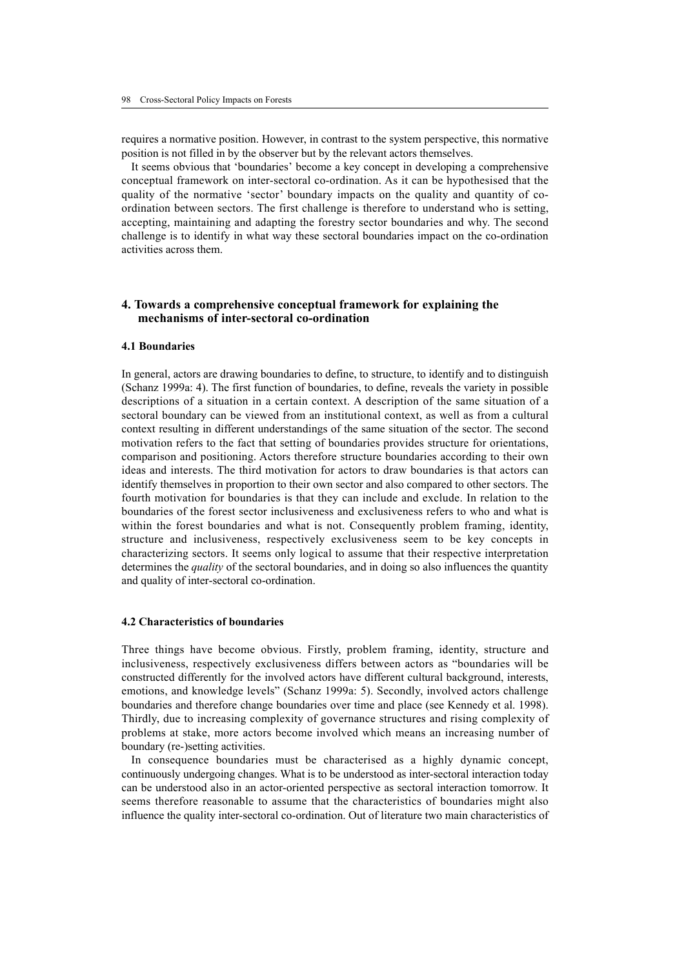requires a normative position. However, in contrast to the system perspective, this normative position is not filled in by the observer but by the relevant actors themselves.

It seems obvious that 'boundaries' become a key concept in developing a comprehensive conceptual framework on inter-sectoral co-ordination. As it can be hypothesised that the quality of the normative 'sector' boundary impacts on the quality and quantity of coordination between sectors. The first challenge is therefore to understand who is setting, accepting, maintaining and adapting the forestry sector boundaries and why. The second challenge is to identify in what way these sectoral boundaries impact on the co-ordination activities across them.

## **4. Towards a comprehensive conceptual framework for explaining the mechanisms of inter-sectoral co-ordination**

## **4.1 Boundaries**

In general, actors are drawing boundaries to define, to structure, to identify and to distinguish (Schanz 1999a: 4). The first function of boundaries, to define, reveals the variety in possible descriptions of a situation in a certain context. A description of the same situation of a sectoral boundary can be viewed from an institutional context, as well as from a cultural context resulting in different understandings of the same situation of the sector. The second motivation refers to the fact that setting of boundaries provides structure for orientations, comparison and positioning. Actors therefore structure boundaries according to their own ideas and interests. The third motivation for actors to draw boundaries is that actors can identify themselves in proportion to their own sector and also compared to other sectors. The fourth motivation for boundaries is that they can include and exclude. In relation to the boundaries of the forest sector inclusiveness and exclusiveness refers to who and what is within the forest boundaries and what is not. Consequently problem framing, identity, structure and inclusiveness, respectively exclusiveness seem to be key concepts in characterizing sectors. It seems only logical to assume that their respective interpretation determines the *quality* of the sectoral boundaries, and in doing so also influences the quantity and quality of inter-sectoral co-ordination.

#### **4.2 Characteristics of boundaries**

Three things have become obvious. Firstly, problem framing, identity, structure and inclusiveness, respectively exclusiveness differs between actors as "boundaries will be constructed differently for the involved actors have different cultural background, interests, emotions, and knowledge levels" (Schanz 1999a: 5). Secondly, involved actors challenge boundaries and therefore change boundaries over time and place (see Kennedy et al. 1998). Thirdly, due to increasing complexity of governance structures and rising complexity of problems at stake, more actors become involved which means an increasing number of boundary (re-)setting activities.

In consequence boundaries must be characterised as a highly dynamic concept, continuously undergoing changes. What is to be understood as inter-sectoral interaction today can be understood also in an actor-oriented perspective as sectoral interaction tomorrow. It seems therefore reasonable to assume that the characteristics of boundaries might also influence the quality inter-sectoral co-ordination. Out of literature two main characteristics of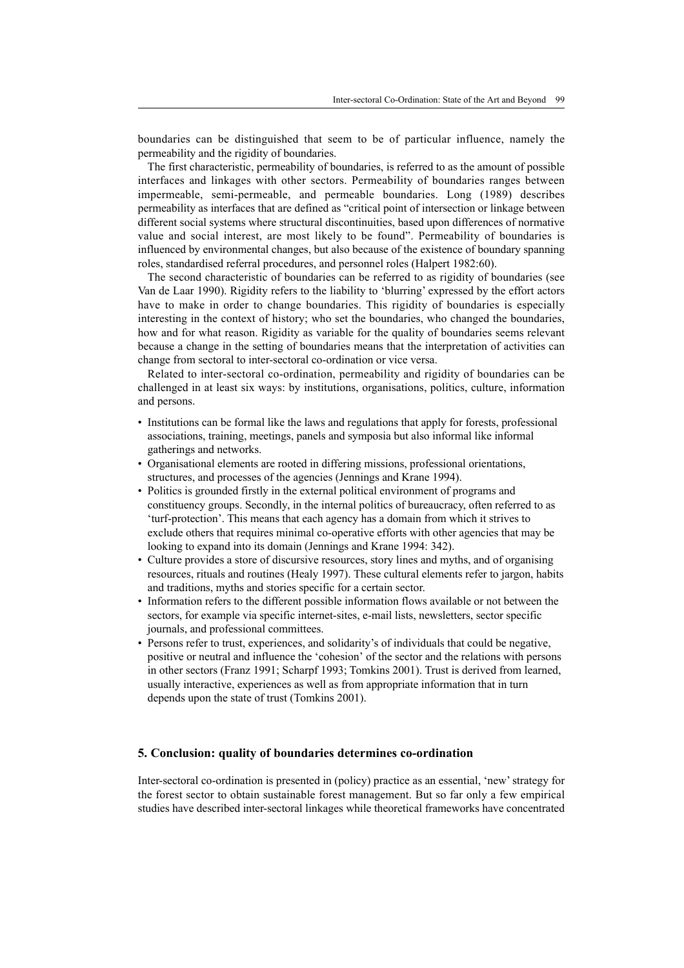boundaries can be distinguished that seem to be of particular influence, namely the permeability and the rigidity of boundaries.

The first characteristic, permeability of boundaries, is referred to as the amount of possible interfaces and linkages with other sectors. Permeability of boundaries ranges between impermeable, semi-permeable, and permeable boundaries. Long (1989) describes permeability as interfaces that are defined as "critical point of intersection or linkage between different social systems where structural discontinuities, based upon differences of normative value and social interest, are most likely to be found". Permeability of boundaries is influenced by environmental changes, but also because of the existence of boundary spanning roles, standardised referral procedures, and personnel roles (Halpert 1982:60).

The second characteristic of boundaries can be referred to as rigidity of boundaries (see Van de Laar 1990). Rigidity refers to the liability to 'blurring' expressed by the effort actors have to make in order to change boundaries. This rigidity of boundaries is especially interesting in the context of history; who set the boundaries, who changed the boundaries, how and for what reason. Rigidity as variable for the quality of boundaries seems relevant because a change in the setting of boundaries means that the interpretation of activities can change from sectoral to inter-sectoral co-ordination or vice versa.

Related to inter-sectoral co-ordination, permeability and rigidity of boundaries can be challenged in at least six ways: by institutions, organisations, politics, culture, information and persons.

- Institutions can be formal like the laws and regulations that apply for forests, professional associations, training, meetings, panels and symposia but also informal like informal gatherings and networks.
- Organisational elements are rooted in differing missions, professional orientations, structures, and processes of the agencies (Jennings and Krane 1994).
- Politics is grounded firstly in the external political environment of programs and constituency groups. Secondly, in the internal politics of bureaucracy, often referred to as 'turf-protection'. This means that each agency has a domain from which it strives to exclude others that requires minimal co-operative efforts with other agencies that may be looking to expand into its domain (Jennings and Krane 1994: 342).
- Culture provides a store of discursive resources, story lines and myths, and of organising resources, rituals and routines (Healy 1997). These cultural elements refer to jargon, habits and traditions, myths and stories specific for a certain sector.
- Information refers to the different possible information flows available or not between the sectors, for example via specific internet-sites, e-mail lists, newsletters, sector specific journals, and professional committees.
- Persons refer to trust, experiences, and solidarity's of individuals that could be negative, positive or neutral and influence the 'cohesion' of the sector and the relations with persons in other sectors (Franz 1991; Scharpf 1993; Tomkins 2001). Trust is derived from learned, usually interactive, experiences as well as from appropriate information that in turn depends upon the state of trust (Tomkins 2001).

## **5. Conclusion: quality of boundaries determines co-ordination**

Inter-sectoral co-ordination is presented in (policy) practice as an essential, 'new' strategy for the forest sector to obtain sustainable forest management. But so far only a few empirical studies have described inter-sectoral linkages while theoretical frameworks have concentrated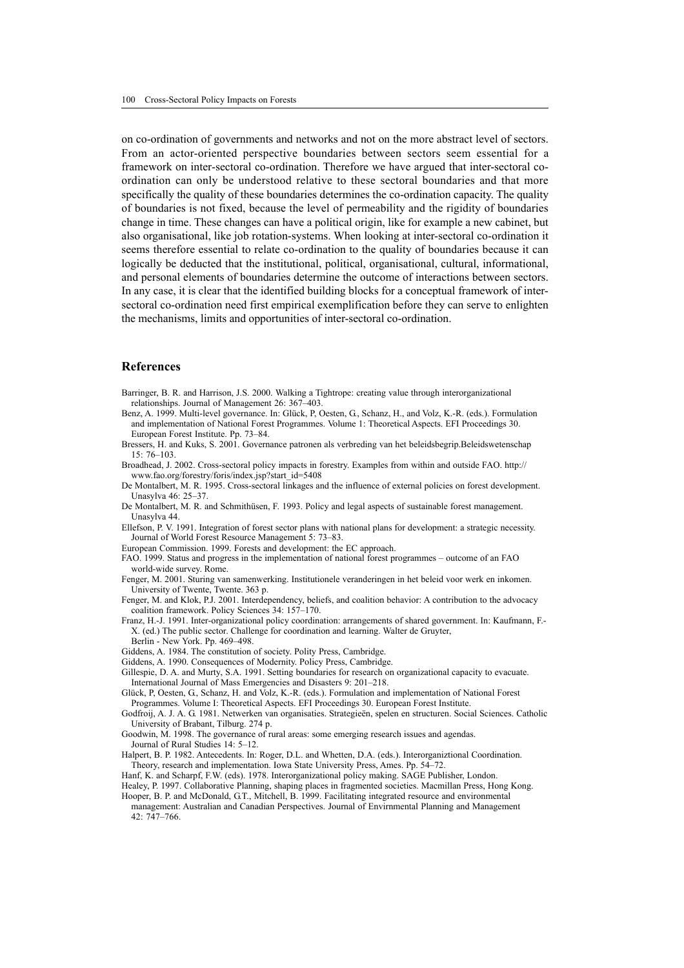on co-ordination of governments and networks and not on the more abstract level of sectors. From an actor-oriented perspective boundaries between sectors seem essential for a framework on inter-sectoral co-ordination. Therefore we have argued that inter-sectoral coordination can only be understood relative to these sectoral boundaries and that more specifically the quality of these boundaries determines the co-ordination capacity. The quality of boundaries is not fixed, because the level of permeability and the rigidity of boundaries change in time. These changes can have a political origin, like for example a new cabinet, but also organisational, like job rotation-systems. When looking at inter-sectoral co-ordination it seems therefore essential to relate co-ordination to the quality of boundaries because it can logically be deducted that the institutional, political, organisational, cultural, informational, and personal elements of boundaries determine the outcome of interactions between sectors. In any case, it is clear that the identified building blocks for a conceptual framework of intersectoral co-ordination need first empirical exemplification before they can serve to enlighten the mechanisms, limits and opportunities of inter-sectoral co-ordination.

#### **References**

- Barringer, B. R. and Harrison, J.S. 2000. Walking a Tightrope: creating value through interorganizational relationships. Journal of Management 26: 367–403.
- Benz, A. 1999. Multi-level governance. In: Glück, P, Oesten, G., Schanz, H., and Volz, K.-R. (eds.). Formulation and implementation of National Forest Programmes. Volume 1: Theoretical Aspects. EFI Proceedings 30. European Forest Institute. Pp. 73–84.
- Bressers, H. and Kuks, S. 2001. Governance patronen als verbreding van het beleidsbegrip.Beleidswetenschap  $15: 76-103$
- Broadhead, J. 2002. Cross-sectoral policy impacts in forestry. Examples from within and outside FAO. http:// www.fao.org/forestry/foris/index.jsp?start\_id=5408
- De Montalbert, M. R. 1995. Cross-sectoral linkages and the influence of external policies on forest development. Unasylva 46: 25–37.
- De Montalbert, M. R. and Schmithüsen, F. 1993. Policy and legal aspects of sustainable forest management. Unasylva 44.
- Ellefson, P. V. 1991. Integration of forest sector plans with national plans for development: a strategic necessity. Journal of World Forest Resource Management 5: 73–83.
- European Commission. 1999. Forests and development: the EC approach.
- FAO. 1999. Status and progress in the implementation of national forest programmes outcome of an FAO world-wide survey. Rome.
- Fenger, M. 2001. Sturing van samenwerking. Institutionele veranderingen in het beleid voor werk en inkomen. University of Twente, Twente. 363 p.
- Fenger, M. and Klok, P.J. 2001. Interdependency, beliefs, and coalition behavior: A contribution to the advocacy coalition framework. Policy Sciences 34: 157–170.
- Franz, H.-J. 1991. Inter-organizational policy coordination: arrangements of shared government. In: Kaufmann, F.- X. (ed.) The public sector. Challenge for coordination and learning. Walter de Gruyter,
- Berlin New York. Pp. 469–498.
- Giddens, A. 1984. The constitution of society. Polity Press, Cambridge.
- Giddens, A. 1990. Consequences of Modernity. Policy Press, Cambridge.
- Gillespie, D. A. and Murty, S.A. 1991. Setting boundaries for research on organizational capacity to evacuate. International Journal of Mass Emergencies and Disasters 9: 201–218.
- Glück, P, Oesten, G., Schanz, H. and Volz, K.-R. (eds.). Formulation and implementation of National Forest Programmes. Volume I: Theoretical Aspects. EFI Proceedings 30. European Forest Institute.
- Godfroij, A. J. A. G. 1981. Netwerken van organisaties. Strategieën, spelen en structuren. Social Sciences. Catholic University of Brabant, Tilburg. 274 p.
- Goodwin, M. 1998. The governance of rural areas: some emerging research issues and agendas. Journal of Rural Studies 14: 5–12.
- Halpert, B. P. 1982. Antecedents. In: Roger, D.L. and Whetten, D.A. (eds.). Interorganiztional Coordination. Theory, research and implementation. Iowa State University Press, Ames. Pp. 54–72.
- Hanf, K. and Scharpf, F.W. (eds). 1978. Interorganizational policy making. SAGE Publisher, London.
- Healey, P. 1997. Collaborative Planning, shaping places in fragmented societies. Macmillan Press, Hong Kong. Hooper, B. P. and McDonald, G.T., Mitchell, B. 1999. Facilitating integrated resource and environmental
- management: Australian and Canadian Perspectives. Journal of Envirnmental Planning and Management 42: 747–766.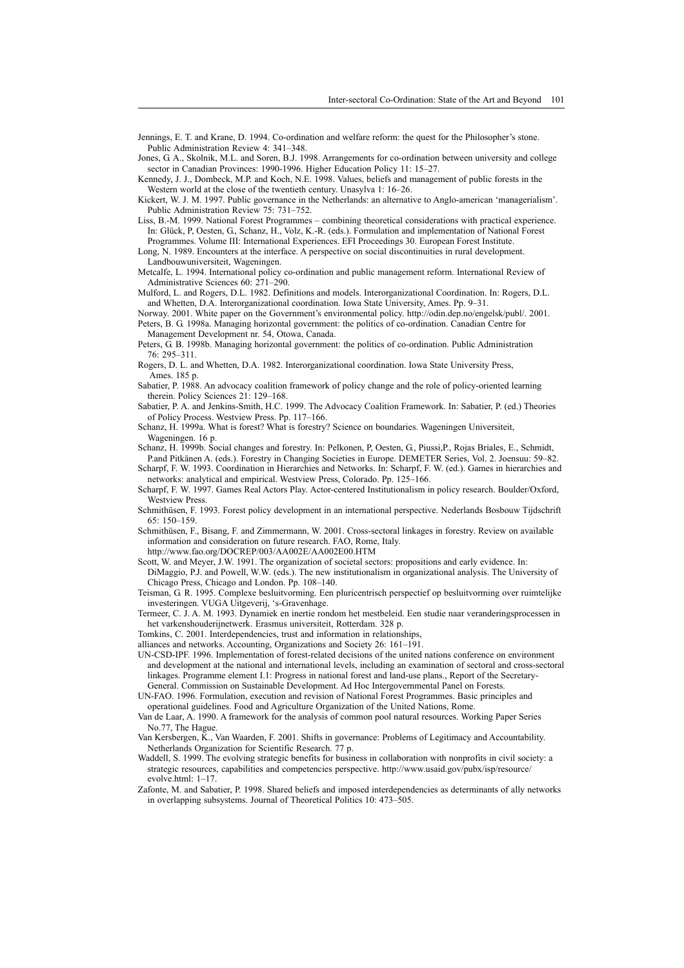Jennings, E. T. and Krane, D. 1994. Co-ordination and welfare reform: the quest for the Philosopher's stone. Public Administration Review 4: 341–348.

Jones, G. A., Skolnik, M.L. and Soren, B.J. 1998. Arrangements for co-ordination between university and college sector in Canadian Provinces: 1990-1996. Higher Education Policy 11: 15–27.

Kennedy, J. J., Dombeck, M.P. and Koch, N.E. 1998. Values, beliefs and management of public forests in the Western world at the close of the twentieth century. Unasylva 1: 16–26.

Kickert, W. J. M. 1997. Public governance in the Netherlands: an alternative to Anglo-american 'managerialism'. Public Administration Review 75: 731–752.

Liss, B.-M. 1999. National Forest Programmes – combining theoretical considerations with practical experience. In: Glück, P, Oesten, G., Schanz, H., Volz, K.-R. (eds.). Formulation and implementation of National Forest

Programmes. Volume III: International Experiences. EFI Proceedings 30. European Forest Institute. Long, N. 1989. Encounters at the interface. A perspective on social discontinuities in rural development. Landbouwuniversiteit, Wageningen.

Metcalfe, L. 1994. International policy co-ordination and public management reform. International Review of Administrative Sciences 60: 271–290.

Mulford, L. and Rogers, D.L. 1982. Definitions and models. Interorganizational Coordination. In: Rogers, D.L. and Whetten, D.A. Interorganizational coordination. Iowa State University, Ames. Pp. 9–31.

Norway. 2001. White paper on the Government's environmental policy. http://odin.dep.no/engelsk/publ/. 2001. Peters, B. G. 1998a. Managing horizontal government: the politics of co-ordination. Canadian Centre for Management Development nr. 54, Otowa, Canada.

Peters, G. B. 1998b. Managing horizontal government: the politics of co-ordination. Public Administration 76: 295–311.

Rogers, D. L. and Whetten, D.A. 1982. Interorganizational coordination. Iowa State University Press, Ames. 185 p.

Sabatier, P. 1988. An advocacy coalition framework of policy change and the role of policy-oriented learning therein. Policy Sciences 21: 129–168.

Sabatier, P. A. and Jenkins-Smith, H.C. 1999. The Advocacy Coalition Framework. In: Sabatier, P. (ed.) Theories of Policy Process. Westview Press. Pp. 117–166.

Schanz, H. 1999a. What is forest? What is forestry? Science on boundaries. Wageningen Universiteit, Wageningen. 16 p.

Schanz, H. 1999b. Social changes and forestry. In: Pelkonen, P, Oesten, G., Piussi,P., Rojas Briales, E., Schmidt, P.and Pitkänen A. (eds.). Forestry in Changing Societies in Europe. DEMETER Series, Vol. 2. Joensuu: 59–82.

Scharpf, F. W. 1993. Coordination in Hierarchies and Networks. In: Scharpf, F. W. (ed.). Games in hierarchies and networks: analytical and empirical. Westview Press, Colorado. Pp. 125–166.

Scharpf, F. W. 1997. Games Real Actors Play. Actor-centered Institutionalism in policy research. Boulder/Oxford, Westview Press.

Schmithüsen, F. 1993. Forest policy development in an international perspective. Nederlands Bosbouw Tijdschrift 65: 150–159.

Schmithüsen, F., Bisang, F. and Zimmermann, W. 2001. Cross-sectoral linkages in forestry. Review on available information and consideration on future research. FAO, Rome, Italy.

http://www.fao.org/DOCREP/003/AA002E/AA002E00.HTM

Scott, W. and Meyer, J.W. 1991. The organization of societal sectors: propositions and early evidence. In: DiMaggio, P.J. and Powell, W.W. (eds.). The new institutionalism in organizational analysis. The University of Chicago Press, Chicago and London. Pp. 108–140.

Teisman, G. R. 1995. Complexe besluitvorming. Een pluricentrisch perspectief op besluitvorming over ruimtelijke investeringen. VUGA Uitgeverij, 's-Gravenhage.

Termeer, C. J. A. M. 1993. Dynamiek en inertie rondom het mestbeleid. Een studie naar veranderingsprocessen in het varkenshouderijnetwerk. Erasmus universiteit, Rotterdam. 328 p.

Tomkins, C. 2001. Interdependencies, trust and information in relationships,

alliances and networks. Accounting, Organizations and Society 26: 161–191.

UN-CSD-IPF. 1996. Implementation of forest-related decisions of the united nations conference on environment and development at the national and international levels, including an examination of sectoral and cross-sectoral linkages. Programme element I.1: Progress in national forest and land-use plans. Report of the Secretary-General. Commission on Sustainable Development. Ad Hoc Intergovernmental Panel on Forests.

UN-FAO. 1996. Formulation, execution and revision of National Forest Programmes. Basic principles and operational guidelines. Food and Agriculture Organization of the United Nations, Rome.

Van de Laar, A. 1990. A framework for the analysis of common pool natural resources. Working Paper Series No.77, The Hague.

Van Kersbergen, K., Van Waarden, F. 2001. Shifts in governance: Problems of Legitimacy and Accountability. Netherlands Organization for Scientific Research. 77 p.

Waddell, S. 1999. The evolving strategic benefits for business in collaboration with nonprofits in civil society: a strategic resources, capabilities and competencies perspective. http://www.usaid.gov/pubx/isp/resource/ evolve.html: 1–17.

Zafonte, M. and Sabatier, P. 1998. Shared beliefs and imposed interdependencies as determinants of ally networks in overlapping subsystems. Journal of Theoretical Politics 10: 473–505.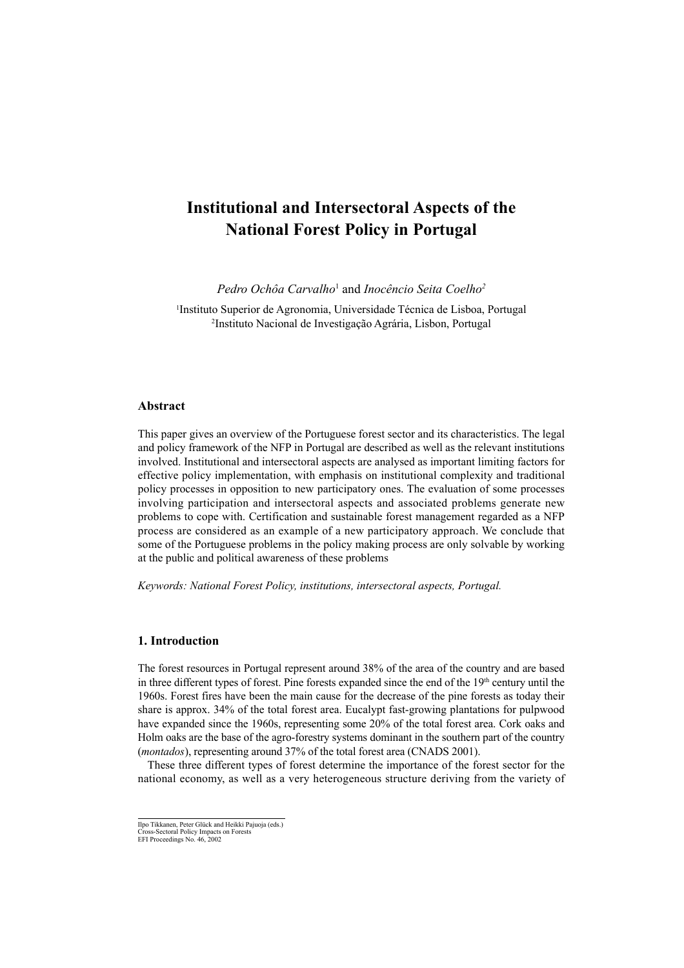# **Institutional and Intersectoral Aspects of the National Forest Policy in Portugal**

*Pedro Ochôa Carvalho*<sup>1</sup> and *Inocêncio Seita Coelho2*

1 Instituto Superior de Agronomia, Universidade Técnica de Lisboa, Portugal 2 Instituto Nacional de Investigação Agrária, Lisbon, Portugal

#### **Abstract**

This paper gives an overview of the Portuguese forest sector and its characteristics. The legal and policy framework of the NFP in Portugal are described as well as the relevant institutions involved. Institutional and intersectoral aspects are analysed as important limiting factors for effective policy implementation, with emphasis on institutional complexity and traditional policy processes in opposition to new participatory ones. The evaluation of some processes involving participation and intersectoral aspects and associated problems generate new problems to cope with. Certification and sustainable forest management regarded as a NFP process are considered as an example of a new participatory approach. We conclude that some of the Portuguese problems in the policy making process are only solvable by working at the public and political awareness of these problems

*Keywords: National Forest Policy, institutions, intersectoral aspects, Portugal.*

## **1. Introduction**

The forest resources in Portugal represent around 38% of the area of the country and are based in three different types of forest. Pine forests expanded since the end of the 19<sup>th</sup> century until the 1960s. Forest fires have been the main cause for the decrease of the pine forests as today their share is approx. 34% of the total forest area. Eucalypt fast-growing plantations for pulpwood have expanded since the 1960s, representing some 20% of the total forest area. Cork oaks and Holm oaks are the base of the agro-forestry systems dominant in the southern part of the country (*montados*), representing around 37% of the total forest area (CNADS 2001).

These three different types of forest determine the importance of the forest sector for the national economy, as well as a very heterogeneous structure deriving from the variety of

Ilpo Tikkanen, Peter Glück and Heikki Pajuoja (eds.)

Cross-Sectoral Policy Impacts on Forests EFI Proceedings No. 46, 2002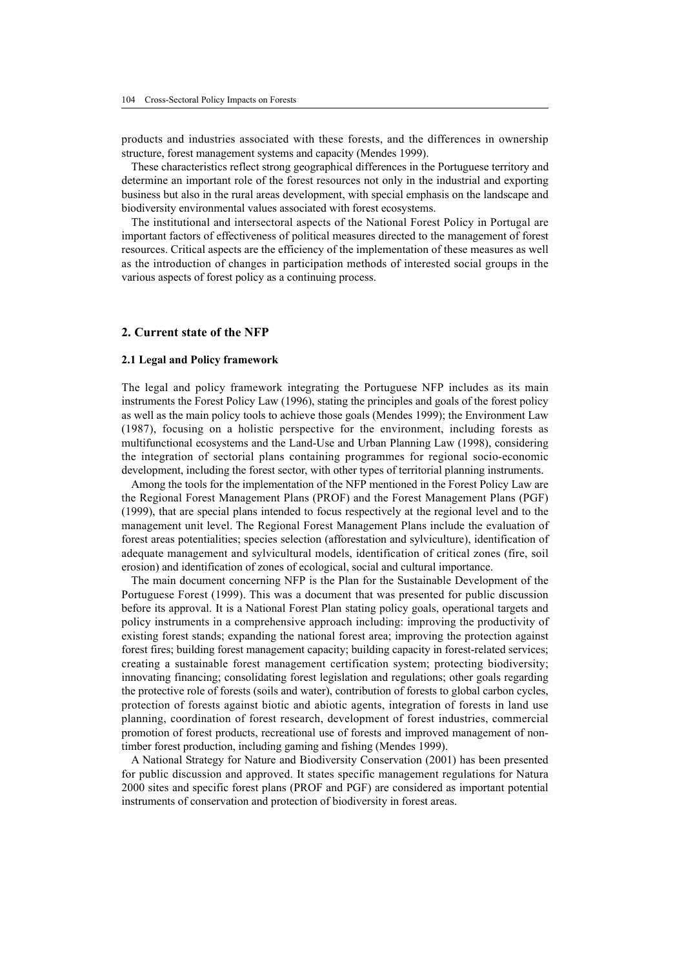products and industries associated with these forests, and the differences in ownership structure, forest management systems and capacity (Mendes 1999).

These characteristics reflect strong geographical differences in the Portuguese territory and determine an important role of the forest resources not only in the industrial and exporting business but also in the rural areas development, with special emphasis on the landscape and biodiversity environmental values associated with forest ecosystems.

The institutional and intersectoral aspects of the National Forest Policy in Portugal are important factors of effectiveness of political measures directed to the management of forest resources. Critical aspects are the efficiency of the implementation of these measures as well as the introduction of changes in participation methods of interested social groups in the various aspects of forest policy as a continuing process.

## **2. Current state of the NFP**

#### **2.1 Legal and Policy framework**

The legal and policy framework integrating the Portuguese NFP includes as its main instruments the Forest Policy Law (1996), stating the principles and goals of the forest policy as well as the main policy tools to achieve those goals (Mendes 1999); the Environment Law (1987), focusing on a holistic perspective for the environment, including forests as multifunctional ecosystems and the Land-Use and Urban Planning Law (1998), considering the integration of sectorial plans containing programmes for regional socio-economic development, including the forest sector, with other types of territorial planning instruments.

Among the tools for the implementation of the NFP mentioned in the Forest Policy Law are the Regional Forest Management Plans (PROF) and the Forest Management Plans (PGF) (1999), that are special plans intended to focus respectively at the regional level and to the management unit level. The Regional Forest Management Plans include the evaluation of forest areas potentialities; species selection (afforestation and sylviculture), identification of adequate management and sylvicultural models, identification of critical zones (fire, soil erosion) and identification of zones of ecological, social and cultural importance.

The main document concerning NFP is the Plan for the Sustainable Development of the Portuguese Forest (1999). This was a document that was presented for public discussion before its approval. It is a National Forest Plan stating policy goals, operational targets and policy instruments in a comprehensive approach including: improving the productivity of existing forest stands; expanding the national forest area; improving the protection against forest fires; building forest management capacity; building capacity in forest-related services; creating a sustainable forest management certification system; protecting biodiversity; innovating financing; consolidating forest legislation and regulations; other goals regarding the protective role of forests (soils and water), contribution of forests to global carbon cycles, protection of forests against biotic and abiotic agents, integration of forests in land use planning, coordination of forest research, development of forest industries, commercial promotion of forest products, recreational use of forests and improved management of nontimber forest production, including gaming and fishing (Mendes 1999).

A National Strategy for Nature and Biodiversity Conservation (2001) has been presented for public discussion and approved. It states specific management regulations for Natura 2000 sites and specific forest plans (PROF and PGF) are considered as important potential instruments of conservation and protection of biodiversity in forest areas.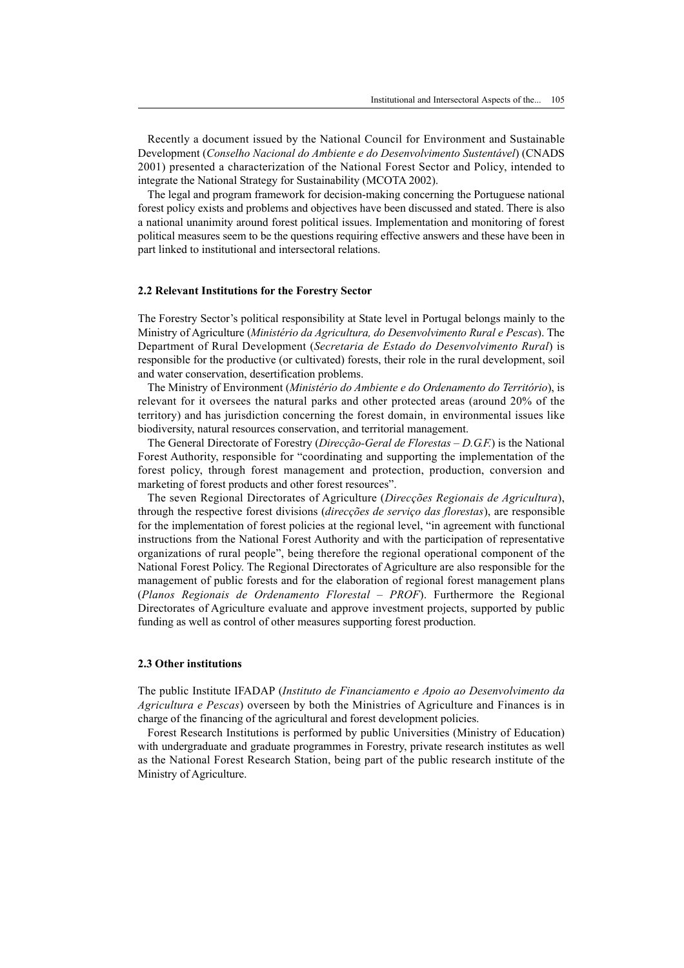Recently a document issued by the National Council for Environment and Sustainable Development (*Conselho Nacional do Ambiente e do Desenvolvimento Sustentável*) (CNADS 2001) presented a characterization of the National Forest Sector and Policy, intended to integrate the National Strategy for Sustainability (MCOTA 2002).

The legal and program framework for decision-making concerning the Portuguese national forest policy exists and problems and objectives have been discussed and stated. There is also a national unanimity around forest political issues. Implementation and monitoring of forest political measures seem to be the questions requiring effective answers and these have been in part linked to institutional and intersectoral relations.

#### **2.2 Relevant Institutions for the Forestry Sector**

The Forestry Sector's political responsibility at State level in Portugal belongs mainly to the Ministry of Agriculture (*Ministério da Agricultura, do Desenvolvimento Rural e Pescas*). The Department of Rural Development (*Secretaria de Estado do Desenvolvimento Rural*) is responsible for the productive (or cultivated) forests, their role in the rural development, soil and water conservation, desertification problems.

The Ministry of Environment (*Ministério do Ambiente e do Ordenamento do Território*), is relevant for it oversees the natural parks and other protected areas (around 20% of the territory) and has jurisdiction concerning the forest domain, in environmental issues like biodiversity, natural resources conservation, and territorial management.

The General Directorate of Forestry (*Direcção-Geral de Florestas – D.G.F.*) is the National Forest Authority, responsible for "coordinating and supporting the implementation of the forest policy, through forest management and protection, production, conversion and marketing of forest products and other forest resources".

The seven Regional Directorates of Agriculture (*Direcções Regionais de Agricultura*), through the respective forest divisions (*direcções de serviço das florestas*), are responsible for the implementation of forest policies at the regional level, "in agreement with functional instructions from the National Forest Authority and with the participation of representative organizations of rural people", being therefore the regional operational component of the National Forest Policy. The Regional Directorates of Agriculture are also responsible for the management of public forests and for the elaboration of regional forest management plans (*Planos Regionais de Ordenamento Florestal – PROF*). Furthermore the Regional Directorates of Agriculture evaluate and approve investment projects, supported by public funding as well as control of other measures supporting forest production.

#### **2.3 Other institutions**

The public Institute IFADAP (*Instituto de Financiamento e Apoio ao Desenvolvimento da Agricultura e Pescas*) overseen by both the Ministries of Agriculture and Finances is in charge of the financing of the agricultural and forest development policies.

Forest Research Institutions is performed by public Universities (Ministry of Education) with undergraduate and graduate programmes in Forestry, private research institutes as well as the National Forest Research Station, being part of the public research institute of the Ministry of Agriculture.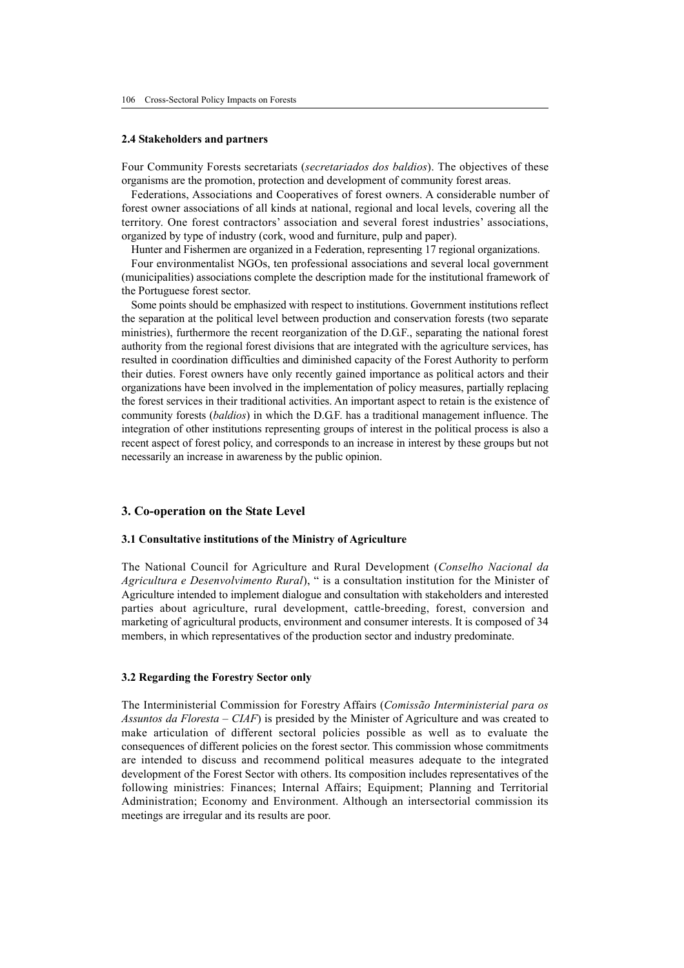#### **2.4 Stakeholders and partners**

Four Community Forests secretariats (*secretariados dos baldios*). The objectives of these organisms are the promotion, protection and development of community forest areas.

Federations, Associations and Cooperatives of forest owners. A considerable number of forest owner associations of all kinds at national, regional and local levels, covering all the territory. One forest contractors' association and several forest industries' associations, organized by type of industry (cork, wood and furniture, pulp and paper).

Hunter and Fishermen are organized in a Federation, representing 17 regional organizations.

Four environmentalist NGOs, ten professional associations and several local government (municipalities) associations complete the description made for the institutional framework of the Portuguese forest sector.

Some points should be emphasized with respect to institutions. Government institutions reflect the separation at the political level between production and conservation forests (two separate ministries), furthermore the recent reorganization of the D.G.F., separating the national forest authority from the regional forest divisions that are integrated with the agriculture services, has resulted in coordination difficulties and diminished capacity of the Forest Authority to perform their duties. Forest owners have only recently gained importance as political actors and their organizations have been involved in the implementation of policy measures, partially replacing the forest services in their traditional activities. An important aspect to retain is the existence of community forests (*baldios*) in which the D.G.F. has a traditional management influence. The integration of other institutions representing groups of interest in the political process is also a recent aspect of forest policy, and corresponds to an increase in interest by these groups but not necessarily an increase in awareness by the public opinion.

#### **3. Co-operation on the State Level**

#### **3.1 Consultative institutions of the Ministry of Agriculture**

The National Council for Agriculture and Rural Development (*Conselho Nacional da Agricultura e Desenvolvimento Rural*), " is a consultation institution for the Minister of Agriculture intended to implement dialogue and consultation with stakeholders and interested parties about agriculture, rural development, cattle-breeding, forest, conversion and marketing of agricultural products, environment and consumer interests. It is composed of 34 members, in which representatives of the production sector and industry predominate.

#### **3.2 Regarding the Forestry Sector only**

The Interministerial Commission for Forestry Affairs (*Comissão Interministerial para os Assuntos da Floresta – CIAF*) is presided by the Minister of Agriculture and was created to make articulation of different sectoral policies possible as well as to evaluate the consequences of different policies on the forest sector. This commission whose commitments are intended to discuss and recommend political measures adequate to the integrated development of the Forest Sector with others. Its composition includes representatives of the following ministries: Finances; Internal Affairs; Equipment; Planning and Territorial Administration; Economy and Environment. Although an intersectorial commission its meetings are irregular and its results are poor.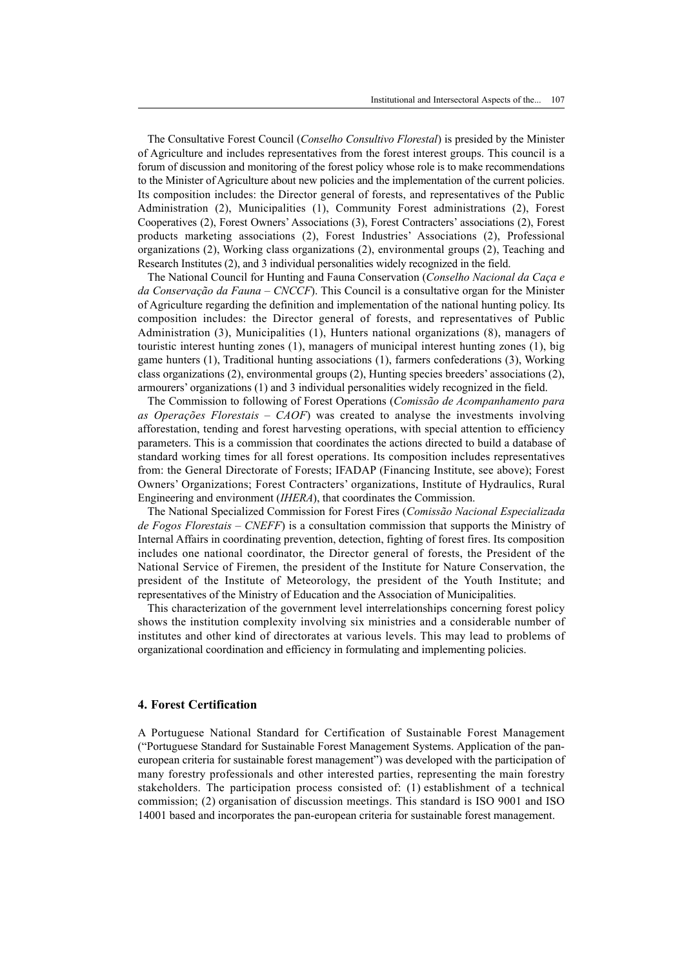The Consultative Forest Council (*Conselho Consultivo Florestal*) is presided by the Minister of Agriculture and includes representatives from the forest interest groups. This council is a forum of discussion and monitoring of the forest policy whose role is to make recommendations to the Minister of Agriculture about new policies and the implementation of the current policies. Its composition includes: the Director general of forests, and representatives of the Public Administration (2), Municipalities (1), Community Forest administrations (2), Forest Cooperatives (2), Forest Owners' Associations (3), Forest Contracters' associations (2), Forest products marketing associations (2), Forest Industries' Associations (2), Professional organizations (2), Working class organizations (2), environmental groups (2), Teaching and Research Institutes (2), and 3 individual personalities widely recognized in the field.

The National Council for Hunting and Fauna Conservation (*Conselho Nacional da Caça e da Conservação da Fauna – CNCCF*). This Council is a consultative organ for the Minister of Agriculture regarding the definition and implementation of the national hunting policy. Its composition includes: the Director general of forests, and representatives of Public Administration (3), Municipalities (1), Hunters national organizations (8), managers of touristic interest hunting zones (1), managers of municipal interest hunting zones (1), big game hunters (1), Traditional hunting associations (1), farmers confederations (3), Working class organizations (2), environmental groups (2), Hunting species breeders' associations (2), armourers' organizations (1) and 3 individual personalities widely recognized in the field.

The Commission to following of Forest Operations (*Comissão de Acompanhamento para as Operações Florestais – CAOF*) was created to analyse the investments involving afforestation, tending and forest harvesting operations, with special attention to efficiency parameters. This is a commission that coordinates the actions directed to build a database of standard working times for all forest operations. Its composition includes representatives from: the General Directorate of Forests; IFADAP (Financing Institute, see above); Forest Owners' Organizations; Forest Contracters' organizations, Institute of Hydraulics, Rural Engineering and environment (*IHERA*), that coordinates the Commission.

The National Specialized Commission for Forest Fires (*Comissão Nacional Especializada de Fogos Florestais – CNEFF*) is a consultation commission that supports the Ministry of Internal Affairs in coordinating prevention, detection, fighting of forest fires. Its composition includes one national coordinator, the Director general of forests, the President of the National Service of Firemen, the president of the Institute for Nature Conservation, the president of the Institute of Meteorology, the president of the Youth Institute; and representatives of the Ministry of Education and the Association of Municipalities.

This characterization of the government level interrelationships concerning forest policy shows the institution complexity involving six ministries and a considerable number of institutes and other kind of directorates at various levels. This may lead to problems of organizational coordination and efficiency in formulating and implementing policies.

## **4. Forest Certification**

A Portuguese National Standard for Certification of Sustainable Forest Management ("Portuguese Standard for Sustainable Forest Management Systems. Application of the paneuropean criteria for sustainable forest management") was developed with the participation of many forestry professionals and other interested parties, representing the main forestry stakeholders. The participation process consisted of: (1) establishment of a technical commission; (2) organisation of discussion meetings. This standard is ISO 9001 and ISO 14001 based and incorporates the pan-european criteria for sustainable forest management.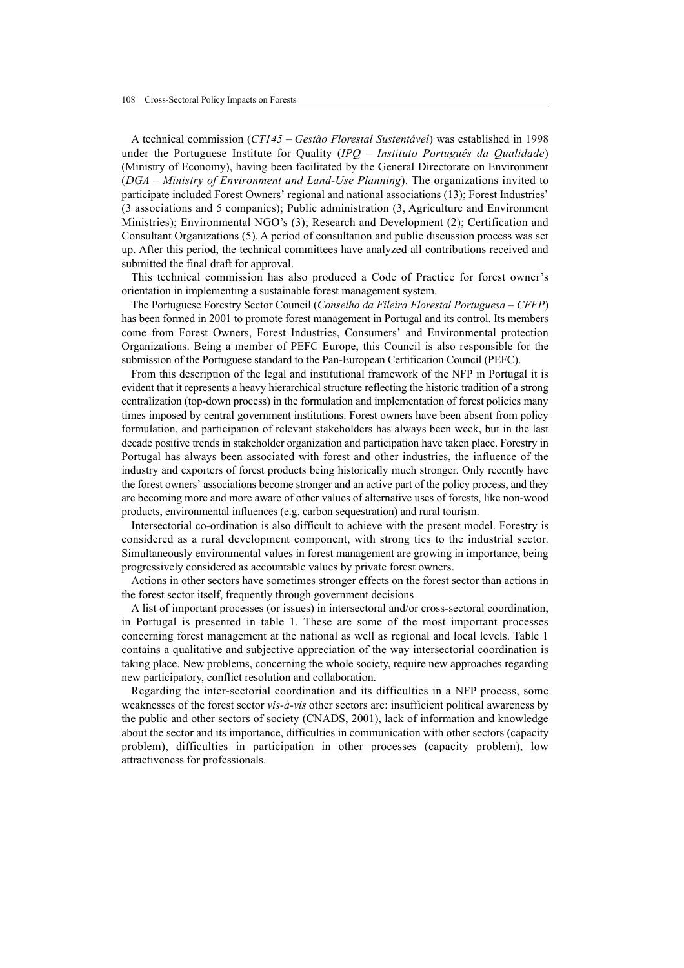A technical commission (*CT145 – Gestão Florestal Sustentável*) was established in 1998 under the Portuguese Institute for Quality (*IPQ – Instituto Português da Qualidade*) (Ministry of Economy), having been facilitated by the General Directorate on Environment (*DGA – Ministry of Environment and Land-Use Planning*). The organizations invited to participate included Forest Owners' regional and national associations (13); Forest Industries' (3 associations and 5 companies); Public administration (3, Agriculture and Environment Ministries); Environmental NGO's (3); Research and Development (2); Certification and Consultant Organizations (5). A period of consultation and public discussion process was set up. After this period, the technical committees have analyzed all contributions received and submitted the final draft for approval.

This technical commission has also produced a Code of Practice for forest owner's orientation in implementing a sustainable forest management system.

The Portuguese Forestry Sector Council (*Conselho da Fileira Florestal Portuguesa – CFFP*) has been formed in 2001 to promote forest management in Portugal and its control. Its members come from Forest Owners, Forest Industries, Consumers' and Environmental protection Organizations. Being a member of PEFC Europe, this Council is also responsible for the submission of the Portuguese standard to the Pan-European Certification Council (PEFC).

From this description of the legal and institutional framework of the NFP in Portugal it is evident that it represents a heavy hierarchical structure reflecting the historic tradition of a strong centralization (top-down process) in the formulation and implementation of forest policies many times imposed by central government institutions. Forest owners have been absent from policy formulation, and participation of relevant stakeholders has always been week, but in the last decade positive trends in stakeholder organization and participation have taken place. Forestry in Portugal has always been associated with forest and other industries, the influence of the industry and exporters of forest products being historically much stronger. Only recently have the forest owners' associations become stronger and an active part of the policy process, and they are becoming more and more aware of other values of alternative uses of forests, like non-wood products, environmental influences (e.g. carbon sequestration) and rural tourism.

Intersectorial co-ordination is also difficult to achieve with the present model. Forestry is considered as a rural development component, with strong ties to the industrial sector. Simultaneously environmental values in forest management are growing in importance, being progressively considered as accountable values by private forest owners.

Actions in other sectors have sometimes stronger effects on the forest sector than actions in the forest sector itself, frequently through government decisions

A list of important processes (or issues) in intersectoral and/or cross-sectoral coordination, in Portugal is presented in table 1. These are some of the most important processes concerning forest management at the national as well as regional and local levels. Table 1 contains a qualitative and subjective appreciation of the way intersectorial coordination is taking place. New problems, concerning the whole society, require new approaches regarding new participatory, conflict resolution and collaboration.

Regarding the inter-sectorial coordination and its difficulties in a NFP process, some weaknesses of the forest sector *vis-à-vis* other sectors are: insufficient political awareness by the public and other sectors of society (CNADS, 2001), lack of information and knowledge about the sector and its importance, difficulties in communication with other sectors (capacity problem), difficulties in participation in other processes (capacity problem), low attractiveness for professionals.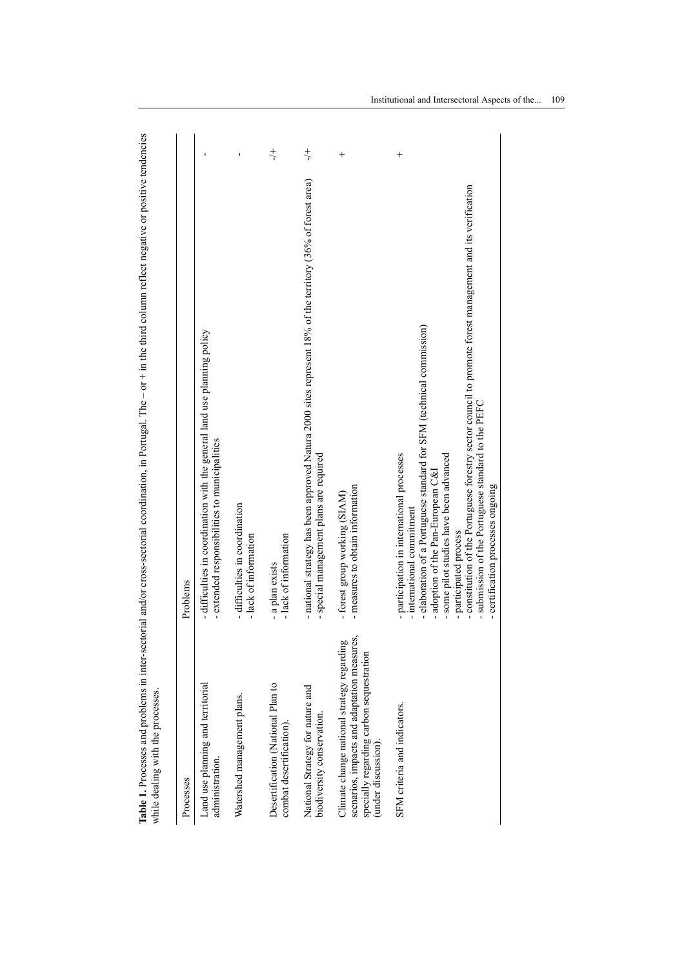| while dealing with the processes.                                                                                                                                 | Table 1. Processes and problems in inter-sectorial and/or cross-sectorial coordination, in Portugal. The $-$ or $+$ in the third column reflect negative or positive tendencies                                                                                                                                                                                                                                                                                                   |  |
|-------------------------------------------------------------------------------------------------------------------------------------------------------------------|-----------------------------------------------------------------------------------------------------------------------------------------------------------------------------------------------------------------------------------------------------------------------------------------------------------------------------------------------------------------------------------------------------------------------------------------------------------------------------------|--|
| Processes                                                                                                                                                         | Problems                                                                                                                                                                                                                                                                                                                                                                                                                                                                          |  |
| Land use planning and territorial<br>administration.                                                                                                              | - difficulties in coordination with the general land use planning policy<br>- extended responsibilities to municipalities                                                                                                                                                                                                                                                                                                                                                         |  |
| Watershed management plans.                                                                                                                                       | - difficulties in coordination<br>- lack of information                                                                                                                                                                                                                                                                                                                                                                                                                           |  |
| Desertification (National Plan to<br>combat desertification).                                                                                                     | $\ddagger$<br>- lack of information<br>- a plan exists                                                                                                                                                                                                                                                                                                                                                                                                                            |  |
| National Strategy for nature and<br>biodiversity conservation.                                                                                                    | $\ddagger$<br>- national strategy has been approved Natura 2000 sites represent 18% of the territory (36% of forest area)<br>- special management plans are required                                                                                                                                                                                                                                                                                                              |  |
| scenarios, impacts and adaptation measures,<br>ØΟ<br>Climate change national strategy regardin<br>specially regarding carbon sequestration<br>(under discussion). | $\hspace{0.1mm} +$<br>- measures to obtain information<br>- forest group working (SIAM)                                                                                                                                                                                                                                                                                                                                                                                           |  |
| SFM criteria and indicators.                                                                                                                                      | $\ddag$<br>- constitution of the Portuguese forestry sector council to promote forest management and its verification<br>- elaboration of a Portuguese standard for SFM (technical commission)<br>- submission of the Portuguese standard to the PEFC<br>- participation in international processes<br>- some pilot studies have been advanced<br>- adoption of the Pan-European C&I<br>- certification processes ongoing<br>- international commitment<br>- participated process |  |
|                                                                                                                                                                   |                                                                                                                                                                                                                                                                                                                                                                                                                                                                                   |  |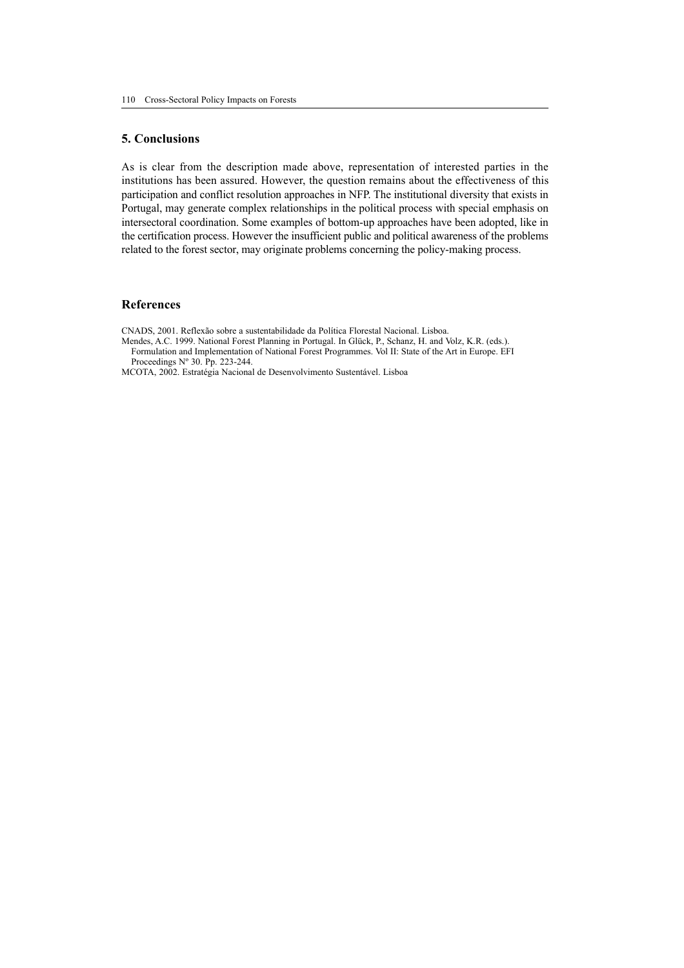#### **5. Conclusions**

As is clear from the description made above, representation of interested parties in the institutions has been assured. However, the question remains about the effectiveness of this participation and conflict resolution approaches in NFP. The institutional diversity that exists in Portugal, may generate complex relationships in the political process with special emphasis on intersectoral coordination. Some examples of bottom-up approaches have been adopted, like in the certification process. However the insufficient public and political awareness of the problems related to the forest sector, may originate problems concerning the policy-making process.

#### **References**

CNADS, 2001. Reflexão sobre a sustentabilidade da Política Florestal Nacional. Lisboa.

Mendes, A.C. 1999. National Forest Planning in Portugal. In Glück, P., Schanz, H. and Volz, K.R. (eds.). Formulation and Implementation of National Forest Programmes. Vol II: State of the Art in Europe. EFI Proceedings  $N^{\circ}$  30. Pp. 223-244.

MCOTA, 2002. Estratégia Nacional de Desenvolvimento Sustentável. Lisboa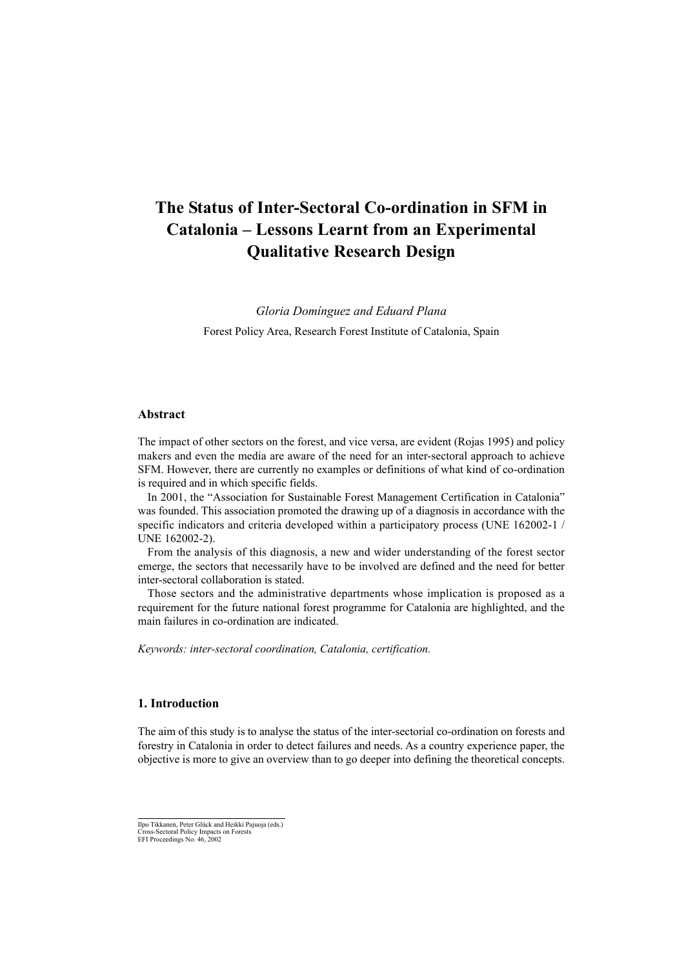# **The Status of Inter-Sectoral Co-ordination in SFM in Catalonia – Lessons Learnt from an Experimental Qualitative Research Design**

*Gloria Domínguez and Eduard Plana*

Forest Policy Area, Research Forest Institute of Catalonia, Spain

#### **Abstract**

The impact of other sectors on the forest, and vice versa, are evident (Rojas 1995) and policy makers and even the media are aware of the need for an inter-sectoral approach to achieve SFM. However, there are currently no examples or definitions of what kind of co-ordination is required and in which specific fields.

In 2001, the "Association for Sustainable Forest Management Certification in Catalonia" was founded. This association promoted the drawing up of a diagnosis in accordance with the specific indicators and criteria developed within a participatory process (UNE 162002-1 / UNE 162002-2).

From the analysis of this diagnosis, a new and wider understanding of the forest sector emerge, the sectors that necessarily have to be involved are defined and the need for better inter-sectoral collaboration is stated.

Those sectors and the administrative departments whose implication is proposed as a requirement for the future national forest programme for Catalonia are highlighted, and the main failures in co-ordination are indicated.

*Keywords: inter-sectoral coordination, Catalonia, certification.*

## **1. Introduction**

The aim of this study is to analyse the status of the inter-sectorial co-ordination on forests and forestry in Catalonia in order to detect failures and needs. As a country experience paper, the objective is more to give an overview than to go deeper into defining the theoretical concepts.

Ilpo Tikkanen, Peter Glück and Heikki Pajuoja (eds.) Cross-Sectoral Policy Impacts on Forests EFI Proceedings No. 46, 2002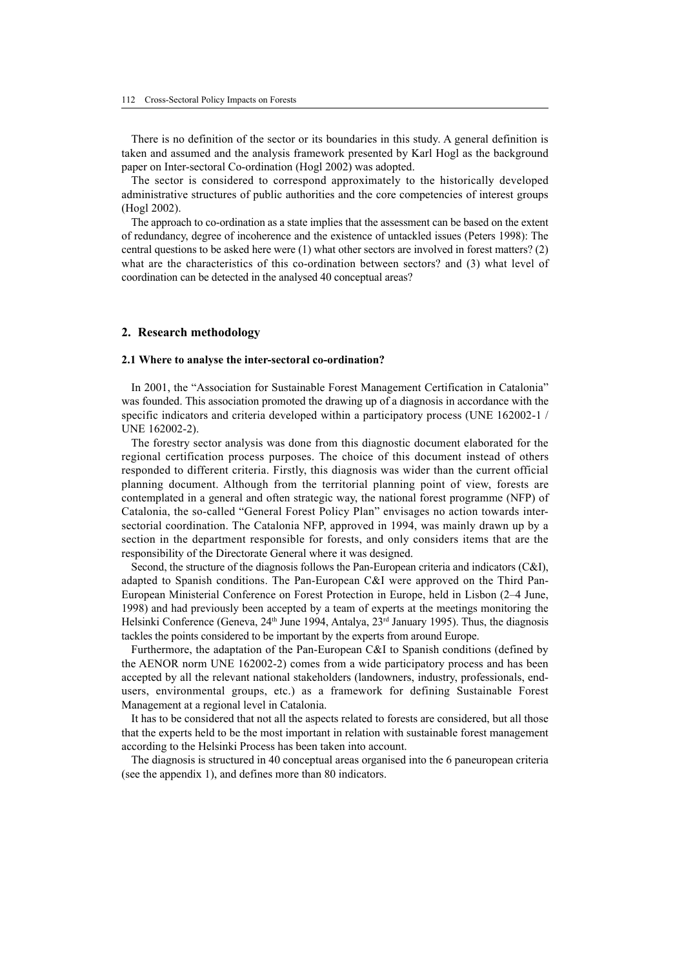There is no definition of the sector or its boundaries in this study. A general definition is taken and assumed and the analysis framework presented by Karl Hogl as the background paper on Inter-sectoral Co-ordination (Hogl 2002) was adopted.

The sector is considered to correspond approximately to the historically developed administrative structures of public authorities and the core competencies of interest groups (Hogl 2002).

The approach to co-ordination as a state implies that the assessment can be based on the extent of redundancy, degree of incoherence and the existence of untackled issues (Peters 1998): The central questions to be asked here were (1) what other sectors are involved in forest matters? (2) what are the characteristics of this co-ordination between sectors? and (3) what level of coordination can be detected in the analysed 40 conceptual areas?

## **2. Research methodology**

#### **2.1 Where to analyse the inter-sectoral co-ordination?**

In 2001, the "Association for Sustainable Forest Management Certification in Catalonia" was founded. This association promoted the drawing up of a diagnosis in accordance with the specific indicators and criteria developed within a participatory process (UNE 162002-1 / UNE 162002-2).

The forestry sector analysis was done from this diagnostic document elaborated for the regional certification process purposes. The choice of this document instead of others responded to different criteria. Firstly, this diagnosis was wider than the current official planning document. Although from the territorial planning point of view, forests are contemplated in a general and often strategic way, the national forest programme (NFP) of Catalonia, the so-called "General Forest Policy Plan" envisages no action towards intersectorial coordination. The Catalonia NFP, approved in 1994, was mainly drawn up by a section in the department responsible for forests, and only considers items that are the responsibility of the Directorate General where it was designed.

Second, the structure of the diagnosis follows the Pan-European criteria and indicators (C&I), adapted to Spanish conditions. The Pan-European C&I were approved on the Third Pan-European Ministerial Conference on Forest Protection in Europe, held in Lisbon (2–4 June, 1998) and had previously been accepted by a team of experts at the meetings monitoring the Helsinki Conference (Geneva, 24<sup>th</sup> June 1994, Antalya, 23<sup>rd</sup> January 1995). Thus, the diagnosis tackles the points considered to be important by the experts from around Europe.

Furthermore, the adaptation of the Pan-European C&I to Spanish conditions (defined by the AENOR norm UNE 162002-2) comes from a wide participatory process and has been accepted by all the relevant national stakeholders (landowners, industry, professionals, endusers, environmental groups, etc.) as a framework for defining Sustainable Forest Management at a regional level in Catalonia.

It has to be considered that not all the aspects related to forests are considered, but all those that the experts held to be the most important in relation with sustainable forest management according to the Helsinki Process has been taken into account.

The diagnosis is structured in 40 conceptual areas organised into the 6 paneuropean criteria (see the appendix 1), and defines more than 80 indicators.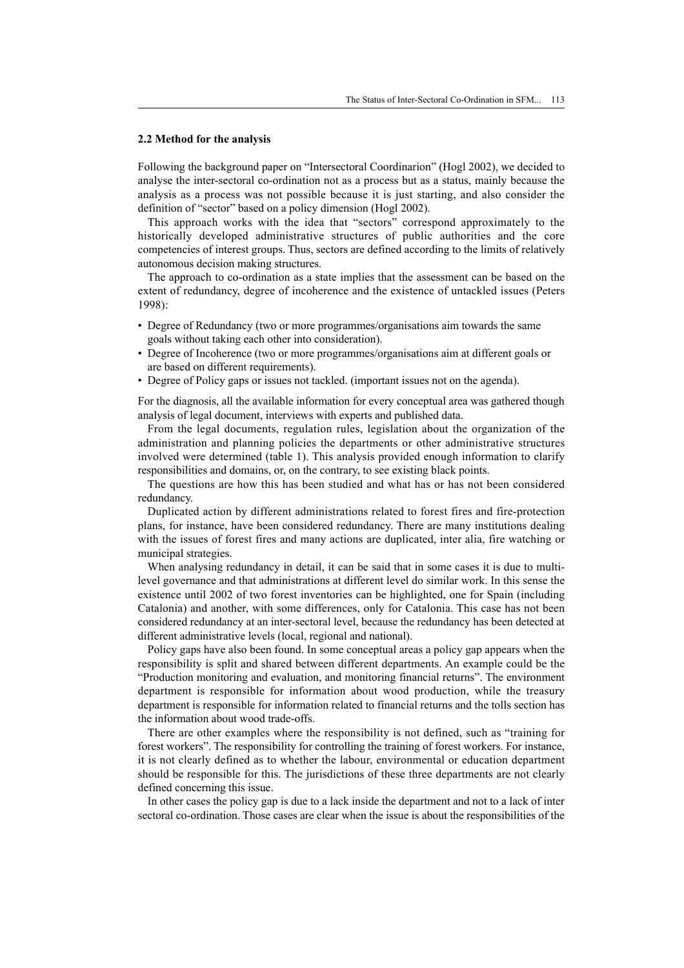#### **2.2 Method for the analysis**

Following the background paper on "Intersectoral Coordinarion" (Hogl 2002), we decided to analyse the inter-sectoral co-ordination not as a process but as a status, mainly because the analysis as a process was not possible because it is just starting, and also consider the definition of "sector" based on a policy dimension (Hogl 2002).

This approach works with the idea that "sectors" correspond approximately to the historically developed administrative structures of public authorities and the core competencies of interest groups. Thus, sectors are defined according to the limits of relatively autonomous decision making structures.

The approach to co-ordination as a state implies that the assessment can be based on the extent of redundancy, degree of incoherence and the existence of untackled issues (Peters 1998):

- Degree of Redundancy (two or more programmes/organisations aim towards the same goals without taking each other into consideration).
- Degree of Incoherence (two or more programmes/organisations aim at different goals or are based on different requirements).
- Degree of Policy gaps or issues not tackled. (important issues not on the agenda).

For the diagnosis, all the available information for every conceptual area was gathered though analysis of legal document, interviews with experts and published data.

From the legal documents, regulation rules, legislation about the organization of the administration and planning policies the departments or other administrative structures involved were determined (table 1). This analysis provided enough information to clarify responsibilities and domains, or, on the contrary, to see existing black points.

The questions are how this has been studied and what has or has not been considered redundancy.

Duplicated action by different administrations related to forest fires and fire-protection plans, for instance, have been considered redundancy. There are many institutions dealing with the issues of forest fires and many actions are duplicated, inter alia, fire watching or municipal strategies.

When analysing redundancy in detail, it can be said that in some cases it is due to multilevel governance and that administrations at different level do similar work. In this sense the existence until 2002 of two forest inventories can be highlighted, one for Spain (including Catalonia) and another, with some differences, only for Catalonia. This case has not been considered redundancy at an inter-sectoral level, because the redundancy has been detected at different administrative levels (local, regional and national).

Policy gaps have also been found. In some conceptual areas a policy gap appears when the responsibility is split and shared between different departments. An example could be the "Production monitoring and evaluation, and monitoring financial returns". The environment department is responsible for information about wood production, while the treasury department is responsible for information related to financial returns and the tolls section has the information about wood trade-offs.

There are other examples where the responsibility is not defined, such as "training for forest workers". The responsibility for controlling the training of forest workers. For instance, it is not clearly defined as to whether the labour, environmental or education department should be responsible for this. The jurisdictions of these three departments are not clearly defined concerning this issue.

In other cases the policy gap is due to a lack inside the department and not to a lack of inter sectoral co-ordination. Those cases are clear when the issue is about the responsibilities of the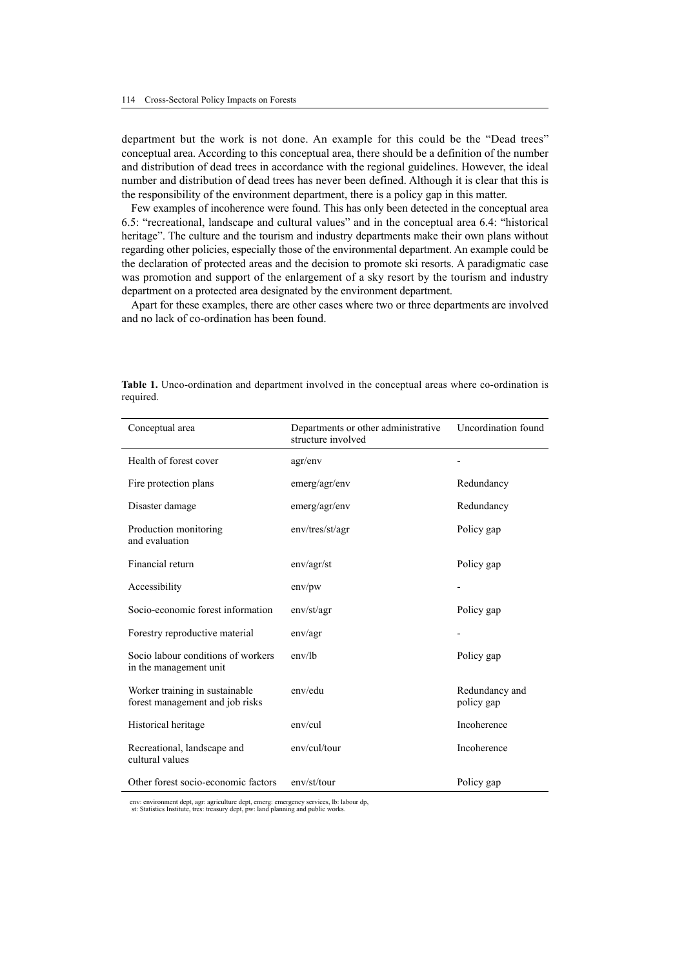department but the work is not done. An example for this could be the "Dead trees" conceptual area. According to this conceptual area, there should be a definition of the number and distribution of dead trees in accordance with the regional guidelines. However, the ideal number and distribution of dead trees has never been defined. Although it is clear that this is the responsibility of the environment department, there is a policy gap in this matter.

Few examples of incoherence were found. This has only been detected in the conceptual area 6.5: "recreational, landscape and cultural values" and in the conceptual area 6.4: "historical heritage". The culture and the tourism and industry departments make their own plans without regarding other policies, especially those of the environmental department. An example could be the declaration of protected areas and the decision to promote ski resorts. A paradigmatic case was promotion and support of the enlargement of a sky resort by the tourism and industry department on a protected area designated by the environment department.

Apart for these examples, there are other cases where two or three departments are involved and no lack of co-ordination has been found.

| Conceptual area                                                   | Departments or other administrative<br>structure involved | Uncordination found          |
|-------------------------------------------------------------------|-----------------------------------------------------------|------------------------------|
| Health of forest cover                                            | agr/env                                                   |                              |
| Fire protection plans                                             | emerg/agr/env                                             | Redundancy                   |
| Disaster damage                                                   | emerg/agr/env                                             | Redundancy                   |
| Production monitoring<br>and evaluation                           | env/tres/st/agr                                           | Policy gap                   |
| Financial return                                                  | env/agr/st                                                | Policy gap                   |
| Accessibility                                                     | env/pw                                                    |                              |
| Socio-economic forest information                                 | env/st/agr                                                | Policy gap                   |
| Forestry reproductive material                                    | env/agr                                                   |                              |
| Socio labour conditions of workers<br>in the management unit      | env/lb                                                    | Policy gap                   |
| Worker training in sustainable<br>forest management and job risks | env/edu                                                   | Redundancy and<br>policy gap |
| Historical heritage                                               | env/cul                                                   | Incoherence                  |
| Recreational, landscape and<br>cultural values                    | env/cul/tour                                              | Incoherence                  |
| Other forest socio-economic factors                               | env/st/tour                                               | Policy gap                   |

**Table 1.** Unco-ordination and department involved in the conceptual areas where co-ordination is required.

env: environment dept, agr: agriculture dept, emerg: emergency services, lb: labour dp, st: Statistics Institute, tres: treasury dept, pw: land planning and public works.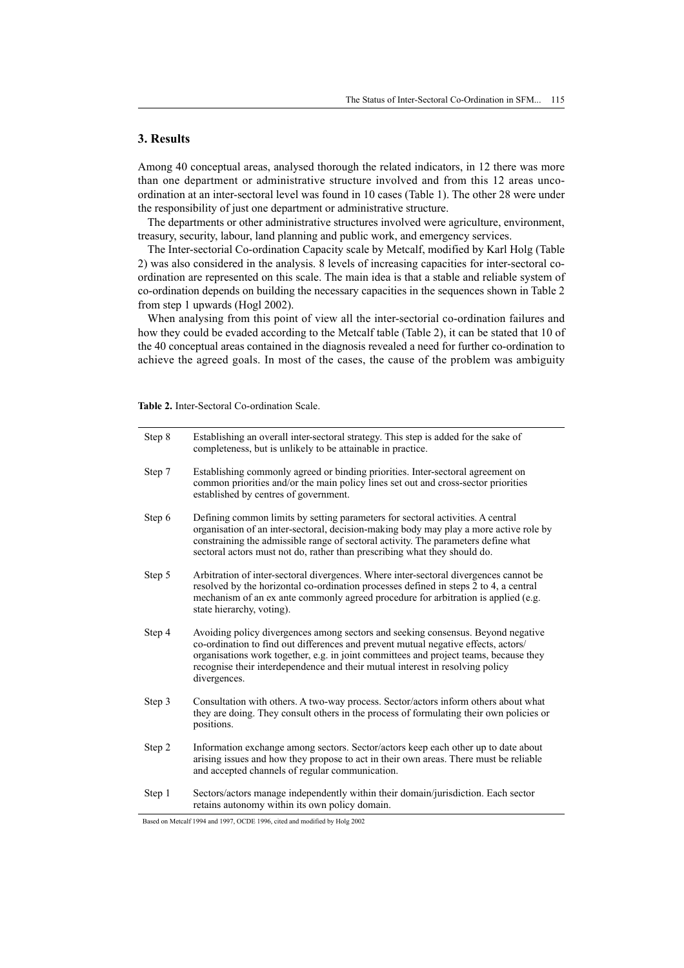## **3. Results**

Among 40 conceptual areas, analysed thorough the related indicators, in 12 there was more than one department or administrative structure involved and from this 12 areas uncoordination at an inter-sectoral level was found in 10 cases (Table 1). The other 28 were under the responsibility of just one department or administrative structure.

The departments or other administrative structures involved were agriculture, environment, treasury, security, labour, land planning and public work, and emergency services.

The Inter-sectorial Co-ordination Capacity scale by Metcalf, modified by Karl Holg (Table 2) was also considered in the analysis. 8 levels of increasing capacities for inter-sectoral coordination are represented on this scale. The main idea is that a stable and reliable system of co-ordination depends on building the necessary capacities in the sequences shown in Table 2 from step 1 upwards (Hogl 2002).

When analysing from this point of view all the inter-sectorial co-ordination failures and how they could be evaded according to the Metcalf table (Table 2), it can be stated that 10 of the 40 conceptual areas contained in the diagnosis revealed a need for further co-ordination to achieve the agreed goals. In most of the cases, the cause of the problem was ambiguity

**Table 2.** Inter-Sectoral Co-ordination Scale.

| Step 8 | Establishing an overall inter-sectoral strategy. This step is added for the sake of<br>completeness, but is unlikely to be attainable in practice.                                                                                                                                                                                                               |
|--------|------------------------------------------------------------------------------------------------------------------------------------------------------------------------------------------------------------------------------------------------------------------------------------------------------------------------------------------------------------------|
| Step 7 | Establishing commonly agreed or binding priorities. Inter-sectoral agreement on<br>common priorities and/or the main policy lines set out and cross-sector priorities<br>established by centres of government.                                                                                                                                                   |
| Step 6 | Defining common limits by setting parameters for sectoral activities. A central<br>organisation of an inter-sectoral, decision-making body may play a more active role by<br>constraining the admissible range of sectoral activity. The parameters define what<br>sectoral actors must not do, rather than prescribing what they should do.                     |
| Step 5 | Arbitration of inter-sectoral divergences. Where inter-sectoral divergences cannot be<br>resolved by the horizontal co-ordination processes defined in steps 2 to 4, a central<br>mechanism of an ex ante commonly agreed procedure for arbitration is applied (e.g.<br>state hierarchy, voting).                                                                |
| Step 4 | Avoiding policy divergences among sectors and seeking consensus. Beyond negative<br>co-ordination to find out differences and prevent mutual negative effects, actors/<br>organisations work together, e.g. in joint committees and project teams, because they<br>recognise their interdependence and their mutual interest in resolving policy<br>divergences. |
| Step 3 | Consultation with others. A two-way process. Sector/actors inform others about what<br>they are doing. They consult others in the process of formulating their own policies or<br>positions.                                                                                                                                                                     |
| Step 2 | Information exchange among sectors. Sector/actors keep each other up to date about<br>arising issues and how they propose to act in their own areas. There must be reliable<br>and accepted channels of regular communication.                                                                                                                                   |
| Step 1 | Sectors/actors manage independently within their domain/jurisdiction. Each sector<br>retains autonomy within its own policy domain.                                                                                                                                                                                                                              |

Based on Metcalf 1994 and 1997, OCDE 1996, cited and modified by Holg 2002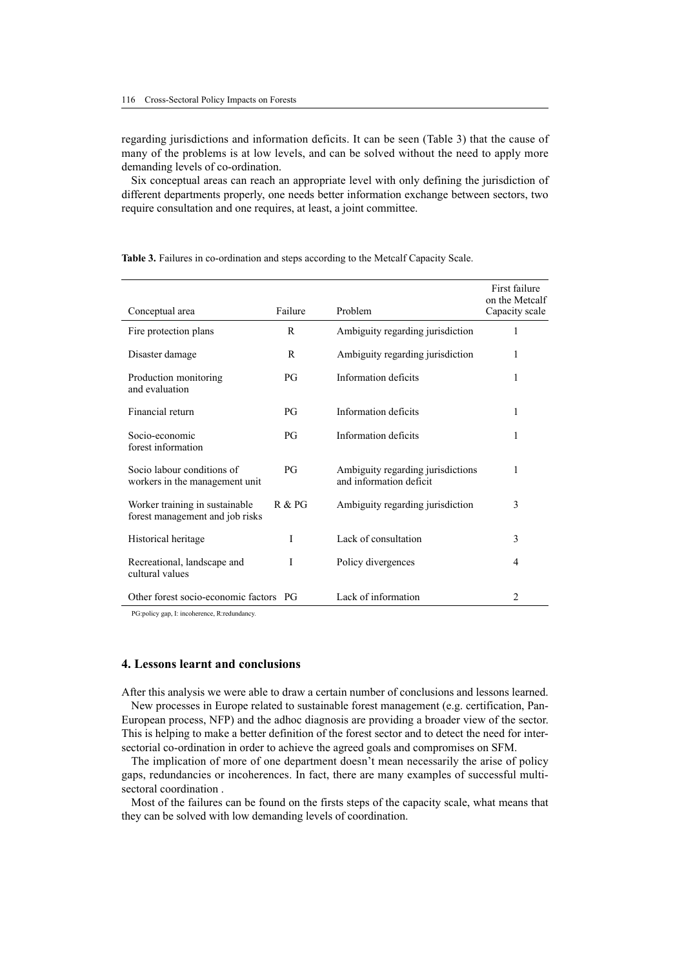regarding jurisdictions and information deficits. It can be seen (Table 3) that the cause of many of the problems is at low levels, and can be solved without the need to apply more demanding levels of co-ordination.

Six conceptual areas can reach an appropriate level with only defining the jurisdiction of different departments properly, one needs better information exchange between sectors, two require consultation and one requires, at least, a joint committee.

| Conceptual area                                                   | Failure   | Problem                                                      | First failure<br>on the Metcalf<br>Capacity scale |
|-------------------------------------------------------------------|-----------|--------------------------------------------------------------|---------------------------------------------------|
| Fire protection plans                                             | R         | Ambiguity regarding jurisdiction                             | 1                                                 |
| Disaster damage                                                   | R         | Ambiguity regarding jurisdiction                             | 1                                                 |
| Production monitoring<br>and evaluation                           | PG        | Information deficits                                         | 1                                                 |
| Financial return                                                  | PG        | Information deficits                                         | 1                                                 |
| Socio-economic<br>forest information                              | PG        | Information deficits                                         | 1                                                 |
| Socio labour conditions of<br>workers in the management unit      | PG        | Ambiguity regarding jurisdictions<br>and information deficit | 1                                                 |
| Worker training in sustainable<br>forest management and job risks | $R & P$ G | Ambiguity regarding jurisdiction                             | 3                                                 |
| Historical heritage                                               | I         | Lack of consultation                                         | 3                                                 |
| Recreational, landscape and<br>cultural values                    | I         | Policy divergences                                           | 4                                                 |
| Other forest socio-economic factors PG                            |           | Lack of information                                          | $\mathfrak{D}$                                    |

**Table 3.** Failures in co-ordination and steps according to the Metcalf Capacity Scale.

PG:policy gap, I: incoherence, R:redundancy*.*

#### **4. Lessons learnt and conclusions**

After this analysis we were able to draw a certain number of conclusions and lessons learned. New processes in Europe related to sustainable forest management (e.g. certification, Pan-European process, NFP) and the adhoc diagnosis are providing a broader view of the sector. This is helping to make a better definition of the forest sector and to detect the need for intersectorial co-ordination in order to achieve the agreed goals and compromises on SFM.

The implication of more of one department doesn't mean necessarily the arise of policy gaps, redundancies or incoherences. In fact, there are many examples of successful multisectoral coordination .

Most of the failures can be found on the firsts steps of the capacity scale, what means that they can be solved with low demanding levels of coordination.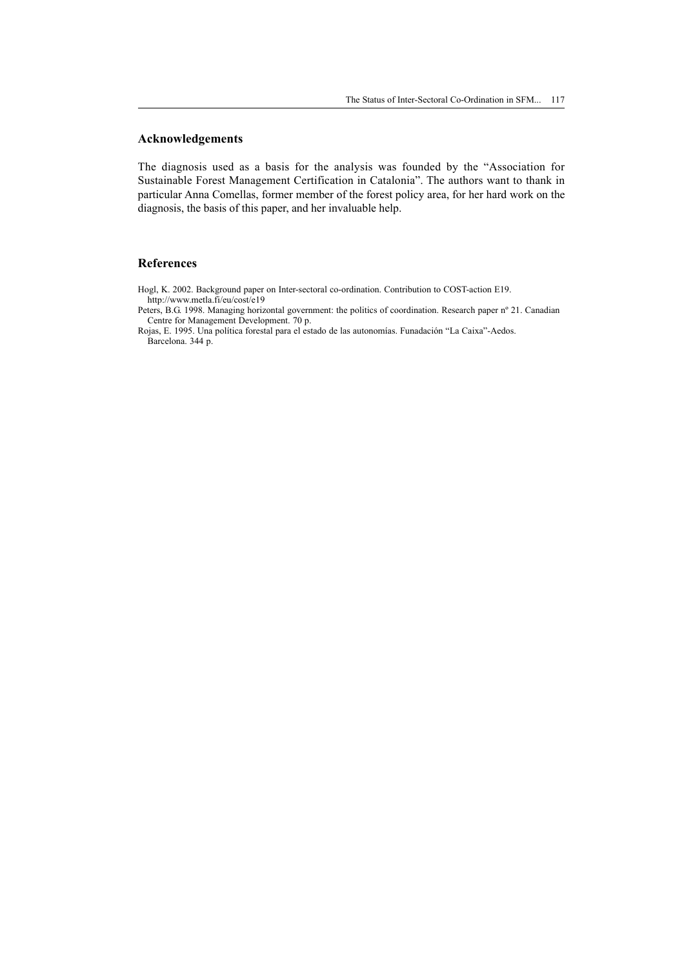## **Acknowledgements**

The diagnosis used as a basis for the analysis was founded by the "Association for Sustainable Forest Management Certification in Catalonia". The authors want to thank in particular Anna Comellas, former member of the forest policy area, for her hard work on the diagnosis, the basis of this paper, and her invaluable help.

## **References**

Hogl, K. 2002. Background paper on Inter-sectoral co-ordination. Contribution to COST-action E19. http://www.metla.fi/eu/cost/e19

Peters, B.G. 1998. Managing horizontal government: the politics of coordination. Research paper nº 21. Canadian Centre for Management Development. 70 p.

Rojas, E. 1995. Una política forestal para el estado de las autonomías. Funadación "La Caixa"-Aedos. Barcelona. 344 p.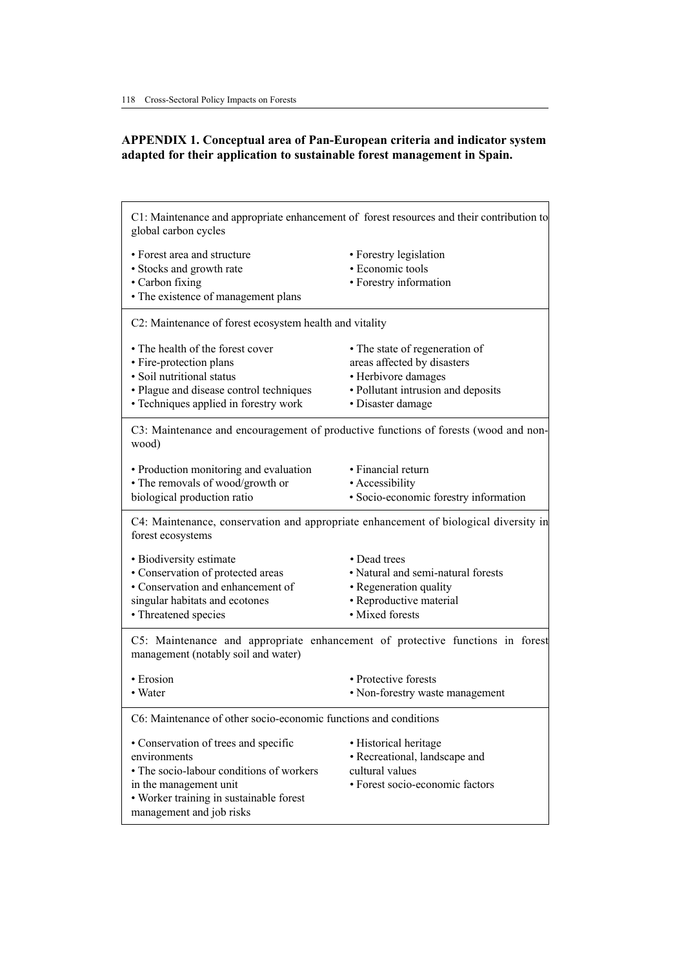## **APPENDIX 1. Conceptual area of Pan-European criteria and indicator system adapted for their application to sustainable forest management in Spain.**

| C1: Maintenance and appropriate enhancement of forest resources and their contribution to<br>global carbon cycles                                                                                 |                                                                                                                                                 |
|---------------------------------------------------------------------------------------------------------------------------------------------------------------------------------------------------|-------------------------------------------------------------------------------------------------------------------------------------------------|
| • Forest area and structure<br>• Stocks and growth rate<br>• Carbon fixing<br>• The existence of management plans                                                                                 | • Forestry legislation<br>· Economic tools<br>• Forestry information                                                                            |
| C2: Maintenance of forest ecosystem health and vitality                                                                                                                                           |                                                                                                                                                 |
| • The health of the forest cover<br>• Fire-protection plans<br>· Soil nutritional status<br>• Plague and disease control techniques<br>• Techniques applied in forestry work                      | • The state of regeneration of<br>areas affected by disasters<br>• Herbivore damages<br>· Pollutant intrusion and deposits<br>• Disaster damage |
| C3: Maintenance and encouragement of productive functions of forests (wood and non-<br>wood)                                                                                                      |                                                                                                                                                 |
| • Production monitoring and evaluation<br>· The removals of wood/growth or<br>biological production ratio                                                                                         | · Financial return<br>· Accessibility<br>· Socio-economic forestry information                                                                  |
| C4: Maintenance, conservation and appropriate enhancement of biological diversity in<br>forest ecosystems                                                                                         |                                                                                                                                                 |
| · Biodiversity estimate<br>• Conservation of protected areas<br>• Conservation and enhancement of<br>singular habitats and ecotones<br>• Threatened species                                       | • Dead trees<br>• Natural and semi-natural forests<br>• Regeneration quality<br>· Reproductive material<br>• Mixed forests                      |
| C5: Maintenance and appropriate enhancement of protective functions in forest<br>management (notably soil and water)                                                                              |                                                                                                                                                 |
| • Erosion<br>• Water                                                                                                                                                                              | • Protective forests<br>• Non-forestry waste management                                                                                         |
| C6: Maintenance of other socio-economic functions and conditions                                                                                                                                  |                                                                                                                                                 |
| • Conservation of trees and specific<br>environments<br>• The socio-labour conditions of workers<br>in the management unit<br>• Worker training in sustainable forest<br>management and job risks | • Historical heritage<br>• Recreational, landscape and<br>cultural values<br>· Forest socio-economic factors                                    |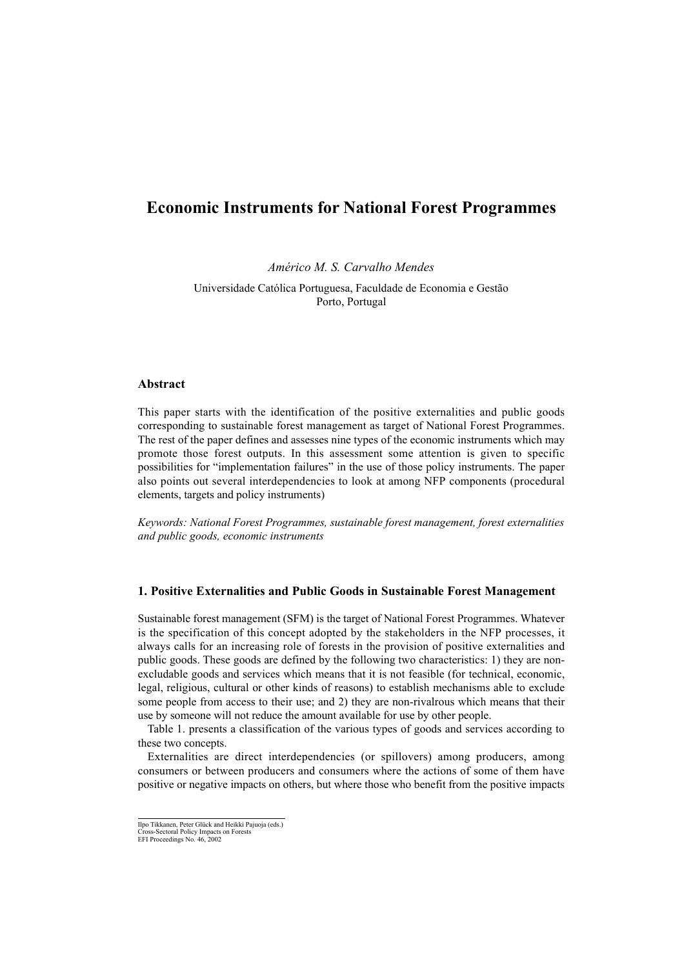## **Economic Instruments for National Forest Programmes**

*Américo M. S. Carvalho Mendes*

Universidade Católica Portuguesa, Faculdade de Economia e Gestão Porto, Portugal

## **Abstract**

This paper starts with the identification of the positive externalities and public goods corresponding to sustainable forest management as target of National Forest Programmes. The rest of the paper defines and assesses nine types of the economic instruments which may promote those forest outputs. In this assessment some attention is given to specific possibilities for "implementation failures" in the use of those policy instruments. The paper also points out several interdependencies to look at among NFP components (procedural elements, targets and policy instruments)

*Keywords: National Forest Programmes, sustainable forest management, forest externalities and public goods, economic instruments*

## **1. Positive Externalities and Public Goods in Sustainable Forest Management**

Sustainable forest management (SFM) is the target of National Forest Programmes. Whatever is the specification of this concept adopted by the stakeholders in the NFP processes, it always calls for an increasing role of forests in the provision of positive externalities and public goods. These goods are defined by the following two characteristics: 1) they are nonexcludable goods and services which means that it is not feasible (for technical, economic, legal, religious, cultural or other kinds of reasons) to establish mechanisms able to exclude some people from access to their use; and 2) they are non-rivalrous which means that their use by someone will not reduce the amount available for use by other people.

Table 1. presents a classification of the various types of goods and services according to these two concepts.

Externalities are direct interdependencies (or spillovers) among producers, among consumers or between producers and consumers where the actions of some of them have positive or negative impacts on others, but where those who benefit from the positive impacts

Ilpo Tikkanen, Peter Glück and Heikki Pajuoja (eds.)

Cross-Sectoral Policy Impacts on Forests EFI Proceedings No. 46, 2002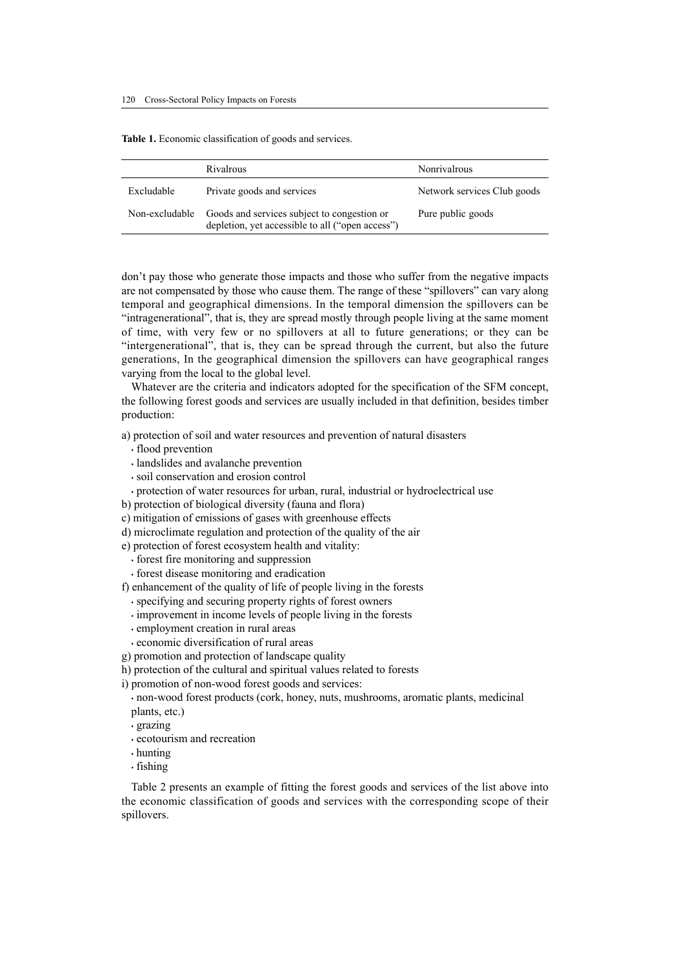|                | Rivalrous                                                                                       | Nonrivalrous                |
|----------------|-------------------------------------------------------------------------------------------------|-----------------------------|
| Excludable     | Private goods and services                                                                      | Network services Club goods |
| Non-excludable | Goods and services subject to congestion or<br>depletion, yet accessible to all ("open access") | Pure public goods           |

**Table 1.** Economic classification of goods and services.

don't pay those who generate those impacts and those who suffer from the negative impacts are not compensated by those who cause them. The range of these "spillovers" can vary along temporal and geographical dimensions. In the temporal dimension the spillovers can be "intragenerational", that is, they are spread mostly through people living at the same moment of time, with very few or no spillovers at all to future generations; or they can be "intergenerational", that is, they can be spread through the current, but also the future generations, In the geographical dimension the spillovers can have geographical ranges varying from the local to the global level.

Whatever are the criteria and indicators adopted for the specification of the SFM concept, the following forest goods and services are usually included in that definition, besides timber production:

a) protection of soil and water resources and prevention of natural disasters

- flood prevention
- landslides and avalanche prevention
- soil conservation and erosion control
- protection of water resources for urban, rural, industrial or hydroelectrical use
- b) protection of biological diversity (fauna and flora)
- c) mitigation of emissions of gases with greenhouse effects
- d) microclimate regulation and protection of the quality of the air

e) protection of forest ecosystem health and vitality:

- forest fire monitoring and suppression
- forest disease monitoring and eradication

f) enhancement of the quality of life of people living in the forests

- specifying and securing property rights of forest owners
- improvement in income levels of people living in the forests
- employment creation in rural areas
- economic diversification of rural areas
- g) promotion and protection of landscape quality
- h) protection of the cultural and spiritual values related to forests

i) promotion of non-wood forest goods and services:

• non-wood forest products (cork, honey, nuts, mushrooms, aromatic plants, medicinal plants, etc.)

- grazing
- ecotourism and recreation
- hunting
- fishing

Table 2 presents an example of fitting the forest goods and services of the list above into the economic classification of goods and services with the corresponding scope of their spillovers.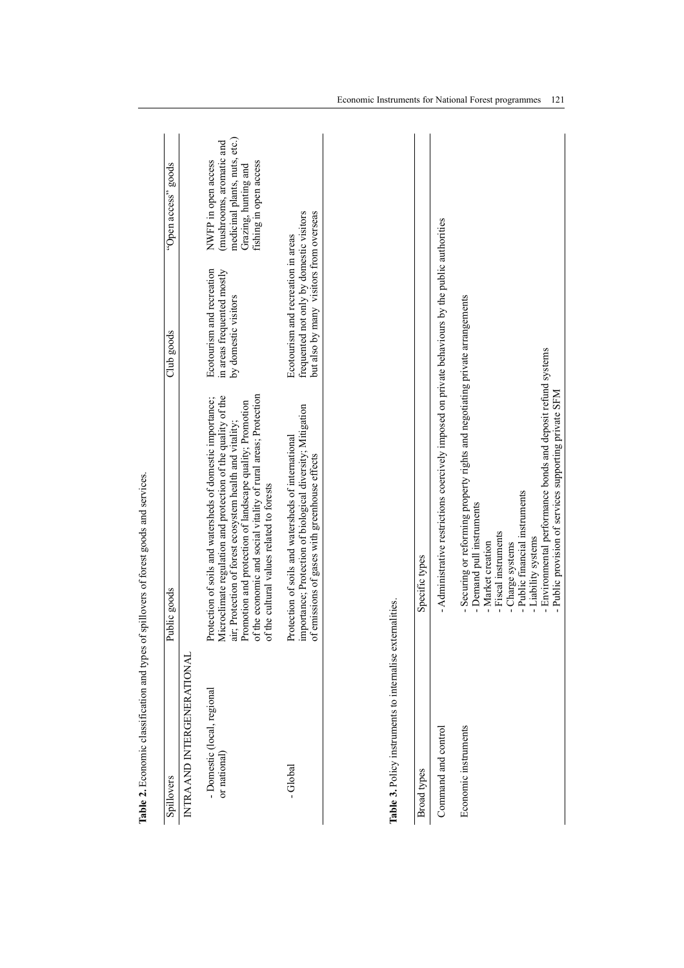|                                                                          | Table 2. Economic classification and types of spillovers of forest goods and services.                                                                                                                                                                                                                                                                            |                                                                                                                           |                                                                                                                                    |
|--------------------------------------------------------------------------|-------------------------------------------------------------------------------------------------------------------------------------------------------------------------------------------------------------------------------------------------------------------------------------------------------------------------------------------------------------------|---------------------------------------------------------------------------------------------------------------------------|------------------------------------------------------------------------------------------------------------------------------------|
| Spillovers                                                               | Public goods                                                                                                                                                                                                                                                                                                                                                      | Club goods                                                                                                                | "Open access" goods                                                                                                                |
| INTRA AND INTERGENERATIONAL                                              |                                                                                                                                                                                                                                                                                                                                                                   |                                                                                                                           |                                                                                                                                    |
| - Domestic (local, regional<br>or national                               | of the economic and social vitality of rural areas; Protection<br>Microclimate regulation and protection of the quality of the<br>Protection of soils and watersheds of domestic importance;<br>Promotion and protection of landscape quality; Promotion<br>air; Protection of forest ecosystem health and vitality;<br>of the cultural values related to forests | Ecotourism and recreation<br>in areas frequented mostly<br>by domestic visitors                                           | medicinal plants, nuts, etc.)<br>(mushrooms, aromatic and<br>NWFP in open access<br>fishing in open access<br>Grazing, hunting and |
| - Global                                                                 | importance; Protection of biological diversity; Mitigation<br>Protection of soils and watersheds of international<br>of emissions of gases with greenhouse effects                                                                                                                                                                                                | but also by many visitors from overseas<br>frequented not only by domestic visitors<br>Ecotourism and recreation in areas |                                                                                                                                    |
| Table 3. Policy instruments to internalise externalities.<br>Broad types | Specific types                                                                                                                                                                                                                                                                                                                                                    |                                                                                                                           |                                                                                                                                    |
| Command and control                                                      | . Administrative restrictions coercively imposed on private behaviours by the public authorities                                                                                                                                                                                                                                                                  |                                                                                                                           |                                                                                                                                    |
| Economic instruments                                                     | - Securing or reforming property rights and negotiating private arrangements<br>- Environmental performance bonds and deposit refund systems<br>- Public provision of services supporting private SFM<br>- Public financial instruments<br>- Demand pull instruments<br>- Fiscal instruments<br>- Liability systems<br>- Market creation<br>- Charge systems      |                                                                                                                           |                                                                                                                                    |

Economic Instruments for National Forest programmes 121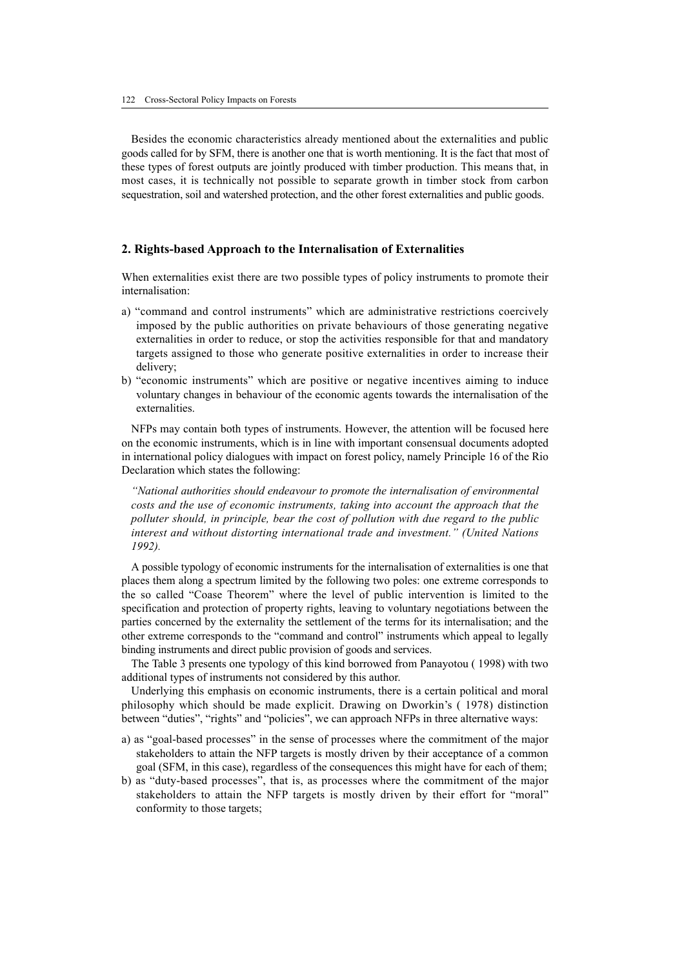Besides the economic characteristics already mentioned about the externalities and public goods called for by SFM, there is another one that is worth mentioning. It is the fact that most of these types of forest outputs are jointly produced with timber production. This means that, in most cases, it is technically not possible to separate growth in timber stock from carbon sequestration, soil and watershed protection, and the other forest externalities and public goods.

## **2. Rights-based Approach to the Internalisation of Externalities**

When externalities exist there are two possible types of policy instruments to promote their internalisation:

- a) "command and control instruments" which are administrative restrictions coercively imposed by the public authorities on private behaviours of those generating negative externalities in order to reduce, or stop the activities responsible for that and mandatory targets assigned to those who generate positive externalities in order to increase their delivery;
- b) "economic instruments" which are positive or negative incentives aiming to induce voluntary changes in behaviour of the economic agents towards the internalisation of the externalities.

NFPs may contain both types of instruments. However, the attention will be focused here on the economic instruments, which is in line with important consensual documents adopted in international policy dialogues with impact on forest policy, namely Principle 16 of the Rio Declaration which states the following:

*"National authorities should endeavour to promote the internalisation of environmental costs and the use of economic instruments, taking into account the approach that the polluter should, in principle, bear the cost of pollution with due regard to the public interest and without distorting international trade and investment." (United Nations 1992).*

A possible typology of economic instruments for the internalisation of externalities is one that places them along a spectrum limited by the following two poles: one extreme corresponds to the so called "Coase Theorem" where the level of public intervention is limited to the specification and protection of property rights, leaving to voluntary negotiations between the parties concerned by the externality the settlement of the terms for its internalisation; and the other extreme corresponds to the "command and control" instruments which appeal to legally binding instruments and direct public provision of goods and services.

The Table 3 presents one typology of this kind borrowed from Panayotou ( 1998) with two additional types of instruments not considered by this author.

Underlying this emphasis on economic instruments, there is a certain political and moral philosophy which should be made explicit. Drawing on Dworkin's ( 1978) distinction between "duties", "rights" and "policies", we can approach NFPs in three alternative ways:

- a) as "goal-based processes" in the sense of processes where the commitment of the major stakeholders to attain the NFP targets is mostly driven by their acceptance of a common goal (SFM, in this case), regardless of the consequences this might have for each of them;
- b) as "duty-based processes", that is, as processes where the commitment of the major stakeholders to attain the NFP targets is mostly driven by their effort for "moral" conformity to those targets;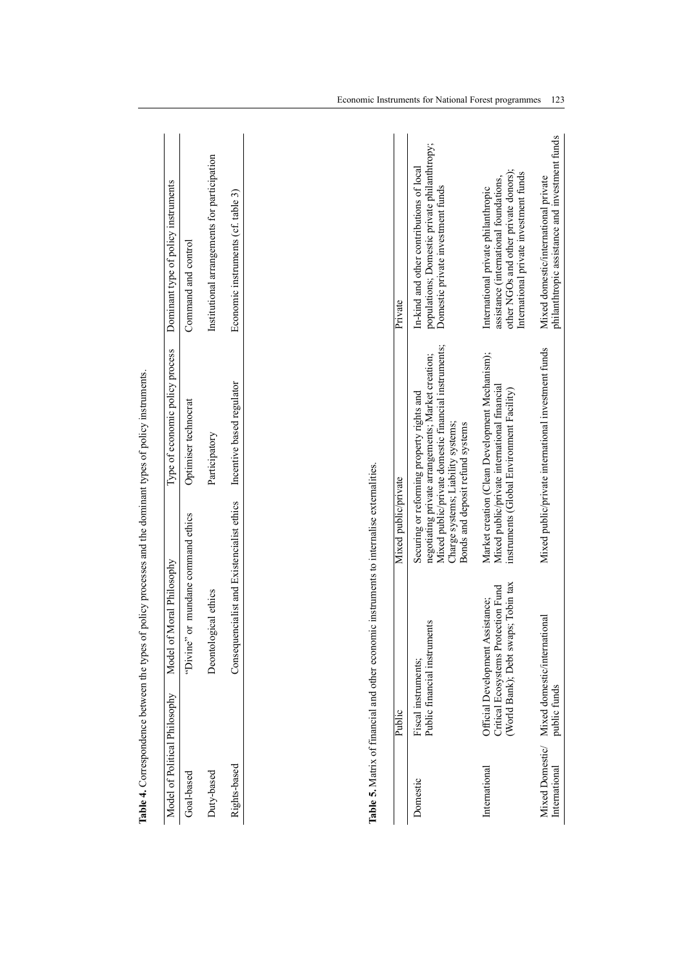| Table 4. Correspondence between the types of<br>Model of Political Philosophy |                                          | Moral Philosophy<br>Model of 1                                                          |                                  | Type of economic policy process<br>policy processes and the dominant types of policy instruments.                                                | Dominant type of policy instruments                                                                                                                              |
|-------------------------------------------------------------------------------|------------------------------------------|-----------------------------------------------------------------------------------------|----------------------------------|--------------------------------------------------------------------------------------------------------------------------------------------------|------------------------------------------------------------------------------------------------------------------------------------------------------------------|
| Goal-based                                                                    |                                          | "Divine" or mundane command ethics                                                      |                                  | Optimiser technocrat                                                                                                                             | Command and control                                                                                                                                              |
| Duty-based                                                                    |                                          | Deontological ethics                                                                    |                                  | Participatory                                                                                                                                    | Institutional arrangements for participation                                                                                                                     |
| Rights-based                                                                  |                                          | Consequencialist and Existencialist ethics                                              |                                  | Incentive based regulator                                                                                                                        | Economic instruments (cf. table 3)                                                                                                                               |
|                                                                               | Public                                   |                                                                                         | Mixed public/private             |                                                                                                                                                  | Private                                                                                                                                                          |
| Domestic                                                                      | Fiscal instruments;                      |                                                                                         |                                  | Securing or reforming property rights and                                                                                                        | In-kind and other contributions of local                                                                                                                         |
|                                                                               |                                          | Public financial instruments                                                            | Bonds and deposit refund systems | Mixed public/private domestic financial instruments;<br>negotiating private arrangements; Market creation;<br>Charge systems; Liability systems; | populations; Domestic private philanthtropy;<br>Domestic private investment funds                                                                                |
| International                                                                 | (World Bank); Debt swap                  | s; Tobin tax<br>Critical Ecosystems Protection Fund<br>Official Development Assistance; |                                  | Market creation (Clean Development Mechanism);<br>Mixed public/private international financial<br>instruments (Global Environment Facility)      | other NGOs and other private donors);<br>International private investment funds<br>assistance (international foundations,<br>International private philanthropic |
| Mixed Domestic/<br>International                                              | Mixed domestic/internati<br>public funds | ional                                                                                   |                                  | Mixed public/private international investment funds                                                                                              | philanthtropic assistance and investment funds<br>Mixed domestic/international private                                                                           |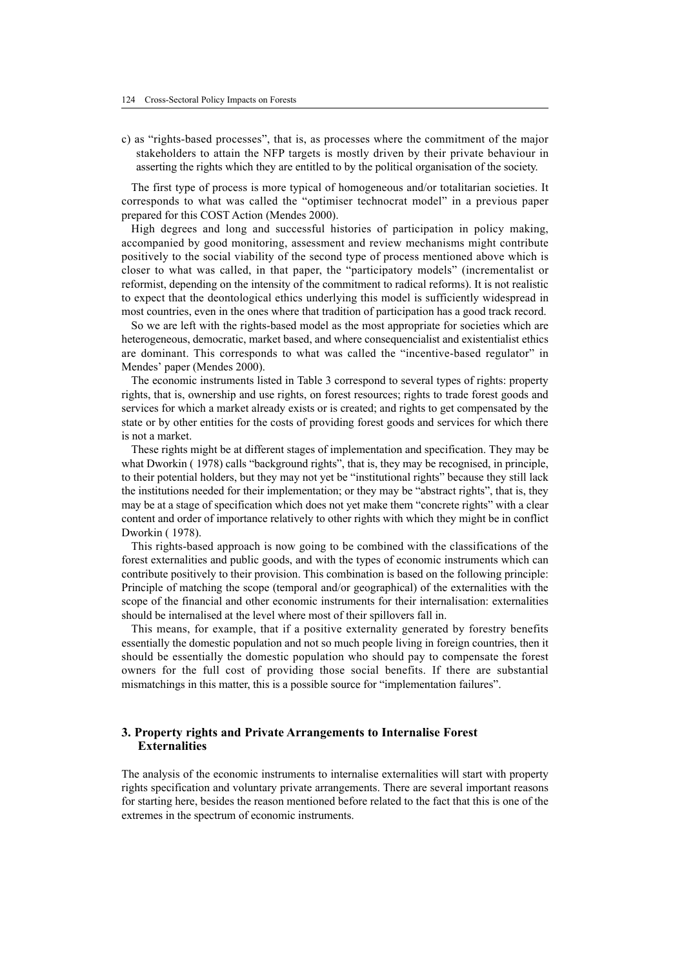c) as "rights-based processes", that is, as processes where the commitment of the major stakeholders to attain the NFP targets is mostly driven by their private behaviour in asserting the rights which they are entitled to by the political organisation of the society.

The first type of process is more typical of homogeneous and/or totalitarian societies. It corresponds to what was called the "optimiser technocrat model" in a previous paper prepared for this COST Action (Mendes 2000).

High degrees and long and successful histories of participation in policy making, accompanied by good monitoring, assessment and review mechanisms might contribute positively to the social viability of the second type of process mentioned above which is closer to what was called, in that paper, the "participatory models" (incrementalist or reformist, depending on the intensity of the commitment to radical reforms). It is not realistic to expect that the deontological ethics underlying this model is sufficiently widespread in most countries, even in the ones where that tradition of participation has a good track record.

So we are left with the rights-based model as the most appropriate for societies which are heterogeneous, democratic, market based, and where consequencialist and existentialist ethics are dominant. This corresponds to what was called the "incentive-based regulator" in Mendes' paper (Mendes 2000).

The economic instruments listed in Table 3 correspond to several types of rights: property rights, that is, ownership and use rights, on forest resources; rights to trade forest goods and services for which a market already exists or is created; and rights to get compensated by the state or by other entities for the costs of providing forest goods and services for which there is not a market.

These rights might be at different stages of implementation and specification. They may be what Dworkin (1978) calls "background rights", that is, they may be recognised, in principle, to their potential holders, but they may not yet be "institutional rights" because they still lack the institutions needed for their implementation; or they may be "abstract rights", that is, they may be at a stage of specification which does not yet make them "concrete rights" with a clear content and order of importance relatively to other rights with which they might be in conflict Dworkin ( 1978).

This rights-based approach is now going to be combined with the classifications of the forest externalities and public goods, and with the types of economic instruments which can contribute positively to their provision. This combination is based on the following principle: Principle of matching the scope (temporal and/or geographical) of the externalities with the scope of the financial and other economic instruments for their internalisation: externalities should be internalised at the level where most of their spillovers fall in.

This means, for example, that if a positive externality generated by forestry benefits essentially the domestic population and not so much people living in foreign countries, then it should be essentially the domestic population who should pay to compensate the forest owners for the full cost of providing those social benefits. If there are substantial mismatchings in this matter, this is a possible source for "implementation failures".

#### **3. Property rights and Private Arrangements to Internalise Forest Externalities**

The analysis of the economic instruments to internalise externalities will start with property rights specification and voluntary private arrangements. There are several important reasons for starting here, besides the reason mentioned before related to the fact that this is one of the extremes in the spectrum of economic instruments.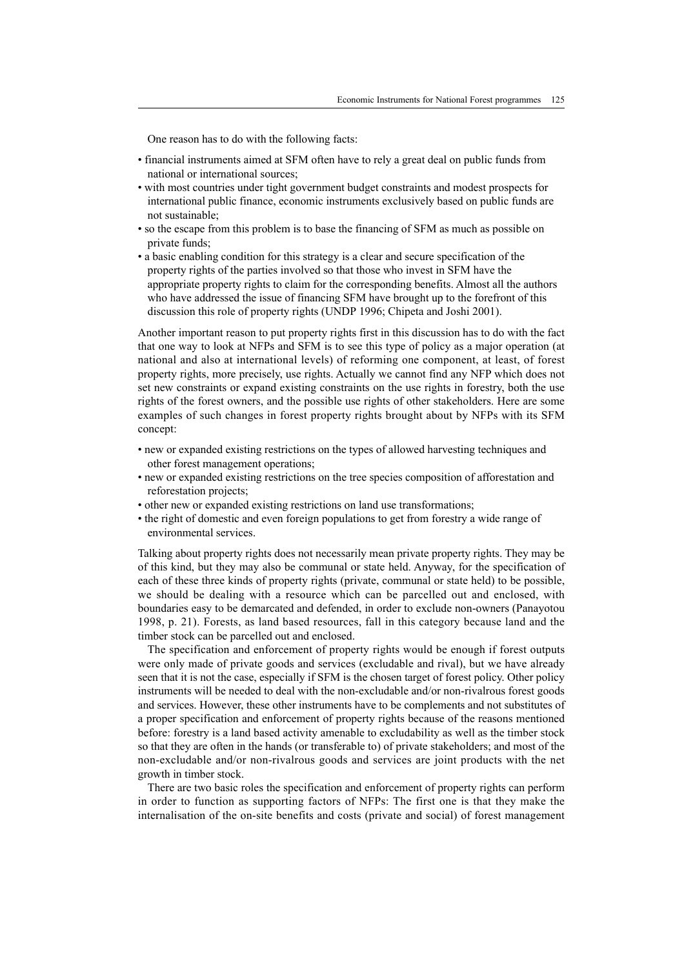One reason has to do with the following facts:

- financial instruments aimed at SFM often have to rely a great deal on public funds from national or international sources;
- with most countries under tight government budget constraints and modest prospects for international public finance, economic instruments exclusively based on public funds are not sustainable;
- so the escape from this problem is to base the financing of SFM as much as possible on private funds;
- a basic enabling condition for this strategy is a clear and secure specification of the property rights of the parties involved so that those who invest in SFM have the appropriate property rights to claim for the corresponding benefits. Almost all the authors who have addressed the issue of financing SFM have brought up to the forefront of this discussion this role of property rights (UNDP 1996; Chipeta and Joshi 2001).

Another important reason to put property rights first in this discussion has to do with the fact that one way to look at NFPs and SFM is to see this type of policy as a major operation (at national and also at international levels) of reforming one component, at least, of forest property rights, more precisely, use rights. Actually we cannot find any NFP which does not set new constraints or expand existing constraints on the use rights in forestry, both the use rights of the forest owners, and the possible use rights of other stakeholders. Here are some examples of such changes in forest property rights brought about by NFPs with its SFM concept:

- new or expanded existing restrictions on the types of allowed harvesting techniques and other forest management operations;
- new or expanded existing restrictions on the tree species composition of afforestation and reforestation projects;
- other new or expanded existing restrictions on land use transformations;
- the right of domestic and even foreign populations to get from forestry a wide range of environmental services.

Talking about property rights does not necessarily mean private property rights. They may be of this kind, but they may also be communal or state held. Anyway, for the specification of each of these three kinds of property rights (private, communal or state held) to be possible, we should be dealing with a resource which can be parcelled out and enclosed, with boundaries easy to be demarcated and defended, in order to exclude non-owners (Panayotou 1998, p. 21). Forests, as land based resources, fall in this category because land and the timber stock can be parcelled out and enclosed.

The specification and enforcement of property rights would be enough if forest outputs were only made of private goods and services (excludable and rival), but we have already seen that it is not the case, especially if SFM is the chosen target of forest policy. Other policy instruments will be needed to deal with the non-excludable and/or non-rivalrous forest goods and services. However, these other instruments have to be complements and not substitutes of a proper specification and enforcement of property rights because of the reasons mentioned before: forestry is a land based activity amenable to excludability as well as the timber stock so that they are often in the hands (or transferable to) of private stakeholders; and most of the non-excludable and/or non-rivalrous goods and services are joint products with the net growth in timber stock.

There are two basic roles the specification and enforcement of property rights can perform in order to function as supporting factors of NFPs: The first one is that they make the internalisation of the on-site benefits and costs (private and social) of forest management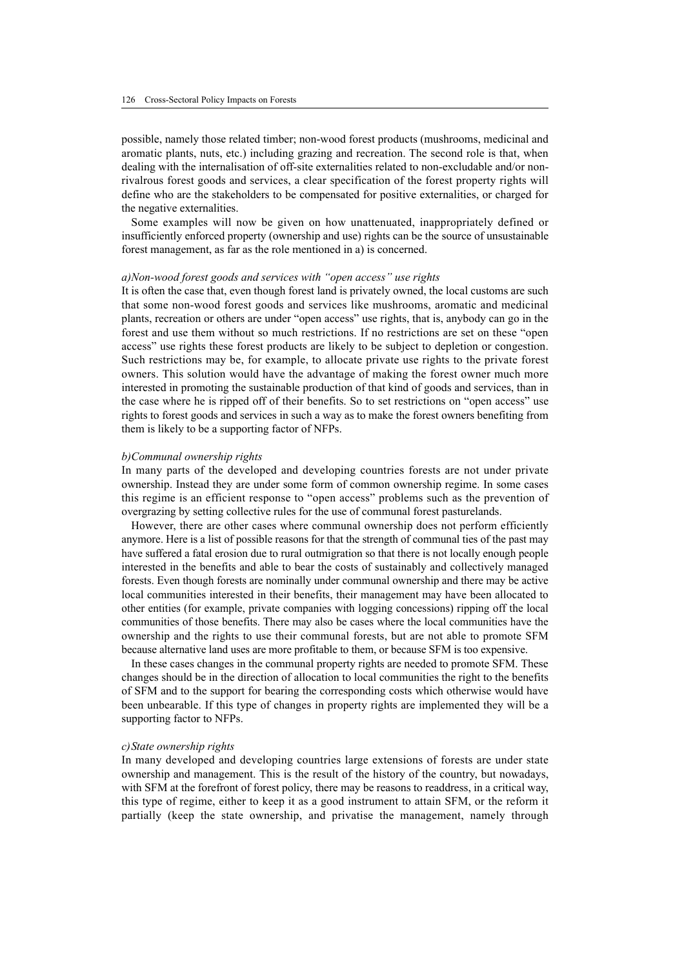possible, namely those related timber; non-wood forest products (mushrooms, medicinal and aromatic plants, nuts, etc.) including grazing and recreation. The second role is that, when dealing with the internalisation of off-site externalities related to non-excludable and/or nonrivalrous forest goods and services, a clear specification of the forest property rights will define who are the stakeholders to be compensated for positive externalities, or charged for the negative externalities.

Some examples will now be given on how unattenuated, inappropriately defined or insufficiently enforced property (ownership and use) rights can be the source of unsustainable forest management, as far as the role mentioned in a) is concerned.

#### *a)Non-wood forest goods and services with "open access" use rights*

It is often the case that, even though forest land is privately owned, the local customs are such that some non-wood forest goods and services like mushrooms, aromatic and medicinal plants, recreation or others are under "open access" use rights, that is, anybody can go in the forest and use them without so much restrictions. If no restrictions are set on these "open access" use rights these forest products are likely to be subject to depletion or congestion. Such restrictions may be, for example, to allocate private use rights to the private forest owners. This solution would have the advantage of making the forest owner much more interested in promoting the sustainable production of that kind of goods and services, than in the case where he is ripped off of their benefits. So to set restrictions on "open access" use rights to forest goods and services in such a way as to make the forest owners benefiting from them is likely to be a supporting factor of NFPs.

#### *b)Communal ownership rights*

In many parts of the developed and developing countries forests are not under private ownership. Instead they are under some form of common ownership regime. In some cases this regime is an efficient response to "open access" problems such as the prevention of overgrazing by setting collective rules for the use of communal forest pasturelands.

However, there are other cases where communal ownership does not perform efficiently anymore. Here is a list of possible reasons for that the strength of communal ties of the past may have suffered a fatal erosion due to rural outmigration so that there is not locally enough people interested in the benefits and able to bear the costs of sustainably and collectively managed forests. Even though forests are nominally under communal ownership and there may be active local communities interested in their benefits, their management may have been allocated to other entities (for example, private companies with logging concessions) ripping off the local communities of those benefits. There may also be cases where the local communities have the ownership and the rights to use their communal forests, but are not able to promote SFM because alternative land uses are more profitable to them, or because SFM is too expensive.

In these cases changes in the communal property rights are needed to promote SFM. These changes should be in the direction of allocation to local communities the right to the benefits of SFM and to the support for bearing the corresponding costs which otherwise would have been unbearable. If this type of changes in property rights are implemented they will be a supporting factor to NFPs.

#### *c)State ownership rights*

In many developed and developing countries large extensions of forests are under state ownership and management. This is the result of the history of the country, but nowadays, with SFM at the forefront of forest policy, there may be reasons to readdress, in a critical way, this type of regime, either to keep it as a good instrument to attain SFM, or the reform it partially (keep the state ownership, and privatise the management, namely through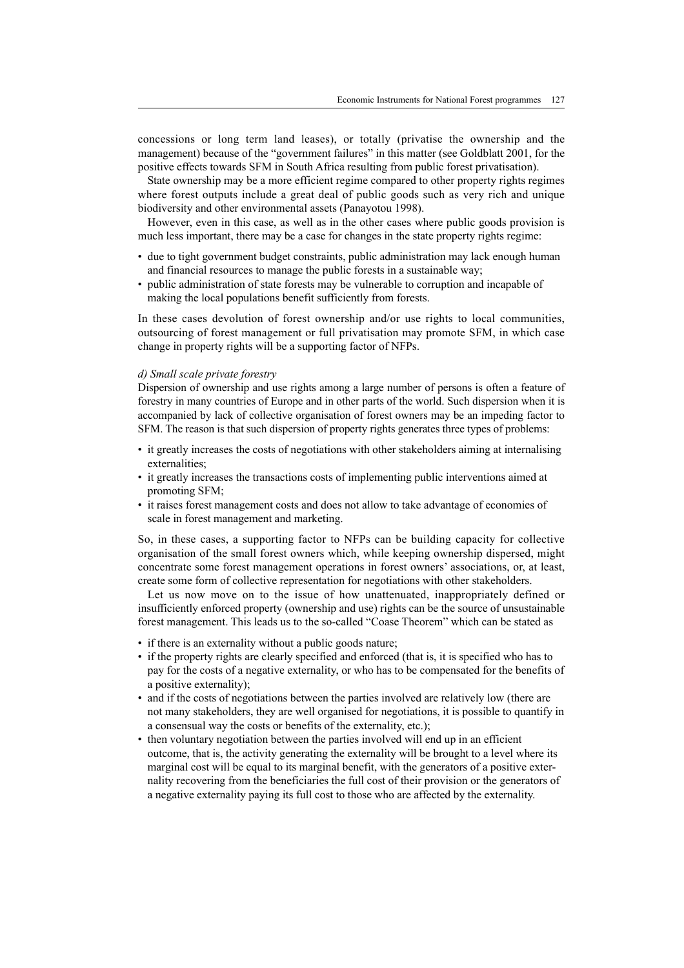concessions or long term land leases), or totally (privatise the ownership and the management) because of the "government failures" in this matter (see Goldblatt 2001, for the positive effects towards SFM in South Africa resulting from public forest privatisation).

State ownership may be a more efficient regime compared to other property rights regimes where forest outputs include a great deal of public goods such as very rich and unique biodiversity and other environmental assets (Panayotou 1998).

However, even in this case, as well as in the other cases where public goods provision is much less important, there may be a case for changes in the state property rights regime:

- due to tight government budget constraints, public administration may lack enough human and financial resources to manage the public forests in a sustainable way;
- public administration of state forests may be vulnerable to corruption and incapable of making the local populations benefit sufficiently from forests.

In these cases devolution of forest ownership and/or use rights to local communities, outsourcing of forest management or full privatisation may promote SFM, in which case change in property rights will be a supporting factor of NFPs.

#### *d) Small scale private forestry*

Dispersion of ownership and use rights among a large number of persons is often a feature of forestry in many countries of Europe and in other parts of the world. Such dispersion when it is accompanied by lack of collective organisation of forest owners may be an impeding factor to SFM. The reason is that such dispersion of property rights generates three types of problems:

- it greatly increases the costs of negotiations with other stakeholders aiming at internalising externalities;
- it greatly increases the transactions costs of implementing public interventions aimed at promoting SFM;
- it raises forest management costs and does not allow to take advantage of economies of scale in forest management and marketing.

So, in these cases, a supporting factor to NFPs can be building capacity for collective organisation of the small forest owners which, while keeping ownership dispersed, might concentrate some forest management operations in forest owners' associations, or, at least, create some form of collective representation for negotiations with other stakeholders.

Let us now move on to the issue of how unattenuated, inappropriately defined or insufficiently enforced property (ownership and use) rights can be the source of unsustainable forest management. This leads us to the so-called "Coase Theorem" which can be stated as

- if there is an externality without a public goods nature;
- if the property rights are clearly specified and enforced (that is, it is specified who has to pay for the costs of a negative externality, or who has to be compensated for the benefits of a positive externality);
- and if the costs of negotiations between the parties involved are relatively low (there are not many stakeholders, they are well organised for negotiations, it is possible to quantify in a consensual way the costs or benefits of the externality, etc.);
- then voluntary negotiation between the parties involved will end up in an efficient outcome, that is, the activity generating the externality will be brought to a level where its marginal cost will be equal to its marginal benefit, with the generators of a positive externality recovering from the beneficiaries the full cost of their provision or the generators of a negative externality paying its full cost to those who are affected by the externality.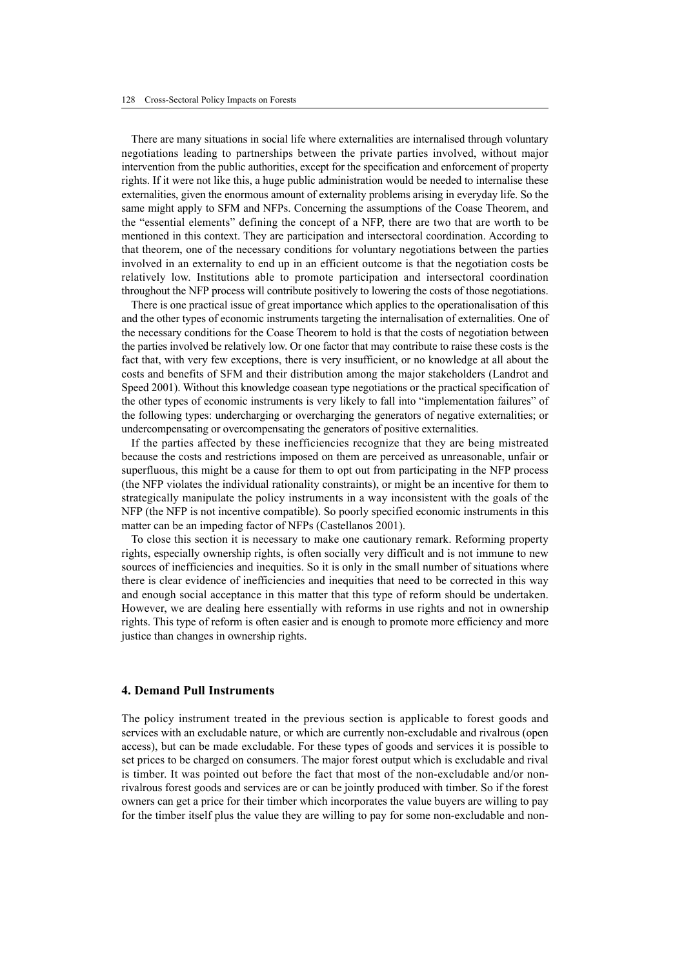There are many situations in social life where externalities are internalised through voluntary negotiations leading to partnerships between the private parties involved, without major intervention from the public authorities, except for the specification and enforcement of property rights. If it were not like this, a huge public administration would be needed to internalise these externalities, given the enormous amount of externality problems arising in everyday life. So the same might apply to SFM and NFPs. Concerning the assumptions of the Coase Theorem, and the "essential elements" defining the concept of a NFP, there are two that are worth to be mentioned in this context. They are participation and intersectoral coordination. According to that theorem, one of the necessary conditions for voluntary negotiations between the parties involved in an externality to end up in an efficient outcome is that the negotiation costs be relatively low. Institutions able to promote participation and intersectoral coordination throughout the NFP process will contribute positively to lowering the costs of those negotiations.

There is one practical issue of great importance which applies to the operationalisation of this and the other types of economic instruments targeting the internalisation of externalities. One of the necessary conditions for the Coase Theorem to hold is that the costs of negotiation between the parties involved be relatively low. Or one factor that may contribute to raise these costs is the fact that, with very few exceptions, there is very insufficient, or no knowledge at all about the costs and benefits of SFM and their distribution among the major stakeholders (Landrot and Speed 2001). Without this knowledge coasean type negotiations or the practical specification of the other types of economic instruments is very likely to fall into "implementation failures" of the following types: undercharging or overcharging the generators of negative externalities; or undercompensating or overcompensating the generators of positive externalities.

If the parties affected by these inefficiencies recognize that they are being mistreated because the costs and restrictions imposed on them are perceived as unreasonable, unfair or superfluous, this might be a cause for them to opt out from participating in the NFP process (the NFP violates the individual rationality constraints), or might be an incentive for them to strategically manipulate the policy instruments in a way inconsistent with the goals of the NFP (the NFP is not incentive compatible). So poorly specified economic instruments in this matter can be an impeding factor of NFPs (Castellanos 2001).

To close this section it is necessary to make one cautionary remark. Reforming property rights, especially ownership rights, is often socially very difficult and is not immune to new sources of inefficiencies and inequities. So it is only in the small number of situations where there is clear evidence of inefficiencies and inequities that need to be corrected in this way and enough social acceptance in this matter that this type of reform should be undertaken. However, we are dealing here essentially with reforms in use rights and not in ownership rights. This type of reform is often easier and is enough to promote more efficiency and more justice than changes in ownership rights.

## **4. Demand Pull Instruments**

The policy instrument treated in the previous section is applicable to forest goods and services with an excludable nature, or which are currently non-excludable and rivalrous (open access), but can be made excludable. For these types of goods and services it is possible to set prices to be charged on consumers. The major forest output which is excludable and rival is timber. It was pointed out before the fact that most of the non-excludable and/or nonrivalrous forest goods and services are or can be jointly produced with timber. So if the forest owners can get a price for their timber which incorporates the value buyers are willing to pay for the timber itself plus the value they are willing to pay for some non-excludable and non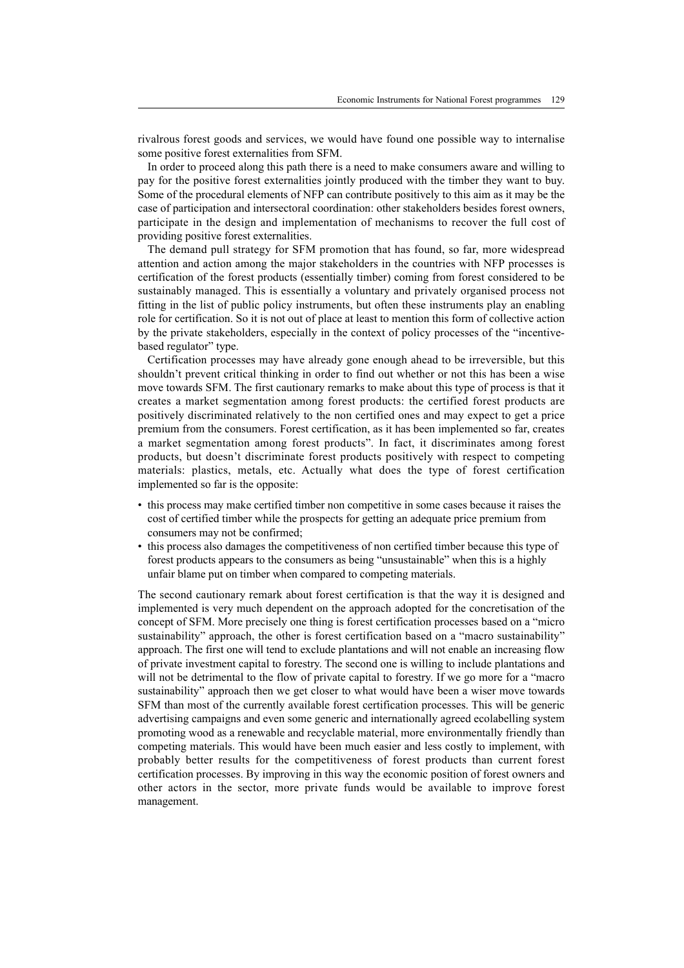rivalrous forest goods and services, we would have found one possible way to internalise some positive forest externalities from SFM.

In order to proceed along this path there is a need to make consumers aware and willing to pay for the positive forest externalities jointly produced with the timber they want to buy. Some of the procedural elements of NFP can contribute positively to this aim as it may be the case of participation and intersectoral coordination: other stakeholders besides forest owners, participate in the design and implementation of mechanisms to recover the full cost of providing positive forest externalities.

The demand pull strategy for SFM promotion that has found, so far, more widespread attention and action among the major stakeholders in the countries with NFP processes is certification of the forest products (essentially timber) coming from forest considered to be sustainably managed. This is essentially a voluntary and privately organised process not fitting in the list of public policy instruments, but often these instruments play an enabling role for certification. So it is not out of place at least to mention this form of collective action by the private stakeholders, especially in the context of policy processes of the "incentivebased regulator" type.

Certification processes may have already gone enough ahead to be irreversible, but this shouldn't prevent critical thinking in order to find out whether or not this has been a wise move towards SFM. The first cautionary remarks to make about this type of process is that it creates a market segmentation among forest products: the certified forest products are positively discriminated relatively to the non certified ones and may expect to get a price premium from the consumers. Forest certification, as it has been implemented so far, creates a market segmentation among forest products". In fact, it discriminates among forest products, but doesn't discriminate forest products positively with respect to competing materials: plastics, metals, etc. Actually what does the type of forest certification implemented so far is the opposite:

- this process may make certified timber non competitive in some cases because it raises the cost of certified timber while the prospects for getting an adequate price premium from consumers may not be confirmed;
- this process also damages the competitiveness of non certified timber because this type of forest products appears to the consumers as being "unsustainable" when this is a highly unfair blame put on timber when compared to competing materials.

The second cautionary remark about forest certification is that the way it is designed and implemented is very much dependent on the approach adopted for the concretisation of the concept of SFM. More precisely one thing is forest certification processes based on a "micro sustainability" approach, the other is forest certification based on a "macro sustainability" approach. The first one will tend to exclude plantations and will not enable an increasing flow of private investment capital to forestry. The second one is willing to include plantations and will not be detrimental to the flow of private capital to forestry. If we go more for a "macro" sustainability" approach then we get closer to what would have been a wiser move towards SFM than most of the currently available forest certification processes. This will be generic advertising campaigns and even some generic and internationally agreed ecolabelling system promoting wood as a renewable and recyclable material, more environmentally friendly than competing materials. This would have been much easier and less costly to implement, with probably better results for the competitiveness of forest products than current forest certification processes. By improving in this way the economic position of forest owners and other actors in the sector, more private funds would be available to improve forest management.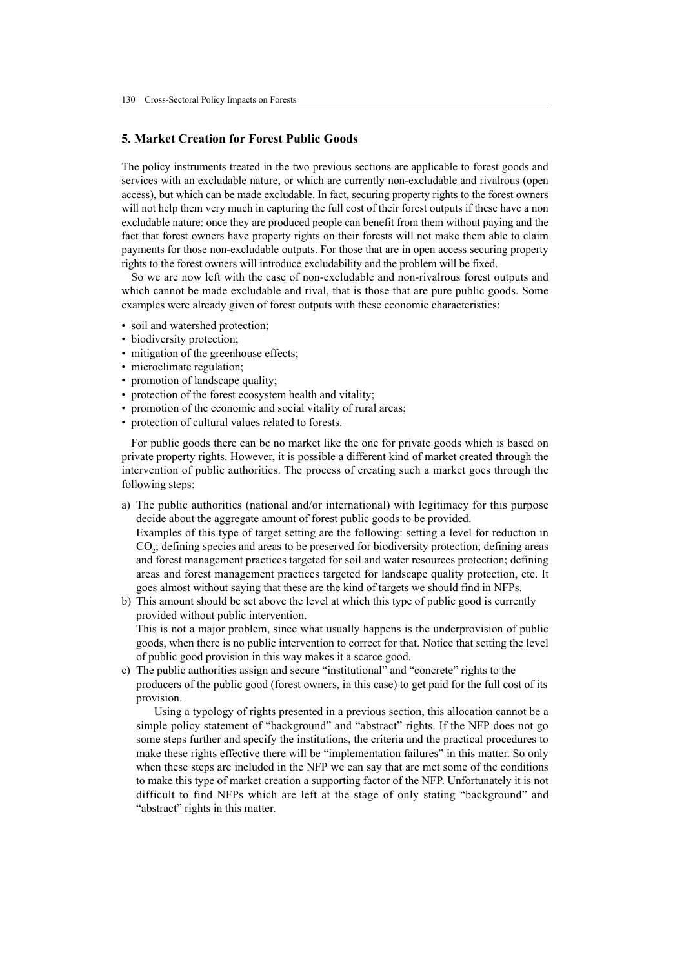## **5. Market Creation for Forest Public Goods**

The policy instruments treated in the two previous sections are applicable to forest goods and services with an excludable nature, or which are currently non-excludable and rivalrous (open access), but which can be made excludable. In fact, securing property rights to the forest owners will not help them very much in capturing the full cost of their forest outputs if these have a non excludable nature: once they are produced people can benefit from them without paying and the fact that forest owners have property rights on their forests will not make them able to claim payments for those non-excludable outputs. For those that are in open access securing property rights to the forest owners will introduce excludability and the problem will be fixed.

So we are now left with the case of non-excludable and non-rivalrous forest outputs and which cannot be made excludable and rival, that is those that are pure public goods. Some examples were already given of forest outputs with these economic characteristics:

- soil and watershed protection;
- biodiversity protection;
- mitigation of the greenhouse effects;
- microclimate regulation;
- promotion of landscape quality;
- protection of the forest ecosystem health and vitality;
- promotion of the economic and social vitality of rural areas;
- protection of cultural values related to forests.

For public goods there can be no market like the one for private goods which is based on private property rights. However, it is possible a different kind of market created through the intervention of public authorities. The process of creating such a market goes through the following steps:

a) The public authorities (national and/or international) with legitimacy for this purpose decide about the aggregate amount of forest public goods to be provided.

Examples of this type of target setting are the following: setting a level for reduction in CO<sub>2</sub>; defining species and areas to be preserved for biodiversity protection; defining areas and forest management practices targeted for soil and water resources protection; defining areas and forest management practices targeted for landscape quality protection, etc. It goes almost without saying that these are the kind of targets we should find in NFPs.

- b) This amount should be set above the level at which this type of public good is currently provided without public intervention. This is not a major problem, since what usually happens is the underprovision of public goods, when there is no public intervention to correct for that. Notice that setting the level
- of public good provision in this way makes it a scarce good. c) The public authorities assign and secure "institutional" and "concrete" rights to the producers of the public good (forest owners, in this case) to get paid for the full cost of its provision.

Using a typology of rights presented in a previous section, this allocation cannot be a simple policy statement of "background" and "abstract" rights. If the NFP does not go some steps further and specify the institutions, the criteria and the practical procedures to make these rights effective there will be "implementation failures" in this matter. So only when these steps are included in the NFP we can say that are met some of the conditions to make this type of market creation a supporting factor of the NFP. Unfortunately it is not difficult to find NFPs which are left at the stage of only stating "background" and "abstract" rights in this matter.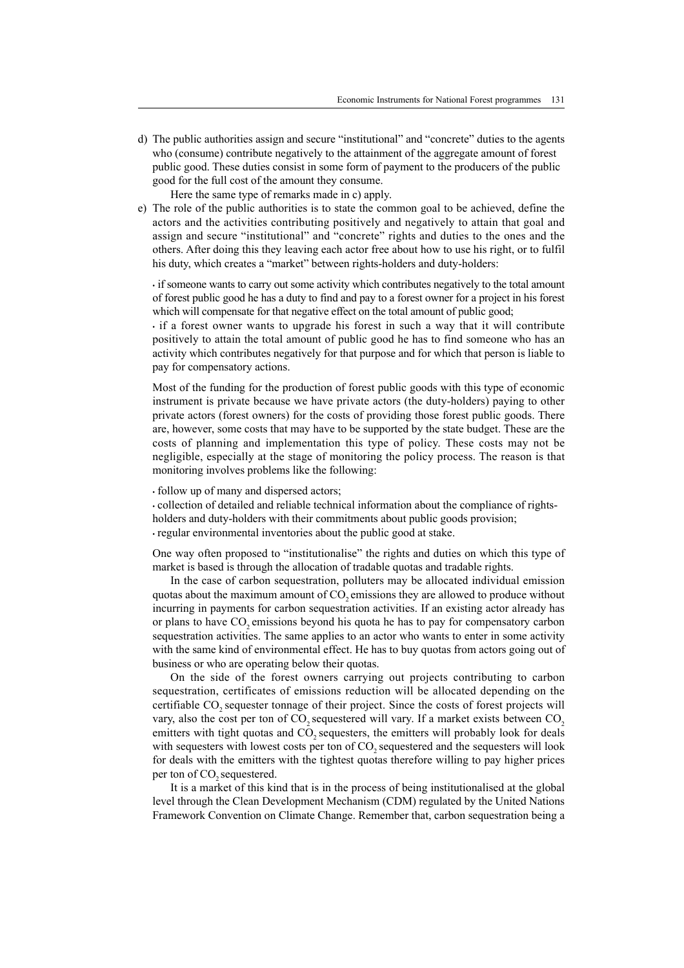d) The public authorities assign and secure "institutional" and "concrete" duties to the agents who (consume) contribute negatively to the attainment of the aggregate amount of forest public good. These duties consist in some form of payment to the producers of the public good for the full cost of the amount they consume.

Here the same type of remarks made in c) apply.

e) The role of the public authorities is to state the common goal to be achieved, define the actors and the activities contributing positively and negatively to attain that goal and assign and secure "institutional" and "concrete" rights and duties to the ones and the others. After doing this they leaving each actor free about how to use his right, or to fulfil his duty, which creates a "market" between rights-holders and duty-holders:

• if someone wants to carry out some activity which contributes negatively to the total amount of forest public good he has a duty to find and pay to a forest owner for a project in his forest which will compensate for that negative effect on the total amount of public good;

• if a forest owner wants to upgrade his forest in such a way that it will contribute positively to attain the total amount of public good he has to find someone who has an activity which contributes negatively for that purpose and for which that person is liable to pay for compensatory actions.

Most of the funding for the production of forest public goods with this type of economic instrument is private because we have private actors (the duty-holders) paying to other private actors (forest owners) for the costs of providing those forest public goods. There are, however, some costs that may have to be supported by the state budget. These are the costs of planning and implementation this type of policy. These costs may not be negligible, especially at the stage of monitoring the policy process. The reason is that monitoring involves problems like the following:

• follow up of many and dispersed actors;

• collection of detailed and reliable technical information about the compliance of rightsholders and duty-holders with their commitments about public goods provision; • regular environmental inventories about the public good at stake.

One way often proposed to "institutionalise" the rights and duties on which this type of market is based is through the allocation of tradable quotas and tradable rights.

In the case of carbon sequestration, polluters may be allocated individual emission quotas about the maximum amount of CO<sub>2</sub> emissions they are allowed to produce without incurring in payments for carbon sequestration activities. If an existing actor already has or plans to have  $CO<sub>2</sub>$  emissions beyond his quota he has to pay for compensatory carbon sequestration activities. The same applies to an actor who wants to enter in some activity with the same kind of environmental effect. He has to buy quotas from actors going out of business or who are operating below their quotas.

On the side of the forest owners carrying out projects contributing to carbon sequestration, certificates of emissions reduction will be allocated depending on the certifiable CO<sub>2</sub> sequester tonnage of their project. Since the costs of forest projects will vary, also the cost per ton of  $CO<sub>2</sub>$  sequestered will vary. If a market exists between  $CO<sub>2</sub>$ emitters with tight quotas and CO<sub>2</sub> sequesters, the emitters will probably look for deals with sequesters with lowest costs per ton of CO<sub>2</sub> sequestered and the sequesters will look for deals with the emitters with the tightest quotas therefore willing to pay higher prices per ton of CO<sub>2</sub> sequestered.

It is a market of this kind that is in the process of being institutionalised at the global level through the Clean Development Mechanism (CDM) regulated by the United Nations Framework Convention on Climate Change. Remember that, carbon sequestration being a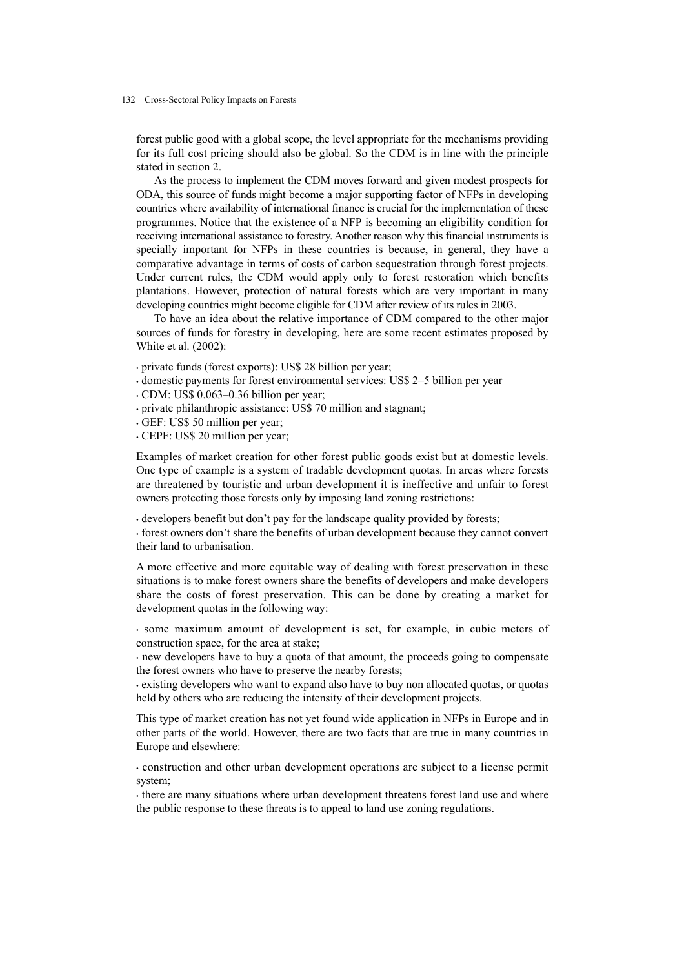forest public good with a global scope, the level appropriate for the mechanisms providing for its full cost pricing should also be global. So the CDM is in line with the principle stated in section 2.

As the process to implement the CDM moves forward and given modest prospects for ODA, this source of funds might become a major supporting factor of NFPs in developing countries where availability of international finance is crucial for the implementation of these programmes. Notice that the existence of a NFP is becoming an eligibility condition for receiving international assistance to forestry. Another reason why this financial instruments is specially important for NFPs in these countries is because, in general, they have a comparative advantage in terms of costs of carbon sequestration through forest projects. Under current rules, the CDM would apply only to forest restoration which benefits plantations. However, protection of natural forests which are very important in many developing countries might become eligible for CDM after review of its rules in 2003.

To have an idea about the relative importance of CDM compared to the other major sources of funds for forestry in developing, here are some recent estimates proposed by White et al. (2002):

• private funds (forest exports): US\$ 28 billion per year;

- domestic payments for forest environmental services: US\$ 2–5 billion per year
- CDM: US\$ 0.063–0.36 billion per year;
- private philanthropic assistance: US\$ 70 million and stagnant;
- GEF: US\$ 50 million per year;
- CEPF: US\$ 20 million per year;

Examples of market creation for other forest public goods exist but at domestic levels. One type of example is a system of tradable development quotas. In areas where forests are threatened by touristic and urban development it is ineffective and unfair to forest owners protecting those forests only by imposing land zoning restrictions:

• developers benefit but don't pay for the landscape quality provided by forests;

• forest owners don't share the benefits of urban development because they cannot convert their land to urbanisation.

A more effective and more equitable way of dealing with forest preservation in these situations is to make forest owners share the benefits of developers and make developers share the costs of forest preservation. This can be done by creating a market for development quotas in the following way:

• some maximum amount of development is set, for example, in cubic meters of construction space, for the area at stake;

• new developers have to buy a quota of that amount, the proceeds going to compensate the forest owners who have to preserve the nearby forests;

• existing developers who want to expand also have to buy non allocated quotas, or quotas held by others who are reducing the intensity of their development projects.

This type of market creation has not yet found wide application in NFPs in Europe and in other parts of the world. However, there are two facts that are true in many countries in Europe and elsewhere:

• construction and other urban development operations are subject to a license permit system;

• there are many situations where urban development threatens forest land use and where the public response to these threats is to appeal to land use zoning regulations.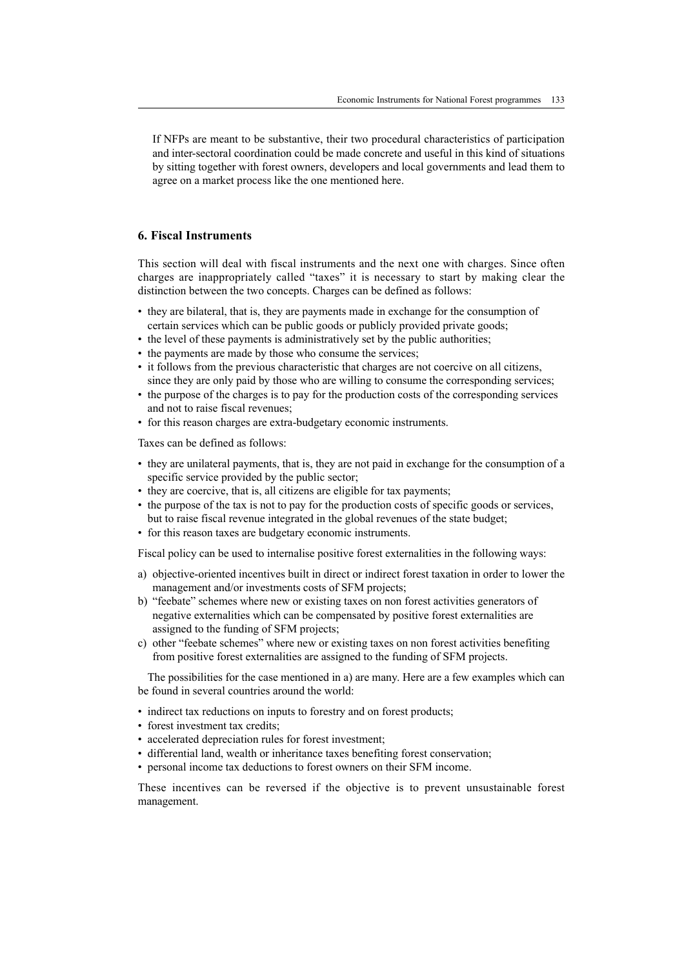If NFPs are meant to be substantive, their two procedural characteristics of participation and inter-sectoral coordination could be made concrete and useful in this kind of situations by sitting together with forest owners, developers and local governments and lead them to agree on a market process like the one mentioned here.

## **6. Fiscal Instruments**

This section will deal with fiscal instruments and the next one with charges. Since often charges are inappropriately called "taxes" it is necessary to start by making clear the distinction between the two concepts. Charges can be defined as follows:

- they are bilateral, that is, they are payments made in exchange for the consumption of certain services which can be public goods or publicly provided private goods;
- the level of these payments is administratively set by the public authorities;
- the payments are made by those who consume the services;
- it follows from the previous characteristic that charges are not coercive on all citizens, since they are only paid by those who are willing to consume the corresponding services;
- the purpose of the charges is to pay for the production costs of the corresponding services and not to raise fiscal revenues;
- for this reason charges are extra-budgetary economic instruments.

Taxes can be defined as follows:

- they are unilateral payments, that is, they are not paid in exchange for the consumption of a specific service provided by the public sector;
- they are coercive, that is, all citizens are eligible for tax payments;
- the purpose of the tax is not to pay for the production costs of specific goods or services, but to raise fiscal revenue integrated in the global revenues of the state budget;
- for this reason taxes are budgetary economic instruments.

Fiscal policy can be used to internalise positive forest externalities in the following ways:

- a) objective-oriented incentives built in direct or indirect forest taxation in order to lower the management and/or investments costs of SFM projects;
- b) "feebate" schemes where new or existing taxes on non forest activities generators of negative externalities which can be compensated by positive forest externalities are assigned to the funding of SFM projects;
- c) other "feebate schemes" where new or existing taxes on non forest activities benefiting from positive forest externalities are assigned to the funding of SFM projects.

The possibilities for the case mentioned in a) are many. Here are a few examples which can be found in several countries around the world:

- indirect tax reductions on inputs to forestry and on forest products;
- forest investment tax credits;
- accelerated depreciation rules for forest investment;
- differential land, wealth or inheritance taxes benefiting forest conservation;
- personal income tax deductions to forest owners on their SFM income.

These incentives can be reversed if the objective is to prevent unsustainable forest management.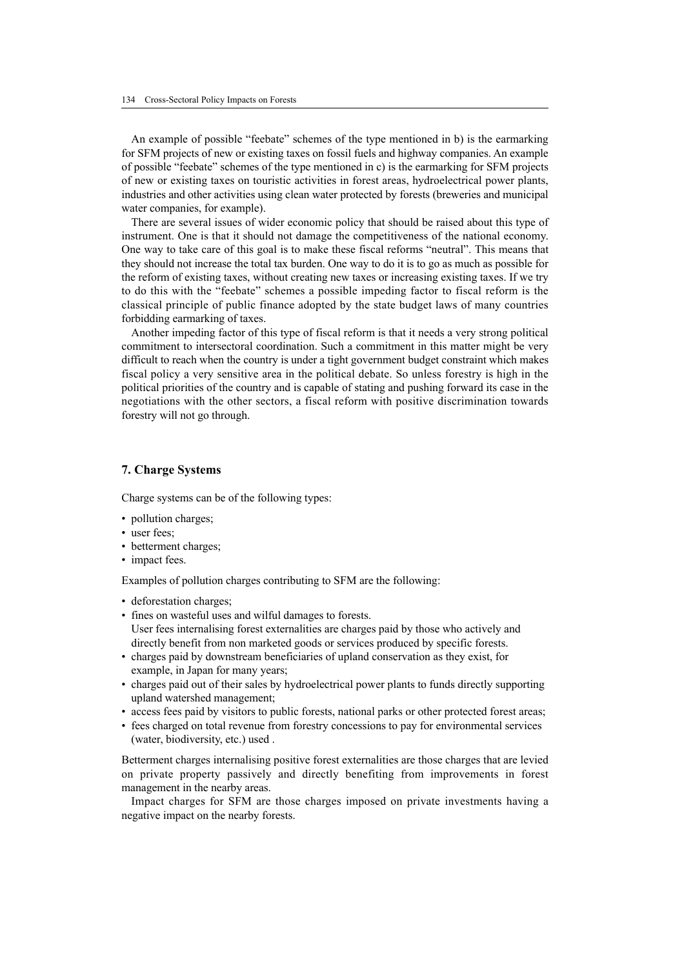An example of possible "feebate" schemes of the type mentioned in b) is the earmarking for SFM projects of new or existing taxes on fossil fuels and highway companies. An example of possible "feebate" schemes of the type mentioned in c) is the earmarking for SFM projects of new or existing taxes on touristic activities in forest areas, hydroelectrical power plants, industries and other activities using clean water protected by forests (breweries and municipal water companies, for example).

There are several issues of wider economic policy that should be raised about this type of instrument. One is that it should not damage the competitiveness of the national economy. One way to take care of this goal is to make these fiscal reforms "neutral". This means that they should not increase the total tax burden. One way to do it is to go as much as possible for the reform of existing taxes, without creating new taxes or increasing existing taxes. If we try to do this with the "feebate" schemes a possible impeding factor to fiscal reform is the classical principle of public finance adopted by the state budget laws of many countries forbidding earmarking of taxes.

Another impeding factor of this type of fiscal reform is that it needs a very strong political commitment to intersectoral coordination. Such a commitment in this matter might be very difficult to reach when the country is under a tight government budget constraint which makes fiscal policy a very sensitive area in the political debate. So unless forestry is high in the political priorities of the country and is capable of stating and pushing forward its case in the negotiations with the other sectors, a fiscal reform with positive discrimination towards forestry will not go through.

## **7. Charge Systems**

Charge systems can be of the following types:

- pollution charges;
- user fees;
- betterment charges;
- impact fees.

Examples of pollution charges contributing to SFM are the following:

- deforestation charges;
- fines on wasteful uses and wilful damages to forests. User fees internalising forest externalities are charges paid by those who actively and directly benefit from non marketed goods or services produced by specific forests.
- charges paid by downstream beneficiaries of upland conservation as they exist, for example, in Japan for many years;
- charges paid out of their sales by hydroelectrical power plants to funds directly supporting upland watershed management;
- access fees paid by visitors to public forests, national parks or other protected forest areas;
- fees charged on total revenue from forestry concessions to pay for environmental services (water, biodiversity, etc.) used .

Betterment charges internalising positive forest externalities are those charges that are levied on private property passively and directly benefiting from improvements in forest management in the nearby areas.

Impact charges for SFM are those charges imposed on private investments having a negative impact on the nearby forests.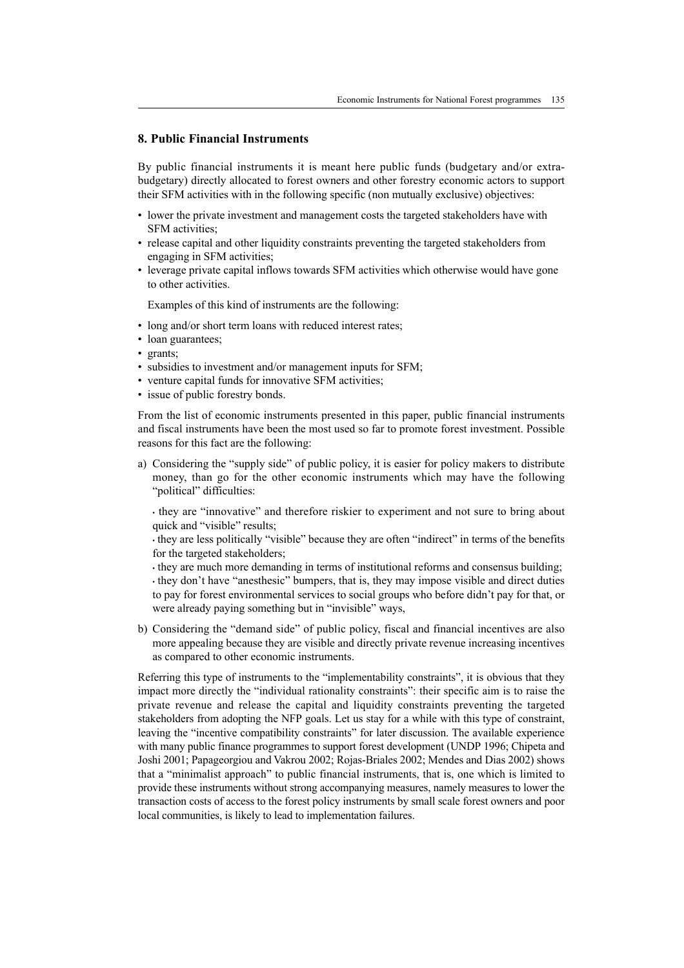## **8. Public Financial Instruments**

By public financial instruments it is meant here public funds (budgetary and/or extrabudgetary) directly allocated to forest owners and other forestry economic actors to support their SFM activities with in the following specific (non mutually exclusive) objectives:

- lower the private investment and management costs the targeted stakeholders have with SFM activities;
- release capital and other liquidity constraints preventing the targeted stakeholders from engaging in SFM activities;
- leverage private capital inflows towards SFM activities which otherwise would have gone to other activities.

Examples of this kind of instruments are the following:

- long and/or short term loans with reduced interest rates;
- loan guarantees;
- grants;
- subsidies to investment and/or management inputs for SFM;
- venture capital funds for innovative SFM activities;
- issue of public forestry bonds.

From the list of economic instruments presented in this paper, public financial instruments and fiscal instruments have been the most used so far to promote forest investment. Possible reasons for this fact are the following:

a) Considering the "supply side" of public policy, it is easier for policy makers to distribute money, than go for the other economic instruments which may have the following "political" difficulties:

• they are "innovative" and therefore riskier to experiment and not sure to bring about quick and "visible" results;

• they are less politically "visible" because they are often "indirect" in terms of the benefits for the targeted stakeholders;

• they are much more demanding in terms of institutional reforms and consensus building;

• they don't have "anesthesic" bumpers, that is, they may impose visible and direct duties to pay for forest environmental services to social groups who before didn't pay for that, or were already paying something but in "invisible" ways,

b) Considering the "demand side" of public policy, fiscal and financial incentives are also more appealing because they are visible and directly private revenue increasing incentives as compared to other economic instruments.

Referring this type of instruments to the "implementability constraints", it is obvious that they impact more directly the "individual rationality constraints": their specific aim is to raise the private revenue and release the capital and liquidity constraints preventing the targeted stakeholders from adopting the NFP goals. Let us stay for a while with this type of constraint, leaving the "incentive compatibility constraints" for later discussion. The available experience with many public finance programmes to support forest development (UNDP 1996; Chipeta and Joshi 2001; Papageorgiou and Vakrou 2002; Rojas-Briales 2002; Mendes and Dias 2002) shows that a "minimalist approach" to public financial instruments, that is, one which is limited to provide these instruments without strong accompanying measures, namely measures to lower the transaction costs of access to the forest policy instruments by small scale forest owners and poor local communities, is likely to lead to implementation failures.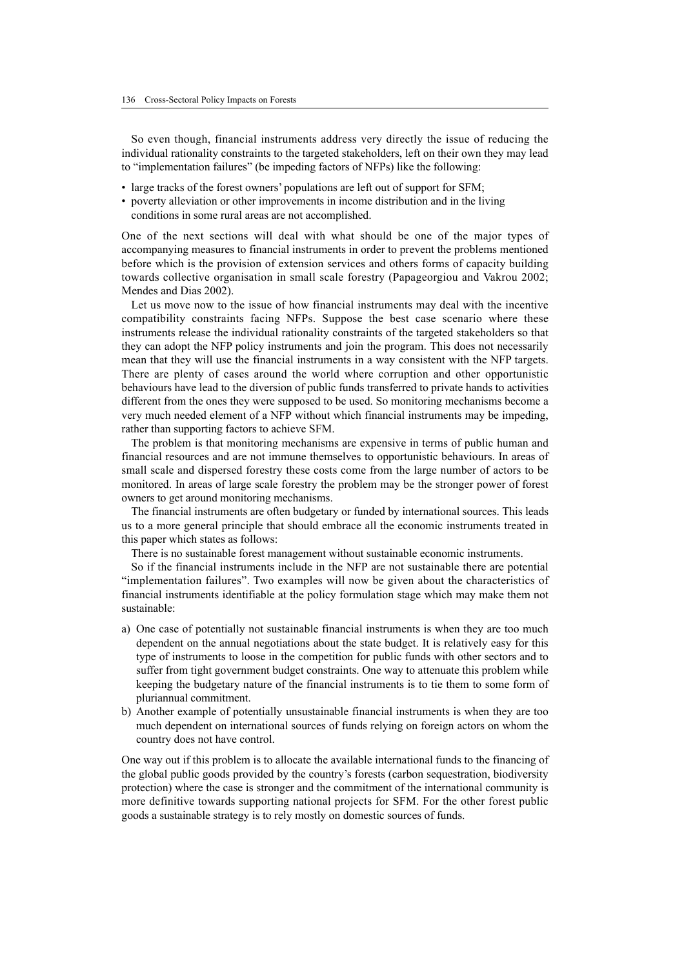So even though, financial instruments address very directly the issue of reducing the individual rationality constraints to the targeted stakeholders, left on their own they may lead to "implementation failures" (be impeding factors of NFPs) like the following:

- large tracks of the forest owners' populations are left out of support for SFM;
- poverty alleviation or other improvements in income distribution and in the living conditions in some rural areas are not accomplished.

One of the next sections will deal with what should be one of the major types of accompanying measures to financial instruments in order to prevent the problems mentioned before which is the provision of extension services and others forms of capacity building towards collective organisation in small scale forestry (Papageorgiou and Vakrou 2002; Mendes and Dias 2002).

Let us move now to the issue of how financial instruments may deal with the incentive compatibility constraints facing NFPs. Suppose the best case scenario where these instruments release the individual rationality constraints of the targeted stakeholders so that they can adopt the NFP policy instruments and join the program. This does not necessarily mean that they will use the financial instruments in a way consistent with the NFP targets. There are plenty of cases around the world where corruption and other opportunistic behaviours have lead to the diversion of public funds transferred to private hands to activities different from the ones they were supposed to be used. So monitoring mechanisms become a very much needed element of a NFP without which financial instruments may be impeding, rather than supporting factors to achieve SFM.

The problem is that monitoring mechanisms are expensive in terms of public human and financial resources and are not immune themselves to opportunistic behaviours. In areas of small scale and dispersed forestry these costs come from the large number of actors to be monitored. In areas of large scale forestry the problem may be the stronger power of forest owners to get around monitoring mechanisms.

The financial instruments are often budgetary or funded by international sources. This leads us to a more general principle that should embrace all the economic instruments treated in this paper which states as follows:

There is no sustainable forest management without sustainable economic instruments.

So if the financial instruments include in the NFP are not sustainable there are potential "implementation failures". Two examples will now be given about the characteristics of financial instruments identifiable at the policy formulation stage which may make them not sustainable:

- a) One case of potentially not sustainable financial instruments is when they are too much dependent on the annual negotiations about the state budget. It is relatively easy for this type of instruments to loose in the competition for public funds with other sectors and to suffer from tight government budget constraints. One way to attenuate this problem while keeping the budgetary nature of the financial instruments is to tie them to some form of pluriannual commitment.
- b) Another example of potentially unsustainable financial instruments is when they are too much dependent on international sources of funds relying on foreign actors on whom the country does not have control.

One way out if this problem is to allocate the available international funds to the financing of the global public goods provided by the country's forests (carbon sequestration, biodiversity protection) where the case is stronger and the commitment of the international community is more definitive towards supporting national projects for SFM. For the other forest public goods a sustainable strategy is to rely mostly on domestic sources of funds.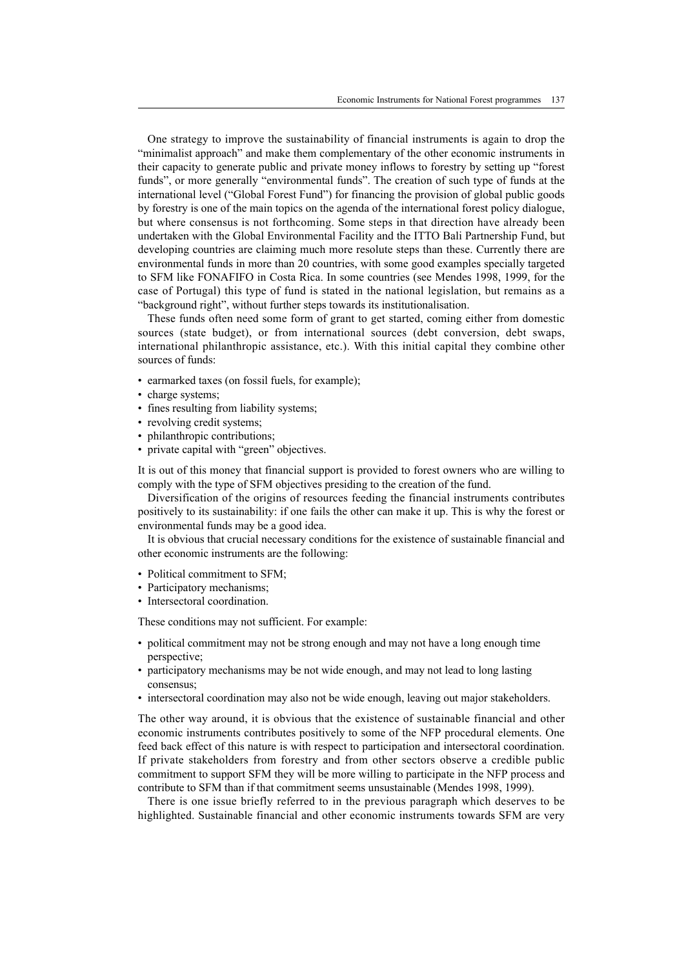One strategy to improve the sustainability of financial instruments is again to drop the "minimalist approach" and make them complementary of the other economic instruments in their capacity to generate public and private money inflows to forestry by setting up "forest funds", or more generally "environmental funds". The creation of such type of funds at the international level ("Global Forest Fund") for financing the provision of global public goods by forestry is one of the main topics on the agenda of the international forest policy dialogue, but where consensus is not forthcoming. Some steps in that direction have already been undertaken with the Global Environmental Facility and the ITTO Bali Partnership Fund, but developing countries are claiming much more resolute steps than these. Currently there are environmental funds in more than 20 countries, with some good examples specially targeted to SFM like FONAFIFO in Costa Rica. In some countries (see Mendes 1998, 1999, for the case of Portugal) this type of fund is stated in the national legislation, but remains as a "background right", without further steps towards its institutionalisation.

These funds often need some form of grant to get started, coming either from domestic sources (state budget), or from international sources (debt conversion, debt swaps, international philanthropic assistance, etc.). With this initial capital they combine other sources of funds:

- earmarked taxes (on fossil fuels, for example);
- charge systems;
- fines resulting from liability systems;
- revolving credit systems;
- philanthropic contributions;
- private capital with "green" objectives.

It is out of this money that financial support is provided to forest owners who are willing to comply with the type of SFM objectives presiding to the creation of the fund.

Diversification of the origins of resources feeding the financial instruments contributes positively to its sustainability: if one fails the other can make it up. This is why the forest or environmental funds may be a good idea.

It is obvious that crucial necessary conditions for the existence of sustainable financial and other economic instruments are the following:

- Political commitment to SFM;
- Participatory mechanisms:
- Intersectoral coordination.

These conditions may not sufficient. For example:

- political commitment may not be strong enough and may not have a long enough time perspective;
- participatory mechanisms may be not wide enough, and may not lead to long lasting consensus;
- intersectoral coordination may also not be wide enough, leaving out major stakeholders.

The other way around, it is obvious that the existence of sustainable financial and other economic instruments contributes positively to some of the NFP procedural elements. One feed back effect of this nature is with respect to participation and intersectoral coordination. If private stakeholders from forestry and from other sectors observe a credible public commitment to support SFM they will be more willing to participate in the NFP process and contribute to SFM than if that commitment seems unsustainable (Mendes 1998, 1999).

There is one issue briefly referred to in the previous paragraph which deserves to be highlighted. Sustainable financial and other economic instruments towards SFM are very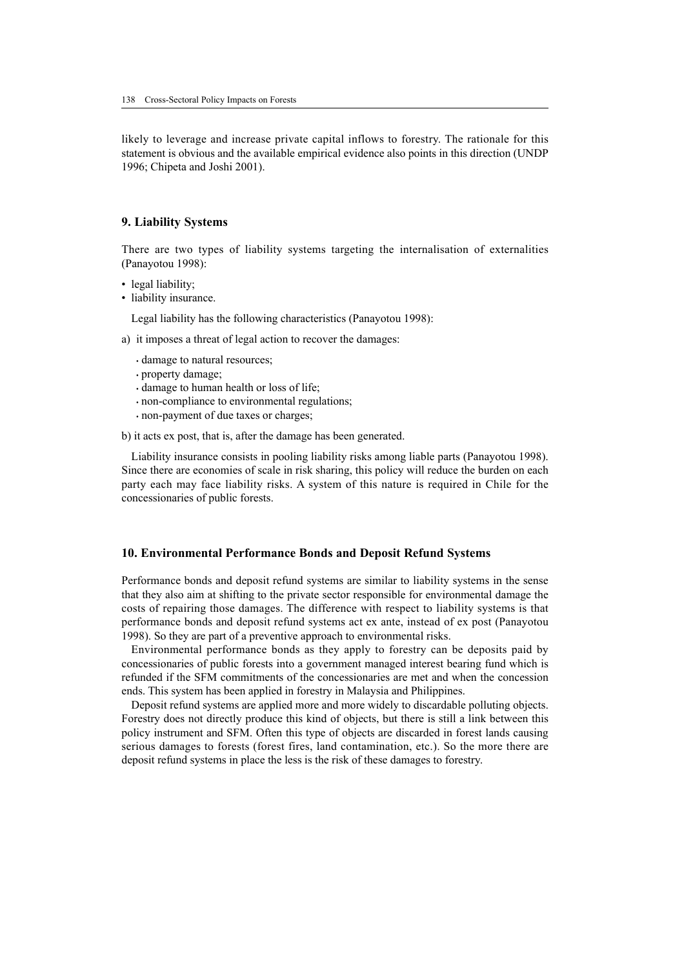likely to leverage and increase private capital inflows to forestry. The rationale for this statement is obvious and the available empirical evidence also points in this direction (UNDP 1996; Chipeta and Joshi 2001).

#### **9. Liability Systems**

There are two types of liability systems targeting the internalisation of externalities (Panayotou 1998):

- legal liability;
- liability insurance.

Legal liability has the following characteristics (Panayotou 1998):

- a) it imposes a threat of legal action to recover the damages:
	- damage to natural resources;
	- property damage;
	- damage to human health or loss of life;
	- non-compliance to environmental regulations;
	- non-payment of due taxes or charges;

b) it acts ex post, that is, after the damage has been generated.

Liability insurance consists in pooling liability risks among liable parts (Panayotou 1998). Since there are economies of scale in risk sharing, this policy will reduce the burden on each party each may face liability risks. A system of this nature is required in Chile for the concessionaries of public forests.

#### **10. Environmental Performance Bonds and Deposit Refund Systems**

Performance bonds and deposit refund systems are similar to liability systems in the sense that they also aim at shifting to the private sector responsible for environmental damage the costs of repairing those damages. The difference with respect to liability systems is that performance bonds and deposit refund systems act ex ante, instead of ex post (Panayotou 1998). So they are part of a preventive approach to environmental risks.

Environmental performance bonds as they apply to forestry can be deposits paid by concessionaries of public forests into a government managed interest bearing fund which is refunded if the SFM commitments of the concessionaries are met and when the concession ends. This system has been applied in forestry in Malaysia and Philippines.

Deposit refund systems are applied more and more widely to discardable polluting objects. Forestry does not directly produce this kind of objects, but there is still a link between this policy instrument and SFM. Often this type of objects are discarded in forest lands causing serious damages to forests (forest fires, land contamination, etc.). So the more there are deposit refund systems in place the less is the risk of these damages to forestry.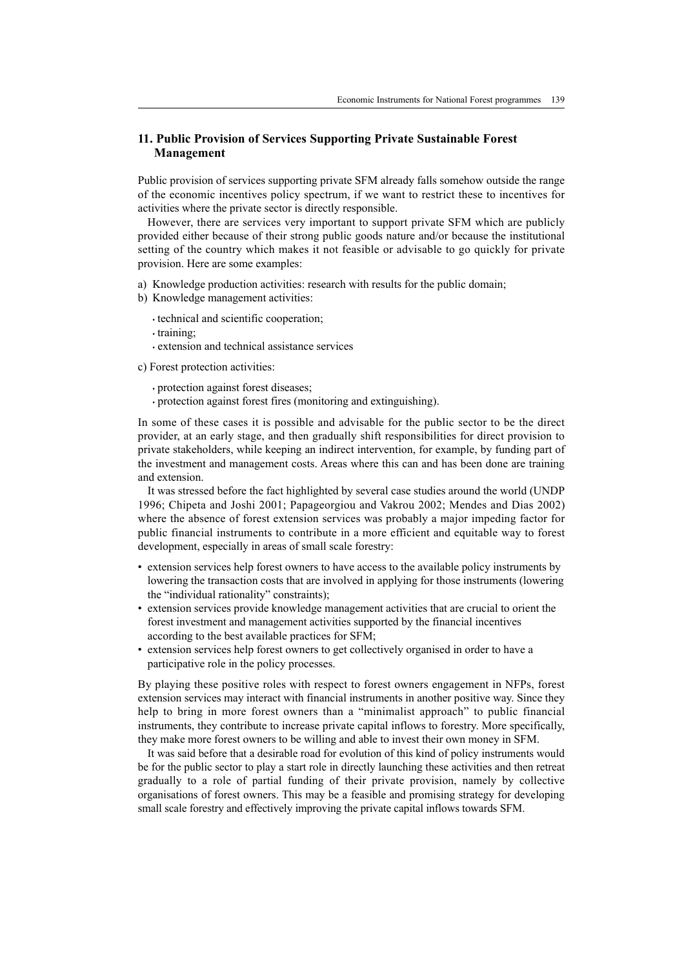## **11. Public Provision of Services Supporting Private Sustainable Forest Management**

Public provision of services supporting private SFM already falls somehow outside the range of the economic incentives policy spectrum, if we want to restrict these to incentives for activities where the private sector is directly responsible.

However, there are services very important to support private SFM which are publicly provided either because of their strong public goods nature and/or because the institutional setting of the country which makes it not feasible or advisable to go quickly for private provision. Here are some examples:

- a) Knowledge production activities: research with results for the public domain;
- b) Knowledge management activities:
	- technical and scientific cooperation;
	- training;
	- extension and technical assistance services

c) Forest protection activities:

- protection against forest diseases;
- protection against forest fires (monitoring and extinguishing).

In some of these cases it is possible and advisable for the public sector to be the direct provider, at an early stage, and then gradually shift responsibilities for direct provision to private stakeholders, while keeping an indirect intervention, for example, by funding part of the investment and management costs. Areas where this can and has been done are training and extension.

It was stressed before the fact highlighted by several case studies around the world (UNDP 1996; Chipeta and Joshi 2001; Papageorgiou and Vakrou 2002; Mendes and Dias 2002) where the absence of forest extension services was probably a major impeding factor for public financial instruments to contribute in a more efficient and equitable way to forest development, especially in areas of small scale forestry:

- extension services help forest owners to have access to the available policy instruments by lowering the transaction costs that are involved in applying for those instruments (lowering the "individual rationality" constraints);
- extension services provide knowledge management activities that are crucial to orient the forest investment and management activities supported by the financial incentives according to the best available practices for SFM;
- extension services help forest owners to get collectively organised in order to have a participative role in the policy processes.

By playing these positive roles with respect to forest owners engagement in NFPs, forest extension services may interact with financial instruments in another positive way. Since they help to bring in more forest owners than a "minimalist approach" to public financial instruments, they contribute to increase private capital inflows to forestry. More specifically, they make more forest owners to be willing and able to invest their own money in SFM.

It was said before that a desirable road for evolution of this kind of policy instruments would be for the public sector to play a start role in directly launching these activities and then retreat gradually to a role of partial funding of their private provision, namely by collective organisations of forest owners. This may be a feasible and promising strategy for developing small scale forestry and effectively improving the private capital inflows towards SFM.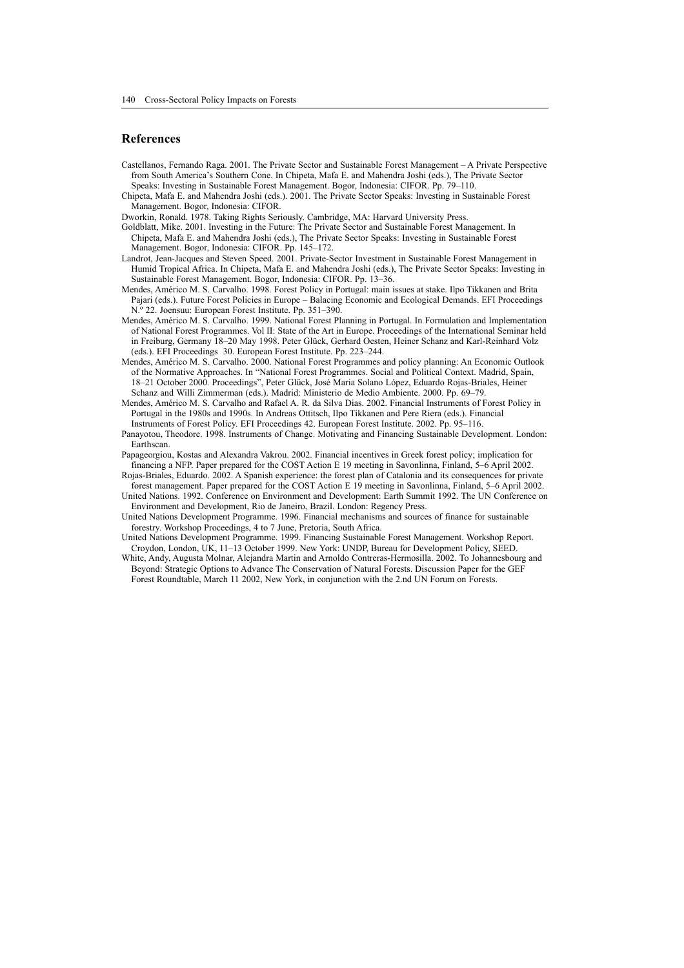#### **References**

- Castellanos, Fernando Raga. 2001. The Private Sector and Sustainable Forest Management A Private Perspective from South America's Southern Cone. In Chipeta, Mafa E. and Mahendra Joshi (eds.), The Private Sector Speaks: Investing in Sustainable Forest Management. Bogor, Indonesia: CIFOR. Pp. 79–110.
- Chipeta, Mafa E. and Mahendra Joshi (eds.). 2001. The Private Sector Speaks: Investing in Sustainable Forest Management. Bogor, Indonesia: CIFOR.
- Dworkin, Ronald. 1978. Taking Rights Seriously. Cambridge, MA: Harvard University Press.
- Goldblatt, Mike. 2001. Investing in the Future: The Private Sector and Sustainable Forest Management. In Chipeta, Mafa E. and Mahendra Joshi (eds.), The Private Sector Speaks: Investing in Sustainable Forest Management. Bogor, Indonesia: CIFOR. Pp. 145–172.
- Landrot, Jean-Jacques and Steven Speed. 2001. Private-Sector Investment in Sustainable Forest Management in Humid Tropical Africa. In Chipeta, Mafa E. and Mahendra Joshi (eds.), The Private Sector Speaks: Investing in Sustainable Forest Management. Bogor, Indonesia: CIFOR. Pp. 13–36.
- Mendes, Américo M. S. Carvalho. 1998. Forest Policy in Portugal: main issues at stake. Ilpo Tikkanen and Brita Pajari (eds.). Future Forest Policies in Europe – Balacing Economic and Ecological Demands. EFI Proceedings N.º 22. Joensuu: European Forest Institute. Pp. 351–390.
- Mendes, Américo M. S. Carvalho. 1999. National Forest Planning in Portugal. In Formulation and Implementation of National Forest Programmes. Vol II: State of the Art in Europe. Proceedings of the International Seminar held in Freiburg, Germany 18–20 May 1998. Peter Glück, Gerhard Oesten, Heiner Schanz and Karl-Reinhard Volz (eds.). EFI Proceedings 30. European Forest Institute. Pp. 223–244.
- Mendes, Américo M. S. Carvalho. 2000. National Forest Programmes and policy planning: An Economic Outlook of the Normative Approaches. In "National Forest Programmes. Social and Political Context. Madrid, Spain, 18–21 October 2000. Proceedings", Peter Glück, José Maria Solano López, Eduardo Rojas-Briales, Heiner Schanz and Willi Zimmerman (eds.). Madrid: Ministerio de Medio Ambiente. 2000. Pp. 69–79.
- Mendes, Américo M. S. Carvalho and Rafael A. R. da Silva Dias. 2002. Financial Instruments of Forest Policy in Portugal in the 1980s and 1990s. In Andreas Ottitsch, Ilpo Tikkanen and Pere Riera (eds.). Financial Instruments of Forest Policy. EFI Proceedings 42. European Forest Institute. 2002. Pp. 95–116.
- Panayotou, Theodore. 1998. Instruments of Change. Motivating and Financing Sustainable Development. London: Earthscan.
- Papageorgiou, Kostas and Alexandra Vakrou. 2002. Financial incentives in Greek forest policy; implication for financing a NFP. Paper prepared for the COST Action E 19 meeting in Savonlinna, Finland, 5–6 April 2002.
- Rojas-Briales, Eduardo. 2002. A Spanish experience: the forest plan of Catalonia and its consequences for private forest management. Paper prepared for the COST Action E 19 meeting in Savonlinna, Finland, 5–6 April 2002.
- United Nations. 1992. Conference on Environment and Development: Earth Summit 1992. The UN Conference on Environment and Development, Rio de Janeiro, Brazil. London: Regency Press.
- United Nations Development Programme. 1996. Financial mechanisms and sources of finance for sustainable forestry. Workshop Proceedings, 4 to 7 June, Pretoria, South Africa.
- United Nations Development Programme. 1999. Financing Sustainable Forest Management. Workshop Report. Croydon, London, UK, 11–13 October 1999. New York: UNDP, Bureau for Development Policy, SEED.
- White, Andy, Augusta Molnar, Alejandra Martin and Arnoldo Contreras-Hermosilla. 2002. To Johannesbourg and Beyond: Strategic Options to Advance The Conservation of Natural Forests. Discussion Paper for the GEF Forest Roundtable, March 11 2002, New York, in conjunction with the 2.nd UN Forum on Forests.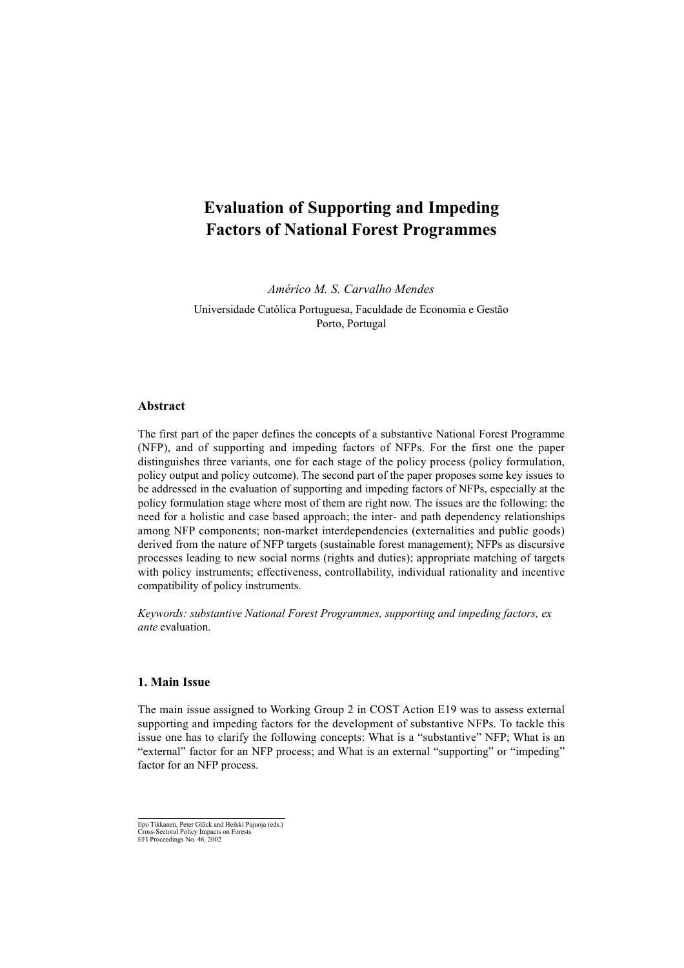# **Evaluation of Supporting and Impeding Factors of National Forest Programmes**

*Américo M. S. Carvalho Mendes*

Universidade Católica Portuguesa, Faculdade de Economia e Gestão Porto, Portugal

#### **Abstract**

The first part of the paper defines the concepts of a substantive National Forest Programme (NFP), and of supporting and impeding factors of NFPs. For the first one the paper distinguishes three variants, one for each stage of the policy process (policy formulation, policy output and policy outcome). The second part of the paper proposes some key issues to be addressed in the evaluation of supporting and impeding factors of NFPs, especially at the policy formulation stage where most of them are right now. The issues are the following: the need for a holistic and case based approach; the inter- and path dependency relationships among NFP components; non-market interdependencies (externalities and public goods) derived from the nature of NFP targets (sustainable forest management); NFPs as discursive processes leading to new social norms (rights and duties); appropriate matching of targets with policy instruments; effectiveness, controllability, individual rationality and incentive compatibility of policy instruments.

*Keywords: substantive National Forest Programmes, supporting and impeding factors, ex ante* evaluation.

#### **1. Main Issue**

The main issue assigned to Working Group 2 in COST Action E19 was to assess external supporting and impeding factors for the development of substantive NFPs. To tackle this issue one has to clarify the following concepts: What is a "substantive" NFP; What is an "external" factor for an NFP process; and What is an external "supporting" or "impeding" factor for an NFP process.

Ilpo Tikkanen, Peter Glück and Heikki Pajuoja (eds.) Cross-Sectoral Policy Impacts on Forests EFI Proceedings No. 46, 2002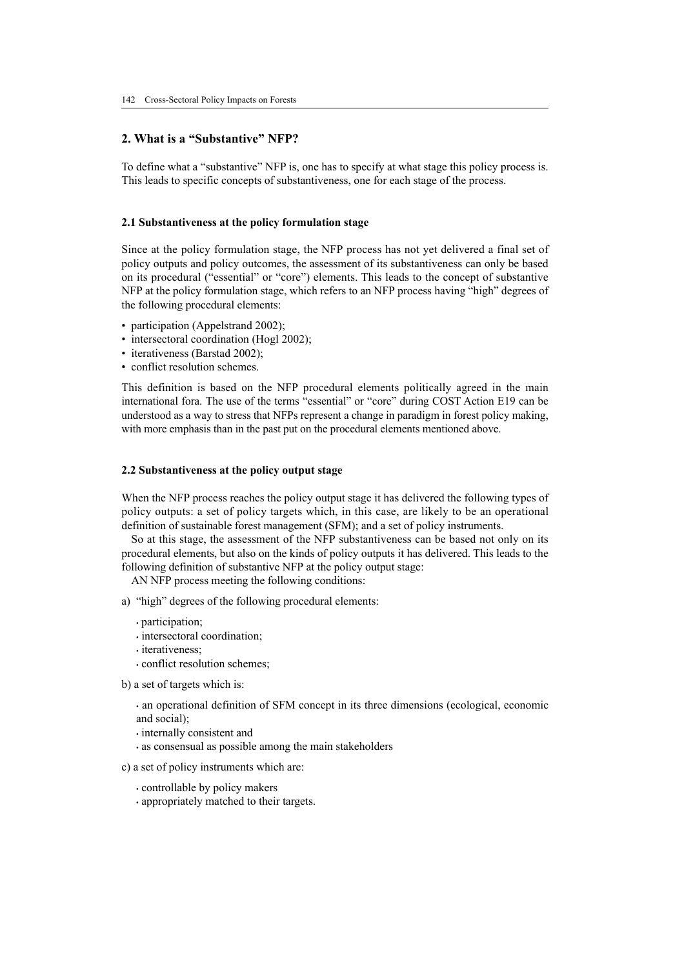## **2. What is a "Substantive" NFP?**

To define what a "substantive" NFP is, one has to specify at what stage this policy process is. This leads to specific concepts of substantiveness, one for each stage of the process.

#### **2.1 Substantiveness at the policy formulation stage**

Since at the policy formulation stage, the NFP process has not yet delivered a final set of policy outputs and policy outcomes, the assessment of its substantiveness can only be based on its procedural ("essential" or "core") elements. This leads to the concept of substantive NFP at the policy formulation stage, which refers to an NFP process having "high" degrees of the following procedural elements:

- participation (Appelstrand 2002);
- intersectoral coordination (Hogl 2002);
- iterativeness (Barstad 2002);
- conflict resolution schemes.

This definition is based on the NFP procedural elements politically agreed in the main international fora. The use of the terms "essential" or "core" during COST Action E19 can be understood as a way to stress that NFPs represent a change in paradigm in forest policy making, with more emphasis than in the past put on the procedural elements mentioned above.

#### **2.2 Substantiveness at the policy output stage**

When the NFP process reaches the policy output stage it has delivered the following types of policy outputs: a set of policy targets which, in this case, are likely to be an operational definition of sustainable forest management (SFM); and a set of policy instruments.

So at this stage, the assessment of the NFP substantiveness can be based not only on its procedural elements, but also on the kinds of policy outputs it has delivered. This leads to the following definition of substantive NFP at the policy output stage:

AN NFP process meeting the following conditions:

- a) "high" degrees of the following procedural elements:
	- participation;
	- intersectoral coordination;
	- iterativeness;
	- conflict resolution schemes;
- b) a set of targets which is:

• an operational definition of SFM concept in its three dimensions (ecological, economic and social);

- internally consistent and
- as consensual as possible among the main stakeholders
- c) a set of policy instruments which are:
	- controllable by policy makers
	- appropriately matched to their targets.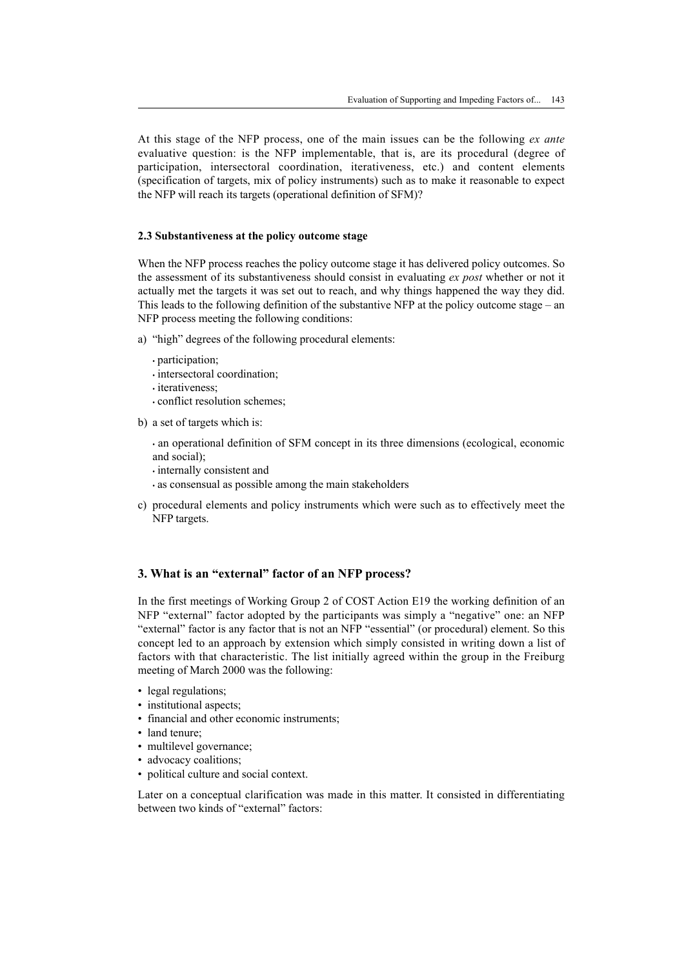At this stage of the NFP process, one of the main issues can be the following *ex ante* evaluative question: is the NFP implementable, that is, are its procedural (degree of participation, intersectoral coordination, iterativeness, etc.) and content elements (specification of targets, mix of policy instruments) such as to make it reasonable to expect the NFP will reach its targets (operational definition of SFM)?

#### **2.3 Substantiveness at the policy outcome stage**

When the NFP process reaches the policy outcome stage it has delivered policy outcomes. So the assessment of its substantiveness should consist in evaluating *ex post* whether or not it actually met the targets it was set out to reach, and why things happened the way they did. This leads to the following definition of the substantive NFP at the policy outcome stage – an NFP process meeting the following conditions:

- a) "high" degrees of the following procedural elements:
	- participation;
	- intersectoral coordination;
	- iterativeness;
	- conflict resolution schemes;
- b) a set of targets which is:
	- an operational definition of SFM concept in its three dimensions (ecological, economic and social);
	- internally consistent and
	- as consensual as possible among the main stakeholders
- c) procedural elements and policy instruments which were such as to effectively meet the NFP targets.

#### **3. What is an "external" factor of an NFP process?**

In the first meetings of Working Group 2 of COST Action E19 the working definition of an NFP "external" factor adopted by the participants was simply a "negative" one: an NFP "external" factor is any factor that is not an NFP "essential" (or procedural) element. So this concept led to an approach by extension which simply consisted in writing down a list of factors with that characteristic. The list initially agreed within the group in the Freiburg meeting of March 2000 was the following:

- legal regulations;
- institutional aspects;
- financial and other economic instruments;
- land tenure;
- multilevel governance;
- advocacy coalitions;
- political culture and social context.

Later on a conceptual clarification was made in this matter. It consisted in differentiating between two kinds of "external" factors: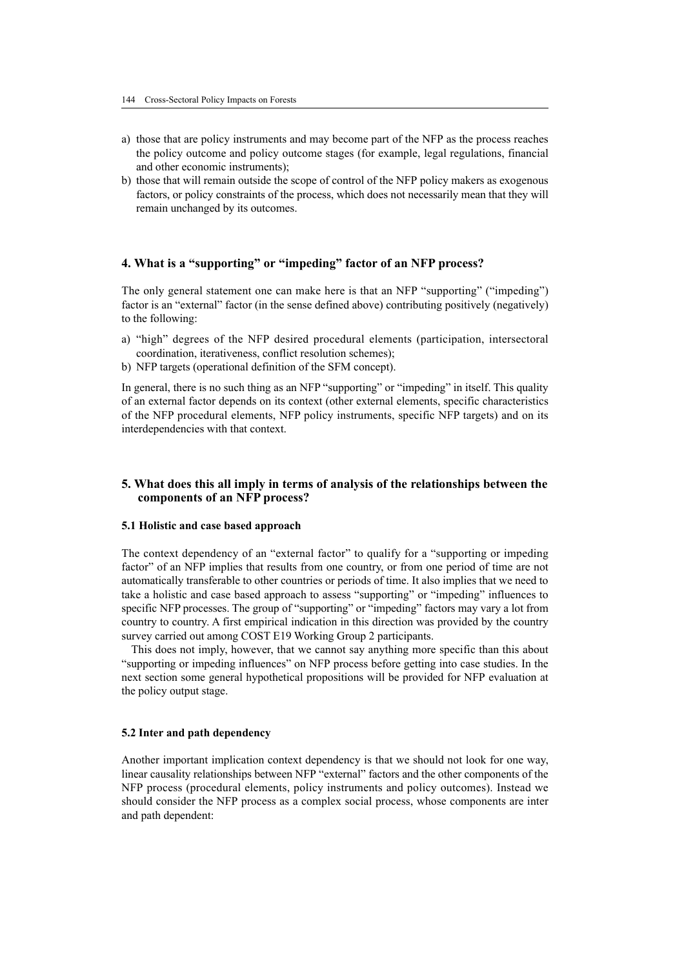- a) those that are policy instruments and may become part of the NFP as the process reaches the policy outcome and policy outcome stages (for example, legal regulations, financial and other economic instruments);
- b) those that will remain outside the scope of control of the NFP policy makers as exogenous factors, or policy constraints of the process, which does not necessarily mean that they will remain unchanged by its outcomes.

## **4. What is a "supporting" or "impeding" factor of an NFP process?**

The only general statement one can make here is that an NFP "supporting" ("impeding") factor is an "external" factor (in the sense defined above) contributing positively (negatively) to the following:

- a) "high" degrees of the NFP desired procedural elements (participation, intersectoral coordination, iterativeness, conflict resolution schemes);
- b) NFP targets (operational definition of the SFM concept).

In general, there is no such thing as an NFP "supporting" or "impeding" in itself. This quality of an external factor depends on its context (other external elements, specific characteristics of the NFP procedural elements, NFP policy instruments, specific NFP targets) and on its interdependencies with that context.

## **5. What does this all imply in terms of analysis of the relationships between the components of an NFP process?**

#### **5.1 Holistic and case based approach**

The context dependency of an "external factor" to qualify for a "supporting or impeding factor" of an NFP implies that results from one country, or from one period of time are not automatically transferable to other countries or periods of time. It also implies that we need to take a holistic and case based approach to assess "supporting" or "impeding" influences to specific NFP processes. The group of "supporting" or "impeding" factors may vary a lot from country to country. A first empirical indication in this direction was provided by the country survey carried out among COST E19 Working Group 2 participants.

This does not imply, however, that we cannot say anything more specific than this about "supporting or impeding influences" on NFP process before getting into case studies. In the next section some general hypothetical propositions will be provided for NFP evaluation at the policy output stage.

#### **5.2 Inter and path dependency**

Another important implication context dependency is that we should not look for one way, linear causality relationships between NFP "external" factors and the other components of the NFP process (procedural elements, policy instruments and policy outcomes). Instead we should consider the NFP process as a complex social process, whose components are inter and path dependent: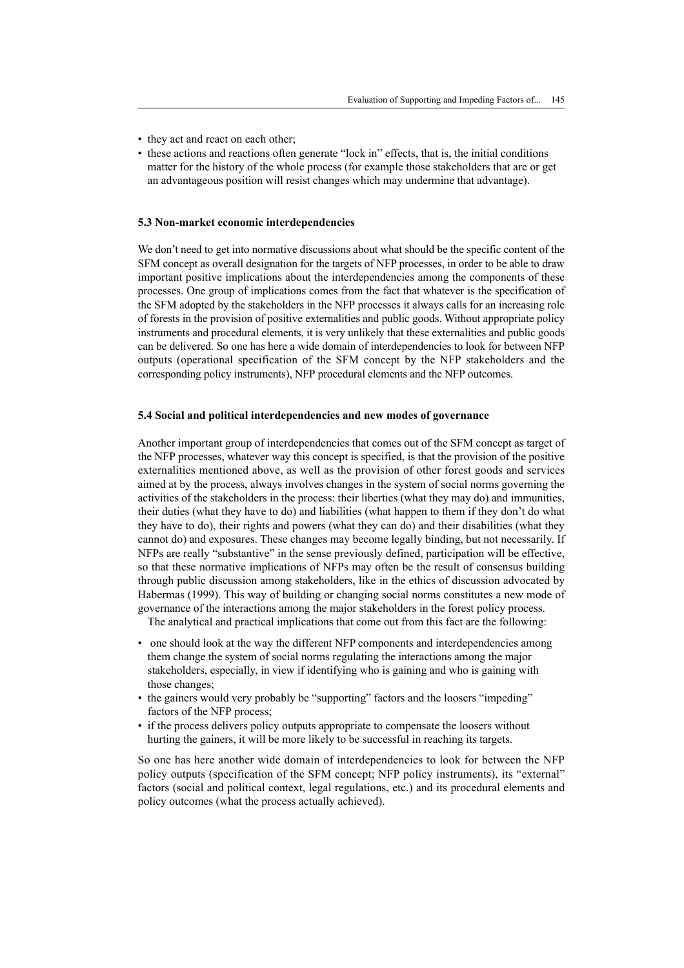- they act and react on each other;
- these actions and reactions often generate "lock in" effects, that is, the initial conditions matter for the history of the whole process (for example those stakeholders that are or get an advantageous position will resist changes which may undermine that advantage).

#### **5.3 Non-market economic interdependencies**

We don't need to get into normative discussions about what should be the specific content of the SFM concept as overall designation for the targets of NFP processes, in order to be able to draw important positive implications about the interdependencies among the components of these processes. One group of implications comes from the fact that whatever is the specification of the SFM adopted by the stakeholders in the NFP processes it always calls for an increasing role of forests in the provision of positive externalities and public goods. Without appropriate policy instruments and procedural elements, it is very unlikely that these externalities and public goods can be delivered. So one has here a wide domain of interdependencies to look for between NFP outputs (operational specification of the SFM concept by the NFP stakeholders and the corresponding policy instruments), NFP procedural elements and the NFP outcomes.

## **5.4 Social and political interdependencies and new modes of governance**

Another important group of interdependencies that comes out of the SFM concept as target of the NFP processes, whatever way this concept is specified, is that the provision of the positive externalities mentioned above, as well as the provision of other forest goods and services aimed at by the process, always involves changes in the system of social norms governing the activities of the stakeholders in the process: their liberties (what they may do) and immunities, their duties (what they have to do) and liabilities (what happen to them if they don't do what they have to do), their rights and powers (what they can do) and their disabilities (what they cannot do) and exposures. These changes may become legally binding, but not necessarily. If NFPs are really "substantive" in the sense previously defined, participation will be effective, so that these normative implications of NFPs may often be the result of consensus building through public discussion among stakeholders, like in the ethics of discussion advocated by Habermas (1999). This way of building or changing social norms constitutes a new mode of governance of the interactions among the major stakeholders in the forest policy process.

The analytical and practical implications that come out from this fact are the following:

- one should look at the way the different NFP components and interdependencies among them change the system of social norms regulating the interactions among the major stakeholders, especially, in view if identifying who is gaining and who is gaining with those changes;
- the gainers would very probably be "supporting" factors and the loosers "impeding" factors of the NFP process;
- if the process delivers policy outputs appropriate to compensate the loosers without hurting the gainers, it will be more likely to be successful in reaching its targets.

So one has here another wide domain of interdependencies to look for between the NFP policy outputs (specification of the SFM concept; NFP policy instruments), its "external" factors (social and political context, legal regulations, etc.) and its procedural elements and policy outcomes (what the process actually achieved).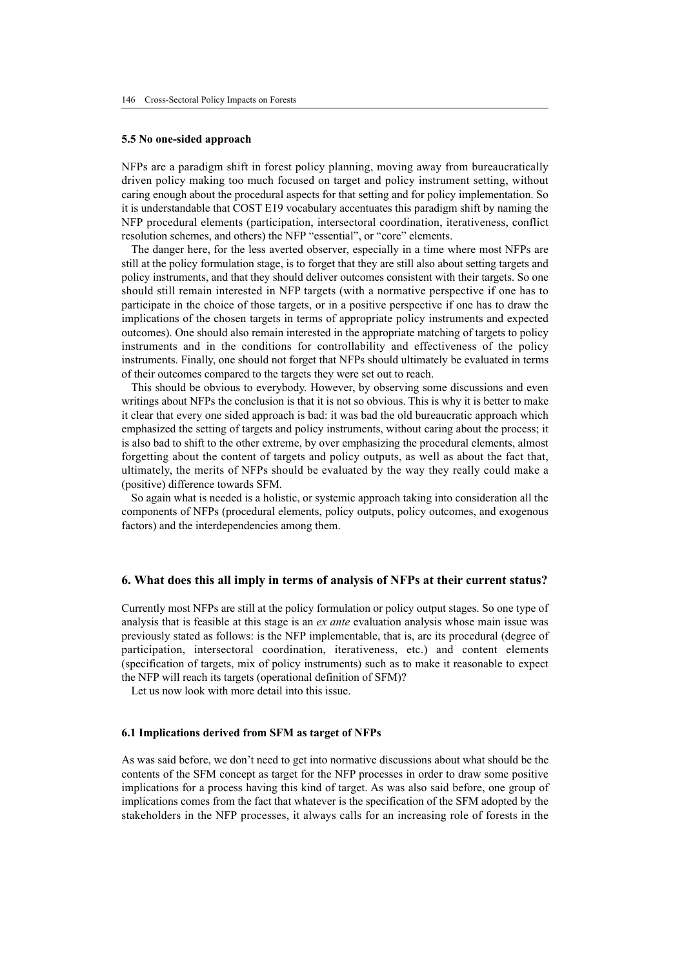## **5.5 No one-sided approach**

NFPs are a paradigm shift in forest policy planning, moving away from bureaucratically driven policy making too much focused on target and policy instrument setting, without caring enough about the procedural aspects for that setting and for policy implementation. So it is understandable that COST E19 vocabulary accentuates this paradigm shift by naming the NFP procedural elements (participation, intersectoral coordination, iterativeness, conflict resolution schemes, and others) the NFP "essential", or "core" elements.

The danger here, for the less averted observer, especially in a time where most NFPs are still at the policy formulation stage, is to forget that they are still also about setting targets and policy instruments, and that they should deliver outcomes consistent with their targets. So one should still remain interested in NFP targets (with a normative perspective if one has to participate in the choice of those targets, or in a positive perspective if one has to draw the implications of the chosen targets in terms of appropriate policy instruments and expected outcomes). One should also remain interested in the appropriate matching of targets to policy instruments and in the conditions for controllability and effectiveness of the policy instruments. Finally, one should not forget that NFPs should ultimately be evaluated in terms of their outcomes compared to the targets they were set out to reach.

This should be obvious to everybody. However, by observing some discussions and even writings about NFPs the conclusion is that it is not so obvious. This is why it is better to make it clear that every one sided approach is bad: it was bad the old bureaucratic approach which emphasized the setting of targets and policy instruments, without caring about the process; it is also bad to shift to the other extreme, by over emphasizing the procedural elements, almost forgetting about the content of targets and policy outputs, as well as about the fact that, ultimately, the merits of NFPs should be evaluated by the way they really could make a (positive) difference towards SFM.

So again what is needed is a holistic, or systemic approach taking into consideration all the components of NFPs (procedural elements, policy outputs, policy outcomes, and exogenous factors) and the interdependencies among them.

## **6. What does this all imply in terms of analysis of NFPs at their current status?**

Currently most NFPs are still at the policy formulation or policy output stages. So one type of analysis that is feasible at this stage is an *ex ante* evaluation analysis whose main issue was previously stated as follows: is the NFP implementable, that is, are its procedural (degree of participation, intersectoral coordination, iterativeness, etc.) and content elements (specification of targets, mix of policy instruments) such as to make it reasonable to expect the NFP will reach its targets (operational definition of SFM)?

Let us now look with more detail into this issue.

## **6.1 Implications derived from SFM as target of NFPs**

As was said before, we don't need to get into normative discussions about what should be the contents of the SFM concept as target for the NFP processes in order to draw some positive implications for a process having this kind of target. As was also said before, one group of implications comes from the fact that whatever is the specification of the SFM adopted by the stakeholders in the NFP processes, it always calls for an increasing role of forests in the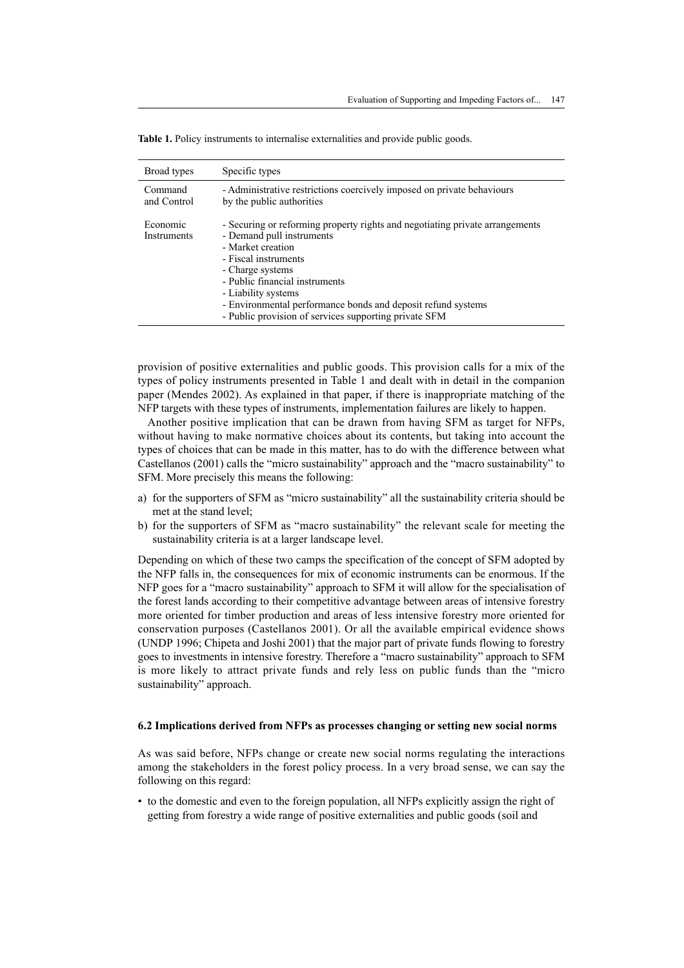| Broad types             | Specific types                                                                                                                                                                                                                                                                                                                                               |
|-------------------------|--------------------------------------------------------------------------------------------------------------------------------------------------------------------------------------------------------------------------------------------------------------------------------------------------------------------------------------------------------------|
| Command<br>and Control  | - Administrative restrictions coercively imposed on private behaviours<br>by the public authorities                                                                                                                                                                                                                                                          |
| Economic<br>Instruments | - Securing or reforming property rights and negotiating private arrangements<br>- Demand pull instruments<br>- Market creation<br>- Fiscal instruments<br>- Charge systems<br>- Public financial instruments<br>- Liability systems<br>- Environmental performance bonds and deposit refund systems<br>- Public provision of services supporting private SFM |

**Table 1.** Policy instruments to internalise externalities and provide public goods.

provision of positive externalities and public goods. This provision calls for a mix of the types of policy instruments presented in Table 1 and dealt with in detail in the companion paper (Mendes 2002). As explained in that paper, if there is inappropriate matching of the NFP targets with these types of instruments, implementation failures are likely to happen.

Another positive implication that can be drawn from having SFM as target for NFPs, without having to make normative choices about its contents, but taking into account the types of choices that can be made in this matter, has to do with the difference between what Castellanos (2001) calls the "micro sustainability" approach and the "macro sustainability" to SFM. More precisely this means the following:

- a) for the supporters of SFM as "micro sustainability" all the sustainability criteria should be met at the stand level;
- b) for the supporters of SFM as "macro sustainability" the relevant scale for meeting the sustainability criteria is at a larger landscape level.

Depending on which of these two camps the specification of the concept of SFM adopted by the NFP falls in, the consequences for mix of economic instruments can be enormous. If the NFP goes for a "macro sustainability" approach to SFM it will allow for the specialisation of the forest lands according to their competitive advantage between areas of intensive forestry more oriented for timber production and areas of less intensive forestry more oriented for conservation purposes (Castellanos 2001). Or all the available empirical evidence shows (UNDP 1996; Chipeta and Joshi 2001) that the major part of private funds flowing to forestry goes to investments in intensive forestry. Therefore a "macro sustainability" approach to SFM is more likely to attract private funds and rely less on public funds than the "micro sustainability" approach.

### **6.2 Implications derived from NFPs as processes changing or setting new social norms**

As was said before, NFPs change or create new social norms regulating the interactions among the stakeholders in the forest policy process. In a very broad sense, we can say the following on this regard:

• to the domestic and even to the foreign population, all NFPs explicitly assign the right of getting from forestry a wide range of positive externalities and public goods (soil and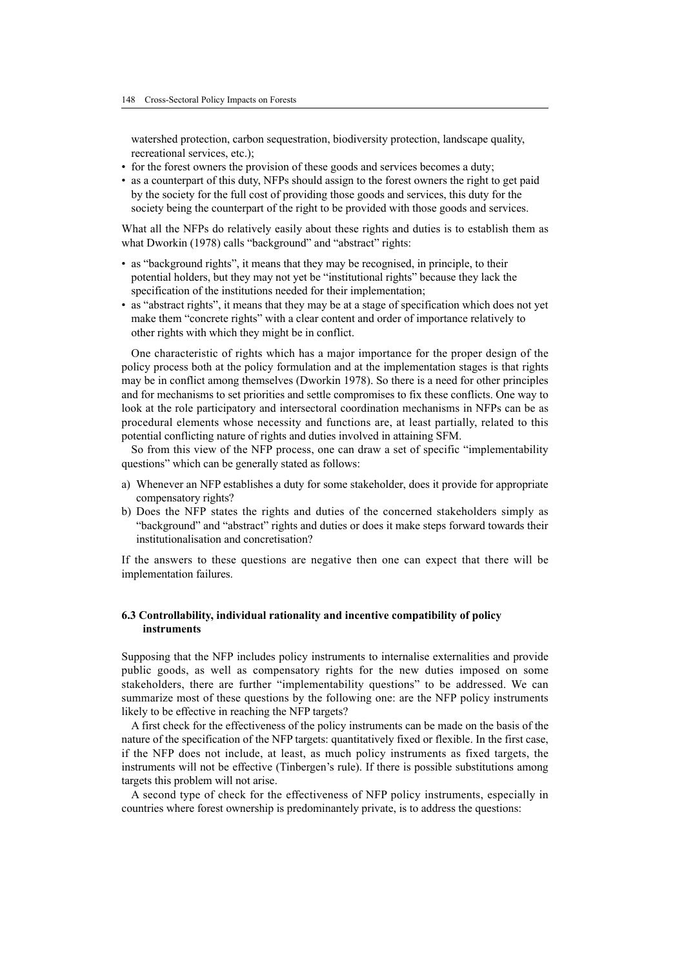watershed protection, carbon sequestration, biodiversity protection, landscape quality, recreational services, etc.);

- for the forest owners the provision of these goods and services becomes a duty;
- as a counterpart of this duty, NFPs should assign to the forest owners the right to get paid by the society for the full cost of providing those goods and services, this duty for the society being the counterpart of the right to be provided with those goods and services.

What all the NFPs do relatively easily about these rights and duties is to establish them as what Dworkin (1978) calls "background" and "abstract" rights:

- as "background rights", it means that they may be recognised, in principle, to their potential holders, but they may not yet be "institutional rights" because they lack the specification of the institutions needed for their implementation;
- as "abstract rights", it means that they may be at a stage of specification which does not yet make them "concrete rights" with a clear content and order of importance relatively to other rights with which they might be in conflict.

One characteristic of rights which has a major importance for the proper design of the policy process both at the policy formulation and at the implementation stages is that rights may be in conflict among themselves (Dworkin 1978). So there is a need for other principles and for mechanisms to set priorities and settle compromises to fix these conflicts. One way to look at the role participatory and intersectoral coordination mechanisms in NFPs can be as procedural elements whose necessity and functions are, at least partially, related to this potential conflicting nature of rights and duties involved in attaining SFM.

So from this view of the NFP process, one can draw a set of specific "implementability questions" which can be generally stated as follows:

- a) Whenever an NFP establishes a duty for some stakeholder, does it provide for appropriate compensatory rights?
- b) Does the NFP states the rights and duties of the concerned stakeholders simply as "background" and "abstract" rights and duties or does it make steps forward towards their institutionalisation and concretisation?

If the answers to these questions are negative then one can expect that there will be implementation failures.

## **6.3 Controllability, individual rationality and incentive compatibility of policy instruments**

Supposing that the NFP includes policy instruments to internalise externalities and provide public goods, as well as compensatory rights for the new duties imposed on some stakeholders, there are further "implementability questions" to be addressed. We can summarize most of these questions by the following one: are the NFP policy instruments likely to be effective in reaching the NFP targets?

A first check for the effectiveness of the policy instruments can be made on the basis of the nature of the specification of the NFP targets: quantitatively fixed or flexible. In the first case, if the NFP does not include, at least, as much policy instruments as fixed targets, the instruments will not be effective (Tinbergen's rule). If there is possible substitutions among targets this problem will not arise.

A second type of check for the effectiveness of NFP policy instruments, especially in countries where forest ownership is predominantely private, is to address the questions: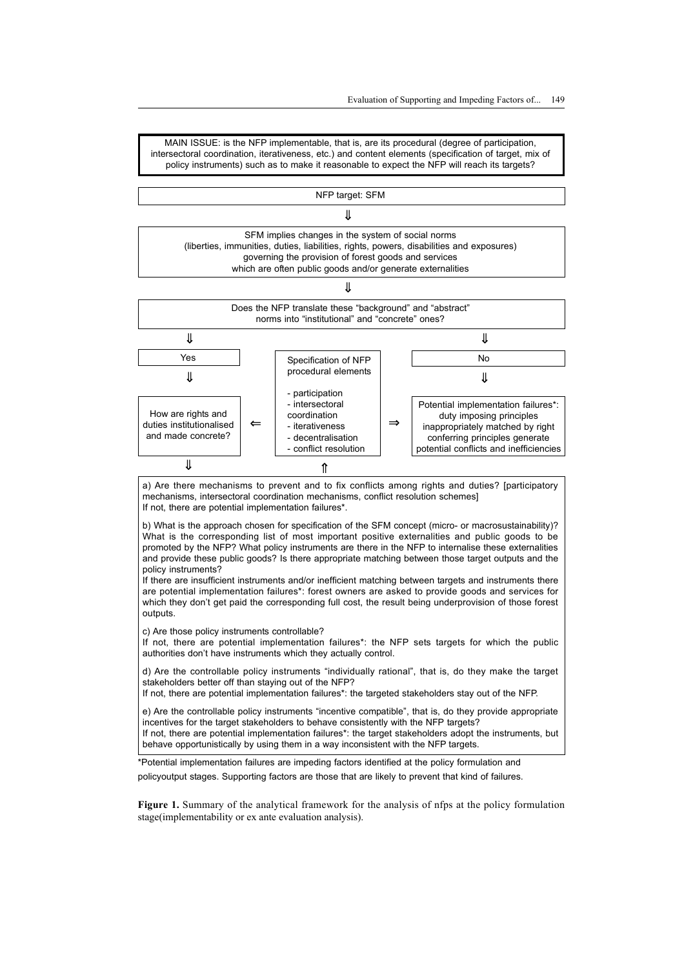MAIN ISSUE: is the NFP implementable, that is, are its procedural (degree of participation, intersectoral coordination, iterativeness, etc.) and content elements (specification of target, mix of policy instruments) such as to make it reasonable to expect the NFP will reach its targets?



**Figure 1.** Summary of the analytical framework for the analysis of nfps at the policy formulation stage(implementability or ex ante evaluation analysis).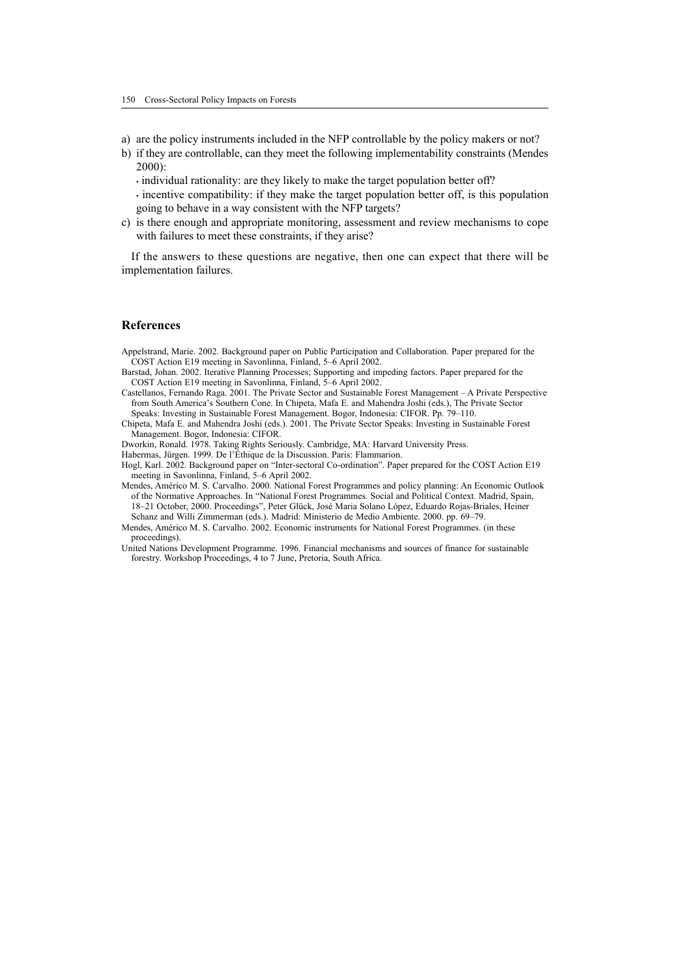- a) are the policy instruments included in the NFP controllable by the policy makers or not?
- b) if they are controllable, can they meet the following implementability constraints (Mendes 2000):
	- individual rationality: are they likely to make the target population better off?
	- incentive compatibility: if they make the target population better off, is this population going to behave in a way consistent with the NFP targets?
- c) is there enough and appropriate monitoring, assessment and review mechanisms to cope with failures to meet these constraints, if they arise?

If the answers to these questions are negative, then one can expect that there will be implementation failures.

#### **References**

Appelstrand, Marie. 2002. Background paper on Public Participation and Collaboration. Paper prepared for the COST Action E19 meeting in Savonlinna, Finland, 5–6 April 2002.

- Barstad, Johan. 2002. Iterative Planning Processes; Supporting and impeding factors. Paper prepared for the COST Action E19 meeting in Savonlinna, Finland, 5–6 April 2002.
- Castellanos, Fernando Raga. 2001. The Private Sector and Sustainable Forest Management A Private Perspective from South America's Southern Cone. In Chipeta, Mafa E. and Mahendra Joshi (eds.), The Private Sector Speaks: Investing in Sustainable Forest Management. Bogor, Indonesia: CIFOR. Pp. 79–110.

Chipeta, Mafa E. and Mahendra Joshi (eds.). 2001. The Private Sector Speaks: Investing in Sustainable Forest Management. Bogor, Indonesia: CIFOR.

- Dworkin, Ronald. 1978. Taking Rights Seriously. Cambridge, MA: Harvard University Press.
- Habermas, Jürgen. 1999. De l'Éthique de la Discussion. Paris: Flammarion.
- Hogl, Karl. 2002. Background paper on "Inter-sectoral Co-ordination". Paper prepared for the COST Action E19 meeting in Savonlinna, Finland, 5–6 April 2002.
- Mendes, Américo M. S. Carvalho. 2000. National Forest Programmes and policy planning: An Economic Outlook of the Normative Approaches. In "National Forest Programmes. Social and Political Context. Madrid, Spain, 18–21 October, 2000. Proceedings", Peter Glück, José Maria Solano López, Eduardo Rojas-Briales, Heiner Schanz and Willi Zimmerman (eds.). Madrid: Ministerio de Medio Ambiente. 2000. pp. 69–79.
- Mendes, Américo M. S. Carvalho. 2002. Economic instruments for National Forest Programmes. (in these proceedings).
- United Nations Development Programme. 1996. Financial mechanisms and sources of finance for sustainable forestry. Workshop Proceedings, 4 to 7 June, Pretoria, South Africa.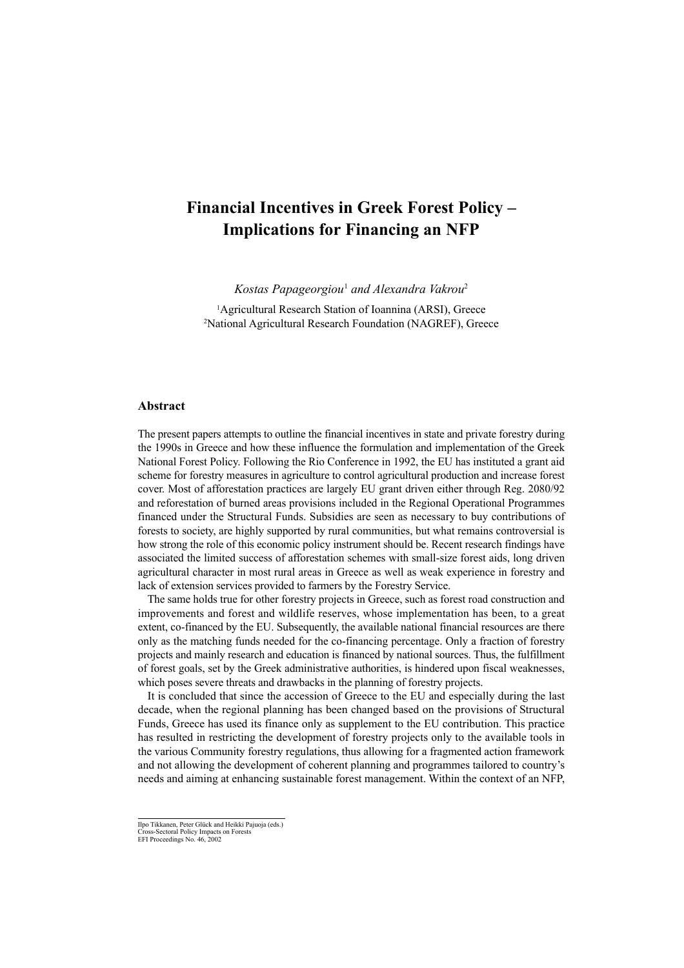## **Financial Incentives in Greek Forest Policy – Implications for Financing an NFP**

*Kostas Papageorgiou*<sup>1</sup>  *and Alexandra Vakrou*<sup>2</sup>

<sup>1</sup>Agricultural Research Station of Ioannina (ARSI), Greece 2 National Agricultural Research Foundation (NAGREF), Greece

## **Abstract**

The present papers attempts to outline the financial incentives in state and private forestry during the 1990s in Greece and how these influence the formulation and implementation of the Greek National Forest Policy. Following the Rio Conference in 1992, the EU has instituted a grant aid scheme for forestry measures in agriculture to control agricultural production and increase forest cover. Most of afforestation practices are largely EU grant driven either through Reg. 2080/92 and reforestation of burned areas provisions included in the Regional Operational Programmes financed under the Structural Funds. Subsidies are seen as necessary to buy contributions of forests to society, are highly supported by rural communities, but what remains controversial is how strong the role of this economic policy instrument should be. Recent research findings have associated the limited success of afforestation schemes with small-size forest aids, long driven agricultural character in most rural areas in Greece as well as weak experience in forestry and lack of extension services provided to farmers by the Forestry Service.

The same holds true for other forestry projects in Greece, such as forest road construction and improvements and forest and wildlife reserves, whose implementation has been, to a great extent, co-financed by the EU. Subsequently, the available national financial resources are there only as the matching funds needed for the co-financing percentage. Only a fraction of forestry projects and mainly research and education is financed by national sources. Thus, the fulfillment of forest goals, set by the Greek administrative authorities, is hindered upon fiscal weaknesses, which poses severe threats and drawbacks in the planning of forestry projects.

It is concluded that since the accession of Greece to the EU and especially during the last decade, when the regional planning has been changed based on the provisions of Structural Funds, Greece has used its finance only as supplement to the EU contribution. This practice has resulted in restricting the development of forestry projects only to the available tools in the various Community forestry regulations, thus allowing for a fragmented action framework and not allowing the development of coherent planning and programmes tailored to country's needs and aiming at enhancing sustainable forest management. Within the context of an NFP,

Ilpo Tikkanen, Peter Glück and Heikki Pajuoja (eds.)

Cross-Sectoral Policy Impacts on Forests EFI Proceedings No. 46, 2002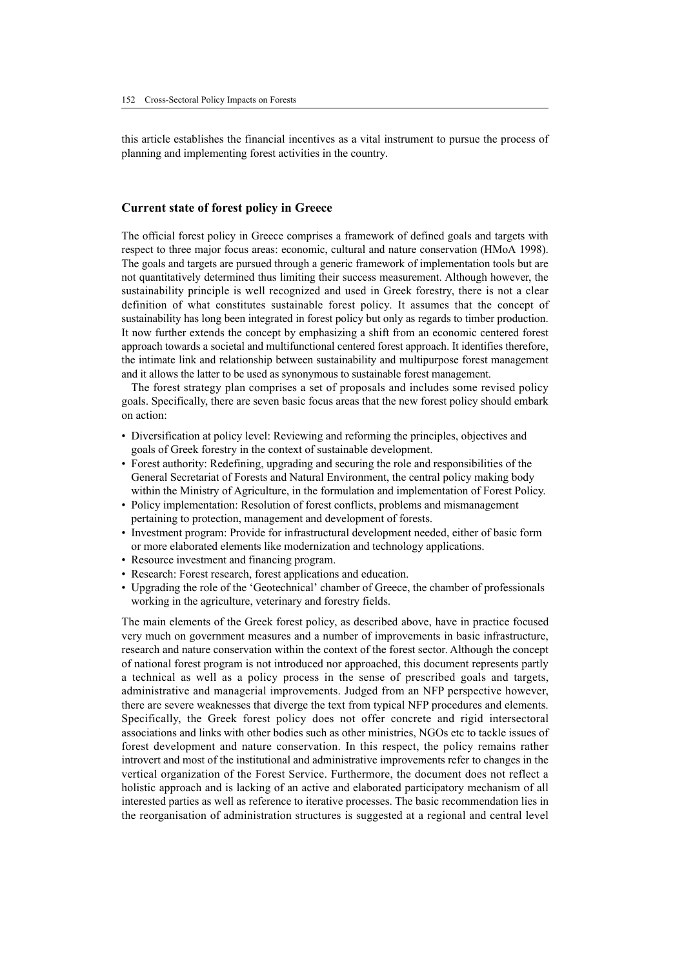this article establishes the financial incentives as a vital instrument to pursue the process of planning and implementing forest activities in the country.

## **Current state of forest policy in Greece**

The official forest policy in Greece comprises a framework of defined goals and targets with respect to three major focus areas: economic, cultural and nature conservation (HMoA 1998). The goals and targets are pursued through a generic framework of implementation tools but are not quantitatively determined thus limiting their success measurement. Although however, the sustainability principle is well recognized and used in Greek forestry, there is not a clear definition of what constitutes sustainable forest policy. It assumes that the concept of sustainability has long been integrated in forest policy but only as regards to timber production. It now further extends the concept by emphasizing a shift from an economic centered forest approach towards a societal and multifunctional centered forest approach. It identifies therefore, the intimate link and relationship between sustainability and multipurpose forest management and it allows the latter to be used as synonymous to sustainable forest management.

The forest strategy plan comprises a set of proposals and includes some revised policy goals. Specifically, there are seven basic focus areas that the new forest policy should embark on action:

- Diversification at policy level: Reviewing and reforming the principles, objectives and goals of Greek forestry in the context of sustainable development.
- Forest authority: Redefining, upgrading and securing the role and responsibilities of the General Secretariat of Forests and Natural Environment, the central policy making body within the Ministry of Agriculture, in the formulation and implementation of Forest Policy.
- Policy implementation: Resolution of forest conflicts, problems and mismanagement pertaining to protection, management and development of forests.
- Investment program: Provide for infrastructural development needed, either of basic form or more elaborated elements like modernization and technology applications.
- Resource investment and financing program.
- Research: Forest research, forest applications and education.
- Upgrading the role of the 'Geotechnical' chamber of Greece, the chamber of professionals working in the agriculture, veterinary and forestry fields.

The main elements of the Greek forest policy, as described above, have in practice focused very much on government measures and a number of improvements in basic infrastructure, research and nature conservation within the context of the forest sector. Although the concept of national forest program is not introduced nor approached, this document represents partly a technical as well as a policy process in the sense of prescribed goals and targets, administrative and managerial improvements. Judged from an NFP perspective however, there are severe weaknesses that diverge the text from typical NFP procedures and elements. Specifically, the Greek forest policy does not offer concrete and rigid intersectoral associations and links with other bodies such as other ministries, NGOs etc to tackle issues of forest development and nature conservation. In this respect, the policy remains rather introvert and most of the institutional and administrative improvements refer to changes in the vertical organization of the Forest Service. Furthermore, the document does not reflect a holistic approach and is lacking of an active and elaborated participatory mechanism of all interested parties as well as reference to iterative processes. The basic recommendation lies in the reorganisation of administration structures is suggested at a regional and central level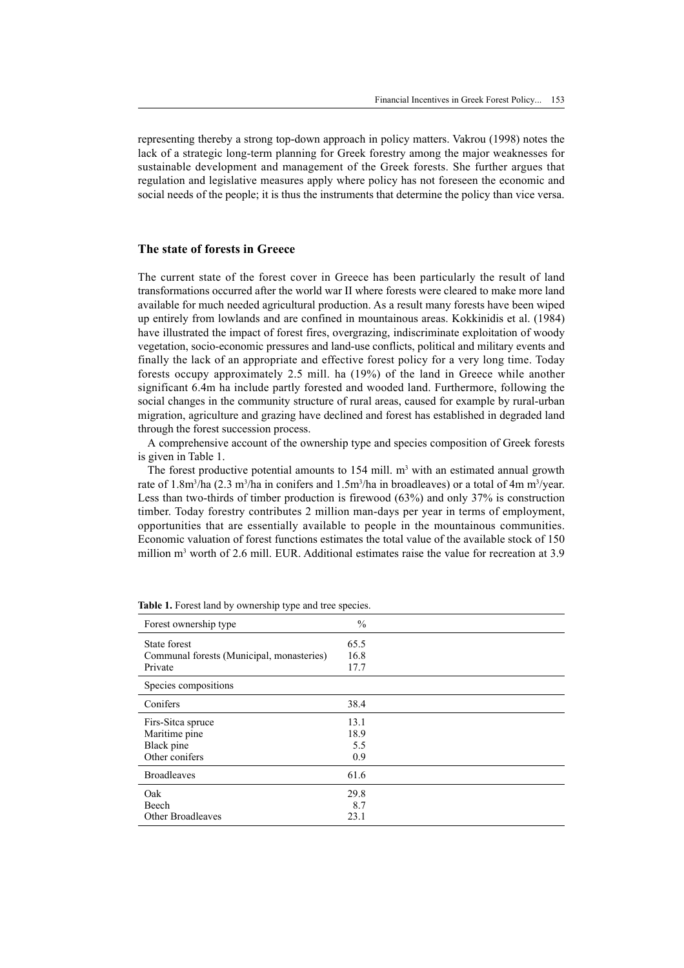representing thereby a strong top-down approach in policy matters. Vakrou (1998) notes the lack of a strategic long-term planning for Greek forestry among the major weaknesses for sustainable development and management of the Greek forests. She further argues that regulation and legislative measures apply where policy has not foreseen the economic and social needs of the people; it is thus the instruments that determine the policy than vice versa.

## **The state of forests in Greece**

The current state of the forest cover in Greece has been particularly the result of land transformations occurred after the world war II where forests were cleared to make more land available for much needed agricultural production. As a result many forests have been wiped up entirely from lowlands and are confined in mountainous areas. Kokkinidis et al. (1984) have illustrated the impact of forest fires, overgrazing, indiscriminate exploitation of woody vegetation, socio-economic pressures and land-use conflicts, political and military events and finally the lack of an appropriate and effective forest policy for a very long time. Today forests occupy approximately 2.5 mill. ha (19%) of the land in Greece while another significant 6.4m ha include partly forested and wooded land. Furthermore, following the social changes in the community structure of rural areas, caused for example by rural-urban migration, agriculture and grazing have declined and forest has established in degraded land through the forest succession process.

A comprehensive account of the ownership type and species composition of Greek forests is given in Table 1.

The forest productive potential amounts to  $154$  mill. m<sup>3</sup> with an estimated annual growth rate of 1.8m<sup>3</sup>/ha (2.3 m<sup>3</sup>/ha in conifers and 1.5m<sup>3</sup>/ha in broadleaves) or a total of 4m m<sup>3</sup>/year. Less than two-thirds of timber production is firewood (63%) and only 37% is construction timber. Today forestry contributes 2 million man-days per year in terms of employment, opportunities that are essentially available to people in the mountainous communities. Economic valuation of forest functions estimates the total value of the available stock of 150 million m<sup>3</sup> worth of 2.6 mill. EUR. Additional estimates raise the value for recreation at 3.9

| Forest ownership type                     | $\frac{0}{0}$ |  |
|-------------------------------------------|---------------|--|
| State forest                              | 65.5          |  |
| Communal forests (Municipal, monasteries) | 16.8          |  |
| Private                                   | 17.7          |  |
| Species compositions                      |               |  |
| Conifers                                  | 38.4          |  |
| Firs-Sitca spruce                         | 13.1          |  |
| Maritime pine                             | 18.9          |  |
| Black pine                                | 5.5           |  |
| Other conifers                            | 0.9           |  |
| <b>Broadleaves</b>                        | 61.6          |  |
| Oak                                       | 29.8          |  |
| Beech                                     | 8.7           |  |
| Other Broadleaves                         | 23.1          |  |

**Table 1.** Forest land by ownership type and tree species.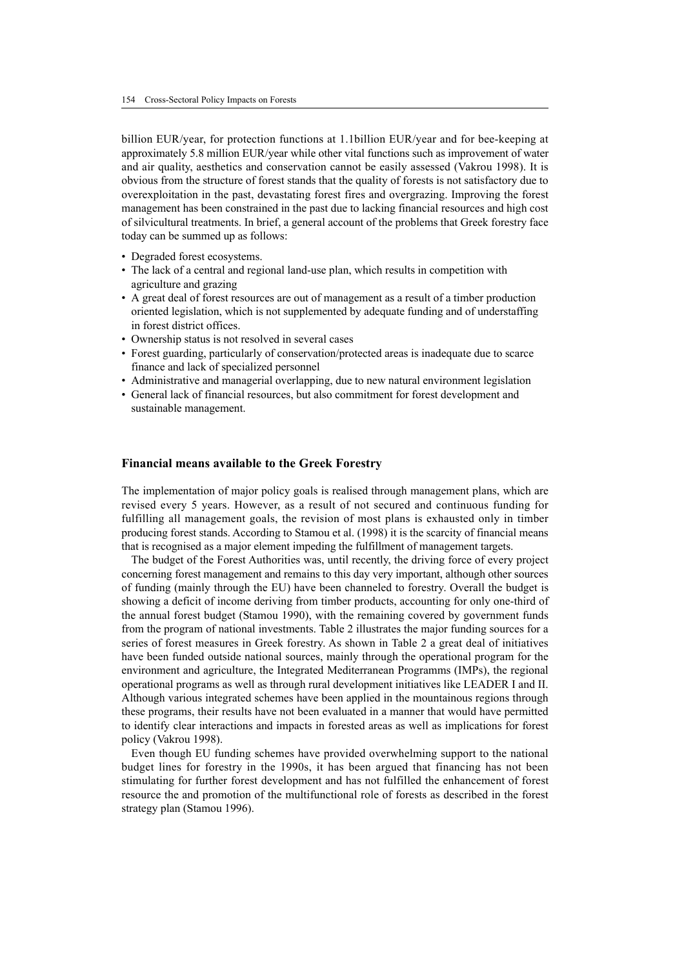billion EUR/year, for protection functions at 1.1billion EUR/year and for bee-keeping at approximately 5.8 million EUR/year while other vital functions such as improvement of water and air quality, aesthetics and conservation cannot be easily assessed (Vakrou 1998). It is obvious from the structure of forest stands that the quality of forests is not satisfactory due to overexploitation in the past, devastating forest fires and overgrazing. Improving the forest management has been constrained in the past due to lacking financial resources and high cost of silvicultural treatments. In brief, a general account of the problems that Greek forestry face today can be summed up as follows:

- Degraded forest ecosystems.
- The lack of a central and regional land-use plan, which results in competition with agriculture and grazing
- A great deal of forest resources are out of management as a result of a timber production oriented legislation, which is not supplemented by adequate funding and of understaffing in forest district offices.
- Ownership status is not resolved in several cases
- Forest guarding, particularly of conservation/protected areas is inadequate due to scarce finance and lack of specialized personnel
- Administrative and managerial overlapping, due to new natural environment legislation
- General lack of financial resources, but also commitment for forest development and sustainable management.

## **Financial means available to the Greek Forestry**

The implementation of major policy goals is realised through management plans, which are revised every 5 years. However, as a result of not secured and continuous funding for fulfilling all management goals, the revision of most plans is exhausted only in timber producing forest stands. According to Stamou et al. (1998) it is the scarcity of financial means that is recognised as a major element impeding the fulfillment of management targets.

The budget of the Forest Authorities was, until recently, the driving force of every project concerning forest management and remains to this day very important, although other sources of funding (mainly through the EU) have been channeled to forestry. Overall the budget is showing a deficit of income deriving from timber products, accounting for only one-third of the annual forest budget (Stamou 1990), with the remaining covered by government funds from the program of national investments. Table 2 illustrates the major funding sources for a series of forest measures in Greek forestry. As shown in Table 2 a great deal of initiatives have been funded outside national sources, mainly through the operational program for the environment and agriculture, the Integrated Mediterranean Programms (IMPs), the regional operational programs as well as through rural development initiatives like LEADER I and II. Although various integrated schemes have been applied in the mountainous regions through these programs, their results have not been evaluated in a manner that would have permitted to identify clear interactions and impacts in forested areas as well as implications for forest policy (Vakrou 1998).

Even though EU funding schemes have provided overwhelming support to the national budget lines for forestry in the 1990s, it has been argued that financing has not been stimulating for further forest development and has not fulfilled the enhancement of forest resource the and promotion of the multifunctional role of forests as described in the forest strategy plan (Stamou 1996).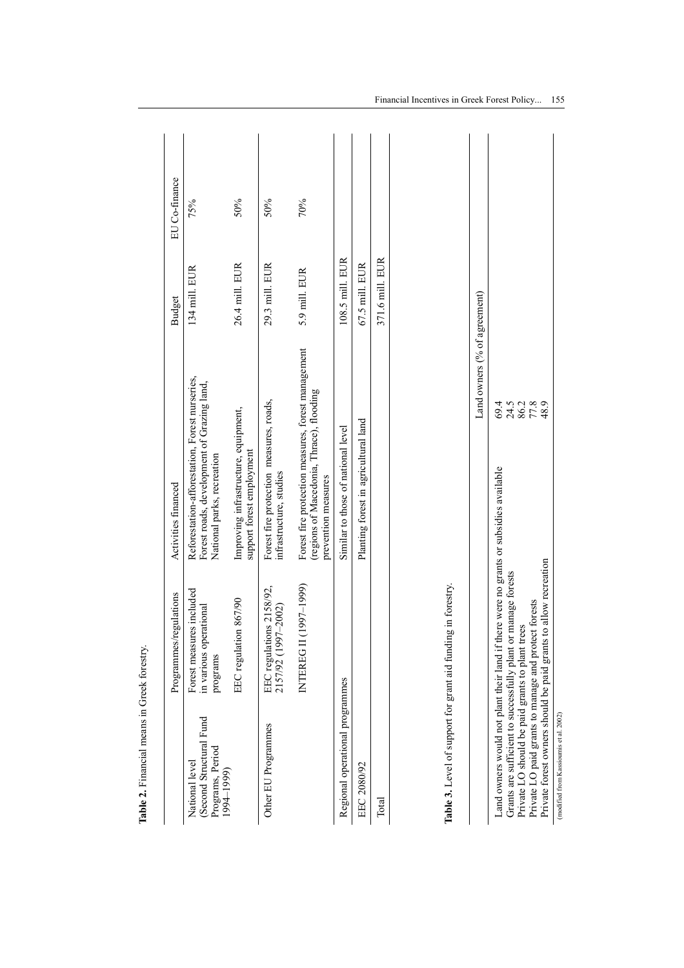| Table 2. Financial means in Greek forestry.                                              |                                                                                       |                                                                                                                            |                                             |                 |               |  |
|------------------------------------------------------------------------------------------|---------------------------------------------------------------------------------------|----------------------------------------------------------------------------------------------------------------------------|---------------------------------------------|-----------------|---------------|--|
|                                                                                          | Programmes/regulations                                                                | Activities financed                                                                                                        |                                             | <b>Budget</b>   | EU Co-finance |  |
| (Second Structural Fund<br>Programs, Period<br>National level<br>(6661-1661              | Forest measures included<br>in various operational<br>programs                        | Reforestation-afforestation, Forest nurseries,<br>Forest roads, development of Grazing land,<br>National parks, recreation |                                             | 134 mill. EUR   | 75%           |  |
|                                                                                          | EEC regulation 867/90                                                                 | Improving infrastructure, equipment,<br>support forest employment                                                          |                                             | 26.4 mill. EUR  | 50%           |  |
| Other EU Programmes                                                                      | EEC regulations 2158/92,<br>2157/92 (1997–2002)                                       | Forest fire protection measures, roads,<br>infrastructure, studies                                                         |                                             | 29.3 mill. EUR  | 50%           |  |
|                                                                                          | INTEREG II (1997-1999)                                                                | Forest fire protection measures, forest management<br>(regions of Macedonia, Thrace), flooding<br>prevention measures      |                                             | 5.9 mill. EUR   | 70%           |  |
| Regional operational programmes                                                          |                                                                                       | Similar to those of national level                                                                                         |                                             | 108.5 mill. EUR |               |  |
| EEC 2080/92                                                                              |                                                                                       | Planting forest in agricultural land                                                                                       |                                             | 67.5 mill. EUR  |               |  |
| Total                                                                                    |                                                                                       |                                                                                                                            |                                             | 371.6 mill. EUR |               |  |
|                                                                                          | Table 3. Level of support for grant aid funding in forestry.                          |                                                                                                                            |                                             |                 |               |  |
|                                                                                          |                                                                                       |                                                                                                                            | Land owners (% of agreement)                |                 |               |  |
|                                                                                          | Land owners would not plant their land if there were no grants or subsidies available |                                                                                                                            |                                             |                 |               |  |
| Grants are sufficient to successfully plant<br>Private LO should be paid grants to plant | or manage forests<br>trees                                                            |                                                                                                                            | 4 5 5 6 7 8 9<br>4 7 8 7 8 9<br>4 7 8 7 9 9 |                 |               |  |
| Private LO paid grants to manage and protect forests                                     |                                                                                       |                                                                                                                            |                                             |                 |               |  |
|                                                                                          | Private forest owners should be paid grants to allow recreation                       |                                                                                                                            |                                             |                 |               |  |
| (modified from Kassioumis et al. 2002)                                                   |                                                                                       |                                                                                                                            |                                             |                 |               |  |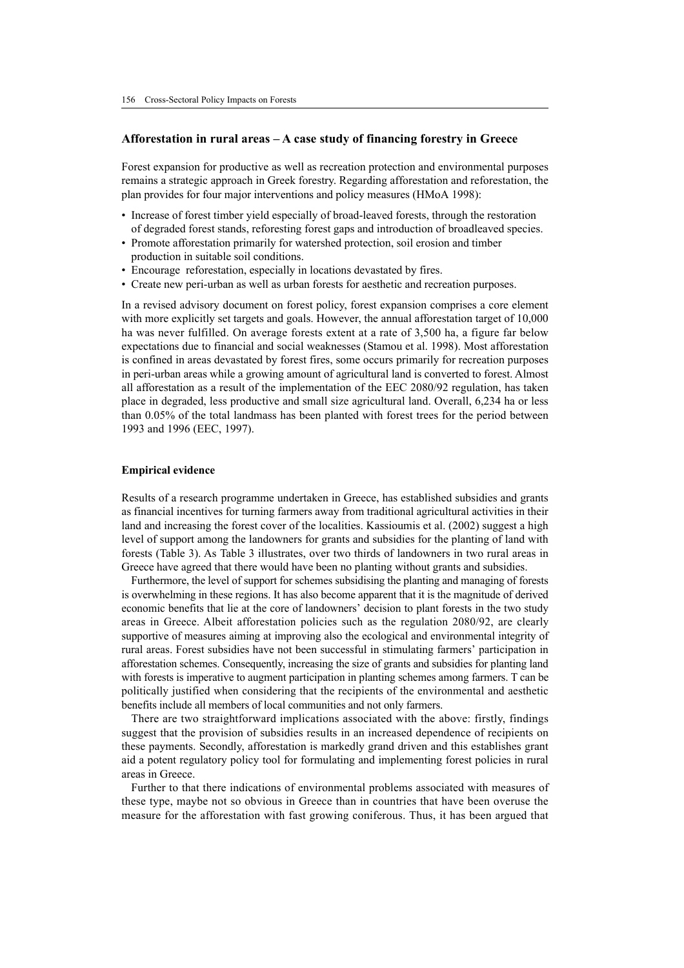## **Afforestation in rural areas – A case study of financing forestry in Greece**

Forest expansion for productive as well as recreation protection and environmental purposes remains a strategic approach in Greek forestry. Regarding afforestation and reforestation, the plan provides for four major interventions and policy measures (HMoA 1998):

- Increase of forest timber yield especially of broad-leaved forests, through the restoration of degraded forest stands, reforesting forest gaps and introduction of broadleaved species.
- Promote afforestation primarily for watershed protection, soil erosion and timber production in suitable soil conditions.
- Encourage reforestation, especially in locations devastated by fires.
- Create new peri-urban as well as urban forests for aesthetic and recreation purposes.

In a revised advisory document on forest policy, forest expansion comprises a core element with more explicitly set targets and goals. However, the annual afforestation target of 10,000 ha was never fulfilled. On average forests extent at a rate of 3,500 ha, a figure far below expectations due to financial and social weaknesses (Stamou et al. 1998). Most afforestation is confined in areas devastated by forest fires, some occurs primarily for recreation purposes in peri-urban areas while a growing amount of agricultural land is converted to forest. Almost all afforestation as a result of the implementation of the EEC 2080/92 regulation, has taken place in degraded, less productive and small size agricultural land. Overall, 6,234 ha or less than 0.05% of the total landmass has been planted with forest trees for the period between 1993 and 1996 (EEC, 1997).

#### **Empirical evidence**

Results of a research programme undertaken in Greece, has established subsidies and grants as financial incentives for turning farmers away from traditional agricultural activities in their land and increasing the forest cover of the localities. Kassioumis et al. (2002) suggest a high level of support among the landowners for grants and subsidies for the planting of land with forests (Table 3). As Table 3 illustrates, over two thirds of landowners in two rural areas in Greece have agreed that there would have been no planting without grants and subsidies.

Furthermore, the level of support for schemes subsidising the planting and managing of forests is overwhelming in these regions. It has also become apparent that it is the magnitude of derived economic benefits that lie at the core of landowners' decision to plant forests in the two study areas in Greece. Albeit afforestation policies such as the regulation 2080/92, are clearly supportive of measures aiming at improving also the ecological and environmental integrity of rural areas. Forest subsidies have not been successful in stimulating farmers' participation in afforestation schemes. Consequently, increasing the size of grants and subsidies for planting land with forests is imperative to augment participation in planting schemes among farmers. T can be politically justified when considering that the recipients of the environmental and aesthetic benefits include all members of local communities and not only farmers.

There are two straightforward implications associated with the above: firstly, findings suggest that the provision of subsidies results in an increased dependence of recipients on these payments. Secondly, afforestation is markedly grand driven and this establishes grant aid a potent regulatory policy tool for formulating and implementing forest policies in rural areas in Greece.

Further to that there indications of environmental problems associated with measures of these type, maybe not so obvious in Greece than in countries that have been overuse the measure for the afforestation with fast growing coniferous. Thus, it has been argued that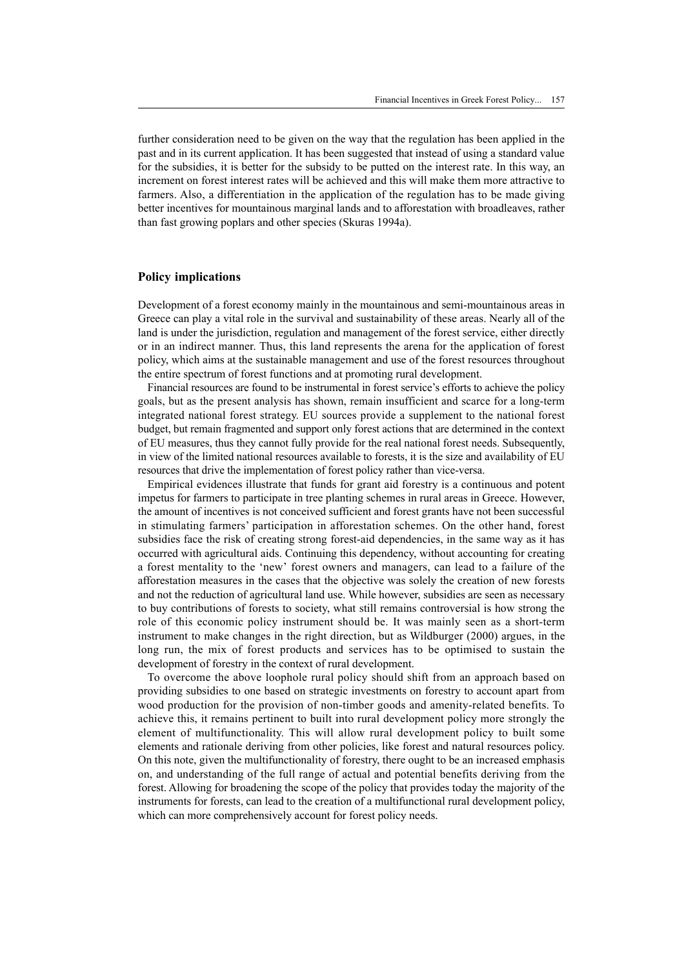further consideration need to be given on the way that the regulation has been applied in the past and in its current application. It has been suggested that instead of using a standard value for the subsidies, it is better for the subsidy to be putted on the interest rate. In this way, an increment on forest interest rates will be achieved and this will make them more attractive to farmers. Also, a differentiation in the application of the regulation has to be made giving better incentives for mountainous marginal lands and to afforestation with broadleaves, rather than fast growing poplars and other species (Skuras 1994a).

## **Policy implications**

Development of a forest economy mainly in the mountainous and semi-mountainous areas in Greece can play a vital role in the survival and sustainability of these areas. Nearly all of the land is under the jurisdiction, regulation and management of the forest service, either directly or in an indirect manner. Thus, this land represents the arena for the application of forest policy, which aims at the sustainable management and use of the forest resources throughout the entire spectrum of forest functions and at promoting rural development.

Financial resources are found to be instrumental in forest service's efforts to achieve the policy goals, but as the present analysis has shown, remain insufficient and scarce for a long-term integrated national forest strategy. EU sources provide a supplement to the national forest budget, but remain fragmented and support only forest actions that are determined in the context of EU measures, thus they cannot fully provide for the real national forest needs. Subsequently, in view of the limited national resources available to forests, it is the size and availability of EU resources that drive the implementation of forest policy rather than vice-versa.

Empirical evidences illustrate that funds for grant aid forestry is a continuous and potent impetus for farmers to participate in tree planting schemes in rural areas in Greece. However, the amount of incentives is not conceived sufficient and forest grants have not been successful in stimulating farmers' participation in afforestation schemes. On the other hand, forest subsidies face the risk of creating strong forest-aid dependencies, in the same way as it has occurred with agricultural aids. Continuing this dependency, without accounting for creating a forest mentality to the 'new' forest owners and managers, can lead to a failure of the afforestation measures in the cases that the objective was solely the creation of new forests and not the reduction of agricultural land use. While however, subsidies are seen as necessary to buy contributions of forests to society, what still remains controversial is how strong the role of this economic policy instrument should be. It was mainly seen as a short-term instrument to make changes in the right direction, but as Wildburger (2000) argues, in the long run, the mix of forest products and services has to be optimised to sustain the development of forestry in the context of rural development.

To overcome the above loophole rural policy should shift from an approach based on providing subsidies to one based on strategic investments on forestry to account apart from wood production for the provision of non-timber goods and amenity-related benefits. To achieve this, it remains pertinent to built into rural development policy more strongly the element of multifunctionality. This will allow rural development policy to built some elements and rationale deriving from other policies, like forest and natural resources policy. On this note, given the multifunctionality of forestry, there ought to be an increased emphasis on, and understanding of the full range of actual and potential benefits deriving from the forest. Allowing for broadening the scope of the policy that provides today the majority of the instruments for forests, can lead to the creation of a multifunctional rural development policy, which can more comprehensively account for forest policy needs.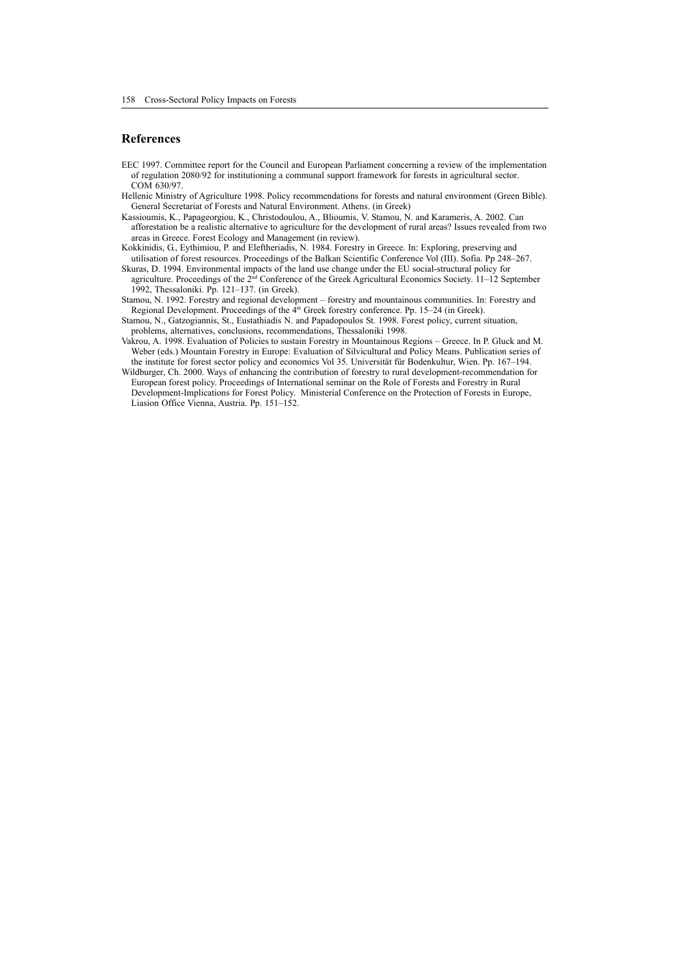## **References**

- EEC 1997. Committee report for the Council and European Parliament concerning a review of the implementation of regulation 2080/92 for institutioning a communal support framework for forests in agricultural sector. COM 630/97.
- Hellenic Ministry of Agriculture 1998. Policy recommendations for forests and natural environment (Green Bible). General Secretariat of Forests and Natural Environment. Athens. (in Greek)
- Kassioumis, K., Papageorgiou, K., Christodoulou, A., Blioumis, V. Stamou, N. and Karameris, A. 2002. Can afforestation be a realistic alternative to agriculture for the development of rural areas? Issues revealed from two areas in Greece. Forest Ecology and Management (in review).
- Kokkinidis, G., Eythimiou, P. and Eleftheriadis, N. 1984. Forestry in Greece. In: Exploring, preserving and utilisation of forest resources. Proceedings of the Balkan Scientific Conference Vol (III). Sofia. Pp 248–267.
- Skuras, D. 1994. Environmental impacts of the land use change under the EU social-structural policy for agriculture. Proceedings of the 2nd Conference of the Greek Agricultural Economics Society. 11–12 September 1992, Thessaloniki. Pp. 121–137. (in Greek).

Stamou, N. 1992. Forestry and regional development – forestry and mountainous communities. In: Forestry and Regional Development. Proceedings of the 4<sup>th</sup> Greek forestry conference. Pp. 15–24 (in Greek).

Stamou, N., Gatzogiannis, St., Eustathiadis N. and Papadopoulos St. 1998. Forest policy, current situation, problems, alternatives, conclusions, recommendations, Thessaloniki 1998.

- Vakrou, A. 1998. Evaluation of Policies to sustain Forestry in Mountainous Regions Greece. In P. Gluck and M. Weber (eds.) Mountain Forestry in Europe: Evaluation of Silvicultural and Policy Means. Publication series of the institute for forest sector policy and economics Vol 35. Universität für Bodenkultur, Wien. Pp. 167–194.
- Wildburger, Ch. 2000. Ways of enhancing the contribution of forestry to rural development-recommendation for European forest policy. Proceedings of International seminar on the Role of Forests and Forestry in Rural Development-Implications for Forest Policy. Ministerial Conference on the Protection of Forests in Europe, Liasion Office Vienna, Austria. Pp. 151–152.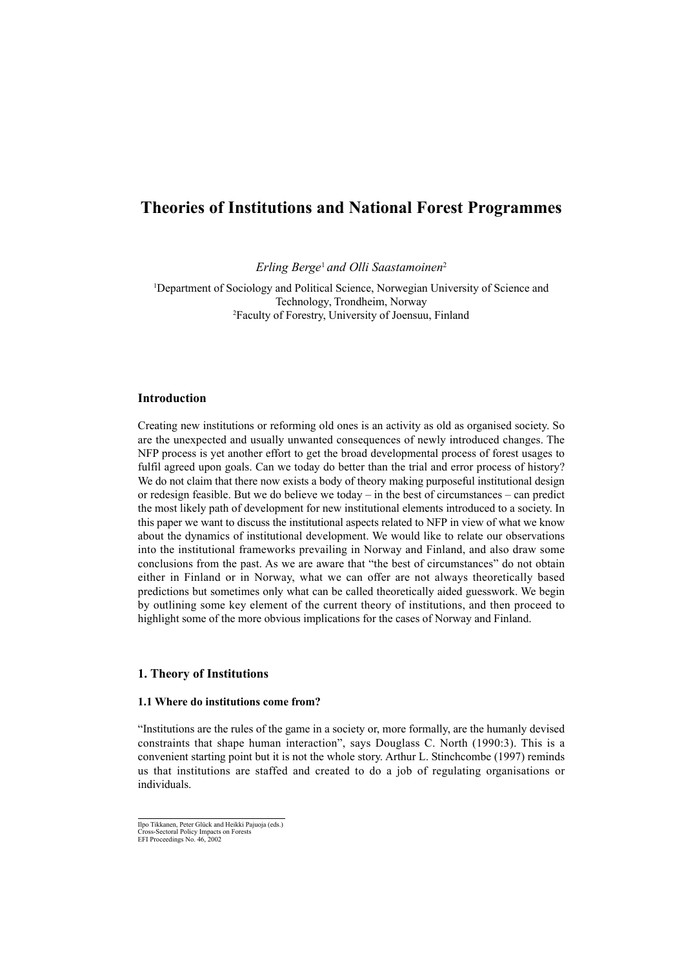## **Theories of Institutions and National Forest Programmes**

*Erling Berge*<sup>1</sup> *and Olli Saastamoinen*<sup>2</sup>

1 Department of Sociology and Political Science, Norwegian University of Science and Technology, Trondheim, Norway 2 Faculty of Forestry, University of Joensuu, Finland

## **Introduction**

Creating new institutions or reforming old ones is an activity as old as organised society. So are the unexpected and usually unwanted consequences of newly introduced changes. The NFP process is yet another effort to get the broad developmental process of forest usages to fulfil agreed upon goals. Can we today do better than the trial and error process of history? We do not claim that there now exists a body of theory making purposeful institutional design or redesign feasible. But we do believe we today – in the best of circumstances – can predict the most likely path of development for new institutional elements introduced to a society. In this paper we want to discuss the institutional aspects related to NFP in view of what we know about the dynamics of institutional development. We would like to relate our observations into the institutional frameworks prevailing in Norway and Finland, and also draw some conclusions from the past. As we are aware that "the best of circumstances" do not obtain either in Finland or in Norway, what we can offer are not always theoretically based predictions but sometimes only what can be called theoretically aided guesswork. We begin by outlining some key element of the current theory of institutions, and then proceed to highlight some of the more obvious implications for the cases of Norway and Finland.

## **1. Theory of Institutions**

## **1.1 Where do institutions come from?**

"Institutions are the rules of the game in a society or, more formally, are the humanly devised constraints that shape human interaction", says Douglass C. North (1990:3). This is a convenient starting point but it is not the whole story. Arthur L. Stinchcombe (1997) reminds us that institutions are staffed and created to do a job of regulating organisations or individuals.

Ilpo Tikkanen, Peter Glück and Heikki Pajuoja (eds.) Cross-Sectoral Policy Impacts on Forests EFI Proceedings No. 46, 2002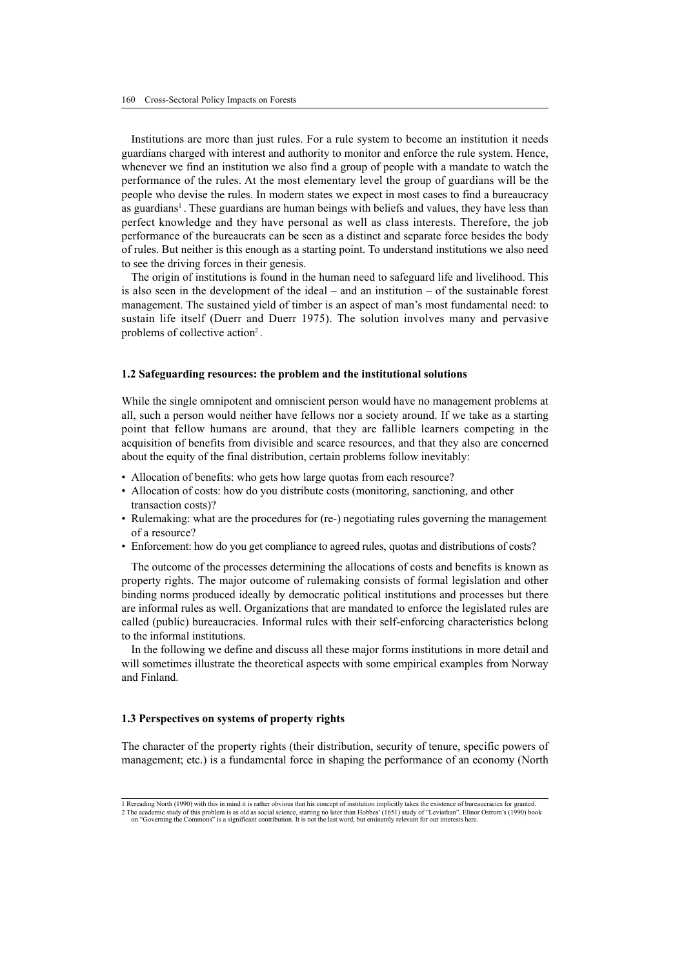Institutions are more than just rules. For a rule system to become an institution it needs guardians charged with interest and authority to monitor and enforce the rule system. Hence, whenever we find an institution we also find a group of people with a mandate to watch the performance of the rules. At the most elementary level the group of guardians will be the people who devise the rules. In modern states we expect in most cases to find a bureaucracy as guardians<sup>1</sup>. These guardians are human beings with beliefs and values, they have less than perfect knowledge and they have personal as well as class interests. Therefore, the job performance of the bureaucrats can be seen as a distinct and separate force besides the body of rules. But neither is this enough as a starting point. To understand institutions we also need to see the driving forces in their genesis.

The origin of institutions is found in the human need to safeguard life and livelihood. This is also seen in the development of the ideal – and an institution – of the sustainable forest management. The sustained yield of timber is an aspect of man's most fundamental need: to sustain life itself (Duerr and Duerr 1975). The solution involves many and pervasive problems of collective action<sup>2</sup>.

## **1.2 Safeguarding resources: the problem and the institutional solutions**

While the single omnipotent and omniscient person would have no management problems at all, such a person would neither have fellows nor a society around. If we take as a starting point that fellow humans are around, that they are fallible learners competing in the acquisition of benefits from divisible and scarce resources, and that they also are concerned about the equity of the final distribution, certain problems follow inevitably:

- Allocation of benefits: who gets how large quotas from each resource?
- Allocation of costs: how do you distribute costs (monitoring, sanctioning, and other transaction costs)?
- Rulemaking: what are the procedures for (re-) negotiating rules governing the management of a resource?
- Enforcement: how do you get compliance to agreed rules, quotas and distributions of costs?

The outcome of the processes determining the allocations of costs and benefits is known as property rights. The major outcome of rulemaking consists of formal legislation and other binding norms produced ideally by democratic political institutions and processes but there are informal rules as well. Organizations that are mandated to enforce the legislated rules are called (public) bureaucracies. Informal rules with their self-enforcing characteristics belong to the informal institutions.

In the following we define and discuss all these major forms institutions in more detail and will sometimes illustrate the theoretical aspects with some empirical examples from Norway and Finland.

#### **1.3 Perspectives on systems of property rights**

The character of the property rights (their distribution, security of tenure, specific powers of management; etc.) is a fundamental force in shaping the performance of an economy (North

<sup>1</sup> Rereading North (1990) with this in mind it is rather obvious that his concept of institution implicitly takes the existence of bureaucracies for granted.

<sup>2</sup> The academic study of this problem is as old as social science, starting no later than Hobbes' (1651) study of "Leviathan". Elinor Ostrom's (1990) book<br>on "Governing the Commons" is a significant contribution. It is not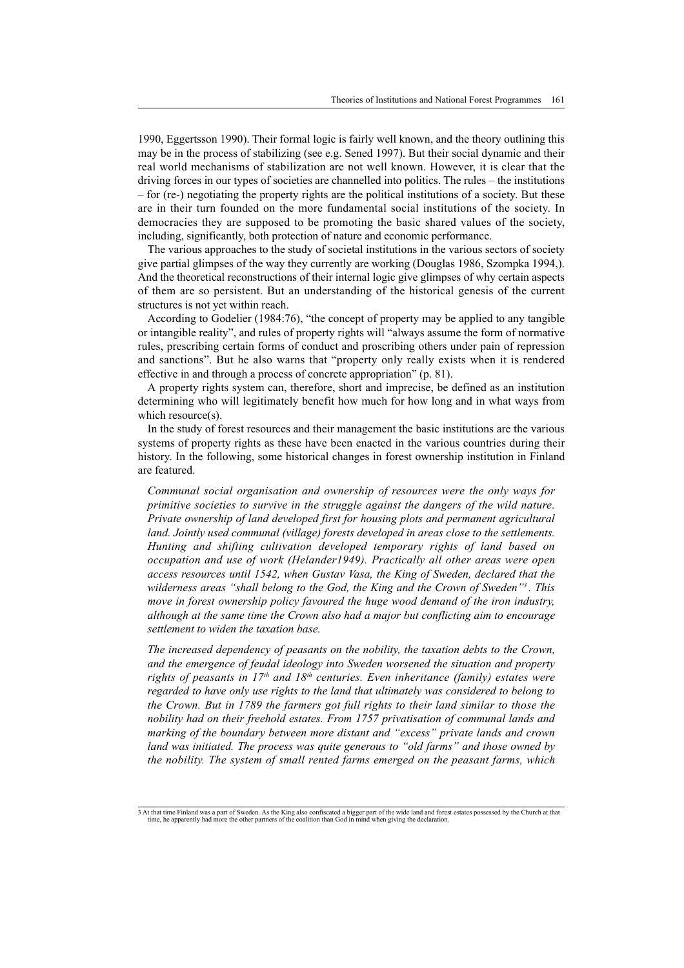1990, Eggertsson 1990). Their formal logic is fairly well known, and the theory outlining this may be in the process of stabilizing (see e.g. Sened 1997). But their social dynamic and their real world mechanisms of stabilization are not well known. However, it is clear that the driving forces in our types of societies are channelled into politics. The rules – the institutions – for (re-) negotiating the property rights are the political institutions of a society. But these are in their turn founded on the more fundamental social institutions of the society. In democracies they are supposed to be promoting the basic shared values of the society, including, significantly, both protection of nature and economic performance.

The various approaches to the study of societal institutions in the various sectors of society give partial glimpses of the way they currently are working (Douglas 1986, Szompka 1994,). And the theoretical reconstructions of their internal logic give glimpses of why certain aspects of them are so persistent. But an understanding of the historical genesis of the current structures is not yet within reach.

According to Godelier (1984:76), "the concept of property may be applied to any tangible or intangible reality", and rules of property rights will "always assume the form of normative rules, prescribing certain forms of conduct and proscribing others under pain of repression and sanctions". But he also warns that "property only really exists when it is rendered effective in and through a process of concrete appropriation" (p. 81).

A property rights system can, therefore, short and imprecise, be defined as an institution determining who will legitimately benefit how much for how long and in what ways from which resource(s).

In the study of forest resources and their management the basic institutions are the various systems of property rights as these have been enacted in the various countries during their history. In the following, some historical changes in forest ownership institution in Finland are featured.

*Communal social organisation and ownership of resources were the only ways for primitive societies to survive in the struggle against the dangers of the wild nature. Private ownership of land developed first for housing plots and permanent agricultural land. Jointly used communal (village) forests developed in areas close to the settlements. Hunting and shifting cultivation developed temporary rights of land based on occupation and use of work (Helander1949). Practically all other areas were open access resources until 1542, when Gustav Vasa, the King of Sweden, declared that the wilderness areas "shall belong to the God, the King and the Crown of Sweden"3 . This move in forest ownership policy favoured the huge wood demand of the iron industry, although at the same time the Crown also had a major but conflicting aim to encourage settlement to widen the taxation base.*

*The increased dependency of peasants on the nobility, the taxation debts to the Crown, and the emergence of feudal ideology into Sweden worsened the situation and property rights of peasants in*  $17<sup>th</sup>$  *and*  $18<sup>th</sup>$  *centuries. Even inheritance (family) estates were regarded to have only use rights to the land that ultimately was considered to belong to the Crown. But in 1789 the farmers got full rights to their land similar to those the nobility had on their freehold estates. From 1757 privatisation of communal lands and marking of the boundary between more distant and "excess" private lands and crown land was initiated. The process was quite generous to "old farms" and those owned by the nobility. The system of small rented farms emerged on the peasant farms, which*

3 At that time Finland was a part of Sweden. As the King also confiscated a bigger part of the wide land and forest estates possessed by the Church at that time, he apparently had more the other partners of the coalition than God in mind when giving the declaration.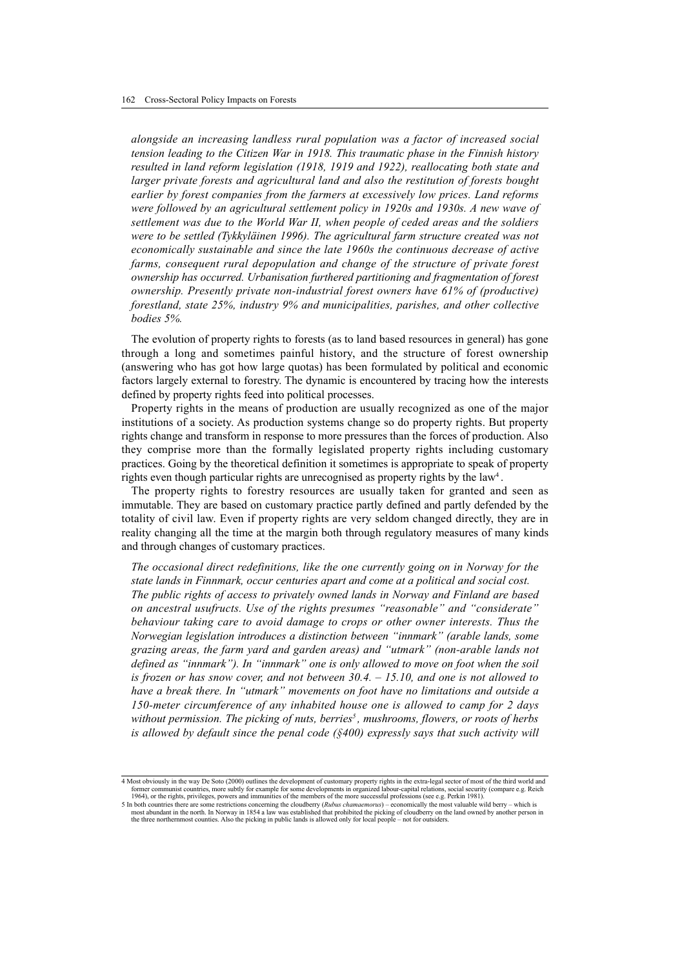*alongside an increasing landless rural population was a factor of increased social tension leading to the Citizen War in 1918. This traumatic phase in the Finnish history resulted in land reform legislation (1918, 1919 and 1922), reallocating both state and larger private forests and agricultural land and also the restitution of forests bought earlier by forest companies from the farmers at excessively low prices. Land reforms were followed by an agricultural settlement policy in 1920s and 1930s. A new wave of settlement was due to the World War II, when people of ceded areas and the soldiers were to be settled (Tykkyläinen 1996). The agricultural farm structure created was not economically sustainable and since the late 1960s the continuous decrease of active farms, consequent rural depopulation and change of the structure of private forest ownership has occurred. Urbanisation furthered partitioning and fragmentation of forest ownership. Presently private non-industrial forest owners have 61% of (productive) forestland, state 25%, industry 9% and municipalities, parishes, and other collective bodies 5%.*

The evolution of property rights to forests (as to land based resources in general) has gone through a long and sometimes painful history, and the structure of forest ownership (answering who has got how large quotas) has been formulated by political and economic factors largely external to forestry. The dynamic is encountered by tracing how the interests defined by property rights feed into political processes.

Property rights in the means of production are usually recognized as one of the major institutions of a society. As production systems change so do property rights. But property rights change and transform in response to more pressures than the forces of production. Also they comprise more than the formally legislated property rights including customary practices. Going by the theoretical definition it sometimes is appropriate to speak of property rights even though particular rights are unrecognised as property rights by the law4 .

The property rights to forestry resources are usually taken for granted and seen as immutable. They are based on customary practice partly defined and partly defended by the totality of civil law. Even if property rights are very seldom changed directly, they are in reality changing all the time at the margin both through regulatory measures of many kinds and through changes of customary practices.

*The occasional direct redefinitions, like the one currently going on in Norway for the state lands in Finnmark, occur centuries apart and come at a political and social cost. The public rights of access to privately owned lands in Norway and Finland are based on ancestral usufructs. Use of the rights presumes "reasonable" and "considerate" behaviour taking care to avoid damage to crops or other owner interests. Thus the Norwegian legislation introduces a distinction between "innmark" (arable lands, some grazing areas, the farm yard and garden areas) and "utmark" (non-arable lands not defined as "innmark"). In "innmark" one is only allowed to move on foot when the soil is frozen or has snow cover, and not between 30.4. – 15.10, and one is not allowed to have a break there. In "utmark" movements on foot have no limitations and outside a 150-meter circumference of any inhabited house one is allowed to camp for 2 days without permission. The picking of nuts, berries<sup>5</sup>, mushrooms, flowers, or roots of herbs is allowed by default since the penal code (§400) expressly says that such activity will*

<sup>4</sup> Most obviously in the way De Soto (2000) outlines the development of customary property rights in the extra-legal sector of most of the third world and former communist countries, more subtly for example for some developments in organized labour-capital relations, social security (compare e.g. Reich<br>1964), or the rights, privileges, powers and immunities of the members of

<sup>5</sup> In both countries there are some restrictions concerning the cloudberry (Rubus chamaemorus) – economically the most valuable wild berry – which is most abundant in the north. In Norway in 1854 a law was established that the three northernmost counties. Also the picking in public lands is allowed only for local people – not for outsiders.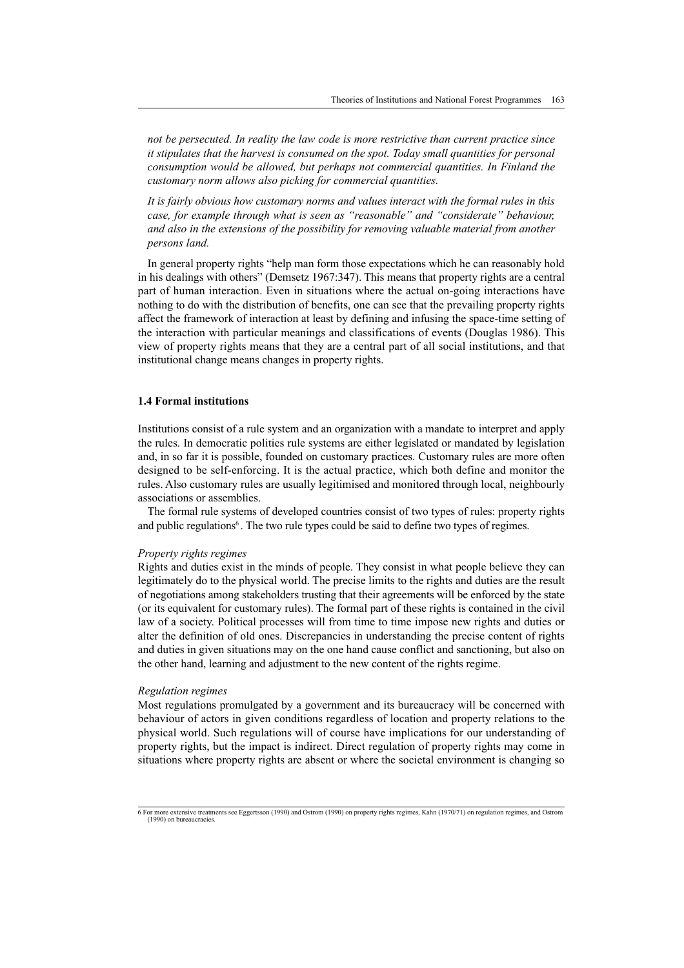*not be persecuted. In reality the law code is more restrictive than current practice since it stipulates that the harvest is consumed on the spot. Today small quantities for personal consumption would be allowed, but perhaps not commercial quantities. In Finland the customary norm allows also picking for commercial quantities.*

*It is fairly obvious how customary norms and values interact with the formal rules in this case, for example through what is seen as "reasonable" and "considerate" behaviour, and also in the extensions of the possibility for removing valuable material from another persons land.*

In general property rights "help man form those expectations which he can reasonably hold in his dealings with others" (Demsetz 1967:347). This means that property rights are a central part of human interaction. Even in situations where the actual on-going interactions have nothing to do with the distribution of benefits, one can see that the prevailing property rights affect the framework of interaction at least by defining and infusing the space-time setting of the interaction with particular meanings and classifications of events (Douglas 1986). This view of property rights means that they are a central part of all social institutions, and that institutional change means changes in property rights.

## **1.4 Formal institutions**

Institutions consist of a rule system and an organization with a mandate to interpret and apply the rules. In democratic polities rule systems are either legislated or mandated by legislation and, in so far it is possible, founded on customary practices. Customary rules are more often designed to be self-enforcing. It is the actual practice, which both define and monitor the rules. Also customary rules are usually legitimised and monitored through local, neighbourly associations or assemblies.

The formal rule systems of developed countries consist of two types of rules: property rights and public regulations<sup>6</sup>. The two rule types could be said to define two types of regimes.

## *Property rights regimes*

Rights and duties exist in the minds of people. They consist in what people believe they can legitimately do to the physical world. The precise limits to the rights and duties are the result of negotiations among stakeholders trusting that their agreements will be enforced by the state (or its equivalent for customary rules). The formal part of these rights is contained in the civil law of a society. Political processes will from time to time impose new rights and duties or alter the definition of old ones. Discrepancies in understanding the precise content of rights and duties in given situations may on the one hand cause conflict and sanctioning, but also on the other hand, learning and adjustment to the new content of the rights regime.

#### *Regulation regimes*

Most regulations promulgated by a government and its bureaucracy will be concerned with behaviour of actors in given conditions regardless of location and property relations to the physical world. Such regulations will of course have implications for our understanding of property rights, but the impact is indirect. Direct regulation of property rights may come in situations where property rights are absent or where the societal environment is changing so

6 For more extensive treatments see Eggertsson (1990) and Ostrom (1990) on property rights regimes, Kahn (1970/71) on regulation regimes, and Ostrom (1990) on bureaucracies.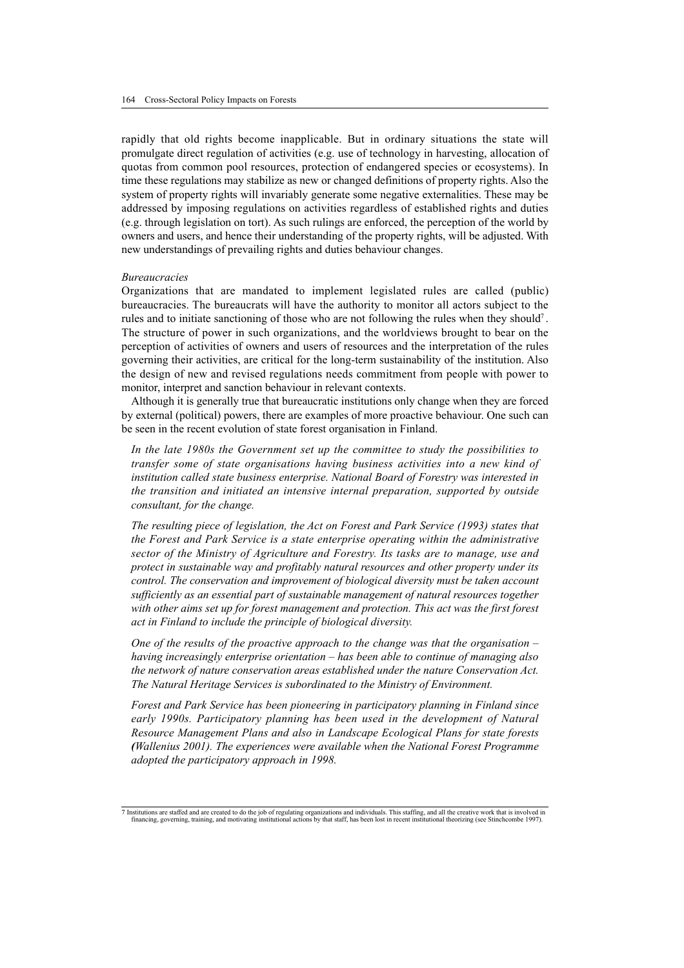rapidly that old rights become inapplicable. But in ordinary situations the state will promulgate direct regulation of activities (e.g. use of technology in harvesting, allocation of quotas from common pool resources, protection of endangered species or ecosystems). In time these regulations may stabilize as new or changed definitions of property rights. Also the system of property rights will invariably generate some negative externalities. These may be addressed by imposing regulations on activities regardless of established rights and duties (e.g. through legislation on tort). As such rulings are enforced, the perception of the world by owners and users, and hence their understanding of the property rights, will be adjusted. With new understandings of prevailing rights and duties behaviour changes.

#### *Bureaucracies*

Organizations that are mandated to implement legislated rules are called (public) bureaucracies. The bureaucrats will have the authority to monitor all actors subject to the rules and to initiate sanctioning of those who are not following the rules when they should7 . The structure of power in such organizations, and the worldviews brought to bear on the perception of activities of owners and users of resources and the interpretation of the rules governing their activities, are critical for the long-term sustainability of the institution. Also the design of new and revised regulations needs commitment from people with power to monitor, interpret and sanction behaviour in relevant contexts.

Although it is generally true that bureaucratic institutions only change when they are forced by external (political) powers, there are examples of more proactive behaviour. One such can be seen in the recent evolution of state forest organisation in Finland.

*In the late 1980s the Government set up the committee to study the possibilities to transfer some of state organisations having business activities into a new kind of institution called state business enterprise. National Board of Forestry was interested in the transition and initiated an intensive internal preparation, supported by outside consultant, for the change.*

*The resulting piece of legislation, the Act on Forest and Park Service (1993) states that the Forest and Park Service is a state enterprise operating within the administrative sector of the Ministry of Agriculture and Forestry. Its tasks are to manage, use and protect in sustainable way and profitably natural resources and other property under its control. The conservation and improvement of biological diversity must be taken account sufficiently as an essential part of sustainable management of natural resources together with other aims set up for forest management and protection. This act was the first forest act in Finland to include the principle of biological diversity.*

*One of the results of the proactive approach to the change was that the organisation – having increasingly enterprise orientation – has been able to continue of managing also the network of nature conservation areas established under the nature Conservation Act. The Natural Heritage Services is subordinated to the Ministry of Environment.*

*Forest and Park Service has been pioneering in participatory planning in Finland since early 1990s. Participatory planning has been used in the development of Natural Resource Management Plans and also in Landscape Ecological Plans for state forests (Wallenius 2001). The experiences were available when the National Forest Programme adopted the participatory approach in 1998.*

<sup>7</sup> Institutions are staffed and are created to do the job of regulating organizations and individuals. This staffing, and all the creative work that is involved in financing, governing, training, and motivating institutional actions by that staff, has been lost in recent institutional theorizing (see Stinchcombe 1997).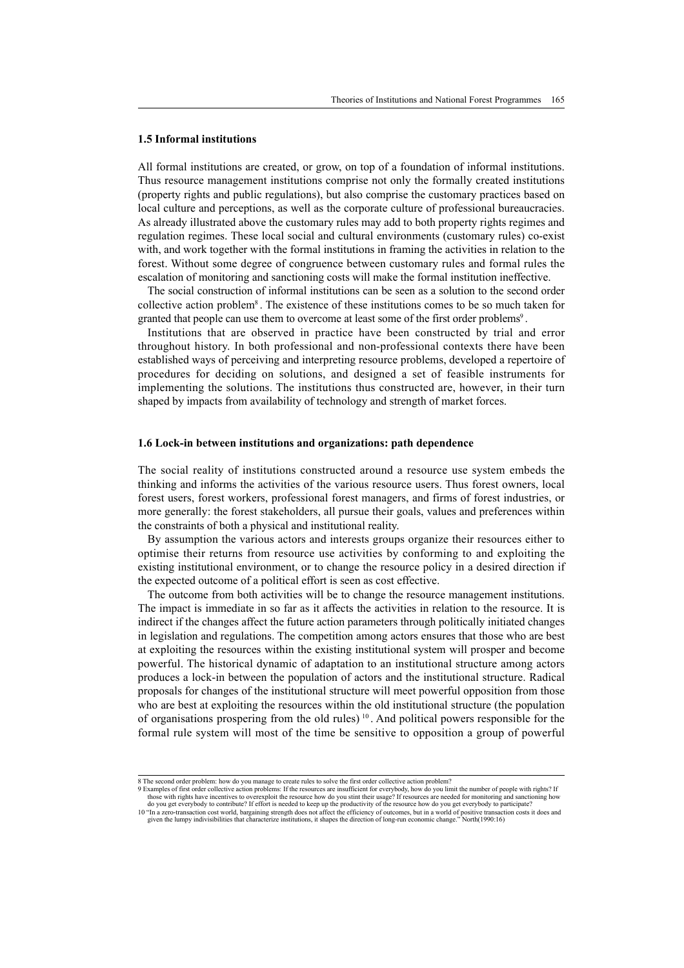## **1.5 Informal institutions**

All formal institutions are created, or grow, on top of a foundation of informal institutions. Thus resource management institutions comprise not only the formally created institutions (property rights and public regulations), but also comprise the customary practices based on local culture and perceptions, as well as the corporate culture of professional bureaucracies. As already illustrated above the customary rules may add to both property rights regimes and regulation regimes. These local social and cultural environments (customary rules) co-exist with, and work together with the formal institutions in framing the activities in relation to the forest. Without some degree of congruence between customary rules and formal rules the escalation of monitoring and sanctioning costs will make the formal institution ineffective.

The social construction of informal institutions can be seen as a solution to the second order collective action problem8 . The existence of these institutions comes to be so much taken for granted that people can use them to overcome at least some of the first order problems9 .

Institutions that are observed in practice have been constructed by trial and error throughout history. In both professional and non-professional contexts there have been established ways of perceiving and interpreting resource problems, developed a repertoire of procedures for deciding on solutions, and designed a set of feasible instruments for implementing the solutions. The institutions thus constructed are, however, in their turn shaped by impacts from availability of technology and strength of market forces.

#### **1.6 Lock-in between institutions and organizations: path dependence**

The social reality of institutions constructed around a resource use system embeds the thinking and informs the activities of the various resource users. Thus forest owners, local forest users, forest workers, professional forest managers, and firms of forest industries, or more generally: the forest stakeholders, all pursue their goals, values and preferences within the constraints of both a physical and institutional reality.

By assumption the various actors and interests groups organize their resources either to optimise their returns from resource use activities by conforming to and exploiting the existing institutional environment, or to change the resource policy in a desired direction if the expected outcome of a political effort is seen as cost effective.

The outcome from both activities will be to change the resource management institutions. The impact is immediate in so far as it affects the activities in relation to the resource. It is indirect if the changes affect the future action parameters through politically initiated changes in legislation and regulations. The competition among actors ensures that those who are best at exploiting the resources within the existing institutional system will prosper and become powerful. The historical dynamic of adaptation to an institutional structure among actors produces a lock-in between the population of actors and the institutional structure. Radical proposals for changes of the institutional structure will meet powerful opposition from those who are best at exploiting the resources within the old institutional structure (the population of organisations prospering from the old rules)  $10$ . And political powers responsible for the formal rule system will most of the time be sensitive to opposition a group of powerful

<sup>8</sup> The second order problem: how do you manage to create rules to solve the first order collective action problem?

<sup>9</sup> Examples of first order collective action problems: If the resources are insufficient for everybody, how do you limit the number of people with rights? If those with rights are incentives to overexploit the resource how do you get everybody to contribute? If effort is needed to keep up the productivity of the resource how do you get everybody to participate?<br>"In a zero-transaction cost world, bargaining strength does not affect the effici

<sup>10</sup> The a zero-transaction cost world, bargaining strength does not affect the efficiency of outcomes, but in a world of positive transaction costs it does and given the lumpy indivisibilities that characterize institutions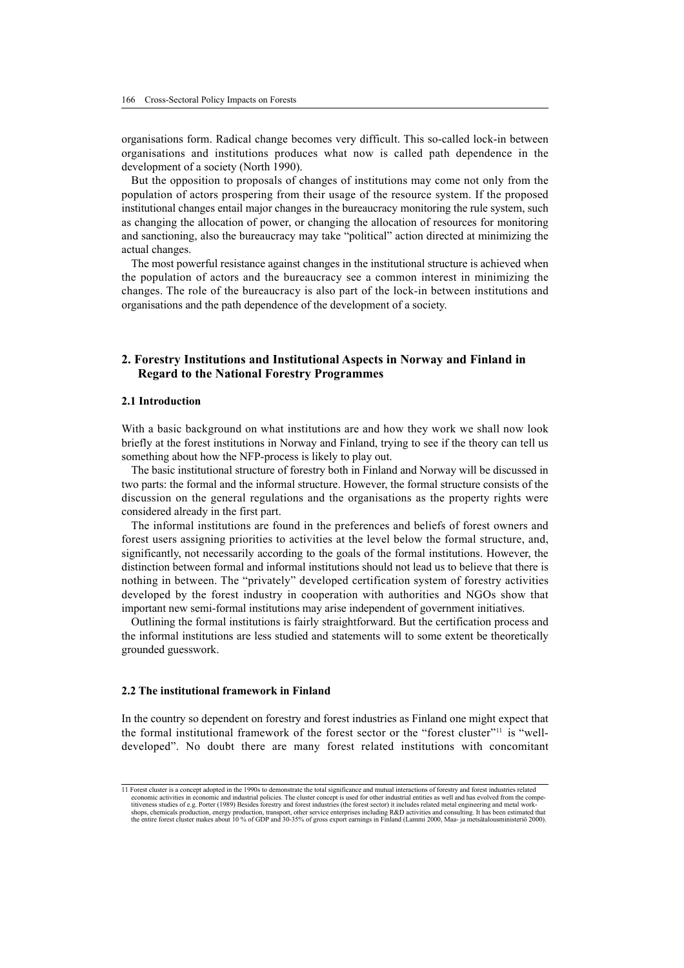organisations form. Radical change becomes very difficult. This so-called lock-in between organisations and institutions produces what now is called path dependence in the development of a society (North 1990).

But the opposition to proposals of changes of institutions may come not only from the population of actors prospering from their usage of the resource system. If the proposed institutional changes entail major changes in the bureaucracy monitoring the rule system, such as changing the allocation of power, or changing the allocation of resources for monitoring and sanctioning, also the bureaucracy may take "political" action directed at minimizing the actual changes.

The most powerful resistance against changes in the institutional structure is achieved when the population of actors and the bureaucracy see a common interest in minimizing the changes. The role of the bureaucracy is also part of the lock-in between institutions and organisations and the path dependence of the development of a society.

## **2. Forestry Institutions and Institutional Aspects in Norway and Finland in Regard to the National Forestry Programmes**

#### **2.1 Introduction**

With a basic background on what institutions are and how they work we shall now look briefly at the forest institutions in Norway and Finland, trying to see if the theory can tell us something about how the NFP-process is likely to play out.

The basic institutional structure of forestry both in Finland and Norway will be discussed in two parts: the formal and the informal structure. However, the formal structure consists of the discussion on the general regulations and the organisations as the property rights were considered already in the first part.

The informal institutions are found in the preferences and beliefs of forest owners and forest users assigning priorities to activities at the level below the formal structure, and, significantly, not necessarily according to the goals of the formal institutions. However, the distinction between formal and informal institutions should not lead us to believe that there is nothing in between. The "privately" developed certification system of forestry activities developed by the forest industry in cooperation with authorities and NGOs show that important new semi-formal institutions may arise independent of government initiatives.

Outlining the formal institutions is fairly straightforward. But the certification process and the informal institutions are less studied and statements will to some extent be theoretically grounded guesswork.

## **2.2 The institutional framework in Finland**

In the country so dependent on forestry and forest industries as Finland one might expect that the formal institutional framework of the forest sector or the "forest cluster"11 is "welldeveloped". No doubt there are many forest related institutions with concomitant

<sup>11</sup> Forest cluster is a concept adopted in the 1990s to demonstrate the total significance and mutual interactions of forestry and forest industries related economic activities in economic and industrial policies. The cluster concept is used for other industrial entities as well and has evolved from the competitiveness studies of e.g. Porter (1989) Besides forestry and forest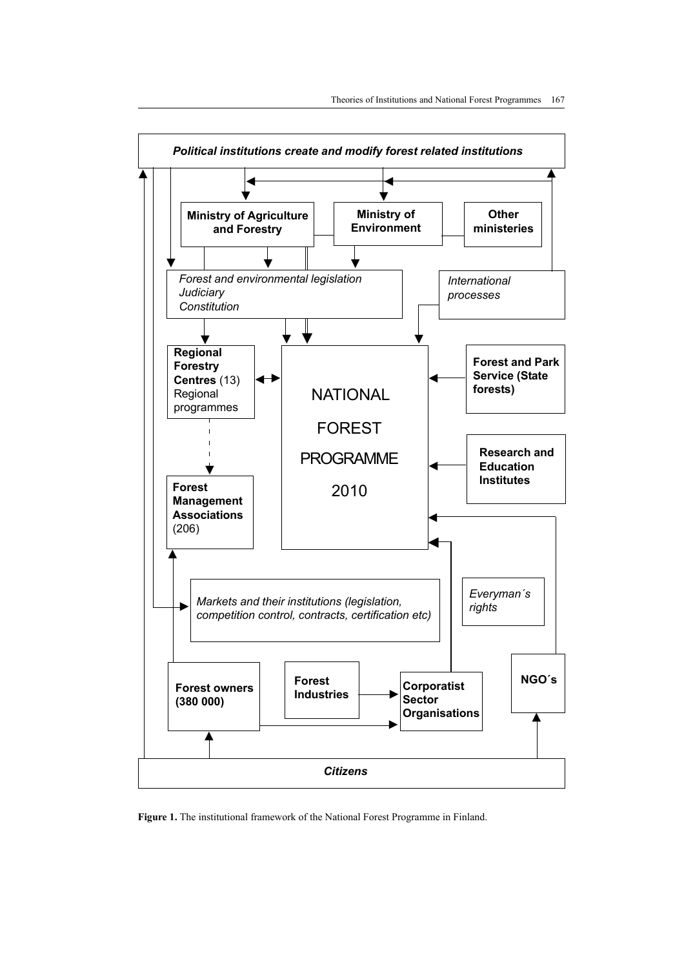

**Figure 1.** The institutional framework of the National Forest Programme in Finland.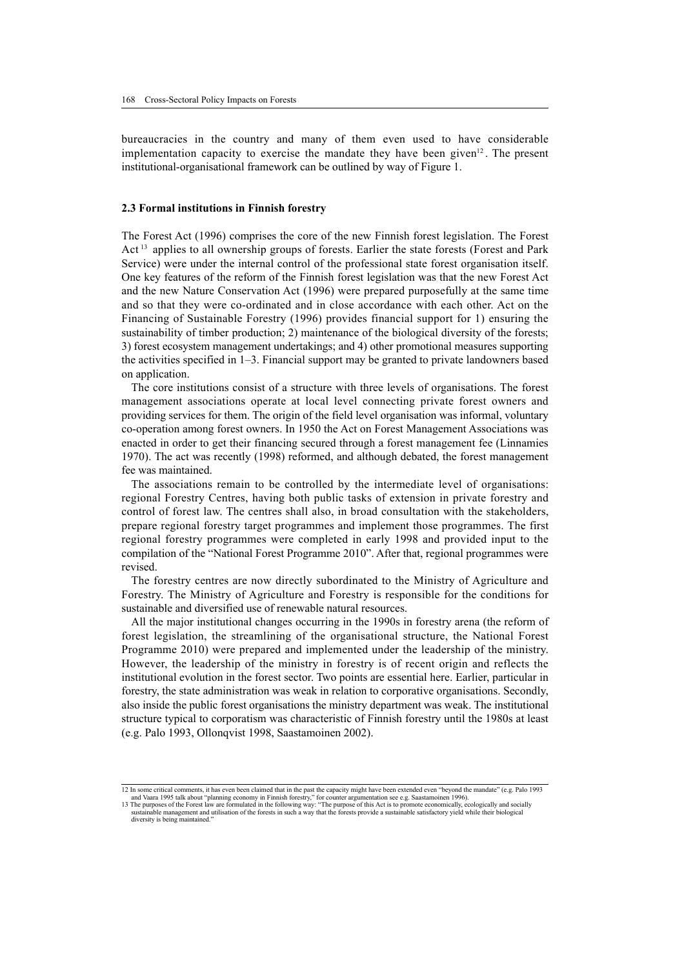bureaucracies in the country and many of them even used to have considerable implementation capacity to exercise the mandate they have been given  $l^2$ . The present institutional-organisational framework can be outlined by way of Figure 1.

## **2.3 Formal institutions in Finnish forestry**

The Forest Act (1996) comprises the core of the new Finnish forest legislation. The Forest Act 13 applies to all ownership groups of forests. Earlier the state forests (Forest and Park Service) were under the internal control of the professional state forest organisation itself. One key features of the reform of the Finnish forest legislation was that the new Forest Act and the new Nature Conservation Act (1996) were prepared purposefully at the same time and so that they were co-ordinated and in close accordance with each other. Act on the Financing of Sustainable Forestry (1996) provides financial support for 1) ensuring the sustainability of timber production; 2) maintenance of the biological diversity of the forests; 3) forest ecosystem management undertakings; and 4) other promotional measures supporting the activities specified in 1–3. Financial support may be granted to private landowners based on application.

The core institutions consist of a structure with three levels of organisations. The forest management associations operate at local level connecting private forest owners and providing services for them. The origin of the field level organisation was informal, voluntary co-operation among forest owners. In 1950 the Act on Forest Management Associations was enacted in order to get their financing secured through a forest management fee (Linnamies 1970). The act was recently (1998) reformed, and although debated, the forest management fee was maintained.

The associations remain to be controlled by the intermediate level of organisations: regional Forestry Centres, having both public tasks of extension in private forestry and control of forest law. The centres shall also, in broad consultation with the stakeholders, prepare regional forestry target programmes and implement those programmes. The first regional forestry programmes were completed in early 1998 and provided input to the compilation of the "National Forest Programme 2010". After that, regional programmes were revised.

The forestry centres are now directly subordinated to the Ministry of Agriculture and Forestry. The Ministry of Agriculture and Forestry is responsible for the conditions for sustainable and diversified use of renewable natural resources.

All the major institutional changes occurring in the 1990s in forestry arena (the reform of forest legislation, the streamlining of the organisational structure, the National Forest Programme 2010) were prepared and implemented under the leadership of the ministry. However, the leadership of the ministry in forestry is of recent origin and reflects the institutional evolution in the forest sector. Two points are essential here. Earlier, particular in forestry, the state administration was weak in relation to corporative organisations. Secondly, also inside the public forest organisations the ministry department was weak. The institutional structure typical to corporatism was characteristic of Finnish forestry until the 1980s at least (e.g. Palo 1993, Ollonqvist 1998, Saastamoinen 2002).

<sup>12</sup> In some critical comments, it has even been claimed that in the past the capacity might have been extended even "beyond the mandate" (e.g. Palo 1993 and Vaara 1995 talk about "planning economy in Finnish forestry," for counter argumentation see e.g. Saastamoinen 1996).<br>13 The purposes of the Forest law are formulated in the following way: "The purpose of this Act is to

 $\mathbf{S}$  is a constrained management and utilisation of the forests in such a way that the forests provide a sustainable satisfactory yield while their biological diversity is being maintained.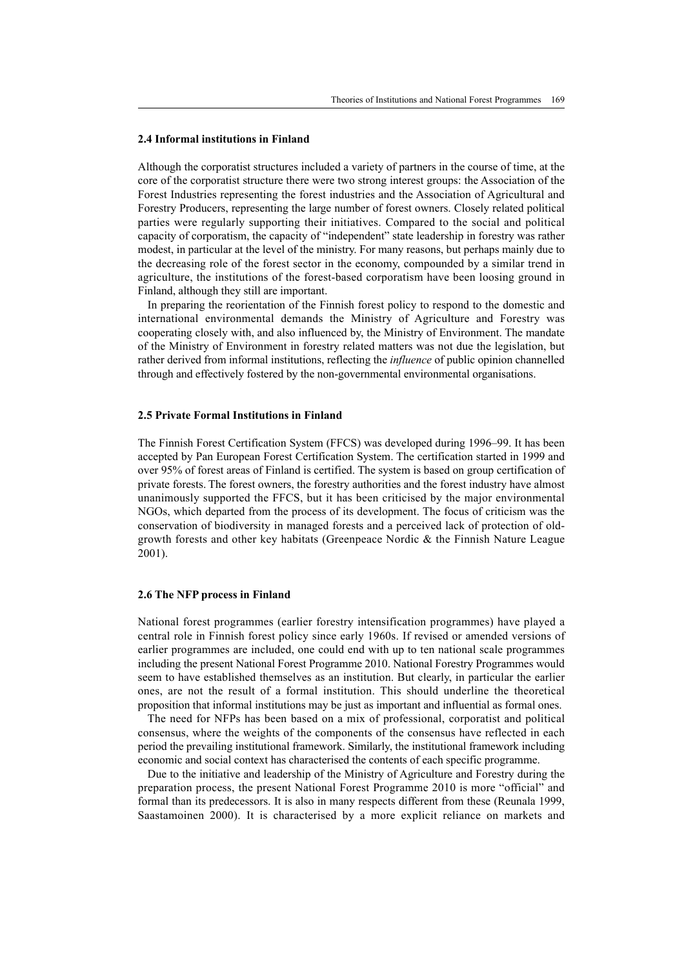## **2.4 Informal institutions in Finland**

Although the corporatist structures included a variety of partners in the course of time, at the core of the corporatist structure there were two strong interest groups: the Association of the Forest Industries representing the forest industries and the Association of Agricultural and Forestry Producers, representing the large number of forest owners. Closely related political parties were regularly supporting their initiatives. Compared to the social and political capacity of corporatism, the capacity of "independent" state leadership in forestry was rather modest, in particular at the level of the ministry. For many reasons, but perhaps mainly due to the decreasing role of the forest sector in the economy, compounded by a similar trend in agriculture, the institutions of the forest-based corporatism have been loosing ground in Finland, although they still are important.

In preparing the reorientation of the Finnish forest policy to respond to the domestic and international environmental demands the Ministry of Agriculture and Forestry was cooperating closely with, and also influenced by, the Ministry of Environment. The mandate of the Ministry of Environment in forestry related matters was not due the legislation, but rather derived from informal institutions, reflecting the *influence* of public opinion channelled through and effectively fostered by the non-governmental environmental organisations.

## **2.5 Private Formal Institutions in Finland**

The Finnish Forest Certification System (FFCS) was developed during 1996–99. It has been accepted by Pan European Forest Certification System. The certification started in 1999 and over 95% of forest areas of Finland is certified. The system is based on group certification of private forests. The forest owners, the forestry authorities and the forest industry have almost unanimously supported the FFCS, but it has been criticised by the major environmental NGOs, which departed from the process of its development. The focus of criticism was the conservation of biodiversity in managed forests and a perceived lack of protection of oldgrowth forests and other key habitats (Greenpeace Nordic & the Finnish Nature League 2001).

## **2.6 The NFP process in Finland**

National forest programmes (earlier forestry intensification programmes) have played a central role in Finnish forest policy since early 1960s. If revised or amended versions of earlier programmes are included, one could end with up to ten national scale programmes including the present National Forest Programme 2010. National Forestry Programmes would seem to have established themselves as an institution. But clearly, in particular the earlier ones, are not the result of a formal institution. This should underline the theoretical proposition that informal institutions may be just as important and influential as formal ones.

The need for NFPs has been based on a mix of professional, corporatist and political consensus, where the weights of the components of the consensus have reflected in each period the prevailing institutional framework. Similarly, the institutional framework including economic and social context has characterised the contents of each specific programme.

Due to the initiative and leadership of the Ministry of Agriculture and Forestry during the preparation process, the present National Forest Programme 2010 is more "official" and formal than its predecessors. It is also in many respects different from these (Reunala 1999, Saastamoinen 2000). It is characterised by a more explicit reliance on markets and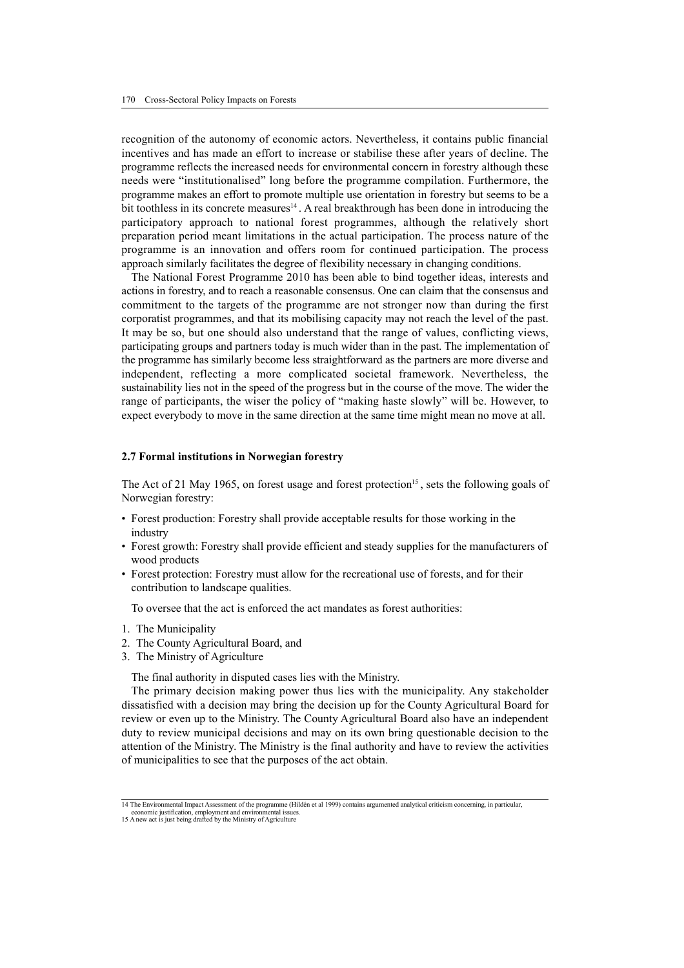recognition of the autonomy of economic actors. Nevertheless, it contains public financial incentives and has made an effort to increase or stabilise these after years of decline. The programme reflects the increased needs for environmental concern in forestry although these needs were "institutionalised" long before the programme compilation. Furthermore, the programme makes an effort to promote multiple use orientation in forestry but seems to be a bit toothless in its concrete measures<sup>14</sup>. A real breakthrough has been done in introducing the participatory approach to national forest programmes, although the relatively short preparation period meant limitations in the actual participation. The process nature of the programme is an innovation and offers room for continued participation. The process approach similarly facilitates the degree of flexibility necessary in changing conditions.

The National Forest Programme 2010 has been able to bind together ideas, interests and actions in forestry, and to reach a reasonable consensus. One can claim that the consensus and commitment to the targets of the programme are not stronger now than during the first corporatist programmes, and that its mobilising capacity may not reach the level of the past. It may be so, but one should also understand that the range of values, conflicting views, participating groups and partners today is much wider than in the past. The implementation of the programme has similarly become less straightforward as the partners are more diverse and independent, reflecting a more complicated societal framework. Nevertheless, the sustainability lies not in the speed of the progress but in the course of the move. The wider the range of participants, the wiser the policy of "making haste slowly" will be. However, to expect everybody to move in the same direction at the same time might mean no move at all.

#### **2.7 Formal institutions in Norwegian forestry**

The Act of 21 May 1965, on forest usage and forest protection<sup>15</sup>, sets the following goals of Norwegian forestry:

- Forest production: Forestry shall provide acceptable results for those working in the industry
- Forest growth: Forestry shall provide efficient and steady supplies for the manufacturers of wood products
- Forest protection: Forestry must allow for the recreational use of forests, and for their contribution to landscape qualities.

To oversee that the act is enforced the act mandates as forest authorities:

- 1. The Municipality
- 2. The County Agricultural Board, and
- 3. The Ministry of Agriculture

The final authority in disputed cases lies with the Ministry.

The primary decision making power thus lies with the municipality. Any stakeholder dissatisfied with a decision may bring the decision up for the County Agricultural Board for review or even up to the Ministry. The County Agricultural Board also have an independent duty to review municipal decisions and may on its own bring questionable decision to the attention of the Ministry. The Ministry is the final authority and have to review the activities of municipalities to see that the purposes of the act obtain.

<sup>14</sup> The Environmental Impact Assessment of the programme (Hildén et al 1999) contains argumented analytical criticism concerning, in particular,

economic justification, employment and environmental issues. 15 A new act is just being drafted by the Ministry of Agriculture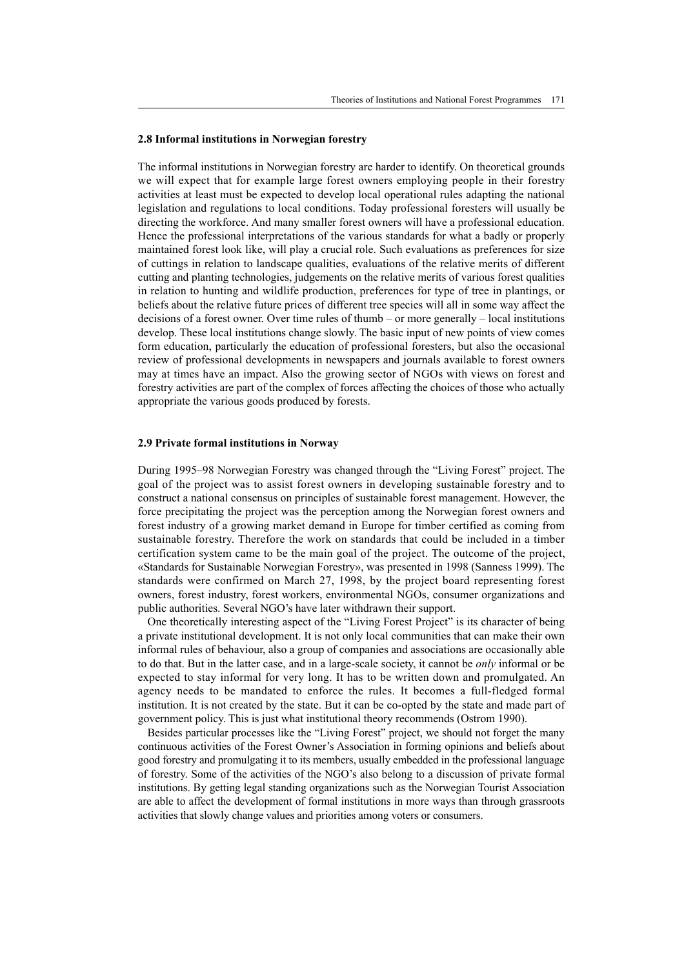## **2.8 Informal institutions in Norwegian forestry**

The informal institutions in Norwegian forestry are harder to identify. On theoretical grounds we will expect that for example large forest owners employing people in their forestry activities at least must be expected to develop local operational rules adapting the national legislation and regulations to local conditions. Today professional foresters will usually be directing the workforce. And many smaller forest owners will have a professional education. Hence the professional interpretations of the various standards for what a badly or properly maintained forest look like, will play a crucial role. Such evaluations as preferences for size of cuttings in relation to landscape qualities, evaluations of the relative merits of different cutting and planting technologies, judgements on the relative merits of various forest qualities in relation to hunting and wildlife production, preferences for type of tree in plantings, or beliefs about the relative future prices of different tree species will all in some way affect the decisions of a forest owner. Over time rules of thumb – or more generally – local institutions develop. These local institutions change slowly. The basic input of new points of view comes form education, particularly the education of professional foresters, but also the occasional review of professional developments in newspapers and journals available to forest owners may at times have an impact. Also the growing sector of NGOs with views on forest and forestry activities are part of the complex of forces affecting the choices of those who actually appropriate the various goods produced by forests.

#### **2.9 Private formal institutions in Norway**

During 1995–98 Norwegian Forestry was changed through the "Living Forest" project. The goal of the project was to assist forest owners in developing sustainable forestry and to construct a national consensus on principles of sustainable forest management. However, the force precipitating the project was the perception among the Norwegian forest owners and forest industry of a growing market demand in Europe for timber certified as coming from sustainable forestry. Therefore the work on standards that could be included in a timber certification system came to be the main goal of the project. The outcome of the project, «Standards for Sustainable Norwegian Forestry», was presented in 1998 (Sanness 1999). The standards were confirmed on March 27, 1998, by the project board representing forest owners, forest industry, forest workers, environmental NGOs, consumer organizations and public authorities. Several NGO's have later withdrawn their support.

One theoretically interesting aspect of the "Living Forest Project" is its character of being a private institutional development. It is not only local communities that can make their own informal rules of behaviour, also a group of companies and associations are occasionally able to do that. But in the latter case, and in a large-scale society, it cannot be *only* informal or be expected to stay informal for very long. It has to be written down and promulgated. An agency needs to be mandated to enforce the rules. It becomes a full-fledged formal institution. It is not created by the state. But it can be co-opted by the state and made part of government policy. This is just what institutional theory recommends (Ostrom 1990).

Besides particular processes like the "Living Forest" project, we should not forget the many continuous activities of the Forest Owner's Association in forming opinions and beliefs about good forestry and promulgating it to its members, usually embedded in the professional language of forestry. Some of the activities of the NGO's also belong to a discussion of private formal institutions. By getting legal standing organizations such as the Norwegian Tourist Association are able to affect the development of formal institutions in more ways than through grassroots activities that slowly change values and priorities among voters or consumers.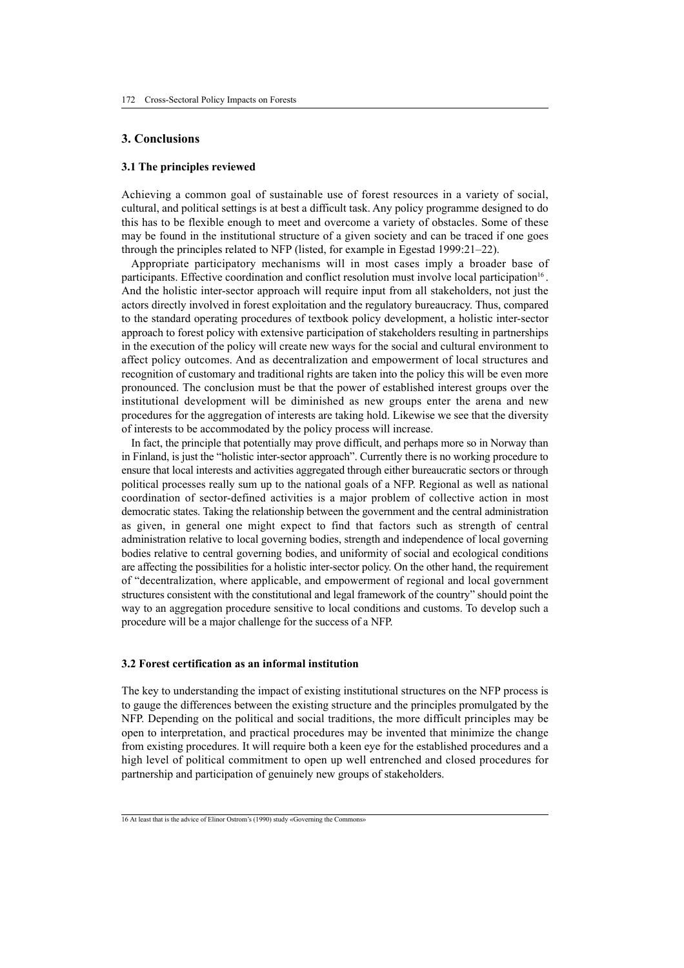## **3. Conclusions**

#### **3.1 The principles reviewed**

Achieving a common goal of sustainable use of forest resources in a variety of social, cultural, and political settings is at best a difficult task. Any policy programme designed to do this has to be flexible enough to meet and overcome a variety of obstacles. Some of these may be found in the institutional structure of a given society and can be traced if one goes through the principles related to NFP (listed, for example in Egestad 1999:21–22).

Appropriate participatory mechanisms will in most cases imply a broader base of participants. Effective coordination and conflict resolution must involve local participation<sup>16</sup>. And the holistic inter-sector approach will require input from all stakeholders, not just the actors directly involved in forest exploitation and the regulatory bureaucracy. Thus, compared to the standard operating procedures of textbook policy development, a holistic inter-sector approach to forest policy with extensive participation of stakeholders resulting in partnerships in the execution of the policy will create new ways for the social and cultural environment to affect policy outcomes. And as decentralization and empowerment of local structures and recognition of customary and traditional rights are taken into the policy this will be even more pronounced. The conclusion must be that the power of established interest groups over the institutional development will be diminished as new groups enter the arena and new procedures for the aggregation of interests are taking hold. Likewise we see that the diversity of interests to be accommodated by the policy process will increase.

In fact, the principle that potentially may prove difficult, and perhaps more so in Norway than in Finland, is just the "holistic inter-sector approach". Currently there is no working procedure to ensure that local interests and activities aggregated through either bureaucratic sectors or through political processes really sum up to the national goals of a NFP. Regional as well as national coordination of sector-defined activities is a major problem of collective action in most democratic states. Taking the relationship between the government and the central administration as given, in general one might expect to find that factors such as strength of central administration relative to local governing bodies, strength and independence of local governing bodies relative to central governing bodies, and uniformity of social and ecological conditions are affecting the possibilities for a holistic inter-sector policy. On the other hand, the requirement of "decentralization, where applicable, and empowerment of regional and local government structures consistent with the constitutional and legal framework of the country" should point the way to an aggregation procedure sensitive to local conditions and customs. To develop such a procedure will be a major challenge for the success of a NFP.

#### **3.2 Forest certification as an informal institution**

The key to understanding the impact of existing institutional structures on the NFP process is to gauge the differences between the existing structure and the principles promulgated by the NFP. Depending on the political and social traditions, the more difficult principles may be open to interpretation, and practical procedures may be invented that minimize the change from existing procedures. It will require both a keen eye for the established procedures and a high level of political commitment to open up well entrenched and closed procedures for partnership and participation of genuinely new groups of stakeholders.

<sup>16</sup> At least that is the advice of Elinor Ostrom's (1990) study «Governing the Commons»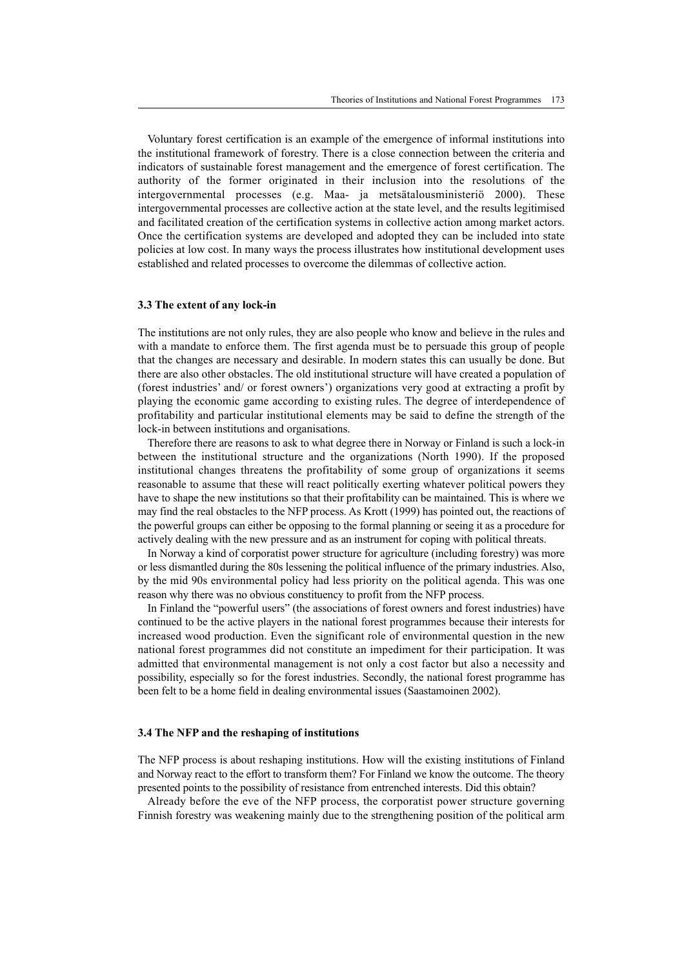Voluntary forest certification is an example of the emergence of informal institutions into the institutional framework of forestry. There is a close connection between the criteria and indicators of sustainable forest management and the emergence of forest certification. The authority of the former originated in their inclusion into the resolutions of the intergovernmental processes (e.g. Maa- ja metsätalousministeriö 2000). These intergovernmental processes are collective action at the state level, and the results legitimised and facilitated creation of the certification systems in collective action among market actors. Once the certification systems are developed and adopted they can be included into state policies at low cost. In many ways the process illustrates how institutional development uses established and related processes to overcome the dilemmas of collective action.

## **3.3 The extent of any lock-in**

The institutions are not only rules, they are also people who know and believe in the rules and with a mandate to enforce them. The first agenda must be to persuade this group of people that the changes are necessary and desirable. In modern states this can usually be done. But there are also other obstacles. The old institutional structure will have created a population of (forest industries' and/ or forest owners') organizations very good at extracting a profit by playing the economic game according to existing rules. The degree of interdependence of profitability and particular institutional elements may be said to define the strength of the lock-in between institutions and organisations.

Therefore there are reasons to ask to what degree there in Norway or Finland is such a lock-in between the institutional structure and the organizations (North 1990). If the proposed institutional changes threatens the profitability of some group of organizations it seems reasonable to assume that these will react politically exerting whatever political powers they have to shape the new institutions so that their profitability can be maintained. This is where we may find the real obstacles to the NFP process. As Krott (1999) has pointed out, the reactions of the powerful groups can either be opposing to the formal planning or seeing it as a procedure for actively dealing with the new pressure and as an instrument for coping with political threats.

In Norway a kind of corporatist power structure for agriculture (including forestry) was more or less dismantled during the 80s lessening the political influence of the primary industries. Also, by the mid 90s environmental policy had less priority on the political agenda. This was one reason why there was no obvious constituency to profit from the NFP process.

In Finland the "powerful users" (the associations of forest owners and forest industries) have continued to be the active players in the national forest programmes because their interests for increased wood production. Even the significant role of environmental question in the new national forest programmes did not constitute an impediment for their participation. It was admitted that environmental management is not only a cost factor but also a necessity and possibility, especially so for the forest industries. Secondly, the national forest programme has been felt to be a home field in dealing environmental issues (Saastamoinen 2002).

## **3.4 The NFP and the reshaping of institutions**

The NFP process is about reshaping institutions. How will the existing institutions of Finland and Norway react to the effort to transform them? For Finland we know the outcome. The theory presented points to the possibility of resistance from entrenched interests. Did this obtain?

Already before the eve of the NFP process, the corporatist power structure governing Finnish forestry was weakening mainly due to the strengthening position of the political arm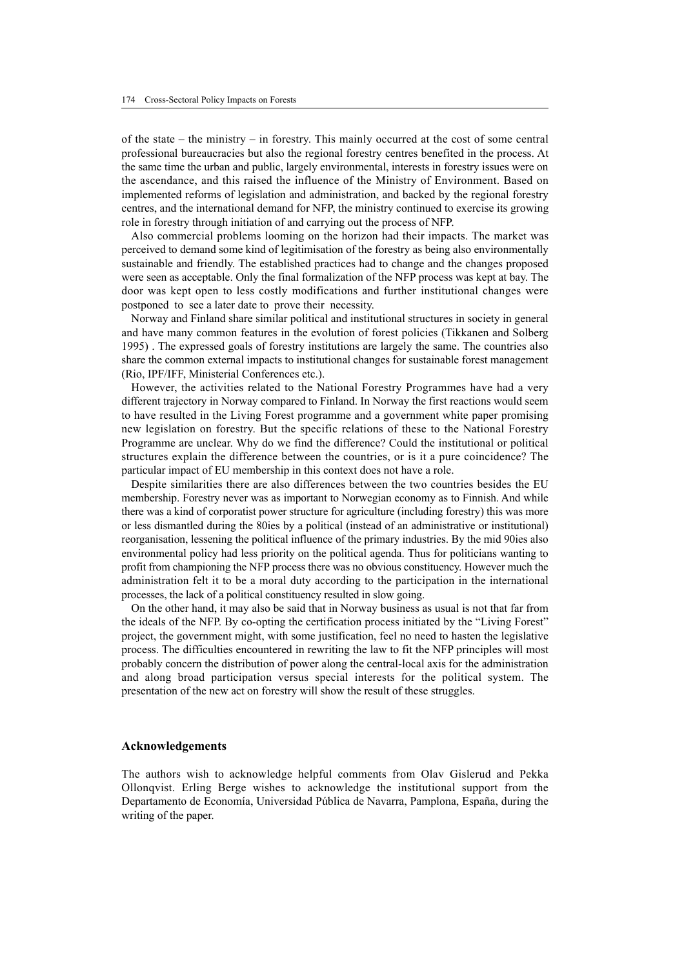of the state – the ministry – in forestry. This mainly occurred at the cost of some central professional bureaucracies but also the regional forestry centres benefited in the process. At the same time the urban and public, largely environmental, interests in forestry issues were on the ascendance, and this raised the influence of the Ministry of Environment. Based on implemented reforms of legislation and administration, and backed by the regional forestry centres, and the international demand for NFP, the ministry continued to exercise its growing role in forestry through initiation of and carrying out the process of NFP.

Also commercial problems looming on the horizon had their impacts. The market was perceived to demand some kind of legitimisation of the forestry as being also environmentally sustainable and friendly. The established practices had to change and the changes proposed were seen as acceptable. Only the final formalization of the NFP process was kept at bay. The door was kept open to less costly modifications and further institutional changes were postponed to see a later date to prove their necessity.

Norway and Finland share similar political and institutional structures in society in general and have many common features in the evolution of forest policies (Tikkanen and Solberg 1995) . The expressed goals of forestry institutions are largely the same. The countries also share the common external impacts to institutional changes for sustainable forest management (Rio, IPF/IFF, Ministerial Conferences etc.).

However, the activities related to the National Forestry Programmes have had a very different trajectory in Norway compared to Finland. In Norway the first reactions would seem to have resulted in the Living Forest programme and a government white paper promising new legislation on forestry. But the specific relations of these to the National Forestry Programme are unclear. Why do we find the difference? Could the institutional or political structures explain the difference between the countries, or is it a pure coincidence? The particular impact of EU membership in this context does not have a role.

Despite similarities there are also differences between the two countries besides the EU membership. Forestry never was as important to Norwegian economy as to Finnish. And while there was a kind of corporatist power structure for agriculture (including forestry) this was more or less dismantled during the 80ies by a political (instead of an administrative or institutional) reorganisation, lessening the political influence of the primary industries. By the mid 90ies also environmental policy had less priority on the political agenda. Thus for politicians wanting to profit from championing the NFP process there was no obvious constituency. However much the administration felt it to be a moral duty according to the participation in the international processes, the lack of a political constituency resulted in slow going.

On the other hand, it may also be said that in Norway business as usual is not that far from the ideals of the NFP. By co-opting the certification process initiated by the "Living Forest" project, the government might, with some justification, feel no need to hasten the legislative process. The difficulties encountered in rewriting the law to fit the NFP principles will most probably concern the distribution of power along the central-local axis for the administration and along broad participation versus special interests for the political system. The presentation of the new act on forestry will show the result of these struggles.

## **Acknowledgements**

The authors wish to acknowledge helpful comments from Olav Gislerud and Pekka Ollonqvist. Erling Berge wishes to acknowledge the institutional support from the Departamento de Economía, Universidad Pública de Navarra, Pamplona, España, during the writing of the paper.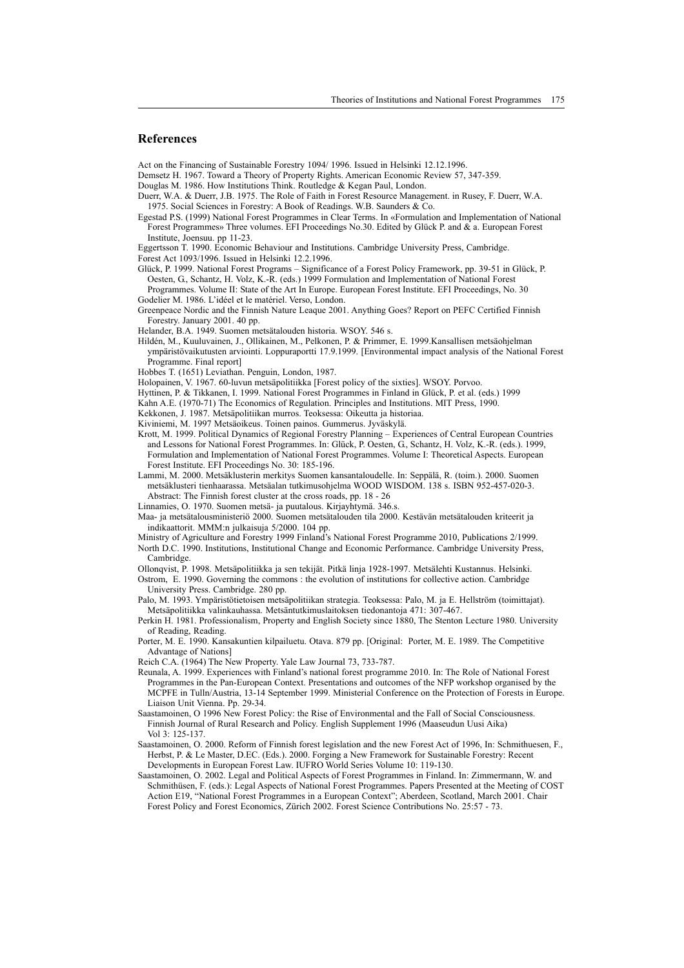## **References**

Act on the Financing of Sustainable Forestry 1094/ 1996. Issued in Helsinki 12.12.1996.

- Demsetz H. 1967. Toward a Theory of Property Rights. American Economic Review 57, 347-359.
- Douglas M. 1986. How Institutions Think. Routledge & Kegan Paul, London.
- Duerr, W.A. & Duerr, J.B. 1975. The Role of Faith in Forest Resource Management. in Rusey, F. Duerr, W.A. 1975. Social Sciences in Forestry: A Book of Readings. W.B. Saunders & Co.
- Egestad P.S. (1999) National Forest Programmes in Clear Terms. In «Formulation and Implementation of National Forest Programmes» Three volumes. EFI Proceedings No.30. Edited by Glück P. and & a. European Forest Institute, Joensuu. pp 11-23.
- Eggertsson T. 1990. Economic Behaviour and Institutions. Cambridge University Press, Cambridge.
- Forest Act 1093/1996. Issued in Helsinki 12.2.1996.
- Glück, P. 1999. National Forest Programs Significance of a Forest Policy Framework, pp. 39-51 in Glück, P. Oesten, G., Schantz, H. Volz, K.-R. (eds.) 1999 Formulation and Implementation of National Forest
- Programmes. Volume II: State of the Art In Europe. European Forest Institute. EFI Proceedings, No. 30 Godelier M. 1986. L'idéel et le matériel. Verso, London.
- Greenpeace Nordic and the Finnish Nature Leaque 2001. Anything Goes? Report on PEFC Certified Finnish Forestry. January 2001. 40 pp.
- Helander, B.A. 1949. Suomen metsätalouden historia. WSOY. 546 s.
- Hildén, M., Kuuluvainen, J., Ollikainen, M., Pelkonen, P. & Primmer, E. 1999.Kansallisen metsäohjelman ympäristövaikutusten arviointi. Loppuraportti 17.9.1999. [Environmental impact analysis of the National Forest Programme. Final report]
- Hobbes T. (1651) Leviathan. Penguin, London, 1987.
- Holopainen, V. 1967. 60-luvun metsäpolitiikka [Forest policy of the sixties]. WSOY. Porvoo.
- Hyttinen, P. & Tikkanen, I. 1999. National Forest Programmes in Finland in Glück, P. et al. (eds.) 1999
- Kahn A.E. (1970-71) The Economics of Regulation. Principles and Institutions. MIT Press, 1990.
- Kekkonen, J. 1987. Metsäpolitiikan murros. Teoksessa: Oikeutta ja historiaa.
- Kiviniemi, M. 1997 Metsäoikeus. Toinen painos. Gummerus. Jyväskylä.
- Krott, M. 1999. Political Dynamics of Regional Forestry Planning Experiences of Central European Countries and Lessons for National Forest Programmes. In: Glück, P. Oesten, G., Schantz, H. Volz, K.-R. (eds.). 1999, Formulation and Implementation of National Forest Programmes. Volume I: Theoretical Aspects. European Forest Institute. EFI Proceedings No. 30: 185-196.
- Lammi, M. 2000. Metsäklusterin merkitys Suomen kansantaloudelle. In: Seppälä, R. (toim.). 2000. Suomen metsäklusteri tienhaarassa. Metsäalan tutkimusohjelma WOOD WISDOM. 138 s. ISBN 952-457-020-3. Abstract: The Finnish forest cluster at the cross roads, pp. 18 - 26
- Linnamies, O. 1970. Suomen metsä- ja puutalous. Kirjayhtymä. 346.s.
- Maa- ja metsätalousministeriö 2000. Suomen metsätalouden tila 2000. Kestävän metsätalouden kriteerit ja indikaattorit. MMM:n julkaisuja 5/2000. 104 pp.
- Ministry of Agriculture and Forestry 1999 Finland's National Forest Programme 2010, Publications 2/1999. North D.C. 1990. Institutions, Institutional Change and Economic Performance. Cambridge University Press, Cambridge.
- Ollonqvist, P. 1998. Metsäpolitiikka ja sen tekijät. Pitkä linja 1928-1997. Metsälehti Kustannus. Helsinki. Ostrom, E. 1990. Governing the commons : the evolution of institutions for collective action. Cambridge
- University Press. Cambridge. 280 pp. Palo, M. 1993. Ympäristötietoisen metsäpolitiikan strategia. Teoksessa: Palo, M. ja E. Hellström (toimittajat). Metsäpolitiikka valinkauhassa. Metsäntutkimuslaitoksen tiedonantoja 471: 307-467.
- Perkin H. 1981. Professionalism, Property and English Society since 1880, The Stenton Lecture 1980. University of Reading, Reading.
- Porter, M. E. 1990. Kansakuntien kilpailuetu. Otava. 879 pp. [Original: Porter, M. E. 1989. The Competitive Advantage of Nations]

Reich C.A. (1964) The New Property. Yale Law Journal 73, 733-787.

- Reunala, A. 1999. Experiences with Finland's national forest programme 2010. In: The Role of National Forest Programmes in the Pan-European Context. Presentations and outcomes of the NFP workshop organised by the MCPFE in Tulln/Austria, 13-14 September 1999. Ministerial Conference on the Protection of Forests in Europe. Liaison Unit Vienna. Pp. 29-34.
- Saastamoinen, O 1996 New Forest Policy: the Rise of Environmental and the Fall of Social Consciousness. Finnish Journal of Rural Research and Policy. English Supplement 1996 (Maaseudun Uusi Aika) Vol 3: 125-137.
- Saastamoinen, O. 2000. Reform of Finnish forest legislation and the new Forest Act of 1996, In: Schmithuesen, F., Herbst, P. & Le Master, D.EC. (Eds.). 2000. Forging a New Framework for Sustainable Forestry: Recent Developments in European Forest Law. IUFRO World Series Volume 10: 119-130.
- Saastamoinen, O. 2002. Legal and Political Aspects of Forest Programmes in Finland. In: Zimmermann, W. and Schmithüsen, F. (eds.): Legal Aspects of National Forest Programmes. Papers Presented at the Meeting of COST Action E19, "National Forest Programmes in a European Context"; Aberdeen, Scotland, March 2001. Chair Forest Policy and Forest Economics, Zürich 2002. Forest Science Contributions No. 25:57 - 73.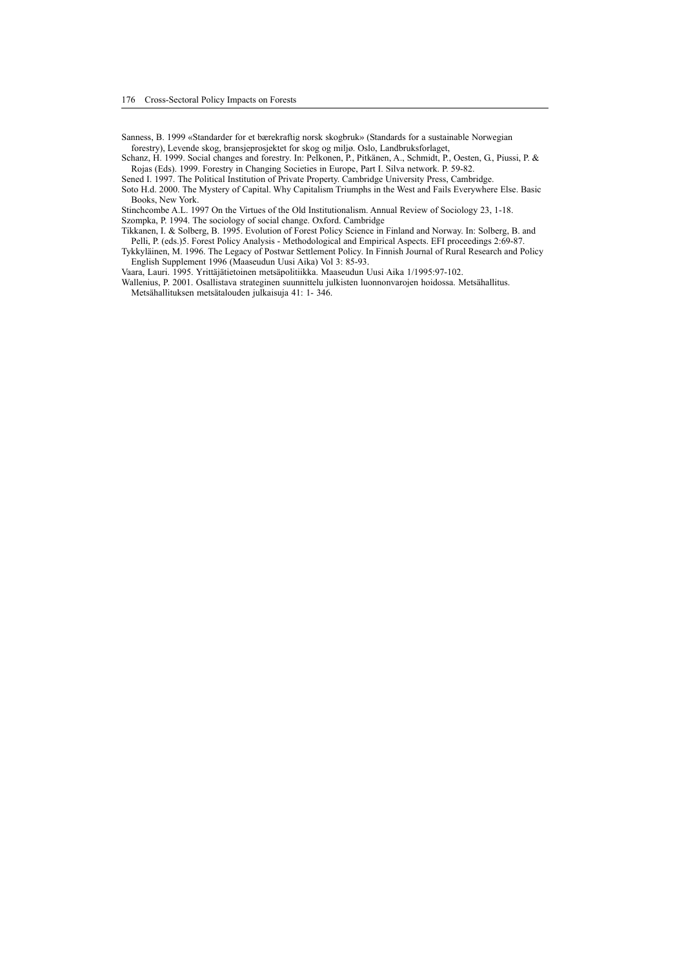Sanness, B. 1999 «Standarder for et bærekraftig norsk skogbruk» (Standards for a sustainable Norwegian forestry), Levende skog, bransjeprosjektet for skog og miljø. Oslo, Landbruksforlaget,

Schanz, H. 1999. Social changes and forestry. In: Pelkonen, P., Pitkänen, A., Schmidt, P., Oesten, G., Piussi, P. & Rojas (Eds). 1999. Forestry in Changing Societies in Europe, Part I. Silva network. P. 59-82.

Sened I. 1997. The Political Institution of Private Property. Cambridge University Press, Cambridge.

Soto H.d. 2000. The Mystery of Capital. Why Capitalism Triumphs in the West and Fails Everywhere Else. Basic Books, New York.

Stinchcombe A.L. 1997 On the Virtues of the Old Institutionalism. Annual Review of Sociology 23, 1-18. Szompka, P. 1994. The sociology of social change. Oxford. Cambridge

Tikkanen, I. & Solberg, B. 1995. Evolution of Forest Policy Science in Finland and Norway. In: Solberg, B. and Pelli, P. (eds.)5. Forest Policy Analysis - Methodological and Empirical Aspects. EFI proceedings 2:69-87.

Tykkyläinen, M. 1996. The Legacy of Postwar Settlement Policy. In Finnish Journal of Rural Research and Policy English Supplement 1996 (Maaseudun Uusi Aika) Vol 3: 85-93.

Vaara, Lauri. 1995. Yrittäjätietoinen metsäpolitiikka. Maaseudun Uusi Aika 1/1995:97-102. Wallenius, P. 2001. Osallistava strateginen suunnittelu julkisten luonnonvarojen hoidossa. Metsähallitus.

Metsähallituksen metsätalouden julkaisuja 41: 1- 346.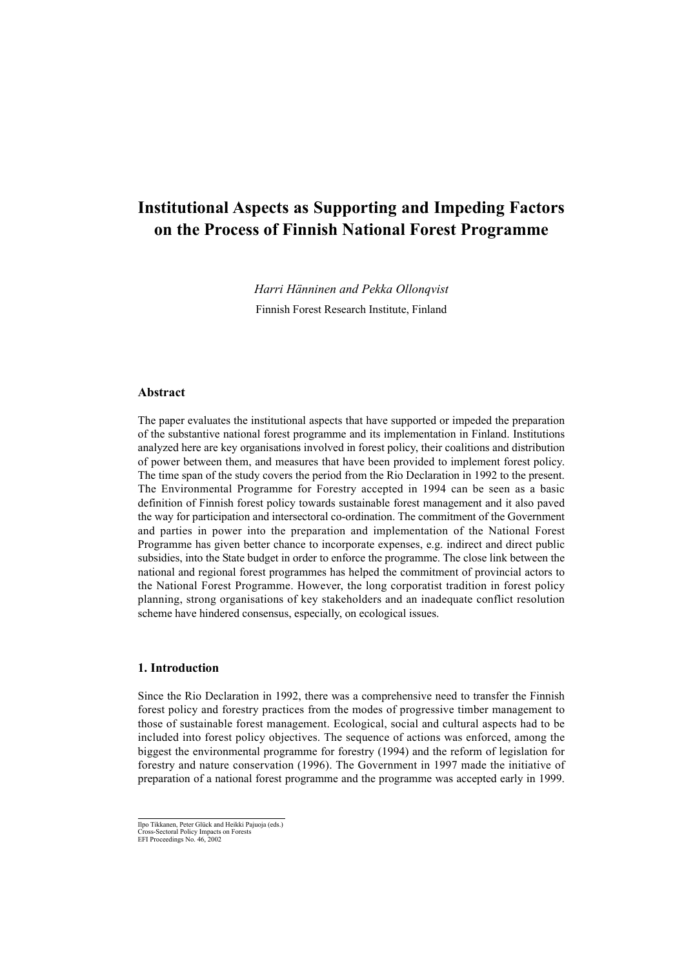# **Institutional Aspects as Supporting and Impeding Factors on the Process of Finnish National Forest Programme**

*Harri Hänninen and Pekka Ollonqvist*

Finnish Forest Research Institute, Finland

## **Abstract**

The paper evaluates the institutional aspects that have supported or impeded the preparation of the substantive national forest programme and its implementation in Finland. Institutions analyzed here are key organisations involved in forest policy, their coalitions and distribution of power between them, and measures that have been provided to implement forest policy. The time span of the study covers the period from the Rio Declaration in 1992 to the present. The Environmental Programme for Forestry accepted in 1994 can be seen as a basic definition of Finnish forest policy towards sustainable forest management and it also paved the way for participation and intersectoral co-ordination. The commitment of the Government and parties in power into the preparation and implementation of the National Forest Programme has given better chance to incorporate expenses, e.g. indirect and direct public subsidies, into the State budget in order to enforce the programme. The close link between the national and regional forest programmes has helped the commitment of provincial actors to the National Forest Programme. However, the long corporatist tradition in forest policy planning, strong organisations of key stakeholders and an inadequate conflict resolution scheme have hindered consensus, especially, on ecological issues.

## **1. Introduction**

Since the Rio Declaration in 1992, there was a comprehensive need to transfer the Finnish forest policy and forestry practices from the modes of progressive timber management to those of sustainable forest management. Ecological, social and cultural aspects had to be included into forest policy objectives. The sequence of actions was enforced, among the biggest the environmental programme for forestry (1994) and the reform of legislation for forestry and nature conservation (1996). The Government in 1997 made the initiative of preparation of a national forest programme and the programme was accepted early in 1999.

Ilpo Tikkanen, Peter Glück and Heikki Pajuoja (eds.) Cross-Sectoral Policy Impacts on Forests EFI Proceedings No. 46, 2002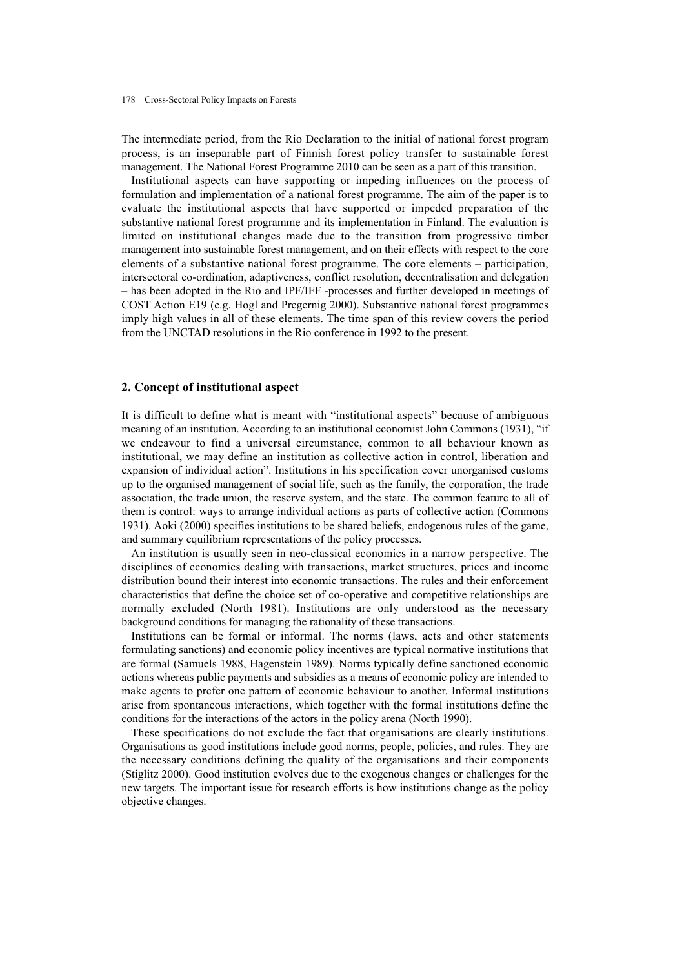The intermediate period, from the Rio Declaration to the initial of national forest program process, is an inseparable part of Finnish forest policy transfer to sustainable forest management. The National Forest Programme 2010 can be seen as a part of this transition.

Institutional aspects can have supporting or impeding influences on the process of formulation and implementation of a national forest programme. The aim of the paper is to evaluate the institutional aspects that have supported or impeded preparation of the substantive national forest programme and its implementation in Finland. The evaluation is limited on institutional changes made due to the transition from progressive timber management into sustainable forest management, and on their effects with respect to the core elements of a substantive national forest programme. The core elements – participation, intersectoral co-ordination, adaptiveness, conflict resolution, decentralisation and delegation – has been adopted in the Rio and IPF/IFF -processes and further developed in meetings of COST Action E19 (e.g. Hogl and Pregernig 2000). Substantive national forest programmes imply high values in all of these elements. The time span of this review covers the period from the UNCTAD resolutions in the Rio conference in 1992 to the present.

## **2. Concept of institutional aspect**

It is difficult to define what is meant with "institutional aspects" because of ambiguous meaning of an institution. According to an institutional economist John Commons (1931), "if we endeavour to find a universal circumstance, common to all behaviour known as institutional, we may define an institution as collective action in control, liberation and expansion of individual action". Institutions in his specification cover unorganised customs up to the organised management of social life, such as the family, the corporation, the trade association, the trade union, the reserve system, and the state. The common feature to all of them is control: ways to arrange individual actions as parts of collective action (Commons 1931). Aoki (2000) specifies institutions to be shared beliefs, endogenous rules of the game, and summary equilibrium representations of the policy processes.

An institution is usually seen in neo-classical economics in a narrow perspective. The disciplines of economics dealing with transactions, market structures, prices and income distribution bound their interest into economic transactions. The rules and their enforcement characteristics that define the choice set of co-operative and competitive relationships are normally excluded (North 1981). Institutions are only understood as the necessary background conditions for managing the rationality of these transactions.

Institutions can be formal or informal. The norms (laws, acts and other statements formulating sanctions) and economic policy incentives are typical normative institutions that are formal (Samuels 1988, Hagenstein 1989). Norms typically define sanctioned economic actions whereas public payments and subsidies as a means of economic policy are intended to make agents to prefer one pattern of economic behaviour to another. Informal institutions arise from spontaneous interactions, which together with the formal institutions define the conditions for the interactions of the actors in the policy arena (North 1990).

These specifications do not exclude the fact that organisations are clearly institutions. Organisations as good institutions include good norms, people, policies, and rules. They are the necessary conditions defining the quality of the organisations and their components (Stiglitz 2000). Good institution evolves due to the exogenous changes or challenges for the new targets. The important issue for research efforts is how institutions change as the policy objective changes.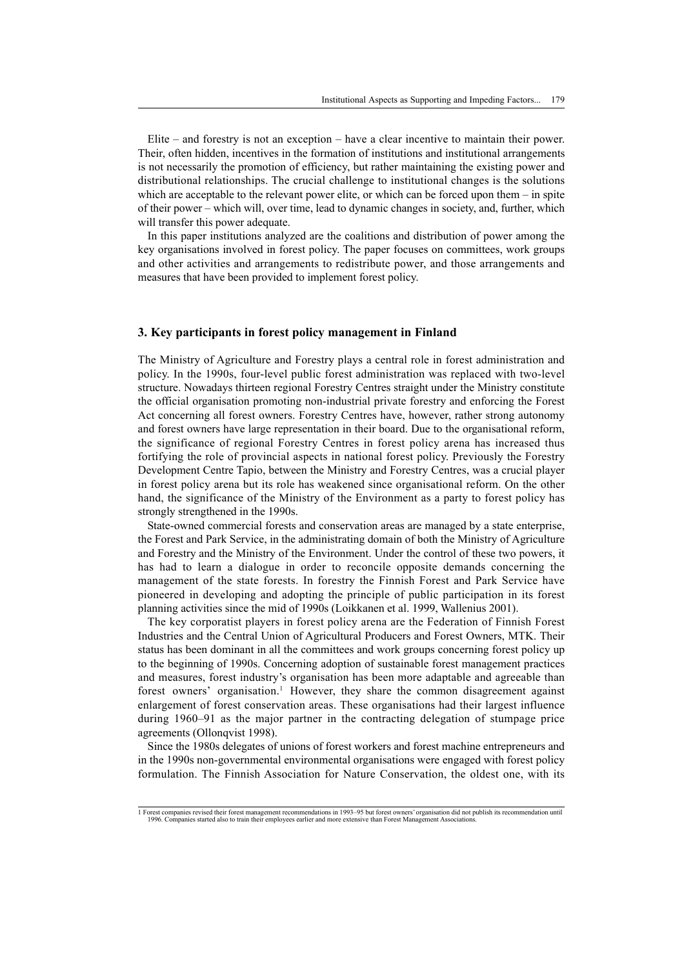Elite – and forestry is not an exception – have a clear incentive to maintain their power. Their, often hidden, incentives in the formation of institutions and institutional arrangements is not necessarily the promotion of efficiency, but rather maintaining the existing power and distributional relationships. The crucial challenge to institutional changes is the solutions which are acceptable to the relevant power elite, or which can be forced upon them – in spite of their power – which will, over time, lead to dynamic changes in society, and, further, which will transfer this power adequate.

In this paper institutions analyzed are the coalitions and distribution of power among the key organisations involved in forest policy. The paper focuses on committees, work groups and other activities and arrangements to redistribute power, and those arrangements and measures that have been provided to implement forest policy.

## **3. Key participants in forest policy management in Finland**

The Ministry of Agriculture and Forestry plays a central role in forest administration and policy. In the 1990s, four-level public forest administration was replaced with two-level structure. Nowadays thirteen regional Forestry Centres straight under the Ministry constitute the official organisation promoting non-industrial private forestry and enforcing the Forest Act concerning all forest owners. Forestry Centres have, however, rather strong autonomy and forest owners have large representation in their board. Due to the organisational reform, the significance of regional Forestry Centres in forest policy arena has increased thus fortifying the role of provincial aspects in national forest policy. Previously the Forestry Development Centre Tapio, between the Ministry and Forestry Centres, was a crucial player in forest policy arena but its role has weakened since organisational reform. On the other hand, the significance of the Ministry of the Environment as a party to forest policy has strongly strengthened in the 1990s.

State-owned commercial forests and conservation areas are managed by a state enterprise, the Forest and Park Service, in the administrating domain of both the Ministry of Agriculture and Forestry and the Ministry of the Environment. Under the control of these two powers, it has had to learn a dialogue in order to reconcile opposite demands concerning the management of the state forests. In forestry the Finnish Forest and Park Service have pioneered in developing and adopting the principle of public participation in its forest planning activities since the mid of 1990s (Loikkanen et al. 1999, Wallenius 2001).

The key corporatist players in forest policy arena are the Federation of Finnish Forest Industries and the Central Union of Agricultural Producers and Forest Owners, MTK. Their status has been dominant in all the committees and work groups concerning forest policy up to the beginning of 1990s. Concerning adoption of sustainable forest management practices and measures, forest industry's organisation has been more adaptable and agreeable than forest owners' organisation.<sup>1</sup> However, they share the common disagreement against enlargement of forest conservation areas. These organisations had their largest influence during 1960–91 as the major partner in the contracting delegation of stumpage price agreements (Ollonqvist 1998).

Since the 1980s delegates of unions of forest workers and forest machine entrepreneurs and in the 1990s non-governmental environmental organisations were engaged with forest policy formulation. The Finnish Association for Nature Conservation, the oldest one, with its

<sup>1</sup> Forest companies revised their forest management recommendations in 1993–95 but forest owners' organisation did not publish its recommendation until 1996. Companies started also to train their employees earlier and more extensive than Forest Management Associations.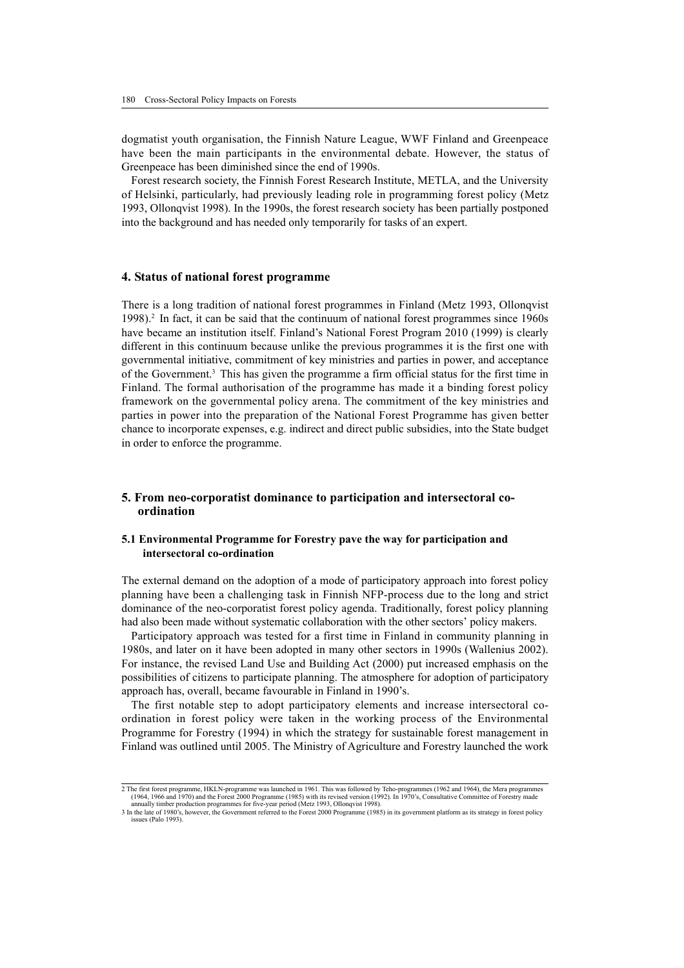dogmatist youth organisation, the Finnish Nature League, WWF Finland and Greenpeace have been the main participants in the environmental debate. However, the status of Greenpeace has been diminished since the end of 1990s.

Forest research society, the Finnish Forest Research Institute, METLA, and the University of Helsinki, particularly, had previously leading role in programming forest policy (Metz 1993, Ollonqvist 1998). In the 1990s, the forest research society has been partially postponed into the background and has needed only temporarily for tasks of an expert.

#### **4. Status of national forest programme**

There is a long tradition of national forest programmes in Finland (Metz 1993, Ollonqvist 1998).2 In fact, it can be said that the continuum of national forest programmes since 1960s have became an institution itself. Finland's National Forest Program 2010 (1999) is clearly different in this continuum because unlike the previous programmes it is the first one with governmental initiative, commitment of key ministries and parties in power, and acceptance of the Government.3 This has given the programme a firm official status for the first time in Finland. The formal authorisation of the programme has made it a binding forest policy framework on the governmental policy arena. The commitment of the key ministries and parties in power into the preparation of the National Forest Programme has given better chance to incorporate expenses, e.g. indirect and direct public subsidies, into the State budget in order to enforce the programme.

## **5. From neo-corporatist dominance to participation and intersectoral coordination**

## **5.1 Environmental Programme for Forestry pave the way for participation and intersectoral co-ordination**

The external demand on the adoption of a mode of participatory approach into forest policy planning have been a challenging task in Finnish NFP-process due to the long and strict dominance of the neo-corporatist forest policy agenda. Traditionally, forest policy planning had also been made without systematic collaboration with the other sectors' policy makers.

Participatory approach was tested for a first time in Finland in community planning in 1980s, and later on it have been adopted in many other sectors in 1990s (Wallenius 2002). For instance, the revised Land Use and Building Act (2000) put increased emphasis on the possibilities of citizens to participate planning. The atmosphere for adoption of participatory approach has, overall, became favourable in Finland in 1990's.

The first notable step to adopt participatory elements and increase intersectoral coordination in forest policy were taken in the working process of the Environmental Programme for Forestry (1994) in which the strategy for sustainable forest management in Finland was outlined until 2005. The Ministry of Agriculture and Forestry launched the work

<sup>2</sup> The first forest programme, HKLN-programme was launched in 1961. This was followed by Teho-programmes (1962 and 1964), the Mera programmes (1964, 1966 and 1970) and the Forest 2000 Programme (1985) with its revised version (1992). In 1970's, Consultative Committee of Forestry made annually timber production programmes for five-year period (Metz 1993, Ollonqvist 1998).

<sup>3</sup> In the late of 1980's, however, the Government referred to the Forest 2000 Programme (1985) in its government platform as its strategy in forest policy issues (Palo 1993).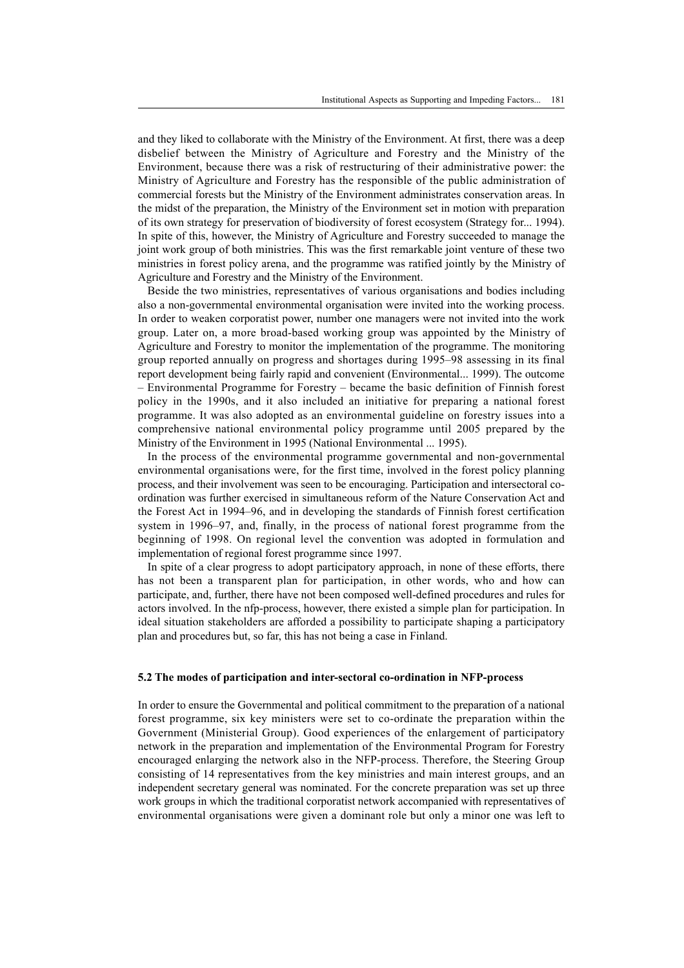and they liked to collaborate with the Ministry of the Environment. At first, there was a deep disbelief between the Ministry of Agriculture and Forestry and the Ministry of the Environment, because there was a risk of restructuring of their administrative power: the Ministry of Agriculture and Forestry has the responsible of the public administration of commercial forests but the Ministry of the Environment administrates conservation areas. In the midst of the preparation, the Ministry of the Environment set in motion with preparation of its own strategy for preservation of biodiversity of forest ecosystem (Strategy for... 1994). In spite of this, however, the Ministry of Agriculture and Forestry succeeded to manage the joint work group of both ministries. This was the first remarkable joint venture of these two ministries in forest policy arena, and the programme was ratified jointly by the Ministry of Agriculture and Forestry and the Ministry of the Environment.

Beside the two ministries, representatives of various organisations and bodies including also a non-governmental environmental organisation were invited into the working process. In order to weaken corporatist power, number one managers were not invited into the work group. Later on, a more broad-based working group was appointed by the Ministry of Agriculture and Forestry to monitor the implementation of the programme. The monitoring group reported annually on progress and shortages during 1995–98 assessing in its final report development being fairly rapid and convenient (Environmental... 1999). The outcome – Environmental Programme for Forestry – became the basic definition of Finnish forest policy in the 1990s, and it also included an initiative for preparing a national forest programme. It was also adopted as an environmental guideline on forestry issues into a comprehensive national environmental policy programme until 2005 prepared by the Ministry of the Environment in 1995 (National Environmental ... 1995).

In the process of the environmental programme governmental and non-governmental environmental organisations were, for the first time, involved in the forest policy planning process, and their involvement was seen to be encouraging. Participation and intersectoral coordination was further exercised in simultaneous reform of the Nature Conservation Act and the Forest Act in 1994–96, and in developing the standards of Finnish forest certification system in 1996–97, and, finally, in the process of national forest programme from the beginning of 1998. On regional level the convention was adopted in formulation and implementation of regional forest programme since 1997.

In spite of a clear progress to adopt participatory approach, in none of these efforts, there has not been a transparent plan for participation, in other words, who and how can participate, and, further, there have not been composed well-defined procedures and rules for actors involved. In the nfp-process, however, there existed a simple plan for participation. In ideal situation stakeholders are afforded a possibility to participate shaping a participatory plan and procedures but, so far, this has not being a case in Finland.

#### **5.2 The modes of participation and inter-sectoral co-ordination in NFP-process**

In order to ensure the Governmental and political commitment to the preparation of a national forest programme, six key ministers were set to co-ordinate the preparation within the Government (Ministerial Group). Good experiences of the enlargement of participatory network in the preparation and implementation of the Environmental Program for Forestry encouraged enlarging the network also in the NFP-process. Therefore, the Steering Group consisting of 14 representatives from the key ministries and main interest groups, and an independent secretary general was nominated. For the concrete preparation was set up three work groups in which the traditional corporatist network accompanied with representatives of environmental organisations were given a dominant role but only a minor one was left to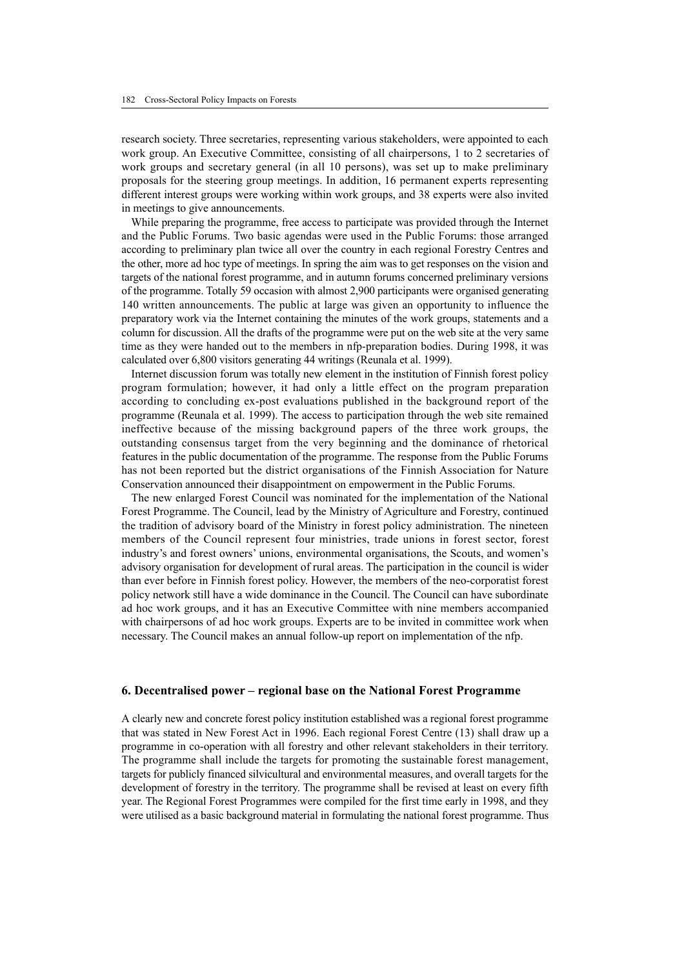research society. Three secretaries, representing various stakeholders, were appointed to each work group. An Executive Committee, consisting of all chairpersons, 1 to 2 secretaries of work groups and secretary general (in all 10 persons), was set up to make preliminary proposals for the steering group meetings. In addition, 16 permanent experts representing different interest groups were working within work groups, and 38 experts were also invited in meetings to give announcements.

While preparing the programme, free access to participate was provided through the Internet and the Public Forums. Two basic agendas were used in the Public Forums: those arranged according to preliminary plan twice all over the country in each regional Forestry Centres and the other, more ad hoc type of meetings. In spring the aim was to get responses on the vision and targets of the national forest programme, and in autumn forums concerned preliminary versions of the programme. Totally 59 occasion with almost 2,900 participants were organised generating 140 written announcements. The public at large was given an opportunity to influence the preparatory work via the Internet containing the minutes of the work groups, statements and a column for discussion. All the drafts of the programme were put on the web site at the very same time as they were handed out to the members in nfp-preparation bodies. During 1998, it was calculated over 6,800 visitors generating 44 writings (Reunala et al. 1999).

Internet discussion forum was totally new element in the institution of Finnish forest policy program formulation; however, it had only a little effect on the program preparation according to concluding ex-post evaluations published in the background report of the programme (Reunala et al. 1999). The access to participation through the web site remained ineffective because of the missing background papers of the three work groups, the outstanding consensus target from the very beginning and the dominance of rhetorical features in the public documentation of the programme. The response from the Public Forums has not been reported but the district organisations of the Finnish Association for Nature Conservation announced their disappointment on empowerment in the Public Forums.

The new enlarged Forest Council was nominated for the implementation of the National Forest Programme. The Council, lead by the Ministry of Agriculture and Forestry, continued the tradition of advisory board of the Ministry in forest policy administration. The nineteen members of the Council represent four ministries, trade unions in forest sector, forest industry's and forest owners' unions, environmental organisations, the Scouts, and women's advisory organisation for development of rural areas. The participation in the council is wider than ever before in Finnish forest policy. However, the members of the neo-corporatist forest policy network still have a wide dominance in the Council. The Council can have subordinate ad hoc work groups, and it has an Executive Committee with nine members accompanied with chairpersons of ad hoc work groups. Experts are to be invited in committee work when necessary. The Council makes an annual follow-up report on implementation of the nfp.

# **6. Decentralised power – regional base on the National Forest Programme**

A clearly new and concrete forest policy institution established was a regional forest programme that was stated in New Forest Act in 1996. Each regional Forest Centre (13) shall draw up a programme in co-operation with all forestry and other relevant stakeholders in their territory. The programme shall include the targets for promoting the sustainable forest management, targets for publicly financed silvicultural and environmental measures, and overall targets for the development of forestry in the territory. The programme shall be revised at least on every fifth year. The Regional Forest Programmes were compiled for the first time early in 1998, and they were utilised as a basic background material in formulating the national forest programme. Thus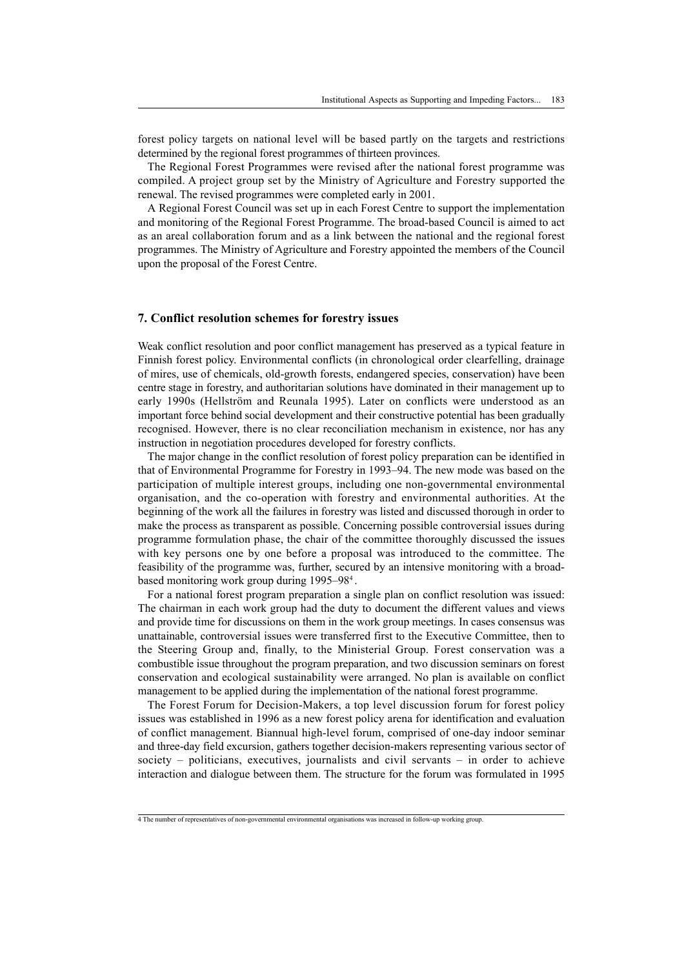forest policy targets on national level will be based partly on the targets and restrictions determined by the regional forest programmes of thirteen provinces.

The Regional Forest Programmes were revised after the national forest programme was compiled. A project group set by the Ministry of Agriculture and Forestry supported the renewal. The revised programmes were completed early in 2001.

A Regional Forest Council was set up in each Forest Centre to support the implementation and monitoring of the Regional Forest Programme. The broad-based Council is aimed to act as an areal collaboration forum and as a link between the national and the regional forest programmes. The Ministry of Agriculture and Forestry appointed the members of the Council upon the proposal of the Forest Centre.

#### **7. Conflict resolution schemes for forestry issues**

Weak conflict resolution and poor conflict management has preserved as a typical feature in Finnish forest policy. Environmental conflicts (in chronological order clearfelling, drainage of mires, use of chemicals, old-growth forests, endangered species, conservation) have been centre stage in forestry, and authoritarian solutions have dominated in their management up to early 1990s (Hellström and Reunala 1995). Later on conflicts were understood as an important force behind social development and their constructive potential has been gradually recognised. However, there is no clear reconciliation mechanism in existence, nor has any instruction in negotiation procedures developed for forestry conflicts.

The major change in the conflict resolution of forest policy preparation can be identified in that of Environmental Programme for Forestry in 1993–94. The new mode was based on the participation of multiple interest groups, including one non-governmental environmental organisation, and the co-operation with forestry and environmental authorities. At the beginning of the work all the failures in forestry was listed and discussed thorough in order to make the process as transparent as possible. Concerning possible controversial issues during programme formulation phase, the chair of the committee thoroughly discussed the issues with key persons one by one before a proposal was introduced to the committee. The feasibility of the programme was, further, secured by an intensive monitoring with a broadbased monitoring work group during 1995–984 .

For a national forest program preparation a single plan on conflict resolution was issued: The chairman in each work group had the duty to document the different values and views and provide time for discussions on them in the work group meetings. In cases consensus was unattainable, controversial issues were transferred first to the Executive Committee, then to the Steering Group and, finally, to the Ministerial Group. Forest conservation was a combustible issue throughout the program preparation, and two discussion seminars on forest conservation and ecological sustainability were arranged. No plan is available on conflict management to be applied during the implementation of the national forest programme.

The Forest Forum for Decision-Makers, a top level discussion forum for forest policy issues was established in 1996 as a new forest policy arena for identification and evaluation of conflict management. Biannual high-level forum, comprised of one-day indoor seminar and three-day field excursion, gathers together decision-makers representing various sector of society – politicians, executives, journalists and civil servants – in order to achieve interaction and dialogue between them. The structure for the forum was formulated in 1995

<sup>4</sup> The number of representatives of non-governmental environmental organisations was increased in follow-up working group.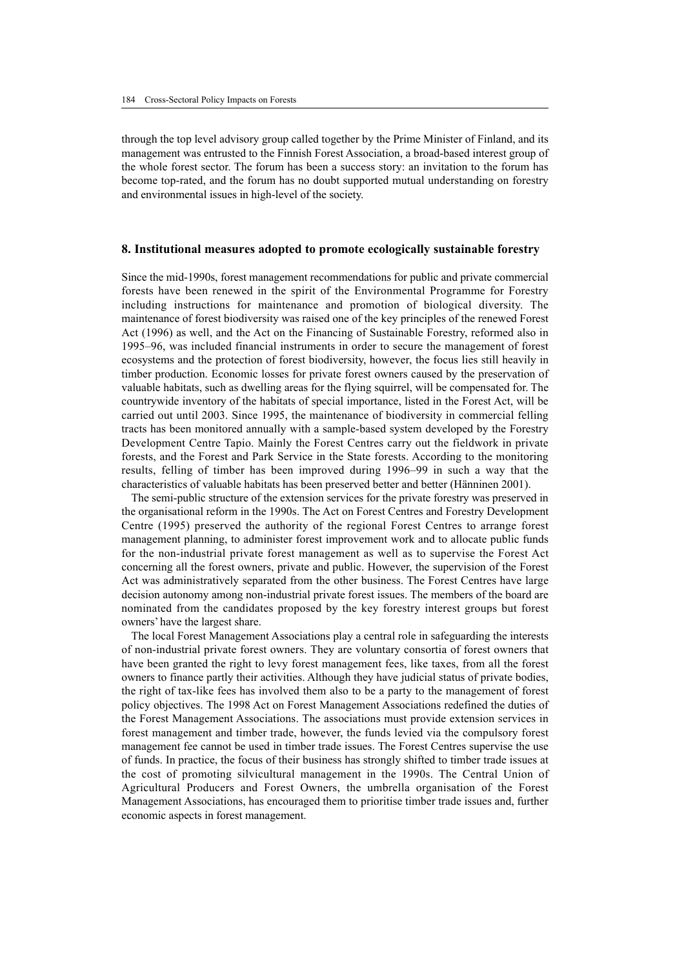through the top level advisory group called together by the Prime Minister of Finland, and its management was entrusted to the Finnish Forest Association, a broad-based interest group of the whole forest sector. The forum has been a success story: an invitation to the forum has become top-rated, and the forum has no doubt supported mutual understanding on forestry and environmental issues in high-level of the society.

# **8. Institutional measures adopted to promote ecologically sustainable forestry**

Since the mid-1990s, forest management recommendations for public and private commercial forests have been renewed in the spirit of the Environmental Programme for Forestry including instructions for maintenance and promotion of biological diversity. The maintenance of forest biodiversity was raised one of the key principles of the renewed Forest Act (1996) as well, and the Act on the Financing of Sustainable Forestry, reformed also in 1995–96, was included financial instruments in order to secure the management of forest ecosystems and the protection of forest biodiversity, however, the focus lies still heavily in timber production. Economic losses for private forest owners caused by the preservation of valuable habitats, such as dwelling areas for the flying squirrel, will be compensated for. The countrywide inventory of the habitats of special importance, listed in the Forest Act, will be carried out until 2003. Since 1995, the maintenance of biodiversity in commercial felling tracts has been monitored annually with a sample-based system developed by the Forestry Development Centre Tapio. Mainly the Forest Centres carry out the fieldwork in private forests, and the Forest and Park Service in the State forests. According to the monitoring results, felling of timber has been improved during 1996–99 in such a way that the characteristics of valuable habitats has been preserved better and better (Hänninen 2001).

The semi-public structure of the extension services for the private forestry was preserved in the organisational reform in the 1990s. The Act on Forest Centres and Forestry Development Centre (1995) preserved the authority of the regional Forest Centres to arrange forest management planning, to administer forest improvement work and to allocate public funds for the non-industrial private forest management as well as to supervise the Forest Act concerning all the forest owners, private and public. However, the supervision of the Forest Act was administratively separated from the other business. The Forest Centres have large decision autonomy among non-industrial private forest issues. The members of the board are nominated from the candidates proposed by the key forestry interest groups but forest owners' have the largest share.

The local Forest Management Associations play a central role in safeguarding the interests of non-industrial private forest owners. They are voluntary consortia of forest owners that have been granted the right to levy forest management fees, like taxes, from all the forest owners to finance partly their activities. Although they have judicial status of private bodies, the right of tax-like fees has involved them also to be a party to the management of forest policy objectives. The 1998 Act on Forest Management Associations redefined the duties of the Forest Management Associations. The associations must provide extension services in forest management and timber trade, however, the funds levied via the compulsory forest management fee cannot be used in timber trade issues. The Forest Centres supervise the use of funds. In practice, the focus of their business has strongly shifted to timber trade issues at the cost of promoting silvicultural management in the 1990s. The Central Union of Agricultural Producers and Forest Owners, the umbrella organisation of the Forest Management Associations, has encouraged them to prioritise timber trade issues and, further economic aspects in forest management.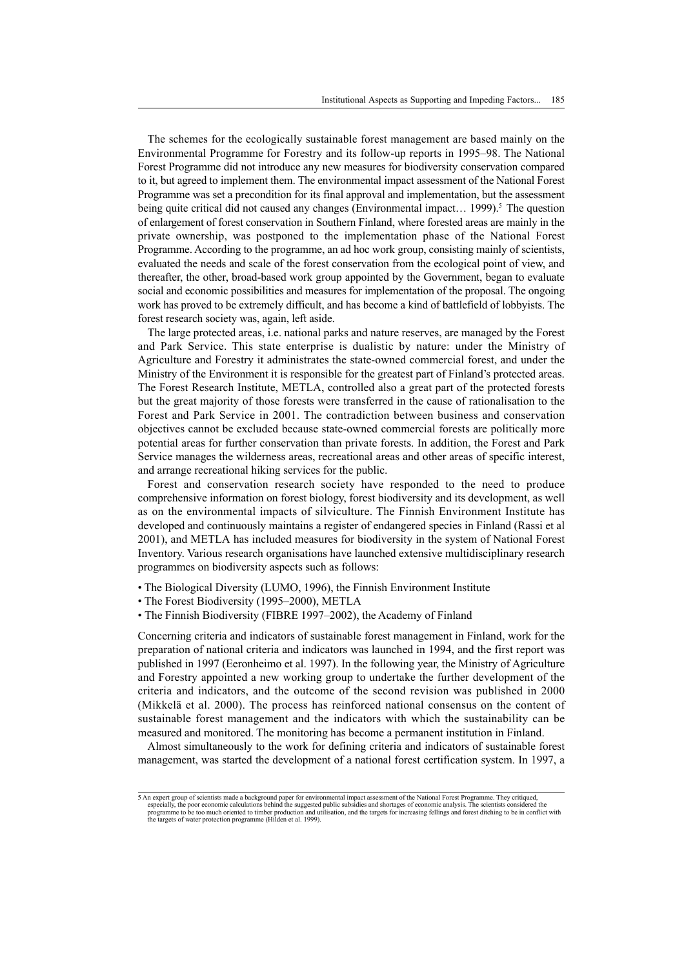The schemes for the ecologically sustainable forest management are based mainly on the Environmental Programme for Forestry and its follow-up reports in 1995–98. The National Forest Programme did not introduce any new measures for biodiversity conservation compared to it, but agreed to implement them. The environmental impact assessment of the National Forest Programme was set a precondition for its final approval and implementation, but the assessment being quite critical did not caused any changes (Environmental impact... 1999).<sup>5</sup> The question of enlargement of forest conservation in Southern Finland, where forested areas are mainly in the private ownership, was postponed to the implementation phase of the National Forest Programme. According to the programme, an ad hoc work group, consisting mainly of scientists, evaluated the needs and scale of the forest conservation from the ecological point of view, and thereafter, the other, broad-based work group appointed by the Government, began to evaluate social and economic possibilities and measures for implementation of the proposal. The ongoing work has proved to be extremely difficult, and has become a kind of battlefield of lobbyists. The forest research society was, again, left aside.

The large protected areas, i.e. national parks and nature reserves, are managed by the Forest and Park Service. This state enterprise is dualistic by nature: under the Ministry of Agriculture and Forestry it administrates the state-owned commercial forest, and under the Ministry of the Environment it is responsible for the greatest part of Finland's protected areas. The Forest Research Institute, METLA, controlled also a great part of the protected forests but the great majority of those forests were transferred in the cause of rationalisation to the Forest and Park Service in 2001. The contradiction between business and conservation objectives cannot be excluded because state-owned commercial forests are politically more potential areas for further conservation than private forests. In addition, the Forest and Park Service manages the wilderness areas, recreational areas and other areas of specific interest, and arrange recreational hiking services for the public.

Forest and conservation research society have responded to the need to produce comprehensive information on forest biology, forest biodiversity and its development, as well as on the environmental impacts of silviculture. The Finnish Environment Institute has developed and continuously maintains a register of endangered species in Finland (Rassi et al 2001), and METLA has included measures for biodiversity in the system of National Forest Inventory. Various research organisations have launched extensive multidisciplinary research programmes on biodiversity aspects such as follows:

- The Biological Diversity (LUMO, 1996), the Finnish Environment Institute
- The Forest Biodiversity (1995–2000), METLA
- The Finnish Biodiversity (FIBRE 1997–2002), the Academy of Finland

Concerning criteria and indicators of sustainable forest management in Finland, work for the preparation of national criteria and indicators was launched in 1994, and the first report was published in 1997 (Eeronheimo et al. 1997). In the following year, the Ministry of Agriculture and Forestry appointed a new working group to undertake the further development of the criteria and indicators, and the outcome of the second revision was published in 2000 (Mikkelä et al. 2000). The process has reinforced national consensus on the content of sustainable forest management and the indicators with which the sustainability can be measured and monitored. The monitoring has become a permanent institution in Finland.

Almost simultaneously to the work for defining criteria and indicators of sustainable forest management, was started the development of a national forest certification system. In 1997, a

<sup>5</sup> An expert group of scientists made a background paper for environmental impact assessment of the National Forest Programme. They critiqued,<br>especially, the poor economic calculations behind the suggested public subsidies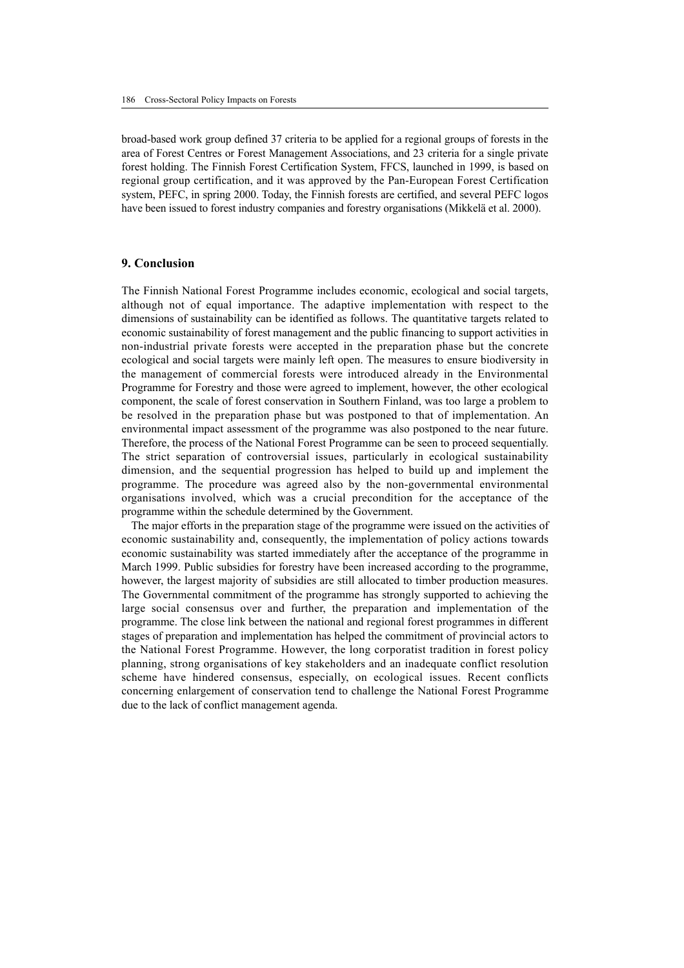broad-based work group defined 37 criteria to be applied for a regional groups of forests in the area of Forest Centres or Forest Management Associations, and 23 criteria for a single private forest holding. The Finnish Forest Certification System, FFCS, launched in 1999, is based on regional group certification, and it was approved by the Pan-European Forest Certification system, PEFC, in spring 2000. Today, the Finnish forests are certified, and several PEFC logos have been issued to forest industry companies and forestry organisations (Mikkelä et al. 2000).

# **9. Conclusion**

The Finnish National Forest Programme includes economic, ecological and social targets, although not of equal importance. The adaptive implementation with respect to the dimensions of sustainability can be identified as follows. The quantitative targets related to economic sustainability of forest management and the public financing to support activities in non-industrial private forests were accepted in the preparation phase but the concrete ecological and social targets were mainly left open. The measures to ensure biodiversity in the management of commercial forests were introduced already in the Environmental Programme for Forestry and those were agreed to implement, however, the other ecological component, the scale of forest conservation in Southern Finland, was too large a problem to be resolved in the preparation phase but was postponed to that of implementation. An environmental impact assessment of the programme was also postponed to the near future. Therefore, the process of the National Forest Programme can be seen to proceed sequentially. The strict separation of controversial issues, particularly in ecological sustainability dimension, and the sequential progression has helped to build up and implement the programme. The procedure was agreed also by the non-governmental environmental organisations involved, which was a crucial precondition for the acceptance of the programme within the schedule determined by the Government.

The major efforts in the preparation stage of the programme were issued on the activities of economic sustainability and, consequently, the implementation of policy actions towards economic sustainability was started immediately after the acceptance of the programme in March 1999. Public subsidies for forestry have been increased according to the programme, however, the largest majority of subsidies are still allocated to timber production measures. The Governmental commitment of the programme has strongly supported to achieving the large social consensus over and further, the preparation and implementation of the programme. The close link between the national and regional forest programmes in different stages of preparation and implementation has helped the commitment of provincial actors to the National Forest Programme. However, the long corporatist tradition in forest policy planning, strong organisations of key stakeholders and an inadequate conflict resolution scheme have hindered consensus, especially, on ecological issues. Recent conflicts concerning enlargement of conservation tend to challenge the National Forest Programme due to the lack of conflict management agenda.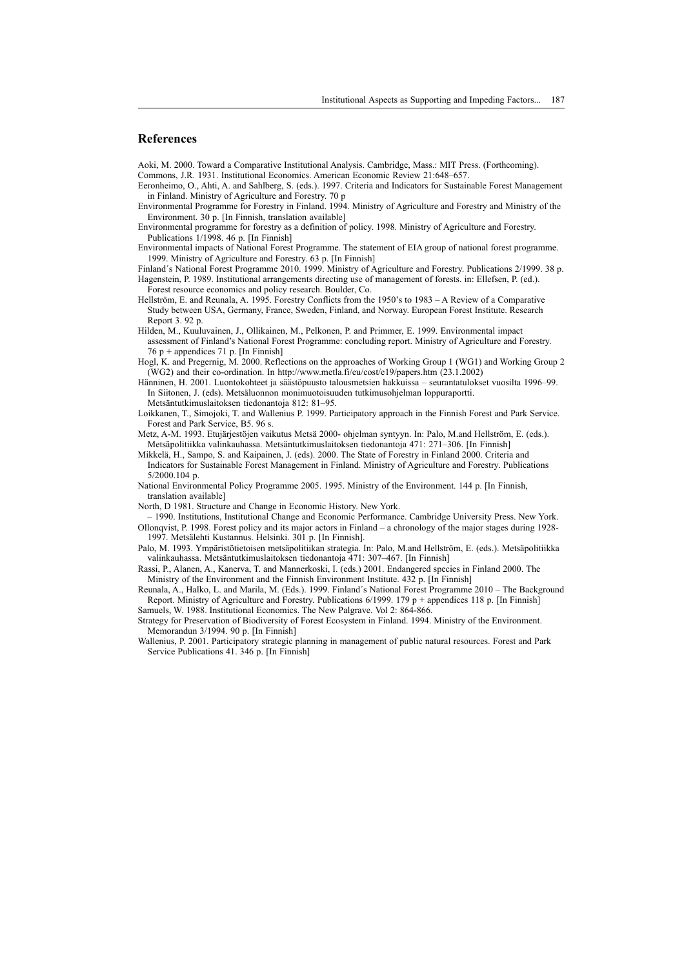# **References**

Aoki, M. 2000. Toward a Comparative Institutional Analysis. Cambridge, Mass.: MIT Press. (Forthcoming). Commons, J.R. 1931. Institutional Economics. American Economic Review 21:648–657.

Eeronheimo, O., Ahti, A. and Sahlberg, S. (eds.). 1997. Criteria and Indicators for Sustainable Forest Management in Finland. Ministry of Agriculture and Forestry. 70 p

Environmental Programme for Forestry in Finland. 1994. Ministry of Agriculture and Forestry and Ministry of the Environment. 30 p. [In Finnish, translation available]

Environmental programme for forestry as a definition of policy. 1998. Ministry of Agriculture and Forestry. Publications 1/1998. 46 p. [In Finnish]

Environmental impacts of National Forest Programme. The statement of EIA group of national forest programme. 1999. Ministry of Agriculture and Forestry. 63 p. [In Finnish]

Finland´s National Forest Programme 2010. 1999. Ministry of Agriculture and Forestry. Publications 2/1999. 38 p. Hagenstein, P. 1989. Institutional arrangements directing use of management of forests. in: Ellefsen, P. (ed.). Forest resource economics and policy research. Boulder, Co.

Hellström, E. and Reunala, A. 1995. Forestry Conflicts from the 1950's to 1983 – A Review of a Comparative Study between USA, Germany, France, Sweden, Finland, and Norway. European Forest Institute. Research Report 3. 92 p.

Hilden, M., Kuuluvainen, J., Ollikainen, M., Pelkonen, P. and Primmer, E. 1999. Environmental impact assessment of Finland's National Forest Programme: concluding report. Ministry of Agriculture and Forestry. 76 p + appendices 71 p. [In Finnish]

Hogl, K. and Pregernig, M. 2000. Reflections on the approaches of Working Group 1 (WG1) and Working Group 2 (WG2) and their co-ordination. In http://www.metla.fi/eu/cost/e19/papers.htm (23.1.2002)

Hänninen, H. 2001. Luontokohteet ja säästöpuusto talousmetsien hakkuissa – seurantatulokset vuosilta 1996–99. In Siitonen, J. (eds). Metsäluonnon monimuotoisuuden tutkimusohjelman loppuraportti.

Metsäntutkimuslaitoksen tiedonantoja 812: 81–95.

Loikkanen, T., Simojoki, T. and Wallenius P. 1999. Participatory approach in the Finnish Forest and Park Service. Forest and Park Service, B5. 96 s.

Metz, A-M. 1993. Etujärjestöjen vaikutus Metsä 2000- ohjelman syntyyn. In: Palo, M.and Hellström, E. (eds.). Metsäpolitiikka valinkauhassa. Metsäntutkimuslaitoksen tiedonantoja 471: 271–306. [In Finnish]

Mikkelä, H., Sampo, S. and Kaipainen, J. (eds). 2000. The State of Forestry in Finland 2000. Criteria and Indicators for Sustainable Forest Management in Finland. Ministry of Agriculture and Forestry. Publications 5/2000.104 p.

National Environmental Policy Programme 2005. 1995. Ministry of the Environment. 144 p. [In Finnish, translation available]

North, D 1981. Structure and Change in Economic History. New York.

– 1990. Institutions, Institutional Change and Economic Performance. Cambridge University Press. New York. Ollonqvist, P. 1998. Forest policy and its major actors in Finland – a chronology of the major stages during 1928- 1997. Metsälehti Kustannus. Helsinki. 301 p. [In Finnish].

Palo, M. 1993. Ympäristötietoisen metsäpolitiikan strategia. In: Palo, M.and Hellström, E. (eds.). Metsäpolitiikka valinkauhassa. Metsäntutkimuslaitoksen tiedonantoja 471: 307–467. [In Finnish]

Rassi, P., Alanen, A., Kanerva, T. and Mannerkoski, I. (eds.) 2001. Endangered species in Finland 2000. The Ministry of the Environment and the Finnish Environment Institute. 432 p. [In Finnish]

Reunala, A., Halko, L. and Marila, M. (Eds.). 1999. Finland´s National Forest Programme 2010 – The Background Report. Ministry of Agriculture and Forestry. Publications 6/1999. 179 p + appendices 118 p. [In Finnish] Samuels, W. 1988. Institutional Economics. The New Palgrave. Vol 2: 864-866.

Strategy for Preservation of Biodiversity of Forest Ecosystem in Finland. 1994. Ministry of the Environment. Memorandun 3/1994. 90 p. [In Finnish]

Wallenius, P. 2001. Participatory strategic planning in management of public natural resources. Forest and Park Service Publications 41. 346 p. [In Finnish]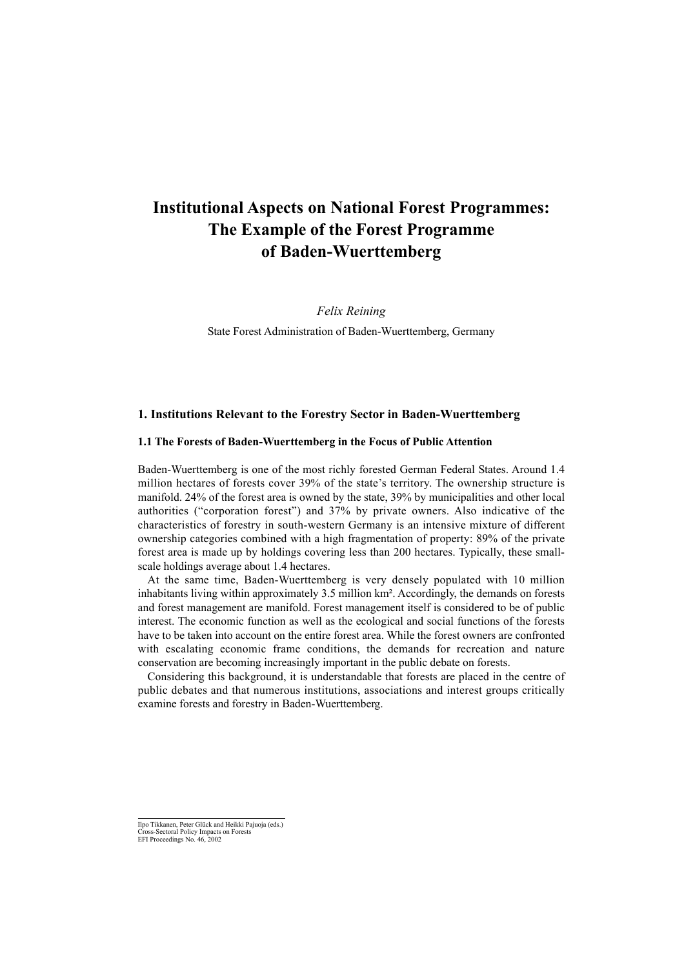# **Institutional Aspects on National Forest Programmes: The Example of the Forest Programme of Baden-Wuerttemberg**

*Felix Reining*

State Forest Administration of Baden-Wuerttemberg, Germany

# **1. Institutions Relevant to the Forestry Sector in Baden-Wuerttemberg**

#### **1.1 The Forests of Baden-Wuerttemberg in the Focus of Public Attention**

Baden-Wuerttemberg is one of the most richly forested German Federal States. Around 1.4 million hectares of forests cover 39% of the state's territory. The ownership structure is manifold. 24% of the forest area is owned by the state, 39% by municipalities and other local authorities ("corporation forest") and 37% by private owners. Also indicative of the characteristics of forestry in south-western Germany is an intensive mixture of different ownership categories combined with a high fragmentation of property: 89% of the private forest area is made up by holdings covering less than 200 hectares. Typically, these smallscale holdings average about 1.4 hectares.

At the same time, Baden-Wuerttemberg is very densely populated with 10 million inhabitants living within approximately 3.5 million km². Accordingly, the demands on forests and forest management are manifold. Forest management itself is considered to be of public interest. The economic function as well as the ecological and social functions of the forests have to be taken into account on the entire forest area. While the forest owners are confronted with escalating economic frame conditions, the demands for recreation and nature conservation are becoming increasingly important in the public debate on forests.

Considering this background, it is understandable that forests are placed in the centre of public debates and that numerous institutions, associations and interest groups critically examine forests and forestry in Baden-Wuerttemberg.

Ilpo Tikkanen, Peter Glück and Heikki Pajuoja (eds.) Cross-Sectoral Policy Impacts on Forests EFI Proceedings No. 46, 2002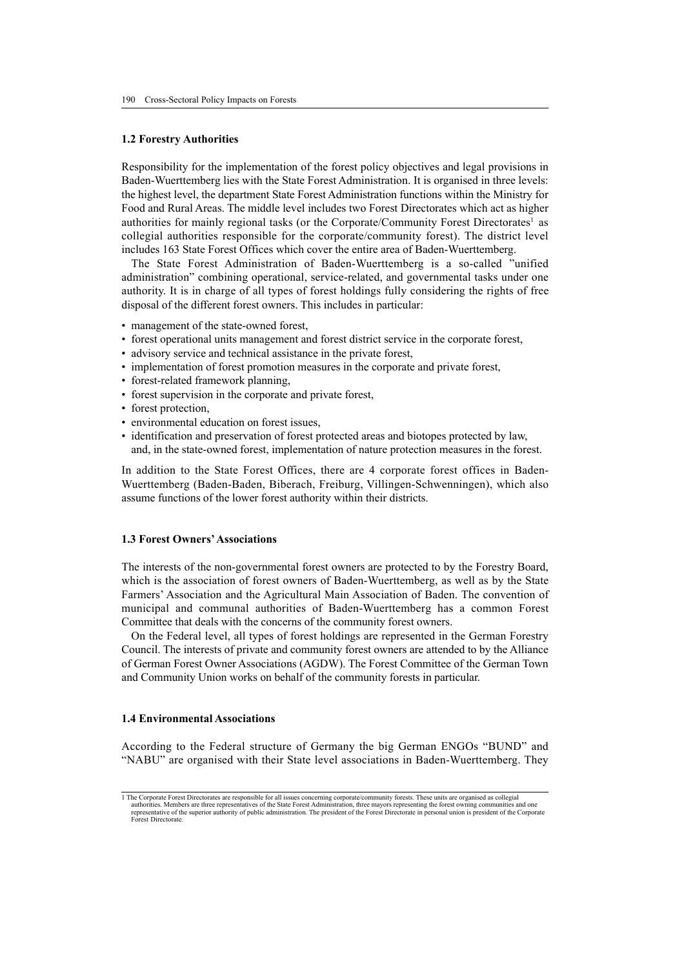#### **1.2 Forestry Authorities**

Responsibility for the implementation of the forest policy objectives and legal provisions in Baden-Wuerttemberg lies with the State Forest Administration. It is organised in three levels: the highest level, the department State Forest Administration functions within the Ministry for Food and Rural Areas. The middle level includes two Forest Directorates which act as higher authorities for mainly regional tasks (or the Corporate/Community Forest Directorates<sup>1</sup> as collegial authorities responsible for the corporate/community forest). The district level includes 163 State Forest Offices which cover the entire area of Baden-Wuerttemberg.

The State Forest Administration of Baden-Wuerttemberg is a so-called "unified administration" combining operational, service-related, and governmental tasks under one authority. It is in charge of all types of forest holdings fully considering the rights of free disposal of the different forest owners. This includes in particular:

- management of the state-owned forest,
- forest operational units management and forest district service in the corporate forest,
- advisory service and technical assistance in the private forest,
- implementation of forest promotion measures in the corporate and private forest,
- forest-related framework planning,
- forest supervision in the corporate and private forest,
- forest protection,
- environmental education on forest issues,
- identification and preservation of forest protected areas and biotopes protected by law, and, in the state-owned forest, implementation of nature protection measures in the forest.

In addition to the State Forest Offices, there are 4 corporate forest offices in Baden-Wuerttemberg (Baden-Baden, Biberach, Freiburg, Villingen-Schwenningen), which also assume functions of the lower forest authority within their districts.

#### **1.3 Forest Owners' Associations**

The interests of the non-governmental forest owners are protected to by the Forestry Board, which is the association of forest owners of Baden-Wuerttemberg, as well as by the State Farmers' Association and the Agricultural Main Association of Baden. The convention of municipal and communal authorities of Baden-Wuerttemberg has a common Forest Committee that deals with the concerns of the community forest owners.

On the Federal level, all types of forest holdings are represented in the German Forestry Council. The interests of private and community forest owners are attended to by the Alliance of German Forest Owner Associations (AGDW). The Forest Committee of the German Town and Community Union works on behalf of the community forests in particular.

#### **1.4 Environmental Associations**

According to the Federal structure of Germany the big German ENGOs "BUND" and "NABU" are organised with their State level associations in Baden-Wuerttemberg. They

<sup>1</sup> The Corporate Forest Directorates are responsible for all issues concerning corporate/community forests. These units are organised as collegial authorities. Members are three representatives of the State Forest Administration, three mayors representing the forest owning communities and one representative of the superior authority of public administration. The president of the Forest Directorate in personal union is president of the Corporate Forest Directorate.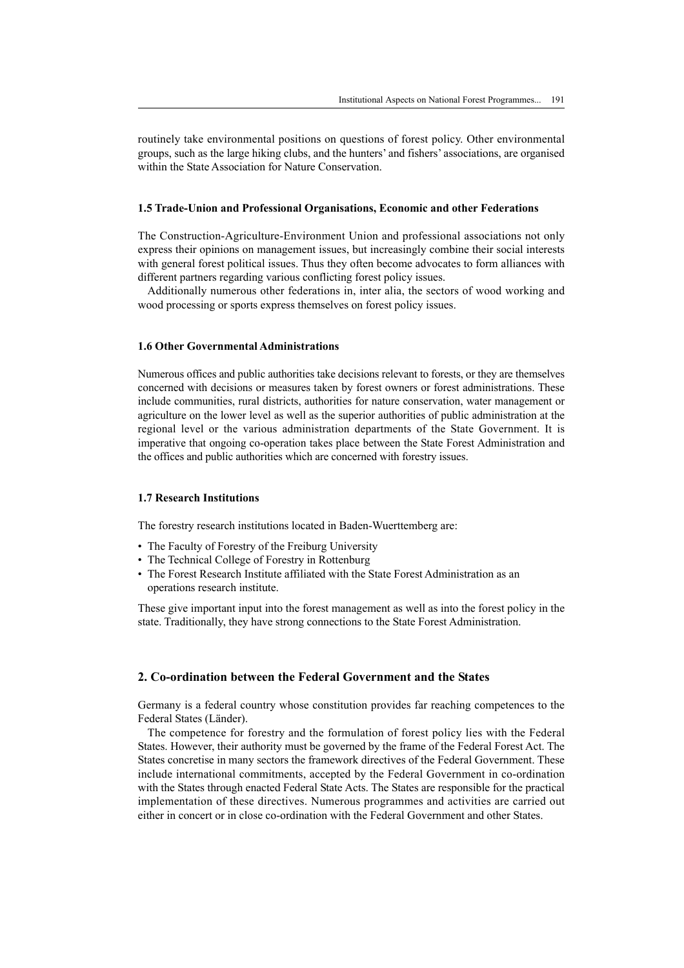routinely take environmental positions on questions of forest policy. Other environmental groups, such as the large hiking clubs, and the hunters' and fishers' associations, are organised within the State Association for Nature Conservation.

#### **1.5 Trade-Union and Professional Organisations, Economic and other Federations**

The Construction-Agriculture-Environment Union and professional associations not only express their opinions on management issues, but increasingly combine their social interests with general forest political issues. Thus they often become advocates to form alliances with different partners regarding various conflicting forest policy issues.

Additionally numerous other federations in, inter alia, the sectors of wood working and wood processing or sports express themselves on forest policy issues.

# **1.6 Other Governmental Administrations**

Numerous offices and public authorities take decisions relevant to forests, or they are themselves concerned with decisions or measures taken by forest owners or forest administrations. These include communities, rural districts, authorities for nature conservation, water management or agriculture on the lower level as well as the superior authorities of public administration at the regional level or the various administration departments of the State Government. It is imperative that ongoing co-operation takes place between the State Forest Administration and the offices and public authorities which are concerned with forestry issues.

### **1.7 Research Institutions**

The forestry research institutions located in Baden-Wuerttemberg are:

- The Faculty of Forestry of the Freiburg University
- The Technical College of Forestry in Rottenburg
- The Forest Research Institute affiliated with the State Forest Administration as an operations research institute.

These give important input into the forest management as well as into the forest policy in the state. Traditionally, they have strong connections to the State Forest Administration.

#### **2. Co-ordination between the Federal Government and the States**

Germany is a federal country whose constitution provides far reaching competences to the Federal States (Länder).

The competence for forestry and the formulation of forest policy lies with the Federal States. However, their authority must be governed by the frame of the Federal Forest Act. The States concretise in many sectors the framework directives of the Federal Government. These include international commitments, accepted by the Federal Government in co-ordination with the States through enacted Federal State Acts. The States are responsible for the practical implementation of these directives. Numerous programmes and activities are carried out either in concert or in close co-ordination with the Federal Government and other States.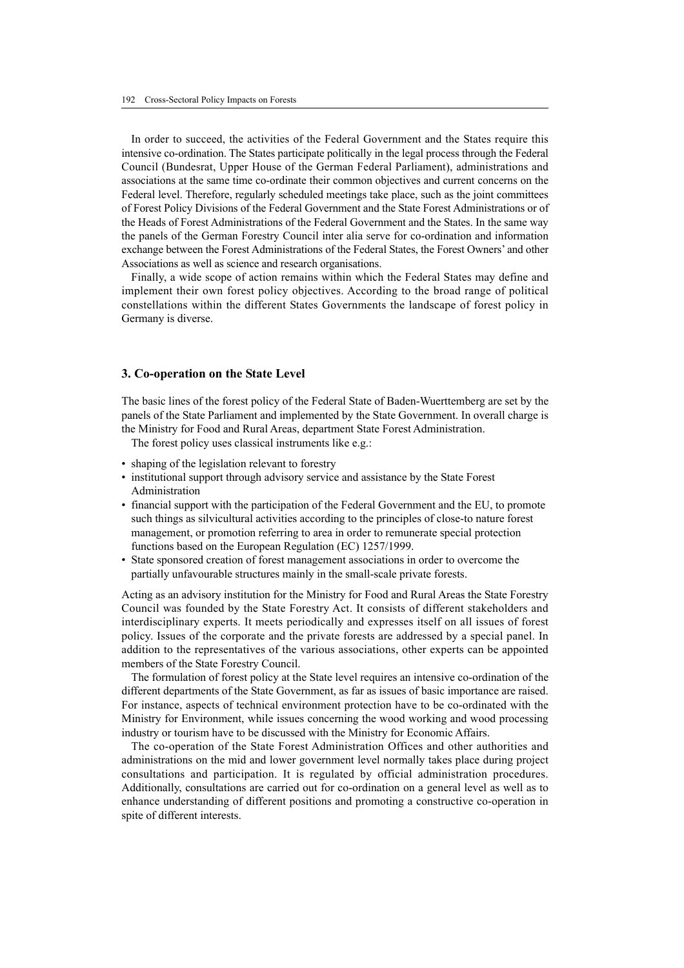In order to succeed, the activities of the Federal Government and the States require this intensive co-ordination. The States participate politically in the legal process through the Federal Council (Bundesrat, Upper House of the German Federal Parliament), administrations and associations at the same time co-ordinate their common objectives and current concerns on the Federal level. Therefore, regularly scheduled meetings take place, such as the joint committees of Forest Policy Divisions of the Federal Government and the State Forest Administrations or of the Heads of Forest Administrations of the Federal Government and the States. In the same way the panels of the German Forestry Council inter alia serve for co-ordination and information exchange between the Forest Administrations of the Federal States, the Forest Owners' and other Associations as well as science and research organisations.

Finally, a wide scope of action remains within which the Federal States may define and implement their own forest policy objectives. According to the broad range of political constellations within the different States Governments the landscape of forest policy in Germany is diverse.

#### **3. Co-operation on the State Level**

The basic lines of the forest policy of the Federal State of Baden-Wuerttemberg are set by the panels of the State Parliament and implemented by the State Government. In overall charge is the Ministry for Food and Rural Areas, department State Forest Administration.

The forest policy uses classical instruments like e.g.:

- shaping of the legislation relevant to forestry
- institutional support through advisory service and assistance by the State Forest Administration
- financial support with the participation of the Federal Government and the EU, to promote such things as silvicultural activities according to the principles of close-to nature forest management, or promotion referring to area in order to remunerate special protection functions based on the European Regulation (EC) 1257/1999.
- State sponsored creation of forest management associations in order to overcome the partially unfavourable structures mainly in the small-scale private forests.

Acting as an advisory institution for the Ministry for Food and Rural Areas the State Forestry Council was founded by the State Forestry Act. It consists of different stakeholders and interdisciplinary experts. It meets periodically and expresses itself on all issues of forest policy. Issues of the corporate and the private forests are addressed by a special panel. In addition to the representatives of the various associations, other experts can be appointed members of the State Forestry Council.

The formulation of forest policy at the State level requires an intensive co-ordination of the different departments of the State Government, as far as issues of basic importance are raised. For instance, aspects of technical environment protection have to be co-ordinated with the Ministry for Environment, while issues concerning the wood working and wood processing industry or tourism have to be discussed with the Ministry for Economic Affairs.

The co-operation of the State Forest Administration Offices and other authorities and administrations on the mid and lower government level normally takes place during project consultations and participation. It is regulated by official administration procedures. Additionally, consultations are carried out for co-ordination on a general level as well as to enhance understanding of different positions and promoting a constructive co-operation in spite of different interests.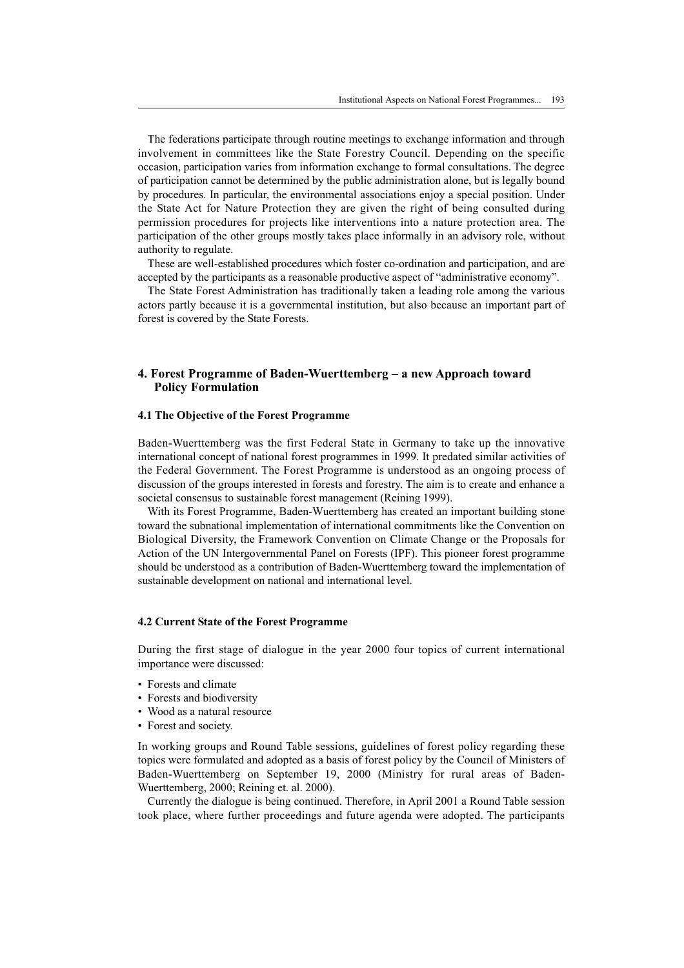The federations participate through routine meetings to exchange information and through involvement in committees like the State Forestry Council. Depending on the specific occasion, participation varies from information exchange to formal consultations. The degree of participation cannot be determined by the public administration alone, but is legally bound by procedures. In particular, the environmental associations enjoy a special position. Under the State Act for Nature Protection they are given the right of being consulted during permission procedures for projects like interventions into a nature protection area. The participation of the other groups mostly takes place informally in an advisory role, without authority to regulate.

These are well-established procedures which foster co-ordination and participation, and are accepted by the participants as a reasonable productive aspect of "administrative economy".

The State Forest Administration has traditionally taken a leading role among the various actors partly because it is a governmental institution, but also because an important part of forest is covered by the State Forests.

# **4. Forest Programme of Baden-Wuerttemberg – a new Approach toward Policy Formulation**

#### **4.1 The Objective of the Forest Programme**

Baden-Wuerttemberg was the first Federal State in Germany to take up the innovative international concept of national forest programmes in 1999. It predated similar activities of the Federal Government. The Forest Programme is understood as an ongoing process of discussion of the groups interested in forests and forestry. The aim is to create and enhance a societal consensus to sustainable forest management (Reining 1999).

With its Forest Programme, Baden-Wuerttemberg has created an important building stone toward the subnational implementation of international commitments like the Convention on Biological Diversity, the Framework Convention on Climate Change or the Proposals for Action of the UN Intergovernmental Panel on Forests (IPF). This pioneer forest programme should be understood as a contribution of Baden-Wuerttemberg toward the implementation of sustainable development on national and international level.

#### **4.2 Current State of the Forest Programme**

During the first stage of dialogue in the year 2000 four topics of current international importance were discussed:

- Forests and climate
- Forests and biodiversity
- Wood as a natural resource
- Forest and society.

In working groups and Round Table sessions, guidelines of forest policy regarding these topics were formulated and adopted as a basis of forest policy by the Council of Ministers of Baden-Wuerttemberg on September 19, 2000 (Ministry for rural areas of Baden-Wuerttemberg, 2000; Reining et. al. 2000).

Currently the dialogue is being continued. Therefore, in April 2001 a Round Table session took place, where further proceedings and future agenda were adopted. The participants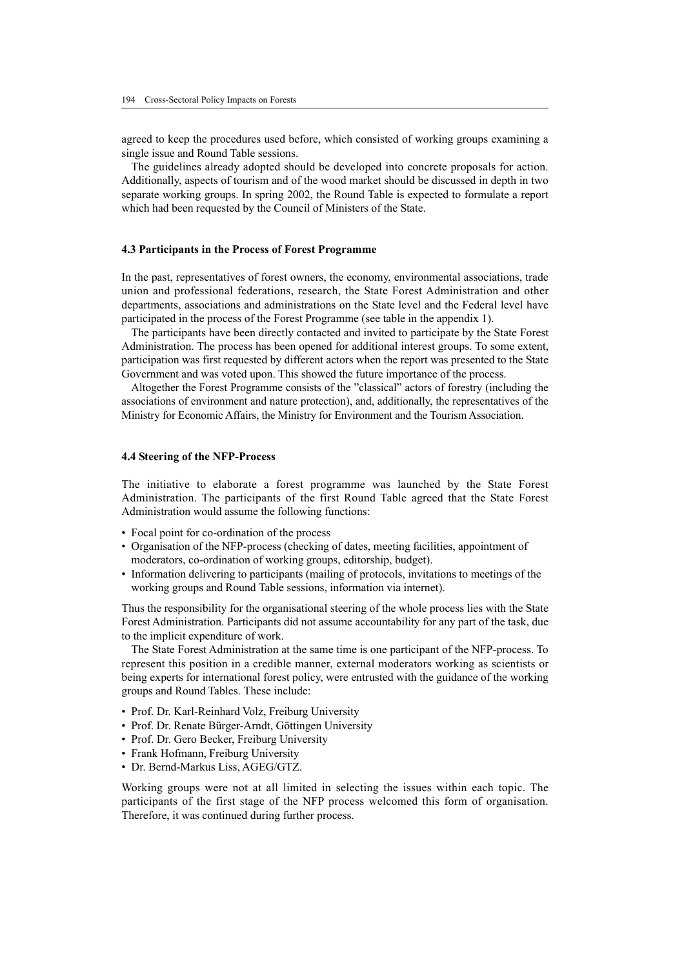agreed to keep the procedures used before, which consisted of working groups examining a single issue and Round Table sessions.

The guidelines already adopted should be developed into concrete proposals for action. Additionally, aspects of tourism and of the wood market should be discussed in depth in two separate working groups. In spring 2002, the Round Table is expected to formulate a report which had been requested by the Council of Ministers of the State.

#### **4.3 Participants in the Process of Forest Programme**

In the past, representatives of forest owners, the economy, environmental associations, trade union and professional federations, research, the State Forest Administration and other departments, associations and administrations on the State level and the Federal level have participated in the process of the Forest Programme (see table in the appendix 1).

The participants have been directly contacted and invited to participate by the State Forest Administration. The process has been opened for additional interest groups. To some extent, participation was first requested by different actors when the report was presented to the State Government and was voted upon. This showed the future importance of the process.

Altogether the Forest Programme consists of the "classical" actors of forestry (including the associations of environment and nature protection), and, additionally, the representatives of the Ministry for Economic Affairs, the Ministry for Environment and the Tourism Association.

#### **4.4 Steering of the NFP-Process**

The initiative to elaborate a forest programme was launched by the State Forest Administration. The participants of the first Round Table agreed that the State Forest Administration would assume the following functions:

- Focal point for co-ordination of the process
- Organisation of the NFP-process (checking of dates, meeting facilities, appointment of moderators, co-ordination of working groups, editorship, budget).
- Information delivering to participants (mailing of protocols, invitations to meetings of the working groups and Round Table sessions, information via internet).

Thus the responsibility for the organisational steering of the whole process lies with the State Forest Administration. Participants did not assume accountability for any part of the task, due to the implicit expenditure of work.

The State Forest Administration at the same time is one participant of the NFP-process. To represent this position in a credible manner, external moderators working as scientists or being experts for international forest policy, were entrusted with the guidance of the working groups and Round Tables. These include:

- Prof. Dr. Karl-Reinhard Volz, Freiburg University
- Prof. Dr. Renate Bürger-Arndt, Göttingen University
- Prof. Dr. Gero Becker, Freiburg University
- Frank Hofmann, Freiburg University
- Dr. Bernd-Markus Liss, AGEG/GTZ.

Working groups were not at all limited in selecting the issues within each topic. The participants of the first stage of the NFP process welcomed this form of organisation. Therefore, it was continued during further process.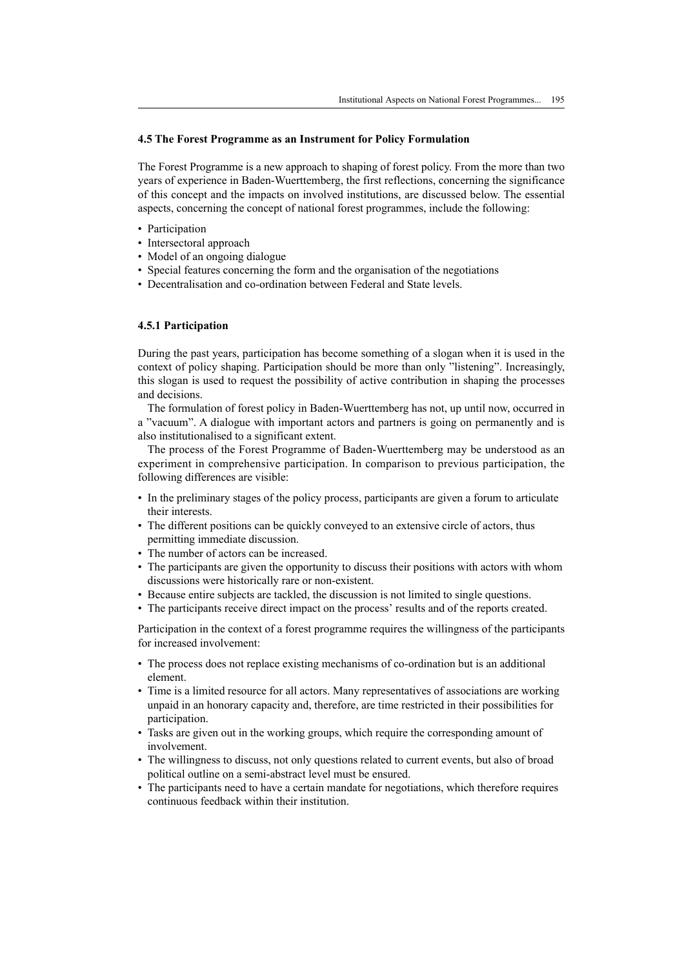#### **4.5 The Forest Programme as an Instrument for Policy Formulation**

The Forest Programme is a new approach to shaping of forest policy. From the more than two years of experience in Baden-Wuerttemberg, the first reflections, concerning the significance of this concept and the impacts on involved institutions, are discussed below. The essential aspects, concerning the concept of national forest programmes, include the following:

- Participation
- Intersectoral approach
- Model of an ongoing dialogue
- Special features concerning the form and the organisation of the negotiations
- Decentralisation and co-ordination between Federal and State levels.

#### **4.5.1 Participation**

During the past years, participation has become something of a slogan when it is used in the context of policy shaping. Participation should be more than only "listening". Increasingly, this slogan is used to request the possibility of active contribution in shaping the processes and decisions.

The formulation of forest policy in Baden-Wuerttemberg has not, up until now, occurred in a "vacuum". A dialogue with important actors and partners is going on permanently and is also institutionalised to a significant extent.

The process of the Forest Programme of Baden-Wuerttemberg may be understood as an experiment in comprehensive participation. In comparison to previous participation, the following differences are visible:

- In the preliminary stages of the policy process, participants are given a forum to articulate their interests.
- The different positions can be quickly conveyed to an extensive circle of actors, thus permitting immediate discussion.
- The number of actors can be increased.
- The participants are given the opportunity to discuss their positions with actors with whom discussions were historically rare or non-existent.
- Because entire subjects are tackled, the discussion is not limited to single questions.
- The participants receive direct impact on the process' results and of the reports created.

Participation in the context of a forest programme requires the willingness of the participants for increased involvement:

- The process does not replace existing mechanisms of co-ordination but is an additional element.
- Time is a limited resource for all actors. Many representatives of associations are working unpaid in an honorary capacity and, therefore, are time restricted in their possibilities for participation.
- Tasks are given out in the working groups, which require the corresponding amount of involvement.
- The willingness to discuss, not only questions related to current events, but also of broad political outline on a semi-abstract level must be ensured.
- The participants need to have a certain mandate for negotiations, which therefore requires continuous feedback within their institution.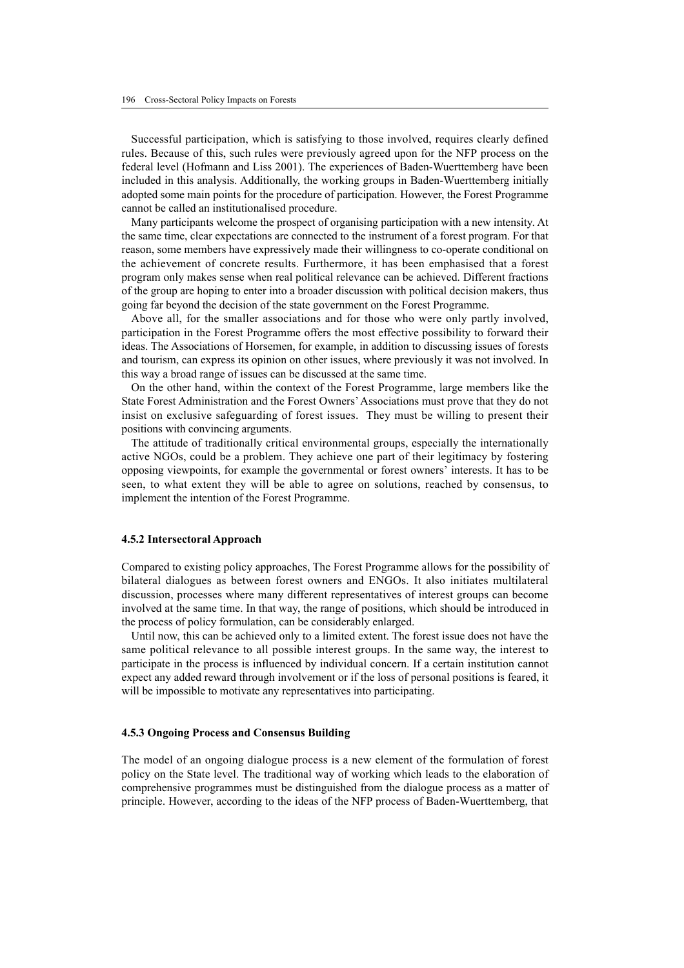Successful participation, which is satisfying to those involved, requires clearly defined rules. Because of this, such rules were previously agreed upon for the NFP process on the federal level (Hofmann and Liss 2001). The experiences of Baden-Wuerttemberg have been included in this analysis. Additionally, the working groups in Baden-Wuerttemberg initially adopted some main points for the procedure of participation. However, the Forest Programme cannot be called an institutionalised procedure.

Many participants welcome the prospect of organising participation with a new intensity. At the same time, clear expectations are connected to the instrument of a forest program. For that reason, some members have expressively made their willingness to co-operate conditional on the achievement of concrete results. Furthermore, it has been emphasised that a forest program only makes sense when real political relevance can be achieved. Different fractions of the group are hoping to enter into a broader discussion with political decision makers, thus going far beyond the decision of the state government on the Forest Programme.

Above all, for the smaller associations and for those who were only partly involved, participation in the Forest Programme offers the most effective possibility to forward their ideas. The Associations of Horsemen, for example, in addition to discussing issues of forests and tourism, can express its opinion on other issues, where previously it was not involved. In this way a broad range of issues can be discussed at the same time.

On the other hand, within the context of the Forest Programme, large members like the State Forest Administration and the Forest Owners' Associations must prove that they do not insist on exclusive safeguarding of forest issues. They must be willing to present their positions with convincing arguments.

The attitude of traditionally critical environmental groups, especially the internationally active NGOs, could be a problem. They achieve one part of their legitimacy by fostering opposing viewpoints, for example the governmental or forest owners' interests. It has to be seen, to what extent they will be able to agree on solutions, reached by consensus, to implement the intention of the Forest Programme.

#### **4.5.2 Intersectoral Approach**

Compared to existing policy approaches, The Forest Programme allows for the possibility of bilateral dialogues as between forest owners and ENGOs. It also initiates multilateral discussion, processes where many different representatives of interest groups can become involved at the same time. In that way, the range of positions, which should be introduced in the process of policy formulation, can be considerably enlarged.

Until now, this can be achieved only to a limited extent. The forest issue does not have the same political relevance to all possible interest groups. In the same way, the interest to participate in the process is influenced by individual concern. If a certain institution cannot expect any added reward through involvement or if the loss of personal positions is feared, it will be impossible to motivate any representatives into participating.

#### **4.5.3 Ongoing Process and Consensus Building**

The model of an ongoing dialogue process is a new element of the formulation of forest policy on the State level. The traditional way of working which leads to the elaboration of comprehensive programmes must be distinguished from the dialogue process as a matter of principle. However, according to the ideas of the NFP process of Baden-Wuerttemberg, that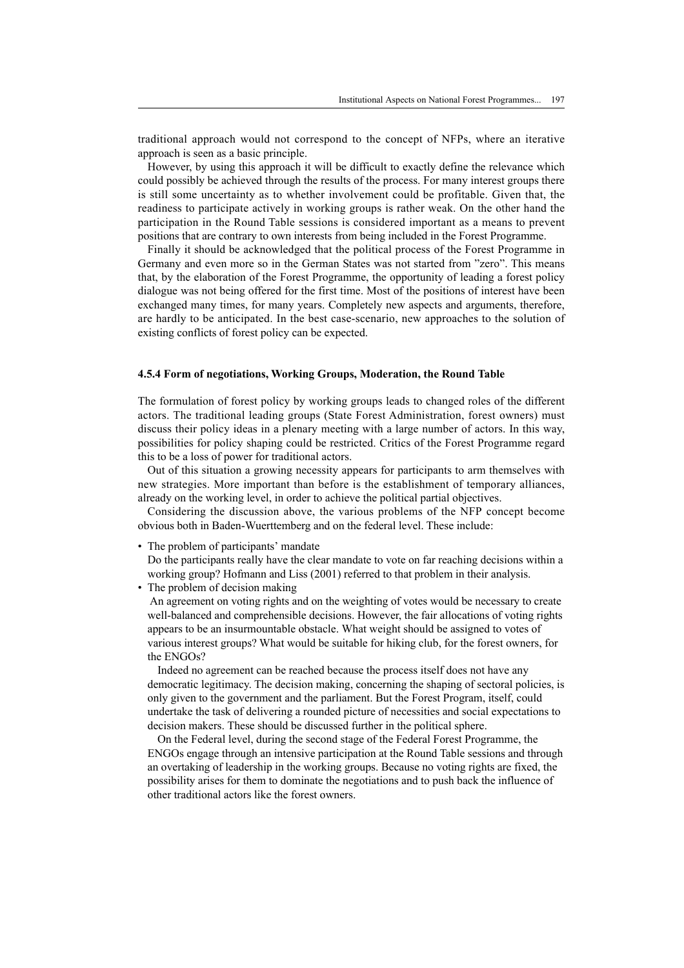traditional approach would not correspond to the concept of NFPs, where an iterative approach is seen as a basic principle.

However, by using this approach it will be difficult to exactly define the relevance which could possibly be achieved through the results of the process. For many interest groups there is still some uncertainty as to whether involvement could be profitable. Given that, the readiness to participate actively in working groups is rather weak. On the other hand the participation in the Round Table sessions is considered important as a means to prevent positions that are contrary to own interests from being included in the Forest Programme.

Finally it should be acknowledged that the political process of the Forest Programme in Germany and even more so in the German States was not started from "zero". This means that, by the elaboration of the Forest Programme, the opportunity of leading a forest policy dialogue was not being offered for the first time. Most of the positions of interest have been exchanged many times, for many years. Completely new aspects and arguments, therefore, are hardly to be anticipated. In the best case-scenario, new approaches to the solution of existing conflicts of forest policy can be expected.

#### **4.5.4 Form of negotiations, Working Groups, Moderation, the Round Table**

The formulation of forest policy by working groups leads to changed roles of the different actors. The traditional leading groups (State Forest Administration, forest owners) must discuss their policy ideas in a plenary meeting with a large number of actors. In this way, possibilities for policy shaping could be restricted. Critics of the Forest Programme regard this to be a loss of power for traditional actors.

Out of this situation a growing necessity appears for participants to arm themselves with new strategies. More important than before is the establishment of temporary alliances, already on the working level, in order to achieve the political partial objectives.

Considering the discussion above, the various problems of the NFP concept become obvious both in Baden-Wuerttemberg and on the federal level. These include:

• The problem of participants' mandate

Do the participants really have the clear mandate to vote on far reaching decisions within a working group? Hofmann and Liss (2001) referred to that problem in their analysis.

• The problem of decision making

 An agreement on voting rights and on the weighting of votes would be necessary to create well-balanced and comprehensible decisions. However, the fair allocations of voting rights appears to be an insurmountable obstacle. What weight should be assigned to votes of various interest groups? What would be suitable for hiking club, for the forest owners, for the ENGOs?

Indeed no agreement can be reached because the process itself does not have any democratic legitimacy. The decision making, concerning the shaping of sectoral policies, is only given to the government and the parliament. But the Forest Program, itself, could undertake the task of delivering a rounded picture of necessities and social expectations to decision makers. These should be discussed further in the political sphere.

On the Federal level, during the second stage of the Federal Forest Programme, the ENGOs engage through an intensive participation at the Round Table sessions and through an overtaking of leadership in the working groups. Because no voting rights are fixed, the possibility arises for them to dominate the negotiations and to push back the influence of other traditional actors like the forest owners.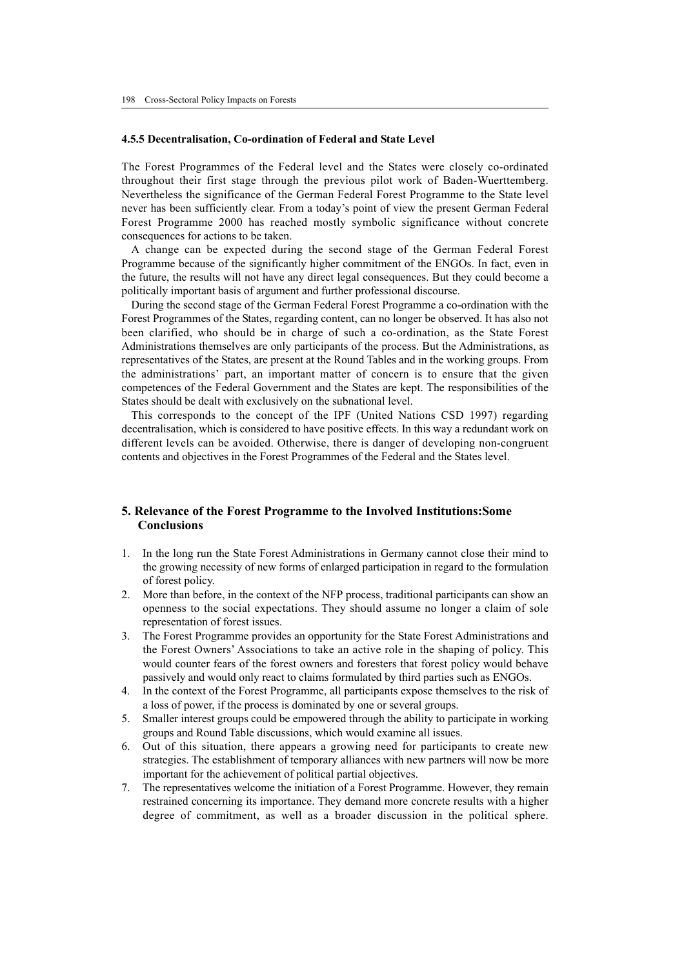#### **4.5.5 Decentralisation, Co-ordination of Federal and State Level**

The Forest Programmes of the Federal level and the States were closely co-ordinated throughout their first stage through the previous pilot work of Baden-Wuerttemberg. Nevertheless the significance of the German Federal Forest Programme to the State level never has been sufficiently clear. From a today's point of view the present German Federal Forest Programme 2000 has reached mostly symbolic significance without concrete consequences for actions to be taken.

A change can be expected during the second stage of the German Federal Forest Programme because of the significantly higher commitment of the ENGOs. In fact, even in the future, the results will not have any direct legal consequences. But they could become a politically important basis of argument and further professional discourse.

During the second stage of the German Federal Forest Programme a co-ordination with the Forest Programmes of the States, regarding content, can no longer be observed. It has also not been clarified, who should be in charge of such a co-ordination, as the State Forest Administrations themselves are only participants of the process. But the Administrations, as representatives of the States, are present at the Round Tables and in the working groups. From the administrations' part, an important matter of concern is to ensure that the given competences of the Federal Government and the States are kept. The responsibilities of the States should be dealt with exclusively on the subnational level.

This corresponds to the concept of the IPF (United Nations CSD 1997) regarding decentralisation, which is considered to have positive effects. In this way a redundant work on different levels can be avoided. Otherwise, there is danger of developing non-congruent contents and objectives in the Forest Programmes of the Federal and the States level.

# **5. Relevance of the Forest Programme to the Involved Institutions:Some Conclusions**

- 1. In the long run the State Forest Administrations in Germany cannot close their mind to the growing necessity of new forms of enlarged participation in regard to the formulation of forest policy.
- 2. More than before, in the context of the NFP process, traditional participants can show an openness to the social expectations. They should assume no longer a claim of sole representation of forest issues.
- 3. The Forest Programme provides an opportunity for the State Forest Administrations and the Forest Owners' Associations to take an active role in the shaping of policy. This would counter fears of the forest owners and foresters that forest policy would behave passively and would only react to claims formulated by third parties such as ENGOs.
- 4. In the context of the Forest Programme, all participants expose themselves to the risk of a loss of power, if the process is dominated by one or several groups.
- 5. Smaller interest groups could be empowered through the ability to participate in working groups and Round Table discussions, which would examine all issues.
- 6. Out of this situation, there appears a growing need for participants to create new strategies. The establishment of temporary alliances with new partners will now be more important for the achievement of political partial objectives.
- 7. The representatives welcome the initiation of a Forest Programme. However, they remain restrained concerning its importance. They demand more concrete results with a higher degree of commitment, as well as a broader discussion in the political sphere.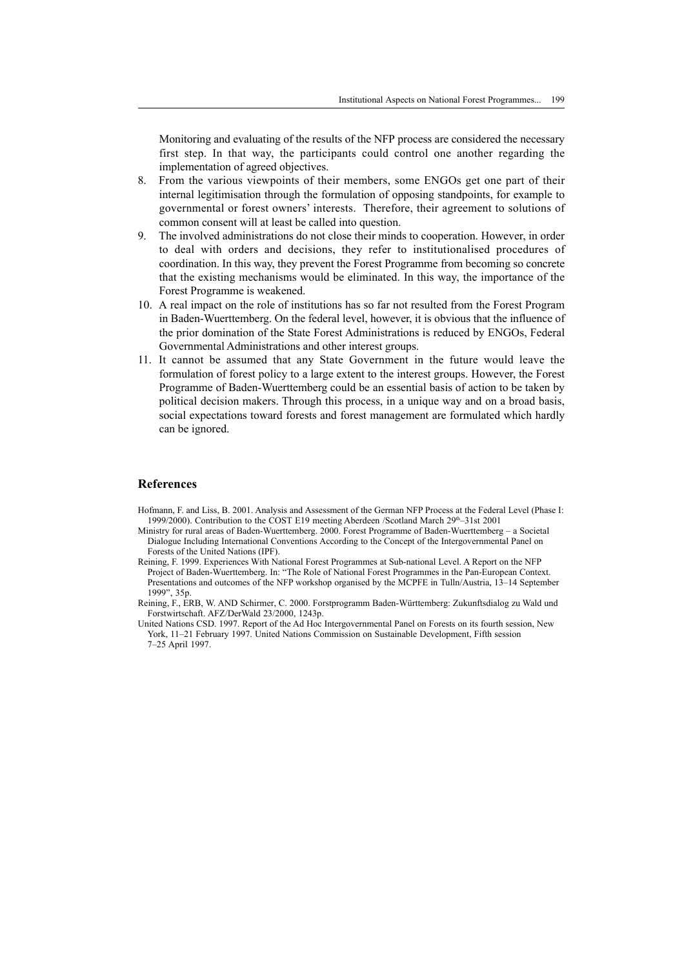Monitoring and evaluating of the results of the NFP process are considered the necessary first step. In that way, the participants could control one another regarding the implementation of agreed objectives.

- 8. From the various viewpoints of their members, some ENGOs get one part of their internal legitimisation through the formulation of opposing standpoints, for example to governmental or forest owners' interests. Therefore, their agreement to solutions of common consent will at least be called into question.
- 9. The involved administrations do not close their minds to cooperation. However, in order to deal with orders and decisions, they refer to institutionalised procedures of coordination. In this way, they prevent the Forest Programme from becoming so concrete that the existing mechanisms would be eliminated. In this way, the importance of the Forest Programme is weakened.
- 10. A real impact on the role of institutions has so far not resulted from the Forest Program in Baden-Wuerttemberg. On the federal level, however, it is obvious that the influence of the prior domination of the State Forest Administrations is reduced by ENGOs, Federal Governmental Administrations and other interest groups.
- 11. It cannot be assumed that any State Government in the future would leave the formulation of forest policy to a large extent to the interest groups. However, the Forest Programme of Baden-Wuerttemberg could be an essential basis of action to be taken by political decision makers. Through this process, in a unique way and on a broad basis, social expectations toward forests and forest management are formulated which hardly can be ignored.

### **References**

- Hofmann, F. and Liss, B. 2001. Analysis and Assessment of the German NFP Process at the Federal Level (Phase I: 1999/2000). Contribution to the COST E19 meeting Aberdeen /Scotland March 29<sup>th</sup>–31st 2001
- Ministry for rural areas of Baden-Wuerttemberg. 2000. Forest Programme of Baden-Wuerttemberg a Societal Dialogue Including International Conventions According to the Concept of the Intergovernmental Panel on Forests of the United Nations (IPF).
- Reining, F. 1999. Experiences With National Forest Programmes at Sub-national Level. A Report on the NFP Project of Baden-Wuerttemberg. In: "The Role of National Forest Programmes in the Pan-European Context. Presentations and outcomes of the NFP workshop organised by the MCPFE in Tulln/Austria, 13–14 September 1999", 35p.
- Reining, F., ERB, W. AND Schirmer, C. 2000. Forstprogramm Baden-Württemberg: Zukunftsdialog zu Wald und Forstwirtschaft. AFZ/DerWald 23/2000, 1243p.
- United Nations CSD. 1997. Report of the Ad Hoc Intergovernmental Panel on Forests on its fourth session, New York, 11–21 February 1997. United Nations Commission on Sustainable Development, Fifth session 7–25 April 1997.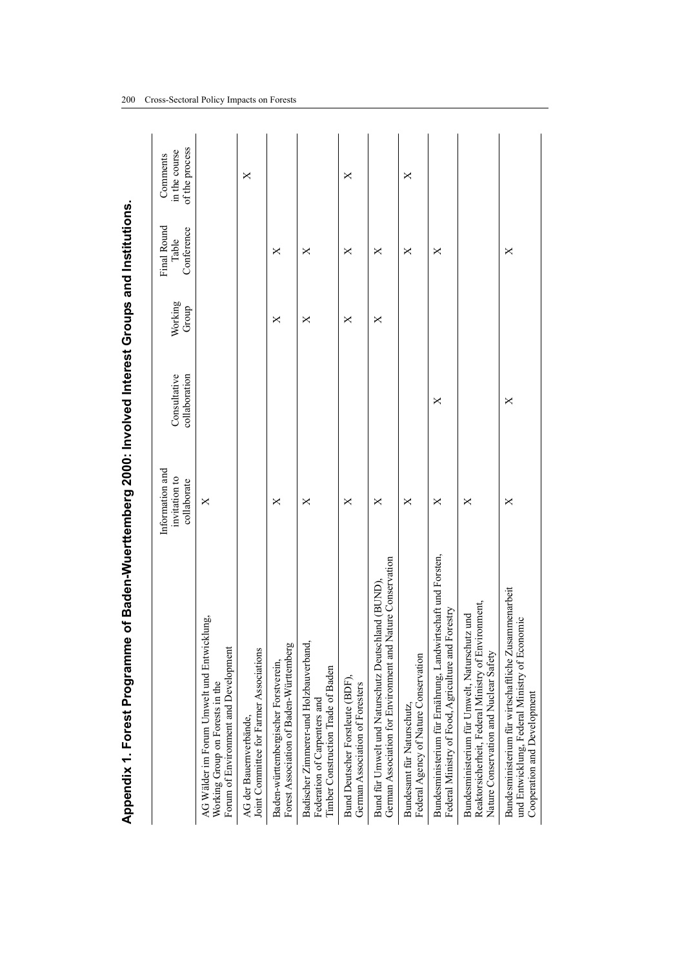| e of Baden-Wuerttemberg 2000: Involved Interest Groups and Institutions<br>Appendix 1. Forest Programm                                         |                                                 |                               |                  |                                    |                                             |
|------------------------------------------------------------------------------------------------------------------------------------------------|-------------------------------------------------|-------------------------------|------------------|------------------------------------|---------------------------------------------|
|                                                                                                                                                | Information and<br>invitation to<br>collaborate | Consultative<br>collaboration | Working<br>Group | Final Round<br>Conference<br>Table | of the process<br>in the course<br>Comments |
| AG Wälder im Forum Umwelt und Entwicklung,<br>Forum of Environment and Development<br>Working Group on Forests in the                          | $\times$                                        |                               |                  |                                    |                                             |
| Joint Committee for Farmer Associations<br>AG der Bauernverbände,                                                                              |                                                 |                               |                  |                                    | X                                           |
| Forest Association of Baden-Württemberg<br>Baden-württembergischer Forstverein,                                                                | X                                               |                               | X                | X                                  |                                             |
| Badischer Zimmerer-und Holzbauverband<br>Timber Construction Trade of Baden<br>Federation of Carpenters and                                    | $\times$                                        |                               | ×                | ×                                  |                                             |
| Bund Deutscher Forstleute (BDF),<br>German Association of Foresters                                                                            | X                                               |                               | ×                | X                                  | X                                           |
| Nature Conservation<br>Bund für Umwelt und Naturschutz Deutschland (BUND)<br>German Association for Environment and                            | X                                               |                               | X                | X                                  |                                             |
| Federal Agency of Nature Conservation<br>Bundesamt für Naturschutz,                                                                            | $\times$                                        |                               |                  | $\times$                           | ×                                           |
| Bundesministerium für Ernährung, Landwirtschaft und Forsten,<br>Forestry<br>Federal Ministry of Food, Agriculture and                          | ×                                               | ×                             |                  | ×                                  |                                             |
| Reaktorsicherheit, Federal Ministry of Environment,<br>Bundesministerium für Umwelt, Naturschutz und<br>Nature Conservation and Nuclear Safety | ×                                               |                               |                  |                                    |                                             |
| Bundesministerium für wirtschaftliche Zusammenarbeit<br>und Entwicklung, Federal Ministry of Economic<br>Cooperation and Development           | ×                                               | ×                             |                  | X                                  |                                             |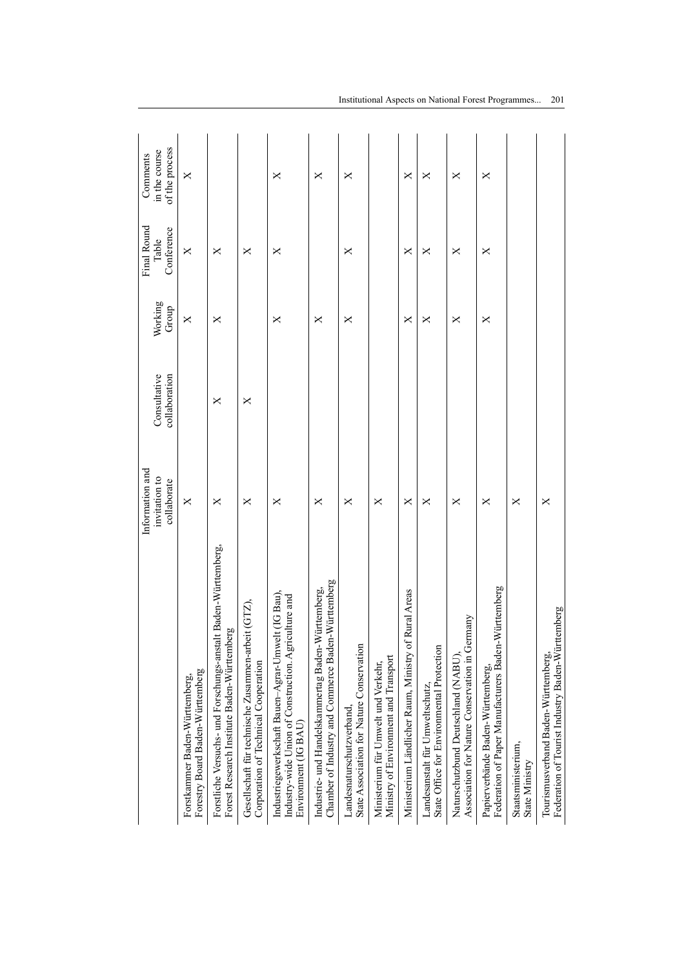|                                                                                                                                    | Information and<br>invitation to<br>collaborate | Consultative<br>collaboration | Working<br>Group | Final Round<br>Conference<br>Table | of the process<br>in the course<br>Comments |
|------------------------------------------------------------------------------------------------------------------------------------|-------------------------------------------------|-------------------------------|------------------|------------------------------------|---------------------------------------------|
| Forestry Board Baden-Württemberg<br>Forstkammer Baden-Württemberg,                                                                 | $\times$                                        |                               | $\times$         | X                                  | $\times$                                    |
| Forstliche Versuchs- und Forschungs-anstalt Baden-Württemberg,<br>Forest Research Institute Baden-Württemberg                      | X                                               | $\times$                      | $\times$         | $\times$                           |                                             |
| Gesellschaft für technische Zusammen-arbeit (GTZ)<br>Corporation of Technical Cooperation                                          | ×                                               | X                             |                  | ×                                  |                                             |
| Industriegewerkschaft Bauen-Agrar-Umwelt (IG Bau),<br>Industry-wide Union of Construction. Agriculture and<br>Environment (IG BAU) | ×                                               |                               | X                | X                                  | ×                                           |
| len-Württemberg<br>Industrie- und Handelskammertag Baden-Württemberg,<br>Chamber of Industry and Commerce Bad                      | ×                                               |                               | $\times$         |                                    | X                                           |
| State Association for Nature Conservation<br>Landesnaturschutzverband,                                                             | ×                                               |                               | X                | X                                  | X                                           |
| Ministry of Environment and Transport<br>Ministerium für Umwelt und Verkehr,                                                       | X                                               |                               |                  |                                    |                                             |
| of Rural Areas<br>Ministerium Ländlicher Raum, Ministry                                                                            | ×                                               |                               | X                | ×                                  | ×                                           |
| State Office for Environmental Protection<br>Landesanstalt für Umweltschutz,                                                       | $\times$                                        |                               | $\times$         | ×                                  | ×                                           |
| Association for Nature Conservation in Germany<br>Naturschutzbund Deutschland (NABU),                                              | ×                                               |                               | X                | X                                  | X                                           |
| Federation of Paper Manufacturers Baden-Württemberg<br>Papierverbände Baden-Württemberg,                                           | ×                                               |                               | ×                | ×                                  | ×                                           |
| Staatsministerium,<br><b>State Ministry</b>                                                                                        | ×                                               |                               |                  |                                    |                                             |
| Federation of Tourist Industry Baden-Württemberg<br>Tourismusverband Baden-Württemberg,                                            | $\times$                                        |                               |                  |                                    |                                             |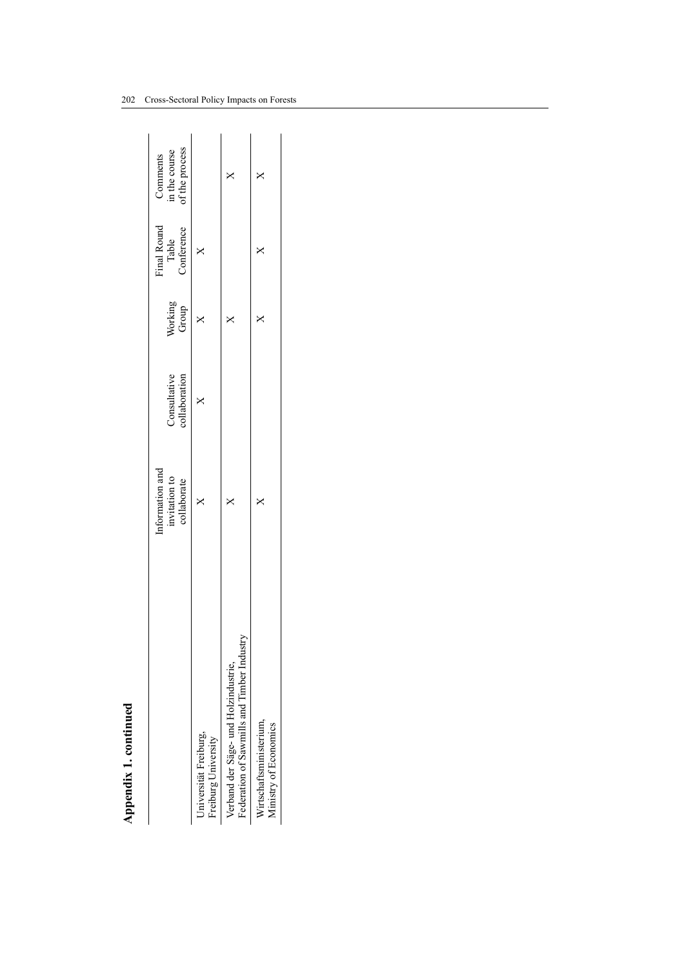| Appendix 1. continued                                                             |                                                |                               |                  |                                    |                                             |
|-----------------------------------------------------------------------------------|------------------------------------------------|-------------------------------|------------------|------------------------------------|---------------------------------------------|
|                                                                                   | nformation and<br>invitation to<br>collaborate | :ollaboration<br>Consultative | Working<br>Group | Final Round<br>Table<br>Conference | Comments<br>in the course<br>of the process |
| Jniversität Freiburg,<br>Freiburg University                                      | ×                                              |                               |                  |                                    |                                             |
| Federation of Sawmills and Timber Industr<br>Verband der Säge- und Holzindustrie, |                                                |                               |                  |                                    |                                             |
| Wirtschaftsministerium,<br>Ministry of Economics                                  |                                                |                               |                  |                                    |                                             |
|                                                                                   |                                                |                               |                  |                                    |                                             |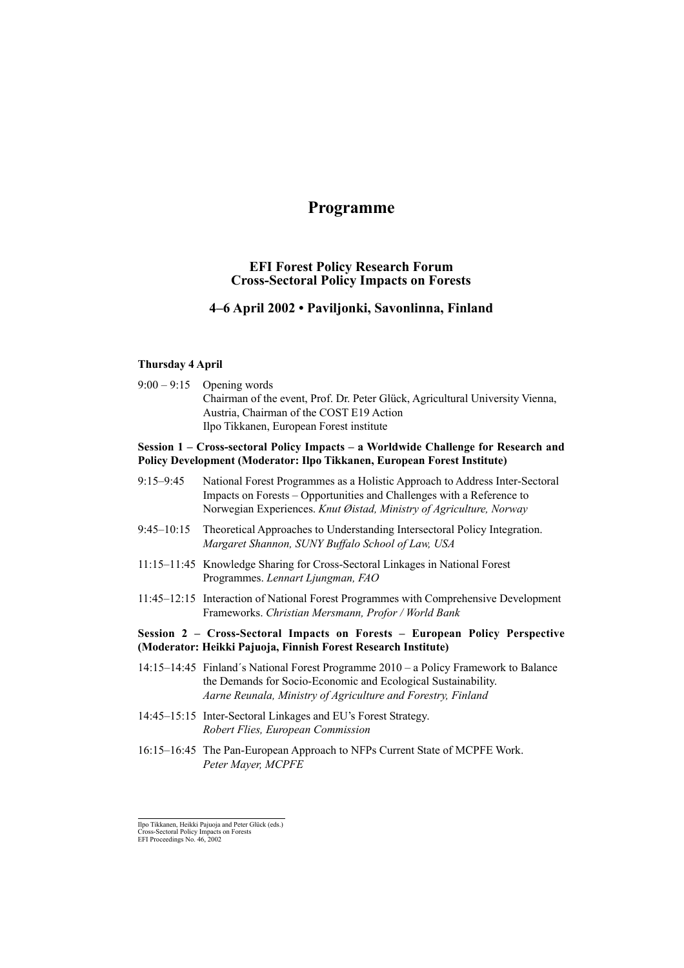# **Programme**

# **EFI Forest Policy Research Forum Cross-Sectoral Policy Impacts on Forests**

# **4–6 April 2002 • Paviljonki, Savonlinna, Finland**

#### **Thursday 4 April**

 $9:00 - 9:15$  Opening words Chairman of the event, Prof. Dr. Peter Glück, Agricultural University Vienna, Austria, Chairman of the COST E19 Action Ilpo Tikkanen, European Forest institute

# **Session 1 – Cross-sectoral Policy Impacts – a Worldwide Challenge for Research and Policy Development (Moderator: Ilpo Tikkanen, European Forest Institute)**

- 9:15–9:45 National Forest Programmes as a Holistic Approach to Address Inter-Sectoral Impacts on Forests – Opportunities and Challenges with a Reference to Norwegian Experiences. *Knut Øistad, Ministry of Agriculture, Norway*
- 9:45–10:15 Theoretical Approaches to Understanding Intersectoral Policy Integration. *Margaret Shannon, SUNY Buffalo School of Law, USA*
- 11:15–11:45 Knowledge Sharing for Cross-Sectoral Linkages in National Forest Programmes. *Lennart Ljungman, FAO*
- 11:45–12:15 Interaction of National Forest Programmes with Comprehensive Development Frameworks. *Christian Mersmann, Profor / World Bank*

# **Session 2 – Cross-Sectoral Impacts on Forests – European Policy Perspective (Moderator: Heikki Pajuoja, Finnish Forest Research Institute)**

- 14:15–14:45 Finland´s National Forest Programme 2010 a Policy Framework to Balance the Demands for Socio-Economic and Ecological Sustainability. *Aarne Reunala, Ministry of Agriculture and Forestry, Finland*
- 14:45–15:15 Inter-Sectoral Linkages and EU's Forest Strategy. *Robert Flies, European Commission*
- 16:15–16:45 The Pan-European Approach to NFPs Current State of MCPFE Work. *Peter Mayer, MCPFE*

Cross-Sectoral Policy Impacts on Forests EFI Proceedings No. 46, 2002

Ilpo Tikkanen, Heikki Pajuoja and Peter Glück (eds.)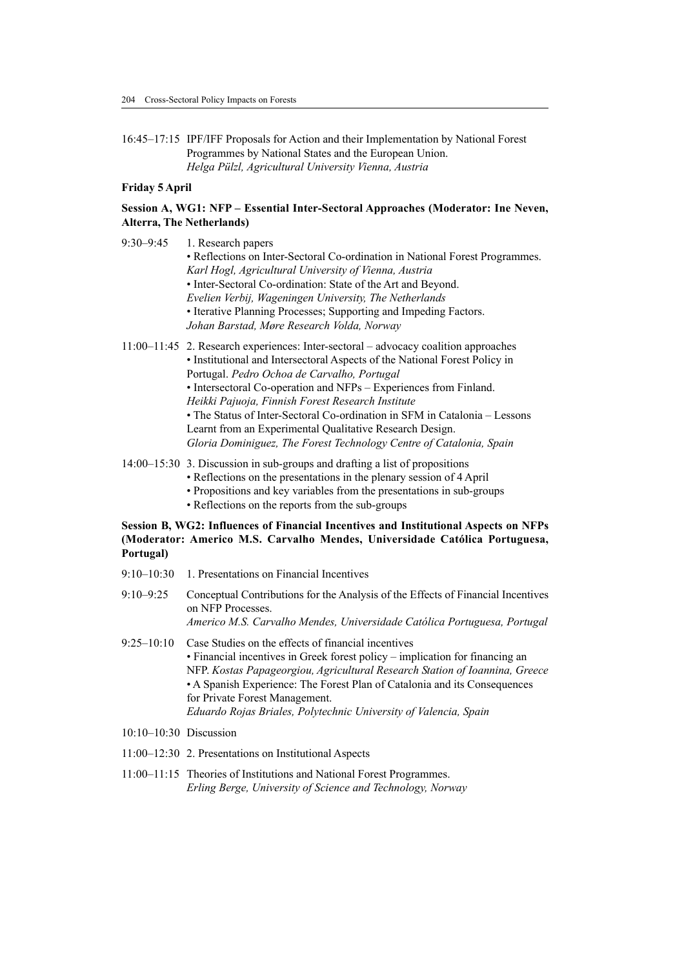16:45–17:15 IPF/IFF Proposals for Action and their Implementation by National Forest Programmes by National States and the European Union. *Helga Pülzl, Agricultural University Vienna, Austria*

# **Friday 5 April**

# **Session A, WG1: NFP – Essential Inter-Sectoral Approaches (Moderator: Ine Neven, Alterra, The Netherlands)**

9:30–9:45 1. Research papers • Reflections on Inter-Sectoral Co-ordination in National Forest Programmes. *Karl Hogl, Agricultural University of Vienna, Austria* • Inter-Sectoral Co-ordination: State of the Art and Beyond. *Evelien Verbij, Wageningen University, The Netherlands* • Iterative Planning Processes; Supporting and Impeding Factors. *Johan Barstad, Møre Research Volda, Norway*

11:00–11:45 2. Research experiences: Inter-sectoral – advocacy coalition approaches • Institutional and Intersectoral Aspects of the National Forest Policy in Portugal. *Pedro Ochoa de Carvalho, Portugal* • Intersectoral Co-operation and NFPs – Experiences from Finland. *Heikki Pajuoja, Finnish Forest Research Institute* • The Status of Inter-Sectoral Co-ordination in SFM in Catalonia – Lessons Learnt from an Experimental Qualitative Research Design. *Gloria Dominiguez, The Forest Technology Centre of Catalonia, Spain*

# 14:00–15:30 3. Discussion in sub-groups and drafting a list of propositions

- Reflections on the presentations in the plenary session of 4 April
	- Propositions and key variables from the presentations in sub-groups
	- Reflections on the reports from the sub-groups

# **Session B, WG2: Influences of Financial Incentives and Institutional Aspects on NFPs (Moderator: Americo M.S. Carvalho Mendes, Universidade Católica Portuguesa, Portugal)**

- 9:10–10:30 1. Presentations on Financial Incentives
- 9:10–9:25 Conceptual Contributions for the Analysis of the Effects of Financial Incentives on NFP Processes. *Americo M.S. Carvalho Mendes, Universidade Católica Portuguesa, Portugal*
- 9:25–10:10 Case Studies on the effects of financial incentives • Financial incentives in Greek forest policy – implication for financing an NFP. *Kostas Papageorgiou, Agricultural Research Station of Ioannina, Greece* • A Spanish Experience: The Forest Plan of Catalonia and its Consequences for Private Forest Management. *Eduardo Rojas Briales, Polytechnic University of Valencia, Spain*
- 10:10–10:30 Discussion
- 11:00–12:30 2. Presentations on Institutional Aspects
- 11:00–11:15 Theories of Institutions and National Forest Programmes. *Erling Berge, University of Science and Technology, Norway*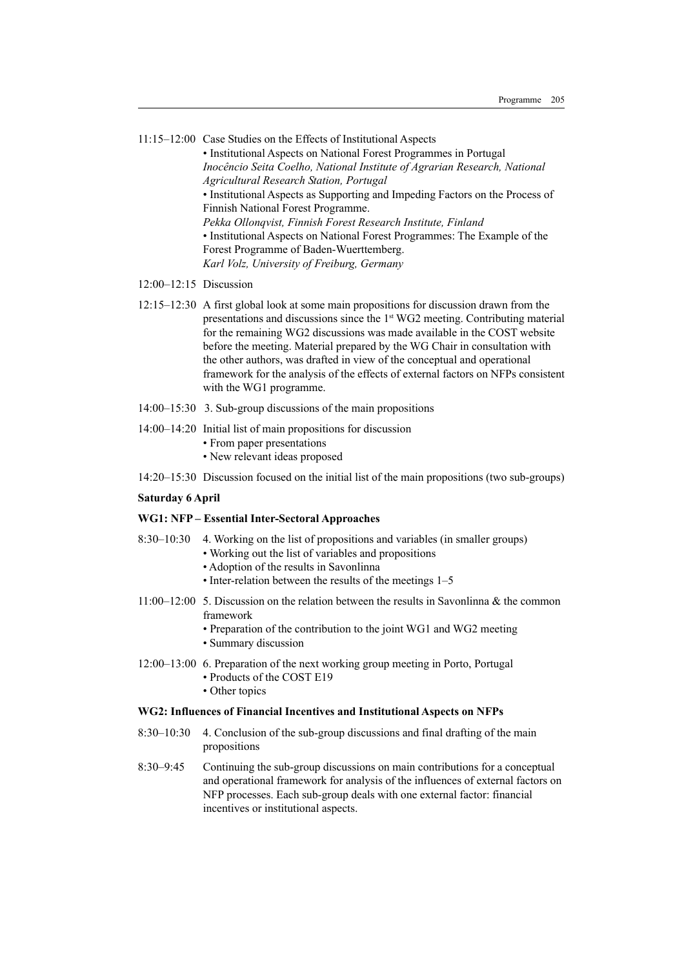- 11:15–12:00 Case Studies on the Effects of Institutional Aspects • Institutional Aspects on National Forest Programmes in Portugal *Inocêncio Seita Coelho, National Institute of Agrarian Research, National Agricultural Research Station, Portugal* • Institutional Aspects as Supporting and Impeding Factors on the Process of Finnish National Forest Programme. *Pekka Ollonqvist, Finnish Forest Research Institute, Finland* • Institutional Aspects on National Forest Programmes: The Example of the Forest Programme of Baden-Wuerttemberg. *Karl Volz, University of Freiburg, Germany*
- 12:00–12:15 Discussion
- 12:15–12:30 A first global look at some main propositions for discussion drawn from the presentations and discussions since the 1st WG2 meeting. Contributing material for the remaining WG2 discussions was made available in the COST website before the meeting. Material prepared by the WG Chair in consultation with the other authors, was drafted in view of the conceptual and operational framework for the analysis of the effects of external factors on NFPs consistent with the WG1 programme.
- 14:00–15:30 3. Sub-group discussions of the main propositions
- 14:00–14:20 Initial list of main propositions for discussion
	- From paper presentations
	- New relevant ideas proposed
- 14:20–15:30 Discussion focused on the initial list of the main propositions (two sub-groups)

# **Saturday 6 April**

#### **WG1: NFP – Essential Inter-Sectoral Approaches**

- 8:30–10:30 4. Working on the list of propositions and variables (in smaller groups)
	- Working out the list of variables and propositions
	- Adoption of the results in Savonlinna
	- Inter-relation between the results of the meetings 1–5
- 11:00–12:00 5. Discussion on the relation between the results in Savonlinna & the common framework
	- Preparation of the contribution to the joint WG1 and WG2 meeting
	- Summary discussion
- 12:00–13:00 6. Preparation of the next working group meeting in Porto, Portugal • Products of the COST E19
	- Other topics

#### **WG2: Influences of Financial Incentives and Institutional Aspects on NFPs**

- 8:30–10:30 4. Conclusion of the sub-group discussions and final drafting of the main propositions
- 8:30–9:45 Continuing the sub-group discussions on main contributions for a conceptual and operational framework for analysis of the influences of external factors on NFP processes. Each sub-group deals with one external factor: financial incentives or institutional aspects.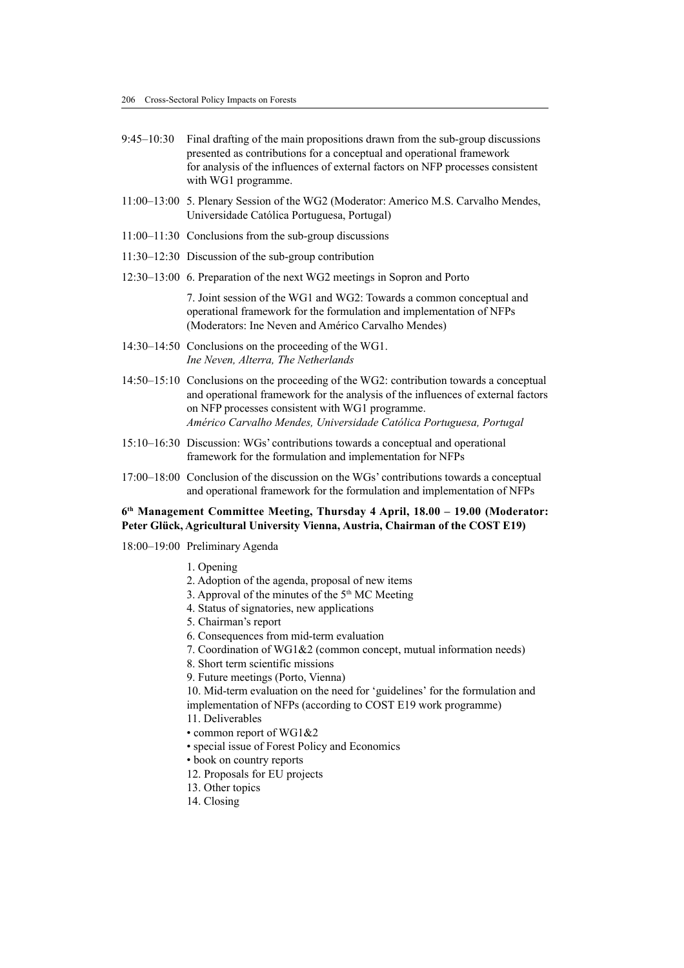- 9:45–10:30 Final drafting of the main propositions drawn from the sub-group discussions presented as contributions for a conceptual and operational framework for analysis of the influences of external factors on NFP processes consistent with WG1 programme.
- 11:00–13:00 5. Plenary Session of the WG2 (Moderator: Americo M.S. Carvalho Mendes, Universidade Católica Portuguesa, Portugal)
- 11:00–11:30 Conclusions from the sub-group discussions
- 11:30–12:30 Discussion of the sub-group contribution
- 12:30–13:00 6. Preparation of the next WG2 meetings in Sopron and Porto

7. Joint session of the WG1 and WG2: Towards a common conceptual and operational framework for the formulation and implementation of NFPs (Moderators: Ine Neven and Américo Carvalho Mendes)

- 14:30–14:50 Conclusions on the proceeding of the WG1. *Ine Neven, Alterra, The Netherlands*
- 14:50–15:10 Conclusions on the proceeding of the WG2: contribution towards a conceptual and operational framework for the analysis of the influences of external factors on NFP processes consistent with WG1 programme. *Américo Carvalho Mendes, Universidade Católica Portuguesa, Portugal*
- 15:10–16:30 Discussion: WGs' contributions towards a conceptual and operational framework for the formulation and implementation for NFPs
- 17:00–18:00 Conclusion of the discussion on the WGs' contributions towards a conceptual and operational framework for the formulation and implementation of NFPs

# **6th Management Committee Meeting, Thursday 4 April, 18.00 – 19.00 (Moderator: Peter Glück, Agricultural University Vienna, Austria, Chairman of the COST E19)**

18:00–19:00 Preliminary Agenda

- 1. Opening
- 2. Adoption of the agenda, proposal of new items
- 3. Approval of the minutes of the  $5<sup>th</sup>$  MC Meeting
- 4. Status of signatories, new applications
- 5. Chairman's report
- 6. Consequences from mid-term evaluation
- 7. Coordination of WG1&2 (common concept, mutual information needs)

8. Short term scientific missions

9. Future meetings (Porto, Vienna)

10. Mid-term evaluation on the need for 'guidelines' for the formulation and implementation of NFPs (according to COST E19 work programme)

- 11. Deliverables
- common report of WG1&2
- special issue of Forest Policy and Economics
- book on country reports
- 12. Proposals for EU projects
- 13. Other topics
- 14. Closing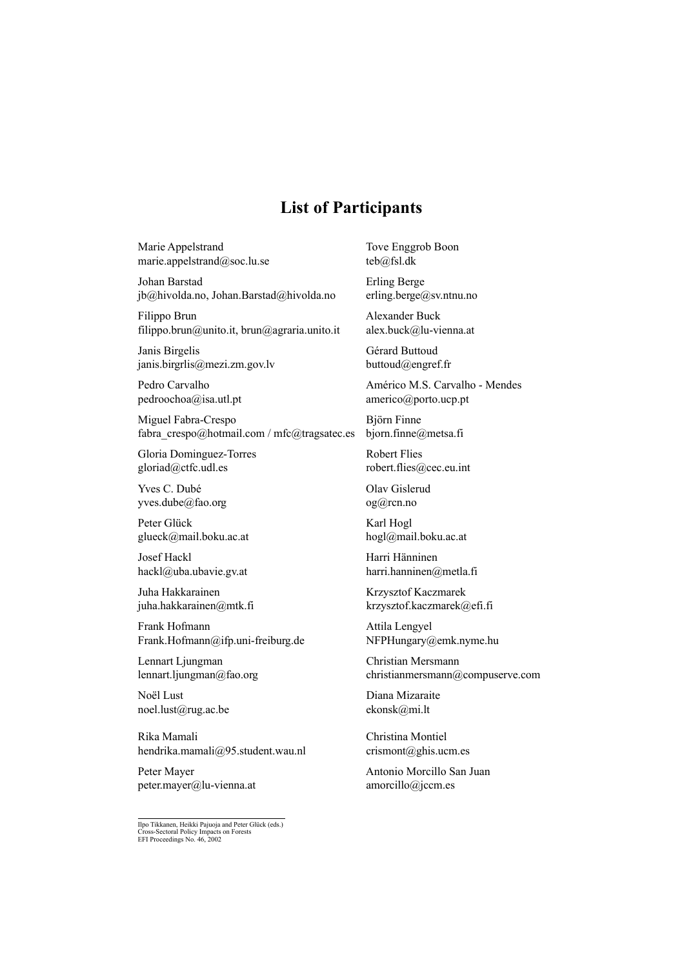# **List of Participants**

Marie Appelstrand Tove Enggrob Boon marie.appelstrand@soc.lu.se teb@fsl.dk

Johan Barstad Erling Berge jb@hivolda.no, Johan.Barstad@hivolda.no erling.berge@sv.ntnu.no

Filippo Brun Alexander Buck filippo.brun@unito.it, brun@agraria.unito.it alex.buck@lu-vienna.at

Janis Birgelis Gérard Buttoud janis.birgrlis@mezi.zm.gov.lv buttoud@engref.fr

Miguel Fabra-Crespo Björn Finne fabra\_crespo@hotmail.com / mfc@tragsatec.es bjorn.finne@metsa.fi

Gloria Dominguez-Torres Robert Flies gloriad@ctfc.udl.es robert.flies@cec.eu.int

Yves C. Dubé Olav Gislerud yves.dube@fao.org og@rcn.no

Peter Glück Karl Hogl glueck@mail.boku.ac.at hogl@mail.boku.ac.at

Josef Hackl Harri Hänninen

Juha Hakkarainen Krzysztof Kaczmarek

Frank Hofmann Attila Lengyel Frank.Hofmann@ifp.uni-freiburg.de NFPHungary@emk.nyme.hu

Lennart Ljungman Christian Mersmann

Noël Lust Diana Mizaraite noel.lust@rug.ac.be ekonsk@mi.lt

Rika Mamali Christina Montiel hendrika.mamali@95.student.wau.nl crismont@ghis.ucm.es

peter.mayer@lu-vienna.at amorcillo@jccm.es

Ilpo Tikkanen, Heikki Pajuoja and Peter Glück (eds.) Cross-Sectoral Policy Impacts on Forests EFI Proceedings No. 46, 2002

Pedro Carvalho Américo M.S. Carvalho - Mendes pedroochoa@isa.utl.pt americo@porto.ucp.pt

hackl@uba.ubavie.gv.at harri.hanninen@metla.fi

juha.hakkarainen@mtk.fi krzysztof.kaczmarek@efi.fi

lennart.ljungman@fao.org christianmersmann@compuserve.com

Peter Mayer **Antonio Morcillo San Juan**